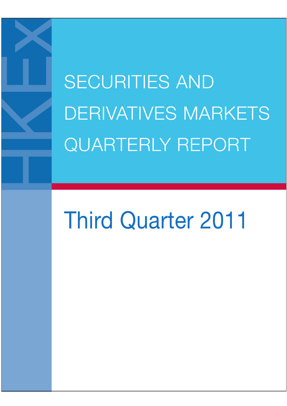SECURITIES AND DERIVATIVES MARKETS QUARTERLY REPORT

# Third Quarter 2011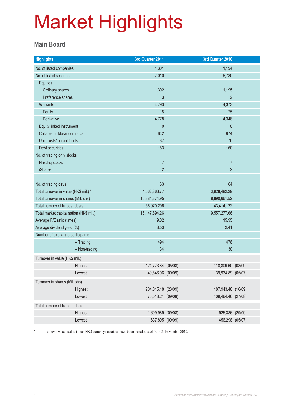#### **Main Board**

| <b>Highlights</b>                       | 3rd Quarter 2011   |  | 3rd Quarter 2010   |  |
|-----------------------------------------|--------------------|--|--------------------|--|
| No. of listed companies                 | 1,301              |  | 1,194              |  |
| No. of listed securities                | 7,010              |  | 6,780              |  |
| Equities                                |                    |  |                    |  |
| Ordinary shares                         | 1,302              |  | 1,195              |  |
| Preference shares                       | 3                  |  | $\overline{2}$     |  |
| <b>Warrants</b>                         | 4,793              |  | 4,373              |  |
| Equity                                  | 15                 |  | 25                 |  |
| Derivative                              | 4,778              |  | 4,348              |  |
| Equity linked instrument                | $\mathbf 0$        |  | $\theta$           |  |
| Callable bull/bear contracts            | 642                |  | 974                |  |
| Unit trusts/mutual funds                | 87                 |  | 76                 |  |
| Debt securities                         | 183                |  | 160                |  |
| No. of trading only stocks              |                    |  |                    |  |
| Nasdaq stocks                           | $\overline{7}$     |  | $\overline{7}$     |  |
| <b>iShares</b>                          | $\overline{2}$     |  | $\overline{2}$     |  |
| No. of trading days                     | 63                 |  | 64                 |  |
| Total turnover in value (HK\$ mil.) *   | 4,562,366.77       |  | 3,928,482.29       |  |
| Total turnover in shares (Mil. shs)     | 10,384,374.95      |  | 8,890,661.52       |  |
| Total number of trades (deals)          | 56,970,296         |  | 43,414,122         |  |
| Total market capitalisation (HK\$ mil.) | 16, 147, 694. 26   |  | 19,557,277.66      |  |
| Average P/E ratio (times)               | 9.02               |  | 15.95              |  |
| Average dividend yield (%)              | 3.53               |  | 2.41               |  |
| Number of exchange participants         |                    |  |                    |  |
| $-$ Trading                             | 494                |  | 478                |  |
| - Non-trading                           | 34                 |  | 30                 |  |
| Turnover in value (HK\$ mil.)           |                    |  |                    |  |
| Highest                                 | 124,773.84 (05/08) |  | 118,809.60 (08/09) |  |
| Lowest                                  | 49,646.96 (09/09)  |  | 39,934.89 (05/07)  |  |
| Turnover in shares (Mil. shs)           |                    |  |                    |  |
| Highest                                 | 204,015.18 (23/09) |  | 187,943.48 (16/09) |  |
| Lowest                                  | 75,513.21 (09/08)  |  | 109,464.46 (27/08) |  |
| Total number of trades (deals)          |                    |  |                    |  |
| Highest                                 | 1,609,989 (09/08)  |  | 925,386 (29/09)    |  |
| Lowest                                  | 637,895 (09/09)    |  | 456,298 (05/07)    |  |

Turnover value traded in non-HKD currency securities have been included start from 29 November 2010.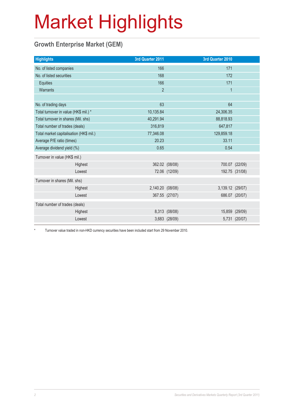### **Growth Enterprise Market (GEM)**

| <b>Highlights</b>                       |         | 3rd Quarter 2011 |                | 3rd Quarter 2010 |                |
|-----------------------------------------|---------|------------------|----------------|------------------|----------------|
| No. of listed companies                 |         | 166              |                | 171              |                |
| No. of listed securities                |         | 168              |                | 172              |                |
| Equities                                |         | 166              |                | 171              |                |
| Warrants                                |         | $\overline{2}$   |                | $\mathbf{1}$     |                |
|                                         |         |                  |                |                  |                |
| No. of trading days                     |         | 63               |                | 64               |                |
| Total turnover in value (HK\$ mil.) *   |         | 10,135.84        |                | 24,306.35        |                |
| Total turnover in shares (Mil. shs)     |         | 40,291.94        |                | 88,818.93        |                |
| Total number of trades (deals)          |         | 316,819          |                | 647,817          |                |
| Total market capitalisation (HK\$ mil.) |         | 77,346.08        |                | 129,859.18       |                |
| Average P/E ratio (times)               |         | 20.23            |                | 33.11            |                |
| Average dividend yield (%)              |         | 0.65             |                | 0.54             |                |
| Turnover in value (HK\$ mil.)           |         |                  |                |                  |                |
|                                         | Highest |                  | 362.02 (08/08) |                  | 700.07 (22/09) |
|                                         | Lowest  |                  | 72.06 (12/09)  |                  | 192.75 (31/08) |
| Turnover in shares (Mil. shs)           |         |                  |                |                  |                |
|                                         | Highest | 2,140.20 (08/08) |                | 3,139.12 (29/07) |                |
|                                         | Lowest  |                  | 367.55 (27/07) |                  | 686.07 (20/07) |
| Total number of trades (deals)          |         |                  |                |                  |                |
|                                         | Highest |                  | 8,313 (08/08)  |                  | 15,859 (29/09) |
|                                         | Lowest  |                  | 3,683 (28/09)  |                  | 5,731 (20/07)  |

\* Turnover value traded in non-HKD currency securities have been included start from 29 November 2010.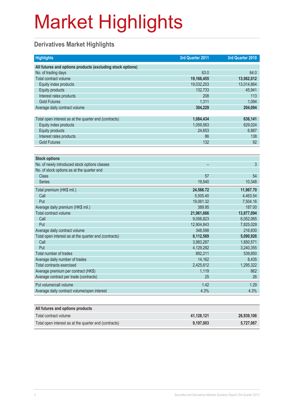### **Derivatives Market Highlights**

| <b>Highlights</b>                                          | 3rd Quarter 2011 | 3rd Quarter 2010 |
|------------------------------------------------------------|------------------|------------------|
| All futures and options products (excluding stock options) |                  |                  |
| No. of trading days                                        | 63.0             | 64.0             |
| Total contract volume                                      | 19,166,455       | 13,062,012       |
| Equity index products                                      | 19,032,203       | 13,014,864       |
| <b>Equity products</b>                                     | 132,733          | 45,941           |
| Interest rates products                                    | 208              | 113              |
| <b>Gold Futures</b>                                        | 1,311            | 1,094            |
| Average daily contract volume                              | 304,229          | 204,094          |
|                                                            |                  |                  |
| Total open interest as at the quarter end (contracts)      | 1,084,434        | 636,141          |
| Equity index products                                      | 1,059,563        | 629,024          |
| <b>Equity products</b>                                     | 24.653           | 6,887            |
| Interest rates products                                    | 86               | 138              |
| <b>Gold Futures</b>                                        | 132              | 92               |
|                                                            |                  |                  |
| <b>Stock options</b>                                       |                  |                  |
| No. of newly introduced stock options classes              |                  | 3                |
| No. of stock options as at the quarter end                 |                  |                  |
| <b>Class</b>                                               | 57               | 54               |
| <b>Series</b>                                              | 19,540           | 10,348           |
| Total premium (HK\$ mil.)                                  | 24,566.72        | 11,967.70        |
| Call                                                       | 5,505.40         | 4,463.54         |
| Put                                                        | 19,061.32        | 7,504.16         |
| Average daily premium (HK\$ mil.)                          | 389.95           | 187.00           |
| Total contract volume                                      | 21,961,666       | 13,877,094       |
| Call                                                       | 9,056,823        | 6,052,065        |
| Put                                                        | 12,904,843       | 7,825,029        |
| Average daily contract volume                              | 348,598          | 216,830          |
| Total open interest as at the quarter end (contracts)      | 8,112,569        | 5,090,926        |
| Call                                                       | 3,983,287        | 1,850,571        |
| Put                                                        | 4,129,282        | 3,240,355        |
| Total number of trades                                     | 892,211          | 539,850          |
| Average daily number of trades                             | 14,162           | 8,435            |
| <b>Total contracts exercised</b>                           | 2,425,612        | 1,295,322        |
| Average premium per contract (HK\$)                        | 1,119            | 862              |
| Average contract per trade (contracts)                     | 25               | 26               |
| Put volume/call volume                                     | 1.42             | 1.29             |
| Average daily contract volume/open interest                | 4.3%             | 4.3%             |
|                                                            |                  |                  |

| All futures and options products                      |            |            |
|-------------------------------------------------------|------------|------------|
| Total contract volume                                 | 41.128.121 | 26,939,106 |
| Total open interest as at the quarter end (contracts) | 9.197.003  | 5.727.067  |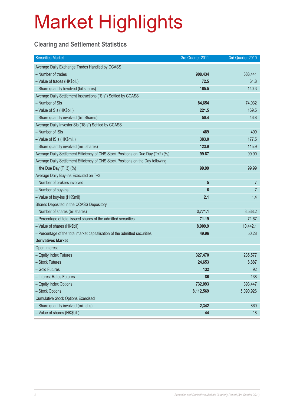### **Clearing and Settlement Statistics**

| <b>Securities Market</b>                                                        | 3rd Quarter 2011 | 3rd Quarter 2010 |
|---------------------------------------------------------------------------------|------------------|------------------|
| Average Daily Exchange Trades Handled by CCASS                                  |                  |                  |
| - Number of trades                                                              | 908,434          | 688,441          |
| - Value of trades (HK\$bil.)                                                    | 72.5             | 61.8             |
| - Share quantity Involved (bil shares)                                          | 165.5            | 140.3            |
| Average Daily Settlement Instructions ("SIs") Settled by CCASS                  |                  |                  |
| - Number of SIs                                                                 | 84,654           | 74,032           |
| - Value of SIs (HK\$bil.)                                                       | 221.5            | 169.5            |
| - Share quantity involved (bil. Shares)                                         | 50.4             | 46.8             |
| Average Daily Investor SIs ("ISIs") Settled by CCASS                            |                  |                  |
| - Number of ISIs                                                                | 489              | 499              |
| - Value of ISIs (HK\$mil.)                                                      | 383.0            | 177.5            |
| - Share quantity involved (mil. shares)                                         | 123.9            | 115.9            |
| Average Daily Settlement Efficiency of CNS Stock Positions on Due Day (T+2) (%) | 99.87            | 99.90            |
| Average Daily Settlement Efficiency of CNS Stock Positions on the Day following |                  |                  |
| the Due Day $(T+3)$ (%)                                                         | 99.99            | 99.99            |
| Average Daily Buy-ins Executed on T+3                                           |                  |                  |
| - Number of brokers involved                                                    | 5                | $\overline{7}$   |
| - Number of buy-ins                                                             | 6                | $\overline{7}$   |
| - Value of buy-ins (HK\$mil)                                                    | 2.1              | 1.4              |
| Shares Deposited in the CCASS Depository                                        |                  |                  |
| - Number of shares (bil shares)                                                 | 3,771.1          | 3,538.2          |
| - Percentage of total issued shares of the admitted securities                  | 71.19            | 71.67            |
| - Value of shares (HK\$bil)                                                     | 8,909.9          | 10,442.1         |
| - Percentage of the total market capitalisation of the admitted securities      | 49.96            | 50.28            |
| <b>Derivatives Market</b>                                                       |                  |                  |
| Open Interest                                                                   |                  |                  |
| - Equity Index Futures                                                          | 327,470          | 235,577          |
| - Stock Futures                                                                 | 24,653           | 6,887            |
| - Gold Futures                                                                  | 132              | 92               |
| - Interest Rates Futures                                                        | 86               | 138              |
| - Equity Index Options                                                          | 732,093          | 393,447          |
| - Stock Options                                                                 | 8,112,569        | 5,090,926        |
| <b>Cumulative Stock Options Exercised</b>                                       |                  |                  |
| - Share quantity involved (mil. shs)                                            | 2,342            | 860              |
| - Value of shares (HK\$bil.)                                                    | 44               | 18               |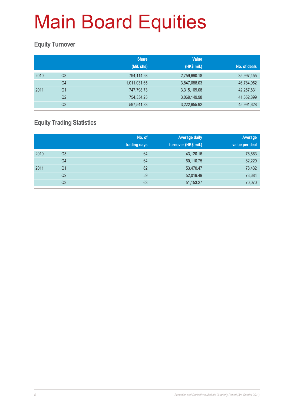#### **Equity Turnover**

|      |                | <b>Share</b><br>(Mil. shs) | <b>Value</b><br>(HK\$ mil.) | No. of deals |
|------|----------------|----------------------------|-----------------------------|--------------|
|      |                |                            |                             |              |
| 2010 | Q3             | 794,114.98                 | 2,759,690.18                | 35,997,455   |
|      | Q4             | 1,011,031.65               | 3,847,088.03                | 46,784,952   |
| 2011 | Q1             | 747,798.73                 | 3,315,169.08                | 42,267,831   |
|      | Q <sub>2</sub> | 754,334.25                 | 3,069,149.98                | 41,652,899   |
|      | Q <sub>3</sub> | 597,541.33                 | 3,222,655.92                | 45,991,628   |

### **Equity Trading Statistics**

|      |                | No. of<br>trading days | <b>Average daily</b><br>turnover (HK\$ mil.) | Average<br>value per deal |
|------|----------------|------------------------|----------------------------------------------|---------------------------|
| 2010 | Q <sub>3</sub> | 64                     | 43,120.16                                    | 76,663                    |
|      | Q4             | 64                     | 60,110.75                                    | 82,229                    |
| 2011 | Q <sub>1</sub> | 62                     | 53,470.47                                    | 78,432                    |
|      | Q2             | 59                     | 52,019.49                                    | 73,684                    |
|      | Q3             | 63                     | 51,153.27                                    | 70,070                    |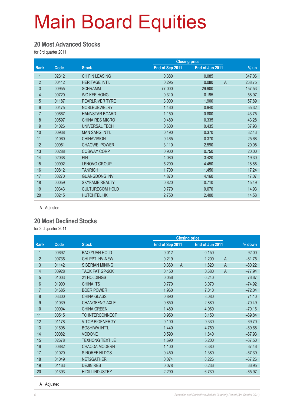#### **20 Most Advanced Stocks**

for 3rd quarter 2011

|                |       |                        |                 | <b>Closing price</b> |                          |
|----------------|-------|------------------------|-----------------|----------------------|--------------------------|
| Rank           | Code  | <b>Stock</b>           | End of Sep 2011 | End of Jun 2011      | % up                     |
| 1              | 02312 | <b>CH FIN LEASING</b>  | 0.380           | 0.085                | 347.06                   |
| $\overline{2}$ | 00412 | <b>HERITAGE INT'L</b>  | 0.295           | 0.080                | 268.75<br>$\overline{A}$ |
| 3              | 00955 | <b>SCHRAMM</b>         | 77.000          | 29.900               | 157.53                   |
| $\overline{4}$ | 00720 | <b>WO KEE HONG</b>     | 0.310           | 0.195                | 58.97                    |
| $\overline{5}$ | 01187 | <b>PEARLRIVER TYRE</b> | 3.000           | 1.900                | 57.89                    |
| 6              | 00475 | <b>NOBLE JEWELRY</b>   | 1.460           | 0.940                | 55.32                    |
| $\overline{7}$ | 00667 | <b>HANNSTAR BOARD</b>  | 1.150           | 0.800                | 43.75                    |
| $\bf 8$        | 00597 | <b>CHINA RES MICRO</b> | 0.480           | 0.335                | 43.28                    |
| 9              | 01026 | <b>UNIVERSAL TECH</b>  | 0.600           | 0.435                | 37.93                    |
| 10             | 00938 | <b>MAN SANG INT'L</b>  | 0.490           | 0.370                | 32.43                    |
| 11             | 01060 | <b>CHINAVISION</b>     | 0.465           | 0.370                | 25.68                    |
| 12             | 00951 | <b>CHAOWEI POWER</b>   | 3.110           | 2.590                | 20.08                    |
| 13             | 00288 | <b>COSWAY CORP</b>     | 0.900           | 0.750                | 20.00                    |
| 14             | 02038 | <b>FIH</b>             | 4.080           | 3.420                | 19.30                    |
| 15             | 00992 | <b>LENOVO GROUP</b>    | 5.290           | 4.450                | 18.88                    |
| 16             | 00812 | <b>TANRICH</b>         | 1.700           | 1.450                | 17.24                    |
| 17             | 00270 | <b>GUANGDONG INV</b>   | 4.870           | 4.160                | 17.07                    |
| 18             | 00059 | <b>SKYFAME REALTY</b>  | 0.820           | 0.710                | 15.49                    |
| 19             | 00343 | <b>CULTURECOM HOLD</b> | 0.770           | 0.670                | 14.93                    |
| 20             | 00215 | <b>HUTCHTEL HK</b>     | 2.750           | 2.400                | 14.58                    |

A Adjusted

#### **20 Most Declined Stocks**

for 3rd quarter 2011

|                |       |                        |                         | <b>Closing price</b>    |          |
|----------------|-------|------------------------|-------------------------|-------------------------|----------|
| Rank           | Code  | <b>Stock</b>           | End of Sep 2011         | End of Jun 2011         | % down   |
| 1              | 00692 | <b>BAO YUAN HOLD</b>   | 0.012                   | 0.150                   | $-92.00$ |
| $\overline{2}$ | 00736 | CHI PPT INV-NEW        | 0.219                   | 1.200<br>$\overline{A}$ | $-81.75$ |
| 3              | 01142 | <b>SIBERIAN MINING</b> | 0.360<br>$\overline{A}$ | 1.820<br>$\overline{A}$ | $-80.22$ |
| 4              | 00928 | <b>TACK FAT GP-20K</b> | 0.150                   | $\mathsf{A}$<br>0.680   | $-77.94$ |
| 5              | 01003 | 21 HOLDINGS            | 0.056                   | 0.240                   | $-76.67$ |
| $6\phantom{.}$ | 01900 | <b>CHINA ITS</b>       | 0.770                   | 3.070                   | $-74.92$ |
| $\overline{7}$ | 01685 | <b>BOER POWER</b>      | 1.960                   | 7.010                   | $-72.04$ |
| 8              | 03300 | <b>CHINA GLASS</b>     | 0.890                   | 3.080                   | $-71.10$ |
| 9              | 01039 | <b>CHANGFENG AXLE</b>  | 0.850                   | 2.880                   | $-70.49$ |
| 10             | 00904 | <b>CHINA GREEN</b>     | 1.480                   | 4.960                   | $-70.16$ |
| 11             | 00515 | <b>TC INTERCONNECT</b> | 0.950                   | 3.150                   | $-69.84$ |
| 12             | 01178 | <b>VITOP BIOENERGY</b> | 0.100                   | 0.330                   | $-69.70$ |
| 13             | 01698 | <b>BOSHIWA INT'L</b>   | 1.440                   | 4.750                   | $-69.68$ |
| 14             | 00082 | <b>VODONE</b>          | 0.590                   | 1.840                   | $-67.93$ |
| 15             | 02678 | <b>TEXHONG TEXTILE</b> | 1.690                   | 5.200                   | $-67.50$ |
| 16             | 00682 | <b>CHAODA MODERN</b>   | 1.100                   | 3.380                   | $-67.46$ |
| 17             | 01020 | SINOREF HLDGS          | 0.450                   | 1.380                   | $-67.39$ |
| 18             | 01049 | NET2GATHER             | 0.074                   | 0.226                   | $-67.26$ |
| 19             | 01163 | <b>DEJIN RES</b>       | 0.078                   | 0.236                   | $-66.95$ |
| 20             | 01393 | <b>HIDILI INDUSTRY</b> | 2.290                   | 6.730                   | $-65.97$ |

A Adjusted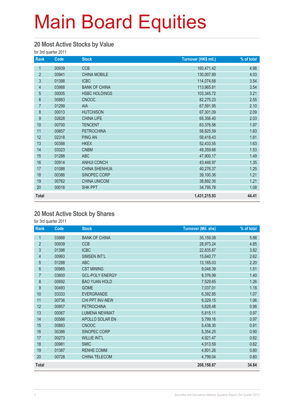#### **20 Most Active Stocks by Value**

for 3rd quarter 2011

| Rank             | Code  | <b>Stock</b>         | Turnover (HK\$ mil.) | % of total |
|------------------|-------|----------------------|----------------------|------------|
| 1                | 00939 | <b>CCB</b>           | 160,471.42           | 4.98       |
| $\overline{2}$   | 00941 | <b>CHINA MOBILE</b>  | 130,007.89           | 4.03       |
| $\mathfrak{S}$   | 01398 | <b>ICBC</b>          | 114,074.68           | 3.54       |
| $\overline{4}$   | 03988 | <b>BANK OF CHINA</b> | 113,965.81           | 3.54       |
| $\overline{5}$   | 00005 | <b>HSBC HOLDINGS</b> | 103,345.72           | 3.21       |
| $6\phantom{a}$   | 00883 | <b>CNOOC</b>         | 82,275.23            | 2.55       |
| $\overline{7}$   | 01299 | AIA                  | 67,591.95            | 2.10       |
| $\bf 8$          | 00013 | <b>HUTCHISON</b>     | 67,301.09            | 2.09       |
| $\boldsymbol{9}$ | 02628 | <b>CHINA LIFE</b>    | 65,356.40            | 2.03       |
| 10               | 00700 | <b>TENCENT</b>       | 63,376.58            | 1.97       |
| 11               | 00857 | <b>PETROCHINA</b>    | 58,825.59            | 1.83       |
| 12               | 02318 | <b>PING AN</b>       | 58,418.43            | 1.81       |
| 13               | 00388 | <b>HKEX</b>          | 52,433.55            | 1.63       |
| 14               | 03323 | <b>CNBM</b>          | 49,359.66            | 1.53       |
| 15               | 01288 | <b>ABC</b>           | 47,900.17            | 1.49       |
| 16               | 00914 | <b>ANHUI CONCH</b>   | 43,446.97            | 1.35       |
| 17               | 01088 | <b>CHINA SHENHUA</b> | 40,276.37            | 1.25       |
| 18               | 00386 | SINOPEC CORP         | 39,100.36            | 1.21       |
| 19               | 00762 | <b>CHINA UNICOM</b>  | 38,892.30            | 1.21       |
| 20               | 00016 | <b>SHK PPT</b>       | 34,795.78            | 1.08       |
| <b>Total</b>     |       |                      | 1,431,215.93         | 44.41      |

#### **20 Most Active Stock by Shares**

| Rank           | Code  | <b>Stock</b>           | <b>Turnover (Mil. shs)</b> | % of total |
|----------------|-------|------------------------|----------------------------|------------|
| 1              | 03988 | <b>BANK OF CHINA</b>   | 35,159.08                  | 5.88       |
| $\overline{2}$ | 00939 | <b>CCB</b>             | 28,973.24                  | 4.85       |
| $\sqrt{3}$     | 01398 | <b>ICBC</b>            | 22,835.87                  | 3.82       |
| 4              | 00993 | <b>SIMSEN INT'L</b>    | 15,640.77                  | 2.62       |
| 5              | 01288 | <b>ABC</b>             | 13,165.03                  | 2.20       |
| 6              | 00985 | <b>CST MINING</b>      | 9,048.39                   | 1.51       |
| $\overline{7}$ | 03800 | <b>GCL-POLY ENERGY</b> | 8,376.99                   | 1.40       |
| 8              | 00692 | <b>BAO YUAN HOLD</b>   | 7,529.65                   | 1.26       |
| 9              | 00493 | <b>GOME</b>            | 7,037.01                   | 1.18       |
| 10             | 03333 | <b>EVERGRANDE</b>      | 6,392.85                   | 1.07       |
| 11             | 00736 | CHI PPT INV-NEW        | 6,329.15                   | 1.06       |
| 12             | 00857 | <b>PETROCHINA</b>      | 5,828.48                   | 0.98       |
| 13             | 00067 | <b>LUMENA NEWMAT</b>   | 5,815.11                   | 0.97       |
| 14             | 00566 | APOLLO SOLAR EN        | 5,799.16                   | 0.97       |
| 15             | 00883 | <b>CNOOC</b>           | 5,438.30                   | 0.91       |
| 16             | 00386 | SINOPEC CORP           | 5,354.25                   | 0.90       |
| 17             | 00273 | <b>WILLIE INT'L</b>    | 4,921.47                   | 0.82       |
| 18             | 00981 | <b>SMIC</b>            | 4,913.59                   | 0.82       |
| 19             | 01387 | <b>RENHE COMM</b>      | 4,801.26                   | 0.80       |
| 20             | 00728 | CHINA TELECOM          | 4,799.04                   | 0.80       |
| <b>Total</b>   |       |                        | 208,158.67                 | 34.84      |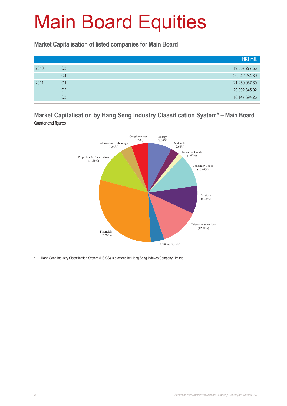**Market Capitalisation of listed companies for Main Board**

|      |    | HK\$ mil.        |
|------|----|------------------|
| 2010 | Q3 | 19,557,277.66    |
|      | Q4 | 20,942,284.39    |
| 2011 | Q1 | 21,259,067.69    |
|      | Q2 | 20,992,345.92    |
|      | Q3 | 16, 147, 694. 26 |

**Market Capitalisation by Hang Seng Industry Classification System\* – Main Board** Quarter-end figures



\* Hang Seng Industry Classification System (HSICS) is provided by Hang Seng Indexes Company Limited.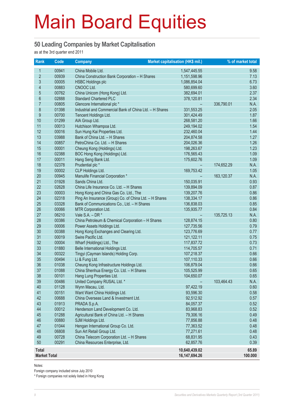#### **50 Leading Companies by Market Capitalisation**

as at the 3rd quarter end 2011

| Rank                | <b>Code</b> | <b>Company</b>                                          | Market capitalisation (HK\$ mil.) |            | % of market total |
|---------------------|-------------|---------------------------------------------------------|-----------------------------------|------------|-------------------|
| $\mathbf{1}$        | 00941       | China Mobile Ltd.                                       | 1,547,445.55                      |            | 9.58              |
| $\overline{2}$      | 00939       | China Construction Bank Corporation - H Shares          | 1,151,598.96                      |            | 7.13              |
| 3                   | 00005       | <b>HSBC Holdings plc</b>                                | 1,086,854.04                      |            | 6.73              |
| 4                   | 00883       | CNOOC Ltd.                                              | 580,699.60                        |            | 3.60              |
| 5                   | 00762       | China Unicom (Hong Kong) Ltd.                           | 382,694.01                        |            | 2.37              |
| $6\phantom{a}$      | 02888       | <b>Standard Chartered PLC</b>                           | 378,120.81                        |            | 2.34              |
| $\overline{7}$      | 00805       | Glencore International plc *                            |                                   | 336,790.01 | N.A.              |
| 8                   | 01398       | Industrial and Commercial Bank of China Ltd. - H Shares | 331,553.25                        |            | 2.05              |
| 9                   | 00700       | Tencent Holdings Ltd.                                   | 301,424.49                        |            | 1.87              |
| 10                  | 01299       | AIA Group Ltd.                                          | 268,581.20                        |            | 1.66              |
| 11                  | 00013       | Hutchison Whampoa Ltd.                                  | 249,194.02                        |            | 1.54              |
| 12                  | 00016       | Sun Hung Kai Properties Ltd.                            | 232,460.04                        |            | 1.44              |
| 13                  | 03988       | Bank of China Ltd. - H Shares                           | 204,874.58                        |            | 1.27              |
| 14                  | 00857       | PetroChina Co. Ltd. - H Shares                          | 204,026.36                        |            | 1.26              |
| 15                  | 00001       | Cheung Kong (Holdings) Ltd.                             | 198,263.67                        |            | 1.23              |
| 16                  | 02388       | BOC Hong Kong (Holdings) Ltd.                           | 176,565.43                        |            | 1.09              |
| 17                  | 00011       | Hang Seng Bank Ltd.                                     | 175,602.76                        |            | 1.09              |
| 18                  | 02378       | Prudential plc *                                        |                                   | 174,652.29 | N.A.              |
| 19                  | 00002       | CLP Holdings Ltd.                                       | 169,753.42                        |            | 1.05              |
| 20                  | 00945       | Manulife Financial Corporation *                        |                                   | 163,120.37 | N.A.              |
| 21                  | 01928       | Sands China Ltd.                                        | 150,035.91                        |            | 0.93              |
| 22                  | 02628       | China Life Insurance Co. Ltd. - H Shares                | 139,894.09                        |            | 0.87              |
| 23                  | 00003       | Hong Kong and China Gas Co. Ltd., The                   | 139,207.76                        |            | 0.86              |
| 24                  | 02318       | Ping An Insurance (Group) Co. of China Ltd. - H Shares  | 138,334.17                        |            | 0.86              |
| 25                  | 03328       | Bank of Communications Co., Ltd. - H Shares             | 136,838.03                        |            | 0.85              |
| 26                  | 00066       | MTR Corporation Ltd.                                    | 135,935.77                        |            | 0.84              |
| 27                  | 06210       | Vale $S.A. - DR *$                                      | $\overline{\phantom{a}}$          | 135,725.13 | N.A.              |
| 28                  | 00386       | China Petroleum & Chemical Corporation - H Shares       | 128,874.15                        |            | 0.80              |
| 29                  | 00006       | Power Assets Holdings Ltd.                              | 127,735.56                        |            | 0.79              |
| 30                  | 00388       | Hong Kong Exchanges and Clearing Ltd.                   | 123,776.69                        |            | 0.77              |
| 31                  | 00019       | Swire Pacific Ltd.                                      | 121,122.11                        |            | 0.75              |
| 32                  | 00004       | Wharf (Holdings) Ltd., The                              | 117,837.72                        |            | 0.73              |
| 33                  | 01880       | Belle International Holdings Ltd.                       | 114,705.57                        |            | 0.71              |
| 34                  | 00322       | Tingyi (Cayman Islands) Holding Corp.                   | 107,218.37                        |            | 0.66              |
| 35                  | 00494       | Li & Fung Ltd.                                          | 107,110.33                        |            | 0.66              |
| 36                  | 01038       | Cheung Kong Infrastructure Holdings Ltd.                | 106,879.04                        |            | 0.66              |
| 37                  | 01088       | China Shenhua Energy Co. Ltd. - H Shares                | 105,525.99                        |            | 0.65              |
| 38                  | 00101       | Hang Lung Properties Ltd.                               | 104,650.07                        |            | 0.65              |
| 39                  | 00486       | United Company RUSAL Ltd. *                             |                                   | 103,464.43 | N.A.              |
| 40                  | 01128       | Wynn Macau, Ltd.                                        | 97,422.19                         |            | 0.60              |
| 41                  | 00151       | Want Want China Holdings Ltd.                           | 93,596.30                         |            | 0.58              |
| 42                  | 00688       | China Overseas Land & Investment Ltd.                   | 92,512.92                         |            | 0.57              |
| 43                  | 01913       | PRADA S.p.A.                                            | 84,057.37                         |            | 0.52              |
| 44                  | 00012       | Henderson Land Development Co. Ltd.                     | 83,968.83                         |            | 0.52              |
| 45                  | 01288       | Agricultural Bank of China Ltd. - H Shares              | 79,306.16                         |            | 0.49              |
| 46                  | 00880       | SJM Holdings Ltd.                                       | 77,856.88                         |            | 0.48              |
| 47                  | 01044       | Hengan International Group Co. Ltd.                     | 77,363.52                         |            | 0.48              |
| 48                  | 06808       | Sun Art Retail Group Ltd.                               | 77,271.61                         |            | 0.48              |
| 49                  | 00728       | China Telecom Corporation Ltd. - H Shares               | 68,831.95                         |            | 0.43              |
| 50                  | 00291       | China Resources Enterprise, Ltd.                        | 62,857.76                         |            | 0.39              |
| <b>Total</b>        |             |                                                         | 10,640,439.02                     |            | 65.89             |
| <b>Market Total</b> |             |                                                         | 16,147,694.26                     |            | 100.000           |

Notes:

Foreign company included since July 2010

\* Foreign companies not solely listed in Hong Kong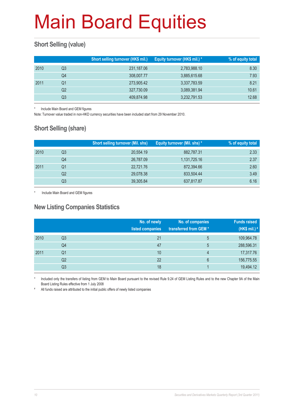### **Short Selling (value)**

|      |    | Short selling turnover (HK\$ mil.) | Equity turnover (HK\$ mil.) * | % of equity total |
|------|----|------------------------------------|-------------------------------|-------------------|
| 2010 | Q3 | 231,187.06                         | 2,783,988.10                  | 8.30              |
|      | Q4 | 308,007.77                         | 3,885,615.68                  | 7.93              |
| 2011 | O1 | 273,905.42                         | 3,337,783.59                  | 8.21              |
|      | Q2 | 327,730.09                         | 3,089,381.94                  | 10.61             |
|      | Q3 | 409,874.98                         | 3,232,791.53                  | 12.68             |

Include Main Board and GEM figures

Note: Turnover value traded in non-HKD currency securities have been included start from 29 November 2010.

### **Short Selling (share)**

|    | <b>Short selling turnover (Mil. shs)</b> | <b>Equity turnover (Mil. shs)*</b> | % of equity total |
|----|------------------------------------------|------------------------------------|-------------------|
| Q3 | 20,554.19                                | 882,787.31                         | 2.33              |
| Q4 | 26,787.09                                | 1,131,725.16                       | 2.37              |
| Q1 | 22,721.76                                | 872,394.66                         | 2.60              |
| Q2 | 29,078.38                                | 833,504.44                         | 3.49              |
| Q3 | 39,305.84                                | 637,817.87                         | 6.16              |
|    |                                          |                                    |                   |

Include Main Board and GEM figures

### **New Listing Companies Statistics**

|      |                | No. of newly<br>listed companies | No. of companies<br>transferred from GEM* | <b>Funds raised</b><br>(HK\$ mil.) # |
|------|----------------|----------------------------------|-------------------------------------------|--------------------------------------|
| 2010 | Q3             | 21                               | 5                                         | 109,964.78                           |
|      | Q4             | 47                               | 5                                         | 288,596.31                           |
| 2011 | Q <sub>1</sub> | 10                               | 4                                         | 17,317.76                            |
|      | Q <sub>2</sub> | 22                               | 6                                         | 156,775.55                           |
|      | Q3             | 18                               |                                           | 19,494.12                            |

Included only the transfers of listing from GEM to Main Board pursuant to the revised Rule 9.24 of GEM Listing Rules and to the new Chapter 9A of the Main Board Listing Rules effective from 1 July 2008

# All funds raised are attributed to the initial public offers of newly listed companies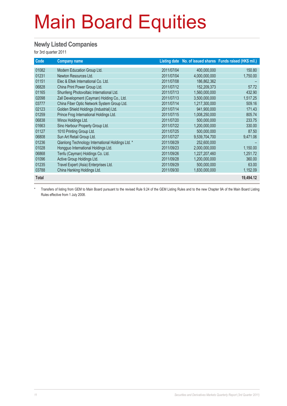#### **Newly Listed Companies**

for 3rd quarter 2011

| Code         | <b>Company name</b>                               |            |               | Listing date No. of issued shares Funds raised (HK\$ mil.) |
|--------------|---------------------------------------------------|------------|---------------|------------------------------------------------------------|
| 01082        | Modern Education Group Ltd.                       | 2011/07/04 | 400,000,000   | 150.80                                                     |
| 01231        | Newton Resources Ltd.                             | 2011/07/04 | 4,000,000,000 | 1,750.00                                                   |
| 01151        | Elec & Eltek International Co. Ltd.               | 2011/07/08 | 186,862,362   |                                                            |
| 06828        | China Print Power Group Ltd.                      | 2011/07/12 | 152,209,373   | 57.72                                                      |
| 01165        | Shunfeng Photovoltaic International Ltd.          | 2011/07/13 | 1,560,000,000 | 432.90                                                     |
| 02098        | Zall Development (Cayman) Holding Co., Ltd.       | 2011/07/13 | 3,500,000,000 | 1,517.25                                                   |
| 03777        | China Fiber Optic Network System Group Ltd.       | 2011/07/14 | 1,217,300,000 | 509.16                                                     |
| 02123        | Golden Shield Holdings (Industrial) Ltd.          | 2011/07/14 | 941.900.000   | 171.43                                                     |
| 01259        | Prince Frog International Holdings Ltd.           | 2011/07/15 | 1,008,250,000 | 805.74                                                     |
| 06838        | Winox Holdings Ltd.                               | 2011/07/20 | 500,000,000   | 233.75                                                     |
| 01663        | Sino Harbour Property Group Ltd.                  | 2011/07/22 | 1,200,000,000 | 330.00                                                     |
| 01127        | 1010 Printing Group Ltd.                          | 2011/07/25 | 500,000,000   | 87.50                                                      |
| 06808        | Sun Art Retail Group Ltd.                         | 2011/07/27 | 9,539,704,700 | 9,471.06                                                   |
| 01236        | Qianlong Technology International Holdings Ltd. * | 2011/08/29 | 252,600,000   |                                                            |
| 01028        | Hongguo International Holdings Ltd.               | 2011/09/23 | 2,000,000,000 | 1,150.00                                                   |
| 06868        | Tenfu (Cayman) Holdings Co. Ltd.                  | 2011/09/26 | 1,227,207,460 | 1,251.72                                                   |
| 01096        | Active Group Holdings Ltd.                        | 2011/09/28 | 1,200,000,000 | 360.00                                                     |
| 01235        | Travel Expert (Asia) Enterprises Ltd.             | 2011/09/29 | 500,000,000   | 63.00                                                      |
| 03788        | China Hanking Holdings Ltd.                       | 2011/09/30 | 1,830,000,000 | 1,152.09                                                   |
| <b>Total</b> |                                                   |            |               | 19,494.12                                                  |

\* Transfers of listing from GEM to Main Board pursuant to the revised Rule 9.24 of the GEM Listing Rules and to the new Chapter 9A of the Main Board Listing Rules effective from 1 July 2008.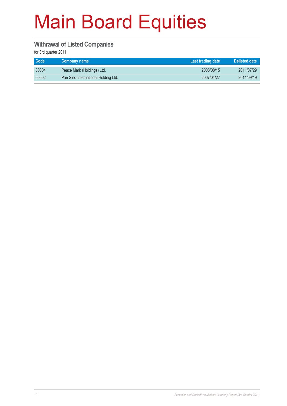#### **Withrawal of Listed Companies**

| <b>Code</b> | ∣ Company name †                    | Last trading date | <b>Delisted date</b> |
|-------------|-------------------------------------|-------------------|----------------------|
| 00304       | Peace Mark (Holdings) Ltd.          | 2008/08/15        | 2011/07/29           |
| 00502       | Pan Sino International Holding Ltd. | 2007/04/27        | 2011/09/19           |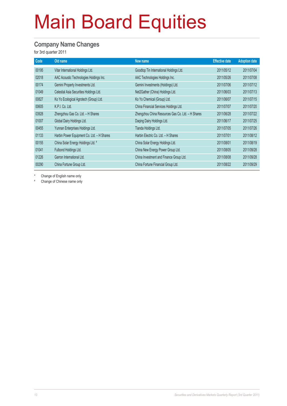#### **Company Name Changes**

for 3rd quarter 2011

| Code  | Old name                                   | New name                                          | <b>Effective date</b> | <b>Adoption date</b> |
|-------|--------------------------------------------|---------------------------------------------------|-----------------------|----------------------|
| 00195 | Vitar International Holdings Ltd.          | Goodtop Tin International Holdings Ltd.           | 2011/05/12            | 2011/07/04           |
| 02018 | AAC Acoustic Technologies Holdings Inc.    | AAC Technologies Holdings Inc.                    | 2011/05/26            | 2011/07/08           |
| 00174 | Gemini Property Investments Ltd.           | Gemini Investments (Holdings) Ltd.                | 2011/07/06            | 2011/07/12           |
| 01049 | Celestial Asia Securities Holdings Ltd.    | Net2Gather (China) Holdings Ltd.                  | 2011/06/03            | 2011/07/13           |
| 00827 | Ko Yo Ecological Agrotech (Group) Ltd.     | Ko Yo Chemical (Group) Ltd.                       | 2011/06/07            | 2011/07/15           |
| 00605 | K.P.I. Co. Ltd.                            | China Financial Services Holdings Ltd.            | 2011/07/07            | 2011/07/20           |
| 03928 | Zhengzhou Gas Co. Ltd. - H Shares          | Zhengzhou China Resources Gas Co. Ltd. - H Shares | 2011/06/28            | 2011/07/22           |
| 01007 | Global Dairy Holdings Ltd.                 | Daqing Dairy Holdings Ltd.                        | 2011/06/17            | 2011/07/25           |
| 00455 | Yunnan Enterprises Holdings Ltd.           | Tianda Holdings Ltd.                              | 2011/07/05            | 2011/07/26           |
| 01133 | Harbin Power Equipment Co. Ltd. - H Shares | Harbin Electric Co. Ltd. - H Shares               | 2011/07/01            | 2011/08/12           |
| 00155 | China Solar Energy Holdings Ltd. #         | China Solar Energy Holdings Ltd.                  | 2011/08/01            | 2011/08/19           |
| 01041 | Fulbond Holdings Ltd.                      | China New Energy Power Group Ltd.                 | 2011/08/05            | 2011/09/28           |
| 01226 | Garron International Ltd.                  | China Investment and Finance Group Ltd.           | 2011/08/08            | 2011/09/28           |
| 00290 | China Fortune Group Ltd.                   | China Fortune Financial Group Ltd.                | 2011/08/22            | 2011/09/29           |

Change of English name only

# Change of Chinese name only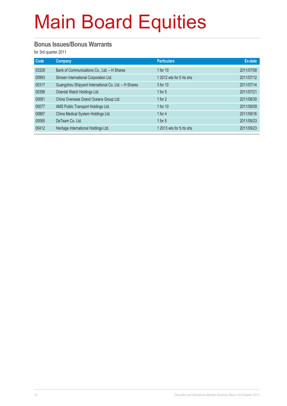#### **Bonus Issues/Bonus Warrants**

| Code  | Company                                              | <b>Particulars</b>       | Ex-date    |
|-------|------------------------------------------------------|--------------------------|------------|
| 03328 | Bank of Communications Co., Ltd. - H Shares          | 1 for 10                 | 2011/07/08 |
| 00993 | Simsen International Corporation Ltd.                | 1 2012 wts for 5 rts shs | 2011/07/12 |
| 00317 | Guangzhou Shipyard International Co. Ltd. - H Shares | 3 for 10                 | 2011/07/14 |
| 00398 | Oriental Watch Holdings Ltd.                         | 1 for $5$                | 2011/07/21 |
| 00081 | China Overseas Grand Oceans Group Ltd.               | 1 for $2$                | 2011/08/30 |
| 00077 | AMS Public Transport Holdings Ltd.                   | 1 for 10                 | 2011/09/09 |
| 00867 | China Medical System Holdings Ltd.                   | 1 for $4$                | 2011/09/16 |
| 00065 | DeTeam Co. Ltd.                                      | 1 for $5$                | 2011/09/23 |
| 00412 | Heritage International Holdings Ltd.                 | 1 2013 wts for 5 rts shs | 2011/09/23 |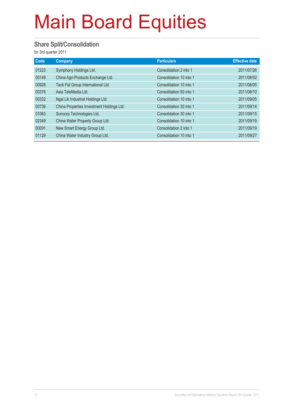#### **Share Split/Consolidation**

| Code  | Company                                   | <b>Particulars</b>      | <b>Effective date</b> |
|-------|-------------------------------------------|-------------------------|-----------------------|
| 01223 | Symphony Holdings Ltd.                    | Consolidation 2 into 1  | 2011/07/26            |
| 00149 | China Agri-Products Exchange Ltd.         | Consolidation 10 into 1 | 2011/08/02            |
| 00928 | Tack Fat Group International Ltd.         | Consolidation 10 into 1 | 2011/08/05            |
| 00376 | Asia TeleMedia Ltd.                       | Consolidation 50 into 1 | 2011/08/10            |
| 00332 | Ngai Lik Industrial Holdings Ltd.         | Consolidation 10 into 1 | 2011/09/05            |
| 00736 | China Properties Investment Holdings Ltd. | Consolidation 30 into 1 | 2011/09/14            |
| 01063 | Suncorp Technologies Ltd.                 | Consolidation 30 into 1 | 2011/09/15            |
| 02349 | China Water Property Group Ltd.           | Consolidation 10 into 1 | 2011/09/19            |
| 00091 | New Smart Energy Group Ltd.               | Consolidation 2 into 1  | 2011/09/19            |
| 01129 | China Water Industry Group Ltd.           | Consolidation 10 into 1 | 2011/09/27            |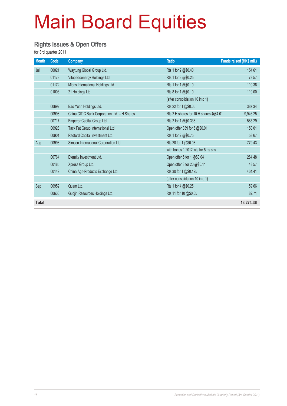#### **Rights Issues & Open Offers**

| <b>Month</b> | Code  | <b>Company</b>                               | <b>Ratio</b>                           | Funds raised (HK\$ mil.) |
|--------------|-------|----------------------------------------------|----------------------------------------|--------------------------|
| Jul          | 00021 | Waytung Global Group Ltd.                    | Rts 1 for 2 @\$0.40                    | 154.61                   |
|              | 01178 | Vitop Bioenergy Holdings Ltd.                | Rts 1 for 3 @\$0.25                    | 73.57                    |
|              | 01172 | Midas International Holdings Ltd.            | Rts 1 for 1 @\$0.10                    | 110.36                   |
|              | 01003 | 21 Holdings Ltd.                             | Rts 8 for 1 @\$0.10                    | 119.00                   |
|              |       |                                              | (after consolidation 10 into 1)        |                          |
|              | 00692 | Bao Yuan Holdings Ltd.                       | Rts 22 for 1 @\$0.05                   | 387.34                   |
|              | 00998 | China CITIC Bank Corporation Ltd. - H Shares | Rts 2 H shares for 10 H shares @\$4.01 | 9,946.25                 |
|              | 00717 | Emperor Capital Group Ltd.                   | Rts 2 for 1 @\$0.338                   | 585.29                   |
|              | 00928 | Tack Fat Group International Ltd.            | Open offer 339 for 5 @\$0.01           | 150.01                   |
|              | 00901 | Radford Capital Investment Ltd.              | Rts 1 for 2 @\$0.75                    | 53.67                    |
| Aug          | 00993 | Simsen International Corporation Ltd.        | Rts 20 for 1 @\$0.03                   | 779.43                   |
|              |       |                                              | with bonus 1 2012 wts for 5 rts shs    |                          |
|              | 00764 | Eternity Investment Ltd.                     | Open offer 5 for 1 @\$0.04             | 264.48                   |
|              | 00185 | Xpress Group Ltd.                            | Open offer 3 for 20 @\$0.11            | 43.57                    |
|              | 00149 | China Agri-Products Exchange Ltd.            | Rts 30 for 1 @\$0.195                  | 464.41                   |
|              |       |                                              | (after consolidation 10 into 1)        |                          |
| Sep          | 00952 | Quam Ltd.                                    | Rts 1 for 4 @\$0.25                    | 59.66                    |
|              | 00630 | Guojin Resources Holdings Ltd.               | Rts 11 for 10 @\$0.05                  | 82.71                    |
| <b>Total</b> |       |                                              |                                        | 13,274.36                |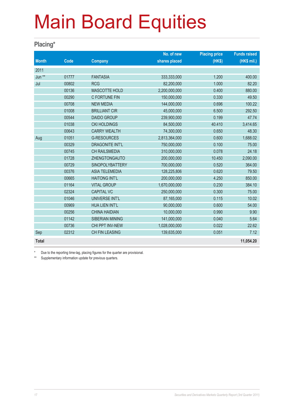#### **Placing\***

|              |             |                        | No. of new    | <b>Placing price</b> | <b>Funds raised</b> |
|--------------|-------------|------------------------|---------------|----------------------|---------------------|
| <b>Month</b> | <b>Code</b> | <b>Company</b>         | shares placed | (HK\$)               | (HK\$ mil.)         |
| 2011         |             |                        |               |                      |                     |
| Jun **       | 01777       | <b>FANTASIA</b>        | 333,333,000   | 1.200                | 400.00              |
| Jul          | 00802       | <b>RCG</b>             | 82,200,000    | 1.000                | 82.20               |
|              | 00136       | <b>MASCOTTE HOLD</b>   | 2,200,000,000 | 0.400                | 880.00              |
|              | 00290       | C FORTUNE FIN          | 150,000,000   | 0.330                | 49.50               |
|              | 00708       | <b>NEW MEDIA</b>       | 144,000,000   | 0.696                | 100.22              |
|              | 01008       | <b>BRILLIANT CIR</b>   | 45,000,000    | 6.500                | 292.50              |
|              | 00544       | <b>DAIDO GROUP</b>     | 239,900,000   | 0.199                | 47.74               |
|              | 01038       | <b>CKI HOLDINGS</b>    | 84,500,000    | 40.410               | 3,414.65            |
|              | 00643       | <b>CARRY WEALTH</b>    | 74,300,000    | 0.650                | 48.30               |
| Aug          | 01051       | <b>G-RESOURCES</b>     | 2,813,364,000 | 0.600                | 1,688.02            |
|              | 00329       | <b>DRAGONITE INT'L</b> | 750,000,000   | 0.100                | 75.00               |
|              | 00745       | <b>CH RAILSMEDIA</b>   | 310,000,000   | 0.078                | 24.18               |
|              | 01728       | ZHENGTONGAUTO          | 200,000,000   | 10.450               | 2,090.00            |
|              | 00729       | <b>SINOPOLYBATTERY</b> | 700,000,000   | 0.520                | 364.00              |
|              | 00376       | <b>ASIA TELEMEDIA</b>  | 128,225,806   | 0.620                | 79.50               |
|              | 00665       | <b>HAITONG INT'L</b>   | 200,000,000   | 4.250                | 850.00              |
|              | 01164       | <b>VITAL GROUP</b>     | 1,670,000,000 | 0.230                | 384.10              |
|              | 02324       | <b>CAPITAL VC</b>      | 250,000,000   | 0.300                | 75.00               |
|              | 01046       | UNIVERSE INT'L         | 87,165,000    | 0.115                | 10.02               |
|              | 00969       | HUA LIEN INT'L         | 90,000,000    | 0.600                | 54.00               |
|              | 00256       | <b>CHINA HAIDIAN</b>   | 10,000,000    | 0.990                | 9.90                |
|              | 01142       | SIBERIAN MINING        | 141,000,000   | 0.040                | 5.64                |
|              | 00736       | CHI PPT INV-NEW        | 1,028,000,000 | 0.022                | 22.62               |
| Sep          | 02312       | CH FIN LEASING         | 139,635,000   | 0.051                | 7.12                |
| <b>Total</b> |             |                        |               |                      | 11,054.20           |

Due to the reporting time-lag, placing figures for the quarter are provisional.

\*\* Supplementary information update for previous quarters.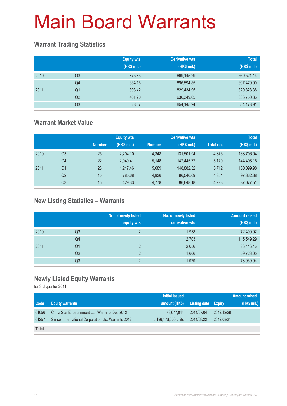### **Warrant Trading Statistics**

|      |                | <b>Equity wts</b><br>(HK\$ mil.) | <b>Derivative wts</b><br>(HK\$ mil.) | <b>Total</b><br>(HK\$ mil.) |
|------|----------------|----------------------------------|--------------------------------------|-----------------------------|
| 2010 | Q <sub>3</sub> | 375.85                           | 669,145.29                           | 669,521.14                  |
|      | Q4             | 884.16                           | 896,594.85                           | 897,479.00                  |
| 2011 | Q <sub>1</sub> | 393.42                           | 829,434.95                           | 829,828.38                  |
|      | Q <sub>2</sub> | 401.20                           | 636,349.65                           | 636,750.86                  |
|      | Q <sub>3</sub> | 28.67                            | 654, 145.24                          | 654,173.91                  |

### **Warrant Market Value**

|      |                |               | <b>Equity wts</b> |               | <b>Derivative wts</b> |           | <b>Total</b> |
|------|----------------|---------------|-------------------|---------------|-----------------------|-----------|--------------|
|      |                | <b>Number</b> | (HK\$ mil.)       | <b>Number</b> | (HK\$ mil.)           | Total no. | (HK\$ mil.)  |
| 2010 | Q3             | 25            | 2.204.10          | 4.348         | 131.501.94            | 4.373     | 133,706.04   |
|      | Q4             | 22            | 2,049.41          | 5.148         | 142.445.77            | 5.170     | 144,495.18   |
| 2011 | Q1             | 23            | 1.217.46          | 5.689         | 148,882.52            | 5,712     | 150,099.98   |
|      | Q <sub>2</sub> | 15            | 785.68            | 4,836         | 96,546.69             | 4.851     | 97,332.38    |
|      | Q3             | 15            | 429.33            | 4.778         | 86,648.18             | 4,793     | 87,077.51    |

### **New Listing Statistics – Warrants**

|      |    | No. of newly listed<br>equity wts | No. of newly listed<br>derivative wts | <b>Amount raised</b><br>(HK\$ mil.) |
|------|----|-----------------------------------|---------------------------------------|-------------------------------------|
| 2010 | Q3 | 2                                 | 1,938                                 | 72,490.02                           |
|      | Q4 |                                   | 2,703                                 | 115,549.29                          |
| 2011 | Q1 | 2                                 | 2,056                                 | 86,446.46                           |
|      | Q2 | っ                                 | 1,606                                 | 59,723.05                           |
|      | Q3 | c                                 | 1,979                                 | 73,939.94                           |

### **Newly Listed Equity Warrants**

|              |                                                     | Initial issued      |                     |            | Amount raised <b>i</b> |
|--------------|-----------------------------------------------------|---------------------|---------------------|------------|------------------------|
| Code         | <b>Equity warrants</b>                              | amount (HK\$)       | Listing date Expiry |            | (HK\$ mil.)            |
| 01056        | China Star Entertainment Ltd. Warrants Dec 2012     | 73.677.044          | 2011/07/04          | 2012/12/28 |                        |
| 01257        | Simsen International Corporation Ltd. Warrants 2012 | 5,196,176,000 units | 2011/08/22          | 2012/08/21 |                        |
| <b>Total</b> |                                                     |                     |                     |            |                        |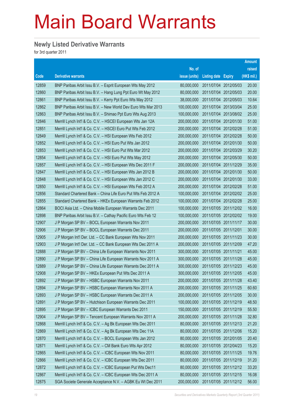#### **Newly Listed Derivative Warrants**

|       |                                                               |               |                       |                       | Amount      |
|-------|---------------------------------------------------------------|---------------|-----------------------|-----------------------|-------------|
|       |                                                               | No. of        |                       |                       | raised      |
| Code  | <b>Derivative warrants</b>                                    | issue (units) | Listing date Expiry   |                       | (HK\$ mil.) |
| 12859 | BNP Paribas Arbit Issu B.V. - Esprit European Wts May 2012    | 80,000,000    | 2011/07/04 2012/05/03 |                       | 20.00       |
| 12860 | BNP Paribas Arbit Issu B.V. - Hang Lung Ppt Euro Wt May 2012  | 80,000,000    | 2011/07/04 2012/05/03 |                       | 20.00       |
| 12861 | BNP Paribas Arbit Issu B.V. - Kerry Ppt Euro Wts May 2012     | 38,000,000    | 2011/07/04 2012/05/03 |                       | 10.64       |
| 12862 | BNP Paribas Arbit Issu B.V. - New World Dev Euro Wts Mar 2013 | 100,000,000   | 2011/07/04 2013/03/04 |                       | 25.00       |
| 12863 | BNP Paribas Arbit Issu B.V. - Shimao Ppt Euro Wts Aug 2013    | 100,000,000   | 2011/07/04 2013/08/02 |                       | 25.00       |
| 12846 | Merrill Lynch Int'l & Co. C.V. - HSCEI European Wts Jan 12A   | 200,000,000   | 2011/07/04 2012/01/30 |                       | 51.00       |
| 12851 | Merrill Lynch Int'l & Co. C.V. - HSCEI Euro Put Wts Feb 2012  | 200,000,000   | 2011/07/04 2012/02/28 |                       | 51.00       |
| 12849 | Merrill Lynch Int'l & Co. C.V. - HSI European Wts Feb 2012    | 200,000,000   | 2011/07/04 2012/02/28 |                       | 50.00       |
| 12852 | Merrill Lynch Int'l & Co. C.V. - HSI Euro Put Wts Jan 2012    | 200,000,000   | 2011/07/04 2012/01/30 |                       | 50.00       |
| 12853 | Merrill Lynch Int'l & Co. C.V. - HSI Euro Put Wts Mar 2012    | 200,000,000   | 2011/07/04 2012/03/29 |                       | 30.20       |
| 12854 | Merrill Lynch Int'l & Co. C.V. - HSI Euro Put Wts May 2012    | 200,000,000   | 2011/07/04 2012/05/30 |                       | 50.00       |
| 12857 | Merrill Lynch Int'l & Co. C.V. - HSI European Wts Dec 2011 F  | 200,000,000   | 2011/07/04 2011/12/29 |                       | 35.00       |
| 12847 | Merrill Lynch Int'l & Co. C.V. - HSI European Wts Jan 2012 B  | 200,000,000   | 2011/07/04 2012/01/30 |                       | 50.00       |
| 12848 | Merrill Lynch Int'l & Co. C.V. - HSI European Wts Jan 2012 C  | 200,000,000   | 2011/07/04 2012/01/30 |                       | 33.00       |
| 12850 | Merrill Lynch Int'l & Co. C.V. - HSI European Wts Feb 2012 A  | 200,000,000   | 2011/07/04 2012/02/28 |                       | 51.00       |
| 12856 | Standard Chartered Bank - China Life Euro Put Wts Feb 2012 A  | 100,000,000   | 2011/07/04 2012/02/02 |                       | 25.00       |
| 12855 | Standard Chartered Bank - HKEx European Warrants Feb 2012     | 100,000,000   | 2011/07/04 2012/02/28 |                       | 25.00       |
| 12864 | BOCI Asia Ltd. - China Mobile European Warrants Dec 2011      | 100,000,000   | 2011/07/05 2011/12/02 |                       | 16.00       |
| 12898 | BNP Paribas Arbit Issu B.V. - Cathay Pacific Euro Wts Feb 12  | 100,000,000   | 2011/07/05 2012/02/02 |                       | 19.00       |
| 12907 | J P Morgan SP BV - BOCL European Warrants Nov 2011            | 200,000,000   | 2011/07/05 2011/11/17 |                       | 30.00       |
| 12906 | J P Morgan SP BV - BOCL European Warrants Dec 2011            | 200,000,000   | 2011/07/05 2011/12/01 |                       | 30.00       |
| 12905 | J P Morgan Int'l Der. Ltd. - CC Bank European Wts Nov 2011    | 200,000,000   | 2011/07/05 2011/11/23 |                       | 30.00       |
| 12903 | J P Morgan Int'l Der. Ltd. - CC Bank European Wts Dec 2011 A  | 200,000,000   | 2011/07/05 2011/12/09 |                       | 47.20       |
| 12888 | J P Morgan SP BV - China Life European Warrants Nov 2011      | 300,000,000   | 2011/07/05 2011/11/21 |                       | 45.00       |
| 12890 | J P Morgan SP BV - China Life European Warrants Nov 2011 A    | 300,000,000   | 2011/07/05 2011/11/28 |                       | 45.00       |
| 12889 | J P Morgan SP BV - China Life European Warrants Dec 2011 A    | 300,000,000   | 2011/07/05 2011/12/23 |                       | 45.00       |
| 12908 | J P Morgan SP BV - HKEx European Put Wts Dec 2011 A           | 300,000,000   |                       | 2011/07/05 2011/12/05 | 45.00       |
| 12892 | J P Morgan SP BV - HSBC European Warrants Nov 2011            | 200,000,000   | 2011/07/05 2011/11/28 |                       | 43.40       |
| 12894 | J P Morgan SP BV - HSBC European Warrants Nov 2011 A          | 200,000,000   | 2011/07/05 2011/11/25 |                       | 60.60       |
| 12893 | J P Morgan SP BV - HSBC European Warrants Dec 2011 A          | 200,000,000   | 2011/07/05 2011/12/05 |                       | 30.00       |
| 12891 | J P Morgan SP BV - Hutchison European Warrants Dec 2011       | 100,000,000   | 2011/07/05 2011/12/19 |                       | 48.50       |
| 12895 | J P Morgan SP BV - ICBC European Warrants Dec 2011            | 150,000,000   | 2011/07/05 2011/12/19 |                       | 55.50       |
| 12904 | J P Morgan SP BV - Tencent European Warrants Nov 2011 A       | 200,000,000   | 2011/07/05 2011/11/28 |                       | 32.80       |
| 12868 | Merrill Lynch Int'l & Co. C.V. - Ag Bk European Wts Dec 2011  | 80,000,000    | 2011/07/05 2011/12/13 |                       | 21.20       |
| 12869 | Merrill Lynch Int'l & Co. C.V. - Ag Bk European Wts Dec 11A   | 80,000,000    | 2011/07/05 2011/12/06 |                       | 15.20       |
| 12870 | Merrill Lynch Int'l & Co. C.V. - BOCL European Wts Jan 2012   | 80,000,000    | 2011/07/05 2012/01/05 |                       | 20.40       |
| 12871 | Merrill Lynch Int'l & Co. C.V. - CM Bank Euro Wts Apr 2012    | 80,000,000    | 2011/07/05 2012/04/23 |                       | 15.20       |
| 12865 | Merrill Lynch Int'l & Co. C.V. - ICBC European Wts Nov 2011   | 80,000,000    | 2011/07/05 2011/11/25 |                       | 19.76       |
| 12866 | Merrill Lynch Int'l & Co. C.V. - ICBC European Wts Dec 2011   | 80,000,000    | 2011/07/05 2011/12/19 |                       | 31.20       |
| 12872 | Merrill Lynch Int'l & Co. C.V. - ICBC European Put Wts Dec11  | 80,000,000    | 2011/07/05 2011/12/12 |                       | 33.20       |
| 12867 | Merrill Lynch Int'l & Co. C.V. - ICBC European Wts Dec 2011 A | 80,000,000    | 2011/07/05 2011/12/15 |                       | 16.08       |
| 12875 | SGA Societe Generale Acceptance N.V. - AGBK Eu Wt Dec 2011    | 200,000,000   | 2011/07/05 2011/12/12 |                       | 56.00       |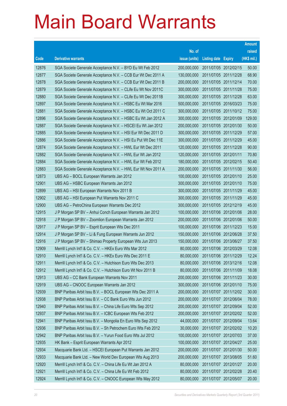|       |                                                               |               |                            |                       | <b>Amount</b> |
|-------|---------------------------------------------------------------|---------------|----------------------------|-----------------------|---------------|
|       |                                                               | No. of        |                            |                       | raised        |
| Code  | <b>Derivative warrants</b>                                    | issue (units) | <b>Listing date Expiry</b> |                       | (HK\$ mil.)   |
| 12876 | SGA Societe Generale Acceptance N.V. - BYD Eu Wt Feb 2012     | 200,000,000   |                            | 2011/07/05 2012/02/15 | 50.00         |
| 12877 | SGA Societe Generale Acceptance N.V. - CCB Eur Wt Dec 2011 A  | 130,000,000   | 2011/07/05 2011/12/28      |                       | 68.90         |
| 12878 | SGA Societe Generale Acceptance N.V. - CCB Eur Wt Dec 2011 B  | 200,000,000   | 2011/07/05 2011/12/14      |                       | 70.00         |
| 12879 | SGA Societe Generale Acceptance N.V. - CLife Eu Wt Nov 2011C  | 300,000,000   |                            | 2011/07/05 2011/11/28 | 75.00         |
| 12880 | SGA Societe Generale Acceptance N.V. - CLife Eu Wt Dec 2011B  | 300,000,000   | 2011/07/05 2011/12/28      |                       | 63.00         |
| 12897 | SGA Societe Generale Acceptance N.V. - HSBC Eu Wt Mar 2016    | 500,000,000   |                            | 2011/07/05 2016/03/23 | 75.00         |
| 12881 | SGA Societe Generale Acceptance N.V. - HSBC Eu Wt Oct 2011 C  | 300,000,000   |                            | 2011/07/05 2011/10/12 | 75.00         |
| 12896 | SGA Societe Generale Acceptance N.V. - HSBC Eu Wt Jan 2012 A  | 300,000,000   |                            | 2011/07/05 2012/01/09 | 129.00        |
| 12887 | SGA Societe Generale Acceptance N.V. - HSCEI Eu Wt Jan 2012   | 200,000,000   |                            | 2011/07/05 2012/01/30 | 50.00         |
| 12885 | SGA Societe Generale Acceptance N.V. - HSI Eur Wt Dec 2011 D  | 300,000,000   |                            | 2011/07/05 2011/12/29 | 57.00         |
| 12886 | SGA Societe Generale Acceptance N.V. - HSI Eu Put Wt Dec 11E  | 300,000,000   | 2011/07/05 2011/12/29      |                       | 45.00         |
| 12874 | SGA Societe Generale Acceptance N.V. - HWL Eur Wt Dec 2011    | 120,000,000   |                            | 2011/07/05 2011/12/28 | 90.00         |
| 12882 | SGA Societe Generale Acceptance N.V. - HWL Eur Wt Jan 2012    | 120,000,000   | 2011/07/05 2012/01/11      |                       | 70.80         |
| 12884 | SGA Societe Generale Acceptance N.V. - HWL Eur Wt Feb 2012    | 180,000,000   |                            | 2011/07/05 2012/02/15 | 50.40         |
| 12883 | SGA Societe Generale Acceptance N.V. - HWL Eur Wt Nov 2011 A  | 200,000,000   |                            | 2011/07/05 2011/11/30 | 56.00         |
| 12873 | UBS AG - BOCL European Warrants Jan 2012                      | 100,000,000   |                            | 2011/07/05 2012/01/10 | 25.00         |
| 12901 | UBS AG - HSBC European Warrants Jan 2012                      | 300,000,000   |                            | 2011/07/05 2012/01/10 | 75.00         |
| 12899 | UBS AG - HSI European Warrants Nov 2011 B                     | 300,000,000   |                            | 2011/07/05 2011/11/29 | 45.00         |
| 12902 | UBS AG - HSI European Put Warrants Nov 2011 C                 | 300,000,000   | 2011/07/05 2011/11/29      |                       | 45.00         |
| 12900 | UBS AG - PetroChina European Warrants Dec 2012                | 300,000,000   | 2011/07/05 2012/12/19      |                       | 45.00         |
| 12915 | J P Morgan SP BV - Anhui Conch European Warrants Jan 2012     | 100,000,000   |                            | 2011/07/06 2012/01/06 | 28.00         |
| 12918 | J P Morgan SP BV - Zoomlion European Warrants Jan 2012        | 200,000,000   |                            | 2011/07/06 2012/01/06 | 50.00         |
| 12917 | J P Morgan SP BV - Esprit European Wts Dec 2011               | 100,000,000   | 2011/07/06 2011/12/23      |                       | 15.00         |
| 12914 | J P Morgan SP BV - Li & Fung European Warrants Jun 2012       | 150,000,000   |                            | 2011/07/06 2012/06/28 | 37.50         |
| 12916 | J P Morgan SP BV - Shimao Property European Wts Jun 2013      | 150,000,000   |                            | 2011/07/06 2013/06/27 | 37.50         |
| 12909 | Merrill Lynch Int'l & Co. C.V. - HKEx Euro Wts Mar 2012       | 80,000,000    | 2011/07/06 2012/03/29      |                       | 12.08         |
| 12910 | Merrill Lynch Int'l & Co. C.V. - HKEx Euro Wts Dec 2011 E     | 80,000,000    | 2011/07/06 2011/12/29      |                       | 12.24         |
| 12911 | Merrill Lynch Int'l & Co. C.V. - Hutchison Euro Wts Dec 2013  | 80,000,000    | 2011/07/06 2013/12/16      |                       | 12.08         |
| 12912 | Merrill Lynch Int'l & Co. C.V. - Hutchison Euro Wt Nov 2011 B | 80,000,000    | 2011/07/06 2011/11/09      |                       | 18.08         |
| 12913 | UBS AG - CC Bank European Warrants Nov 2011                   | 200,000,000   | 2011/07/06 2011/11/23      |                       | 30.00         |
| 12919 | UBS AG - CNOOC European Warrants Jan 2012                     | 300,000,000   | 2011/07/06 2012/01/10      |                       | 75.00         |
| 12939 | BNP Paribas Arbit Issu B.V. - BOCL European Wts Dec 2011 A    | 200,000,000   |                            | 2011/07/07 2011/12/02 | 30.00         |
| 12938 | BNP Paribas Arbit Issu B.V. - CC Bank Euro Wts Jun 2012       | 200,000,000   | 2011/07/07 2012/06/04      |                       | 78.00         |
| 12940 | BNP Paribas Arbit Issu B.V. - China Life Euro Wts Sep 2012    | 200,000,000   | 2011/07/07 2012/09/04      |                       | 52.00         |
| 12937 | BNP Paribas Arbit Issu B.V. - ICBC European Wts Feb 2012      | 200,000,000   |                            | 2011/07/07 2012/02/02 | 52.00         |
| 12941 | BNP Paribas Arbit Issu B.V. - Mongolia En Euro Wts Sep 2012   | 44,000,000    |                            | 2011/07/07 2012/09/04 | 13.64         |
| 12936 | BNP Paribas Arbit Issu B.V. - Sh Petrochem Euro Wts Feb 2012  | 30,000,000    | 2011/07/07 2012/02/02      |                       | 10.20         |
| 12942 | BNP Paribas Arbit Issu B.V. - Yurun Food Euro Wts Jul 2012    | 100,000,000   | 2011/07/07 2012/07/03      |                       | 37.00         |
| 12935 | HK Bank - Esprit European Warrants Apr 2012                   | 100,000,000   | 2011/07/07 2012/04/27      |                       | 25.00         |
| 12934 | Macquarie Bank Ltd. - HSCEI European Put Warrants Jan 2012    | 200,000,000   |                            | 2011/07/07 2012/01/30 | 50.00         |
| 12933 | Macquarie Bank Ltd. - New World Dev European Wts Aug 2013     | 200,000,000   | 2011/07/07 2013/08/05      |                       | 51.60         |
| 12920 | Merrill Lynch Int'l & Co. C.V. - China Life Eu Wt Jan 2012 A  | 80,000,000    | 2011/07/07 2012/01/27      |                       | 20.00         |
| 12921 | Merrill Lynch Int'l & Co. C.V. - China Life Eu Wt Feb 2012    | 80,000,000    | 2011/07/07 2012/02/28      |                       | 20.40         |
| 12924 | Merrill Lynch Int'l & Co. C.V. - CNOOC European Wts May 2012  | 80,000,000    | 2011/07/07 2012/05/07      |                       | 20.00         |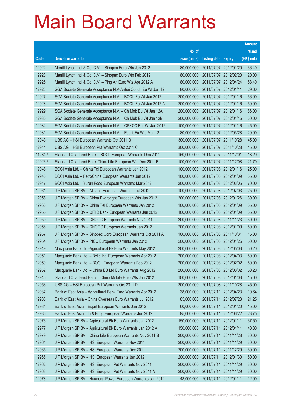|         |                                                              |               |                            |            | <b>Amount</b> |
|---------|--------------------------------------------------------------|---------------|----------------------------|------------|---------------|
|         |                                                              | No. of        |                            |            | raised        |
| Code    | <b>Derivative warrants</b>                                   | issue (units) | <b>Listing date Expiry</b> |            | (HK\$ mil.)   |
| 12922   | Merrill Lynch Int'l & Co. C.V. - Sinopec Euro Wts Jan 2012   | 80,000,000    | 2011/07/07 2012/01/20      |            | 36.40         |
| 12923   | Merrill Lynch Int'l & Co. C.V. - Sinopec Euro Wts Feb 2012   | 80,000,000    | 2011/07/07 2012/02/20      |            | 20.00         |
| 12925   | Merrill Lynch Int'l & Co. C.V. – Ping An Euro Wts Apr 2012 A | 80,000,000    | 2011/07/07 2012/04/24      |            | 58.40         |
| 12926   | SGA Societe Generale Acceptance N.V-Anhui Conch Eu Wt Jan 12 | 80,000,000    | 2011/07/07 2012/01/11      |            | 29.60         |
| 12927   | SGA Societe Generale Acceptance N.V. - BOCL Eu Wt Jan 2012   | 200,000,000   | 2011/07/07 2012/01/16      |            | 56.00         |
| 12928   | SGA Societe Generale Acceptance N.V. - BOCL Eu Wt Jan 2012 A | 200,000,000   | 2011/07/07 2012/01/16      |            | 50.00         |
| 12929   | SGA Societe Generale Acceptance N.V. - Ch Mob Eu Wt Jan 12A  | 200,000,000   | 2011/07/07 2012/01/16      |            | 86.00         |
| 12930   | SGA Societe Generale Acceptance N.V. - Ch Mob Eu Wt Jan 12B  | 200,000,000   | 2011/07/07 2012/01/16      |            | 60.00         |
| 12932   | SGA Societe Generale Acceptance N.V. - CP&CC Eur Wt Jan 2012 | 100,000,000   | 2011/07/07 2012/01/16      |            | 45.00         |
| 12931   | SGA Societe Generale Acceptance N.V. - Esprit Eu Wts Mar 12  | 80,000,000    | 2011/07/07 2012/03/28      |            | 20.00         |
| 12943   | UBS AG - HSI European Warrants Oct 2011 B                    | 300,000,000   | 2011/07/07 2011/10/28      |            | 45.00         |
| 12944   | UBS AG - HSI European Put Warrants Oct 2011 C                | 300,000,000   | 2011/07/07 2011/10/28      |            | 45.00         |
| 11284 # | Standard Chartered Bank - BOCL European Warrants Dec 2011    | 150,000,000   | 2011/07/07 2011/12/01      |            | 13.20         |
| 29926 # | Standard Chartered Bank-China Life European Wts Dec 2011 B   | 100,000,000   | 2011/07/07 2011/12/08      |            | 21.70         |
| 12948   | BOCI Asia Ltd. - China Tel European Warrants Jan 2012        | 100,000,000   | 2011/07/08 2012/01/16      |            | 25.00         |
| 12946   | BOCI Asia Ltd. - PetroChina European Warrants Jan 2012       | 100,000,000   | 2011/07/08 2012/01/09      |            | 35.00         |
| 12947   | BOCI Asia Ltd. - Yurun Food European Warrants Mar 2012       | 200,000,000   | 2011/07/08 2012/03/05      |            | 70.00         |
| 12961   | J P Morgan SP BV - Alibaba European Warrants Jul 2012        | 100,000,000   | 2011/07/08 2012/07/03      |            | 25.00         |
| 12958   | J P Morgan SP BV - China Everbright European Wts Jan 2012    | 200,000,000   | 2011/07/08 2012/01/26      |            | 30.00         |
| 12960   | J P Morgan SP BV - China Tel European Warrants Jan 2012      | 100,000,000   | 2011/07/08 2012/01/09      |            | 35.00         |
| 12955   | J P Morgan SP BV - CITIC Bank European Warrants Jan 2012     | 100,000,000   | 2011/07/08 2012/01/09      |            | 35.00         |
| 12959   | J P Morgan SP BV - CNOOC European Warrants Nov 2011          | 200,000,000   | 2011/07/08 2011/11/23      |            | 30.00         |
| 12956   | J P Morgan SP BV - CNOOC European Warrants Jan 2012          | 200,000,000   | 2011/07/08 2012/01/09      |            | 50.00         |
| 12957   | J P Morgan SP BV - Sinopec Corp European Warrants Oct 2011 A | 100,000,000   | 2011/07/08 2011/10/31      |            | 15.00         |
| 12954   | J P Morgan SP BV - PICC European Warrants Jan 2012           | 200,000,000   | 2011/07/08 2012/01/26      |            | 50.00         |
| 12949   | Macquarie Bank Ltd.-Agricultural Bk Euro Warrants May 2012   | 200,000,000   | 2011/07/08 2012/05/03      |            | 50.20         |
| 12951   | Macquarie Bank Ltd. - Belle Int'l European Warrants Apr 2012 | 200,000,000   | 2011/07/08 2012/04/03      |            | 50.00         |
| 12950   | Macquarie Bank Ltd. - BOCL European Warrants Feb 2012        | 200,000,000   | 2011/07/08 2012/02/02      |            | 50.00         |
| 12952   | Macquarie Bank Ltd. - China EB Ltd Euro Warrants Aug 2012    | 200,000,000   | 2011/07/08 2012/08/02      |            | 50.20         |
| 12945   | Standard Chartered Bank – China Mobile Euro Wts Jan 2012     | 100,000,000   | 2011/07/08 2012/01/03      |            | 15.00         |
| 12953   | UBS AG - HSI European Put Warrants Oct 2011 D                | 300,000,000   | 2011/07/08 2011/10/28      |            | 45.00         |
| 12987   | Bank of East Asia - Agricultural Bank Euro Warrants Apr 2012 | 38,000,000    | 2011/07/11 2012/04/23      |            | 10.64         |
| 12986   | Bank of East Asia - China Overseas Euro Warrants Jul 2012    | 85,000,000    | 2011/07/11                 | 2012/07/23 | 21.25         |
| 12984   | Bank of East Asia - Esprit European Warrants Jan 2012        | 60,000,000    | 2011/07/11 2012/01/20      |            | 15.00         |
| 12985   | Bank of East Asia - Li & Fung European Warrants Jun 2012     | 95,000,000    | 2011/07/11                 | 2012/06/22 | 23.75         |
| 12976   | J P Morgan SP BV - Agricultural Bk Euro Warrants Jan 2012    | 150,000,000   | 2011/07/11 2012/01/11      |            | 37.50         |
| 12977   | J P Morgan SP BV - Agricultural Bk Euro Warrants Jan 2012 A  | 150,000,000   | 2011/07/11                 | 2012/01/11 | 40.80         |
| 12979   | J P Morgan SP BV - China Life European Warrants Nov 2011 B   | 200,000,000   | 2011/07/11 2011/11/28      |            | 30.00         |
| 12964   | J P Morgan SP BV - HSI European Warrants Nov 2011            | 200,000,000   | 2011/07/11                 | 2011/11/29 | 30.00         |
| 12965   | J P Morgan SP BV - HSI European Warrants Dec 2011            | 200,000,000   | 2011/07/11 2011/12/29      |            | 30.00         |
| 12966   | J P Morgan SP BV - HSI European Warrants Jan 2012            | 200,000,000   | 2011/07/11                 | 2012/01/30 | 50.00         |
| 12962   | J P Morgan SP BV - HSI European Put Warrants Nov 2011        | 200,000,000   | 2011/07/11 2011/11/29      |            | 30.00         |
| 12963   | J P Morgan SP BV - HSI European Put Warrants Nov 2011 A      | 200,000,000   | 2011/07/11                 | 2011/11/29 | 30.00         |
| 12978   | J P Morgan SP BV - Huaneng Power European Warrants Jan 2012  | 48,000,000    | 2011/07/11 2012/01/11      |            | 12.00         |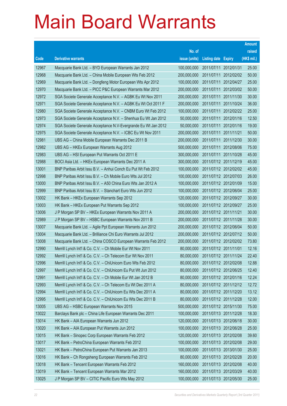| No. of<br>raised<br>(HK\$ mil.)<br>Code<br><b>Derivative warrants</b><br>issue (units)<br>Listing date Expiry<br>25.00<br>12967<br>Macquarie Bank Ltd. - BYD European Warrants Jan 2012<br>100,000,000<br>2011/07/11 2012/01/31<br>12968<br>2011/07/11 2012/02/02<br>50.00<br>Macquarie Bank Ltd. - China Mobile European Wts Feb 2012<br>200,000,000<br>12969<br>25.00<br>Macquarie Bank Ltd. - Dongfeng Motor European Wts Apr 2012<br>100,000,000<br>2011/07/11 2012/04/27<br>12970<br>2011/07/11 2012/03/02<br>50.00<br>Macquarie Bank Ltd. - PICC P&C European Warrants Mar 2012<br>200,000,000<br>12972<br>200,000,000<br>2011/07/11 2011/11/30<br>30.00<br>SGA Societe Generale Acceptance N.V. - AGBK Eu Wt Nov 2011<br>12971<br>2011/07/11 2011/10/24<br>36.00<br>SGA Societe Generale Acceptance N.V. - AGBK Eu Wt Oct 2011 F<br>200,000,000<br>12980<br>25.00<br>SGA Societe Generale Acceptance N.V. - CNBM Euro Wt Feb 2012<br>100,000,000<br>2011/07/11 2012/02/22<br>12973<br>2011/07/11 2012/01/16<br>12.50<br>SGA Societe Generale Acceptance N.V. - Shenhua Eu Wt Jan 2012<br>50,000,000<br>12974<br>50,000,000<br>2011/07/11 2012/01/16<br>19.00<br>SGA Societe Generale Acceptance N.V-Evergrande Eu Wt Jan 2012<br>50.00<br>12975<br>2011/07/11 2011/11/21<br>SGA Societe Generale Acceptance N.V. - ICBC Eu Wt Nov 2011<br>200,000,000<br>12981<br>30.00<br>UBS AG - China Mobile European Warrants Dec 2011 B<br>200,000,000<br>2011/07/11 2011/12/30<br>12982<br>500,000,000<br>2011/07/11 2012/08/06<br>75.00<br>UBS AG - HKEx European Warrants Aug 2012<br>12983<br>300,000,000<br>2011/07/11 2011/10/28<br>45.00<br>UBS AG - HSI European Put Warrants Oct 2011 E<br>12988<br>2011/07/12 2011/12/19<br>45.00<br>BOCI Asia Ltd. - HKEx European Warrants Dec 2011 A<br>300,000,000<br>13001<br>2011/07/12 2012/02/02<br>45.00<br>BNP Paribas Arbit Issu B.V. - Anhui Conch Eu Put Wt Feb 2012<br>100,000,000<br>12998<br>100,000,000<br>2011/07/12 2012/07/03<br>26.00<br>BNP Paribas Arbit Issu B.V. - Ch Mobile Euro Wts Jul 2012<br>13000<br>100,000,000<br>2011/07/12 2012/01/09<br>15.00<br>BNP Paribas Arbit Issu B.V. - A50 China Euro Wts Jan 2012 A<br>25.00<br>12999<br>2011/07/12 2012/06/04<br>BNP Paribas Arbit Issu B.V. - Stanchart Euro Wts Jun 2012<br>100,000,000<br>13002<br>2011/07/12 2012/09/27<br>30.00<br>HK Bank - HKEx European Warrants Sep 2012<br>120,000,000<br>13003<br>100,000,000<br>2011/07/12 2012/09/27<br>25.00<br>HK Bank - HKEx European Put Warrants Sep 2012<br>13006<br>200,000,000<br>2011/07/12 2011/11/21<br>30.00<br>J P Morgan SP BV - HKEx European Warrants Nov 2011 A<br>12989<br>2011/07/12 2011/11/28<br>30.00<br>J P Morgan SP BV - HSBC European Warrants Nov 2011 B<br>200,000,000<br>2011/07/12 2012/06/04<br>50.00<br>13007<br>200,000,000<br>Macquarie Bank Ltd. - Agile Ppt European Warrants Jun 2012<br>13004<br>2011/07/12 2012/07/12<br>50.00<br>Macquarie Bank Ltd. - Brilliance Chi Euro Warrants Jul 2012<br>200,000,000<br>200,000,000<br>2011/07/12 2012/02/02<br>73.80<br>13008<br>Macquarie Bank Ltd. - China COSCO European Warrants Feb 2012<br>12.16<br>12990<br>80,000,000<br>2011/07/12 2011/11/01<br>Merrill Lynch Int'l & Co. C.V. - Ch Mobile Eur Wt Nov 2011<br>80,000,000<br>12992<br>Merrill Lynch Int'l & Co. C.V. - Ch Telecom Eur Wt Nov 2011<br>2011/07/12 2011/11/24<br>22.40<br>12996<br>12.88<br>Merrill Lynch Int'l & Co. C.V. - ChiUnicom Euro Wts Feb 2012<br>2011/07/12 2012/02/08<br>80,000,000<br>12997<br>Merrill Lynch Int'l & Co. C.V. - ChiUnicom Eu Put Wt Jun 2012<br>80,000,000<br>2011/07/12 2012/06/25<br>12.40<br>12991<br>80,000,000<br>2011/07/12 2012/01/16<br>12.24<br>Merrill Lynch Int'l & Co. C.V. - Ch Mobile Eur Wt Jan 2012 B |
|----------------------------------------------------------------------------------------------------------------------------------------------------------------------------------------------------------------------------------------------------------------------------------------------------------------------------------------------------------------------------------------------------------------------------------------------------------------------------------------------------------------------------------------------------------------------------------------------------------------------------------------------------------------------------------------------------------------------------------------------------------------------------------------------------------------------------------------------------------------------------------------------------------------------------------------------------------------------------------------------------------------------------------------------------------------------------------------------------------------------------------------------------------------------------------------------------------------------------------------------------------------------------------------------------------------------------------------------------------------------------------------------------------------------------------------------------------------------------------------------------------------------------------------------------------------------------------------------------------------------------------------------------------------------------------------------------------------------------------------------------------------------------------------------------------------------------------------------------------------------------------------------------------------------------------------------------------------------------------------------------------------------------------------------------------------------------------------------------------------------------------------------------------------------------------------------------------------------------------------------------------------------------------------------------------------------------------------------------------------------------------------------------------------------------------------------------------------------------------------------------------------------------------------------------------------------------------------------------------------------------------------------------------------------------------------------------------------------------------------------------------------------------------------------------------------------------------------------------------------------------------------------------------------------------------------------------------------------------------------------------------------------------------------------------------------------------------------------------------------------------------------------------------------------------------------------------------------------------------------------------------------------------------------------------------------------------------------------------------------------------------------------------------------------------------------------------------------------------------------------------------------------------------------------------------------------------------------------------------------------------------------------------------------------------------------------------------------------------------------------------------------------------|
|                                                                                                                                                                                                                                                                                                                                                                                                                                                                                                                                                                                                                                                                                                                                                                                                                                                                                                                                                                                                                                                                                                                                                                                                                                                                                                                                                                                                                                                                                                                                                                                                                                                                                                                                                                                                                                                                                                                                                                                                                                                                                                                                                                                                                                                                                                                                                                                                                                                                                                                                                                                                                                                                                                                                                                                                                                                                                                                                                                                                                                                                                                                                                                                                                                                                                                                                                                                                                                                                                                                                                                                                                                                                                                                                                                            |
|                                                                                                                                                                                                                                                                                                                                                                                                                                                                                                                                                                                                                                                                                                                                                                                                                                                                                                                                                                                                                                                                                                                                                                                                                                                                                                                                                                                                                                                                                                                                                                                                                                                                                                                                                                                                                                                                                                                                                                                                                                                                                                                                                                                                                                                                                                                                                                                                                                                                                                                                                                                                                                                                                                                                                                                                                                                                                                                                                                                                                                                                                                                                                                                                                                                                                                                                                                                                                                                                                                                                                                                                                                                                                                                                                                            |
|                                                                                                                                                                                                                                                                                                                                                                                                                                                                                                                                                                                                                                                                                                                                                                                                                                                                                                                                                                                                                                                                                                                                                                                                                                                                                                                                                                                                                                                                                                                                                                                                                                                                                                                                                                                                                                                                                                                                                                                                                                                                                                                                                                                                                                                                                                                                                                                                                                                                                                                                                                                                                                                                                                                                                                                                                                                                                                                                                                                                                                                                                                                                                                                                                                                                                                                                                                                                                                                                                                                                                                                                                                                                                                                                                                            |
|                                                                                                                                                                                                                                                                                                                                                                                                                                                                                                                                                                                                                                                                                                                                                                                                                                                                                                                                                                                                                                                                                                                                                                                                                                                                                                                                                                                                                                                                                                                                                                                                                                                                                                                                                                                                                                                                                                                                                                                                                                                                                                                                                                                                                                                                                                                                                                                                                                                                                                                                                                                                                                                                                                                                                                                                                                                                                                                                                                                                                                                                                                                                                                                                                                                                                                                                                                                                                                                                                                                                                                                                                                                                                                                                                                            |
|                                                                                                                                                                                                                                                                                                                                                                                                                                                                                                                                                                                                                                                                                                                                                                                                                                                                                                                                                                                                                                                                                                                                                                                                                                                                                                                                                                                                                                                                                                                                                                                                                                                                                                                                                                                                                                                                                                                                                                                                                                                                                                                                                                                                                                                                                                                                                                                                                                                                                                                                                                                                                                                                                                                                                                                                                                                                                                                                                                                                                                                                                                                                                                                                                                                                                                                                                                                                                                                                                                                                                                                                                                                                                                                                                                            |
|                                                                                                                                                                                                                                                                                                                                                                                                                                                                                                                                                                                                                                                                                                                                                                                                                                                                                                                                                                                                                                                                                                                                                                                                                                                                                                                                                                                                                                                                                                                                                                                                                                                                                                                                                                                                                                                                                                                                                                                                                                                                                                                                                                                                                                                                                                                                                                                                                                                                                                                                                                                                                                                                                                                                                                                                                                                                                                                                                                                                                                                                                                                                                                                                                                                                                                                                                                                                                                                                                                                                                                                                                                                                                                                                                                            |
|                                                                                                                                                                                                                                                                                                                                                                                                                                                                                                                                                                                                                                                                                                                                                                                                                                                                                                                                                                                                                                                                                                                                                                                                                                                                                                                                                                                                                                                                                                                                                                                                                                                                                                                                                                                                                                                                                                                                                                                                                                                                                                                                                                                                                                                                                                                                                                                                                                                                                                                                                                                                                                                                                                                                                                                                                                                                                                                                                                                                                                                                                                                                                                                                                                                                                                                                                                                                                                                                                                                                                                                                                                                                                                                                                                            |
|                                                                                                                                                                                                                                                                                                                                                                                                                                                                                                                                                                                                                                                                                                                                                                                                                                                                                                                                                                                                                                                                                                                                                                                                                                                                                                                                                                                                                                                                                                                                                                                                                                                                                                                                                                                                                                                                                                                                                                                                                                                                                                                                                                                                                                                                                                                                                                                                                                                                                                                                                                                                                                                                                                                                                                                                                                                                                                                                                                                                                                                                                                                                                                                                                                                                                                                                                                                                                                                                                                                                                                                                                                                                                                                                                                            |
|                                                                                                                                                                                                                                                                                                                                                                                                                                                                                                                                                                                                                                                                                                                                                                                                                                                                                                                                                                                                                                                                                                                                                                                                                                                                                                                                                                                                                                                                                                                                                                                                                                                                                                                                                                                                                                                                                                                                                                                                                                                                                                                                                                                                                                                                                                                                                                                                                                                                                                                                                                                                                                                                                                                                                                                                                                                                                                                                                                                                                                                                                                                                                                                                                                                                                                                                                                                                                                                                                                                                                                                                                                                                                                                                                                            |
|                                                                                                                                                                                                                                                                                                                                                                                                                                                                                                                                                                                                                                                                                                                                                                                                                                                                                                                                                                                                                                                                                                                                                                                                                                                                                                                                                                                                                                                                                                                                                                                                                                                                                                                                                                                                                                                                                                                                                                                                                                                                                                                                                                                                                                                                                                                                                                                                                                                                                                                                                                                                                                                                                                                                                                                                                                                                                                                                                                                                                                                                                                                                                                                                                                                                                                                                                                                                                                                                                                                                                                                                                                                                                                                                                                            |
|                                                                                                                                                                                                                                                                                                                                                                                                                                                                                                                                                                                                                                                                                                                                                                                                                                                                                                                                                                                                                                                                                                                                                                                                                                                                                                                                                                                                                                                                                                                                                                                                                                                                                                                                                                                                                                                                                                                                                                                                                                                                                                                                                                                                                                                                                                                                                                                                                                                                                                                                                                                                                                                                                                                                                                                                                                                                                                                                                                                                                                                                                                                                                                                                                                                                                                                                                                                                                                                                                                                                                                                                                                                                                                                                                                            |
|                                                                                                                                                                                                                                                                                                                                                                                                                                                                                                                                                                                                                                                                                                                                                                                                                                                                                                                                                                                                                                                                                                                                                                                                                                                                                                                                                                                                                                                                                                                                                                                                                                                                                                                                                                                                                                                                                                                                                                                                                                                                                                                                                                                                                                                                                                                                                                                                                                                                                                                                                                                                                                                                                                                                                                                                                                                                                                                                                                                                                                                                                                                                                                                                                                                                                                                                                                                                                                                                                                                                                                                                                                                                                                                                                                            |
|                                                                                                                                                                                                                                                                                                                                                                                                                                                                                                                                                                                                                                                                                                                                                                                                                                                                                                                                                                                                                                                                                                                                                                                                                                                                                                                                                                                                                                                                                                                                                                                                                                                                                                                                                                                                                                                                                                                                                                                                                                                                                                                                                                                                                                                                                                                                                                                                                                                                                                                                                                                                                                                                                                                                                                                                                                                                                                                                                                                                                                                                                                                                                                                                                                                                                                                                                                                                                                                                                                                                                                                                                                                                                                                                                                            |
|                                                                                                                                                                                                                                                                                                                                                                                                                                                                                                                                                                                                                                                                                                                                                                                                                                                                                                                                                                                                                                                                                                                                                                                                                                                                                                                                                                                                                                                                                                                                                                                                                                                                                                                                                                                                                                                                                                                                                                                                                                                                                                                                                                                                                                                                                                                                                                                                                                                                                                                                                                                                                                                                                                                                                                                                                                                                                                                                                                                                                                                                                                                                                                                                                                                                                                                                                                                                                                                                                                                                                                                                                                                                                                                                                                            |
|                                                                                                                                                                                                                                                                                                                                                                                                                                                                                                                                                                                                                                                                                                                                                                                                                                                                                                                                                                                                                                                                                                                                                                                                                                                                                                                                                                                                                                                                                                                                                                                                                                                                                                                                                                                                                                                                                                                                                                                                                                                                                                                                                                                                                                                                                                                                                                                                                                                                                                                                                                                                                                                                                                                                                                                                                                                                                                                                                                                                                                                                                                                                                                                                                                                                                                                                                                                                                                                                                                                                                                                                                                                                                                                                                                            |
|                                                                                                                                                                                                                                                                                                                                                                                                                                                                                                                                                                                                                                                                                                                                                                                                                                                                                                                                                                                                                                                                                                                                                                                                                                                                                                                                                                                                                                                                                                                                                                                                                                                                                                                                                                                                                                                                                                                                                                                                                                                                                                                                                                                                                                                                                                                                                                                                                                                                                                                                                                                                                                                                                                                                                                                                                                                                                                                                                                                                                                                                                                                                                                                                                                                                                                                                                                                                                                                                                                                                                                                                                                                                                                                                                                            |
|                                                                                                                                                                                                                                                                                                                                                                                                                                                                                                                                                                                                                                                                                                                                                                                                                                                                                                                                                                                                                                                                                                                                                                                                                                                                                                                                                                                                                                                                                                                                                                                                                                                                                                                                                                                                                                                                                                                                                                                                                                                                                                                                                                                                                                                                                                                                                                                                                                                                                                                                                                                                                                                                                                                                                                                                                                                                                                                                                                                                                                                                                                                                                                                                                                                                                                                                                                                                                                                                                                                                                                                                                                                                                                                                                                            |
|                                                                                                                                                                                                                                                                                                                                                                                                                                                                                                                                                                                                                                                                                                                                                                                                                                                                                                                                                                                                                                                                                                                                                                                                                                                                                                                                                                                                                                                                                                                                                                                                                                                                                                                                                                                                                                                                                                                                                                                                                                                                                                                                                                                                                                                                                                                                                                                                                                                                                                                                                                                                                                                                                                                                                                                                                                                                                                                                                                                                                                                                                                                                                                                                                                                                                                                                                                                                                                                                                                                                                                                                                                                                                                                                                                            |
|                                                                                                                                                                                                                                                                                                                                                                                                                                                                                                                                                                                                                                                                                                                                                                                                                                                                                                                                                                                                                                                                                                                                                                                                                                                                                                                                                                                                                                                                                                                                                                                                                                                                                                                                                                                                                                                                                                                                                                                                                                                                                                                                                                                                                                                                                                                                                                                                                                                                                                                                                                                                                                                                                                                                                                                                                                                                                                                                                                                                                                                                                                                                                                                                                                                                                                                                                                                                                                                                                                                                                                                                                                                                                                                                                                            |
|                                                                                                                                                                                                                                                                                                                                                                                                                                                                                                                                                                                                                                                                                                                                                                                                                                                                                                                                                                                                                                                                                                                                                                                                                                                                                                                                                                                                                                                                                                                                                                                                                                                                                                                                                                                                                                                                                                                                                                                                                                                                                                                                                                                                                                                                                                                                                                                                                                                                                                                                                                                                                                                                                                                                                                                                                                                                                                                                                                                                                                                                                                                                                                                                                                                                                                                                                                                                                                                                                                                                                                                                                                                                                                                                                                            |
|                                                                                                                                                                                                                                                                                                                                                                                                                                                                                                                                                                                                                                                                                                                                                                                                                                                                                                                                                                                                                                                                                                                                                                                                                                                                                                                                                                                                                                                                                                                                                                                                                                                                                                                                                                                                                                                                                                                                                                                                                                                                                                                                                                                                                                                                                                                                                                                                                                                                                                                                                                                                                                                                                                                                                                                                                                                                                                                                                                                                                                                                                                                                                                                                                                                                                                                                                                                                                                                                                                                                                                                                                                                                                                                                                                            |
|                                                                                                                                                                                                                                                                                                                                                                                                                                                                                                                                                                                                                                                                                                                                                                                                                                                                                                                                                                                                                                                                                                                                                                                                                                                                                                                                                                                                                                                                                                                                                                                                                                                                                                                                                                                                                                                                                                                                                                                                                                                                                                                                                                                                                                                                                                                                                                                                                                                                                                                                                                                                                                                                                                                                                                                                                                                                                                                                                                                                                                                                                                                                                                                                                                                                                                                                                                                                                                                                                                                                                                                                                                                                                                                                                                            |
|                                                                                                                                                                                                                                                                                                                                                                                                                                                                                                                                                                                                                                                                                                                                                                                                                                                                                                                                                                                                                                                                                                                                                                                                                                                                                                                                                                                                                                                                                                                                                                                                                                                                                                                                                                                                                                                                                                                                                                                                                                                                                                                                                                                                                                                                                                                                                                                                                                                                                                                                                                                                                                                                                                                                                                                                                                                                                                                                                                                                                                                                                                                                                                                                                                                                                                                                                                                                                                                                                                                                                                                                                                                                                                                                                                            |
|                                                                                                                                                                                                                                                                                                                                                                                                                                                                                                                                                                                                                                                                                                                                                                                                                                                                                                                                                                                                                                                                                                                                                                                                                                                                                                                                                                                                                                                                                                                                                                                                                                                                                                                                                                                                                                                                                                                                                                                                                                                                                                                                                                                                                                                                                                                                                                                                                                                                                                                                                                                                                                                                                                                                                                                                                                                                                                                                                                                                                                                                                                                                                                                                                                                                                                                                                                                                                                                                                                                                                                                                                                                                                                                                                                            |
|                                                                                                                                                                                                                                                                                                                                                                                                                                                                                                                                                                                                                                                                                                                                                                                                                                                                                                                                                                                                                                                                                                                                                                                                                                                                                                                                                                                                                                                                                                                                                                                                                                                                                                                                                                                                                                                                                                                                                                                                                                                                                                                                                                                                                                                                                                                                                                                                                                                                                                                                                                                                                                                                                                                                                                                                                                                                                                                                                                                                                                                                                                                                                                                                                                                                                                                                                                                                                                                                                                                                                                                                                                                                                                                                                                            |
|                                                                                                                                                                                                                                                                                                                                                                                                                                                                                                                                                                                                                                                                                                                                                                                                                                                                                                                                                                                                                                                                                                                                                                                                                                                                                                                                                                                                                                                                                                                                                                                                                                                                                                                                                                                                                                                                                                                                                                                                                                                                                                                                                                                                                                                                                                                                                                                                                                                                                                                                                                                                                                                                                                                                                                                                                                                                                                                                                                                                                                                                                                                                                                                                                                                                                                                                                                                                                                                                                                                                                                                                                                                                                                                                                                            |
|                                                                                                                                                                                                                                                                                                                                                                                                                                                                                                                                                                                                                                                                                                                                                                                                                                                                                                                                                                                                                                                                                                                                                                                                                                                                                                                                                                                                                                                                                                                                                                                                                                                                                                                                                                                                                                                                                                                                                                                                                                                                                                                                                                                                                                                                                                                                                                                                                                                                                                                                                                                                                                                                                                                                                                                                                                                                                                                                                                                                                                                                                                                                                                                                                                                                                                                                                                                                                                                                                                                                                                                                                                                                                                                                                                            |
|                                                                                                                                                                                                                                                                                                                                                                                                                                                                                                                                                                                                                                                                                                                                                                                                                                                                                                                                                                                                                                                                                                                                                                                                                                                                                                                                                                                                                                                                                                                                                                                                                                                                                                                                                                                                                                                                                                                                                                                                                                                                                                                                                                                                                                                                                                                                                                                                                                                                                                                                                                                                                                                                                                                                                                                                                                                                                                                                                                                                                                                                                                                                                                                                                                                                                                                                                                                                                                                                                                                                                                                                                                                                                                                                                                            |
|                                                                                                                                                                                                                                                                                                                                                                                                                                                                                                                                                                                                                                                                                                                                                                                                                                                                                                                                                                                                                                                                                                                                                                                                                                                                                                                                                                                                                                                                                                                                                                                                                                                                                                                                                                                                                                                                                                                                                                                                                                                                                                                                                                                                                                                                                                                                                                                                                                                                                                                                                                                                                                                                                                                                                                                                                                                                                                                                                                                                                                                                                                                                                                                                                                                                                                                                                                                                                                                                                                                                                                                                                                                                                                                                                                            |
|                                                                                                                                                                                                                                                                                                                                                                                                                                                                                                                                                                                                                                                                                                                                                                                                                                                                                                                                                                                                                                                                                                                                                                                                                                                                                                                                                                                                                                                                                                                                                                                                                                                                                                                                                                                                                                                                                                                                                                                                                                                                                                                                                                                                                                                                                                                                                                                                                                                                                                                                                                                                                                                                                                                                                                                                                                                                                                                                                                                                                                                                                                                                                                                                                                                                                                                                                                                                                                                                                                                                                                                                                                                                                                                                                                            |
|                                                                                                                                                                                                                                                                                                                                                                                                                                                                                                                                                                                                                                                                                                                                                                                                                                                                                                                                                                                                                                                                                                                                                                                                                                                                                                                                                                                                                                                                                                                                                                                                                                                                                                                                                                                                                                                                                                                                                                                                                                                                                                                                                                                                                                                                                                                                                                                                                                                                                                                                                                                                                                                                                                                                                                                                                                                                                                                                                                                                                                                                                                                                                                                                                                                                                                                                                                                                                                                                                                                                                                                                                                                                                                                                                                            |
| 12993<br>80,000,000<br>2011/07/12 2011/12/12<br>12.72<br>Merrill Lynch Int'l & Co. C.V. - Ch Telecom Eu Wt Dec 2011 A                                                                                                                                                                                                                                                                                                                                                                                                                                                                                                                                                                                                                                                                                                                                                                                                                                                                                                                                                                                                                                                                                                                                                                                                                                                                                                                                                                                                                                                                                                                                                                                                                                                                                                                                                                                                                                                                                                                                                                                                                                                                                                                                                                                                                                                                                                                                                                                                                                                                                                                                                                                                                                                                                                                                                                                                                                                                                                                                                                                                                                                                                                                                                                                                                                                                                                                                                                                                                                                                                                                                                                                                                                                      |
| 12994<br>13.12<br>Merrill Lynch Int'l & Co. C.V. - ChiUnicom Eu Wts Dec 2011 A<br>80,000,000<br>2011/07/12 2011/12/20                                                                                                                                                                                                                                                                                                                                                                                                                                                                                                                                                                                                                                                                                                                                                                                                                                                                                                                                                                                                                                                                                                                                                                                                                                                                                                                                                                                                                                                                                                                                                                                                                                                                                                                                                                                                                                                                                                                                                                                                                                                                                                                                                                                                                                                                                                                                                                                                                                                                                                                                                                                                                                                                                                                                                                                                                                                                                                                                                                                                                                                                                                                                                                                                                                                                                                                                                                                                                                                                                                                                                                                                                                                      |
| 12995<br>12.00<br>Merrill Lynch Int'l & Co. C.V. - ChiUnicom Eu Wts Dec 2011 B<br>80,000,000<br>2011/07/12 2011/12/28                                                                                                                                                                                                                                                                                                                                                                                                                                                                                                                                                                                                                                                                                                                                                                                                                                                                                                                                                                                                                                                                                                                                                                                                                                                                                                                                                                                                                                                                                                                                                                                                                                                                                                                                                                                                                                                                                                                                                                                                                                                                                                                                                                                                                                                                                                                                                                                                                                                                                                                                                                                                                                                                                                                                                                                                                                                                                                                                                                                                                                                                                                                                                                                                                                                                                                                                                                                                                                                                                                                                                                                                                                                      |
| 13005<br>500,000,000<br>2011/07/12 2015/11/30<br>75.00<br>UBS AG - HSBC European Warrants Nov 2015                                                                                                                                                                                                                                                                                                                                                                                                                                                                                                                                                                                                                                                                                                                                                                                                                                                                                                                                                                                                                                                                                                                                                                                                                                                                                                                                                                                                                                                                                                                                                                                                                                                                                                                                                                                                                                                                                                                                                                                                                                                                                                                                                                                                                                                                                                                                                                                                                                                                                                                                                                                                                                                                                                                                                                                                                                                                                                                                                                                                                                                                                                                                                                                                                                                                                                                                                                                                                                                                                                                                                                                                                                                                         |
| 13022<br>100,000,000<br>2011/07/13 2011/12/28<br>18.30<br>Barclays Bank plc - China Life European Warrants Dec 2011                                                                                                                                                                                                                                                                                                                                                                                                                                                                                                                                                                                                                                                                                                                                                                                                                                                                                                                                                                                                                                                                                                                                                                                                                                                                                                                                                                                                                                                                                                                                                                                                                                                                                                                                                                                                                                                                                                                                                                                                                                                                                                                                                                                                                                                                                                                                                                                                                                                                                                                                                                                                                                                                                                                                                                                                                                                                                                                                                                                                                                                                                                                                                                                                                                                                                                                                                                                                                                                                                                                                                                                                                                                        |
| 13014<br>HK Bank - AIA European Warrants Jun 2012<br>30.00<br>120,000,000<br>2011/07/13 2012/06/18                                                                                                                                                                                                                                                                                                                                                                                                                                                                                                                                                                                                                                                                                                                                                                                                                                                                                                                                                                                                                                                                                                                                                                                                                                                                                                                                                                                                                                                                                                                                                                                                                                                                                                                                                                                                                                                                                                                                                                                                                                                                                                                                                                                                                                                                                                                                                                                                                                                                                                                                                                                                                                                                                                                                                                                                                                                                                                                                                                                                                                                                                                                                                                                                                                                                                                                                                                                                                                                                                                                                                                                                                                                                         |
| 13020<br>25.00<br>HK Bank - AIA European Put Warrants Jun 2012<br>100,000,000<br>2011/07/13 2012/06/28                                                                                                                                                                                                                                                                                                                                                                                                                                                                                                                                                                                                                                                                                                                                                                                                                                                                                                                                                                                                                                                                                                                                                                                                                                                                                                                                                                                                                                                                                                                                                                                                                                                                                                                                                                                                                                                                                                                                                                                                                                                                                                                                                                                                                                                                                                                                                                                                                                                                                                                                                                                                                                                                                                                                                                                                                                                                                                                                                                                                                                                                                                                                                                                                                                                                                                                                                                                                                                                                                                                                                                                                                                                                     |
| 13015<br>HK Bank - Sinopec Corp European Warrants Feb 2012<br>120,000,000<br>39.60<br>2011/07/13 2012/02/08                                                                                                                                                                                                                                                                                                                                                                                                                                                                                                                                                                                                                                                                                                                                                                                                                                                                                                                                                                                                                                                                                                                                                                                                                                                                                                                                                                                                                                                                                                                                                                                                                                                                                                                                                                                                                                                                                                                                                                                                                                                                                                                                                                                                                                                                                                                                                                                                                                                                                                                                                                                                                                                                                                                                                                                                                                                                                                                                                                                                                                                                                                                                                                                                                                                                                                                                                                                                                                                                                                                                                                                                                                                                |
| 13017<br>100,000,000<br>HK Bank - PetroChina European Warrants Feb 2012<br>2011/07/13 2012/02/08<br>29.00                                                                                                                                                                                                                                                                                                                                                                                                                                                                                                                                                                                                                                                                                                                                                                                                                                                                                                                                                                                                                                                                                                                                                                                                                                                                                                                                                                                                                                                                                                                                                                                                                                                                                                                                                                                                                                                                                                                                                                                                                                                                                                                                                                                                                                                                                                                                                                                                                                                                                                                                                                                                                                                                                                                                                                                                                                                                                                                                                                                                                                                                                                                                                                                                                                                                                                                                                                                                                                                                                                                                                                                                                                                                  |
| 13021<br>HK Bank - PetroChina European Put Warrants Jan 2013<br>100,000,000<br>2011/07/13 2013/01/30<br>25.00                                                                                                                                                                                                                                                                                                                                                                                                                                                                                                                                                                                                                                                                                                                                                                                                                                                                                                                                                                                                                                                                                                                                                                                                                                                                                                                                                                                                                                                                                                                                                                                                                                                                                                                                                                                                                                                                                                                                                                                                                                                                                                                                                                                                                                                                                                                                                                                                                                                                                                                                                                                                                                                                                                                                                                                                                                                                                                                                                                                                                                                                                                                                                                                                                                                                                                                                                                                                                                                                                                                                                                                                                                                              |
| 13016<br>HK Bank - Ch Rongsheng European Warrants Feb 2012<br>80,000,000<br>2011/07/13 2012/02/28<br>20.00                                                                                                                                                                                                                                                                                                                                                                                                                                                                                                                                                                                                                                                                                                                                                                                                                                                                                                                                                                                                                                                                                                                                                                                                                                                                                                                                                                                                                                                                                                                                                                                                                                                                                                                                                                                                                                                                                                                                                                                                                                                                                                                                                                                                                                                                                                                                                                                                                                                                                                                                                                                                                                                                                                                                                                                                                                                                                                                                                                                                                                                                                                                                                                                                                                                                                                                                                                                                                                                                                                                                                                                                                                                                 |
| 13018<br>HK Bank - Tencent European Warrants Feb 2012<br>160,000,000<br>2011/07/13 2012/02/08<br>40.00                                                                                                                                                                                                                                                                                                                                                                                                                                                                                                                                                                                                                                                                                                                                                                                                                                                                                                                                                                                                                                                                                                                                                                                                                                                                                                                                                                                                                                                                                                                                                                                                                                                                                                                                                                                                                                                                                                                                                                                                                                                                                                                                                                                                                                                                                                                                                                                                                                                                                                                                                                                                                                                                                                                                                                                                                                                                                                                                                                                                                                                                                                                                                                                                                                                                                                                                                                                                                                                                                                                                                                                                                                                                     |
| 13019<br>160,000,000<br>HK Bank - Tencent European Warrants Mar 2012<br>2011/07/13 2012/03/29<br>40.00                                                                                                                                                                                                                                                                                                                                                                                                                                                                                                                                                                                                                                                                                                                                                                                                                                                                                                                                                                                                                                                                                                                                                                                                                                                                                                                                                                                                                                                                                                                                                                                                                                                                                                                                                                                                                                                                                                                                                                                                                                                                                                                                                                                                                                                                                                                                                                                                                                                                                                                                                                                                                                                                                                                                                                                                                                                                                                                                                                                                                                                                                                                                                                                                                                                                                                                                                                                                                                                                                                                                                                                                                                                                     |
| 13025<br>J P Morgan SP BV - CITIC Pacific Euro Wts May 2012<br>100,000,000<br>2011/07/13 2012/05/30<br>25.00                                                                                                                                                                                                                                                                                                                                                                                                                                                                                                                                                                                                                                                                                                                                                                                                                                                                                                                                                                                                                                                                                                                                                                                                                                                                                                                                                                                                                                                                                                                                                                                                                                                                                                                                                                                                                                                                                                                                                                                                                                                                                                                                                                                                                                                                                                                                                                                                                                                                                                                                                                                                                                                                                                                                                                                                                                                                                                                                                                                                                                                                                                                                                                                                                                                                                                                                                                                                                                                                                                                                                                                                                                                               |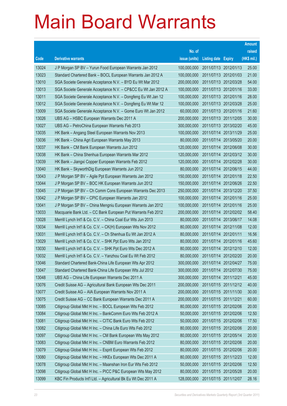|       |                                                                |               |                            |                       | <b>Amount</b> |
|-------|----------------------------------------------------------------|---------------|----------------------------|-----------------------|---------------|
|       |                                                                | No. of        |                            |                       | raised        |
| Code  | <b>Derivative warrants</b>                                     | issue (units) | <b>Listing date Expiry</b> |                       | (HK\$ mil.)   |
| 13024 | J P Morgan SP BV - Yurun Food European Warrants Jan 2012       | 100,000,000   |                            | 2011/07/13 2012/01/13 | 25.00         |
| 13023 | Standard Chartered Bank - BOCL European Warrants Jan 2012 A    | 100,000,000   |                            | 2011/07/13 2012/01/03 | 21.00         |
| 13010 | SGA Societe Generale Acceptance N.V. - BYD Eu Wt Mar 2012      | 200,000,000   | 2011/07/13 2012/03/28      |                       | 54.00         |
| 13013 | SGA Societe Generale Acceptance N.V. - CP&CC Eu Wt Jan 2012 A  | 100,000,000   |                            | 2011/07/13 2012/01/16 | 33.00         |
| 13011 | SGA Societe Generale Acceptance N.V. - Dongfeng Eu Wt Jan 12   | 100,000,000   |                            | 2011/07/13 2012/01/16 | 28.00         |
| 13012 | SGA Societe Generale Acceptance N.V. - Dongfeng Eu Wt Mar 12   | 100,000,000   |                            | 2011/07/13 2012/03/28 | 25.00         |
| 13009 | SGA Societe Generale Acceptance N.V. - Gome Euro Wt Jan 2012   | 60,000,000    | 2011/07/13 2012/01/16      |                       | 21.60         |
| 13026 | UBS AG - HSBC European Warrants Dec 2011 A                     | 200,000,000   |                            | 2011/07/13 2011/12/05 | 30.00         |
| 13027 | UBS AG - PetroChina European Warrants Feb 2013                 | 300,000,000   |                            | 2011/07/13 2013/02/20 | 45.00         |
| 13035 | HK Bank - Angang Steel European Warrants Nov 2013              | 100,000,000   |                            | 2011/07/14 2013/11/29 | 25.00         |
| 13036 | HK Bank - China Agri European Warrants May 2013                | 80,000,000    |                            | 2011/07/14 2013/05/20 | 20.00         |
| 13037 | HK Bank - CM Bank European Warrants Jun 2012                   | 120,000,000   |                            | 2011/07/14 2012/06/08 | 30.00         |
| 13038 | HK Bank - China Shenhua European Warrants Mar 2012             | 120,000,000   |                            | 2011/07/14 2012/03/12 | 30.00         |
| 13039 | HK Bank - Jiangxi Copper European Warrants Feb 2012            | 120,000,000   |                            | 2011/07/14 2012/02/28 | 30.00         |
| 13040 | HK Bank - SkyworthDig European Warrants Jun 2012               | 80,000,000    | 2011/07/14 2012/06/15      |                       | 44.00         |
| 13043 | J P Morgan SP BV - Agile Ppt European Warrants Jan 2012        | 150,000,000   |                            | 2011/07/14 2012/01/18 | 22.50         |
| 13044 | J P Morgan SP BV - BOC HK European Warrants Jun 2012           | 150,000,000   |                            | 2011/07/14 2012/06/26 | 22.50         |
| 13045 | J P Morgan SP BV - Ch Comm Cons European Warrants Dec 2013     | 250,000,000   |                            | 2011/07/14 2013/12/20 | 37.50         |
| 13042 | J P Morgan SP BV - CPIC European Warrants Jan 2012             | 100,000,000   | 2011/07/14 2012/01/16      |                       | 25.00         |
| 13041 | J P Morgan SP BV - China Mengniu European Warrants Jan 2012    | 100,000,000   | 2011/07/14 2012/01/16      |                       | 25.00         |
| 13033 | Macquarie Bank Ltd. - CC Bank European Put Warrants Feb 2012   | 200,000,000   |                            | 2011/07/14 2012/02/02 | 58.40         |
| 13028 | Merrill Lynch Int'l & Co. C.V. - China Coal Eur Wts Jun 2013   | 80,000,000    |                            | 2011/07/14 2013/06/17 | 14.08         |
| 13034 | Merrill Lynch Int'l & Co. C.V. - CK(H) European Wts Nov 2012   | 80,000,000    | 2011/07/14 2012/11/08      |                       | 12.00         |
| 13031 | Merrill Lynch Int'l & Co. C.V. - Ch Shenhua Eu Wt Jan 2012 A   | 80,000,000    | 2011/07/14 2012/01/11      |                       | 16.56         |
| 13029 | Merrill Lynch Int'l & Co. C.V. - SHK Ppt Euro Wts Jan 2012     | 80,000,000    | 2011/07/14 2012/01/16      |                       | 45.60         |
| 13030 | Merrill Lynch Int'l & Co. C.V. - SHK Ppt Euro Wts Dec 2012 A   | 80,000,000    | 2011/07/14 2012/12/10      |                       | 12.00         |
| 13032 | Merrill Lynch Int'l & Co. C.V. - Yanzhou Coal Eu Wt Feb 2012   | 80,000,000    |                            | 2011/07/14 2012/02/20 | 20.00         |
| 13046 | Standard Chartered Bank-China Life European Wts Apr 2012       | 300,000,000   | 2011/07/14 2012/04/27      |                       | 75.00         |
| 13047 | Standard Chartered Bank-China Life European Wts Jul 2012       | 300,000,000   | 2011/07/14 2012/07/30      |                       | 75.00         |
| 13048 | UBS AG - China Life European Warrants Dec 2011 A               | 300,000,000   | 2011/07/14 2011/12/21      |                       | 45.00         |
| 13076 | Credit Suisse AG - Agricultural Bank European Wts Dec 2011     | 200,000,000   |                            | 2011/07/15 2011/12/12 | 40.00         |
| 13077 | Credit Suisse AG - AIA European Warrants Nov 2011 A            | 200,000,000   | 2011/07/15 2011/11/30      |                       | 30.00         |
| 13075 | Credit Suisse AG - CC Bank European Warrants Dec 2011 A        | 200,000,000   | 2011/07/15 2011/12/21      |                       | 60.00         |
| 13085 | Citigroup Global Mkt H Inc. - BOCL European Wts Feb 2012       | 80,000,000    |                            | 2011/07/15 2012/02/06 | 20.00         |
| 13084 | Citigroup Global Mkt H Inc. - BankComm Euro Wts Feb 2012 A     | 50,000,000    | 2011/07/15 2012/02/06      |                       | 12.50         |
| 13081 | Citigroup Global Mkt H Inc. - CITIC Bank Euro Wts Feb 2012     | 50,000,000    | 2011/07/15 2012/02/06      |                       | 17.50         |
| 13082 | Citigroup Global Mkt H Inc. - China Life Euro Wts Feb 2012     | 80,000,000    | 2011/07/15 2012/02/06      |                       | 20.00         |
| 13097 | Citigroup Global Mkt H Inc. - CM Bank European Wts May 2012    | 80,000,000    | 2011/07/15 2012/05/14      |                       | 20.00         |
| 13083 | Citigroup Global Mkt H Inc. - CNBM Euro Warrants Feb 2012      | 80,000,000    | 2011/07/15 2012/02/06      |                       | 20.00         |
| 13079 | Citigroup Global Mkt H Inc. - Esprit European Wts Feb 2012     | 80,000,000    | 2011/07/15 2012/02/06      |                       | 20.00         |
| 13080 | Citigroup Global Mkt H Inc. - HKEx European Wts Dec 2011 A     | 80,000,000    | 2011/07/15 2011/12/23      |                       | 12.00         |
| 13078 | Citigroup Global Mkt H Inc. - Maanshan Iron Eur Wts Feb 2012   | 50,000,000    |                            | 2011/07/15 2012/02/06 | 12.50         |
| 13098 | Citigroup Global Mkt H Inc. - PICC P&C European Wts May 2012   | 80,000,000    | 2011/07/15 2012/05/28      |                       | 20.00         |
| 13099 | KBC Fin Products Int'l Ltd. - Agricultural Bk Eu Wt Dec 2011 A | 128,000,000   | 2011/07/15 2011/12/07      |                       | 28.16         |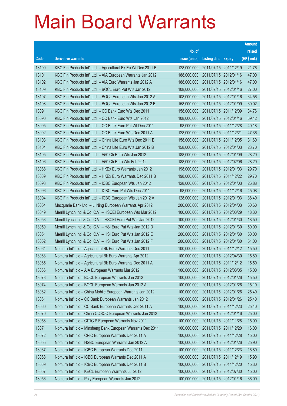|       |                                                                |               |                            | <b>Amount</b> |
|-------|----------------------------------------------------------------|---------------|----------------------------|---------------|
|       |                                                                | No. of        |                            | raised        |
| Code  | <b>Derivative warrants</b>                                     | issue (units) | <b>Listing date Expiry</b> | (HK\$ mil.)   |
| 13100 | KBC Fin Products Int'l Ltd. - Agricultural Bk Eu Wt Dec 2011 B | 128,000,000   | 2011/07/15 2011/12/19      | 21.76         |
| 13101 | KBC Fin Products Int'l Ltd. - AIA European Warrants Jan 2012   | 188,000,000   | 2011/07/15 2012/01/16      | 47.00         |
| 13102 | KBC Fin Products Int'l Ltd. - AIA Euro Warrants Jan 2012 A     | 188,000,000   | 2011/07/15 2012/01/16      | 47.00         |
| 13109 | KBC Fin Products Int'l Ltd. - BOCL Euro Put Wts Jan 2012       | 108,000,000   | 2011/07/15 2012/01/16      | 27.00         |
| 13107 | KBC Fin Products Int'l Ltd. - BOCL European Wts Jan 2012 A     | 108,000,000   | 2011/07/15 2012/01/16      | 34.56         |
| 13108 | KBC Fin Products Int'l Ltd. - BOCL European Wts Jan 2012 B     | 158,000,000   | 2011/07/15 2012/01/09      | 30.02         |
| 13091 | KBC Fin Products Int'l Ltd. - CC Bank Euro Wts Dec 2011        | 158,000,000   | 2011/07/15 2011/12/09      | 34.76         |
| 13090 | KBC Fin Products Int'l Ltd. - CC Bank Euro Wts Jan 2012        | 108,000,000   | 2011/07/15 2012/01/16      | 69.12         |
| 13095 | KBC Fin Products Int'l Ltd. - CC Bank Euro Put Wt Dec 2011     | 98,000,000    | 2011/07/15 2011/12/28      | 40.18         |
| 13092 | KBC Fin Products Int'l Ltd. - CC Bank Euro Wts Dec 2011 A      | 128,000,000   | 2011/07/15 2011/12/21      | 47.36         |
| 13103 | KBC Fin Products Int'l Ltd. - China Life Euro Wts Dec 2011 B   | 158,000,000   | 2011/07/15 2011/12/05      | 31.60         |
| 13104 | KBC Fin Products Int'l Ltd. - China Life Euro Wts Jan 2012 B   | 158,000,000   | 2011/07/15 2012/01/03      | 23.70         |
| 13105 | KBC Fin Products Int'l Ltd. - A50 Ch Euro Wts Jan 2012         | 188,000,000   | 2011/07/15 2012/01/09      | 28.20         |
| 13106 | KBC Fin Products Int'l Ltd. - A50 Ch Euro Wts Feb 2012         | 188,000,000   | 2011/07/15 2012/02/06      | 28.20         |
| 13088 | KBC Fin Products Int'l Ltd. - HKEx Euro Warrants Jan 2012      | 198,000,000   | 2011/07/15 2012/01/03      | 29.70         |
| 13089 | KBC Fin Products Int'l Ltd. - HKEx Euro Warrants Dec 2011 B    | 198,000,000   | 2011/07/15 2011/12/22      | 29.70         |
| 13093 | KBC Fin Products Int'l Ltd. - ICBC European Wts Jan 2012       | 128,000,000   | 2011/07/15 2012/01/03      | 26.88         |
| 13096 | KBC Fin Products Int'l Ltd. - ICBC Euro Put Wts Dec 2011       | 98,000,000    | 2011/07/15 2011/12/16      | 45.08         |
| 13094 | KBC Fin Products Int'l Ltd. - ICBC European Wts Jan 2012 A     | 128,000,000   | 2011/07/15 2012/01/03      | 38.40         |
| 13054 | Macquarie Bank Ltd. - Li Ning European Warrants Apr 2012       | 200,000,000   | 2011/07/15 2012/04/03      | 50.60         |
| 13049 | Merrill Lynch Int'l & Co. C.V. - HSCEI European Wts Mar 2012   | 100,000,000   | 2011/07/15 2012/03/29      | 18.30         |
| 13053 | Merrill Lynch Int'l & Co. C.V. - HSCEI Euro Put Wts Jan 2012   | 100,000,000   | 2011/07/15 2012/01/30      | 18.50         |
| 13050 | Merrill Lynch Int'l & Co. C.V. - HSI Euro Put Wts Jan 2012 D   | 200,000,000   | 2011/07/15 2012/01/30      | 50.00         |
| 13051 | Merrill Lynch Int'l & Co. C.V. - HSI Euro Put Wts Jan 2012 E   | 200,000,000   | 2011/07/15 2012/01/30      | 50.00         |
| 13052 | Merrill Lynch Int'l & Co. C.V. - HSI Euro Put Wts Jan 2012 F   | 200,000,000   | 2011/07/15 2012/01/30      | 51.00         |
| 13064 | Nomura Int'l plc - Agricultural Bk Euro Warrants Dec 2011      | 100,000,000   | 2011/07/15 2011/12/12      | 15.50         |
| 13063 | Nomura Int'l plc - Agricultural Bk Euro Warrants Apr 2012      | 100,000,000   | 2011/07/15 2012/04/30      | 15.80         |
| 13065 | Nomura Int'l plc - Agricultural Bk Euro Warrants Dec 2011 A    | 100,000,000   | 2011/07/15 2011/12/12      | 15.50         |
| 13066 | Nomura Int'l plc - AIA European Warrants Mar 2012              | 100,000,000   | 2011/07/15 2012/03/05      | 15.00         |
| 13073 | Nomura Int'l plc - BOCL European Warrants Jan 2012             | 100,000,000   | 2011/07/15 2012/01/26      | 15.50         |
| 13074 | Nomura Int'l plc - BOCL European Warrants Jan 2012 A           | 100,000,000   | 2011/07/15 2012/01/26      | 15.10         |
| 13062 | Nomura Int'l plc - China Mobile European Warrants Jan 2012     | 100,000,000   | 2011/07/15 2012/01/26      | 25.40         |
| 13061 | Nomura Int'l plc - CC Bank European Warrants Jan 2012          | 100,000,000   | 2011/07/15 2012/01/26      | 25.40         |
| 13060 | Nomura Int'l plc - CC Bank European Warrants Dec 2011 A        | 100,000,000   | 2011/07/15 2011/12/23      | 25.40         |
| 13070 | Nomura Int'l plc - China COSCO European Warrants Jan 2012      | 100,000,000   | 2011/07/15 2012/01/16      | 25.00         |
| 13058 | Nomura Int'l plc - CITIC P European Warrants Nov 2011          | 100,000,000   | 2011/07/15 2011/11/28      | 15.00         |
| 13071 | Nomura Int'l plc - Minsheng Bank European Warrants Dec 2011    | 100,000,000   | 2011/07/15 2011/12/20      | 16.00         |
| 13072 | Nomura Int'l plc - CPIC European Warrants Dec 2011 A           | 100,000,000   | 2011/07/15 2011/12/28      | 15.00         |
| 13055 | Nomura Int'l plc - HSBC European Warrants Jan 2012 A           | 100,000,000   | 2011/07/15 2012/01/26      | 25.90         |
| 13067 | Nomura Int'l plc - ICBC European Warrants Dec 2011             | 100,000,000   | 2011/07/15 2011/12/23      | 16.80         |
| 13068 | Nomura Int'l plc - ICBC European Warrants Dec 2011 A           | 100,000,000   | 2011/07/15 2011/12/19      | 15.90         |
| 13069 | Nomura Int'l plc - ICBC European Warrants Dec 2011 B           | 100,000,000   | 2011/07/15 2011/12/20      | 15.30         |
| 13057 | Nomura Int'l plc - KECL European Warrants Jul 2012             | 100,000,000   | 2011/07/15 2012/07/30      | 15.00         |
| 13056 | Nomura Int'l plc - Poly European Warrants Jan 2012             | 100,000,000   | 2011/07/15 2012/01/16      | 36.00         |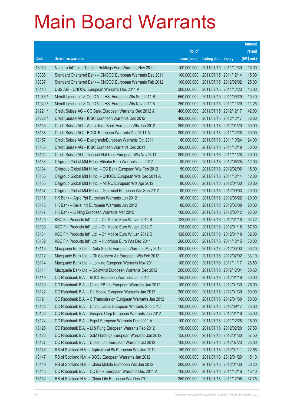|         |                                                              |               |                            |                       | <b>Amount</b> |
|---------|--------------------------------------------------------------|---------------|----------------------------|-----------------------|---------------|
|         |                                                              | No. of        |                            |                       | raised        |
| Code    | <b>Derivative warrants</b>                                   | issue (units) | <b>Listing date Expiry</b> |                       | (HK\$ mil.)   |
| 13059   | Nomura Int'l plc - Tencent Holdings Euro Warrants Nov 2011   | 100,000,000   |                            | 2011/07/15 2011/11/30 | 15.00         |
| 13086   | Standard Chartered Bank - CNOOC European Warrants Dec 2011   | 100,000,000   |                            | 2011/07/15 2011/12/14 | 15.00         |
| 13087   | Standard Chartered Bank - CNOOC European Warrants Feb 2012   | 100,000,000   |                            | 2011/07/15 2012/02/02 | 25.00         |
| 13110   | UBS AG - CNOOC European Warrants Dec 2011 A                  | 300,000,000   |                            | 2011/07/15 2011/12/23 | 45.00         |
| 11076 # | Merrill Lynch Int'l & Co. C.V. - HSI European Wts Sep 2011 B | 650,000,000   |                            | 2011/07/15 2011/09/29 | 10.40         |
| 11940 # | Merrill Lynch Int'l & Co. C.V. - HSI European Wts Nov 2011 A | 250,000,000   |                            | 2011/07/15 2011/11/29 | 11.25         |
| 21221 # | Credit Suisse AG - CC Bank European Warrants Dec 2012 A      | 400,000,000   |                            | 2011/07/15 2012/12/17 | 42.80         |
| 21222 # | Credit Suisse AG - ICBC European Warrants Dec 2012           | 400,000,000   |                            | 2011/07/15 2012/12/17 | 38.80         |
| 13155   | Credit Suisse AG - Agricultural Bank European Wts Jan 2012   | 200,000,000   |                            | 2011/07/18 2012/01/20 | 50.00         |
| 13158   | Credit Suisse AG - BOCL European Warrants Dec 2011 A         | 200,000,000   |                            | 2011/07/18 2011/12/28 | 30.00         |
| 13157   | Credit Suisse AG - EvergrandeEuropean Warrants Oct 2011      | 80,000,000    |                            | 2011/07/18 2011/10/24 | 24.00         |
| 13156   | Credit Suisse AG - ICBC European Warrants Dec 2011           | 200,000,000   | 2011/07/18 2011/12/19      |                       | 50.00         |
| 13154   | Credit Suisse AG - Tencent Holdings European Wts Nov 2011    | 200,000,000   |                            | 2011/07/18 2011/11/28 | 30.00         |
| 13133   | Citigroup Global Mkt H Inc.-Alibaba Euro Warrants Jun 2012   | 80,000,000    |                            | 2011/07/18 2012/06/25 | 12.00         |
| 13134   | Citigroup Global Mkt H Inc. - CC Bank European Wts Feb 2012  | 50,000,000    |                            | 2011/07/18 2012/02/06 | 15.00         |
| 13135   | Citigroup Global Mkt H Inc. - CNOOC European Wts Dec 2011 A  | 80,000,000    |                            | 2011/07/18 2011/12/14 | 12.00         |
| 13136   | Citigroup Global Mkt H Inc. - MTRC European Wts Apr 2012     | 80,000,000    |                            | 2011/07/18 2012/04/30 | 20.00         |
| 13137   | Citigroup Global Mkt H Inc. - Goldwind European Wts Sep 2012 | 80,000,000    |                            | 2011/07/18 2012/09/03 | 20.00         |
| 13115   | HK Bank - Agile Ppt European Warrants Jun 2012               | 80,000,000    |                            | 2011/07/18 2012/06/22 | 20.00         |
| 13116   | HK Bank - Belle Int'l European Warrants Jun 2012             | 80,000,000    |                            | 2011/07/18 2012/06/08 | 20.00         |
| 13117   | HK Bank - Li Ning European Warrants Mar 2012                 | 100,000,000   |                            | 2011/07/18 2012/03/12 | 25.00         |
| 13129   | KBC Fin Products Int'l Ltd. - Ch Mobile Euro Wt Jan 2012 B   | 128,000,000   |                            | 2011/07/18 2012/01/18 | 62.72         |
| 13130   | KBC Fin Products Int'l Ltd. - Ch Mobile Euro Wt Jan 2012 C   | 128,000,000   |                            | 2011/07/18 2012/01/18 | 57.60         |
| 13131   | KBC Fin Products Int'l Ltd. - Ch Mobile Euro Wt Jan 2012 D   | 128,000,000   | 2011/07/18 2012/01/18      |                       | 32.00         |
| 13132   | KBC Fin Products Int'l Ltd. - Hutchison Euro Wts Dec 2011    | 200,000,000   |                            | 2011/07/18 2011/12/15 | 60.00         |
| 13113   | Macquarie Bank Ltd. - Anta Sports European Warrants May 2012 | 200,000,000   | 2011/07/18 2012/05/03      |                       | 50.20         |
| 13112   | Macquarie Bank Ltd. – Ch Southern Air European Wts Feb 2012  | 100,000,000   | 2011/07/18 2012/02/02      |                       | 33.10         |
| 13114   | Macquarie Bank Ltd. - Lonking European Warrants Nov 2011     | 100,000,000   | 2011/07/18 2011/11/17      |                       | 28.50         |
| 13111   | Macquarie Bank Ltd. - Goldwind European Warrants Dec 2012    | 200,000,000   |                            | 2011/07/18 2012/12/04 | 50.60         |
| 13119   | CC Rabobank B.A. - BOCL European Warrants Jan 2012           | 150,000,000   |                            | 2011/07/18 2012/01/16 | 30.00         |
| 13120   | CC Rabobank B.A. - China EB Ltd European Warrants Jan 2012   | 100,000,000   |                            | 2011/07/18 2012/01/30 | 25.00         |
| 13122   | CC Rabobank B.A. - Ch Mobile European Warrants Jan 2012      | 200,000,000   |                            | 2011/07/18 2012/01/30 | 50.00         |
| 13121   | CC Rabobank B.A. - C Transmission European Warrants Jan 2012 | 100,000,000   |                            | 2011/07/18 2012/01/30 | 50.00         |
| 13128   | CC Rabobank B.A. - China Liansu European Warrants Sep 2012   | 100,000,000   | 2011/07/18 2012/09/17      |                       | 25.00         |
| 13123   | CC Rabobank B.A. - Sinopec Corp European Warrants Jan 2012   | 100,000,000   |                            | 2011/07/18 2012/01/16 | 55.00         |
| 13124   | CC Rabobank B.A. - Esprit European Warrants Dec 2011 A       | 100,000,000   |                            | 2011/07/18 2011/12/28 | 15.00         |
| 13125   | CC Rabobank B.A. - Li & Fung European Warrants Feb 2012      | 150,000,000   |                            | 2011/07/18 2012/02/20 | 37.50         |
| 13126   | CC Rabobank B.A. - SJM Holdings European Warrants Jan 2012   | 150,000,000   |                            | 2011/07/18 2012/01/30 | 37.50         |
| 13127   | CC Rabobank B.A. - United Lab European Warrants Jul 2012     | 100,000,000   |                            | 2011/07/18 2012/07/23 | 25.00         |
| 13146   | RB of Scotland N.V. - Agricultural Bk European Wts Jan 2012  | 150,000,000   | 2011/07/18 2012/01/11      |                       | 22.65         |
| 13147   | RB of Scotland N.V. - BOCL European Warrants Jan 2012        | 100,000,000   |                            | 2011/07/18 2012/01/20 | 15.10         |
| 13149   | RB of Scotland N.V. - China Mobile European Wts Jan 2012     | 200,000,000   |                            | 2011/07/18 2012/01/30 | 50.20         |
| 13148   | CC Rabobank B.A. - CC Bank European Warrants Dec 2011 A      | 100,000,000   |                            | 2011/07/18 2011/12/16 | 15.10         |
| 13152   | RB of Scotland N.V. - China Life European Wts Dec 2011       | 250,000,000   | 2011/07/18 2011/12/05      |                       | 37.75         |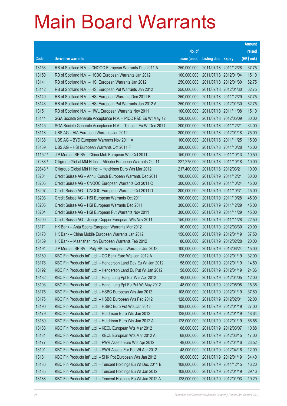|         |                                                                 |               |                            | <b>Amount</b> |
|---------|-----------------------------------------------------------------|---------------|----------------------------|---------------|
|         |                                                                 | No. of        |                            | raised        |
| Code    | <b>Derivative warrants</b>                                      | issue (units) | <b>Listing date Expiry</b> | (HK\$ mil.)   |
| 13153   | RB of Scotland N.V. - CNOOC European Warrants Dec 2011 A        | 250,000,000   | 2011/07/18 2011/12/28      | 37.75         |
| 13150   | RB of Scotland N.V. - HSBC European Warrants Jan 2012           | 100,000,000   | 2011/07/18 2012/01/04      | 15.10         |
| 13141   | RB of Scotland N.V. - HSI European Warrants Jan 2012            | 250,000,000   | 2011/07/18 2012/01/30      | 62.75         |
| 13142   | RB of Scotland N.V. - HSI European Put Warrants Jan 2012        | 250,000,000   | 2011/07/18 2012/01/30      | 62.75         |
| 13140   | RB of Scotland N.V. - HSI European Warrants Dec 2011 B          | 250,000,000   | 2011/07/18 2011/12/29      | 37.75         |
| 13143   | RB of Scotland N.V. - HSI European Put Warrants Jan 2012 A      | 250,000,000   | 2011/07/18 2012/01/30      | 62.75         |
| 13151   | RB of Scotland N.V. - HWL European Warrants Nov 2011            | 100,000,000   | 2011/07/18 2011/11/08      | 15.10         |
| 13144   | SGA Societe Generale Acceptance N.V. - PICC P&C Eu Wt May 12    | 120,000,000   | 2011/07/18 2012/05/09      | 30.00         |
| 13145   | SGA Societe Generale Acceptance N.V. - Tencent Eu Wt Dec 2011   | 200,000,000   | 2011/07/18 2011/12/21      | 34.00         |
| 13118   | UBS AG - AIA European Warrants Jan 2012                         | 300,000,000   | 2011/07/18 2012/01/18      | 75.00         |
| 13138   | UBS AG - BYD European Warrants Nov 2011 A                       | 100,000,000   | 2011/07/18 2011/11/25      | 15.00         |
| 13139   | UBS AG - HSI European Warrants Oct 2011 F                       | 300,000,000   | 2011/07/18 2011/10/28      | 45.00         |
| 11152 # | J P Morgan SP BV - China Mob European Wts Oct 2011              | 150,000,000   | 2011/07/18 2011/10/13      | 10.50         |
| 27288 # | Citigroup Global Mkt H Inc. - Alibaba European Warrants Oct 11  | 227,275,000   | 2011/07/18 2011/10/18      | 10.00         |
| 29843 # | Citigroup Global Mkt H Inc. - Hutchison Euro Wts Mar 2012       | 217,400,000   | 2011/07/18 2012/03/21      | 10.00         |
| 13201   | Credit Suisse AG - Anhui Conch European Warrants Dec 2011       | 100,000,000   | 2011/07/19 2011/12/21      | 30.00         |
| 13206   | Credit Suisse AG - CNOOC European Warrants Oct 2011 C           | 300,000,000   | 2011/07/19 2011/10/24      | 45.00         |
| 13207   | Credit Suisse AG - CNOOC European Warrants Oct 2011 D           | 300,000,000   | 2011/07/19 2011/10/31      | 45.00         |
| 13203   | Credit Suisse AG - HSI European Warrants Oct 2011               | 300,000,000   | 2011/07/19 2011/10/28      | 45.00         |
| 13205   | Credit Suisse AG - HSI European Warrants Dec 2011               | 300,000,000   | 2011/07/19 2011/12/29      | 45.00         |
| 13204   | Credit Suisse AG - HSI European Put Warrants Nov 2011           | 300,000,000   | 2011/07/19 2011/11/29      | 45.00         |
| 13200   | Credit Suisse AG - Jiangxi Copper European Wts Nov 2011         | 150,000,000   | 2011/07/19 2011/11/28      | 22.50         |
| 13171   | HK Bank - Anta Sports European Warrants Mar 2012                | 80,000,000    | 2011/07/19 2012/03/30      | 20.00         |
| 13170   | HK Bank – China Mobile European Warrants Jan 2012               | 150,000,000   | 2011/07/19 2012/01/19      | 37.50         |
| 13169   | HK Bank - Maanshan Iron European Warrants Feb 2012              | 80,000,000    | 2011/07/19 2012/02/28      | 20.00         |
| 13194   | J P Morgan SP BV - Poly HK Inv European Warrants Jun 2013       | 100,000,000   | 2011/07/19 2013/06/24      | 15.00         |
| 13189   | KBC Fin Products Int'l Ltd. – CC Bank Euro Wts Jan 2012 A       | 128,000,000   | 2011/07/19 2012/01/19      | 32.00         |
| 13178   | KBC Fin Products Int'l Ltd. - Henderson Land Dev Eu Wt Jan 2012 | 58,000,000    | 2011/07/19 2012/01/19      | 14.50         |
| 13192   | KBC Fin Products Int'l Ltd. - Henderson Land Eu Put Wt Jan 2012 | 58,000,000    | 2011/07/19 2012/01/19      | 24.36         |
| 13182   | KBC Fin Products Int'l Ltd. - Hang Lung Ppt Eur Wts Apr 2012    | 48,000,000    | 2011/07/19 2012/04/05      | 12.00         |
| 13193   | KBC Fin Products Int'l Ltd. - Hang Lung Ppt Eu Put Wt May 2012  | 48,000,000    | 2011/07/19 2012/05/08      | 15.36         |
| 13175   | KBC Fin Products Int'l Ltd. - HSBC European Wts Jan 2012        | 108,000,000   | 2011/07/19 2012/01/19      | 37.80         |
| 13176   | KBC Fin Products Int'l Ltd. - HSBC European Wts Feb 2012        | 128,000,000   | 2011/07/19 2012/02/01      | 32.00         |
| 13190   | KBC Fin Products Int'l Ltd. - HSBC Euro Put Wts Jan 2012        | 108,000,000   | 2011/07/19 2012/01/19      | 27.00         |
| 13179   | KBC Fin Products Int'l Ltd. - Hutchison Euro Wts Jan 2012       | 128,000,000   | 2011/07/19 2012/01/19      | 48.64         |
| 13180   | KBC Fin Products Int'l Ltd. - Hutchison Euro Wts Jan 2012 A     | 128,000,000   | 2011/07/19 2012/01/19      | 66.56         |
| 13183   | KBC Fin Products Int'l Ltd. - KECL European Wts Mar 2012        | 68,000,000    | 2011/07/19 2012/03/07      | 10.88         |
| 13184   | KBC Fin Products Int'l Ltd. - KECL European Wts Mar 2012 A      | 68,000,000    | 2011/07/19 2012/03/15      | 17.00         |
| 13177   | KBC Fin Products Int'l Ltd. - PWR Assets Euro Wts Apr 2012      | 48,000,000    | 2011/07/19 2012/04/16      | 23.52         |
| 13191   | KBC Fin Products Int'l Ltd. - PWR Assets Eur Put Wt Apr 2012    | 48,000,000    | 2011/07/19 2012/04/16      | 12.00         |
| 13181   | KBC Fin Products Int'l Ltd. - SHK Ppt European Wts Jan 2012     | 80,000,000    | 2011/07/19 2012/01/19      | 34.40         |
| 13186   | KBC Fin Products Int'l Ltd. - Tencent Holdings Eu Wt Dec 2011 B | 108,000,000   | 2011/07/19 2011/12/15      | 16.20         |
| 13185   | KBC Fin Products Int'l Ltd. - Tencent Holdings Eu Wt Jan 2012   | 108,000,000   | 2011/07/19 2012/01/19      | 29.16         |
| 13188   | KBC Fin Products Int'l Ltd. - Tencent Holdings Eu Wt Jan 2012 A | 128,000,000   | 2011/07/19 2012/01/03      | 19.20         |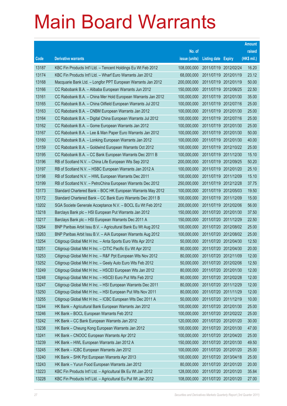|       |                                                                |               |                            |                       | <b>Amount</b> |
|-------|----------------------------------------------------------------|---------------|----------------------------|-----------------------|---------------|
|       |                                                                | No. of        |                            |                       | raised        |
| Code  | <b>Derivative warrants</b>                                     | issue (units) | <b>Listing date Expiry</b> |                       | (HK\$ mil.)   |
| 13187 | KBC Fin Products Int'l Ltd. - Tencent Holdings Eu Wt Feb 2012  | 108,000,000   | 2011/07/19 2012/02/24      |                       | 16.20         |
| 13174 | KBC Fin Products Int'l Ltd. - Wharf Euro Warrants Jan 2012     | 68,000,000    | 2011/07/19 2012/01/19      |                       | 23.12         |
| 13168 | Macquarie Bank Ltd. - Longfor PPT European Warrants Jan 2012   | 200,000,000   | 2011/07/19 2012/01/19      |                       | 50.00         |
| 13166 | CC Rabobank B.A. - Alibaba European Warrants Jun 2012          | 150,000,000   |                            | 2011/07/19 2012/06/25 | 22.50         |
| 13161 | CC Rabobank B.A. - China Mer Hold European Warrants Jan 2012   | 100,000,000   |                            | 2011/07/19 2012/01/30 | 35.00         |
| 13165 | CC Rabobank B.A. - China Oilfield European Warrants Jul 2012   | 100,000,000   |                            | 2011/07/19 2012/07/16 | 25.00         |
| 13163 | CC Rabobank B.A. - CNBM European Warrants Jan 2012             | 100,000,000   | 2011/07/19 2012/01/30      |                       | 25.00         |
| 13164 | CC Rabobank B.A. - Digital China European Warrants Jul 2012    | 100,000,000   |                            | 2011/07/19 2012/07/16 | 25.00         |
| 13162 | CC Rabobank B.A. - Gome European Warrants Jan 2012             | 100,000,000   |                            | 2011/07/19 2012/01/30 | 25.00         |
| 13167 | CC Rabobank B.A. - Lee & Man Paper Euro Warrants Jan 2012      | 100,000,000   |                            | 2011/07/19 2012/01/30 | 50.00         |
| 13160 | CC Rabobank B.A. - Lonking European Warrants Jan 2012          | 100,000,000   | 2011/07/19 2012/01/30      |                       | 40.00         |
| 13159 | CC Rabobank B.A. - Goldwind European Warrants Oct 2012         | 100,000,000   |                            | 2011/07/19 2012/10/22 | 25.00         |
| 13195 | CC Rabobank B.A. - CC Bank European Warrants Dec 2011 B        | 100,000,000   |                            | 2011/07/19 2011/12/30 | 15.10         |
| 13196 | RB of Scotland N.V. - China Life European Wts Sep 2012         | 200,000,000   |                            | 2011/07/19 2012/09/25 | 50.20         |
| 13197 | RB of Scotland N.V. - HSBC European Warrants Jan 2012 A        | 100,000,000   |                            | 2011/07/19 2012/01/20 | 25.10         |
| 13198 | RB of Scotland N.V. - HWL European Warrants Dec 2011           | 100,000,000   |                            | 2011/07/19 2011/12/09 | 15.10         |
| 13199 | RB of Scotland N.V. - PetroChina European Warrants Dec 2012    | 250,000,000   |                            | 2011/07/19 2012/12/28 | 37.75         |
| 13173 | Standard Chartered Bank - BOC HK European Warrants May 2012    | 100,000,000   |                            | 2011/07/19 2012/05/03 | 19.50         |
| 13172 | Standard Chartered Bank - CC Bank Euro Warrants Dec 2011 B     | 100,000,000   | 2011/07/19 2011/12/09      |                       | 15.00         |
| 13202 | SGA Societe Generale Acceptance N.V. - BOCL Eu Wt Feb 2012     | 200,000,000   |                            | 2011/07/19 2012/02/06 | 56.00         |
| 13218 | Barclays Bank plc - HSI European Put Warrants Jan 2012         | 150,000,000   |                            | 2011/07/20 2012/01/30 | 37.50         |
| 13217 | Barclays Bank plc - HSI European Warrants Dec 2011 A           | 150,000,000   |                            | 2011/07/20 2011/12/29 | 22.50         |
| 13264 | BNP Paribas Arbit Issu B.V. - Agricultural Bank Eu Wt Aug 2012 | 100,000,000   |                            | 2011/07/20 2012/08/02 | 25.00         |
| 13263 | BNP Paribas Arbit Issu B.V. - AIA European Warrants Aug 2012   | 100,000,000   |                            | 2011/07/20 2012/08/02 | 25.00         |
| 13254 | Citigroup Global Mkt H Inc. - Anta Sports Euro Wts Apr 2012    | 50,000,000    |                            | 2011/07/20 2012/04/30 | 12.50         |
| 13251 | Citigroup Global Mkt H Inc. - CITIC Pacific Eu Wt Apr 2012     | 80,000,000    | 2011/07/20 2012/04/30      |                       | 20.00         |
| 13253 | Citigroup Global Mkt H Inc. - R&F Ppt European Wts Nov 2012    | 80,000,000    |                            | 2011/07/20 2012/11/09 | 12.00         |
| 13252 | Citigroup Global Mkt H Inc. - Geely Auto Euro Wts Feb 2012     | 50,000,000    | 2011/07/20 2012/02/06      |                       | 12.50         |
| 13249 | Citigroup Global Mkt H Inc. - HSCEI European Wts Jan 2012      | 80,000,000    | 2011/07/20 2012/01/30      |                       | 12.00         |
| 13248 | Citigroup Global Mkt H Inc. - HSCEI Euro Put Wts Feb 2012      | 80,000,000    |                            | 2011/07/20 2012/02/28 | 12.00         |
| 13247 | Citigroup Global Mkt H Inc. - HSI European Warrants Dec 2011   | 80,000,000    | 2011/07/20 2011/12/29      |                       | 12.00         |
| 13250 | Citigroup Global Mkt H Inc. - HSI European Put Wts Nov 2011    | 80,000,000    | 2011/07/20 2011/11/29      |                       | 12.00         |
| 13255 | Citigroup Global Mkt H Inc. - ICBC European Wts Dec 2011 A     | 50,000,000    | 2011/07/20 2011/12/19      |                       | 10.00         |
| 13244 | HK Bank - Agricultural Bank European Warrants Jan 2012         | 100,000,000   |                            | 2011/07/20 2012/01/30 | 25.00         |
| 13246 | HK Bank - BOCL European Warrants Feb 2012                      | 100,000,000   |                            | 2011/07/20 2012/02/22 | 25.00         |
| 13242 | HK Bank - CC Bank European Warrants Jan 2012                   | 120,000,000   | 2011/07/20 2012/01/20      |                       | 30.00         |
| 13238 | HK Bank - Cheung Kong European Warrants Jan 2012               | 100,000,000   | 2011/07/20 2012/01/30      |                       | 47.00         |
| 13241 | HK Bank - CNOOC European Warrants Apr 2012                     | 100,000,000   | 2011/07/20 2012/04/20      |                       | 25.00         |
| 13239 | HK Bank - HWL European Warrants Jan 2012 A                     | 150,000,000   | 2011/07/20 2012/01/30      |                       | 49.50         |
| 13245 | HK Bank - ICBC European Warrants Jan 2012                      | 100,000,000   | 2011/07/20 2012/01/20      |                       | 25.00         |
| 13240 | HK Bank - SHK Ppt European Warrants Apr 2013                   | 100,000,000   | 2011/07/20 2013/04/18      |                       | 25.00         |
| 13243 | HK Bank - Yurun Food European Warrants Jan 2012                | 80,000,000    | 2011/07/20 2012/01/20      |                       | 20.00         |
| 13223 | KBC Fin Products Int'l Ltd. - Agricultural Bk Eu Wt Jan 2012   | 128,000,000   | 2011/07/20 2012/01/20      |                       | 35.84         |
| 13228 | KBC Fin Products Int'l Ltd. - Agricultural Eu Put Wt Jan 2012  | 108,000,000   | 2011/07/20 2012/01/20      |                       | 27.00         |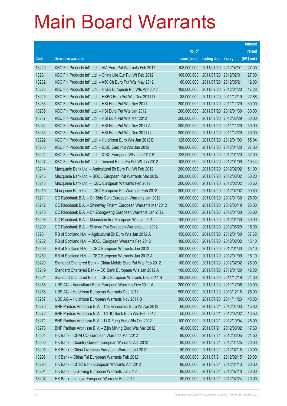|       |                                                               |               |                            |                       | <b>Amount</b> |
|-------|---------------------------------------------------------------|---------------|----------------------------|-----------------------|---------------|
|       |                                                               | No. of        |                            |                       | raised        |
| Code  | <b>Derivative warrants</b>                                    | issue (units) | <b>Listing date Expiry</b> |                       | (HK\$ mil.)   |
| 13229 | KBC Fin Products Int'l Ltd. - AIA Euro Put Warrants Feb 2012  | 108,000,000   | 2011/07/20 2012/02/01      |                       | 27.00         |
| 13231 | KBC Fin Products Int'l Ltd. - China Life Eur Put Wt Feb 2012  | 108,000,000   | 2011/07/20 2012/02/01      |                       | 27.00         |
| 13232 | KBC Fin Products Int'l Ltd. - A50 Ch Euro Put Wts May 2012    | 80,000,000    | 2011/07/20 2012/05/21      |                       | 12.00         |
| 13226 | KBC Fin Products Int'l Ltd. - HKEx European Put Wts Apr 2012  | 108.000.000   |                            | 2011/07/20 2012/04/20 | 17.28         |
| 13225 | KBC Fin Products Int'l Ltd. - HSBC Euro Put Wts Dec 2011 D    | 88,000,000    |                            | 2011/07/20 2011/12/19 | 22.88         |
| 13233 | KBC Fin Products Int'l Ltd. - HSI Euro Put Wts Nov 2011       | 200,000,000   | 2011/07/20 2011/11/29      |                       | 30.00         |
| 13236 | KBC Fin Products Int'l Ltd. - HSI Euro Put Wts Jan 2012       | 200,000,000   |                            | 2011/07/20 2012/01/30 | 30.00         |
| 13237 | KBC Fin Products Int'l Ltd. - HSI Euro Put Wts Mar 2012       | 200,000,000   | 2011/07/20 2012/03/29      |                       | 30.00         |
| 13234 | KBC Fin Products Int'l Ltd. - HSI Euro Put Wts Nov 2011 A     | 200,000,000   |                            | 2011/07/20 2011/11/29 | 30.00         |
| 13235 | KBC Fin Products Int'l Ltd. - HSI Euro Put Wts Dec 2011 C     | 200,000,000   | 2011/07/20 2011/12/29      |                       | 30.00         |
| 13222 | KBC Fin Products Int'l Ltd. - Hutchison Euro Wts Jan 2012 B   | 128,000,000   |                            | 2011/07/20 2012/01/03 | 55.04         |
| 13230 | KBC Fin Products Int'l Ltd. - ICBC Euro Put Wts Jan 2012      | 108,000,000   |                            | 2011/07/20 2012/01/20 | 27.00         |
| 13224 | KBC Fin Products Int'l Ltd. - ICBC European Wts Jan 2012 B    | 128,000,000   |                            | 2011/07/20 2012/01/20 | 32.00         |
| 13227 | KBC Fin Products Int'l Ltd - Tencent Hidgs Eu Put Wt Jan 2012 | 108,000,000   | 2011/07/20 2012/01/09      |                       | 19.44         |
| 13214 | Macquarie Bank Ltd. - Agricultural Bk Euro Put Wt Feb 2012    | 200,000,000   |                            | 2011/07/20 2012/02/02 | 51.00         |
| 13215 | Macquarie Bank Ltd. - BOCL European Put Warrants Mar 2012     | 200,000,000   | 2011/07/20 2012/03/02      |                       | 50.20         |
| 13213 | Macquarie Bank Ltd. - ICBC European Warrants Feb 2012         | 200,000,000   |                            | 2011/07/20 2012/02/02 | 53.60         |
| 13216 | Macquarie Bank Ltd. - ICBC European Put Warrants Feb 2012     | 200,000,000   |                            | 2011/07/20 2012/02/02 | 50.80         |
| 13211 | CC Rabobank B.A. - Ch Ship Cont European Warrants Jan 2012    | 100,000,000   |                            | 2011/07/20 2012/01/30 | 25.00         |
| 13212 | CC Rabobank B.A. - Shineway Pharm European Warrants Mar 2012  | 100,000,000   | 2011/07/20 2012/03/19      |                       | 25.00         |
| 13210 | CC Rabobank B.A. - Ch Zhongwang European Warrants Jan 2012    | 100,000,000   |                            | 2011/07/20 2012/01/30 | 35.00         |
| 13208 | CC Rabobank B.A. - Maanshan Iron European Wts Jan 2012        | 100,000,000   |                            | 2011/07/20 2012/01/30 | 30.00         |
| 13209 | CC Rabobank B.A. - Shimao Ppt European Warrants Jun 2012      | 100,000,000   | 2011/07/20 2012/06/29      |                       | 15.00         |
| 13261 | RB of Scotland N.V. - Agricultural Bk Euro Wts Jan 2012 A     | 150,000,000   |                            | 2011/07/20 2012/01/30 | 37.65         |
| 13262 | RB of Scotland N.V. - BOCL European Warrants Feb 2012         | 100,000,000   |                            | 2011/07/20 2012/02/02 | 15.10         |
| 13259 | RB of Scotland N.V. - ICBC European Warrants Jan 2012         | 100,000,000   | 2011/07/20 2012/01/30      |                       | 25.10         |
| 13260 | RB of Scotland N.V. - ICBC European Warrants Jan 2012 A       | 100,000,000   | 2011/07/20 2012/01/09      |                       | 15.10         |
| 13220 | Standard Chartered Bank - China Mobile Euro Put Wts Feb 2012  | 100,000,000   | 2011/07/20 2012/02/02      |                       | 25.00         |
| 13219 | Standard Chartered Bank - CC Bank European Wts Jan 2012 A     | 100,000,000   |                            | 2011/07/20 2012/01/20 | 42.00         |
| 13221 | Standard Chartered Bank - ICBC European Warrants Dec 2011 B   | 100,000,000   | 2011/07/20 2011/12/19      |                       | 24.00         |
| 13256 | UBS AG - Agricultural Bank European Warrants Dec 2011 A       | 200,000,000   |                            | 2011/07/20 2011/12/06 | 30.00         |
| 13258 | UBS AG - Hutchison European Warrants Dec 2013                 | 500,000,000   | 2011/07/20 2013/12/16      |                       | 75.00         |
| 13257 | UBS AG - Hutchison European Warrants Nov 2011 B               | 300,000,000   |                            | 2011/07/20 2011/11/23 | 45.00         |
| 13270 | BNP Paribas Arbit Issu B.V. - Chi Resources Euro Wt Apr 2012  | 60,000,000    | 2011/07/21 2012/04/03      |                       | 15.60         |
| 13272 | BNP Paribas Arbit Issu B.V. - CITIC Bank Euro Wts Feb 2012    | 50,000,000    |                            | 2011/07/21 2012/02/02 | 13.50         |
| 13271 | BNP Paribas Arbit Issu B.V. - Li & Fung Euro Wts Oct 2012     | 100,000,000   | 2011/07/21 2012/10/04      |                       | 25.00         |
| 13273 | BNP Paribas Arbit Issu B.V. - Zijin Mining Euro Wts Mar 2012  | 40,000,000    | 2011/07/21                 | 2012/03/02            | 17.60         |
| 13301 | HK Bank - CHALCO European Warrants Mar 2012                   | 80,000,000    | 2011/07/21 2012/03/05      |                       | 21.60         |
| 13300 | HK Bank - Country Garden European Warrants Apr 2012           | 80,000,000    | 2011/07/21                 | 2012/04/25            | 20.00         |
| 13295 | HK Bank - China Overseas European Warrants Jul 2012           | 80,000,000    | 2011/07/21 2012/07/18      |                       | 20.00         |
| 13296 | HK Bank - China Tel European Warrants Feb 2012                | 80,000,000    | 2011/07/21                 | 2012/02/15            | 20.00         |
| 13298 | HK Bank - CITIC Bank European Warrants Apr 2012               | 80,000,000    | 2011/07/21 2012/04/13      |                       | 20.00         |
| 13294 | HK Bank - Li & Fung European Warrants Jul 2012                | 80,000,000    | 2011/07/21                 | 2012/07/10            | 20.00         |
| 13297 | HK Bank - Lenovo European Warrants Feb 2012                   | 80,000,000    | 2011/07/21                 | 2012/02/24            | 20.00         |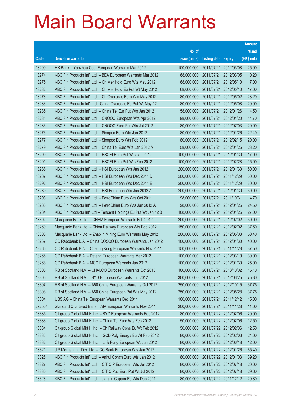|        |                                                                  |               |                            |                       | <b>Amount</b> |
|--------|------------------------------------------------------------------|---------------|----------------------------|-----------------------|---------------|
|        |                                                                  | No. of        |                            |                       | raised        |
| Code   | <b>Derivative warrants</b>                                       | issue (units) | <b>Listing date Expiry</b> |                       | (HK\$ mil.)   |
| 13299  | HK Bank - Yanzhou Coal European Warrants Mar 2012                | 100,000,000   |                            | 2011/07/21 2012/03/08 | 25.00         |
| 13274  | KBC Fin Products Int'l Ltd. - BEA European Warrants Mar 2012     | 68,000,000    |                            | 2011/07/21 2012/03/05 | 10.20         |
| 13275  | KBC Fin Products Int'l Ltd. - Ch Mer Hold Euro Wts May 2012      | 68,000,000    |                            | 2011/07/21 2012/05/10 | 17.00         |
| 13282  | KBC Fin Products Int'l Ltd. - Ch Mer Hold Eu Put Wt May 2012     | 68,000,000    |                            | 2011/07/21 2012/05/10 | 17.00         |
| 13278  | KBC Fin Products Int'l Ltd. - Ch Overseas Euro Wts May 2012      | 80,000,000    |                            | 2011/07/21 2012/05/02 | 23.20         |
| 13283  | KBC Fin Products Int'l Ltd.- China Overseas Eu Put Wt May 12     | 80,000,000    |                            | 2011/07/21 2012/05/08 | 20.00         |
| 13285  | KBC Fin Products Int'l Ltd. - China Tel Eur Put Wts Jan 2012     | 58,000,000    |                            | 2011/07/21 2012/01/26 | 14.50         |
| 13281  | KBC Fin Products Int'l Ltd. - CNOOC European Wts Apr 2012        | 98,000,000    |                            | 2011/07/21 2012/04/20 | 14.70         |
| 13286  | KBC Fin Products Int'l Ltd. - CNOOC Euro Put Wts Jul 2012        | 80,000,000    |                            | 2011/07/21 2012/07/03 | 20.00         |
| 13276  | KBC Fin Products Int'l Ltd. - Sinopec Euro Wts Jan 2012          | 80,000,000    |                            | 2011/07/21 2012/01/26 | 22.40         |
| 13277  | KBC Fin Products Int'l Ltd. - Sinopec Euro Wts Feb 2012          | 80,000,000    |                            | 2011/07/21 2012/02/15 | 20.00         |
| 13279  | KBC Fin Products Int'l Ltd. - China Tel Euro Wts Jan 2012 A      | 58,000,000    |                            | 2011/07/21 2012/01/26 | 23.20         |
| 13290  | KBC Fin Products Int'l Ltd. - HSCEI Euro Put Wts Jan 2012        | 100,000,000   |                            | 2011/07/21 2012/01/30 | 17.00         |
| 13291  | KBC Fin Products Int'l Ltd. - HSCEI Euro Put Wts Feb 2012        | 100,000,000   |                            | 2011/07/21 2012/02/28 | 15.00         |
| 13288  | KBC Fin Products Int'l Ltd. - HSI European Wts Jan 2012          | 200,000,000   |                            | 2011/07/21 2012/01/30 | 50.00         |
| 13287  | KBC Fin Products Int'l Ltd. - HSI European Wts Dec 2011 D        | 200,000,000   |                            | 2011/07/21 2011/12/29 | 30.00         |
| 13292  | KBC Fin Products Int'l Ltd. - HSI European Wts Dec 2011 E        | 200,000,000   |                            | 2011/07/21 2011/12/29 | 30.00         |
| 13289  | KBC Fin Products Int'l Ltd. - HSI European Wts Jan 2012 A        | 200,000,000   |                            | 2011/07/21 2012/01/30 | 50.00         |
| 13293  | KBC Fin Products Int'l Ltd. - PetroChina Euro Wts Oct 2011       | 98,000,000    |                            | 2011/07/21 2011/10/31 | 14.70         |
| 13280  | KBC Fin Products Int'l Ltd. - PetroChina Euro Wts Jan 2012 A     | 98,000,000    |                            | 2011/07/21 2012/01/26 | 24.50         |
| 13284  | KBC Fin Products Int'l Ltd - Tencent Holdings Eu Put Wt Jan 12 B | 108,000,000   |                            | 2011/07/21 2012/01/26 | 27.00         |
| 13302  | Macquarie Bank Ltd. - CNBM European Warrants Feb 2012            | 200,000,000   |                            | 2011/07/21 2012/02/02 | 50.00         |
| 13269  | Macquarie Bank Ltd. - China Railway European Wts Feb 2012        | 150,000,000   |                            | 2011/07/21 2012/02/02 | 37.50         |
| 13303  | Macquarie Bank Ltd. - Zhaojin Mining Euro Warrants May 2012      | 200,000,000   |                            | 2011/07/21 2012/05/03 | 50.40         |
| 13267  | CC Rabobank B.A. - China COSCO European Warrants Jan 2012        | 100,000,000   |                            | 2011/07/21 2012/01/30 | 40.00         |
| 13265  | CC Rabobank B.A. - Cheung Kong European Warrants Nov 2011        | 150,000,000   |                            | 2011/07/21 2011/11/28 | 37.50         |
| 13266  | CC Rabobank B.A. - Datang European Warrants Mar 2012             | 100,000,000   | 2011/07/21                 | 2012/03/19            | 30.00         |
| 13268  | CC Rabobank B.A. - MCC European Warrants Jan 2012                | 100,000,000   |                            | 2011/07/21 2012/01/30 | 25.00         |
| 13306  | RB of Scotland N.V. - CHALCO European Warrants Oct 2013          | 100,000,000   |                            | 2011/07/21 2013/10/02 | 15.10         |
| 13305  | RB of Scotland N.V. - BYD European Warrants Jun 2012             | 300,000,000   |                            | 2011/07/21 2012/06/25 | 75.30         |
| 13307  | RB of Scotland N.V. - A50 China European Warrants Oct 2012       | 250,000,000   |                            | 2011/07/21 2012/10/15 | 37.75         |
| 13308  | RB of Scotland N.V. - A50 China European Put Wts May 2012        | 250,000,000   |                            | 2011/07/21 2012/05/28 | 37.75         |
| 13304  | UBS AG - China Tel European Warrants Dec 2011                    | 100,000,000   |                            | 2011/07/21 2011/12/12 | 15.00         |
| 27250# | Standard Chartered Bank - AIA European Warrants Nov 2011         | 200,000,000   |                            | 2011/07/21 2011/11/28 | 11.00         |
| 13335  | Citigroup Global Mkt H Inc. - BYD European Warrants Feb 2012     | 80,000,000    |                            | 2011/07/22 2012/02/06 | 20.00         |
| 13333  | Citigroup Global Mkt H Inc. - China Tel Euro Wts Feb 2012        | 50,000,000    |                            | 2011/07/22 2012/02/06 | 12.50         |
| 13334  | Citigroup Global Mkt H Inc. - Ch Railway Cons Eu Wt Feb 2012     | 50,000,000    |                            | 2011/07/22 2012/02/06 | 12.50         |
| 13336  | Citigroup Global Mkt H Inc. - GCL-Poly Energy Eu Wt Feb 2012     | 80,000,000    |                            | 2011/07/22 2012/02/06 | 24.00         |
| 13332  | Citigroup Global Mkt H Inc. - Li & Fung European Wt Jun 2012     | 80,000,000    |                            | 2011/07/22 2012/06/18 | 12.00         |
| 13321  | J P Morgan Int'l Der. Ltd. - CC Bank European Wts Jan 2012       | 200,000,000   |                            | 2011/07/22 2012/01/26 | 65.40         |
| 13326  | KBC Fin Products Int'l Ltd. - Anhui Conch Euro Wts Jan 2012      | 80,000,000    |                            | 2011/07/22 2012/01/03 | 39.20         |
| 13327  | KBC Fin Products Int'l Ltd. - CITIC P European Wts Jul 2012      | 80,000,000    |                            | 2011/07/22 2012/07/18 | 20.00         |
| 13330  | KBC Fin Products Int'l Ltd. - CITIC Pac Euro Put Wt Jul 2012     | 80,000,000    |                            | 2011/07/22 2012/07/18 | 29.60         |
| 13328  | KBC Fin Products Int'l Ltd. - Jiangxi Copper Eu Wts Dec 2011     | 80,000,000    |                            | 2011/07/22 2011/12/12 | 20.80         |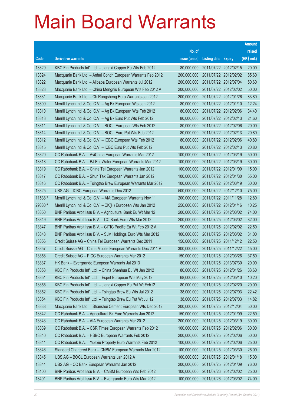|         |                                                               |               |                            |                       | <b>Amount</b> |
|---------|---------------------------------------------------------------|---------------|----------------------------|-----------------------|---------------|
|         |                                                               | No. of        |                            |                       | raised        |
| Code    | <b>Derivative warrants</b>                                    | issue (units) | <b>Listing date Expiry</b> |                       | (HK\$ mil.)   |
| 13329   | KBC Fin Products Int'l Ltd. - Jiangxi Copper Eu Wts Feb 2012  | 80,000,000    |                            | 2011/07/22 2012/02/15 | 20.00         |
| 13324   | Macquarie Bank Ltd. - Anhui Conch European Warrants Feb 2012  | 200,000,000   |                            | 2011/07/22 2012/02/02 | 85.60         |
| 13322   | Macquarie Bank Ltd. - Alibaba European Warrants Jul 2012      | 200,000,000   | 2011/07/22 2012/07/04      |                       | 50.60         |
| 13323   | Macquarie Bank Ltd. - China Mengniu European Wts Feb 2012 A   | 200,000,000   |                            | 2011/07/22 2012/02/02 | 50.00         |
| 13331   | Macquarie Bank Ltd. - Ch Rongsheng Euro Warrants Jan 2012     | 200,000,000   |                            | 2011/07/22 2012/01/26 | 83.80         |
| 13309   | Merrill Lynch Int'l & Co. C.V. - Ag Bk European Wts Jan 2012  | 80,000,000    |                            | 2011/07/22 2012/01/10 | 12.24         |
| 13310   | Merrill Lynch Int'l & Co. C.V. - Ag Bk European Wts Feb 2012  | 80,000,000    |                            | 2011/07/22 2012/02/06 | 34.40         |
| 13313   | Merrill Lynch Int'l & Co. C.V. - Ag Bk Euro Put Wts Feb 2012  | 80,000,000    |                            | 2011/07/22 2012/02/13 | 21.60         |
| 13311   | Merrill Lynch Int'l & Co. C.V. - BOCL European Wts Feb 2012   | 80,000,000    |                            | 2011/07/22 2012/02/06 | 20.00         |
| 13314   | Merrill Lynch Int'l & Co. C.V. - BOCL Euro Put Wts Feb 2012   | 80,000,000    |                            | 2011/07/22 2012/02/13 | 20.80         |
| 13312   | Merrill Lynch Int'l & Co. C.V. - ICBC European Wts Feb 2012   | 80,000,000    |                            | 2011/07/22 2012/02/06 | 40.80         |
| 13315   | Merrill Lynch Int'l & Co. C.V. - ICBC Euro Put Wts Feb 2012   | 80,000,000    |                            | 2011/07/22 2012/02/13 | 20.80         |
| 13320   | CC Rabobank B.A. - AviChina European Warrants Mar 2012        | 100,000,000   |                            | 2011/07/22 2012/03/19 | 50.00         |
| 13318   | CC Rabobank B.A. - BJ Ent Water European Warrants Mar 2012    | 100,000,000   |                            | 2011/07/22 2012/03/19 | 30.00         |
| 13319   | CC Rabobank B.A. - China Tel European Warrants Jan 2012       | 100,000,000   | 2011/07/22 2012/01/09      |                       | 15.00         |
| 13317   | CC Rabobank B.A. - Shun Tak European Warrants Jan 2012        | 100,000,000   |                            | 2011/07/22 2012/01/30 | 55.00         |
| 13316   | CC Rabobank B.A. - Tsingtao Brew European Warrants Mar 2012   | 100,000,000   |                            | 2011/07/22 2012/03/19 | 60.00         |
| 13325   | UBS AG - ICBC European Warrants Dec 2012                      | 500,000,000   |                            | 2011/07/22 2012/12/10 | 75.00         |
| 11538 # | Merrill Lynch Int'l & Co. C.V. - AIA European Warrants Nov 11 | 200,000,000   |                            | 2011/07/22 2011/11/28 | 12.80         |
| 29380 # | Merrill Lynch Int'l & Co. C.V. - CK(H) European Wts Jan 2012  | 250,000,000   |                            | 2011/07/22 2012/01/16 | 10.25         |
| 13350   | BNP Paribas Arbit Issu B.V. - Agricultural Bank Eu Wt Mar 12  | 200,000,000   |                            | 2011/07/25 2012/03/02 | 74.00         |
| 13349   | BNP Paribas Arbit Issu B.V. - CC Bank Euro Wts Mar 2012       | 200,000,000   |                            | 2011/07/25 2012/03/02 | 82.00         |
| 13347   | BNP Paribas Arbit Issu B.V. - CITIC Pacific Eu Wt Feb 2012 A  | 90,000,000    |                            | 2011/07/25 2012/02/02 | 22.50         |
| 13348   | BNP Paribas Arbit Issu B.V. - SJM Holdings Euro Wts Mar 2012  | 100,000,000   |                            | 2011/07/25 2012/03/02 | 31.00         |
| 13356   | Credit Suisse AG - China Tel European Warrants Dec 2011       | 150,000,000   |                            | 2011/07/25 2011/12/12 | 22.50         |
| 13357   | Credit Suisse AG - China Mobile European Warrants Dec 2011 A  | 300,000,000   |                            | 2011/07/25 2011/12/22 | 45.00         |
| 13358   | Credit Suisse AG - PICC European Warrants Mar 2012            | 150,000,000   |                            | 2011/07/25 2012/03/26 | 37.50         |
| 13337   | HK Bank - Evergrande European Warrants Jul 2013               | 80,000,000    | 2011/07/25 2013/07/30      |                       | 20.00         |
| 13353   | KBC Fin Products Int'l Ltd. - China Shenhua Eu Wt Jan 2012    | 80,000,000    |                            | 2011/07/25 2012/01/26 | 33.60         |
| 13351   | KBC Fin Products Int'l Ltd. - Esprit European Wts May 2012    | 68,000,000    |                            | 2011/07/25 2012/05/10 | 10.20         |
| 13355   | KBC Fin Products Int'l Ltd. - Jiangxi Copper Eu Put Wt Feb12  | 80,000,000    |                            | 2011/07/25 2012/02/20 | 20.00         |
| 13352   | KBC Fin Products Int'l Ltd. - Tsingtao Brew Eu Wts Jul 2012   | 38,000,000    | 2011/07/25 2012/07/03      |                       | 22.42         |
| 13354   | KBC Fin Products Int'l Ltd. - Tsingtao Brew Eu Put Wt Jul 12  | 38,000,000    |                            | 2011/07/25 2012/07/03 | 14.82         |
| 13338   | Macquarie Bank Ltd. - Shanshui Cement European Wts Dec 2012   | 200,000,000   | 2011/07/25 2012/12/04      |                       | 50.00         |
| 13342   | CC Rabobank B.A. - Agricultural Bk Euro Warrants Jan 2012     | 150,000,000   | 2011/07/25 2012/01/09      |                       | 22.50         |
| 13343   | CC Rabobank B.A. - AIA European Warrants Mar 2012             | 200,000,000   | 2011/07/25 2012/03/19      |                       | 30.00         |
| 13339   | CC Rabobank B.A. - CSR Times European Warrants Feb 2012       | 100,000,000   | 2011/07/25 2012/02/06      |                       | 30.00         |
| 13340   | CC Rabobank B.A. - HSBC European Warrants Feb 2012            | 200,000,000   | 2011/07/25 2012/02/06      |                       | 50.00         |
| 13341   | CC Rabobank B.A. - Yuexiu Property Euro Warrants Feb 2012     | 100,000,000   |                            | 2011/07/25 2012/02/06 | 25.00         |
| 13346   | Standard Chartered Bank - CNBM European Warrants Mar 2012     | 100,000,000   |                            | 2011/07/25 2012/03/30 | 26.00         |
| 13345   | UBS AG - BOCL European Warrants Jan 2012 A                    | 100,000,000   | 2011/07/25 2012/01/18      |                       | 15.00         |
| 13344   | UBS AG - CC Bank European Warrants Jan 2012                   | 200,000,000   | 2011/07/25 2012/01/09      |                       | 76.00         |
| 13400   | BNP Paribas Arbit Issu B.V. - CNBM European Wts Feb 2012      | 100,000,000   |                            | 2011/07/26 2012/02/02 | 25.00         |
| 13401   | BNP Paribas Arbit Issu B.V. - Evergrande Euro Wts Mar 2012    | 100,000,000   |                            | 2011/07/26 2012/03/02 | 74.00         |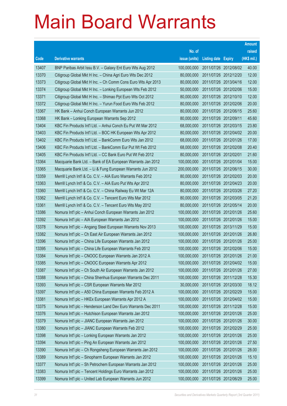|       |                                                              |               |                            | <b>Amount</b> |
|-------|--------------------------------------------------------------|---------------|----------------------------|---------------|
|       |                                                              | No. of        |                            | raised        |
| Code  | <b>Derivative warrants</b>                                   | issue (units) | <b>Listing date Expiry</b> | (HK\$ mil.)   |
| 13407 | BNP Paribas Arbit Issu B.V. - Galaxy Ent Euro Wts Aug 2012   | 100,000,000   | 2011/07/26 2012/08/02      | 40.00         |
| 13370 | Citigroup Global Mkt H Inc. - China Agri Euro Wts Dec 2012   | 80,000,000    | 2011/07/26 2012/12/20      | 12.00         |
| 13373 | Citigroup Global Mkt H Inc. - Ch Comm Cons Euro Wts Apr 2013 | 80,000,000    | 2011/07/26 2013/04/16      | 12.00         |
| 13374 | Citigroup Global Mkt H Inc. - Lonking European Wts Feb 2012  | 50,000,000    | 2011/07/26 2012/02/06      | 15.00         |
| 13371 | Citigroup Global Mkt H Inc. - Shimao Ppt Euro Wts Oct 2012   | 80,000,000    | 2011/07/26 2012/10/10      | 12.00         |
| 13372 | Citigroup Global Mkt H Inc. - Yurun Food Euro Wts Feb 2012   | 80,000,000    | 2011/07/26 2012/02/06      | 20.00         |
| 13367 | HK Bank - Anhui Conch European Warrants Jun 2012             | 80,000,000    | 2011/07/26 2012/06/15      | 25.60         |
| 13368 | HK Bank - Lonking European Warrants Sep 2012                 | 80,000,000    | 2011/07/26 2012/09/11      | 45.60         |
| 13404 | KBC Fin Products Int'l Ltd. - Anhui Conch Eu Put Wt Mar 2012 | 68,000,000    | 2011/07/26 2012/03/15      | 23.80         |
| 13403 | KBC Fin Products Int'l Ltd. - BOC HK European Wts Apr 2012   | 80,000,000    | 2011/07/26 2012/04/02      | 20.00         |
| 13402 | KBC Fin Products Int'l Ltd. - BankComm Euro Wts Jan 2012     | 68,000,000    | 2011/07/26 2012/01/26      | 17.00         |
| 13406 | KBC Fin Products Int'l Ltd. - BankComm Eur Put Wt Feb 2012   | 68,000,000    | 2011/07/26 2012/02/08      | 20.40         |
| 13405 | KBC Fin Products Int'l Ltd. - CC Bank Euro Put Wt Feb 2012   | 80,000,000    | 2011/07/26 2012/02/01      | 21.60         |
| 13364 | Macquarie Bank Ltd. - Bank of EA European Warrants Jan 2012  | 100,000,000   | 2011/07/26 2012/01/04      | 15.00         |
| 13365 | Macquarie Bank Ltd. - Li & Fung European Warrants Jun 2012   | 200,000,000   | 2011/07/26 2012/06/15      | 30.00         |
| 13359 | Merrill Lynch Int'l & Co. C.V. - AIA Euro Warrants Feb 2012  | 80,000,000    | 2011/07/26 2012/02/03      | 20.00         |
| 13363 | Merrill Lynch Int'l & Co. C.V. - AIA Euro Put Wts Apr 2012   | 80,000,000    | 2011/07/26 2012/04/23      | 20.00         |
| 13360 | Merrill Lynch Int'l & Co. C.V. - China Railway Eu Wt Mar 12A | 80,000,000    | 2011/07/26 2012/03/26      | 27.20         |
| 13362 | Merrill Lynch Int'l & Co. C.V. - Tencent Euro Wts Mar 2012   | 80,000,000    | 2011/07/26 2012/03/05      | 21.20         |
| 13361 | Merrill Lynch Int'l & Co. C.V. - Tencent Euro Wts May 2012   | 80,000,000    | 2011/07/26 2012/05/14      | 20.00         |
| 13386 | Nomura Int'l plc - Anhui Conch European Warrants Jan 2012    | 100,000,000   | 2011/07/26 2012/01/26      | 25.60         |
| 13392 | Nomura Int'l plc - AIA European Warrants Jan 2012            | 100,000,000   | 2011/07/26 2012/01/26      | 15.00         |
| 13378 | Nomura Int'l plc - Angang Steel European Warrants Nov 2013   | 100,000,000   | 2011/07/26 2013/11/29      | 15.00         |
| 13382 | Nomura Int'l plc - Ch East Air European Warrants Jan 2012    | 100,000,000   | 2011/07/26 2012/01/26      | 26.80         |
| 13396 | Nomura Int'l plc - China Life European Warrants Jan 2012     | 100,000,000   | 2011/07/26 2012/01/26      | 25.00         |
| 13395 | Nomura Int'l plc - China Life European Warrants Feb 2012     | 100,000,000   | 2011/07/26 2012/02/06      | 15.00         |
| 13384 | Nomura Int'l plc - CNOOC European Warrants Jan 2012 A        | 100,000,000   | 2011/07/26 2012/01/26      | 21.00         |
| 13385 | Nomura Int'l plc - CNOOC European Warrants Apr 2012          | 100,000,000   | 2011/07/26 2012/04/02      | 15.00         |
| 13387 | Nomura Int'l plc - Ch South Air European Warrants Jan 2012   | 100,000,000   | 2011/07/26 2012/01/26      | 27.00         |
| 13388 | Nomura Int'l plc - China Shenhua European Warrants Dec 2011  | 100,000,000   | 2011/07/26 2011/12/28      | 15.30         |
| 13393 | Nomura Int'l plc - CSR European Warrants Mar 2012            | 30,000,000    | 2011/07/26 2012/03/30      | 18.12         |
| 13397 | Nomura Int'l plc - A50 China European Warrants Feb 2012 A    | 100,000,000   | 2011/07/26 2012/02/29      | 15.00         |
| 13381 | Nomura Int'l plc - HKEx European Warrants Apr 2012 A         | 100,000,000   | 2011/07/26 2012/04/02      | 15.00         |
| 13375 | Nomura Int'l plc - Henderson Land Dev Euro Warrants Dec 2011 | 100,000,000   | 2011/07/26 2011/12/28      | 15.00         |
| 13376 | Nomura Int'l plc - Hutchison European Warrants Jan 2012      | 100,000,000   | 2011/07/26 2012/01/26      | 25.00         |
| 13379 | Nomura Int'l plc - JIANC European Warrants Jan 2012          | 100,000,000   | 2011/07/26 2012/01/26      | 30.00         |
| 13380 | Nomura Int'l plc - JIANC European Warrants Feb 2012          | 100,000,000   | 2011/07/26 2012/02/29      | 25.00         |
| 13398 | Nomura Int'l plc - Lonking European Warrants Jan 2012        | 100,000,000   | 2011/07/26 2012/01/26      | 25.00         |
| 13394 | Nomura Int'l plc - Ping An European Warrants Jan 2012        | 100,000,000   | 2011/07/26 2012/01/26      | 27.50         |
| 13390 | Nomura Int'l plc - Ch Rongsheng European Warrants Jan 2012   | 100,000,000   | 2011/07/26 2012/01/26      | 28.00         |
| 13389 | Nomura Int'l plc - Sinopharm European Warrants Jan 2012      | 100,000,000   | 2011/07/26 2012/01/26      | 15.10         |
| 13377 | Nomura Int'l plc - Sh Petrochem European Warrants Jan 2012   | 100,000,000   | 2011/07/26 2012/01/26      | 25.00         |
| 13383 | Nomura Int'l plc - Tencent Holdings Euro Warrants Jan 2012   | 100,000,000   | 2011/07/26 2012/01/26      | 25.00         |
| 13399 | Nomura Int'l plc - United Lab European Warrants Jun 2012     | 100,000,000   | 2011/07/26 2012/06/29      | 25.00         |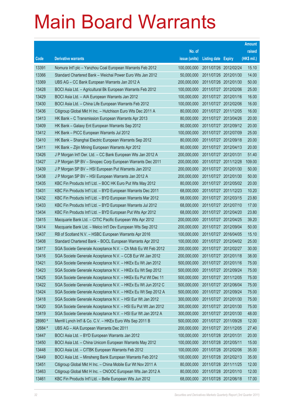|         |                                                               |               |                            |                       | <b>Amount</b> |
|---------|---------------------------------------------------------------|---------------|----------------------------|-----------------------|---------------|
|         |                                                               | No. of        |                            |                       | raised        |
| Code    | <b>Derivative warrants</b>                                    | issue (units) | <b>Listing date Expiry</b> |                       | (HK\$ mil.)   |
| 13391   | Nomura Int'l plc - Yanzhou Coal European Warrants Feb 2012    | 100,000,000   |                            | 2011/07/26 2012/02/24 | 15.10         |
| 13366   | Standard Chartered Bank - Weichai Power Euro Wts Jan 2012     | 50,000,000    |                            | 2011/07/26 2012/01/30 | 14.00         |
| 13369   | UBS AG - CC Bank European Warrants Jan 2012 A                 | 200,000,000   |                            | 2011/07/26 2012/01/30 | 50.00         |
| 13428   | BOCI Asia Ltd. - Agricultural Bk European Warrants Feb 2012   | 100,000,000   |                            | 2011/07/27 2012/02/06 | 25.00         |
| 13429   | BOCI Asia Ltd. - AIA European Warrants Jan 2012               | 100,000,000   |                            | 2011/07/27 2012/01/16 | 16.00         |
| 13430   | BOCI Asia Ltd. - China Life European Warrants Feb 2012        | 100,000,000   |                            | 2011/07/27 2012/02/06 | 16.00         |
| 13436   | Citigroup Global Mkt H Inc. - Hutchison Euro Wts Dec 2011 A   | 80,000,000    |                            | 2011/07/27 2011/12/05 | 16.00         |
| 13413   | HK Bank - C Transmission European Warrants Apr 2013           | 80,000,000    |                            | 2011/07/27 2013/04/26 | 20.00         |
| 13409   | HK Bank - Galaxy Ent European Warrants Sep 2012               | 80,000,000    |                            | 2011/07/27 2012/09/12 | 20.00         |
| 13412   | HK Bank - PICC European Warrants Jul 2012                     | 100,000,000   |                            | 2011/07/27 2012/07/09 | 25.00         |
| 13410   | HK Bank - Shanghai Electric European Warrants Sep 2012        | 80,000,000    |                            | 2011/07/27 2012/09/18 | 20.00         |
| 13411   | HK Bank - Zijin Mining European Warrants Apr 2012             | 80,000,000    |                            | 2011/07/27 2012/04/13 | 20.00         |
| 13426   | J P Morgan Int'l Der. Ltd. - CC Bank European Wts Jan 2012 A  | 200,000,000   | 2011/07/27 2012/01/31      |                       | 51.40         |
| 13427   | J P Morgan SP BV - Sinopec Corp European Warrants Dec 2011    | 200,000,000   |                            | 2011/07/27 2011/12/28 | 109.00        |
| 13439   | J P Morgan SP BV - HSI European Put Warrants Jan 2012         | 200,000,000   |                            | 2011/07/27 2012/01/30 | 50.00         |
| 13438   | J P Morgan SP BV - HSI European Warrants Jan 2012 A           | 200,000,000   |                            | 2011/07/27 2012/01/30 | 50.00         |
| 13435   | KBC Fin Products Int'l Ltd. - BOC HK Euro Put Wts May 2012    | 80,000,000    |                            | 2011/07/27 2012/05/02 | 20.00         |
| 13431   | KBC Fin Products Int'l Ltd. - BYD European Warrants Dec 2011  | 68,000,000    |                            | 2011/07/27 2011/12/23 | 10.20         |
| 13432   | KBC Fin Products Int'l Ltd. - BYD European Warrants Mar 2012  | 68,000,000    |                            | 2011/07/27 2012/03/15 | 23.80         |
| 13433   | KBC Fin Products Int'l Ltd. - BYD European Warrants Jul 2012  | 68,000,000    |                            | 2011/07/27 2012/07/10 | 17.00         |
| 13434   | KBC Fin Products Int'l Ltd. - BYD European Put Wts Apr 2012   | 68,000,000    |                            | 2011/07/27 2012/04/20 | 23.80         |
| 13415   | Macquarie Bank Ltd. - CITIC Pacific European Wts Apr 2012     | 200,000,000   |                            | 2011/07/27 2012/04/25 | 39.20         |
| 13414   | Macquarie Bank Ltd. - Melco Int'l Dev European Wts Sep 2012   | 200,000,000   |                            | 2011/07/27 2012/09/04 | 50.00         |
| 13437   | RB of Scotland N.V. - HSBC European Warrants Apr 2016         | 100,000,000   |                            | 2011/07/27 2016/04/05 | 15.10         |
| 13408   | Standard Chartered Bank - BOCL European Warrants Apr 2012     | 100,000,000   |                            | 2011/07/27 2012/04/02 | 25.00         |
| 13417   | SGA Societe Generale Acceptance N.V. - Ch Mob Eu Wt Feb 2012  | 200,000,000   |                            | 2011/07/27 2012/02/27 | 30.00         |
| 13416   | SGA Societe Generale Acceptance N.V. - CCB Eur Wt Jan 2012    | 200,000,000   |                            | 2011/07/27 2012/01/18 | 38.00         |
| 13421   | SGA Societe Generale Acceptance N.V. - HKEx Eu Wt Jan 2012    | 500,000,000   | 2011/07/27 2012/01/16      |                       | 75.00         |
| 13423   | SGA Societe Generale Acceptance N.V. - HKEx Eu Wt Sep 2012    | 500,000,000   |                            | 2011/07/27 2012/09/24 | 75.00         |
| 13425   | SGA Societe Generale Acceptance N.V. - HKEx Eu Put Wt Dec 11  | 500,000,000   |                            | 2011/07/27 2011/12/05 | 75.00         |
| 13422   | SGA Societe Generale Acceptance N.V. - HKEx Eu Wt Jun 2012 C  | 500,000,000   |                            | 2011/07/27 2012/06/04 | 75.00         |
| 13424   | SGA Societe Generale Acceptance N.V. - HKEx Eu Wt Sep 2012 A  | 500,000,000   |                            | 2011/07/27 2012/09/24 | 75.00         |
| 13418   | SGA Societe Generale Acceptance N.V. - HSI Eur Wt Jan 2012    | 300,000,000   |                            | 2011/07/27 2012/01/30 | 75.00         |
| 13420   | SGA Societe Generale Acceptance N.V. - HSI Eu Put Wt Jan 2012 | 300,000,000   |                            | 2011/07/27 2012/01/30 | 75.00         |
| 13419   | SGA Societe Generale Acceptance N.V. - HSI Eur Wt Jan 2012 A  | 300,000,000   |                            | 2011/07/27 2012/01/30 | 48.00         |
| 28980 # | Merrill Lynch Int'l & Co. C.V. - HKEx Euro Wts Sep 2011 B     | 500,000,000   |                            | 2011/07/27 2011/09/28 | 12.00         |
| 12684 # | UBS AG - AIA European Warrants Dec 2011                       | 200,000,000   |                            | 2011/07/27 2011/12/05 | 27.40         |
| 13447   | BOCI Asia Ltd. - BYD European Warrants Jan 2012               | 100,000,000   | 2011/07/28 2012/01/31      |                       | 20.00         |
| 13450   | BOCI Asia Ltd. - China Unicom European Warrants May 2012      | 100,000,000   | 2011/07/28 2012/05/11      |                       | 15.00         |
| 13448   | BOCI Asia Ltd. - CITBK European Warrants Feb 2012             | 100,000,000   |                            | 2011/07/28 2012/02/06 | 35.00         |
| 13449   | BOCI Asia Ltd. - Minsheng Bank European Warrants Feb 2012     | 100,000,000   |                            | 2011/07/28 2012/02/13 | 35.00         |
| 13451   | Citigroup Global Mkt H Inc. - China Mobile Eur Wt Nov 2011 A  | 80,000,000    |                            | 2011/07/28 2011/11/25 | 12.00         |
| 13463   | Citigroup Global Mkt H Inc. - CNOOC European Wts Jan 2012 A   | 80,000,000    |                            | 2011/07/28 2012/01/10 | 12.00         |
| 13461   | KBC Fin Products Int'l Ltd. - Belle European Wts Jun 2012     | 68,000,000    |                            | 2011/07/28 2012/06/18 | 17.00         |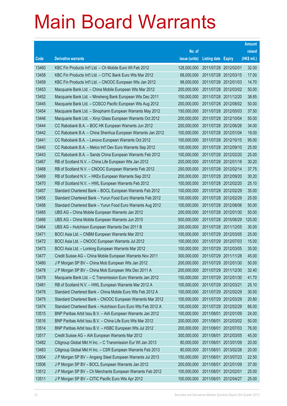|       |                                                              |               |                            |            | <b>Amount</b> |
|-------|--------------------------------------------------------------|---------------|----------------------------|------------|---------------|
|       |                                                              | No. of        |                            |            | raised        |
| Code  | <b>Derivative warrants</b>                                   | issue (units) | <b>Listing date Expiry</b> |            | (HK\$ mil.)   |
| 13460 | KBC Fin Products Int'l Ltd. - Ch Mobile Euro Wt Feb 2012     | 128,000,000   | 2011/07/28 2012/02/01      |            | 32.00         |
| 13458 | KBC Fin Products Int'l Ltd. - CITIC Bank Euro Wts Mar 2012   | 68,000,000    | 2011/07/28 2012/03/15      |            | 17.00         |
| 13459 | KBC Fin Products Int'l Ltd. - CNOOC European Wts Jan 2012    | 98,000,000    | 2011/07/28 2012/01/03      |            | 14.70         |
| 13453 | Macquarie Bank Ltd. - China Mobile European Wts Mar 2012     | 200,000,000   | 2011/07/28 2012/03/02      |            | 50.00         |
| 13452 | Macquarie Bank Ltd. - Minsheng Bank European Wts Dec 2011    | 150,000,000   | 2011/07/28 2011/12/20      |            | 38.85         |
| 13445 | Macquarie Bank Ltd. - COSCO Pacific European Wts Aug 2012    | 200,000,000   | 2011/07/28 2012/08/02      |            | 50.00         |
| 13454 | Macquarie Bank Ltd. - Sinopharm European Warrants May 2012   | 150,000,000   | 2011/07/28 2012/05/03      |            | 37.50         |
| 13446 | Macquarie Bank Ltd. - Xinyi Glass European Warrants Oct 2012 | 200,000,000   | 2011/07/28 2012/10/04      |            | 50.00         |
| 13444 | CC Rabobank B.A. - BOC HK European Warrants Jun 2012         | 200,000,000   | 2011/07/28 2012/06/26      |            | 34.00         |
| 13442 | CC Rabobank B.A. - China Shenhua European Warrants Jan 2012  | 100,000,000   | 2011/07/28 2012/01/04      |            | 19.00         |
| 13441 | CC Rabobank B.A. - Lenovo European Warrants Oct 2012         | 100,000,000   | 2011/07/28 2012/10/15      |            | 95.00         |
| 13440 | CC Rabobank B.A. - Melco Int'l Dev Euro Warrants Sep 2012    | 100,000,000   | 2011/07/28 2012/09/10      |            | 25.00         |
| 13443 | CC Rabobank B.A. - Sands China European Warrants Feb 2012    | 100,000,000   | 2011/07/28 2012/02/20      |            | 25.00         |
| 13467 | RB of Scotland N.V. - China Life European Wts Jan 2012       | 200,000,000   | 2011/07/28 2012/01/18      |            | 30.20         |
| 13468 | RB of Scotland N.V. - CNOOC European Warrants Feb 2012       | 250,000,000   | 2011/07/28 2012/02/14      |            | 37.75         |
| 13469 | RB of Scotland N.V. - HKEx European Warrants Sep 2012        | 200,000,000   | 2011/07/28 2012/09/20      |            | 30.20         |
| 13470 | RB of Scotland N.V. - HWL European Warrants Feb 2012         | 100,000,000   | 2011/07/28 2012/02/20      |            | 25.10         |
| 13457 | Standard Chartered Bank - BOCL European Warrants Feb 2012    | 100,000,000   | 2011/07/28 2012/02/29      |            | 35.00         |
| 13455 | Standard Chartered Bank - Yurun Food Euro Warrants Feb 2012  | 100,000,000   | 2011/07/28 2012/02/29      |            | 25.00         |
| 13456 | Standard Chartered Bank - Yurun Food Euro Warrants Aug 2012  | 100,000,000   | 2011/07/28 2012/08/06      |            | 50.00         |
| 13465 | UBS AG - China Mobile European Warrants Jan 2012             | 200,000,000   | 2011/07/28 2012/01/30      |            | 50.00         |
| 13466 | UBS AG - China Mobile European Warrants Jun 2015             | 500,000,000   | 2011/07/28 2015/06/29      |            | 125.00        |
| 13464 | UBS AG - Hutchison European Warrants Dec 2011 B              | 200,000,000   | 2011/07/28 2011/12/05      |            | 30.00         |
| 13471 | BOCI Asia Ltd. - CNBM European Warrants Mar 2012             | 100,000,000   | 2011/07/29 2012/03/05      |            | 25.00         |
| 13472 | BOCI Asia Ltd. - CNOOC European Warrants Jul 2012            | 100,000,000   | 2011/07/29 2012/07/03      |            | 15.00         |
| 13473 | BOCI Asia Ltd. - Lonking European Warrants Mar 2012          | 100,000,000   | 2011/07/29 2012/03/05      |            | 35.00         |
| 13477 | Credit Suisse AG - China Mobile European Warrants Nov 2011   | 300,000,000   | 2011/07/29 2011/11/28      |            | 45.00         |
| 13480 | J P Morgan SP BV - China Mob European Wts Jan 2012           | 200,000,000   | 2011/07/29 2012/01/30      |            | 50.00         |
| 13478 | J P Morgan SP BV - China Mob European Wts Dec 2011 A         | 200,000,000   | 2011/07/29 2011/12/30      |            | 32.40         |
| 13479 | Macquarie Bank Ltd. - C Transmission Euro Warrants Jan 2012  | 150,000,000   | 2011/07/29 2012/01/30      |            | 41.70         |
| 13481 | RB of Scotland N.V. - HWL European Warrants Mar 2012 A       | 100,000,000   | 2011/07/29 2012/03/21      |            | 25.10         |
| 13476 | Standard Chartered Bank - China Mobile Euro Wts Feb 2012 A   | 100,000,000   | 2011/07/29 2012/02/29      |            | 30.00         |
| 13475 | Standard Chartered Bank - CNOOC European Warrants Mar 2012   | 100,000,000   | 2011/07/29 2012/03/29      |            | 20.80         |
| 13474 | Standard Chartered Bank - Hutchison Euro Euro Wts Feb 2012 A | 100,000,000   | 2011/07/29 2012/02/29      |            | 66.00         |
| 13515 | BNP Paribas Arbit Issu B.V. - AIA European Warrants Jan 2012 | 100,000,000   | 2011/08/01                 | 2012/01/09 | 24.00         |
| 13516 | BNP Paribas Arbit Issu B.V. - China Life Euro Wts Mar 2012   | 200,000,000   | 2011/08/01                 | 2012/03/02 | 50.00         |
| 13514 | BNP Paribas Arbit Issu B.V. - HSBC European Wts Jul 2012     | 200,000,000   | 2011/08/01                 | 2012/07/03 | 76.00         |
| 13517 | Credit Suisse AG - AIA European Warrants Mar 2012            | 300,000,000   | 2011/08/01                 | 2012/03/05 | 45.00         |
| 13482 | Citigroup Global Mkt H Inc. - C Transmission Eur Wt Jan 2013 | 80,000,000    | 2011/08/01                 | 2013/01/09 | 20.00         |
| 13483 | Citigroup Global Mkt H Inc. - CSR European Warrants Feb 2013 | 80,000,000    | 2011/08/01                 | 2013/02/28 | 20.00         |
| 13504 | J P Morgan SP BV - Angang Steel European Warrants Jul 2013   | 150,000,000   | 2011/08/01                 | 2013/07/23 | 22.50         |
| 13506 | J P Morgan SP BV - BOCL European Warrants Jan 2012           | 200,000,000   | 2011/08/01                 | 2012/01/09 | 37.00         |
| 13512 | J P Morgan SP BV - Ch Merchants European Warrants Feb 2012   | 100,000,000   | 2011/08/01                 | 2012/02/01 | 25.00         |
| 13511 | J P Morgan SP BV - CITIC Pacific Euro Wts Apr 2012           | 100,000,000   | 2011/08/01                 | 2012/04/27 | 25.00         |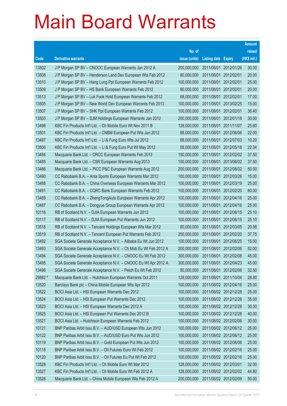|         |                                                                |               |                            |                       | <b>Amount</b> |
|---------|----------------------------------------------------------------|---------------|----------------------------|-----------------------|---------------|
|         |                                                                | No. of        |                            |                       | raised        |
| Code    | <b>Derivative warrants</b>                                     | issue (units) | <b>Listing date Expiry</b> |                       | (HK\$ mil.)   |
| 13502   | J P Morgan SP BV - CNOOC European Warrants Jan 2012 A          | 200,000,000   |                            | 2011/08/01 2012/01/26 | 30.00         |
| 13508   | J P Morgan SP BV - Henderson Land Dev European Wts Feb 2012    | 80,000,000    |                            | 2011/08/01 2012/02/01 | 20.00         |
| 13510   | J P Morgan SP BV - Hang Lung Ppt European Warrants Feb 2012    | 100,000,000   | 2011/08/01 2012/02/01      |                       | 25.00         |
| 13509   | J P Morgan SP BV - HS Bank European Warrants Feb 2012          | 80,000,000    |                            | 2011/08/01 2012/02/01 | 20.00         |
| 13513   | J P Morgan SP BV - Luk Fook Hold European Warrants Feb 2012    | 68,000,000    |                            | 2011/08/01 2012/02/01 | 17.00         |
| 13505   | J P Morgan SP BV - New World Dev European Warrants Feb 2013    | 100,000,000   |                            | 2011/08/01 2013/02/25 | 15.00         |
| 13507   | J P Morgan SP BV - SHK Ppt European Warrants Feb 2012          | 100,000,000   |                            | 2011/08/01 2012/02/01 | 36.40         |
| 13503   | J P Morgan SP BV - SJM Holdings European Warrants Jan 2012     | 200,000,000   |                            | 2011/08/01 2012/01/18 | 30.00         |
| 13498   | KBC Fin Products Int'l Ltd. - Ch Mobile Euro Wt Nov 2011 B     | 128,000,000   |                            | 2011/08/01 2011/11/07 | 25.60         |
| 13501   | KBC Fin Products Int'l Ltd. - CNBM European Put Wts Jun 2012   | 88,000,000    |                            | 2011/08/01 2012/06/06 | 22.00         |
| 13497   | KBC Fin Products Int'l Ltd. - Li & Fung Euro Wts Jul 2012      | 68,000,000    |                            | 2011/08/01 2012/07/03 | 10.20         |
| 13500   | KBC Fin Products Int'l Ltd. - Li & Fung Euro Put Wt May 2012   | 58,000,000    |                            | 2011/08/01 2012/05/18 | 22.04         |
| 13484   | Macquarie Bank Ltd. - CRCC European Warrants Feb 2012          | 150,000,000   |                            | 2011/08/01 2012/02/02 | 37.50         |
| 13485   | Macquarie Bank Ltd. - CSR European Warrants Aug 2013           | 150,000,000   |                            | 2011/08/01 2013/08/02 | 37.50         |
| 13486   | Macquarie Bank Ltd. - PICC P&C European Warrants Aug 2012      | 200,000,000   | 2011/08/01                 | 2012/08/02            | 50.00         |
| 13490   | CC Rabobank B.A. - Anta Sports European Warrants Mar 2012      | 100,000,000   |                            | 2011/08/01 2012/03/26 | 15.00         |
| 13488   | CC Rabobank B.A. - China Overseas European Warrants Mar 2012   | 100,000,000   |                            | 2011/08/01 2012/03/19 | 25.00         |
| 13491   | CC Rabobank B.A. - CQRC Bank European Warrants Feb 2012        | 100,000,000   |                            | 2011/08/01 2012/02/20 | 60.00         |
| 13489   | CC Rabobank B.A. - ZhengTongAuto European Warrants Apr 2012    | 100,000,000   | 2011/08/01                 | 2012/04/16            | 25.00         |
| 13487   | CC Rabobank B.A. - Dongyue Group European Warrants Apr 2012    | 100,000,000   |                            | 2011/08/01 2012/04/16 | 25.00         |
| 10116   | RB of Scotland N.V. - DJIA European Warrants Jun 2012          | 100,000,000   |                            | 2011/08/01 2012/06/15 | 25.10         |
| 10117   | RB of Scotland N.V. - DJIA European Put Warrants Jun 2012      | 100,000,000   |                            | 2011/08/01 2012/06/15 | 25.10         |
| 13518   | RB of Scotland N.V. - Tencent Holdings European Wts Mar 2012   | 80,000,000    | 2011/08/01                 | 2012/03/05            | 20.08         |
| 13519   | RB of Scotland N.V. - Tencent European Put Warrants Feb 2012   | 250,000,000   |                            | 2011/08/01 2012/02/20 | 37.75         |
| 13492   | SGA Societe Generale Acceptance N.V. - Alibaba Eu Wt Jun 2012  | 100,000,000   |                            | 2011/08/01 2012/06/25 | 15.00         |
| 13493   | SGA Societe Generale Acceptance N.V. - Ch Mob Eu Wt Feb 2012 A | 200,000,000   | 2011/08/01                 | 2012/02/06            | 52.00         |
| 13494   | SGA Societe Generale Acceptance N.V. - CNOOC Eu Wt Feb 2012    | 300,000,000   | 2011/08/01                 | 2012/02/08            | 45.00         |
| 13495   | SGA Societe Generale Acceptance N.V. - CNOOC Eu Wt Apr 2012 A  | 300,000,000   |                            | 2011/08/01 2012/04/23 | 45.00         |
| 13496   | SGA Societe Generale Acceptance N.V. - Petch Eu Wt Feb 2012    | 50,000,000    |                            | 2011/08/01 2012/02/06 | 32.50         |
| 29882 # | Macquarie Bank Ltd. - Hutchison European Warrants Oct 2011     | 128,000,000   |                            | 2011/08/01 2011/10/04 | 28.80         |
| 13520   | Barclays Bank plc - China Mobile European Wts Apr 2012         | 100,000,000   |                            | 2011/08/02 2012/04/16 | 25.00         |
| 13522   | BOCI Asia Ltd. - HSI European Warrants Dec 2012                | 100,000,000   |                            | 2011/08/02 2012/12/28 | 25.00         |
| 13524   | BOCI Asia Ltd. - HSI European Put Warrants Dec 2012            | 100,000,000   |                            | 2011/08/02 2012/12/28 | 35.00         |
| 13523   | BOCI Asia Ltd. - HSI European Warrants Dec 2012 A              | 100,000,000   |                            | 2011/08/02 2012/12/28 | 30.00         |
| 13525   | BOCI Asia Ltd. - HSI European Put Warrants Dec 2012 B          | 100,000,000   |                            | 2011/08/02 2012/12/28 | 40.00         |
| 13521   | BOCI Asia Ltd. - Hutchison European Warrants Feb 2012          | 100,000,000   |                            | 2011/08/02 2012/02/06 | 30.00         |
| 10121   | BNP Paribas Arbit Issu B.V. - AUD/USD European Wts Jun 2012    | 100,000,000   |                            | 2011/08/02 2012/06/12 | 25.00         |
| 10122   | BNP Paribas Arbit Issu B.V. - AUD/USD Euro Put Wts Jun 2012    | 100,000,000   |                            | 2011/08/02 2012/06/12 | 25.00         |
| 10119   | BNP Paribas Arbit Issu B.V. - Gold European Put Wts Jun 2012   | 100,000,000   |                            | 2011/08/02 2012/06/06 | 25.00         |
| 10118   | BNP Paribas Arbit Issu B.V. - Oil Futures Euro Wt Feb 2012     | 100,000,000   |                            | 2011/08/02 2012/02/16 | 25.00         |
| 10120   | BNP Paribas Arbit Issu B.V. - Oil Futures Eu Put Wt Feb 2012   | 100,000,000   |                            | 2011/08/02 2012/02/16 | 25.00         |
| 13528   | KBC Fin Products Int'l Ltd. - Ch Mobile Euro Wt Mar 2012       | 128,000,000   | 2011/08/02 2012/03/01      |                       | 32.00         |
| 13527   | KBC Fin Products Int'l Ltd. - Ch Mobile Euro Wt Feb 2012 A     | 128,000,000   |                            | 2011/08/02 2012/02/02 | 44.80         |
| 13526   | Macquarie Bank Ltd. - China Mobile European Wts Feb 2012 A     | 200,000,000   |                            | 2011/08/02 2012/02/09 | 50.00         |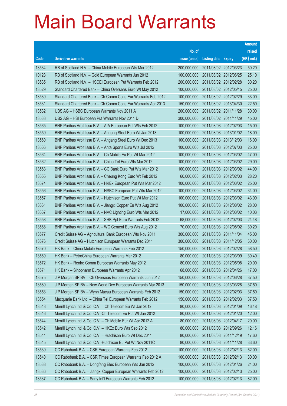|       |                                                              |               |                            |                       | <b>Amount</b> |
|-------|--------------------------------------------------------------|---------------|----------------------------|-----------------------|---------------|
|       |                                                              | No. of        |                            |                       | raised        |
| Code  | <b>Derivative warrants</b>                                   | issue (units) | <b>Listing date Expiry</b> |                       | (HK\$ mil.)   |
| 13534 | RB of Scotland N.V. - China Mobile European Wts Mar 2012     | 200,000,000   | 2011/08/02 2012/03/23      |                       | 50.20         |
| 10123 | RB of Scotland N.V. - Gold European Warrants Jun 2012        | 100,000,000   | 2011/08/02 2012/06/25      |                       | 25.10         |
| 13535 | RB of Scotland N.V. - HSCEI European Put Warrants Feb 2012   | 200,000,000   | 2011/08/02 2012/02/28      |                       | 30.20         |
| 13529 | Standard Chartered Bank - China Overseas Euro Wt May 2012    | 100,000,000   |                            | 2011/08/02 2012/05/15 | 25.00         |
| 13530 | Standard Chartered Bank - Ch Comm Cons Eur Warrants Feb 2012 | 100,000,000   | 2011/08/02 2012/02/29      |                       | 33.00         |
| 13531 | Standard Chartered Bank - Ch Comm Cons Eur Warrants Apr 2013 | 150,000,000   |                            | 2011/08/02 2013/04/30 | 22.50         |
| 13532 | UBS AG - HSBC European Warrants Nov 2011 A                   | 200,000,000   | 2011/08/02 2011/11/28      |                       | 30.00         |
| 13533 | UBS AG - HSI European Put Warrants Nov 2011 D                | 300,000,000   | 2011/08/02 2011/11/29      |                       | 45.00         |
| 13565 | BNP Paribas Arbit Issu B.V. - AIA European Put Wts Feb 2012  | 100,000,000   |                            | 2011/08/03 2012/02/03 | 15.00         |
| 13559 | BNP Paribas Arbit Issu B.V. - Angang Steel Euro Wt Jan 2013  | 100,000,000   |                            | 2011/08/03 2013/01/02 | 18.00         |
| 13560 | BNP Paribas Arbit Issu B.V. - Angang Steel Euro Wt Dec 2013  | 100,000,000   | 2011/08/03 2013/12/03      |                       | 16.00         |
| 13566 | BNP Paribas Arbit Issu B.V. - Anta Sports Euro Wts Jul 2012  | 100,000,000   |                            | 2011/08/03 2012/07/03 | 25.00         |
| 13564 | BNP Paribas Arbit Issu B.V. - Ch Mobile Eu Put Wt Mar 2012   | 100,000,000   |                            | 2011/08/03 2012/03/02 | 47.00         |
| 13562 | BNP Paribas Arbit Issu B.V. - China Tel Euro Wts Mar 2012    | 100,000,000   |                            | 2011/08/03 2012/03/02 | 29.00         |
| 13563 | BNP Paribas Arbit Issu B.V. - CC Bank Euro Put Wts Mar 2012  | 100,000,000   | 2011/08/03 2012/03/02      |                       | 44.00         |
| 13555 | BNP Paribas Arbit Issu B.V. - Cheung Kong Euro Wt Feb 2012   | 60,000,000    |                            | 2011/08/03 2012/02/03 | 28.20         |
| 13574 | BNP Paribas Arbit Issu B.V. - HKEx European Put Wts Mar 2012 | 100,000,000   |                            | 2011/08/03 2012/03/02 | 25.00         |
| 13556 | BNP Paribas Arbit Issu B.V. - HSBC European Put Wts Mar 2012 | 100,000,000   |                            | 2011/08/03 2012/03/02 | 34.00         |
| 13557 | BNP Paribas Arbit Issu B.V. - Hutchison Euro Put Wt Mar 2012 | 100,000,000   |                            | 2011/08/03 2012/03/02 | 43.00         |
| 13561 | BNP Paribas Arbit Issu B.V. - Jiangxi Copper Eu Wts Aug 2012 | 100,000,000   |                            | 2011/08/03 2012/08/02 | 28.00         |
| 13567 | BNP Paribas Arbit Issu B.V. - NVC Lighting Euro Wts Mar 2012 | 17,000,000    |                            | 2011/08/03 2012/03/02 | 10.03         |
| 13558 | BNP Paribas Arbit Issu B.V. - SHK Ppt Euro Warrants Feb 2012 | 68,000,000    |                            | 2011/08/03 2012/02/03 | 24.48         |
| 13568 | BNP Paribas Arbit Issu B.V. - WC Cement Euro Wts Aug 2012    | 70,000,000    |                            | 2011/08/03 2012/08/02 | 39.20         |
| 13577 | Credit Suisse AG - Agricultural Bank European Wts Nov 2011   | 300,000,000   | 2011/08/03 2011/11/04      |                       | 45.00         |
| 13576 | Credit Suisse AG - Hutchison European Warrants Dec 2011      | 300,000,000   | 2011/08/03 2011/12/05      |                       | 60.00         |
| 13570 | HK Bank - China Mobile European Warrants Feb 2012            | 150,000,000   | 2011/08/03 2012/02/28      |                       | 58.50         |
| 13569 | HK Bank – PetroChina European Warrants Mar 2012              | 80,000,000    | 2011/08/03 2012/03/09      |                       | 30.40         |
| 13572 | HK Bank - Renhe Comm European Warrants May 2012              | 80,000,000    | 2011/08/03 2012/05/08      |                       | 20.00         |
| 13571 | HK Bank - Sinopharm European Warrants Apr 2012               | 68,000,000    | 2011/08/03 2012/04/26      |                       | 17.00         |
| 13575 | J P Morgan SP BV - Ch Overseas European Warrants Jun 2012    | 150,000,000   | 2011/08/03 2012/06/28      |                       | 37.50         |
| 13580 | J P Morgan SP BV - New World Dev European Warrants Mar 2013  | 150,000,000   | 2011/08/03 2013/03/28      |                       | 37.50         |
| 13553 | J P Morgan SP BV - Wynn Macau European Warrants Feb 2012     | 150,000,000   |                            | 2011/08/03 2012/02/03 | 37.50         |
| 13554 | Macquarie Bank Ltd. - China Tel European Warrants Feb 2012   | 150,000,000   | 2011/08/03 2012/02/03      |                       | 37.50         |
| 13543 | Merrill Lynch Int'l & Co. C.V. - Ch Telecom Eu Wt Jan 2012   | 80,000,000    | 2011/08/03 2012/01/09      |                       | 16.48         |
| 13546 | Merrill Lynch Int'l & Co. C.V.-Ch Telecom Eu Put Wt Jan 2012 | 80,000,000    | 2011/08/03 2012/01/20      |                       | 12.00         |
| 13544 | Merrill Lynch Int'l & Co. C.V. - Ch Mobile Eur Wt Apr 2012 A | 80,000,000    | 2011/08/03 2012/04/17      |                       | 20.00         |
| 13542 | Merrill Lynch Int'l & Co. C.V. - HKEx Euro Wts Sep 2012      | 80,000,000    | 2011/08/03 2012/09/26      |                       | 12.16         |
| 13541 | Merrill Lynch Int'l & Co. C.V. - Hutchison Euro Wt Dec 2011  | 80,000,000    | 2011/08/03 2011/12/19      |                       | 17.60         |
| 13545 | Merrill Lynch Int'l & Co. C.V.-Hutchison Eu Put Wt Nov 2011C | 80,000,000    | 2011/08/03 2011/11/28      |                       | 33.60         |
| 13539 | CC Rabobank B.A. - CSR European Warrants Feb 2012            | 100,000,000   | 2011/08/03 2012/02/13      |                       | 62.00         |
| 13540 | CC Rabobank B.A. - CSR Times European Warrants Feb 2012 A    | 100,000,000   | 2011/08/03 2012/02/13      |                       | 30.00         |
| 13538 | CC Rabobank B.A. - Dongfang Elec European Wts Jan 2012       | 100,000,000   | 2011/08/03 2012/01/26      |                       | 24.00         |
| 13536 | CC Rabobank B.A. - Jiangxi Copper European Warrants Feb 2012 | 100,000,000   | 2011/08/03 2012/02/13      |                       | 25.00         |
| 13537 | CC Rabobank B.A. - Sany Int'l European Warrants Feb 2012     | 100,000,000   | 2011/08/03 2012/02/13      |                       | 82.00         |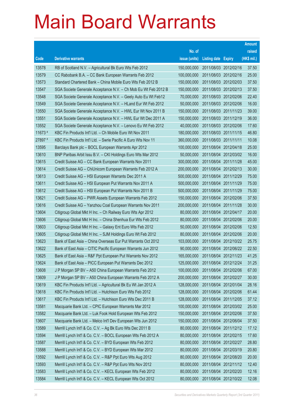|         |                                                                |               |                            |            | <b>Amount</b> |
|---------|----------------------------------------------------------------|---------------|----------------------------|------------|---------------|
|         |                                                                | No. of        |                            |            | raised        |
| Code    | <b>Derivative warrants</b>                                     | issue (units) | <b>Listing date Expiry</b> |            | (HK\$ mil.)   |
| 13578   | RB of Scotland N.V. - Agricultural Bk Euro Wts Feb 2012        | 150,000,000   | 2011/08/03 2012/02/16      |            | 37.50         |
| 13579   | CC Rabobank B.A. - CC Bank European Warrants Feb 2012          | 100,000,000   | 2011/08/03 2012/02/16      |            | 25.00         |
| 13573   | Standard Chartered Bank - China Mobile Euro Wts Feb 2012 B     | 150,000,000   | 2011/08/03 2012/02/03      |            | 37.50         |
| 13547   | SGA Societe Generale Acceptance N.V. - Ch Mob Eu Wt Feb 2012 B | 150,000,000   | 2011/08/03 2012/02/13      |            | 37.50         |
| 13548   | SGA Societe Generale Acceptance N.V. - Geely Auto Eu Wt Feb12  | 70,000,000    | 2011/08/03 2012/02/06      |            | 22.40         |
| 13549   | SGA Societe Generale Acceptance N.V. - HLand Eur Wt Feb 2012   | 50,000,000    | 2011/08/03 2012/02/06      |            | 16.00         |
| 13550   | SGA Societe Generale Acceptance N.V. - HWL Eur Wt Nov 2011 B   | 150,000,000   | 2011/08/03 2011/11/23      |            | 39.00         |
| 13551   | SGA Societe Generale Acceptance N.V. - HWL Eur Wt Dec 2011 A   | 150,000,000   | 2011/08/03 2011/12/19      |            | 36.00         |
| 13552   | SGA Societe Generale Acceptance N.V. - Lenovo Eu Wt Feb 2012   | 40,000,000    | 2011/08/03 2012/02/06      |            | 17.60         |
| 11673 # | KBC Fin Products Int'l Ltd. - Ch Mobile Euro Wt Nov 2011       | 180,000,000   | 2011/08/03 2011/11/15      |            | 46.80         |
| 27897 # | KBC Fin Products Int'l Ltd. - Swrie Pacific A Euro Wts Nov 11  | 360,000,000   | 2011/08/03 2011/11/11      |            | 10.08         |
| 13595   | Barclays Bank plc - BOCL European Warrants Apr 2012            | 100,000,000   | 2011/08/04 2012/04/18      |            | 25.00         |
| 13610   | BNP Paribas Arbit Issu B.V. - CKI Holdings Euro Wts Mar 2012   | 50,000,000    | 2011/08/04 2012/03/02      |            | 16.00         |
| 13615   | Credit Suisse AG - CC Bank European Warrants Nov 2011          | 300,000,000   | 2011/08/04 2011/11/28      |            | 45.00         |
| 13614   | Credit Suisse AG - ChiUnicom European Warrants Feb 2012 A      | 200,000,000   | 2011/08/04 2012/02/13      |            | 30.00         |
| 13613   | Credit Suisse AG - HSI European Warrants Dec 2011 A            | 500,000,000   | 2011/08/04 2011/12/29      |            | 75.00         |
| 13611   | Credit Suisse AG - HSI European Put Warrants Nov 2011 A        | 500,000,000   | 2011/08/04 2011/11/29      |            | 75.00         |
| 13612   | Credit Suisse AG - HSI European Put Warrants Nov 2011 B        | 500,000,000   | 2011/08/04 2011/11/29      |            | 75.00         |
| 13621   | Credit Suisse AG - PWR Assets European Warrants Feb 2012       | 150,000,000   | 2011/08/04 2012/02/06      |            | 37.50         |
| 13616   | Credit Suisse AG - Yanzhou Coal European Warrants Nov 2011     | 200,000,000   | 2011/08/04 2011/11/28      |            | 30.00         |
| 13604   | Citigroup Global Mkt H Inc. - Ch Railway Euro Wts Apr 2012     | 80,000,000    | 2011/08/04 2012/04/17      |            | 20.00         |
| 13606   | Citigroup Global Mkt H Inc. - China Shenhua Eur Wts Feb 2012   | 80,000,000    | 2011/08/04 2012/02/06      |            | 20.00         |
| 13603   | Citigroup Global Mkt H Inc. - Galaxy Ent Euro Wts Feb 2012     | 50,000,000    | 2011/08/04 2012/02/06      |            | 12.50         |
| 13605   | Citigroup Global Mkt H Inc. - SJM Holdings Euro Wt Feb 2012    | 80,000,000    | 2011/08/04 2012/02/06      |            | 20.00         |
| 13623   | Bank of East Asia - China Overseas Eur Put Warrants Oct 2012   | 103,000,000   | 2011/08/04 2012/10/22      |            | 25.75         |
| 13622   | Bank of East Asia - CITIC Pacific European Warrants Jun 2012   | 90,000,000    | 2011/08/04 2012/06/22      |            | 22.50         |
| 13625   | Bank of East Asia - R&F Ppt European Put Warrants Nov 2012     | 165,000,000   | 2011/08/04 2012/11/23      |            | 41.25         |
| 13624   | Bank of East Asia - PICC European Put Warrants Dec 2012        | 125,000,000   | 2011/08/04 2012/12/24      |            | 31.25         |
| 13608   | J P Morgan SP BV - A50 China European Warrants Feb 2012        | 100,000,000   | 2011/08/04 2012/02/06      |            | 67.00         |
| 13609   | J P Morgan SP BV - A50 China European Warrants Feb 2012 A      | 200,000,000   | 2011/08/04 2012/02/27      |            | 30.00         |
| 13619   | KBC Fin Products Int'l Ltd. - Agricultural Bk Eu Wt Jan 2012 A | 128,000,000   | 2011/08/04 2012/01/04      |            | 28.16         |
| 13618   | KBC Fin Products Int'l Ltd. - Hutchison Euro Wts Feb 2012      | 128,000,000   | 2011/08/04 2012/02/06      |            | 61.44         |
| 13617   | KBC Fin Products Int'l Ltd. - Hutchison Euro Wts Dec 2011 B    | 128,000,000   | 2011/08/04                 | 2011/12/05 | 37.12         |
| 13581   | Macquarie Bank Ltd. - CPIC European Warrants Mar 2012          | 100,000,000   | 2011/08/04 2012/03/02      |            | 25.00         |
| 13582   | Macquarie Bank Ltd. - Luk Fook Hold European Wts Feb 2012      | 150,000,000   | 2011/08/04 2012/02/06      |            | 37.50         |
| 13607   | Macquarie Bank Ltd. - Melco Int'l Dev European Wts Jun 2012    | 150,000,000   | 2011/08/04 2012/06/04      |            | 37.50         |
| 13589   | Merrill Lynch Int'l & Co. C.V. - Ag Bk Euro Wts Dec 2011 B     | 80,000,000    | 2011/08/04 2011/12/12      |            | 17.12         |
| 13594   | Merrill Lynch Int'l & Co. C.V. - BOCL European Wts Feb 2012 A  | 80,000,000    | 2011/08/04 2012/02/15      |            | 17.60         |
| 13587   | Merrill Lynch Int'l & Co. C.V. - BYD European Wts Feb 2012     | 80,000,000    | 2011/08/04 2012/02/27      |            | 28.80         |
| 13588   | Merrill Lynch Int'l & Co. C.V. - BYD European Wts Mar 2012     | 80,000,000    | 2011/08/04 2012/03/19      |            | 20.80         |
| 13592   | Merrill Lynch Int'l & Co. C.V. - R&P Ppt Euro Wts Aug 2012     | 80,000,000    | 2011/08/04 2012/08/20      |            | 20.00         |
| 13593   | Merrill Lynch Int'l & Co. C.V. - R&P Ppt Euro Wts Nov 2012     | 80,000,000    | 2011/08/04 2012/11/12      |            | 12.40         |
| 13583   | Merrill Lynch Int'l & Co. C.V. - KECL European Wts Feb 2012    | 80,000,000    | 2011/08/04 2012/02/20      |            | 12.16         |
| 13584   | Merrill Lynch Int'l & Co. C.V. - KECL European Wts Oct 2012    | 80,000,000    | 2011/08/04 2012/10/22      |            | 12.08         |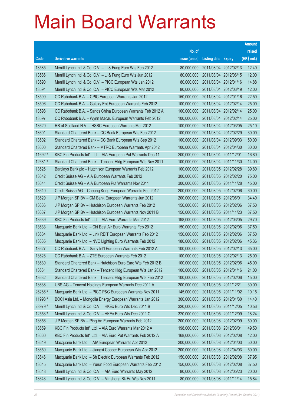|         |                                                                |               |                            |                       | <b>Amount</b> |
|---------|----------------------------------------------------------------|---------------|----------------------------|-----------------------|---------------|
|         |                                                                | No. of        |                            |                       | raised        |
| Code    | <b>Derivative warrants</b>                                     | issue (units) | <b>Listing date Expiry</b> |                       | (HK\$ mil.)   |
| 13585   | Merrill Lynch Int'l & Co. C.V. - Li & Fung Euro Wts Feb 2012   | 80,000,000    |                            | 2011/08/04 2012/02/13 | 12.40         |
| 13586   | Merrill Lynch Int'l & Co. C.V. - Li & Fung Euro Wts Jun 2012   | 80,000,000    |                            | 2011/08/04 2012/06/15 | 12.00         |
| 13590   | Merrill Lynch Int'l & Co. C.V. – PICC European Wts Jan 2012    | 80,000,000    |                            | 2011/08/04 2012/01/16 | 14.88         |
| 13591   | Merrill Lynch Int'l & Co. C.V. - PICC European Wts Mar 2012    | 80,000,000    | 2011/08/04 2012/03/19      |                       | 12.00         |
| 13599   | CC Rabobank B.A. - CPIC European Warrants Jan 2012             | 150,000,000   |                            | 2011/08/04 2012/01/16 | 22.50         |
| 13596   | CC Rabobank B.A. - Galaxy Ent European Warrants Feb 2012       | 100,000,000   |                            | 2011/08/04 2012/02/14 | 25.00         |
| 13598   | CC Rabobank B.A. - Sands China European Warrants Feb 2012 A    | 100,000,000   |                            | 2011/08/04 2012/02/14 | 25.00         |
| 13597   | CC Rabobank B.A. - Wynn Macau European Warrants Feb 2012       | 100,000,000   | 2011/08/04 2012/02/14      |                       | 25.00         |
| 13620   | RB of Scotland N.V. – HSBC European Warrants Mar 2012          | 100,000,000   |                            | 2011/08/04 2012/03/05 | 25.10         |
| 13601   | Standard Chartered Bank – CC Bank European Wts Feb 2012        | 100,000,000   | 2011/08/04 2012/02/29      |                       | 30.00         |
| 13602   | Standard Chartered Bank - CC Bank European Wts Sep 2012        | 100,000,000   |                            | 2011/08/04 2012/09/03 | 50.00         |
| 13600   | Standard Chartered Bank – MTRC European Warrants Apr 2012      | 100,000,000   | 2011/08/04 2012/04/30      |                       | 30.00         |
| 11692 # | KBC Fin Products Int'l Ltd. - AIA European Put Warrants Dec 11 | 200,000,000   | 2011/08/04 2011/12/01      |                       | 16.80         |
| 12681 # | Standard Chartered Bank - Tencent Hidg European Wts Nov 2011   | 100,000,000   | 2011/08/04 2011/11/30      |                       | 14.00         |
| 13626   | Barclays Bank plc - Hutchison European Warrants Feb 2012       | 100,000,000   |                            | 2011/08/05 2012/02/28 | 39.80         |
| 13642   | Credit Suisse AG - AIA European Warrants Feb 2012              | 300.000.000   | 2011/08/05 2012/02/20      |                       | 75.00         |
| 13641   | Credit Suisse AG - AIA European Put Warrants Nov 2011          | 300,000,000   |                            | 2011/08/05 2011/11/28 | 45.00         |
| 13640   | Credit Suisse AG - Cheung Kong European Warrants Feb 2012      | 200,000,000   |                            | 2011/08/05 2012/02/06 | 60.00         |
| 13629   | J P Morgan SP BV - CM Bank European Warrants Jun 2012          | 200,000,000   | 2011/08/05 2012/06/01      |                       | 34.40         |
| 13636   | J P Morgan SP BV - Hutchison European Warrants Feb 2012        | 150,000,000   |                            | 2011/08/05 2012/02/06 | 37.50         |
| 13637   | J P Morgan SP BV - Hutchison European Warrants Nov 2011 B      | 150,000,000   |                            | 2011/08/05 2011/11/23 | 37.50         |
| 13639   | KBC Fin Products Int'l Ltd. - AIA Euro Warrants Mar 2012       | 198,000,000   |                            | 2011/08/05 2012/03/05 | 29.70         |
| 13633   | Macquarie Bank Ltd. - Chi East Air Euro Warrants Feb 2012      | 150,000,000   |                            | 2011/08/05 2012/02/06 | 37.50         |
| 13634   | Macquarie Bank Ltd. - Link REIT European Warrants Feb 2012     | 150,000,000   | 2011/08/05 2012/02/06      |                       | 37.50         |
| 13635   | Macquarie Bank Ltd. - NVC Lighting Euro Warrants Feb 2012      | 180,000,000   |                            | 2011/08/05 2012/02/06 | 45.36         |
| 13627   | CC Rabobank B.A. - Sany Int'l European Warrants Feb 2012 A     | 100,000,000   |                            | 2011/08/05 2012/02/13 | 65.00         |
| 13628   | CC Rabobank B.A. - ZTE European Warrants Feb 2012              | 100,000,000   |                            | 2011/08/05 2012/02/13 | 25.00         |
| 13630   | Standard Chartered Bank - Hutchison Euro Euro Wts Feb 2012 B   | 100,000,000   | 2011/08/05 2012/02/06      |                       | 45.00         |
| 13631   | Standard Chartered Bank - Tencent Hidg European Wts Jan 2012   | 100,000,000   |                            | 2011/08/05 2012/01/16 | 21.00         |
| 13632   | Standard Chartered Bank - Tencent Hidg European Wts Feb 2012   | 100,000,000   | 2011/08/05 2012/02/06      |                       | 15.00         |
| 13638   | UBS AG - Tencent Holdings European Warrants Dec 2011 A         | 200,000,000   | 2011/08/05 2011/12/21      |                       | 30.00         |
| 26286 # | Macquarie Bank Ltd. - PICC P&C European Warrants Nov 2011      | 145,000,000   |                            | 2011/08/05 2011/11/02 | 10.15         |
| 11998 # | BOCI Asia Ltd. - Mongolia Energy European Warrants Jan 2012    | 300,000,000   |                            | 2011/08/05 2012/01/30 | 14.40         |
| 28979 # | Merrill Lynch Int'l & Co. C.V. - HKEx Euro Wts Dec 2011 B      | 320,000,000   |                            | 2011/08/05 2011/12/05 | 10.56         |
| 12553 # | Merrill Lynch Int'l & Co. C.V. - HKEx Euro Wts Dec 2011 C      | 320,000,000   |                            | 2011/08/05 2011/12/09 | 18.24         |
| 13656   | J P Morgan SP BV - Ping An European Warrants Feb 2012          | 200,000,000   | 2011/08/08 2012/02/09      |                       | 50.00         |
| 13659   | KBC Fin Products Int'l Ltd. - AIA Euro Warrants Mar 2012 A     | 198,000,000   | 2011/08/08 2012/03/01      |                       | 49.50         |
| 13660   | KBC Fin Products Int'l Ltd. - AIA Euro Put Warrants Feb 2012 A | 168,000,000   |                            | 2011/08/08 2012/02/08 | 42.00         |
| 13649   | Macquarie Bank Ltd. - AIA European Warrants Apr 2012           | 200,000,000   |                            | 2011/08/08 2012/04/03 | 50.00         |
| 13650   | Macquarie Bank Ltd. - Jiangxi Copper European Wts Apr 2012     | 200,000,000   |                            | 2011/08/08 2012/04/03 | 50.00         |
| 13646   | Macquarie Bank Ltd. - Sh Electric European Warrants Feb 2012   | 150,000,000   |                            | 2011/08/08 2012/02/08 | 37.95         |
| 13645   | Macquarie Bank Ltd. - Yurun Food European Warrants Feb 2012    | 150,000,000   | 2011/08/08 2012/02/08      |                       | 37.50         |
| 13648   | Merrill Lynch Int'l & Co. C.V. - AIA Euro Warrants May 2012    | 80,000,000    |                            | 2011/08/08 2012/05/23 | 20.00         |
| 13643   | Merrill Lynch Int'l & Co. C.V. - Minsheng Bk Eu Wts Nov 2011   | 80,000,000    | 2011/08/08 2011/11/14      |                       | 15.84         |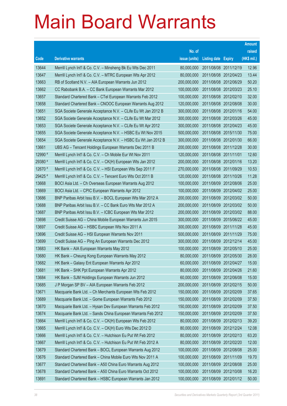|         |                                                                 |               |                            | <b>Amount</b> |
|---------|-----------------------------------------------------------------|---------------|----------------------------|---------------|
|         |                                                                 | No. of        |                            | raised        |
| Code    | <b>Derivative warrants</b>                                      | issue (units) | <b>Listing date Expiry</b> | (HK\$ mil.)   |
| 13644   | Merrill Lynch Int'l & Co. C.V. - Minsheng Bk Eu Wts Dec 2011    | 80,000,000    | 2011/08/08 2011/12/19      | 12.96         |
| 13647   | Merrill Lynch Int'l & Co. C.V. - MTRC European Wts Apr 2012     | 80,000,000    | 2011/08/08 2012/04/23      | 13.44         |
| 13663   | RB of Scotland N.V. - AIA European Warrants Jun 2012            | 200,000,000   | 2011/08/08 2012/06/29      | 50.20         |
| 13662   | CC Rabobank B.A. - CC Bank European Warrants Mar 2012           | 100,000,000   | 2011/08/08 2012/03/23      | 25.10         |
| 13657   | Standard Chartered Bank - CTel European Warrants Feb 2012       | 100,000,000   | 2011/08/08 2012/02/10      | 32.00         |
| 13658   | Standard Chartered Bank - CNOOC European Warrants Aug 2012      | 120,000,000   | 2011/08/08 2012/08/08      | 30.00         |
| 13651   | SGA Societe Generale Acceptance N.V. - CLife Eu Wt Jan 2012 B   | 300,000,000   | 2011/08/08 2012/01/16      | 54.00         |
| 13652   | SGA Societe Generale Acceptance N.V. - CLife Eu Wt Mar 2012     | 300,000,000   | 2011/08/08 2012/03/26      | 45.00         |
| 13653   | SGA Societe Generale Acceptance N.V. - CLife Eu Wt Apr 2012     | 300,000,000   | 2011/08/08 2012/04/23      | 45.00         |
| 13655   | SGA Societe Generale Acceptance N.V. - HSBC Eu Wt Nov 2015      | 500,000,000   | 2011/08/08 2015/11/30      | 75.00         |
| 13654   | SGA Societe Generale Acceptance N.V. - HSBC Eu Wt Jan 2012 B    | 300,000,000   | 2011/08/08 2012/01/30      | 66.00         |
| 13661   | UBS AG - Tencent Holdings European Warrants Dec 2011 B          | 200,000,000   | 2011/08/08 2011/12/28      | 30.00         |
| 12990 # | Merrill Lynch Int'l & Co. C.V. - Ch Mobile Eur Wt Nov 2011      | 120,000,000   | 2011/08/08 2011/11/01      | 12.60         |
| 29380 # | Merrill Lynch Int'l & Co. C.V. - CK(H) European Wts Jan 2012    | 200,000,000   | 2011/08/08 2012/01/16      | 13.20         |
| 12670 # | Merrill Lynch Int'l & Co. C.V. - HSI European Wts Sep 2011 F    | 270,000,000   | 2011/08/08 2011/09/29      | 10.53         |
| 29425 # | Merrill Lynch Int'l & Co. C.V. - Tencent Euro Wts Oct 2011 B    | 120,000,000   | 2011/08/08 2011/10/26      | 11.28         |
| 13668   | BOCI Asia Ltd. - Ch Overseas European Warrants Aug 2012         | 100,000,000   | 2011/08/09 2012/08/06      | 25.00         |
| 13669   | BOCI Asia Ltd. - CPIC European Warrants Apr 2012                | 100,000,000   | 2011/08/09 2012/04/02      | 25.00         |
| 13686   | BNP Paribas Arbit Issu B.V. - BOCL European Wts Mar 2012 A      | 200,000,000   | 2011/08/09 2012/03/02      | 50.00         |
| 13688   | BNP Paribas Arbit Issu B.V. - CC Bank Euro Wts Mar 2012 A       | 200,000,000   | 2011/08/09 2012/03/02      | 50.00         |
| 13687   | BNP Paribas Arbit Issu B.V. - ICBC European Wts Mar 2012        | 200,000,000   | 2011/08/09 2012/03/02      | 88.00         |
| 13698   | Credit Suisse AG - China Mobile European Warrants Jun 2015      | 300,000,000   | 2011/08/09 2015/06/22      | 45.00         |
| 13697   | Credit Suisse AG - HSBC European Wts Nov 2011 A                 | 300,000,000   | 2011/08/09 2011/11/28      | 45.00         |
| 13696   | Credit Suisse AG - HSI European Warrants Nov 2011               | 500,000,000   | 2011/08/09 2011/11/29      | 75.00         |
| 13699   | Credit Suisse AG - Ping An European Warrants Dec 2012           | 300,000,000   | 2011/08/09 2012/12/14      | 45.00         |
| 13683   | HK Bank - AIA European Warrants May 2012                        | 100,000,000   | 2011/08/09 2012/05/10      | 25.00         |
| 13680   | HK Bank – Cheung Kong European Warrants May 2012                | 80,000,000    | 2011/08/09 2012/05/30      | 28.00         |
| 13682   | HK Bank - Galaxy Ent European Warrants Apr 2012                 | 60,000,000    | 2011/08/09 2012/04/27      | 15.00         |
| 13681   | HK Bank - SHK Ppt European Warrants Apr 2012                    | 80,000,000    | 2011/08/09 2012/04/26      | 21.60         |
| 13684   | HK Bank - SJM Holdings European Warrants Jun 2012               | 60,000,000    | 2011/08/09 2012/06/08      | 15.00         |
| 13685   | J P Morgan SP BV - AIA European Warrants Feb 2012               | 200,000,000   | 2011/08/09 2012/02/15      | 50.00         |
| 13671   | Macquarie Bank Ltd. - Ch Merchants European Wts Feb 2012        | 150,000,000   | 2011/08/09 2012/02/09      | 37.65         |
| 13689   | Macquarie Bank Ltd. - Gome European Warrants Feb 2012           | 150,000,000   | 2011/08/09 2012/02/09      | 37.50         |
| 13670   | Macquarie Bank Ltd. - Hysan Dev European Warrants Feb 2012      | 150,000,000   | 2011/08/09 2012/02/09      | 37.50         |
| 13674   | Macquarie Bank Ltd. - Sands China European Warrants Feb 2012    | 150,000,000   | 2011/08/09 2012/02/09      | 37.50         |
| 13664   | Merrill Lynch Int'l & Co. C.V. - CK(H) European Wts Feb 2012    | 80,000,000    | 2011/08/09 2012/02/13      | 39.20         |
| 13665   | Merrill Lynch Int'l & Co. C.V. - CK(H) Euro Wts Dec 2012 D      | 80,000,000    | 2011/08/09 2012/12/24      | 12.08         |
| 13666   | Merrill Lynch Int'l & Co. C.V. - Hutchison Eu Put Wt Feb 2012   | 80,000,000    | 2011/08/09 2012/02/13      | 63.20         |
| 13667   | Merrill Lynch Int'l & Co. C.V. - Hutchison Eu Put Wt Feb 2012 A | 80,000,000    | 2011/08/09 2012/02/20      | 12.00         |
| 13679   | Standard Chartered Bank - BOCL European Warrants Aug 2012       | 100,000,000   | 2011/08/09 2012/08/08      | 25.00         |
| 13676   | Standard Chartered Bank - China Mobile Euro Wts Nov 2011 A      | 100,000,000   | 2011/08/09 2011/11/09      | 19.70         |
| 13677   | Standard Chartered Bank - A50 China Euro Warrants Aug 2012      | 100,000,000   | 2011/08/09 2012/08/08      | 25.00         |
| 13678   | Standard Chartered Bank - A50 China Euro Warrants Oct 2012      | 100,000,000   | 2011/08/09 2012/10/08      | 16.20         |
| 13691   | Standard Chartered Bank - HSBC European Warrants Jan 2012       | 100,000,000   | 2011/08/09 2012/01/12      | 50.00         |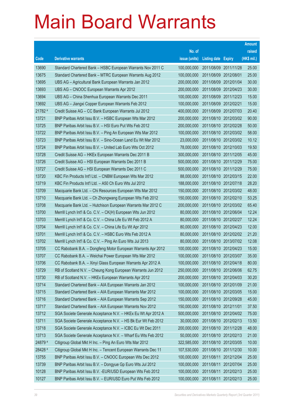|         |                                                                |               |                       |                       | <b>Amount</b> |
|---------|----------------------------------------------------------------|---------------|-----------------------|-----------------------|---------------|
|         |                                                                | No. of        |                       |                       | raised        |
| Code    | <b>Derivative warrants</b>                                     | issue (units) | Listing date          | <b>Expiry</b>         | (HK\$ mil.)   |
| 13690   | Standard Chartered Bank - HSBC European Warrants Nov 2011 C    | 100,000,000   | 2011/08/09 2011/11/28 |                       | 25.00         |
| 13675   | Standard Chartered Bank - MTRC European Warrants Aug 2012      | 100,000,000   | 2011/08/09 2012/08/01 |                       | 25.00         |
| 13695   | UBS AG - Agricultural Bank European Warrants Jan 2012          | 200,000,000   |                       | 2011/08/09 2012/01/04 | 30.00         |
| 13693   | UBS AG - CNOOC European Warrants Apr 2012                      | 200,000,000   |                       | 2011/08/09 2012/04/23 | 30.00         |
| 13694   | UBS AG - China Shenhua European Warrants Dec 2011              | 100,000,000   |                       | 2011/08/09 2011/12/23 | 15.00         |
| 13692   | UBS AG - Jiangxi Copper European Warrants Feb 2012             | 100,000,000   | 2011/08/09 2012/02/21 |                       | 15.00         |
| 21782 # | Credit Suisse AG - CC Bank European Warrants Jul 2012          | 400,000,000   |                       | 2011/08/09 2012/07/03 | 20.40         |
| 13721   | BNP Paribas Arbit Issu B.V. - HSBC European Wts Mar 2012       | 200,000,000   |                       | 2011/08/10 2012/03/02 | 90.00         |
| 13725   | BNP Paribas Arbit Issu B.V. - HSI Euro Put Wts Feb 2012        | 200,000,000   |                       | 2011/08/10 2012/02/28 | 50.00         |
| 13722   | BNP Paribas Arbit Issu B.V. - Ping An European Wts Mar 2012    | 100,000,000   |                       | 2011/08/10 2012/03/02 | 58.00         |
| 13723   | BNP Paribas Arbit Issu B.V. - Sino-Ocean Land Eu Wt Mar 2012   | 23,000,000    |                       | 2011/08/10 2012/03/02 | 10.12         |
| 13724   | BNP Paribas Arbit Issu B.V. - United Lab Euro Wts Oct 2012     | 78,000,000    |                       | 2011/08/10 2012/10/03 | 19.50         |
| 13728   | Credit Suisse AG - HKEx European Warrants Dec 2011 B           | 300,000,000   |                       | 2011/08/10 2011/12/05 | 45.00         |
| 13726   | Credit Suisse AG - HSI European Warrants Dec 2011 B            | 500,000,000   |                       | 2011/08/10 2011/12/29 | 75.00         |
| 13727   | Credit Suisse AG - HSI European Warrants Dec 2011 C            | 500,000,000   |                       | 2011/08/10 2011/12/29 | 75.00         |
| 13720   | KBC Fin Products Int'l Ltd. - CNBM European Wts Mar 2012       | 88,000,000    |                       | 2011/08/10 2012/03/15 | 22.00         |
| 13719   | KBC Fin Products Int'l Ltd. - A50 Ch Euro Wts Jul 2012         | 188,000,000   |                       | 2011/08/10 2012/07/18 | 28.20         |
| 13709   | Macquarie Bank Ltd. - Chi Resources European Wts Mar 2012      | 150,000,000   |                       | 2011/08/10 2012/03/02 | 48.00         |
| 13710   | Macquarie Bank Ltd. - Ch Zhongwang European Wts Feb 2012       | 150,000,000   |                       | 2011/08/10 2012/02/10 | 53.25         |
| 13708   | Macquarie Bank Ltd. - Hutchison European Warrants Mar 2012 C   | 200,000,000   |                       | 2011/08/10 2012/03/02 | 65.40         |
| 13700   | Merrill Lynch Int'l & Co. C.V. - CK(H) European Wts Jun 2012   | 80,000,000    |                       | 2011/08/10 2012/06/04 | 12.24         |
| 13703   | Merrill Lynch Int'l & Co. C.V. - China Life Eu Wt Feb 2012 A   | 80,000,000    |                       | 2011/08/10 2012/02/27 | 12.24         |
| 13704   | Merrill Lynch Int'l & Co. C.V. - China Life Eu Wt Apr 2012     | 80,000,000    |                       | 2011/08/10 2012/04/23 | 12.00         |
| 13701   | Merrill Lynch Int'l & Co. C.V. - HSBC Euro Wts Feb 2012 A      | 80,000,000    |                       | 2011/08/10 2012/02/02 | 21.20         |
| 13702   | Merrill Lynch Int'l & Co. C.V. - Ping An Euro Wts Jul 2013     | 80,000,000    |                       | 2011/08/10 2013/07/02 | 12.08         |
| 13705   | CC Rabobank B.A. - Dongfeng Motor European Warrants Apr 2012   | 100,000,000   |                       | 2011/08/10 2012/04/23 | 15.00         |
| 13707   | CC Rabobank B.A. – Weichai Power European Wts Mar 2012         | 100,000,000   | 2011/08/10 2012/03/07 |                       | 35.00         |
| 13706   | CC Rabobank B.A. - Xinyi Glass European Warrants Apr 2012 A    | 100,000,000   | 2011/08/10 2012/04/18 |                       | 80.00         |
| 13729   | RB of Scotland N.V. - Cheung Kong European Warrants Jun 2012   | 250,000,000   | 2011/08/10 2012/06/06 |                       | 62.75         |
| 13730   | RB of Scotland N.V. - HKEx European Warrants Apr 2012          | 200,000,000   | 2011/08/10 2012/04/03 |                       | 30.20         |
| 13714   | Standard Chartered Bank - AIA European Warrants Jan 2012       | 100,000,000   | 2011/08/10 2012/01/09 |                       | 21.00         |
| 13715   | Standard Chartered Bank - AIA European Warrants Mar 2012       | 100,000,000   | 2011/08/10 2012/03/05 |                       | 15.00         |
| 13716   | Standard Chartered Bank - AIA European Warrants Sep 2012       | 150,000,000   | 2011/08/10 2012/09/28 |                       | 45.00         |
| 13717   | Standard Chartered Bank - AIA European Warrants Nov 2012       | 150,000,000   | 2011/08/10 2012/11/01 |                       | 37.50         |
| 13712   | SGA Societe Generale Acceptance N.V. - HKEx Eu Wt Apr 2012 A   | 500,000,000   |                       | 2011/08/10 2012/04/02 | 75.00         |
| 13711   | SGA Societe Generale Acceptance N.V. - HS Bk Eur Wt Feb 2012   | 30,000,000    |                       | 2011/08/10 2012/02/13 | 13.50         |
| 13718   | SGA Societe Generale Acceptance N.V. - ICBC Eu Wt Dec 2011     | 200,000,000   | 2011/08/10 2011/12/28 |                       | 48.00         |
| 13713   | SGA Societe Generale Acceptance N.V. - Wharf Eu Wts Feb 2012   | 50,000,000    | 2011/08/10 2012/02/13 |                       | 21.00         |
| 24879 # | Citigroup Global Mkt H Inc. - Ping An Euro Wts Mar 2012        | 322,585,000   |                       | 2011/08/10 2012/03/05 | 10.00         |
| 28428 # | Citigroup Global Mkt H Inc. - Tencent European Warrants Dec 11 | 107,530,000   |                       | 2011/08/10 2011/12/30 | 10.00         |
| 13755   | BNP Paribas Arbit Issu B.V. - CNOOC European Wts Dec 2012      | 100,000,000   | 2011/08/11            | 2012/12/04            | 25.00         |
| 13739   | BNP Paribas Arbit Issu B.V. - Dongyue Gp Euro Wts Jul 2012     | 100,000,000   | 2011/08/11            | 2012/07/04            | 25.00         |
| 10128   | BNP Paribas Arbit Issu B.V. - EUR/USD European Wts Feb 2012    | 100,000,000   | 2011/08/11            | 2012/02/13            | 25.00         |
| 10127   | BNP Paribas Arbit Issu B.V. - EUR/USD Euro Put Wts Feb 2012    | 100,000,000   | 2011/08/11            | 2012/02/13            | 25.00         |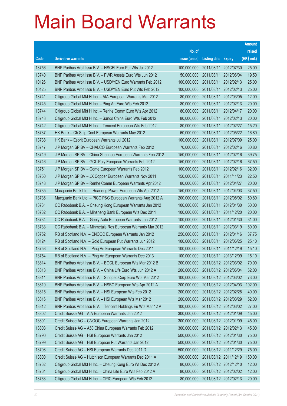|       |                                                                |               |                            |                       | <b>Amount</b> |
|-------|----------------------------------------------------------------|---------------|----------------------------|-----------------------|---------------|
|       |                                                                | No. of        |                            |                       | raised        |
| Code  | <b>Derivative warrants</b>                                     | issue (units) | <b>Listing date Expiry</b> |                       | (HK\$ mil.)   |
| 13756 | BNP Paribas Arbit Issu B.V. - HSCEI Euro Put Wts Jul 2012      | 100,000,000   | 2011/08/11                 | 2012/07/30            | 25.00         |
| 13740 | BNP Paribas Arbit Issu B.V. - PWR Assets Euro Wts Jun 2012     | 50,000,000    | 2011/08/11                 | 2012/06/04            | 19.50         |
| 10126 | BNP Paribas Arbit Issu B.V. - USD/YEN Euro Warrants Feb 2012   | 100,000,000   | 2011/08/11                 | 2012/02/13            | 25.00         |
| 10125 | BNP Paribas Arbit Issu B.V. - USD/YEN Euro Put Wts Feb 2012    | 100,000,000   | 2011/08/11                 | 2012/02/13            | 25.00         |
| 13741 | Citigroup Global Mkt H Inc. - AIA European Warrants Mar 2012   | 80,000,000    | 2011/08/11                 | 2012/03/05            | 12.00         |
| 13745 | Citigroup Global Mkt H Inc. - Ping An Euro Wts Feb 2012        | 80,000,000    | 2011/08/11                 | 2012/02/13            | 20.00         |
| 13744 | Citigroup Global Mkt H Inc. - Renhe Comm Euro Wts Apr 2012     | 80,000,000    | 2011/08/11                 | 2012/04/17            | 20.00         |
| 13743 | Citigroup Global Mkt H Inc. - Sands China Euro Wts Feb 2012    | 80,000,000    | 2011/08/11                 | 2012/02/13            | 20.00         |
| 13742 | Citigroup Global Mkt H Inc. - Tencent European Wts Feb 2012    | 80,000,000    | 2011/08/11                 | 2012/02/27            | 15.20         |
| 13737 | HK Bank - Ch Ship Cont European Warrants May 2012              | 60,000,000    | 2011/08/11                 | 2012/05/22            | 16.80         |
| 13738 | HK Bank - Esprit European Warrants Jul 2012                    | 100,000,000   | 2011/08/11                 | 2012/07/09            | 25.00         |
| 13747 | J P Morgan SP BV - CHALCO European Warrants Feb 2012           | 70,000,000    | 2011/08/11                 | 2012/02/16            | 30.80         |
| 13749 | J P Morgan SP BV - China Shenhua European Warrants Feb 2012    | 150,000,000   | 2011/08/11                 | 2012/02/16            | 39.75         |
| 13746 | J P Morgan SP BV - GCL-Poly European Warrants Feb 2012         | 150,000,000   | 2011/08/11                 | 2012/02/16            | 67.50         |
| 13751 | J P Morgan SP BV - Gome European Warrants Feb 2012             | 100,000,000   | 2011/08/11                 | 2012/02/16            | 32.00         |
| 13750 | J P Morgan SP BV - JX Copper European Warrants Nov 2011        | 150,000,000   | 2011/08/11                 | 2011/11/23            | 22.50         |
| 13748 | J P Morgan SP BV - Renhe Comm European Warrants Apr 2012       | 80,000,000    | 2011/08/11                 | 2012/04/27            | 20.00         |
| 13735 | Macquarie Bank Ltd. - Huaneng Power European Wts Apr 2012      | 150,000,000   | 2011/08/11                 | 2012/04/03            | 37.50         |
| 13736 | Macquarie Bank Ltd. - PICC P&C European Warrants Aug 2012 A    | 200,000,000   | 2011/08/11                 | 2012/08/02            | 50.80         |
| 13731 | CC Rabobank B.A. - Cheung Kong European Warrants Jan 2012      | 100,000,000   | 2011/08/11                 | 2012/01/30            | 50.00         |
| 13732 | CC Rabobank B.A. - Minsheng Bank European Wts Dec 2011         | 100,000,000   | 2011/08/11                 | 2011/12/20            | 20.00         |
| 13734 | CC Rabobank B.A. - Geely Auto European Warrants Jan 2012       | 100,000,000   | 2011/08/11                 | 2012/01/30            | 31.00         |
| 13733 | CC Rabobank B.A. - Minmetals Res European Warrants Mar 2012    | 100,000,000   | 2011/08/11                 | 2012/03/19            | 80.00         |
| 13752 | RB of Scotland N.V. - CNOOC European Warrants Jan 2012         | 250,000,000   |                            | 2011/08/11 2012/01/16 | 37.75         |
| 10124 | RB of Scotland N.V. - Gold European Put Warrants Jun 2012      | 100,000,000   | 2011/08/11                 | 2012/06/25            | 25.10         |
| 13753 | RB of Scotland N.V. - Ping An European Warrants Dec 2011       | 100,000,000   | 2011/08/11                 | 2011/12/19            | 15.10         |
| 13754 | RB of Scotland N.V. – Ping An European Warrants Dec 2013       | 100,000,000   |                            | 2011/08/11 2013/12/09 | 15.10         |
| 13814 | BNP Paribas Arbit Issu B.V. - BOCL European Wts Mar 2012 B     | 200,000,000   |                            | 2011/08/12 2012/03/02 | 70.00         |
| 13813 | BNP Paribas Arbit Issu B.V. - China Life Euro Wts Jun 2012 A   | 200,000,000   |                            | 2011/08/12 2012/06/04 | 62.00         |
| 13811 | BNP Paribas Arbit Issu B.V. - Sinopec Corp Euro Wts Mar 2012   | 100,000,000   |                            | 2011/08/12 2012/03/02 | 73.00         |
| 13810 | BNP Paribas Arbit Issu B.V. - HSBC European Wts Apr 2012 A     | 200,000,000   |                            | 2011/08/12 2012/04/03 | 102.00        |
| 13815 | BNP Paribas Arbit Issu B.V. - HSI European Wts Feb 2012        | 200,000,000   |                            | 2011/08/12 2012/02/28 | 40.00         |
| 13816 | BNP Paribas Arbit Issu B.V. - HSI European Wts Mar 2012        | 200,000,000   |                            | 2011/08/12 2012/03/29 | 52.00         |
| 13812 | BNP Paribas Arbit Issu B.V. - Tencent Holdings Eu Wts Mar 12 A | 100,000,000   |                            | 2011/08/12 2012/03/02 | 27.00         |
| 13802 | Credit Suisse AG - AIA European Warrants Jan 2012              | 300,000,000   |                            | 2011/08/12 2012/01/09 | 45.00         |
| 13801 | Credit Suisse AG - CNOOC European Warrants Jan 2012            | 300,000,000   |                            | 2011/08/12 2012/01/09 | 45.00         |
| 13803 | Credit Suisse AG - A50 China European Warrants Feb 2012        | 300,000,000   |                            | 2011/08/12 2012/02/13 | 45.00         |
| 13790 | Credit Suisse AG - HSI European Warrants Jan 2012              | 500,000,000   |                            | 2011/08/12 2012/01/30 | 75.00         |
| 13799 | Credit Suisse AG - HSI European Put Warrants Jan 2012          | 500,000,000   |                            | 2011/08/12 2012/01/30 | 75.00         |
| 13798 | Credit Suisse AG - HSI European Warrants Dec 2011 D            | 500,000,000   |                            | 2011/08/12 2011/12/29 | 75.00         |
| 13800 | Credit Suisse AG - Hutchison European Warrants Dec 2011 A      | 300,000,000   |                            | 2011/08/12 2011/12/19 | 150.00        |
| 13762 | Citigroup Global Mkt H Inc. - Cheung Kong Euro Wt Dec 2012 A   | 80,000,000    |                            | 2011/08/12 2012/12/10 | 12.00         |
| 13764 | Citigroup Global Mkt H Inc. - China Life Euro Wts Feb 2012 A   | 80,000,000    |                            | 2011/08/12 2012/02/02 | 12.00         |
| 13763 | Citigroup Global Mkt H Inc. - CPIC European Wts Feb 2012       | 80,000,000    |                            | 2011/08/12 2012/02/13 | 20.00         |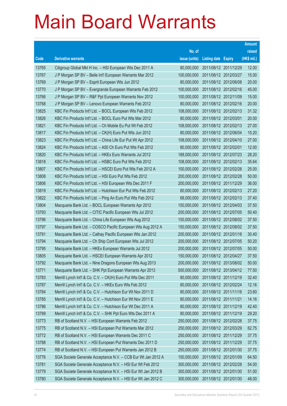|       |                                                              |               |                            |                       | <b>Amount</b> |
|-------|--------------------------------------------------------------|---------------|----------------------------|-----------------------|---------------|
|       |                                                              | No. of        |                            |                       | raised        |
| Code  | <b>Derivative warrants</b>                                   | issue (units) | <b>Listing date Expiry</b> |                       | (HK\$ mil.)   |
| 13765 | Citigroup Global Mkt H Inc. - HSI European Wts Dec 2011 A    | 80,000,000    | 2011/08/12 2011/12/29      |                       | 12.00         |
| 13767 | J P Morgan SP BV - Belle Int'l European Warrants Mar 2012    | 100,000,000   |                            | 2011/08/12 2012/03/27 | 15.00         |
| 13769 | J P Morgan SP BV - Esprit European Wts Jun 2012              | 80,000,000    | 2011/08/12 2012/06/08      |                       | 20.00         |
| 13770 | J P Morgan SP BV - Evergrande European Warrants Feb 2012     | 100,000,000   |                            | 2011/08/12 2012/02/16 | 45.00         |
| 13766 | J P Morgan SP BV - R&F Ppt European Warrants Nov 2012        | 100,000,000   |                            | 2011/08/12 2012/11/09 | 15.00         |
| 13768 | J P Morgan SP BV - Lenovo European Warrants Feb 2012         | 80,000,000    |                            | 2011/08/12 2012/02/16 | 20.00         |
| 13825 | KBC Fin Products Int'l Ltd. - BOCL European Wts Feb 2012     | 108,000,000   | 2011/08/12 2012/02/13      |                       | 31.32         |
| 13826 | KBC Fin Products Int'l Ltd. - BOCL Euro Put Wts Mar 2012     | 80,000,000    | 2011/08/12 2012/03/01      |                       | 20.00         |
| 13821 | KBC Fin Products Int'l Ltd. - Ch Mobile Eu Put Wt Feb 2012   | 108,000,000   |                            | 2011/08/12 2012/02/13 | 27.00         |
| 13817 | KBC Fin Products Int'l Ltd. - CK(H) Euro Put Wts Jun 2012    | 80,000,000    |                            | 2011/08/12 2012/06/04 | 15.20         |
| 13823 | KBC Fin Products Int'l Ltd. - China Life Eur Put Wt Apr 2012 | 108,000,000   | 2011/08/12 2012/04/10      |                       | 27.00         |
| 13824 | KBC Fin Products Int'l Ltd. - A50 Ch Euro Put Wts Feb 2012   | 80,000,000    | 2011/08/12 2012/02/01      |                       | 12.00         |
| 13820 | KBC Fin Products Int'l Ltd. - HKEx Euro Warrants Jul 2012    | 188,000,000   |                            | 2011/08/12 2012/07/23 | 28.20         |
| 13818 | KBC Fin Products Int'l Ltd. - HSBC Euro Put Wts Feb 2012     | 108,000,000   |                            | 2011/08/12 2012/02/13 | 35.64         |
| 13807 | KBC Fin Products Int'l Ltd. - HSCEI Euro Put Wts Feb 2012 A  | 100,000,000   | 2011/08/12 2012/02/28      |                       | 25.00         |
| 13808 | KBC Fin Products Int'l Ltd. - HSI Euro Put Wts Feb 2012      | 200,000,000   |                            | 2011/08/12 2012/02/28 | 50.00         |
| 13806 | KBC Fin Products Int'l Ltd. - HSI European Wts Dec 2011 F    | 200,000,000   |                            | 2011/08/12 2011/12/29 | 36.00         |
| 13819 | KBC Fin Products Int'l Ltd. - Hutchison Eur Put Wts Feb 2012 | 80,000,000    |                            | 2011/08/12 2012/02/13 | 27.20         |
| 13822 | KBC Fin Products Int'l Ltd. - Ping An Euro Put Wts Feb 2012  | 68,000,000    | 2011/08/12 2012/02/13      |                       | 37.40         |
| 13804 | Macquarie Bank Ltd. - BOCL European Warrants Apr 2012        | 150,000,000   | 2011/08/12 2012/04/03      |                       | 37.50         |
| 13793 | Macquarie Bank Ltd. - CITIC Pacific European Wts Jul 2012    | 200,000,000   |                            | 2011/08/12 2012/07/05 | 50.40         |
| 13796 | Macquarie Bank Ltd. - China Life European Wts Aug 2012       | 150,000,000   | 2011/08/12 2012/08/02      |                       | 37.50         |
| 13797 | Macquarie Bank Ltd. - COSCO Pacific European Wts Aug 2012 A  | 150,000,000   |                            | 2011/08/12 2012/08/02 | 37.50         |
| 13791 | Macquarie Bank Ltd. - Cathay Pacific European Wts Jan 2012   | 200,000,000   | 2011/08/12 2012/01/18      |                       | 30.40         |
| 13794 | Macquarie Bank Ltd. - Ch Ship Cont European Wts Jul 2012     | 200,000,000   |                            | 2011/08/12 2012/07/05 | 50.20         |
| 13795 | Macquarie Bank Ltd. - HKEx European Warrants Jul 2012        | 200,000,000   | 2011/08/12 2012/07/05      |                       | 50.00         |
| 13805 | Macquarie Bank Ltd. - HSCEI European Warrants Apr 2012       | 150,000,000   | 2011/08/12 2012/04/27      |                       | 37.50         |
| 13792 | Macquarie Bank Ltd. - Nine Dragons European Wts Aug 2013     | 200,000,000   | 2011/08/12 2013/08/02      |                       | 50.00         |
| 13771 | Macquarie Bank Ltd. - SHK Ppt European Warrants Apr 2013     | 500,000,000   | 2011/08/12 2013/04/12      |                       | 77.50         |
| 13783 | Merrill Lynch Int'l & Co. C.V. - CK(H) Euro Put Wts Dec 2011 | 80,000,000    | 2011/08/12 2011/12/19      |                       | 32.40         |
| 13787 | Merrill Lynch Int'l & Co. C.V. - HKEx Euro Wts Feb 2012      | 80,000,000    | 2011/08/12 2012/02/24      |                       | 12.16         |
| 13784 | Merrill Lynch Int'l & Co. C.V. - Hutchison Eur Wt Nov 2011 D | 80,000,000    | 2011/08/12 2011/11/16      |                       | 23.60         |
| 13785 | Merrill Lynch Int'l & Co. C.V. - Hutchison Eur Wt Nov 2011 E | 80,000,000    | 2011/08/12 2011/11/21      |                       | 14.16         |
| 13786 | Merrill Lynch Int'l & Co. C.V. - Hutchison Eur Wt Dec 2011 A | 80,000,000    | 2011/08/12 2011/12/19      |                       | 42.40         |
| 13789 | Merrill Lynch Int'l & Co. C.V. - SHK Ppt Euro Wts Dec 2011 A | 80,000,000    | 2011/08/12 2011/12/19      |                       | 29.20         |
| 13773 | RB of Scotland N.V. - HSI European Warrants Feb 2012         | 250,000,000   | 2011/08/12 2012/02/28      |                       | 37.75         |
| 13775 | RB of Scotland N.V. - HSI European Put Warrants Mar 2012     | 250,000,000   | 2011/08/12 2012/03/29      |                       | 62.75         |
| 13772 | RB of Scotland N.V. - HSI European Warrants Dec 2011 C       | 250,000,000   | 2011/08/12 2011/12/29      |                       | 37.75         |
| 13788 | RB of Scotland N.V. - HSI European Put Warrants Dec 2011 D   | 250,000,000   | 2011/08/12 2011/12/29      |                       | 37.75         |
| 13774 | RB of Scotland N.V. - HSI European Put Warrants Jan 2012 B   | 250,000,000   |                            | 2011/08/12 2012/01/30 | 37.75         |
| 13776 | SGA Societe Generale Acceptance N.V. - CCB Eur Wt Jan 2012 A | 150,000,000   | 2011/08/12 2012/01/09      |                       | 64.50         |
| 13781 | SGA Societe Generale Acceptance N.V. - HSI Eur Wt Feb 2012   | 300,000,000   | 2011/08/12 2012/02/28      |                       | 54.00         |
| 13779 | SGA Societe Generale Acceptance N.V. - HSI Eur Wt Jan 2012 B | 300,000,000   | 2011/08/12 2012/01/30      |                       | 51.00         |
| 13780 | SGA Societe Generale Acceptance N.V. - HSI Eur Wt Jan 2012 C | 300,000,000   | 2011/08/12 2012/01/30      |                       | 48.00         |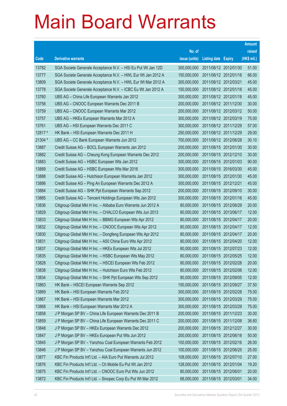|         |                                                                |               |                            |                       | <b>Amount</b> |
|---------|----------------------------------------------------------------|---------------|----------------------------|-----------------------|---------------|
|         |                                                                | No. of        |                            |                       | raised        |
| Code    | <b>Derivative warrants</b>                                     | issue (units) | <b>Listing date Expiry</b> |                       | (HK\$ mil.)   |
| 13782   | SGA Societe Generale Acceptance N.V. - HSI Eu Put Wt Jan 12D   | 300,000,000   |                            | 2011/08/12 2012/01/30 | 51.00         |
| 13777   | SGA Societe Generale Acceptance N.V. - HWL Eur Wt Jan 2012 A   | 150,000,000   |                            | 2011/08/12 2012/01/18 | 66.00         |
| 13809   | SGA Societe Generale Acceptance N.V. - HWL Eur Wt Mar 2012 A   | 300,000,000   | 2011/08/12 2012/03/21      |                       | 45.00         |
| 13778   | SGA Societe Generale Acceptance N.V. - ICBC Eu Wt Jan 2012 A   | 150,000,000   |                            | 2011/08/12 2012/01/18 | 45.00         |
| 13760   | UBS AG - China Life European Warrants Jan 2012                 | 300,000,000   |                            | 2011/08/12 2012/01/18 | 45.00         |
| 13758   | UBS AG - CNOOC European Warrants Dec 2011 B                    | 200,000,000   |                            | 2011/08/12 2011/12/30 | 30.00         |
| 13759   | UBS AG - CNOOC European Warrants Mar 2012                      | 200,000,000   |                            | 2011/08/12 2012/03/12 | 50.00         |
| 13757   | UBS AG - HKEx European Warrants Mar 2012 A                     | 300,000,000   |                            | 2011/08/12 2012/03/19 | 75.00         |
| 13761   | UBS AG - HSI European Warrants Dec 2011 C                      | 300,000,000   |                            | 2011/08/12 2011/12/29 | 57.00         |
| 12817 # | HK Bank - HSI European Warrants Dec 2011 H                     | 250,000,000   |                            | 2011/08/12 2011/12/29 | 29.00         |
| 21304 # | UBS AG - CC Bank European Warrants Jun 2012                    | 700,000,000   |                            | 2011/08/12 2012/06/28 | 30.10         |
| 13887   | Credit Suisse AG - BOCL European Warrants Jan 2012             | 200,000,000   |                            | 2011/08/15 2012/01/30 | 30.00         |
| 13882   | Credit Suisse AG - Cheung Kong European Warrants Dec 2012      | 200,000,000   |                            | 2011/08/15 2012/12/10 | 30.00         |
| 13883   | Credit Suisse AG - HSBC European Wts Jan 2012                  | 300,000,000   |                            | 2011/08/15 2012/01/03 | 90.00         |
| 13889   | Credit Suisse AG - HSBC European Wts Mar 2016                  | 300,000,000   |                            | 2011/08/15 2016/03/30 | 45.00         |
| 13888   | Credit Suisse AG - Hutchison European Warrants Jan 2012        | 300,000,000   |                            | 2011/08/15 2012/01/30 | 45.00         |
| 13886   | Credit Suisse AG - Ping An European Warrants Dec 2012 A        | 300,000,000   | 2011/08/15 2012/12/21      |                       | 45.00         |
| 13884   | Credit Suisse AG - SHK Ppt European Warrants Sep 2012          | 200,000,000   |                            | 2011/08/15 2012/09/10 | 30.00         |
| 13885   | Credit Suisse AG - Tencent Holdings European Wts Jan 2012      | 300,000,000   | 2011/08/15 2012/01/16      |                       | 45.00         |
| 13836   | Citigroup Global Mkt H Inc. - Alibaba Euro Warrants Jun 2012 A | 80,000,000    |                            | 2011/08/15 2012/06/29 | 20.00         |
| 13829   | Citigroup Global Mkt H Inc. - CHALCO European Wts Jun 2013     | 80,000,000    |                            | 2011/08/15 2013/06/17 | 12.00         |
| 13833   | Citigroup Global Mkt H Inc. - BBMG European Wts Apr 2012       | 80,000,000    |                            | 2011/08/15 2012/04/17 | 20.00         |
| 13832   | Citigroup Global Mkt H Inc. - CNOOC European Wts Apr 2012      | 80,000,000    |                            | 2011/08/15 2012/04/17 | 12.00         |
| 13830   | Citigroup Global Mkt H Inc. - Dongfeng European Wts Apr 2012   | 80,000,000    |                            | 2011/08/15 2012/04/17 | 20.00         |
| 13831   | Citigroup Global Mkt H Inc. - A50 China Euro Wts Apr 2012      | 80,000,000    |                            | 2011/08/15 2012/04/20 | 12.00         |
| 13837   | Citigroup Global Mkt H Inc. - HKEx European Wts Jul 2012       | 80,000,000    | 2011/08/15 2012/07/23      |                       | 12.00         |
| 13835   | Citigroup Global Mkt H Inc. - HSBC European Wts May 2012       | 80,000,000    | 2011/08/15 2012/05/25      |                       | 12.00         |
| 13828   | Citigroup Global Mkt H Inc. - HSCEI European Wts Feb 2012      | 80,000,000    | 2011/08/15 2012/02/28      |                       | 20.00         |
| 13838   | Citigroup Global Mkt H Inc. - Hutchison Euro Wts Feb 2012      | 80,000,000    |                            | 2011/08/15 2012/02/06 | 12.00         |
| 13834   | Citigroup Global Mkt H Inc. - SHK Ppt European Wts Sep 2012    | 80,000,000    |                            | 2011/08/15 2012/09/05 | 12.00         |
| 13863   | HK Bank - HSCEI European Warrants Sep 2012                     | 150,000,000   |                            | 2011/08/15 2012/09/27 | 37.50         |
| 13869   | HK Bank - HSI European Warrants Feb 2012                       | 300,000,000   |                            | 2011/08/15 2012/02/28 | 75.00         |
| 13867   | HK Bank - HSI European Warrants Mar 2012                       | 300,000,000   |                            | 2011/08/15 2012/03/29 | 75.00         |
| 13868   | HK Bank - HSI European Warrants Mar 2012 A                     | 300,000,000   | 2011/08/15 2012/03/29      |                       | 75.00         |
| 13858   | J P Morgan SP BV - China Life European Warrants Dec 2011 B     | 200,000,000   |                            | 2011/08/15 2011/12/23 | 30.00         |
| 13859   | J P Morgan SP BV - China Life European Warrants Dec 2011 C     | 200,000,000   |                            | 2011/08/15 2011/12/08 | 36.60         |
| 13848   | J P Morgan SP BV - HKEx European Warrants Dec 2012             | 200,000,000   |                            | 2011/08/15 2012/12/27 | 30.00         |
| 13847   | J P Morgan SP BV - HKEx European Put Wts Jun 2012              | 200,000,000   | 2011/08/15 2012/06/18      |                       | 50.00         |
| 13845   | J P Morgan SP BV - Yanzhou Coal European Warrants Feb 2012     | 100,000,000   | 2011/08/15 2012/02/16      |                       | 26.00         |
| 13846   | J P Morgan SP BV - Yanzhou Coal European Warrants Jun 2012     | 100,000,000   | 2011/08/15 2012/06/25      |                       | 25.00         |
| 13877   | KBC Fin Products Int'l Ltd. - AIA Euro Put Warrants Jul 2012   | 108,000,000   |                            | 2011/08/15 2012/07/10 | 27.00         |
| 13876   | KBC Fin Products Int'l Ltd. - Ch Mobile Eu Put Wt Jan 2012     | 128,000,000   | 2011/08/15 2012/01/04      |                       | 19.20         |
| 13875   | KBC Fin Products Int'l Ltd. - CNOOC Euro Put Wts Jun 2012      | 80,000,000    | 2011/08/15 2012/06/01      |                       | 20.00         |
| 13872   | KBC Fin Products Int'l Ltd. - Sinopec Corp Eu Put Wt Mar 2012  | 68,000,000    | 2011/08/15 2012/03/01      |                       | 34.00         |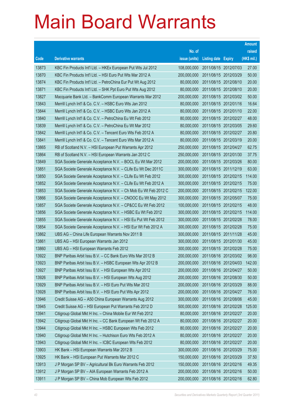|       |                                                                |               |                            |                       | <b>Amount</b> |
|-------|----------------------------------------------------------------|---------------|----------------------------|-----------------------|---------------|
|       |                                                                | No. of        |                            |                       | raised        |
| Code  | <b>Derivative warrants</b>                                     | issue (units) | <b>Listing date Expiry</b> |                       | (HK\$ mil.)   |
| 13873 | KBC Fin Products Int'l Ltd. - HKEx European Put Wts Jul 2012   | 108,000,000   |                            | 2011/08/15 2012/07/03 | 27.00         |
| 13870 | KBC Fin Products Int'l Ltd. - HSI Euro Put Wts Mar 2012 A      | 200,000,000   |                            | 2011/08/15 2012/03/29 | 50.00         |
| 13874 | KBC Fin Products Int'l Ltd. - PetroChina Eur Put Wt Aug 2012   | 80,000,000    |                            | 2011/08/15 2012/08/10 | 20.00         |
| 13871 | KBC Fin Products Int'l Ltd. - SHK Ppt Euro Put Wts Aug 2012    | 80,000,000    |                            | 2011/08/15 2012/08/10 | 20.00         |
| 13827 | Macquarie Bank Ltd. - BankComm European Warrants Mar 2012      | 200,000,000   |                            | 2011/08/15 2012/03/02 | 50.00         |
| 13843 | Merrill Lynch Int'l & Co. C.V. - HSBC Euro Wts Jan 2012        | 80,000,000    |                            | 2011/08/15 2012/01/16 | 16.64         |
| 13844 | Merrill Lynch Int'l & Co. C.V. - HSBC Euro Wts Jan 2012 A      | 80,000,000    |                            | 2011/08/15 2012/01/10 | 22.00         |
| 13840 | Merrill Lynch Int'l & Co. C.V. - PetroChina Eu Wt Feb 2012     | 80,000,000    |                            | 2011/08/15 2012/02/27 | 48.00         |
| 13839 | Merrill Lynch Int'l & Co. C.V. - PetroChina Eu Wt Mar 2012     | 80,000,000    |                            | 2011/08/15 2012/03/05 | 29.60         |
| 13842 | Merrill Lynch Int'l & Co. C.V. - Tencent Euro Wts Feb 2012 A   | 80,000,000    |                            | 2011/08/15 2012/02/27 | 20.80         |
| 13841 | Merrill Lynch Int'l & Co. C.V. - Tencent Euro Wts Mar 2012 A   | 80,000,000    |                            | 2011/08/15 2012/03/19 | 20.00         |
| 13865 | RB of Scotland N.V. - HSI European Put Warrants Apr 2012       | 250,000,000   |                            | 2011/08/15 2012/04/27 | 62.75         |
| 13864 | RB of Scotland N.V. - HSI European Warrants Jan 2012 C         | 250,000,000   |                            | 2011/08/15 2012/01/30 | 37.75         |
| 13849 | SGA Societe Generale Acceptance N.V. - BOCL Eu Wt Mar 2012     | 200,000,000   |                            | 2011/08/15 2012/03/26 | 80.00         |
| 13851 | SGA Societe Generale Acceptance N.V. - CLife Eu Wt Dec 2011C   | 300,000,000   |                            | 2011/08/15 2011/12/19 | 63.00         |
| 13850 | SGA Societe Generale Acceptance N.V. - CLife Eu Wt Feb 2012    | 300,000,000   |                            | 2011/08/15 2012/02/15 | 114.00        |
| 13852 | SGA Societe Generale Acceptance N.V. - CLife Eu Wt Feb 2012 A  | 300,000,000   |                            | 2011/08/15 2012/02/15 | 75.00         |
| 13853 | SGA Societe Generale Acceptance N.V. - Ch Mob Eu Wt Feb 2012 C | 200,000,000   |                            | 2011/08/15 2012/02/15 | 122.00        |
| 13866 | SGA Societe Generale Acceptance N.V. - CNOOC Eu Wt May 2012    | 300,000,000   |                            | 2011/08/15 2012/05/07 | 75.00         |
| 13857 | SGA Societe Generale Acceptance N.V. - CP&CC Eu Wt Feb 2012    | 100,000,000   |                            | 2011/08/15 2012/02/15 | 48.00         |
| 13856 | SGA Societe Generale Acceptance N.V. - HSBC Eu Wt Feb 2012     | 300,000,000   |                            | 2011/08/15 2012/02/15 | 114.00        |
| 13855 | SGA Societe Generale Acceptance N.V. - HSI Eu Put Wt Feb 2012  | 300,000,000   | 2011/08/15 2012/02/28      |                       | 78.00         |
| 13854 | SGA Societe Generale Acceptance N.V. - HSI Eur Wt Feb 2012 A   | 300,000,000   |                            | 2011/08/15 2012/02/28 | 75.00         |
| 13862 | UBS AG - China Life European Warrants Nov 2011 B               | 300,000,000   | 2011/08/15 2011/11/28      |                       | 45.00         |
| 13861 | UBS AG - HSI European Warrants Jan 2012                        | 300,000,000   |                            | 2011/08/15 2012/01/30 | 45.00         |
| 13860 | UBS AG - HSI European Warrants Feb 2012                        | 300,000,000   | 2011/08/15 2012/02/28      |                       | 75.00         |
| 13922 | BNP Paribas Arbit Issu B.V. – CC Bank Euro Wts Mar 2012 B      | 200,000,000   |                            | 2011/08/16 2012/03/02 | 98.00         |
| 13923 | BNP Paribas Arbit Issu B.V. - HSBC European Wts Apr 2012 B     | 200,000,000   |                            | 2011/08/16 2012/04/03 | 142.00        |
| 13927 | BNP Paribas Arbit Issu B.V. - HSI European Wts Apr 2012        | 200,000,000   | 2011/08/16 2012/04/27      |                       | 50.00         |
| 13926 | BNP Paribas Arbit Issu B.V. - HSI European Wts Aug 2012        | 200,000,000   |                            | 2011/08/16 2012/08/30 | 50.00         |
| 13929 | BNP Paribas Arbit Issu B.V. - HSI Euro Put Wts Mar 2012        | 200,000,000   |                            | 2011/08/16 2012/03/29 | 88.00         |
| 13928 | BNP Paribas Arbit Issu B.V. - HSI Euro Put Wts Apr 2012        | 200,000,000   |                            | 2011/08/16 2012/04/27 | 76.00         |
| 13946 | Credit Suisse AG - A50 China European Warrants Aug 2012        | 300,000,000   |                            | 2011/08/16 2012/08/06 | 45.00         |
| 13945 | Credit Suisse AG - HSI European Put Warrants Feb 2012 D        | 500,000,000   |                            | 2011/08/16 2012/02/28 | 125.00        |
| 13941 | Citigroup Global Mkt H Inc. - China Mobile Eur Wt Feb 2012     | 80,000,000    |                            | 2011/08/16 2012/02/27 | 20.00         |
| 13942 | Citigroup Global Mkt H Inc. - CC Bank European Wt Feb 2012 A   | 80,000,000    |                            | 2011/08/16 2012/02/27 | 20.00         |
| 13944 | Citigroup Global Mkt H Inc. - HSBC European Wts Feb 2012       | 80,000,000    |                            | 2011/08/16 2012/02/27 | 20.00         |
| 13940 | Citigroup Global Mkt H Inc. - Hutchison Euro Wts Feb 2012 A    | 80,000,000    |                            | 2011/08/16 2012/02/27 | 20.00         |
| 13943 | Citigroup Global Mkt H Inc. - ICBC European Wts Feb 2012       | 80,000,000    |                            | 2011/08/16 2012/02/27 | 20.00         |
| 13903 | HK Bank - HSI European Warrants Mar 2012 B                     | 300,000,000   |                            | 2011/08/16 2012/03/29 | 75.00         |
| 13925 | HK Bank - HSI European Put Warrants Mar 2012 C                 | 150,000,000   |                            | 2011/08/16 2012/03/29 | 37.50         |
| 13913 | J P Morgan SP BV - Agricultural Bk Euro Warrants Feb 2012      | 150,000,000   |                            | 2011/08/16 2012/02/16 | 49.35         |
| 13912 | J P Morgan SP BV - AIA European Warrants Feb 2012 A            | 200,000,000   |                            | 2011/08/16 2012/02/16 | 50.00         |
| 13911 | J P Morgan SP BV - China Mob European Wts Feb 2012             | 200,000,000   |                            | 2011/08/16 2012/02/16 | 62.80         |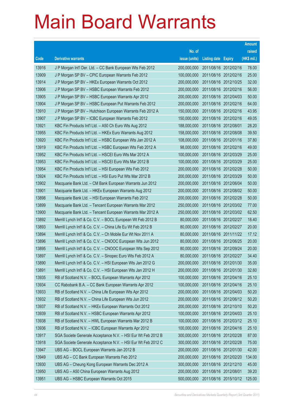|       |                                                              |               |                            |                       | <b>Amount</b> |
|-------|--------------------------------------------------------------|---------------|----------------------------|-----------------------|---------------|
|       |                                                              | No. of        |                            |                       | raised        |
| Code  | <b>Derivative warrants</b>                                   | issue (units) | <b>Listing date Expiry</b> |                       | (HK\$ mil.)   |
| 13916 | J P Morgan Int'l Der. Ltd. - CC Bank European Wts Feb 2012   | 200,000,000   | 2011/08/16 2012/02/16      |                       | 78.00         |
| 13909 | J P Morgan SP BV - CPIC European Warrants Feb 2012           | 100,000,000   | 2011/08/16 2012/02/16      |                       | 25.00         |
| 13914 | J P Morgan SP BV - HKEx European Warrants Oct 2012           | 200,000,000   | 2011/08/16 2012/10/25      |                       | 32.00         |
| 13906 | J P Morgan SP BV - HSBC European Warrants Feb 2012           | 200,000,000   |                            | 2011/08/16 2012/02/16 | 56.00         |
| 13905 | J P Morgan SP BV - HSBC European Warrants Apr 2012           | 200,000,000   |                            | 2011/08/16 2012/04/03 | 50.00         |
| 13904 | J P Morgan SP BV - HSBC European Put Warrants Feb 2012       | 200,000,000   |                            | 2011/08/16 2012/02/16 | 64.00         |
| 13910 | J P Morgan SP BV - Hutchison European Warrants Feb 2012 A    | 150,000,000   | 2011/08/16 2012/02/16      |                       | 43.95         |
| 13907 | J P Morgan SP BV - ICBC European Warrants Feb 2012           | 150,000,000   |                            | 2011/08/16 2012/02/16 | 49.05         |
| 13921 | KBC Fin Products Int'l Ltd. - A50 Ch Euro Wts Aug 2012       | 188,000,000   | 2011/08/16 2012/08/01      |                       | 28.20         |
| 13955 | KBC Fin Products Int'l Ltd. - HKEx Euro Warrants Aug 2012    | 158,000,000   |                            | 2011/08/16 2012/08/08 | 39.50         |
| 13920 | KBC Fin Products Int'l Ltd. - HSBC European Wts Jan 2012 A   | 108,000,000   | 2011/08/16 2012/01/16      |                       | 37.80         |
| 13919 | KBC Fin Products Int'l Ltd. - HSBC European Wts Feb 2012 A   | 98,000,000    |                            | 2011/08/16 2012/02/16 | 49.00         |
| 13952 | KBC Fin Products Int'l Ltd. - HSCEI Euro Wts Mar 2012 A      | 100,000,000   |                            | 2011/08/16 2012/03/29 | 25.00         |
| 13953 | KBC Fin Products Int'l Ltd. - HSCEI Euro Wts Mar 2012 B      | 100,000,000   |                            | 2011/08/16 2012/03/29 | 25.00         |
| 13954 | KBC Fin Products Int'l Ltd. - HSI European Wts Feb 2012      | 200,000,000   | 2011/08/16 2012/02/28      |                       | 50.00         |
| 13924 | KBC Fin Products Int'l Ltd. - HSI Euro Put Wts Mar 2012 B    | 200,000,000   |                            | 2011/08/16 2012/03/29 | 50.00         |
| 13902 | Macquarie Bank Ltd. - CM Bank European Warrants Jun 2012     | 200,000,000   |                            | 2011/08/16 2012/06/04 | 50.00         |
| 13901 | Macquarie Bank Ltd. - HKEx European Warrants Aug 2012        | 200,000,000   |                            | 2011/08/16 2012/08/02 | 50.00         |
| 13898 | Macquarie Bank Ltd. - HSI European Warrants Feb 2012         | 200,000,000   | 2011/08/16 2012/02/28      |                       | 50.00         |
| 13899 | Macquarie Bank Ltd. - Tencent European Warrants Mar 2012     | 250,000,000   | 2011/08/16 2012/03/02      |                       | 77.00         |
| 13900 | Macquarie Bank Ltd. - Tencent European Warrants Mar 2012 A   | 250,000,000   |                            | 2011/08/16 2012/03/02 | 62.50         |
| 13892 | Merrill Lynch Int'l & Co. C.V. - BOCL European Wt Feb 2012 B | 80,000,000    |                            | 2011/08/16 2012/02/27 | 18.40         |
| 13893 | Merrill Lynch Int'l & Co. C.V. - China Life Eu Wt Feb 2012 B | 80,000,000    | 2011/08/16 2012/02/27      |                       | 20.00         |
| 13894 | Merrill Lynch Int'l & Co. C.V. - Ch Mobile Eur Wt Nov 2011 A | 80,000,000    |                            | 2011/08/16 2011/11/22 | 17.12         |
| 13896 | Merrill Lynch Int'l & Co. C.V. - CNOOC European Wts Jun 2012 | 80,000,000    |                            | 2011/08/16 2012/06/25 | 20.00         |
| 13895 | Merrill Lynch Int'l & Co. C.V. - CNOOC European Wts Sep 2012 | 80,000,000    | 2011/08/16 2012/09/24      |                       | 20.00         |
| 13897 | Merrill Lynch Int'l & Co. C.V. - Sinopec Euro Wts Feb 2012 A | 80,000,000    |                            | 2011/08/16 2012/02/27 | 34.40         |
| 13890 | Merrill Lynch Int'l & Co. C.V. - HSI European Wts Jan 2012 G | 200,000,000   | 2011/08/16 2012/01/30      |                       | 35.00         |
| 13891 | Merrill Lynch Int'l & Co. C.V. - HSI European Wts Jan 2012 H | 200,000,000   | 2011/08/16 2012/01/30      |                       | 32.60         |
| 13935 | RB of Scotland N.V. - BOCL European Warrants Apr 2012        | 100,000,000   | 2011/08/16 2012/04/16      |                       | 25.10         |
| 13934 | CC Rabobank B.A. - CC Bank European Warrants Apr 2012        | 100,000,000   | 2011/08/16 2012/04/16      |                       | 25.10         |
| 13933 | RB of Scotland N.V. - China Life European Wts Apr 2012       | 200,000,000   | 2011/08/16 2012/04/03      |                       | 50.20         |
| 13932 | RB of Scotland N.V. - China Life European Wts Jun 2012       | 200,000,000   | 2011/08/16 2012/06/12      |                       | 50.20         |
| 13937 | RB of Scotland N.V. - HKEx European Warrants Oct 2012        | 200,000,000   | 2011/08/16 2012/10/10      |                       | 50.20         |
| 13939 | RB of Scotland N.V. - HSBC European Warrants Apr 2012        | 100,000,000   | 2011/08/16 2012/04/03      |                       | 25.10         |
| 13938 | RB of Scotland N.V. - HWL European Warrants Mar 2012 B       | 100,000,000   |                            | 2011/08/16 2012/03/12 | 25.10         |
| 13936 | RB of Scotland N.V. - ICBC European Warrants Apr 2012        | 100,000,000   | 2011/08/16 2012/04/16      |                       | 25.10         |
| 13917 | SGA Societe Generale Acceptance N.V. - HSI Eur Wt Feb 2012 B | 300,000,000   | 2011/08/16 2012/02/28      |                       | 87.00         |
| 13918 | SGA Societe Generale Acceptance N.V. - HSI Eur Wt Feb 2012 C | 300,000,000   | 2011/08/16 2012/02/28      |                       | 75.00         |
| 13947 | UBS AG - BOCL European Warrants Jan 2012 B                   | 200,000,000   | 2011/08/16 2012/01/30      |                       | 42.00         |
| 13949 | UBS AG - CC Bank European Warrants Feb 2012                  | 200,000,000   | 2011/08/16 2012/02/20      |                       | 134.00        |
| 13930 | UBS AG - Cheung Kong European Warrants Dec 2012 A            | 300,000,000   | 2011/08/16 2012/12/10      |                       | 45.00         |
| 13950 | UBS AG - A50 China European Warrants Aug 2012                | 200,000,000   | 2011/08/16 2012/08/01      |                       | 39.20         |
| 13951 | UBS AG - HSBC European Warrants Oct 2015                     | 500,000,000   |                            | 2011/08/16 2015/10/12 | 125.00        |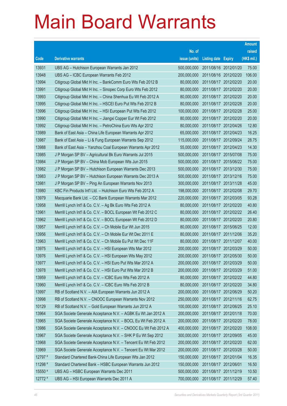|         |                                                               |               |                            | <b>Amount</b> |
|---------|---------------------------------------------------------------|---------------|----------------------------|---------------|
|         |                                                               | No. of        |                            | raised        |
| Code    | <b>Derivative warrants</b>                                    | issue (units) | <b>Listing date Expiry</b> | (HK\$ mil.)   |
| 13931   | UBS AG - Hutchison European Warrants Jan 2012                 | 500,000,000   | 2011/08/16 2012/01/20      | 75.00         |
| 13948   | UBS AG - ICBC European Warrants Feb 2012                      | 200,000,000   | 2011/08/16 2012/02/20      | 106.00        |
| 13994   | Citigroup Global Mkt H Inc. - BankComm Euro Wts Feb 2012 B    | 80,000,000    | 2011/08/17 2012/02/20      | 20.00         |
| 13991   | Citigroup Global Mkt H Inc. - Sinopec Corp Euro Wts Feb 2012  | 80,000,000    | 2011/08/17 2012/02/20      | 20.00         |
| 13993   | Citigroup Global Mkt H Inc. - China Shenhua Eu Wt Feb 2012 A  | 80,000,000    | 2011/08/17 2012/02/20      | 20.00         |
| 13995   | Citigroup Global Mkt H Inc. - HSCEI Euro Put Wts Feb 2012 B   | 80,000,000    | 2011/08/17 2012/02/28      | 20.00         |
| 13996   | Citigroup Global Mkt H Inc. - HSI European Put Wts Feb 2012   | 100,000,000   | 2011/08/17 2012/02/28      | 25.00         |
| 13990   | Citigroup Global Mkt H Inc. - Jiangxi Copper Eur Wt Feb 2012  | 80,000,000    | 2011/08/17 2012/02/20      | 20.00         |
| 13992   | Citigroup Global Mkt H Inc. - PetroChina Euro Wts Apr 2012    | 80,000,000    | 2011/08/17 2012/04/26      | 12.80         |
| 13989   | Bank of East Asia - China Life European Warrants Apr 2012     | 65,000,000    | 2011/08/17 2012/04/23      | 16.25         |
| 13987   | Bank of East Asia - Li & Fung European Warrants Sep 2012      | 115,000,000   | 2011/08/17 2012/09/24      | 28.75         |
| 13988   | Bank of East Asia - Yanzhou Coal European Warrants Apr 2012   | 55,000,000    | 2011/08/17 2012/04/23      | 14.30         |
| 13985   | J P Morgan SP BV - Agricultural Bk Euro Warrants Jul 2015     | 500,000,000   | 2011/08/17 2015/07/08      | 75.00         |
| 13984   | J P Morgan SP BV - China Mob European Wts Jun 2015            | 500,000,000   | 2011/08/17 2015/06/22      | 75.00         |
| 13982   | J P Morgan SP BV - Hutchison European Warrants Dec 2013       | 500,000,000   | 2011/08/17 2013/12/30      | 75.00         |
| 13983   | J P Morgan SP BV - Hutchison European Warrants Dec 2013 A     | 500,000,000   | 2011/08/17 2013/12/16      | 75.00         |
| 13981   | J P Morgan SP BV - Ping An European Warrants Nov 2013         | 300,000,000   | 2011/08/17 2013/11/28      | 45.00         |
| 13980   | KBC Fin Products Int'l Ltd. - Hutchison Euro Wts Feb 2012 A   | 198,000,000   | 2011/08/17 2012/02/08      | 29.70         |
| 13979   | Macquarie Bank Ltd. - CC Bank European Warrants Mar 2012      | 220,000,000   | 2011/08/17 2012/03/05      | 93.28         |
| 13958   | Merrill Lynch Int'l & Co. C.V. - Ag Bk Euro Wts Feb 2012 A    | 80,000,000    | 2011/08/17 2012/02/20      | 40.80         |
| 13961   | Merrill Lynch Int'l & Co. C.V. - BOCL European Wt Feb 2012 C  | 80,000,000    | 2011/08/17 2012/02/22      | 26.40         |
| 13962   | Merrill Lynch Int'l & Co. C.V. - BOCL European Wt Feb 2012 D  | 80,000,000    | 2011/08/17 2012/02/20      | 20.80         |
| 13957   | Merrill Lynch Int'l & Co. C.V. - Ch Mobile Eur Wt Jun 2015    | 80,000,000    | 2011/08/17 2015/06/25      | 12.00         |
| 13956   | Merrill Lynch Int'l & Co. C.V. - Ch Mobile Eur Wt Dec 2011 E  | 80,000,000    | 2011/08/17 2011/12/06      | 35.20         |
| 13963   | Merrill Lynch Int'l & Co. C.V. - Ch Mobile Eu Put Wt Dec 11F  | 80,000,000    | 2011/08/17 2011/12/07      | 40.00         |
| 13975   | Merrill Lynch Int'l & Co. C.V. - HSI European Wts Mar 2012    | 200,000,000   | 2011/08/17 2012/03/29      | 50.00         |
| 13976   | Merrill Lynch Int'l & Co. C.V. - HSI European Wts May 2012    | 200,000,000   | 2011/08/17 2012/05/30      | 50.00         |
| 13977   | Merrill Lynch Int'l & Co. C.V. - HSI Euro Put Wts Mar 2012 A  | 200,000,000   | 2011/08/17 2012/03/29      | 50.00         |
| 13978   | Merrill Lynch Int'l & Co. C.V. - HSI Euro Put Wts Mar 2012 B  | 200,000,000   | 2011/08/17 2012/03/29      | 51.00         |
| 13959   | Merrill Lynch Int'l & Co. C.V. - ICBC Euro Wts Feb 2012 A     | 80,000,000    | 2011/08/17 2012/02/22      | 44.80         |
| 13960   | Merrill Lynch Int'l & Co. C.V. - ICBC Euro Wts Feb 2012 B     | 80,000,000    | 2011/08/17 2012/02/20      | 34.80         |
| 13997   | RB of Scotland N.V. - AIA European Warrants Jun 2012 A        | 200,000,000   | 2011/08/17 2012/06/29      | 50.20         |
| 13998   | RB of Scotland N.V. - CNOOC European Warrants Nov 2012        | 250,000,000   | 2011/08/17 2012/11/16      | 62.75         |
| 10129   | RB of Scotland N.V. - Gold European Warrants Jun 2012 A       | 100,000,000   | 2011/08/17 2012/06/25      | 25.10         |
| 13964   | SGA Societe Generale Acceptance N.V. - AGBK Eu Wt Jan 2012 A  | 200,000,000   | 2011/08/17 2012/01/18      | 70.00         |
| 13965   | SGA Societe Generale Acceptance N.V. - BOCL Eu Wt Feb 2012 A  | 200,000,000   | 2011/08/17 2012/02/20      | 78.00         |
| 13986   | SGA Societe Generale Acceptance N.V. - CNOOC Eu Wt Feb 2012 A | 400,000,000   | 2011/08/17 2012/02/20      | 108.00        |
| 13967   | SGA Societe Generale Acceptance N.V. - SHK P Eu Wt Sep 2012   | 300,000,000   | 2011/08/17 2012/09/05      | 45.00         |
| 13968   | SGA Societe Generale Acceptance N.V. - Tencent Eu Wt Feb 2012 | 200,000,000   | 2011/08/17 2012/02/20      | 62.00         |
| 13969   | SGA Societe Generale Acceptance N.V. - Tencent Eu Wt Mar 2012 | 200,000,000   | 2011/08/17 2012/03/28      | 50.00         |
| 12797 # | Standard Chartered Bank-China Life European Wts Jan 2012      | 150,000,000   | 2011/08/17 2012/01/04      | 16.35         |
| 11298 # | Standard Chartered Bank - HSBC European Warrants Jun 2012     | 150,000,000   | 2011/08/17 2012/06/01      | 16.50         |
| 15550 # | UBS AG - HSBC European Warrants Dec 2011                      | 500,000,000   | 2011/08/17 2011/12/19      | 10.50         |
| 12772 # | UBS AG - HSI European Warrants Dec 2011 A                     | 700,000,000   | 2011/08/17 2011/12/29      | 57.40         |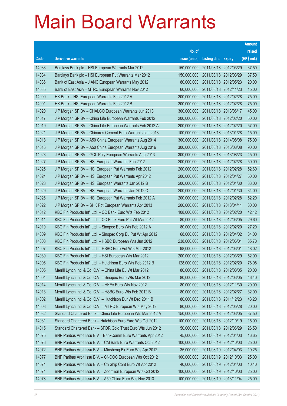|       |                                                               |               |                            | <b>Amount</b> |
|-------|---------------------------------------------------------------|---------------|----------------------------|---------------|
|       |                                                               | No. of        |                            | raised        |
| Code  | <b>Derivative warrants</b>                                    | issue (units) | <b>Listing date Expiry</b> | (HK\$ mil.)   |
| 14033 | Barclays Bank plc - HSI European Warrants Mar 2012            | 150,000,000   | 2011/08/18 2012/03/29      | 37.50         |
| 14034 | Barclays Bank plc - HSI European Put Warrants Mar 2012        | 150,000,000   | 2011/08/18 2012/03/29      | 37.50         |
| 14036 | Bank of East Asia – JIANC European Warrants May 2012          | 80,000,000    | 2011/08/18 2012/05/23      | 20.00         |
| 14035 | Bank of East Asia – MTRC European Warrants Nov 2012           | 60,000,000    | 2011/08/18 2012/11/23      | 15.00         |
| 14000 | HK Bank - HSI European Warrants Feb 2012 A                    | 300,000,000   | 2011/08/18 2012/02/28      | 75.00         |
| 14001 | HK Bank - HSI European Warrants Feb 2012 B                    | 300,000,000   | 2011/08/18 2012/02/28      | 75.00         |
| 14020 | J P Morgan SP BV - CHALCO European Warrants Jun 2013          | 300,000,000   | 2011/08/18 2013/06/17      | 45.00         |
| 14017 | J P Morgan SP BV - China Life European Warrants Feb 2012      | 200,000,000   | 2011/08/18 2012/02/20      | 50.00         |
| 14019 | J P Morgan SP BV - China Life European Warrants Feb 2012 A    | 200,000,000   | 2011/08/18 2012/02/20      | 57.00         |
| 14021 | J P Morgan SP BV - Chinares Cement Euro Warrants Jan 2013     | 100,000,000   | 2011/08/18 2013/01/28      | 15.00         |
| 14018 | J P Morgan SP BV - A50 China European Warrants Aug 2014       | 300,000,000   | 2011/08/18 2014/08/08      | 75.00         |
| 14016 | J P Morgan SP BV - A50 China European Warrants Aug 2016       | 300,000,000   | 2011/08/18 2016/08/08      | 90.00         |
| 14023 | J P Morgan SP BV - GCL-Poly European Warrants Aug 2013        | 300,000,000   | 2011/08/18 2013/08/23      | 45.00         |
| 14027 | J P Morgan SP BV - HSI European Warrants Feb 2012             | 200,000,000   | 2011/08/18 2012/02/28      | 50.00         |
| 14025 | J P Morgan SP BV - HSI European Put Warrants Feb 2012         | 200,000,000   | 2011/08/18 2012/02/28      | 52.60         |
| 14024 | J P Morgan SP BV - HSI European Put Warrants Apr 2012         | 200,000,000   | 2011/08/18 2012/04/27      | 50.00         |
| 14028 | J P Morgan SP BV - HSI European Warrants Jan 2012 B           | 200,000,000   | 2011/08/18 2012/01/30      | 33.00         |
| 14029 | J P Morgan SP BV - HSI European Warrants Jan 2012 C           | 200,000,000   | 2011/08/18 2012/01/30      | 34.00         |
| 14026 | J P Morgan SP BV - HSI European Put Warrants Feb 2012 A       | 200,000,000   | 2011/08/18 2012/02/28      | 52.20         |
| 14022 | J P Morgan SP BV - SHK Ppt European Warrants Apr 2013         | 200,000,000   | 2011/08/18 2013/04/11      | 30.00         |
| 14012 | KBC Fin Products Int'l Ltd. - CC Bank Euro Wts Feb 2012       | 108,000,000   | 2011/08/18 2012/02/20      | 42.12         |
| 14011 | KBC Fin Products Int'l Ltd. - CC Bank Euro Put Wt Mar 2012    | 80,000,000    | 2011/08/18 2012/03/05      | 29.60         |
| 14010 | KBC Fin Products Int'l Ltd. - Sinopec Euro Wts Feb 2012 A     | 80,000,000    | 2011/08/18 2012/02/20      | 27.20         |
| 14009 | KBC Fin Products Int'l Ltd. - Sinopec Corp Eu Put Wt Apr 2012 | 68,000,000    | 2011/08/18 2012/04/02      | 34.00         |
| 14008 | KBC Fin Products Int'l Ltd. - HSBC European Wts Jun 2012      | 238,000,000   | 2011/08/18 2012/06/01      | 35.70         |
| 14007 | KBC Fin Products Int'l Ltd. - HSBC Euro Put Wts Mar 2012      | 98.000.000    | 2011/08/18 2012/03/01      | 48.02         |
| 14030 | KBC Fin Products Int'l Ltd. - HSI European Wts Mar 2012       | 200,000,000   | 2011/08/18 2012/03/29      | 52.00         |
| 14006 | KBC Fin Products Int'l Ltd. - Hutchison Euro Wts Feb 2012 B   | 128,000,000   | 2011/08/18 2012/02/20      | 78.08         |
| 14005 | Merrill Lynch Int'l & Co. C.V. - China Life Eu Wt Mar 2012    | 80,000,000    | 2011/08/18 2012/03/05      | 20.00         |
| 14004 | Merrill Lynch Int'l & Co. C.V. - Sinopec Euro Wts Mar 2012    | 80,000,000    | 2011/08/18 2012/03/05      | 46.40         |
| 14014 | Merrill Lynch Int'l & Co. C.V. - HKEx Euro Wts Nov 2012       | 80,000,000    | 2011/08/18 2012/11/30      | 20.00         |
| 14013 | Merrill Lynch Int'l & Co. C.V. - HSBC Euro Wts Feb 2012 B     | 80,000,000    | 2011/08/18 2012/02/27      | 32.00         |
| 14002 | Merrill Lynch Int'l & Co. C.V. - Hutchison Eur Wt Dec 2011 B  | 80,000,000    | 2011/08/18 2011/12/23      | 43.20         |
| 14003 | Merrill Lynch Int'l & Co. C.V. - MTRC European Wts May 2012   | 80,000,000    | 2011/08/18 2012/05/28      | 20.00         |
| 14032 | Standard Chartered Bank - China Life European Wts Mar 2012 A  | 150,000,000   | 2011/08/18 2012/03/05      | 37.50         |
| 14031 | Standard Chartered Bank - Hutchison Euro Euro Wts Oct 2012    | 100,000,000   | 2011/08/18 2012/10/19      | 15.00         |
| 14015 | Standard Chartered Bank - SPDR Gold Trust Euro Wts Jun 2012   | 50,000,000    | 2011/08/18 2012/06/29      | 26.50         |
| 14075 | BNP Paribas Arbit Issu B.V - BankComm Euro Warrants Apr 2012  | 45,000,000    | 2011/08/19 2012/04/03      | 16.65         |
| 14076 | BNP Paribas Arbit Issu B.V. - CM Bank Euro Warrants Oct 2012  | 100,000,000   | 2011/08/19 2012/10/03      | 25.00         |
| 14072 | BNP Paribas Arbit Issu B.V. - Minsheng Bk Euro Wts Apr 2012   | 35,000,000    | 2011/08/19 2012/04/03      | 19.25         |
| 14077 | BNP Paribas Arbit Issu B.V. - CNOOC European Wts Oct 2012     | 100,000,000   | 2011/08/19 2012/10/03      | 25.00         |
| 14074 | BNP Paribas Arbit Issu B.V. - Ch Ship Cont Euro Wt Apr 2012   | 40,000,000    | 2011/08/19 2012/04/03      | 10.40         |
| 14071 | BNP Paribas Arbit Issu B.V. - Zoomlion European Wts Oct 2012  | 100,000,000   | 2011/08/19 2012/10/03      | 25.00         |
| 14078 | BNP Paribas Arbit Issu B.V. - A50 China Euro Wts Nov 2013     | 100,000,000   | 2011/08/19 2013/11/04      | 25.00         |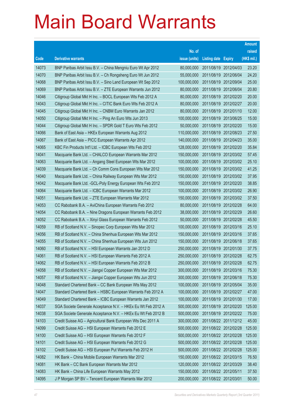|       |                                                              |               |                            |                       | <b>Amount</b> |
|-------|--------------------------------------------------------------|---------------|----------------------------|-----------------------|---------------|
|       |                                                              | No. of        |                            |                       | raised        |
| Code  | <b>Derivative warrants</b>                                   | issue (units) | <b>Listing date Expiry</b> |                       | (HK\$ mil.)   |
| 14073 | BNP Paribas Arbit Issu B.V. - China Mengniu Euro Wt Apr 2012 | 80,000,000    |                            | 2011/08/19 2012/04/03 | 23.20         |
| 14070 | BNP Paribas Arbit Issu B.V. - Ch Rongsheng Euro Wt Jun 2012  | 55,000,000    |                            | 2011/08/19 2012/06/04 | 24.20         |
| 14068 | BNP Paribas Arbit Issu B.V. - Sino Land European Wt Sep 2012 | 100,000,000   |                            | 2011/08/19 2012/09/04 | 25.00         |
| 14069 | BNP Paribas Arbit Issu B.V. - ZTE European Warrants Jun 2012 | 80,000,000    |                            | 2011/08/19 2012/06/04 | 20.80         |
| 14046 | Citigroup Global Mkt H Inc. - BOCL European Wts Feb 2012 A   | 80,000,000    |                            | 2011/08/19 2012/02/20 | 20.00         |
| 14043 | Citigroup Global Mkt H Inc. - CITIC Bank Euro Wts Feb 2012 A | 80,000,000    |                            | 2011/08/19 2012/02/27 | 20.00         |
| 14045 | Citigroup Global Mkt H Inc. - CNBM Euro Warrants Jan 2012    | 80,000,000    |                            | 2011/08/19 2012/01/10 | 12.00         |
| 14050 | Citigroup Global Mkt H Inc. - Ping An Euro Wts Jun 2013      | 100,000,000   |                            | 2011/08/19 2013/06/25 | 15.00         |
| 14044 | Citigroup Global Mkt H Inc. - SPDR Gold T Euro Wts Feb 2012  | 50,000,000    |                            | 2011/08/19 2012/02/20 | 15.00         |
| 14066 | Bank of East Asia - HKEx European Warrants Aug 2012          | 110,000,000   |                            | 2011/08/19 2012/08/23 | 27.50         |
| 14067 | Bank of East Asia - PICC European Warrants Apr 2012          | 140,000,000   |                            | 2011/08/19 2012/04/23 | 35.00         |
| 14065 | KBC Fin Products Int'l Ltd. - ICBC European Wts Feb 2012     | 128,000,000   |                            | 2011/08/19 2012/02/20 | 35.84         |
| 14041 | Macquarie Bank Ltd. - CHALCO European Warrants Mar 2012      | 150,000,000   |                            | 2011/08/19 2012/03/02 | 57.45         |
| 14063 | Macquarie Bank Ltd. - Angang Steel European Wts Mar 2012     | 100,000,000   |                            | 2011/08/19 2012/03/02 | 25.10         |
| 14039 | Macquarie Bank Ltd. - Ch Comm Cons European Wts Mar 2012     | 150,000,000   |                            | 2011/08/19 2012/03/02 | 41.25         |
| 14040 | Macquarie Bank Ltd. - China Railway European Wts Mar 2012    | 150,000,000   |                            | 2011/08/19 2012/03/02 | 37.95         |
| 14042 | Macquarie Bank Ltd. - GCL-Poly Energy European Wts Feb 2012  | 150,000,000   |                            | 2011/08/19 2012/02/20 | 38.85         |
| 14064 | Macquarie Bank Ltd. - ICBC European Warrants Mar 2012        | 100,000,000   |                            | 2011/08/19 2012/03/02 | 26.90         |
| 14051 | Macquarie Bank Ltd. - ZTE European Warrants Mar 2012         | 150,000,000   |                            | 2011/08/19 2012/03/02 | 37.50         |
| 14053 | CC Rabobank B.A. - AviChina European Warrants Feb 2012       | 80,000,000    |                            | 2011/08/19 2012/02/28 | 64.00         |
| 14054 | CC Rabobank B.A. - Nine Dragons European Warrants Feb 2012   | 38,000,000    |                            | 2011/08/19 2012/02/29 | 26.60         |
| 14052 | CC Rabobank B.A. - Xinyi Glass European Warrants Feb 2012    | 50,000,000    |                            | 2011/08/19 2012/02/28 | 45.50         |
| 14059 | RB of Scotland N.V. - Sinopec Corp European Wts Mar 2012     | 100,000,000   |                            | 2011/08/19 2012/03/16 | 25.10         |
| 14056 | RB of Scotland N.V. - China Shenhua European Wts Mar 2012    | 150,000,000   |                            | 2011/08/19 2012/03/16 | 37.65         |
| 14055 | RB of Scotland N.V. - China Shenhua European Wts Jun 2012    | 150,000,000   |                            | 2011/08/19 2012/06/18 | 37.65         |
| 14060 | RB of Scotland N.V. - HSI European Warrants Jan 2012 D       | 250,000,000   |                            | 2011/08/19 2012/01/30 | 37.75         |
| 14061 | RB of Scotland N.V. - HSI European Warrants Feb 2012 A       | 250,000,000   |                            | 2011/08/19 2012/02/28 | 62.75         |
| 14062 | RB of Scotland N.V. - HSI European Warrants Feb 2012 B       | 250,000,000   |                            | 2011/08/19 2012/02/28 | 62.75         |
| 14058 | RB of Scotland N.V. - Jiangxi Copper European Wts Mar 2012   | 300,000,000   |                            | 2011/08/19 2012/03/16 | 75.30         |
| 14057 | RB of Scotland N.V. - Jiangxi Copper European Wts Jun 2012   | 300,000,000   | 2011/08/19 2012/06/18      |                       | 75.30         |
| 14048 | Standard Chartered Bank - CC Bank European Wts May 2012      | 100,000,000   |                            | 2011/08/19 2012/05/04 | 35.00         |
| 14047 | Standard Chartered Bank - HSBC European Warrants Feb 2012 A  | 100,000,000   |                            | 2011/08/19 2012/02/27 | 47.00         |
| 14049 | Standard Chartered Bank - ICBC European Warrants Jan 2012    | 100,000,000   |                            | 2011/08/19 2012/01/30 | 17.00         |
| 14037 | SGA Societe Generale Acceptance N.V. - HKEx Eu Wt Feb 2012 A | 500,000,000   |                            | 2011/08/19 2012/02/20 | 125.00        |
| 14038 | SGA Societe Generale Acceptance N.V. - HKEx Eu Wt Feb 2012 B | 500,000,000   |                            | 2011/08/19 2012/02/22 | 75.00         |
| 14103 | Credit Suisse AG - Agricultural Bank European Wts Dec 2011 A | 300,000,000   |                            | 2011/08/22 2011/12/12 | 45.00         |
| 14099 | Credit Suisse AG - HSI European Warrants Feb 2012 E          | 500,000,000   |                            | 2011/08/22 2012/02/28 | 125.00        |
| 14100 | Credit Suisse AG - HSI European Warrants Feb 2012 F          | 500,000,000   |                            | 2011/08/22 2012/02/28 | 125.00        |
| 14101 | Credit Suisse AG - HSI European Warrants Feb 2012 G          | 500,000,000   |                            | 2011/08/22 2012/02/28 | 125.00        |
| 14102 | Credit Suisse AG - HSI European Put Warrants Feb 2012 H      | 500,000,000   |                            | 2011/08/22 2012/02/28 | 125.00        |
| 14082 | HK Bank - China Mobile European Warrants Mar 2012            | 150,000,000   |                            | 2011/08/22 2012/03/15 | 76.50         |
| 14081 | HK Bank - CC Bank European Warrants Mar 2012                 | 120,000,000   |                            | 2011/08/22 2012/03/29 | 38.40         |
| 14083 | HK Bank - China Life European Warrants May 2012              | 150,000,000   | 2011/08/22 2012/05/11      |                       | 37.50         |
| 14095 | J P Morgan SP BV - Tencent European Warrants Mar 2012        | 200,000,000   | 2011/08/22 2012/03/01      |                       | 50.00         |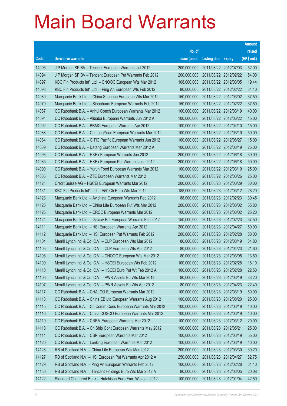|       |                                                               |               |                            |                       | <b>Amount</b> |
|-------|---------------------------------------------------------------|---------------|----------------------------|-----------------------|---------------|
|       |                                                               | No. of        |                            |                       | raised        |
| Code  | <b>Derivative warrants</b>                                    | issue (units) | <b>Listing date Expiry</b> |                       | (HK\$ mil.)   |
| 14096 | J P Morgan SP BV - Tencent European Warrants Jul 2012         | 200,000,000   | 2011/08/22 2012/07/03      |                       | 52.00         |
| 14094 | J P Morgan SP BV - Tencent European Put Warrants Feb 2012     | 200,000,000   |                            | 2011/08/22 2012/02/22 | 54.00         |
| 14097 | KBC Fin Products Int'l Ltd. - CNOOC European Wts Mar 2012     | 108,000,000   |                            | 2011/08/22 2012/03/05 | 19.44         |
| 14098 | KBC Fin Products Int'l Ltd. - Ping An European Wts Feb 2012   | 80,000,000    |                            | 2011/08/22 2012/02/22 | 34.40         |
| 14080 | Macquarie Bank Ltd. - China Shenhua European Wts Mar 2012     | 150,000,000   |                            | 2011/08/22 2012/03/02 | 37.50         |
| 14079 | Macquarie Bank Ltd. - Sinopharm European Warrants Feb 2012    | 150,000,000   |                            | 2011/08/22 2012/02/22 | 37.50         |
| 14087 | CC Rabobank B.A. - Anhui Conch European Warrants Mar 2012     | 100,000,000   | 2011/08/22 2012/03/19      |                       | 40.00         |
| 14091 | CC Rabobank B.A. - Alibaba European Warrants Jun 2012 A       | 100,000,000   |                            | 2011/08/22 2012/06/22 | 15.00         |
| 14092 | CC Rabobank B.A. - BBMG European Warrants Apr 2012            | 100,000,000   |                            | 2011/08/22 2012/04/10 | 15.00         |
| 14088 | CC Rabobank B.A. - Ch LongYuan European Warrants Mar 2012     | 100,000,000   |                            | 2011/08/22 2012/03/19 | 50.00         |
| 14084 | CC Rabobank B.A. - CITIC Pacific European Warrants Jun 2012   | 100,000,000   | 2011/08/22 2012/06/27      |                       | 15.00         |
| 14089 | CC Rabobank B.A. - Datang European Warrants Mar 2012 A        | 100,000,000   |                            | 2011/08/22 2012/03/19 | 25.00         |
| 14093 | CC Rabobank B.A. - HKEx European Warrants Jun 2012            | 200,000,000   |                            | 2011/08/22 2012/06/18 | 30.00         |
| 14085 | CC Rabobank B.A. - HKEx European Put Warrants Jun 2012        | 200,000,000   |                            | 2011/08/22 2012/06/18 | 50.00         |
| 14090 | CC Rabobank B.A. - Yurun Food European Warrants Mar 2012      | 100,000,000   | 2011/08/22 2012/03/19      |                       | 25.00         |
| 14086 | CC Rabobank B.A. - ZTE European Warrants Mar 2012             | 100,000,000   |                            | 2011/08/22 2012/03/26 | 25.00         |
| 14121 | Credit Suisse AG - HSCEI European Warrants Mar 2012           | 200,000,000   |                            | 2011/08/23 2012/03/29 | 30.00         |
| 14131 | KBC Fin Products Int'l Ltd. - A50 Ch Euro Wts Mar 2012        | 188,000,000   |                            | 2011/08/23 2012/03/12 | 28.20         |
| 14123 | Macquarie Bank Ltd. - Avichina European Warrants Feb 2012     | 88,000,000    | 2011/08/23 2012/02/23      |                       | 30.45         |
| 14125 | Macquarie Bank Ltd. - China Life European Put Wts Mar 2012    | 200,000,000   | 2011/08/23 2012/03/02      |                       | 55.80         |
| 14126 | Macquarie Bank Ltd. - CRCC European Warrants Mar 2012         | 100,000,000   |                            | 2011/08/23 2012/03/02 | 25.20         |
| 14124 | Macquarie Bank Ltd. - Galaxy Ent European Warrants Feb 2012   | 150,000,000   |                            | 2011/08/23 2012/02/23 | 37.50         |
| 14111 | Macquarie Bank Ltd. - HSI European Warrants Apr 2012          | 200,000,000   | 2011/08/23 2012/04/27      |                       | 50.00         |
| 14112 | Macquarie Bank Ltd. - HSI European Put Warrants Feb 2012      | 200,000,000   |                            | 2011/08/23 2012/02/28 | 50.00         |
| 14104 | Merrill Lynch Int'l & Co. C.V. - CLP European Wts Mar 2012    | 80,000,000    |                            | 2011/08/23 2012/03/19 | 34.80         |
| 14105 | Merrill Lynch Int'l & Co. C.V. - CLP European Wts Apr 2012    | 80,000,000    | 2011/08/23 2012/04/23      |                       | 21.60         |
| 14108 | Merrill Lynch Int'l & Co. C.V. - CNOOC European Wts Mar 2012  | 80,000,000    |                            | 2011/08/23 2012/03/05 | 13.60         |
| 14109 | Merrill Lynch Int'l & Co. C.V. - HSCEI European Wts Feb 2012  | 100,000,000   | 2011/08/23 2012/02/28      |                       | 18.10         |
| 14110 | Merrill Lynch Int'l & Co. C.V. - HSCEI Euro Put Wt Feb 2012 A | 100,000,000   | 2011/08/23 2012/02/28      |                       | 22.50         |
| 14106 | Merrill Lynch Int'l & Co. C.V. - PWR Assets Eu Wts Mar 2012   | 80,000,000    | 2011/08/23 2012/03/19      |                       | 33.20         |
| 14107 | Merrill Lynch Int'l & Co. C.V. - PWR Assets Eu Wts Apr 2012   | 80,000,000    | 2011/08/23 2012/04/23      |                       | 22.40         |
| 14117 | CC Rabobank B.A. - CHALCO European Warrants Mar 2012          | 100,000,000   | 2011/08/23 2012/03/19      |                       | 60.00         |
| 14113 | CC Rabobank B.A. - China EB Ltd European Warrants Aug 2012    | 100,000,000   | 2011/08/23 2012/08/20      |                       | 25.00         |
| 14115 | CC Rabobank B.A. - Ch Comm Cons European Warrants Mar 2012    | 100,000,000   | 2011/08/23 2012/03/19      |                       | 40.00         |
| 14116 | CC Rabobank B.A. - China COSCO European Warrants Mar 2012     | 100,000,000   | 2011/08/23 2012/03/19      |                       | 40.00         |
| 14119 | CC Rabobank B.A. - CNBM European Warrants Mar 2012            | 100,000,000   |                            | 2011/08/23 2012/03/12 | 20.00         |
| 14118 | CC Rabobank B.A. - Ch Ship Cont European Warrants May 2012    | 100,000,000   | 2011/08/23 2012/05/21      |                       | 25.00         |
| 14114 | CC Rabobank B.A. - CSR European Warrants Mar 2012             | 100,000,000   | 2011/08/23 2012/03/19      |                       | 55.00         |
| 14120 | CC Rabobank B.A. - Lonking European Warrants Mar 2012         | 100,000,000   | 2011/08/23 2012/03/19      |                       | 40.00         |
| 14128 | RB of Scotland N.V. - China Life European Wts Mar 2012        | 200,000,000   |                            | 2011/08/23 2012/03/30 | 30.20         |
| 14127 | RB of Scotland N.V. - HSI European Put Warrants Apr 2012 A    | 250,000,000   | 2011/08/23 2012/04/27      |                       | 62.75         |
| 14129 | RB of Scotland N.V. - Ping An European Warrants Feb 2012      | 100,000,000   | 2011/08/23 2012/02/28      |                       | 31.10         |
| 14130 | RB of Scotland N.V. - Tencent Holdings Euro Wts Mar 2012 A    | 80,000,000    | 2011/08/23 2012/03/05      |                       | 20.08         |
| 14122 | Standard Chartered Bank - Hutchison Euro Euro Wts Jan 2012    | 100,000,000   | 2011/08/23 2012/01/04      |                       | 42.50         |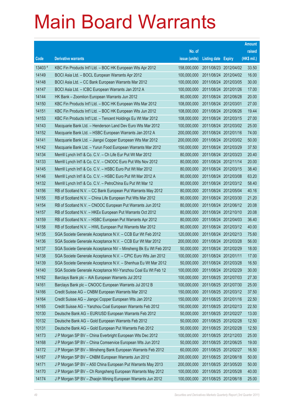|         |                                                                 |               |                            |                       | <b>Amount</b> |
|---------|-----------------------------------------------------------------|---------------|----------------------------|-----------------------|---------------|
|         |                                                                 | No. of        |                            |                       | raised        |
| Code    | <b>Derivative warrants</b>                                      | issue (units) | <b>Listing date Expiry</b> |                       | (HK\$ mil.)   |
| 13403 # | KBC Fin Products Int'l Ltd. - BOC HK European Wts Apr 2012      | 158,000,000   |                            | 2011/08/23 2012/04/02 | 33.50         |
| 14149   | BOCI Asia Ltd. - BOCL European Warrants Apr 2012                | 100,000,000   |                            | 2011/08/24 2012/04/02 | 16.00         |
| 14148   | BOCI Asia Ltd. - CC Bank European Warrants Mar 2012             | 100,000,000   | 2011/08/24 2012/03/05      |                       | 30.00         |
| 14147   | BOCI Asia Ltd. - ICBC European Warrants Jan 2012 A              | 100,000,000   |                            | 2011/08/24 2012/01/26 | 17.00         |
| 14144   | HK Bank - Zoomlion European Warrants Jun 2012                   | 80,000,000    |                            | 2011/08/24 2012/06/28 | 20.00         |
| 14150   | KBC Fin Products Int'l Ltd. - BOC HK European Wts Mar 2012      | 108,000,000   | 2011/08/24 2012/03/01      |                       | 27.00         |
| 14151   | KBC Fin Products Int'l Ltd. - BOC HK European Wts Jun 2012      | 108,000,000   | 2011/08/24 2012/06/26      |                       | 19.44         |
| 14153   | KBC Fin Products Int'l Ltd. - Tencent Holdings Eu Wt Mar 2012   | 108,000,000   |                            | 2011/08/24 2012/03/15 | 27.00         |
| 14143   | Macquarie Bank Ltd. - Henderson Land Dev Euro Wts Mar 2012      | 100,000,000   |                            | 2011/08/24 2012/03/02 | 25.00         |
| 14152   | Macquarie Bank Ltd. - HSBC European Warrants Jan 2012 A         | 200,000,000   |                            | 2011/08/24 2012/01/16 | 74.00         |
| 14141   | Macquarie Bank Ltd. - Jiangxi Copper European Wts Mar 2012      | 200,000,000   |                            | 2011/08/24 2012/03/02 | 50.00         |
| 14142   | Macquarie Bank Ltd. - Yurun Food European Warrants Mar 2012     | 150,000,000   | 2011/08/24 2012/03/29      |                       | 37.50         |
| 14134   | Merrill Lynch Int'l & Co. C.V. - Ch Life Eur Put Wt Mar 2012    | 80,000,000    |                            | 2011/08/24 2012/03/23 | 20.40         |
| 14133   | Merrill Lynch Int'l & Co. C.V. - CNOOC Euro Put Wts Nov 2012    | 80,000,000    | 2011/08/24 2012/11/14      |                       | 20.00         |
| 14145   | Merrill Lynch Int'l & Co. C.V. - HSBC Euro Put Wt Mar 2012      | 80,000,000    | 2011/08/24 2012/03/15      |                       | 38.40         |
| 14146   | Merrill Lynch Int'l & Co. C.V. - HSBC Euro Put Wt Mar 2012 A    | 80,000,000    |                            | 2011/08/24 2012/03/08 | 63.20         |
| 14132   | Merrill Lynch Int'l & Co. C.V. - PetroChina Eu Put Wt Mar 12    | 80,000,000    |                            | 2011/08/24 2012/03/12 | 58.40         |
| 14156   | RB of Scotland N.V. - CC Bank European Put Warrants May 2012    | 80,000,000    | 2011/08/24 2012/05/04      |                       | 40.16         |
| 14155   | RB of Scotland N.V. - China Life European Put Wts Mar 2012      | 80,000,000    |                            | 2011/08/24 2012/03/30 | 21.20         |
| 14154   | RB of Scotland N.V. - CNOOC European Put Warrants Jun 2012      | 80,000,000    |                            | 2011/08/24 2012/06/12 | 20.08         |
| 14157   | RB of Scotland N.V. - HKEx European Put Warrants Oct 2012       | 80,000,000    |                            | 2011/08/24 2012/10/10 | 20.08         |
| 14159   | RB of Scotland N.V. - HSBC European Put Warrants Apr 2012       | 80,000,000    |                            | 2011/08/24 2012/04/03 | 36.40         |
| 14158   | RB of Scotland N.V. - HWL European Put Warrants Mar 2012        | 80,000,000    |                            | 2011/08/24 2012/03/12 | 40.00         |
| 14135   | SGA Societe Generale Acceptance N.V. - CCB Eur Wt Feb 2012      | 120,000,000   |                            | 2011/08/24 2012/02/13 | 75.60         |
| 14136   | SGA Societe Generale Acceptance N.V. - CCB Eur Wt Mar 2012      | 200,000,000   | 2011/08/24 2012/03/28      |                       | 56.00         |
| 14137   | SGA Societe Generale Acceptance NV - Minsheng Bk Eu Wt Feb 2012 | 50,000,000    | 2011/08/24 2012/02/29      |                       | 18.00         |
| 14138   | SGA Societe Generale Acceptance N.V. - CPIC Euro Wts Jan 2012   | 100,000,000   | 2011/08/24 2012/01/11      |                       | 17.00         |
| 14139   | SGA Societe Generale Acceptance N.V. - Shenhua Eu Wt Mar 2012   | 50,000,000    | 2011/08/24 2012/03/28      |                       | 16.50         |
| 14140   | SGA Societe Generale Acceptance NV-Yanzhou Coal Eu Wt Feb 12    | 100,000,000   | 2011/08/24 2012/02/29      |                       | 30.00         |
| 14162   | Barclays Bank plc - AIA European Warrants Jul 2012              | 100,000,000   |                            | 2011/08/25 2012/07/03 | 27.30         |
| 14161   | Barclays Bank plc - CNOOC European Warrants Jul 2012 B          | 100,000,000   | 2011/08/25 2012/07/30      |                       | 25.00         |
| 14166   | Credit Suisse AG - CNBM European Warrants Mar 2012              | 150,000,000   |                            | 2011/08/25 2012/03/12 | 37.50         |
| 14164   | Credit Suisse AG - Jiangxi Copper European Wts Jan 2012         | 150,000,000   | 2011/08/25 2012/01/16      |                       | 22.50         |
| 14165   | Credit Suisse AG - Yanzhou Coal European Warrants Feb 2012      | 150,000,000   | 2011/08/25 2012/02/13      |                       | 22.50         |
| 10130   | Deutsche Bank AG - EUR/USD European Warrants Feb 2012           | 50,000,000    | 2011/08/25 2012/02/27      |                       | 13.00         |
| 10132   | Deutsche Bank AG - Gold European Warrants Feb 2012              | 50,000,000    | 2011/08/25 2012/02/28      |                       | 12.50         |
| 10131   | Deutsche Bank AG - Gold European Put Warrants Feb 2012          | 50,000,000    | 2011/08/25 2012/02/28      |                       | 12.50         |
| 14173   | J P Morgan SP BV - China Everbright European Wts Dec 2012       | 100,000,000   | 2011/08/25 2012/12/03      |                       | 25.00         |
| 14168   | J P Morgan SP BV - China Comservice European Wts Jun 2012       | 50,000,000    | 2011/08/25 2012/06/25      |                       | 19.00         |
| 14172   | J P Morgan SP BV - Minsheng Bank European Warrants Feb 2012     | 60,000,000    | 2011/08/25 2012/02/27      |                       | 16.50         |
| 14167   | J P Morgan SP BV - CNBM European Warrants Jun 2012              | 200,000,000   | 2011/08/25 2012/06/18      |                       | 50.00         |
| 14171   | J P Morgan SP BV - A50 China European Put Warrants May 2013     | 200,000,000   | 2011/08/25 2013/05/20      |                       | 50.00         |
| 14170   | J P Morgan SP BV - Ch Rongsheng European Warrants May 2012      | 100,000,000   | 2011/08/25 2012/05/28      |                       | 40.00         |
| 14174   | J P Morgan SP BV - Zhaojin Mining European Warrants Jun 2012    | 100,000,000   | 2011/08/25 2012/06/18      |                       | 25.00         |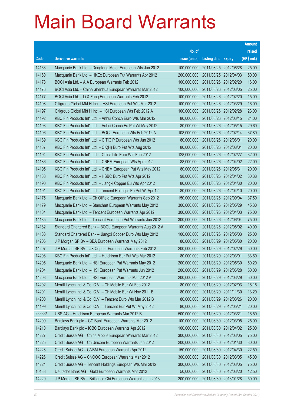|        |                                                                |               |                            |            | <b>Amount</b> |
|--------|----------------------------------------------------------------|---------------|----------------------------|------------|---------------|
|        |                                                                | No. of        |                            |            | raised        |
| Code   | <b>Derivative warrants</b>                                     | issue (units) | <b>Listing date Expiry</b> |            | (HK\$ mil.)   |
| 14163  | Macquarie Bank Ltd. - Dongfeng Motor European Wts Jun 2012     | 100,000,000   | 2011/08/25 2012/06/28      |            | 25.00         |
| 14160  | Macquarie Bank Ltd. - HKEx European Put Warrants Apr 2012      | 200,000,000   | 2011/08/25 2012/04/03      |            | 50.00         |
| 14178  | BOCI Asia Ltd. - AIA European Warrants Feb 2012                | 100,000,000   | 2011/08/26 2012/02/20      |            | 16.00         |
| 14176  | BOCI Asia Ltd. - China Shenhua European Warrants Mar 2012      | 100,000,000   | 2011/08/26 2012/03/05      |            | 25.00         |
| 14177  | BOCI Asia Ltd. - Li & Fung European Warrants Feb 2012          | 100,000,000   | 2011/08/26 2012/02/20      |            | 15.00         |
| 14198  | Citigroup Global Mkt H Inc. - HSI European Put Wts Mar 2012    | 100,000,000   | 2011/08/26 2012/03/29      |            | 16.00         |
| 14197  | Citigroup Global Mkt H Inc. - HSI European Wts Feb 2012 A      | 100,000,000   | 2011/08/26 2012/02/28      |            | 23.00         |
| 14192  | KBC Fin Products Int'l Ltd. - Anhui Conch Euro Wts Mar 2012    | 80,000,000    | 2011/08/26 2012/03/15      |            | 24.00         |
| 14193  | KBC Fin Products Int'l Ltd. - Anhui Conch Eu Put Wt May 2012   | 80,000,000    | 2011/08/26 2012/05/15      |            | 29.60         |
| 14196  | KBC Fin Products Int'l Ltd. - BOCL European Wts Feb 2012 A     | 108,000,000   | 2011/08/26 2012/02/14      |            | 37.80         |
| 14189  | KBC Fin Products Int'l Ltd. - CITIC P European Wts Jun 2012    | 80,000,000    | 2011/08/26 2012/06/01      |            | 20.00         |
| 14187  | KBC Fin Products Int'l Ltd. - CK(H) Euro Put Wts Aug 2012      | 80,000,000    | 2011/08/26 2012/08/01      |            | 20.00         |
| 14194  | KBC Fin Products Int'l Ltd. - China Life Euro Wts Feb 2012     | 128,000,000   | 2011/08/26 2012/02/27      |            | 32.00         |
| 14186  | KBC Fin Products Int'l Ltd. - CNBM European Wts Apr 2012       | 88,000,000    | 2011/08/26 2012/04/02      |            | 22.00         |
| 14195  | KBC Fin Products Int'l Ltd. - CNBM European Put Wts May 2012   | 80,000,000    | 2011/08/26 2012/05/31      |            | 20.00         |
| 14188  | KBC Fin Products Int'l Ltd. - HSBC Euro Put Wts Apr 2012       | 98,000,000    | 2011/08/26 2012/04/02      |            | 30.38         |
| 14190  | KBC Fin Products Int'l Ltd. - Jiangxi Copper Eu Wts Apr 2012   | 80,000,000    | 2011/08/26 2012/04/30      |            | 20.00         |
| 14191  | KBC Fin Products Int'l Ltd - Tencent Holdings Eu Put Wt Apr 12 | 80,000,000    | 2011/08/26 2012/04/10      |            | 20.00         |
| 14175  | Macquarie Bank Ltd. - Ch Oilfield European Warrants Sep 2012   | 150,000,000   | 2011/08/26 2012/09/04      |            | 37.50         |
| 14179  | Macquarie Bank Ltd. - Stanchart European Warrants May 2012     | 300,000,000   | 2011/08/26 2012/05/29      |            | 45.30         |
| 14184  | Macquarie Bank Ltd. - Tencent European Warrants Apr 2012       | 300,000,000   | 2011/08/26 2012/04/03      |            | 75.00         |
| 14185  | Macquarie Bank Ltd. - Tencent European Put Warrants Jun 2012   | 300,000,000   | 2011/08/26 2012/06/04      |            | 75.00         |
| 14182  | Standard Chartered Bank - BOCL European Warrants Aug 2012 A    | 100,000,000   | 2011/08/26 2012/08/02      |            | 40.00         |
| 14183  | Standard Chartered Bank - Jiangxi Copper Euro Wts May 2012     | 100,000,000   | 2011/08/26 2012/05/03      |            | 25.00         |
| 14206  | J P Morgan SP BV - BEA European Warrants May 2012              | 80,000,000    | 2011/08/29 2012/05/30      |            | 20.00         |
| 14207  | J P Morgan SP BV - JX Copper European Warrants Feb 2012        | 200,000,000   | 2011/08/29 2012/02/29      |            | 50.00         |
| 14208  | KBC Fin Products Int'l Ltd. - Hutchison Eur Put Wts Mar 2012   | 80,000,000    | 2011/08/29 2012/03/01      |            | 33.60         |
| 14205  | Macquarie Bank Ltd. - HSI European Put Warrants May 2012       | 200,000,000   | 2011/08/29 2012/05/30      |            | 50.20         |
| 14204  | Macquarie Bank Ltd. - HSI European Put Warrants Jun 2012       | 200,000,000   | 2011/08/29                 | 2012/06/28 | 50.00         |
| 14203  | Macquarie Bank Ltd. - HSI European Warrants Mar 2012 A         | 200,000,000   | 2011/08/29 2012/03/29      |            | 50.00         |
| 14202  | Merrill Lynch Int'l & Co. C.V. - Ch Mobile Eur Wt Feb 2012     | 80,000,000    | 2011/08/29 2012/02/03      |            | 16.16         |
| 14201  | Merrill Lynch Int'l & Co. C.V. - Ch Mobile Eur Wt Nov 2011 B   | 80,000,000    | 2011/08/29 2011/11/30      |            | 13.20         |
| 14200  | Merrill Lynch Int'l & Co. C.V. - Tencent Euro Wts Mar 2012 B   | 80,000,000    | 2011/08/29                 | 2012/03/26 | 20.00         |
| 14199  | Merrill Lynch Int'l & Co. C.V. - Tencent Eur Put Wt May 2012   | 80,000,000    | 2011/08/29 2012/05/21      |            | 20.00         |
| 28888# | UBS AG - Hutchison European Warrants Mar 2012 B                | 500,000,000   | 2011/08/29 2012/03/21      |            | 16.50         |
| 14209  | Barclays Bank plc - CC Bank European Warrants Mar 2012         | 100,000,000   | 2011/08/30 2012/03/05      |            | 25.00         |
| 14210  | Barclays Bank plc - ICBC European Warrants Apr 2012            | 100,000,000   | 2011/08/30 2012/04/02      |            | 25.00         |
| 14227  | Credit Suisse AG - China Mobile European Warrants Mar 2012     | 300,000,000   | 2011/08/30 2012/03/05      |            | 75.00         |
| 14225  | Credit Suisse AG - ChiUnicom European Warrants Jan 2012        | 200,000,000   | 2011/08/30 2012/01/30      |            | 30.00         |
| 14228  | Credit Suisse AG - CNBM European Warrants Apr 2012             | 150,000,000   | 2011/08/30 2012/04/30      |            | 22.50         |
| 14226  | Credit Suisse AG - CNOOC European Warrants Mar 2012            | 300,000,000   | 2011/08/30 2012/03/05      |            | 45.00         |
| 14224  | Credit Suisse AG - Tencent Holdings European Wts Mar 2012      | 300,000,000   | 2011/08/30 2012/03/05      |            | 75.00         |
| 10133  | Deutsche Bank AG - Gold European Warrants Mar 2012             | 50,000,000    | 2011/08/30 2012/03/20      |            | 12.50         |
| 14220  | J P Morgan SP BV - Brilliance Chi European Warrants Jan 2013   | 200,000,000   | 2011/08/30 2013/01/28      |            | 50.00         |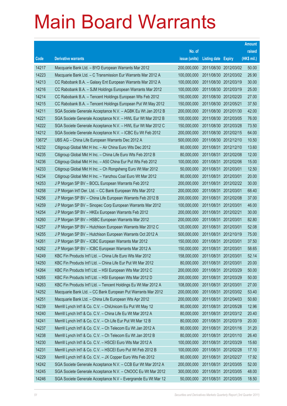|        |                                                                 |               |                            |                       | <b>Amount</b> |
|--------|-----------------------------------------------------------------|---------------|----------------------------|-----------------------|---------------|
|        |                                                                 | No. of        |                            |                       | raised        |
| Code   | <b>Derivative warrants</b>                                      | issue (units) | <b>Listing date Expiry</b> |                       | (HK\$ mil.)   |
| 14217  | Macquarie Bank Ltd. - BYD European Warrants Mar 2012            | 200,000,000   |                            | 2011/08/30 2012/03/02 | 50.00         |
| 14223  | Macquarie Bank Ltd. - C Transmission Eur Warrants Mar 2012 A    | 100,000,000   |                            | 2011/08/30 2012/03/02 | 26.90         |
| 14213  | CC Rabobank B.A. - Galaxy Ent European Warrants Mar 2012 A      | 100,000,000   | 2011/08/30 2012/03/19      |                       | 30.00         |
| 14216  | CC Rabobank B.A. - SJM Holdings European Warrants Mar 2012      | 100,000,000   |                            | 2011/08/30 2012/03/19 | 25.00         |
| 14214  | CC Rabobank B.A. - Tencent Holdings European Wts Feb 2012       | 150,000,000   |                            | 2011/08/30 2012/02/20 | 27.00         |
| 14215  | CC Rabobank B.A. - Tencent Holdings European Put Wt May 2012    | 150,000,000   | 2011/08/30 2012/05/21      |                       | 37.50         |
| 14211  | SGA Societe Generale Acceptance N.V. - AGBK Eu Wt Jan 2012 B    | 200,000,000   |                            | 2011/08/30 2012/01/30 | 42.00         |
| 14221  | SGA Societe Generale Acceptance N.V. - HWL Eur Wt Mar 2012 B    | 100,000,000   |                            | 2011/08/30 2012/03/05 | 76.00         |
| 14222  | SGA Societe Generale Acceptance N.V. - HWL Eur Wt Mar 2012 C    | 150,000,000   |                            | 2011/08/30 2012/03/28 | 73.50         |
| 14212  | SGA Societe Generale Acceptance N.V. - ICBC Eu Wt Feb 2012      | 200,000,000   |                            | 2011/08/30 2012/02/15 | 64.00         |
| 13672# | UBS AG - China Life European Warrants Dec 2012 A                | 500,000,000   |                            | 2011/08/30 2012/12/10 | 10.50         |
| 14232  | Citigroup Global Mkt H Inc. - Air China Euro Wts Dec 2012       | 80,000,000    |                            | 2011/08/31 2012/12/10 | 13.60         |
| 14235  | Citigroup Global Mkt H Inc. - China Life Euro Wts Feb 2012 B    | 80,000,000    |                            | 2011/08/31 2012/02/08 | 12.00         |
| 14236  | Citigroup Global Mkt H Inc. - A50 China Eur Put Wts Feb 2012    | 100,000,000   |                            | 2011/08/31 2012/02/06 | 15.00         |
| 14233  | Citigroup Global Mkt H Inc. - Ch Rongsheng Euro Wt Mar 2012     | 50,000,000    | 2011/08/31 2012/03/01      |                       | 12.50         |
| 14234  | Citigroup Global Mkt H Inc. - Yanzhou Coal Euro Wt Mar 2012     | 80,000,000    | 2011/08/31 2012/03/01      |                       | 20.00         |
| 14253  | J P Morgan SP BV - BOCL European Warrants Feb 2012              | 200,000,000   |                            | 2011/08/31 2012/02/22 | 30.00         |
| 14258  | J P Morgan Int'l Der. Ltd. - CC Bank European Wts Mar 2012      | 200,000,000   | 2011/08/31 2012/03/01      |                       | 68.40         |
| 14256  | J P Morgan SP BV - China Life European Warrants Feb 2012 B      | 200,000,000   | 2011/08/31 2012/02/08      |                       | 37.00         |
| 14259  | J P Morgan SP BV - Sinopec Corp European Warrants Mar 2012      | 100,000,000   | 2011/08/31 2012/03/01      |                       | 46.00         |
| 14254  | J P Morgan SP BV - HKEx European Warrants Feb 2012              | 200,000,000   | 2011/08/31 2012/02/21      |                       | 30.00         |
| 14260  | J P Morgan SP BV - HSBC European Warrants Mar 2012              | 200,000,000   | 2011/08/31 2012/03/01      |                       | 82.80         |
| 14257  | J P Morgan SP BV - Hutchison European Warrants Mar 2012 C       | 120,000,000   | 2011/08/31 2012/03/01      |                       | 52.08         |
| 14255  | J P Morgan SP BV - Hutchison European Warrants Oct 2012 A       | 500,000,000   |                            | 2011/08/31 2012/10/19 | 75.00         |
| 14261  | J P Morgan SP BV - ICBC European Warrants Mar 2012              | 150,000,000   | 2011/08/31 2012/03/01      |                       | 37.50         |
| 14262  | J P Morgan SP BV - ICBC European Warrants Mar 2012 A            | 150,000,000   | 2011/08/31 2012/03/01      |                       | 58.65         |
| 14249  | KBC Fin Products Int'l Ltd. - China Life Euro Wts Mar 2012      | 158,000,000   | 2011/08/31                 | 2012/03/01            | 52.14         |
| 14250  | KBC Fin Products Int'l Ltd. - China Life Eur Put Wt Mar 2012    | 80,000,000    | 2011/08/31 2012/03/01      |                       | 20.00         |
| 14264  | KBC Fin Products Int'l Ltd. - HSI European Wts Mar 2012 C       | 200,000,000   | 2011/08/31                 | 2012/03/29            | 50.00         |
| 14265  | KBC Fin Products Int'l Ltd. - HSI European Wts Mar 2012 D       | 200,000,000   | 2011/08/31 2012/03/29      |                       | 50.00         |
| 14263  | KBC Fin Products Int'l Ltd. - Tencent Holdings Eu Wt Mar 2012 A | 108,000,000   | 2011/08/31                 | 2012/03/01            | 27.00         |
| 14252  | Macquarie Bank Ltd. - CC Bank European Put Warrants Mar 2012    | 200,000,000   | 2011/08/31                 | 2012/03/02            | 53.40         |
| 14251  | Macquarie Bank Ltd. - China Life European Wts Apr 2012          | 200,000,000   | 2011/08/31                 | 2012/04/03            | 50.60         |
| 14239  | Merrill Lynch Int'l & Co. C.V. - ChiUnicom Eu Put Wt May 12     | 80,000,000    | 2011/08/31                 | 2012/05/28            | 12.96         |
| 14240  | Merrill Lynch Int'l & Co. C.V. - China Life Eu Wt Mar 2012 A    | 80,000,000    | 2011/08/31                 | 2012/03/12            | 20.40         |
| 14241  | Merrill Lynch Int'l & Co. C.V. - Ch Life Eur Put Wt Mar 12 B    | 80,000,000    | 2011/08/31 2012/03/19      |                       | 20.00         |
| 14237  | Merrill Lynch Int'l & Co. C.V. - Ch Telecom Eu Wt Jan 2012 A    | 80,000,000    | 2011/08/31                 | 2012/01/16            | 31.20         |
| 14238  | Merrill Lynch Int'l & Co. C.V. - Ch Telecom Eu Wt Jan 2012 B    | 80,000,000    | 2011/08/31                 | 2012/01/10            | 26.40         |
| 14230  | Merrill Lynch Int'l & Co. C.V. - HSCEI Euro Wts Mar 2012 A      | 100,000,000   | 2011/08/31                 | 2012/03/29            | 15.60         |
| 14231  | Merrill Lynch Int'l & Co. C.V. - HSCEI Euro Put Wt Feb 2012 B   | 100,000,000   | 2011/08/31                 | 2012/02/28            | 17.10         |
| 14229  | Merrill Lynch Int'l & Co. C.V. - JX Copper Euro Wts Feb 2012    | 80,000,000    | 2011/08/31                 | 2012/02/27            | 17.92         |
| 14242  | SGA Societe Generale Acceptance N.V. - CCB Eur Wt Mar 2012 A    | 200,000,000   | 2011/08/31                 | 2012/03/05            | 52.00         |
| 14245  | SGA Societe Generale Acceptance N.V. - CNOOC Eu Wt Mar 2012     | 300,000,000   | 2011/08/31                 | 2012/03/05            | 48.00         |
| 14246  | SGA Societe Generale Acceptance N.V - Evergrande Eu Wt Mar 12   | 50,000,000    | 2011/08/31                 | 2012/03/05            | 18.50         |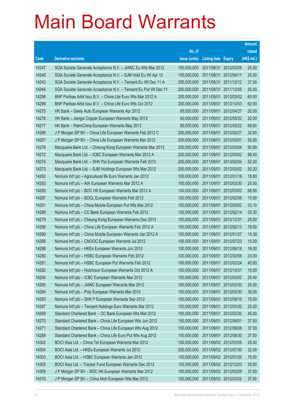|       |                                                                 |               |                            |                       | <b>Amount</b> |
|-------|-----------------------------------------------------------------|---------------|----------------------------|-----------------------|---------------|
|       |                                                                 | No. of        |                            |                       | raised        |
| Code  | <b>Derivative warrants</b>                                      | issue (units) | <b>Listing date Expiry</b> |                       | (HK\$ mil.)   |
| 14247 | SGA Societe Generale Acceptance N.V. - JIANC Eu Wts Mar 2012    | 100,000,000   |                            | 2011/08/31 2012/03/05 | 25.00         |
| 14248 | SGA Societe Generale Acceptance N.V. - SJM Hold Eu Wt Apr 12    | 100,000,000   | 2011/08/31 2012/04/11      |                       | 25.00         |
| 14243 | SGA Societe Generale Acceptance N.V. - Tencent Eu Wt Dec 11 A   | 250,000,000   |                            | 2011/08/31 2011/12/12 | 37.50         |
| 14244 | SGA Societe Generale Acceptance N.V. - Tencent Eu Put Wt Dec 11 | 250,000,000   |                            | 2011/08/31 2011/12/05 | 55.00         |
| 14298 | BNP Paribas Arbit Issu B.V. - China Life Euro Wts Mar 2012 A    | 200,000,000   |                            | 2011/09/01 2012/03/02 | 60.00         |
| 14299 | BNP Paribas Arbit Issu B.V. - China Life Euro Wts Oct 2012      | 200,000,000   |                            | 2011/09/01 2012/10/03 | 62.00         |
| 14275 | HK Bank - Geely Auto European Warrants Apr 2012                 | 80,000,000    | 2011/09/01                 | 2012/04/27            | 20.00         |
| 14276 | HK Bank - Jiangxi Copper European Warrants May 2012             | 80,000,000    |                            | 2011/09/01 2012/05/22 | 20.00         |
| 14277 | HK Bank - PetroChina European Warrants May 2012                 | 80,000,000    |                            | 2011/09/01 2012/05/22 | 69.60         |
| 14266 | J P Morgan SP BV - China Life European Warrants Feb 2012 C      | 200,000,000   |                            | 2011/09/01 2012/02/27 | 32.60         |
| 14267 | J P Morgan SP BV - China Life European Warrants Mar 2012        | 200,000,000   | 2011/09/01                 | 2012/03/01            | 52.00         |
| 14278 | Macquarie Bank Ltd. - Cheung Kong European Warrants Mar 2013    | 200,000,000   |                            | 2011/09/01 2013/03/04 | 50.80         |
| 14272 | Macquarie Bank Ltd. - ICBC European Warrants Mar 2012 A         | 200,000,000   | 2011/09/01                 | 2012/03/02            | 99.40         |
| 14274 | Macquarie Bank Ltd. - SHK Ppt European Warrants Feb 2013        | 200,000,000   |                            | 2011/09/01 2013/02/04 | 52.20         |
| 14273 | Macquarie Bank Ltd. - SJM Holdings European Wts Mar 2012        | 200,000,000   | 2011/09/01                 | 2012/03/02            | 50.20         |
| 14292 | Nomura Int'l plc - Agricultural Bk Euro Warrants Jan 2012       | 100,000,000   |                            | 2011/09/01 2012/01/18 | 18.80         |
| 14293 | Nomura Int'l plc - AIA European Warrants Mar 2012 A             | 100,000,000   |                            | 2011/09/01 2012/03/30 | 25.00         |
| 14295 | Nomura Int'l plc - BOC HK European Warrants Mar 2012 A          | 100,000,000   |                            | 2011/09/01 2012/03/02 | 68.90         |
| 14297 | Nomura Int'l plc - BOCL European Warrants Feb 2012              | 100,000,000   | 2011/09/01                 | 2012/02/06            | 15.90         |
| 14291 | Nomura Int'l plc - China Mobile European Put Wts Mar 2012       | 100,000,000   |                            | 2011/09/01 2012/03/02 | 33.10         |
| 14289 | Nomura Int'l plc - CC Bank European Warrants Feb 2012           | 100,000,000   |                            | 2011/09/01 2012/02/14 | 33.30         |
| 14279 | Nomura Int'l plc - Cheung Kong European Warrants Dec 2013       | 100,000,000   | 2011/09/01 2013/12/31      |                       | 25.00         |
| 14296 | Nomura Int'l plc - China Life European Warrants Feb 2012 A      | 100,000,000   | 2011/09/01                 | 2012/02/13            | 19.00         |
| 14290 | Nomura Int'l plc - China Mobile European Warrants Jan 2012 A    | 100,000,000   |                            | 2011/09/01 2012/01/27 | 15.30         |
| 14288 | Nomura Int'l plc - CNOOC European Warrants Jul 2012             | 100,000,000   |                            | 2011/09/01 2012/07/23 | 15.00         |
| 14286 | Nomura Int'l plc - HKEx European Warrants Jun 2012              | 100,000,000   | 2011/09/01                 | 2012/06/18            | 16.00         |
| 14280 | Nomura Int'l plc - HSBC European Warrants Feb 2012              | 100,000,000   | 2011/09/01                 | 2012/02/08            | 33.00         |
| 14281 | Nomura Int'l plc - HSBC European Put Warrants Feb 2012          | 100,000,000   | 2011/09/01 2012/02/24      |                       | 40.60         |
| 14282 | Nomura Int'l plc - Hutchison European Warrants Oct 2012 A       | 100,000,000   | 2011/09/01                 | 2012/10/31            | 15.00         |
| 14294 | Nomura Int'l plc - ICBC European Warrants Mar 2012              | 100,000,000   |                            | 2011/09/01 2012/03/02 | 25.40         |
| 14285 | Nomura Int'l plc - JIANC European Warrants Mar 2012             | 100,000,000   | 2011/09/01                 | 2012/03/30            | 25.00         |
| 14284 | Nomura Int'l plc - Poly European Warrants Mar 2012              | 100,000,000   | 2011/09/01                 | 2012/03/30            | 35.00         |
| 14283 | Nomura Int'l plc - SHK P European Warrants Sep 2012             | 100,000,000   | 2011/09/01                 | 2012/09/10            | 15.00         |
| 14287 | Nomura Int'l plc - Tencent Holdings Euro Warrants Mar 2012      | 100,000,000   | 2011/09/01                 | 2012/03/30            | 25.00         |
| 14269 | Standard Chartered Bank - CC Bank European Wts Mar 2012         | 100,000,000   | 2011/09/01                 | 2012/03/30            | 45.00         |
| 14270 | Standard Chartered Bank - China Life European Wts Jun 2012      | 150,000,000   | 2011/09/01 2012/06/01      |                       | 37.50         |
| 14271 | Standard Chartered Bank - China Life European Wts Aug 2012      | 150,000,000   | 2011/09/01                 | 2012/08/08            | 37.50         |
| 14268 | Standard Chartered Bank - China Life Euro Put Wts Aug 2012      | 150,000,000   |                            | 2011/09/01 2012/08/30 | 37.50         |
| 14302 | BOCI Asia Ltd. - China Tel European Warrants Mar 2012           | 100,000,000   |                            | 2011/09/02 2012/03/05 | 25.00         |
| 14304 | BOCI Asia Ltd. - HKEx European Warrants Jul 2012                | 200,000,000   |                            | 2011/09/02 2012/07/30 | 32.00         |
| 14303 | BOCI Asia Ltd. - HSBC European Warrants Jan 2012                | 100,000,000   |                            | 2011/09/02 2012/01/26 | 15.00         |
| 14305 | BOCI Asia Ltd. - Tracker Fund European Warrants Dec 2012        | 100,000,000   |                            | 2011/09/02 2012/12/03 | 25.00         |
| 14309 | J P Morgan SP BV - BOC HK European Warrants Mar 2012            | 150,000,000   |                            | 2011/09/02 2012/03/29 | 37.50         |
| 14310 | J P Morgan SP BV - China Mob European Wts Mar 2012              | 150,000,000   |                            | 2011/09/02 2012/03/02 | 37.50         |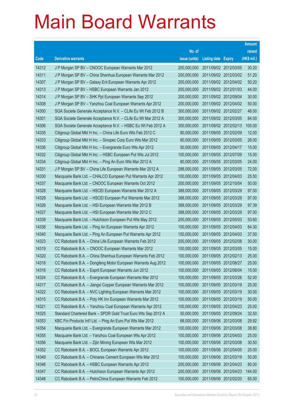|       |                                                               |               |                            |                       | <b>Amount</b> |
|-------|---------------------------------------------------------------|---------------|----------------------------|-----------------------|---------------|
|       |                                                               | No. of        |                            |                       | raised        |
| Code  | <b>Derivative warrants</b>                                    | issue (units) | <b>Listing date Expiry</b> |                       | (HK\$ mil.)   |
| 14312 | J P Morgan SP BV - CNOOC European Warrants Mar 2012           | 200,000,000   |                            | 2011/09/02 2012/03/05 | 30.20         |
| 14311 | J P Morgan SP BV - China Shenhua European Warrants Mar 2012   | 200,000,000   |                            | 2011/09/02 2012/03/02 | 51.20         |
| 14307 | J P Morgan SP BV - Galaxy Ent European Warrants Apr 2012      | 200,000,000   |                            | 2011/09/02 2012/04/02 | 50.20         |
| 14313 | J P Morgan SP BV - HSBC European Warrants Jan 2012            | 200,000,000   |                            | 2011/09/02 2012/01/03 | 44.00         |
| 14314 | J P Morgan SP BV - SHK Ppt European Warrants Sep 2012         | 200,000,000   |                            | 2011/09/02 2012/09/04 | 30.00         |
| 14308 | J P Morgan SP BV - Yanzhou Coal European Warrants Apr 2012    | 200,000,000   |                            | 2011/09/02 2012/04/02 | 50.00         |
| 14300 | SGA Societe Generale Acceptance N.V. - CLife Eu Wt Feb 2012 B | 300,000,000   |                            | 2011/09/02 2012/02/27 | 48.00         |
| 14301 | SGA Societe Generale Acceptance N.V. - CLife Eu Wt Mar 2012 A | 300,000,000   |                            | 2011/09/02 2012/03/05 | 84.00         |
| 14306 | SGA Societe Generale Acceptance N.V. - HSBC Eu Wt Feb 2012 A  | 300,000,000   |                            | 2011/09/02 2012/02/13 | 105.00        |
| 14335 | Citigroup Global Mkt H Inc. - China Life Euro Wts Feb 2012 C  | 80,000,000    |                            | 2011/09/05 2012/02/09 | 12.00         |
| 14333 | Citigroup Global Mkt H Inc. - Sinopec Corp Euro Wts Mar 2012  | 80,000,000    |                            | 2011/09/05 2012/03/05 | 28.00         |
| 14336 | Citigroup Global Mkt H Inc. - Evergrande Euro Wts Apr 2012    | 50,000,000    |                            | 2011/09/05 2012/04/17 | 15.00         |
| 14332 | Citigroup Global Mkt H Inc. - HSBC European Put Wts Jul 2012  | 100,000,000   |                            | 2011/09/05 2012/07/09 | 15.00         |
| 14334 | Citigroup Global Mkt H Inc. - Ping An Euro Wts Mar 2012 A     | 80,000,000    |                            | 2011/09/05 2012/03/05 | 24.00         |
| 14331 | J P Morgan SP BV - China Life European Warrants Mar 2012 A    | 288,000,000   |                            | 2011/09/05 2012/03/05 | 72.00         |
| 14330 | Macquarie Bank Ltd. - CHALCO European Put Warrants Apr 2012   | 100,000,000   |                            | 2011/09/05 2012/04/03 | 25.50         |
| 14337 | Macquarie Bank Ltd. - CNOOC European Warrants Oct 2012        | 200,000,000   |                            | 2011/09/05 2012/10/04 | 50.00         |
| 14328 | Macquarie Bank Ltd. - HSCEI European Warrants Mar 2012 A      | 388,000,000   |                            | 2011/09/05 2012/03/29 | 97.00         |
| 14329 | Macquarie Bank Ltd. - HSCEI European Put Warrants Mar 2012    | 388,000,000   | 2011/09/05 2012/03/29      |                       | 97.00         |
| 14326 | Macquarie Bank Ltd. - HSI European Warrants Mar 2012 B        | 388,000,000   |                            | 2011/09/05 2012/03/29 | 97.39         |
| 14327 | Macquarie Bank Ltd. - HSI European Warrants Mar 2012 C        | 388,000,000   |                            | 2011/09/05 2012/03/29 | 97.00         |
| 14339 | Macquarie Bank Ltd. - Hutchison European Put Wts May 2012     | 200,000,000   |                            | 2011/09/05 2012/05/03 | 53.60         |
| 14338 | Macquarie Bank Ltd. - Ping An European Warrants Apr 2012      | 100,000,000   |                            | 2011/09/05 2012/04/03 | 84.30         |
| 14340 | Macquarie Bank Ltd. - Ping An European Put Warrants Apr 2012  | 150,000,000   |                            | 2011/09/05 2012/04/03 | 37.50         |
| 14323 | CC Rabobank B.A. - China Life European Warrants Feb 2012      | 200,000,000   |                            | 2011/09/05 2012/02/08 | 30.00         |
| 14319 | CC Rabobank B.A. - CNOOC European Warrants Mar 2012           | 100,000,000   |                            | 2011/09/05 2012/03/05 | 15.00         |
| 14320 | CC Rabobank B.A. - China Shenhua European Warrants Feb 2012   | 100,000,000   |                            | 2011/09/05 2012/02/13 | 25.00         |
| 14318 | CC Rabobank B.A. - Dongfeng Motor European Warrants Aug 2012  | 100,000,000   | 2011/09/05 2012/08/27      |                       | 25.00         |
| 14316 | CC Rabobank B.A. - Esprit European Warrants Jun 2012          | 100,000,000   |                            | 2011/09/05 2012/06/04 | 15.00         |
| 14324 | CC Rabobank B.A. - Evergrande European Warrants Mar 2012      | 100,000,000   |                            | 2011/09/05 2012/03/26 | 52.00         |
| 14317 | CC Rabobank B.A. - Jiangxi Copper European Warrants Mar 2012  | 100,000,000   | 2011/09/05 2012/03/19      |                       | 25.00         |
| 14322 | CC Rabobank B.A. - NVC Lighting European Warrants Mar 2012    | 100,000,000   | 2011/09/05 2012/03/19      |                       | 30.00         |
| 14315 | CC Rabobank B.A. - Poly HK Inv European Warrants Mar 2012     | 100,000,000   | 2011/09/05 2012/03/19      |                       | 50.00         |
| 14321 | CC Rabobank B.A. - Yanzhou Coal European Warrants Apr 2012    | 100,000,000   | 2011/09/05 2012/04/23      |                       | 25.00         |
| 14325 | Standard Chartered Bank - SPDR Gold Trust Euro Wts Sep 2012 A | 50,000,000    |                            | 2011/09/05 2012/09/24 | 32.50         |
| 14353 | KBC Fin Products Int'l Ltd. - Ping An Euro Put Wts Mar 2012   | 68,000,000    |                            | 2011/09/06 2012/03/08 | 29.92         |
| 14354 | Macquarie Bank Ltd. - Evergrande European Warrants Mar 2012   | 100,000,000   |                            | 2011/09/06 2012/03/08 | 38.80         |
| 14355 | Macquarie Bank Ltd. - Yanzhou Coal European Wts Apr 2012      | 100,000,000   | 2011/09/06 2012/04/03      |                       | 25.00         |
| 14356 | Macquarie Bank Ltd. - Zijin Mining European Wts Mar 2012      | 100,000,000   |                            | 2011/09/06 2012/03/08 | 30.50         |
| 14352 | CC Rabobank B.A. - BOCL European Warrants Apr 2012            | 100,000,000   | 2011/09/06 2012/04/05      |                       | 25.00         |
| 14349 | CC Rabobank B.A. - Chinares Cement European Wts Mar 2012      | 100,000,000   | 2011/09/06 2012/03/19      |                       | 50.00         |
| 14346 | CC Rabobank B.A. - HSBC European Warrants Apr 2012            | 200,000,000   | 2011/09/06 2012/04/23      |                       | 80.00         |
| 14347 | CC Rabobank B.A. - Hutchison European Warrants Apr 2012       | 200,000,000   |                            | 2011/09/06 2012/04/23 | 144.00        |
| 14348 | CC Rabobank B.A. - PetroChina European Warrants Feb 2012      | 100,000,000   | 2011/09/06 2012/02/20      |                       | 65.00         |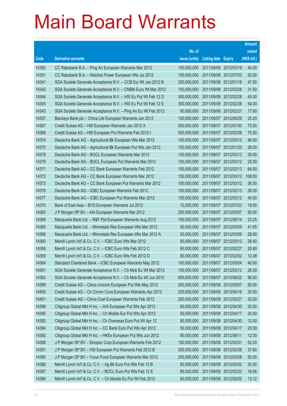|       |                                                               |               |                            |                       | <b>Amount</b> |
|-------|---------------------------------------------------------------|---------------|----------------------------|-----------------------|---------------|
|       |                                                               | No. of        |                            |                       | raised        |
| Code  | <b>Derivative warrants</b>                                    | issue (units) | <b>Listing date Expiry</b> |                       | (HK\$ mil.)   |
| 14350 | CC Rabobank B.A. - Ping An European Warrants Mar 2012         | 100,000,000   | 2011/09/06 2012/03/19      |                       | 45.00         |
| 14351 | CC Rabobank B.A. - Weichai Power European Wts Jul 2012        | 100,000,000   |                            | 2011/09/06 2012/07/03 | 52.00         |
| 14341 | SGA Societe Generale Acceptance N.V. - CCB Eur Wt Jan 2012 B  | 250,000,000   | 2011/09/06 2012/01/18      |                       | 47.50         |
| 14342 | SGA Societe Generale Acceptance N.V. - CNBM Euro Wt Mar 2012  | 150,000,000   |                            | 2011/09/06 2012/03/28 | 31.50         |
| 14344 | SGA Societe Generale Acceptance N.V. - HSI Eu Put Wt Feb 12 D | 300,000,000   |                            | 2011/09/06 2012/02/28 | 45.00         |
| 14345 | SGA Societe Generale Acceptance N.V. - HSI Eu Put Wt Feb 12 E | 300,000,000   |                            | 2011/09/06 2012/02/28 | 54.00         |
| 14343 | SGA Societe Generale Acceptance N.V. - Ping An Eu Wt Feb 2012 | 80,000,000    | 2011/09/06 2012/02/27      |                       | 17.60         |
| 14357 | Barclays Bank plc - China Life European Warrants Jun 2012     | 100,000,000   |                            | 2011/09/07 2012/06/29 | 25.20         |
| 14367 | Credit Suisse AG - HSI European Warrants Jan 2012 A           | 500,000,000   |                            | 2011/09/07 2012/01/30 | 75.00         |
| 14368 | Credit Suisse AG - HSI European Put Warrants Feb 2012 I       | 500,000,000   |                            | 2011/09/07 2012/02/28 | 75.00         |
| 14374 | Deutsche Bank AG - Agricultural Bk European Wts Mar 2012      | 100,000,000   |                            | 2011/09/07 2012/03/12 | 46.00         |
| 14375 | Deutsche Bank AG - Agricultural Bk European Put Wts Jan 2012  | 100,000,000   |                            | 2011/09/07 2012/01/20 | 28.00         |
| 14378 | Deutsche Bank AG - BOCL European Warrants Mar 2012            | 100,000,000   |                            | 2011/09/07 2012/03/12 | 35.00         |
| 14379 | Deutsche Bank AG - BOCL European Put Warrants Mar 2012        | 100,000,000   |                            | 2011/09/07 2012/03/12 | 25.00         |
| 14371 | Deutsche Bank AG - CC Bank European Warrants Feb 2012         | 150,000,000   | 2011/09/07 2012/02/13      |                       | 64.50         |
| 14372 | Deutsche Bank AG - CC Bank European Warrants Mar 2012         | 150,000,000   |                            | 2011/09/07 2012/03/12 | 108.00        |
| 14373 | Deutsche Bank AG - CC Bank European Put Warrants Mar 2012     | 100,000,000   |                            | 2011/09/07 2012/03/12 | 36.00         |
| 14376 | Deutsche Bank AG - ICBC European Warrants Feb 2012            | 100,000,000   |                            | 2011/09/07 2012/02/13 | 36.00         |
| 14377 | Deutsche Bank AG - ICBC European Put Warrants Mar 2012        | 100,000,000   |                            | 2011/09/07 2012/03/12 | 40.00         |
| 14370 | Bank of East Asia - BYD European Warrants Jul 2012            | 72,000,000    |                            | 2011/09/07 2012/07/23 | 18.00         |
| 14363 | J P Morgan SP BV - AIA European Warrants Mar 2012             | 200,000,000   |                            | 2011/09/07 2012/03/07 | 50.00         |
| 14369 | Macquarie Bank Ltd. - R&F Ppt European Warrants Aug 2012      | 150,000,000   |                            | 2011/09/07 2012/08/14 | 23.25         |
| 14365 | Macquarie Bank Ltd. - Minmetals Res European Wts Mar 2012     | 50,000,000    | 2011/09/07 2012/03/09      |                       | 41.65         |
| 14366 | Macquarie Bank Ltd. - Minmetals Res European Wts Mar 2012 A   | 50,000,000    |                            | 2011/09/07 2012/03/09 | 28.90         |
| 14360 | Merrill Lynch Int'l & Co. C.V. - ICBC Euro Wts Mar 2012       | 80,000,000    |                            | 2011/09/07 2012/03/12 | 28.40         |
| 14358 | Merrill Lynch Int'l & Co. C.V. - ICBC Euro Wts Feb 2012 C     | 80,000,000    |                            | 2011/09/07 2012/02/27 | 20.80         |
| 14359 | Merrill Lynch Int'l & Co. C.V. - ICBC Euro Wts Feb 2012 D     | 80,000,000    |                            | 2011/09/07 2012/02/02 | 12.48         |
| 14364 | Standard Chartered Bank - ICBC European Warrants May 2012     | 100,000,000   | 2011/09/07 2012/05/04      |                       | 40.00         |
| 14361 | SGA Societe Generale Acceptance N.V. - Ch Mob Eu Wt Mar 2012  | 100,000,000   |                            | 2011/09/07 2012/03/12 | 26.00         |
| 14362 | SGA Societe Generale Acceptance N.V. - Ch Mob Eu Wt Jun 2015  | 600,000,000   |                            | 2011/09/07 2015/06/22 | 96.00         |
| 14399 | Credit Suisse AG - China Unicom European Put Wts May 2012     | 200,000,000   | 2011/09/08 2012/05/07      |                       | 50.00         |
| 14400 | Credit Suisse AG - Ch Comm Cons European Warrants Apr 2013    | 200,000,000   |                            | 2011/09/08 2013/04/16 | 30.00         |
| 14401 | Credit Suisse AG - China Coal European Warrants Feb 2012      | 200,000,000   | 2011/09/08 2012/02/27      |                       | 30.00         |
| 14396 | Citigroup Global Mkt H Inc. - AIA European Put Wts Apr 2012   | 80,000,000    |                            | 2011/09/08 2012/04/30 | 20.00         |
| 14395 | Citigroup Global Mkt H Inc. - Ch Mobile Eur Put Wts Apr 2012  | 50,000,000    | 2011/09/08 2012/04/17      |                       | 20.00         |
| 14393 | Citigroup Global Mkt H Inc. - Ch Overseas Euro Put Wt Apr 12  | 80,000,000    |                            | 2011/09/08 2012/04/30 | 12.00         |
| 14394 | Citigroup Global Mkt H Inc. - CC Bank Euro Put Wts Apr 2012   | 50,000,000    | 2011/09/08 2012/04/17      |                       | 20.00         |
| 14392 | Citigroup Global Mkt H Inc. - HKEx European Put Wts Jun 2012  | 80,000,000    | 2011/09/08 2012/06/11      |                       | 12.00         |
| 14389 | J P Morgan SP BV - Sinopec Corp European Warrants Feb 2012    | 150,000,000   | 2011/09/08 2012/02/01      |                       | 52.50         |
| 14391 | J P Morgan SP BV - HSI European Put Warrants Feb 2012 B       | 200,000,000   | 2011/09/08 2012/02/28      |                       | 37.60         |
| 14390 | J P Morgan SP BV - Yurun Food European Warrants Mar 2012      | 200,000,000   | 2011/09/08 2012/03/08      |                       | 50.00         |
| 14386 | Merrill Lynch Int'l & Co. C.V. - Ag Bk Euro Put Wts Feb 12 B  | 80,000,000    |                            | 2011/09/08 2012/02/02 | 20.00         |
| 14387 | Merrill Lynch Int'l & Co. C.V. - BOCL Euro Put Wts Feb 12 E   | 80,000,000    | 2011/09/08 2012/02/23      |                       | 18.56         |
| 14384 | Merrill Lynch Int'l & Co. C.V. - Ch Mobile Eu Put Wt Feb 2012 | 80,000,000    |                            | 2011/09/08 2012/02/02 | 13.12         |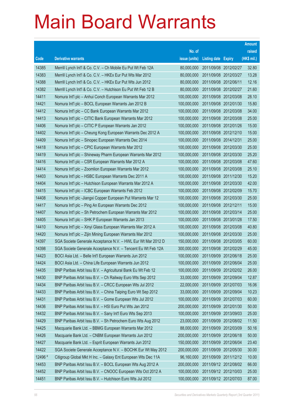|         |                                                               |               |                            | <b>Amount</b> |
|---------|---------------------------------------------------------------|---------------|----------------------------|---------------|
|         |                                                               | No. of        |                            | raised        |
| Code    | <b>Derivative warrants</b>                                    | issue (units) | <b>Listing date Expiry</b> | (HK\$ mil.)   |
| 14385   | Merrill Lynch Int'l & Co. C.V. - Ch Mobile Eu Put Wt Feb 12A  | 80,000,000    | 2011/09/08 2012/02/27      | 32.80         |
| 14383   | Merrill Lynch Int'l & Co. C.V. - HKEx Eur Put Wts Mar 2012    | 80,000,000    | 2011/09/08 2012/03/27      | 13.28         |
| 14388   | Merrill Lynch Int'l & Co. C.V. - HKEx Eur Put Wts Jun 2012    | 80,000,000    | 2011/09/08 2012/06/11      | 12.16         |
| 14382   | Merrill Lynch Int'l & Co. C.V. - Hutchison Eu Put Wt Feb 12 B | 80,000,000    | 2011/09/08 2012/02/27      | 21.60         |
| 14411   | Nomura Int'l plc - Anhui Conch European Warrants Mar 2012     | 100,000,000   | 2011/09/08 2012/03/08      | 28.10         |
| 14421   | Nomura Int'l plc - BOCL European Warrants Jan 2012 B          | 100,000,000   | 2011/09/08 2012/01/30      | 15.80         |
| 14412   | Nomura Int'l plc - CC Bank European Warrants Mar 2012         | 100,000,000   | 2011/09/08 2012/03/08      | 34.00         |
| 14413   | Nomura Int'l plc - CITIC Bank European Warrants Mar 2012      | 100,000,000   | 2011/09/08 2012/03/08      | 25.00         |
| 14406   | Nomura Int'l plc - CITIC P European Warrants Jan 2012         | 100,000,000   | 2011/09/08 2012/01/26      | 15.00         |
| 14402   | Nomura Int'l plc - Cheung Kong European Warrants Dec 2012 A   | 100,000,000   | 2011/09/08 2012/12/10      | 15.00         |
| 14409   | Nomura Int'l plc - Sinopec European Warrants Dec 2014         | 100,000,000   | 2011/09/08 2014/12/31      | 25.00         |
| 14418   | Nomura Int'l plc - CPIC European Warrants Mar 2012            | 100,000,000   | 2011/09/08 2012/03/30      | 25.00         |
| 14419   | Nomura Int'l plc - Shineway Pharm European Warrants Mar 2012  | 100,000,000   | 2011/09/08 2012/03/30      | 25.20         |
| 14416   | Nomura Int'l plc - CSR European Warrants Mar 2012 A           | 100,000,000   | 2011/09/08 2012/03/08      | 47.60         |
| 14414   | Nomura Int'l plc - Zoomlion European Warrants Mar 2012        | 100,000,000   | 2011/09/08 2012/03/08      | 25.10         |
| 14403   | Nomura Int'l plc - HSBC European Warrants Dec 2011 A          | 100,000,000   | 2011/09/08 2011/12/30      | 15.20         |
| 14404   | Nomura Int'l plc - Hutchison European Warrants Mar 2012 A     | 100,000,000   | 2011/09/08 2012/03/30      | 42.00         |
| 14415   | Nomura Int'l plc - ICBC European Warrants Feb 2012            | 100,000,000   | 2011/09/08 2012/02/09      | 15.70         |
| 14408   | Nomura Int'l plc -Jiangxi Copper European Put Warrants Mar 12 | 100,000,000   | 2011/09/08 2012/03/30      | 25.00         |
| 14417   | Nomura Int'l plc – Ping An European Warrants Dec 2012         | 100,000,000   | 2011/09/08 2012/12/11      | 15.00         |
| 14407   | Nomura Int'l plc - Sh Petrochem European Warrants Mar 2012    | 100,000,000   | 2011/09/08 2012/03/14      | 25.00         |
| 14405   | Nomura Int'l plc - SHK P European Warrants Jan 2013           | 100,000,000   | 2011/09/08 2013/01/28      | 17.50         |
| 14410   | Nomura Int'l plc - Xinyi Glass European Warrants Mar 2012 A   | 100,000,000   | 2011/09/08 2012/03/08      | 40.80         |
| 14420   | Nomura Int'l plc - Zijin Mining European Warrants Mar 2012    | 100,000,000   | 2011/09/08 2012/03/30      | 25.00         |
| 14397   | SGA Societe Generale Acceptance N.V. - HWL Eur Wt Mar 2012 D  | 150,000,000   | 2011/09/08 2012/03/05      | 60.00         |
| 14398   | SGA Societe Generale Acceptance N.V. - Tencent Eu Wt Feb 12A  | 300,000,000   | 2011/09/08 2012/02/29      | 45.00         |
| 14423   | BOCI Asia Ltd. - Belle Int'l European Warrants Jun 2012       | 100,000,000   | 2011/09/09 2012/06/18      | 25.00         |
| 14424   | BOCI Asia Ltd. - China Life European Warrants Jun 2012        | 100,000,000   | 2011/09/09 2012/06/04      | 25.00         |
| 14435   | BNP Paribas Arbit Issu B.V. - Agricultural Bank Eu Wt Feb 12  | 100,000,000   | 2011/09/09 2012/02/02      | 26.00         |
| 14430   | BNP Paribas Arbit Issu B.V. - Ch Railway Euro Wts Sep 2012    | 33,000,000    | 2011/09/09 2012/09/04      | 12.87         |
| 14434   | BNP Paribas Arbit Issu B.V. - CRCC European Wts Jul 2012      | 22,000,000    | 2011/09/09 2012/07/03      | 16.06         |
| 14433   | BNP Paribas Arbit Issu B.V. - China Taiping Euro Wt Sep 2012  | 33,000,000    | 2011/09/09 2012/09/04      | 10.23         |
| 14431   | BNP Paribas Arbit Issu B.V. - Gome European Wts Jul 2012      | 100,000,000   | 2011/09/09 2012/07/03      | 60.00         |
| 14436   | BNP Paribas Arbit Issu B.V. - HSI Euro Put Wts Jan 2012       | 200,000,000   | 2011/09/09 2012/01/30      | 50.00         |
| 14432   | BNP Paribas Arbit Issu B.V. - Sany Int'l Euro Wts Sep 2013    | 100,000,000   | 2011/09/09 2013/09/03      | 25.00         |
| 14429   | BNP Paribas Arbit Issu B.V. - Sh Petrochem Euro Wts Aug 2012  | 23,000,000    | 2011/09/09 2012/08/02      | 11.50         |
| 14425   | Macquarie Bank Ltd. - BBMG European Warrants Mar 2012         | 88,000,000    | 2011/09/09 2012/03/09      | 50.16         |
| 14426   | Macquarie Bank Ltd. - CNBM European Warrants Jun 2012         | 200,000,000   | 2011/09/09 2012/06/18      | 50.00         |
| 14427   | Macquarie Bank Ltd. - Esprit European Warrants Jun 2012       | 150,000,000   | 2011/09/09 2012/06/04      | 23.40         |
| 14422   | SGA Societe Generale Acceptance N.V. - BOCHK Eur Wt May 2012  | 200,000,000   | 2011/09/09 2012/05/30      | 30.00         |
| 12496 # | Citigroup Global Mkt H Inc. - Galaxy Ent European Wts Dec 11A | 96,160,000    | 2011/09/09 2011/12/12      | 10.00         |
| 14453   | BNP Paribas Arbit Issu B.V. - BOCL European Wts Aug 2012 A    | 200,000,000   | 2011/09/12 2012/08/02      | 66.00         |
| 14452   | BNP Paribas Arbit Issu B.V. - CNOOC European Wts Oct 2012 A   | 100,000,000   | 2011/09/12 2012/10/03      | 25.00         |
| 14451   | BNP Paribas Arbit Issu B.V. - Hutchison Euro Wts Jul 2012     | 100,000,000   | 2011/09/12 2012/07/03      | 87.00         |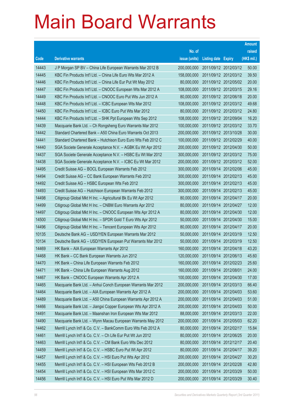|       |                                                               |               |                            |                       | <b>Amount</b> |
|-------|---------------------------------------------------------------|---------------|----------------------------|-----------------------|---------------|
|       |                                                               | No. of        |                            |                       | raised        |
| Code  | <b>Derivative warrants</b>                                    | issue (units) | <b>Listing date Expiry</b> |                       | (HK\$ mil.)   |
| 14443 | J P Morgan SP BV - China Life European Warrants Mar 2012 B    | 200,000,000   |                            | 2011/09/12 2012/03/12 | 50.00         |
| 14445 | KBC Fin Products Int'l Ltd. - China Life Euro Wts Mar 2012 A  | 158,000,000   |                            | 2011/09/12 2012/03/12 | 39.50         |
| 14446 | KBC Fin Products Int'l Ltd. - China Life Eur Put Wt May 2012  | 80,000,000    |                            | 2011/09/12 2012/05/02 | 20.00         |
| 14447 | KBC Fin Products Int'l Ltd. - CNOOC European Wts Mar 2012 A   | 108,000,000   |                            | 2011/09/12 2012/03/15 | 29.16         |
| 14449 | KBC Fin Products Int'l Ltd. - CNOOC Euro Put Wts Jun 2012 A   | 80,000,000    |                            | 2011/09/12 2012/06/18 | 20.00         |
| 14448 | KBC Fin Products Int'l Ltd. - ICBC European Wts Mar 2012      | 108,000,000   |                            | 2011/09/12 2012/03/12 | 49.68         |
| 14450 | KBC Fin Products Int'l Ltd. - ICBC Euro Put Wts Mar 2012      | 80,000,000    |                            | 2011/09/12 2012/03/12 | 24.80         |
| 14444 | KBC Fin Products Int'l Ltd. - SHK Ppt European Wts Sep 2012   | 108,000,000   |                            | 2011/09/12 2012/09/04 | 16.20         |
| 14439 | Macquarie Bank Ltd. - Ch Rongsheng Euro Warrants Mar 2012     | 100,000,000   |                            | 2011/09/12 2012/03/12 | 33.70         |
| 14442 | Standard Chartered Bank - A50 China Euro Warrants Oct 2013    | 200,000,000   |                            | 2011/09/12 2013/10/28 | 30.00         |
| 14441 | Standard Chartered Bank - Hutchison Euro Euro Wts Feb 2012 C  | 100,000,000   | 2011/09/12 2012/02/29      |                       | 40.00         |
| 14440 | SGA Societe Generale Acceptance N.V. - AGBK Eu Wt Apr 2012    | 200,000,000   |                            | 2011/09/12 2012/04/30 | 50.00         |
| 14437 | SGA Societe Generale Acceptance N.V. - HSBC Eu Wt Mar 2012    | 300,000,000   |                            | 2011/09/12 2012/03/12 | 75.00         |
| 14438 | SGA Societe Generale Acceptance N.V. - ICBC Eu Wt Mar 2012    | 200,000,000   |                            | 2011/09/12 2012/03/12 | 52.00         |
| 14495 | Credit Suisse AG - BOCL European Warrants Feb 2012            | 300,000,000   | 2011/09/14 2012/02/06      |                       | 45.00         |
| 14494 | Credit Suisse AG - CC Bank European Warrants Feb 2012         | 300,000,000   | 2011/09/14 2012/02/13      |                       | 45.00         |
| 14492 | Credit Suisse AG - HSBC European Wts Feb 2012                 | 300,000,000   |                            | 2011/09/14 2012/02/13 | 45.00         |
| 14493 | Credit Suisse AG - Hutchison European Warrants Feb 2012       | 300,000,000   |                            | 2011/09/14 2012/02/13 | 45.00         |
| 14498 | Citigroup Global Mkt H Inc. - Agricultural Bk Eu Wt Apr 2012  | 80,000,000    | 2011/09/14 2012/04/17      |                       | 20.00         |
| 14499 | Citigroup Global Mkt H Inc. - CNBM Euro Warrants Apr 2012     | 80,000,000    |                            | 2011/09/14 2012/04/27 | 12.00         |
| 14497 | Citigroup Global Mkt H Inc. - CNOOC European Wts Apr 2012 A   | 80,000,000    |                            | 2011/09/14 2012/04/30 | 12.00         |
| 14500 | Citigroup Global Mkt H Inc. - SPDR Gold T Euro Wts Apr 2012   | 50,000,000    |                            | 2011/09/14 2012/04/30 | 15.00         |
| 14496 | Citigroup Global Mkt H Inc. - Tencent European Wts Apr 2012   | 80,000,000    | 2011/09/14 2012/04/17      |                       | 20.00         |
| 10135 | Deutsche Bank AG - USD/YEN European Warrants Mar 2012         | 50,000,000    |                            | 2011/09/14 2012/03/19 | 12.50         |
| 10134 | Deutsche Bank AG - USD/YEN European Put Warrants Mar 2012     | 50,000,000    |                            | 2011/09/14 2012/03/19 | 12.50         |
| 14469 | HK Bank - AIA European Warrants Apr 2012                      | 160,000,000   | 2011/09/14 2012/04/18      |                       | 43.20         |
| 14468 | HK Bank – CC Bank European Warrants Jun 2012                  | 120,000,000   | 2011/09/14 2012/06/13      |                       | 45.60         |
| 14470 | HK Bank - China Life European Warrants Feb 2012               | 160,000,000   | 2011/09/14 2012/02/23      |                       | 25.60         |
| 14471 | HK Bank - China Life European Warrants Aug 2012               | 160,000,000   | 2011/09/14                 | 2012/08/01            | 24.00         |
| 14467 | HK Bank - CNOOC European Warrants Apr 2012 A                  | 100,000,000   |                            | 2011/09/14 2012/04/30 | 17.00         |
| 14465 | Macquarie Bank Ltd. - Anhui Conch European Warrants Mar 2012  | 200,000,000   | 2011/09/14 2012/03/13      |                       | 66.40         |
| 14464 | Macquarie Bank Ltd. - AIA European Warrants Apr 2012 A        | 200,000,000   |                            | 2011/09/14 2012/04/03 | 53.60         |
| 14489 | Macquarie Bank Ltd. - A50 China European Warrants Apr 2012 A  | 200,000,000   | 2011/09/14                 | 2012/04/03            | 51.00         |
| 14466 | Macquarie Bank Ltd. - Jiangxi Copper European Wts Apr 2012 A  | 200,000,000   | 2011/09/14 2012/04/03      |                       | 50.00         |
| 14491 | Macquarie Bank Ltd. - Maanshan Iron European Wts Mar 2012     | 88,000,000    | 2011/09/14 2012/03/13      |                       | 22.00         |
| 14490 | Macquarie Bank Ltd. - Wynn Macau European Warrants May 2012   | 200,000,000   |                            | 2011/09/14 2012/05/03 | 62.20         |
| 14462 | Merrill Lynch Int'l & Co. C.V. - BankComm Euro Wts Feb 2012 A | 80,000,000    | 2011/09/14                 | 2012/02/17            | 15.84         |
| 14461 | Merrill Lynch Int'l & Co. C.V. - Ch Life Eur Put Wt Jun 2012  | 80,000,000    | 2011/09/14 2012/06/25      |                       | 20.00         |
| 14463 | Merrill Lynch Int'l & Co. C.V. - CM Bank Euro Wts Dec 2012    | 80,000,000    | 2011/09/14 2012/12/17      |                       | 20.40         |
| 14459 | Merrill Lynch Int'l & Co. C.V. - HSBC Euro Put Wt Apr 2012    | 80,000,000    | 2011/09/14 2012/04/17      |                       | 39.20         |
| 14457 | Merrill Lynch Int'l & Co. C.V. - HSI Euro Put Wts Apr 2012    | 200,000,000   | 2011/09/14                 | 2012/04/27            | 30.20         |
| 14455 | Merrill Lynch Int'l & Co. C.V. - HSI European Wts Feb 2012 B  | 200,000,000   | 2011/09/14 2012/02/28      |                       | 42.80         |
| 14454 | Merrill Lynch Int'l & Co. C.V. - HSI European Wts Mar 2012 C  | 200,000,000   | 2011/09/14 2012/03/29      |                       | 50.00         |
| 14456 | Merrill Lynch Int'l & Co. C.V. - HSI Euro Put Wts Mar 2012 D  | 200,000,000   | 2011/09/14 2012/03/29      |                       | 30.40         |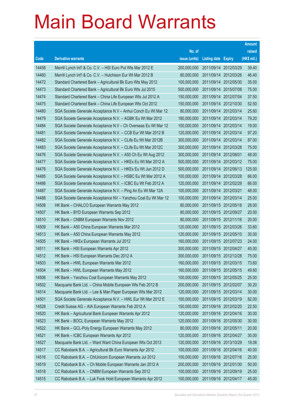|       |                                                                |               |                            | <b>Amount</b> |
|-------|----------------------------------------------------------------|---------------|----------------------------|---------------|
|       |                                                                | No. of        |                            | raised        |
| Code  | <b>Derivative warrants</b>                                     | issue (units) | <b>Listing date Expiry</b> | (HK\$ mil.)   |
| 14458 | Merrill Lynch Int'l & Co. C.V. - HSI Euro Put Wts Mar 2012 E   | 200,000,000   | 2011/09/14 2012/03/29      | 39.40         |
| 14460 | Merrill Lynch Int'l & Co. C.V. - Hutchison Eur Wt Mar 2012 B   | 80,000,000    | 2011/09/14 2012/03/26      | 46.40         |
| 14472 | Standard Chartered Bank - Agricultural Bk Euro Wts May 2012    | 100,000,000   | 2011/09/14 2012/05/30      | 35.00         |
| 14473 | Standard Chartered Bank - Agricultural Bk Euro Wts Jul 2015    | 500,000,000   | 2011/09/14 2015/07/08      | 75.00         |
| 14474 | Standard Chartered Bank - China Life European Wts Jul 2012 A   | 150,000,000   | 2011/09/14 2012/07/04      | 37.50         |
| 14475 | Standard Chartered Bank - China Life European Wts Oct 2012     | 150,000,000   | 2011/09/14 2012/10/30      | 52.50         |
| 14480 | SGA Societe Generale Acceptance N.V - Anhui Conch Eu Wt Mar 12 | 80,000,000    | 2011/09/14 2012/03/14      | 25.60         |
| 14479 | SGA Societe Generale Acceptance N.V. - AGBK Eu Wt Mar 2012     | 180,000,000   | 2011/09/14 2012/03/14      | 79.20         |
| 14484 | SGA Societe Generale Acceptance N.V - Ch Overseas Eu Wt Mar 12 | 100,000,000   | 2011/09/14 2012/03/14      | 19.00         |
| 14481 | SGA Societe Generale Acceptance N.V. - CCB Eur Wt Mar 2012 B   | 120,000,000   | 2011/09/14 2012/03/14      | 97.20         |
| 14482 | SGA Societe Generale Acceptance N.V. - CLife Eu Wt Mar 2012B   | 300,000,000   | 2011/09/14 2012/03/14      | 87.00         |
| 14483 | SGA Societe Generale Acceptance N.V. - CLife Eu Wt Mar 2012C   | 300,000,000   | 2011/09/14 2012/03/28      | 75.00         |
| 14476 | SGA Societe Generale Acceptance N.V. - A50 Ch Eu Wt Aug 2012   | 300,000,000   | 2011/09/14 2012/08/01      | 48.00         |
| 14477 | SGA Societe Generale Acceptance N.V. - HKEx Eu Wt Mar 2012 A   | 500,000,000   | 2011/09/14 2012/03/12      | 75.00         |
| 14478 | SGA Societe Generale Acceptance N.V. - HKEx Eu Wt Jun 2012 D   | 500,000,000   | 2011/09/14 2012/06/13      | 125.00        |
| 14485 | SGA Societe Generale Acceptance N.V. - HSBC Eu Wt Mar 2012 A   | 100,000,000   | 2011/09/14 2012/03/28      | 66.00         |
| 14486 | SGA Societe Generale Acceptance N.V. - ICBC Eu Wt Feb 2012 A   | 120,000,000   | 2011/09/14 2012/02/29      | 66.00         |
| 14487 | SGA Societe Generale Acceptance N.V. - Ping An Eu Wt Mar 12A   | 100,000,000   | 2011/09/14 2012/03/21      | 48.00         |
| 14488 | SGA Societe Generale Acceptance NV - Yanzhou Coal Eu Wt Mar 12 | 100,000,000   | 2011/09/14 2012/03/14      | 25.00         |
| 14508 | HK Bank - CHALCO European Warrants May 2012                    | 80,000,000    | 2011/09/15 2012/05/18      | 28.00         |
| 14507 | HK Bank - BYD European Warrants Sep 2012                       | 80,000,000    | 2011/09/15 2012/09/27      | 20.00         |
| 14510 | HK Bank - CNBM European Warrants Nov 2012                      | 80,000,000    | 2011/09/15 2012/11/16      | 20.00         |
| 14509 | HK Bank - A50 China European Warrants Mar 2012                 | 120,000,000   | 2011/09/15 2012/03/26      | 33.60         |
| 14513 | HK Bank - A50 China European Warrants May 2012                 | 120,000,000   | 2011/09/15 2012/05/10      | 30.00         |
| 14505 | HK Bank - HKEx European Warrants Jul 2012                      | 160,000,000   | 2011/09/15 2012/07/23      | 24.00         |
| 14511 | HK Bank - HSI European Warrants Apr 2012                       | 300,000,000   | 2011/09/15 2012/04/27      | 45.00         |
| 14512 | HK Bank - HSI European Warrants Dec 2012 A                     | 300,000,000   | 2011/09/15 2012/12/28      | 75.00         |
| 14503 | HK Bank - HWL European Warrants Mar 2012                       | 160,000,000   | 2011/09/15 2012/03/15      | 73.60         |
| 14504 | HK Bank - HWL European Warrants May 2012                       | 160,000,000   | 2011/09/15 2012/05/15      | 49.60         |
| 14506 | HK Bank - Yanzhou Coal European Warrants May 2012              | 100,000,000   | 2011/09/15 2012/05/25      | 25.00         |
| 14502 | Macquarie Bank Ltd. - China Mobile European Wts Feb 2012 B     | 200,000,000   | 2011/09/15 2012/02/07      | 30.20         |
| 14514 | Macquarie Bank Ltd. - Lee & Man Paper European Wts Mar 2012    | 120,000,000   | 2011/09/15 2012/03/14      | 30.00         |
| 14501 | SGA Societe Generale Acceptance N.V. - HWL Eur Wt Mar 2012 E   | 100,000,000   | 2011/09/15 2012/03/19      | 82.00         |
| 14528 | Credit Suisse AG - AIA European Warrants Feb 2012 A            | 150,000,000   | 2011/09/16 2012/02/20      | 22.50         |
| 14520 | HK Bank - Agricultural Bank European Warrants Apr 2012         | 120,000,000   | 2011/09/16 2012/04/16      | 30.00         |
| 14523 | HK Bank - BOCL European Warrants May 2012                      | 120,000,000   | 2011/09/16 2012/05/30      | 30.00         |
| 14522 | HK Bank - GCL-Poly Energy European Warrants May 2012           | 80,000,000    | 2011/09/16 2012/05/11      | 20.00         |
| 14521 | HK Bank - ICBC European Warrants Apr 2012                      | 120,000,000   | 2011/09/16 2012/04/27      | 30.00         |
| 14527 | Macquarie Bank Ltd. - Want Want China European Wts Oct 2013    | 120,000,000   | 2011/09/16 2013/10/29      | 19.08         |
| 14517 | CC Rabobank B.A. - Agricultural Bk Euro Warrants Apr 2012      | 100,000,000   | 2011/09/16 2012/04/16      | 40.00         |
| 14516 | CC Rabobank B.A. - ChiUnicom European Warrants Jul 2012        | 100,000,000   | 2011/09/16 2012/07/16      | 25.00         |
| 14519 | CC Rabobank B.A. - Ch Mobile European Warrants Jan 2012 A      | 200,000,000   | 2011/09/16 2012/01/30      | 50.00         |
| 14518 | CC Rabobank B.A. - CNBM European Warrants Sep 2012             | 100,000,000   | 2011/09/16 2012/09/19      | 25.00         |
| 14515 | CC Rabobank B.A. - Luk Fook Hold European Warrants Apr 2012    | 100,000,000   | 2011/09/16 2012/04/17      | 45.00         |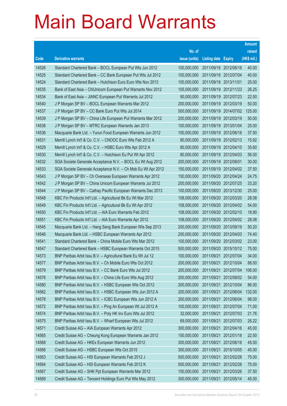|       |                                                               |               |                            |                       | <b>Amount</b> |
|-------|---------------------------------------------------------------|---------------|----------------------------|-----------------------|---------------|
|       |                                                               | No. of        |                            |                       | raised        |
| Code  | <b>Derivative warrants</b>                                    | issue (units) | <b>Listing date Expiry</b> |                       | (HK\$ mil.)   |
| 14526 | Standard Chartered Bank - BOCL European Put Wts Jun 2012      | 100,000,000   | 2011/09/16 2012/06/18      |                       | 40.00         |
| 14525 | Standard Chartered Bank - CC Bank European Put Wts Jul 2012   | 100,000,000   |                            | 2011/09/16 2012/07/04 | 40.00         |
| 14524 | Standard Chartered Bank - Hutchison Euro Euro Wts Nov 2013    | 100,000,000   | 2011/09/16 2013/11/01      |                       | 25.00         |
| 14535 | Bank of East Asia - ChiUnicom European Put Warrants Nov 2012  | 105,000,000   |                            | 2011/09/19 2012/11/23 | 26.25         |
| 14534 | Bank of East Asia - JIANC European Put Warrants Jul 2012      | 90,000,000    |                            | 2011/09/19 2012/07/23 | 22.50         |
| 14540 | J P Morgan SP BV - BOCL European Warrants Mar 2012            | 200,000,000   |                            | 2011/09/19 2012/03/19 | 50.00         |
| 14537 | J P Morgan SP BV - CC Bank Euro Put Wts Jul 2014              | 500,000,000   |                            | 2011/09/19 2014/07/02 | 125.00        |
| 14539 | J P Morgan SP BV - China Life European Put Warrants Mar 2012  | 200,000,000   |                            | 2011/09/19 2012/03/19 | 50.00         |
| 14538 | J P Morgan SP BV - MTRC European Warrants Jan 2013            | 100,000,000   |                            | 2011/09/19 2013/01/04 | 25.00         |
| 14536 | Macquarie Bank Ltd. - Yurun Food European Warrants Jun 2012   | 150,000,000   |                            | 2011/09/19 2012/06/18 | 37.50         |
| 14531 | Merrill Lynch Int'l & Co. C.V. - CNOOC Euro Wts Feb 2012 A    | 80,000,000    |                            | 2011/09/19 2012/02/13 | 15.92         |
| 14529 | Merrill Lynch Int'l & Co. C.V. - HSBC Euro Wts Apr 2012 A     | 80,000,000    |                            | 2011/09/19 2012/04/10 | 35.60         |
| 14530 | Merrill Lynch Int'l & Co. C.V. - Hutchison Eu Put Wt Apr 2012 | 80,000,000    |                            | 2011/09/19 2012/04/03 | 56.00         |
| 14532 | SGA Societe Generale Acceptance N.V. - BOCL Eu Wt Aug 2012    | 200,000,000   |                            | 2011/09/19 2012/08/01 | 30.00         |
| 14533 | SGA Societe Generale Acceptance N.V. - Ch Mob Eu Wt Apr 2012  | 150,000,000   |                            | 2011/09/19 2012/04/02 | 37.50         |
| 14543 | J P Morgan SP BV - Ch Overseas European Warrants Apr 2012     | 150,000,000   |                            | 2011/09/20 2012/04/24 | 24.75         |
| 14542 | J P Morgan SP BV - China Unicom European Warrants Jul 2012    | 200,000,000   |                            | 2011/09/20 2012/07/25 | 33.20         |
| 14544 | J P Morgan SP BV - Cathay Pacific European Warrants Dec 2013  | 100,000,000   |                            | 2011/09/20 2013/12/30 | 25.00         |
| 14548 | KBC Fin Products Int'l Ltd. - Agricultural Bk Eu Wt Mar 2012  | 108,000,000   |                            | 2011/09/20 2012/03/20 | 28.08         |
| 14549 | KBC Fin Products Int'l Ltd. - Agricultural Bk Eu Wt Apr 2012  | 108,000,000   |                            | 2011/09/20 2012/04/02 | 54.00         |
| 14550 | KBC Fin Products Int'l Ltd. - AIA Euro Warrants Feb 2012      | 108,000,000   |                            | 2011/09/20 2012/02/10 | 18.90         |
| 14551 | KBC Fin Products Int'l Ltd. - AIA Euro Warrants Apr 2012      | 108,000,000   |                            | 2011/09/20 2012/04/02 | 28.08         |
| 14545 | Macquarie Bank Ltd. - Hang Seng Bank European Wts Sep 2013    | 200,000,000   |                            | 2011/09/20 2013/09/19 | 50.20         |
| 14546 | Macquarie Bank Ltd. - HSBC European Warrants Apr 2012         | 200,000,000   |                            | 2011/09/20 2012/04/03 | 74.40         |
| 14541 | Standard Chartered Bank - China Mobile Euro Wts Mar 2012      | 100,000,000   |                            | 2011/09/20 2012/03/02 | 23.00         |
| 14547 | Standard Chartered Bank - HSBC European Warrants Oct 2015     | 500,000,000   |                            | 2011/09/20 2015/10/12 | 75.00         |
| 14573 | BNP Paribas Arbit Issu B.V. - Agricultural Bank Eu Wt Jul 12  | 100,000,000   | 2011/09/21                 | 2012/07/04            | 34.00         |
| 14577 | BNP Paribas Arbit Issu B.V. - Ch Mobile Euro Wts Oct 2012     | 200,000,000   |                            | 2011/09/21 2012/10/04 | 88.00         |
| 14579 | BNP Paribas Arbit Issu B.V. - CC Bank Euro Wts Jul 2012       | 200,000,000   | 2011/09/21                 | 2012/07/04            | 106.00        |
| 14576 | BNP Paribas Arbit Issu B.V. - China Life Euro Wts Aug 2012    | 200,000,000   | 2011/09/21                 | 2012/08/02            | 54.00         |
| 14580 | BNP Paribas Arbit Issu B.V. - HSBC European Wts Oct 2012      | 200,000,000   | 2011/09/21                 | 2012/10/04            | 86.00         |
| 14562 | BNP Paribas Arbit Issu B.V. - HSBC European Wts Jun 2012 A    | 200,000,000   | 2011/09/21                 | 2012/06/04            | 132.00        |
| 14578 | BNP Paribas Arbit Issu B.V. - ICBC European Wts Jun 2012 A    | 200,000,000   | 2011/09/21                 | 2012/06/04            | 98.00         |
| 14572 | BNP Paribas Arbit Issu B.V. - Ping An European Wt Jul 2012 A  | 100,000,000   | 2011/09/21                 | 2012/07/04            | 71.00         |
| 14574 | BNP Paribas Arbit Issu B.V. - Poly HK Inv Euro Wts Jul 2012   | 32,000,000    | 2011/09/21                 | 2012/07/03            | 21.76         |
| 14575 | BNP Paribas Arbit Issu B.V. - Wharf European Wts Jul 2012     | 69,000,000    | 2011/09/21                 | 2012/07/03            | 26.22         |
| 14571 | Credit Suisse AG - AIA European Warrants Apr 2012             | 300,000,000   | 2011/09/21                 | 2012/04/16            | 45.00         |
| 14565 | Credit Suisse AG - Cheung Kong European Warrants Jan 2012     | 150,000,000   | 2011/09/21                 | 2012/01/18            | 22.50         |
| 14568 | Credit Suisse AG - HKEx European Warrants Jun 2012            | 300,000,000   | 2011/09/21                 | 2012/06/18            | 45.00         |
| 14566 | Credit Suisse AG - HSBC European Wts Oct 2015                 | 300,000,000   | 2011/09/21                 | 2015/10/05            | 45.00         |
| 14563 | Credit Suisse AG - HSI European Warrants Feb 2012 J           | 500,000,000   | 2011/09/21                 | 2012/02/28            | 75.00         |
| 14564 | Credit Suisse AG - HSI European Warrants Feb 2012 K           | 500,000,000   | 2011/09/21                 | 2012/02/28            | 75.00         |
| 14567 | Credit Suisse AG - SHK Ppt European Warrants Mar 2012         | 150,000,000   | 2011/09/21                 | 2012/03/26            | 37.50         |
| 14569 | Credit Suisse AG - Tencent Holdings Euro Put Wts May 2012     | 300,000,000   | 2011/09/21                 | 2012/05/14            | 45.00         |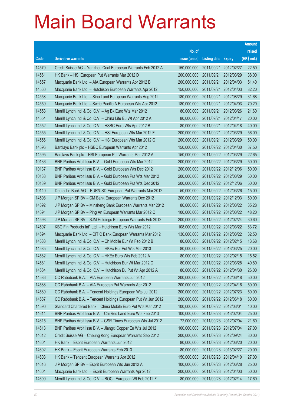|                |                                                                                                                            |                          |                            |                                                | <b>Amount</b>  |
|----------------|----------------------------------------------------------------------------------------------------------------------------|--------------------------|----------------------------|------------------------------------------------|----------------|
|                |                                                                                                                            | No. of                   |                            |                                                | raised         |
| Code           | <b>Derivative warrants</b>                                                                                                 | issue (units)            | <b>Listing date Expiry</b> |                                                | (HK\$ mil.)    |
| 14570          | Credit Suisse AG - Yanzhou Coal European Warrants Feb 2012 A                                                               | 150,000,000              |                            | 2011/09/21 2012/02/27                          | 22.50          |
| 14561          | HK Bank - HSI European Put Warrants Mar 2012 D                                                                             | 200,000,000              |                            | 2011/09/21 2012/03/29                          | 38.00          |
| 14557          | Macquarie Bank Ltd. - AIA European Warrants Apr 2012 B                                                                     | 200,000,000              | 2011/09/21                 | 2012/04/03                                     | 51.40          |
| 14560          | Macquarie Bank Ltd. - Hutchison European Warrants Apr 2012                                                                 | 150,000,000              |                            | 2011/09/21 2012/04/03                          | 82.20          |
| 14558          | Macquarie Bank Ltd. - Sino Land European Warrants Aug 2012                                                                 | 180,000,000              |                            | 2011/09/21 2012/08/29                          | 31.68          |
| 14559          | Macquarie Bank Ltd. - Swrie Pacific A European Wts Apr 2012                                                                | 180,000,000              |                            | 2011/09/21 2012/04/03                          | 70.20          |
| 14553          | Merrill Lynch Int'l & Co. C.V. - Ag Bk Euro Wts Mar 2012                                                                   | 80,000,000               | 2011/09/21                 | 2012/03/26                                     | 21.60          |
| 14554          | Merrill Lynch Int'l & Co. C.V. - China Life Eu Wt Apr 2012 A                                                               | 80,000,000               |                            | 2011/09/21 2012/04/17                          | 20.00          |
| 14552          | Merrill Lynch Int'l & Co. C.V. - HSBC Euro Wts Apr 2012 B                                                                  | 80,000,000               |                            | 2011/09/21 2012/04/18                          | 40.00          |
| 14555          | Merrill Lynch Int'l & Co. C.V. - HSI European Wts Mar 2012 F                                                               | 200,000,000              |                            | 2011/09/21 2012/03/29                          | 56.00          |
| 14556          | Merrill Lynch Int'l & Co. C.V. - HSI European Wts Mar 2012 G                                                               | 200,000,000              |                            | 2011/09/21 2012/03/29                          | 50.00          |
| 14596          | Barclays Bank plc - HSBC European Warrants Apr 2012                                                                        | 150,000,000              |                            | 2011/09/22 2012/04/30                          | 37.50          |
| 14595          | Barclays Bank plc - HSI European Put Warrants Mar 2012 A                                                                   | 150,000,000              |                            | 2011/09/22 2012/03/29                          | 22.65          |
| 10136          | BNP Paribas Arbit Issu B.V. - Gold European Wts Mar 2012                                                                   | 200,000,000              |                            | 2011/09/22 2012/03/29                          | 50.00          |
| 10137          | BNP Paribas Arbit Issu B.V. - Gold European Wts Dec 2012                                                                   | 200,000,000              |                            | 2011/09/22 2012/12/06                          | 50.00          |
| 10138          | BNP Paribas Arbit Issu B.V. - Gold European Put Wts Mar 2012                                                               | 200,000,000              |                            | 2011/09/22 2012/03/29                          | 50.00          |
| 10139          | BNP Paribas Arbit Issu B.V. - Gold European Put Wts Dec 2012                                                               | 200,000,000              |                            | 2011/09/22 2012/12/06                          | 50.00          |
| 10140          | Deutsche Bank AG - EUR/USD European Put Warrants Mar 2012                                                                  | 50,000,000               |                            | 2011/09/22 2012/03/26                          | 15.00          |
| 14598          | J P Morgan SP BV - CM Bank European Warrants Dec 2012                                                                      | 200,000,000              |                            | 2011/09/22 2012/12/03                          | 50.00          |
| 14592          | J P Morgan SP BV - Minsheng Bank European Warrants Mar 2012                                                                | 80,000,000               |                            | 2011/09/22 2012/03/22                          | 35.28          |
| 14591          | J P Morgan SP BV - Ping An European Warrants Mar 2012 C                                                                    | 100,000,000              |                            | 2011/09/22 2012/03/22                          | 48.20          |
| 14593          | J P Morgan SP BV - SJM Holdings European Warrants Feb 2012                                                                 | 200,000,000              |                            | 2011/09/22 2012/02/24                          | 30.60          |
| 14597          | KBC Fin Products Int'l Ltd. - Hutchison Euro Wts Mar 2012                                                                  | 108,000,000              |                            | 2011/09/22 2012/03/22                          | 63.72          |
| 14594          | Macquarie Bank Ltd. - CITIC Bank European Warrants Mar 2012                                                                | 130,000,000              |                            | 2011/09/22 2012/03/22                          | 32.50          |
| 14583<br>14585 | Merrill Lynch Int'l & Co. C.V. - Ch Mobile Eur Wt Feb 2012 B<br>Merrill Lynch Int'l & Co. C.V. - HKEx Eur Put Wts Mar 2013 | 80,000,000               |                            | 2011/09/22 2012/02/15<br>2011/09/22 2013/03/25 | 13.68<br>20.00 |
| 14582          | Merrill Lynch Int'l & Co. C.V. - HKEx Euro Wts Feb 2012 A                                                                  | 80,000,000<br>80,000,000 |                            | 2011/09/22 2012/02/15                          | 15.52          |
| 14581          | Merrill Lynch Int'l & Co. C.V. - Hutchison Eur Wt Mar 2012 C                                                               | 80,000,000               |                            | 2011/09/22 2012/03/28                          | 40.80          |
| 14584          | Merrill Lynch Int'l & Co. C.V. - Hutchison Eu Put Wt Apr 2012 A                                                            | 80,000,000               |                            | 2011/09/22 2012/04/30                          | 26.00          |
| 14586          | CC Rabobank B.A. - AIA European Warrants Jun 2012                                                                          | 200,000,000              |                            | 2011/09/22 2012/06/18                          | 50.00          |
| 14588          | CC Rabobank B.A. - AIA European Put Warrants Apr 2012                                                                      | 200,000,000              |                            | 2011/09/22 2012/04/16                          | 50.00          |
| 14589          | CC Rabobank B.A. - Tencent Holdings European Wts Jul 2012                                                                  | 200,000,000              |                            | 2011/09/22 2012/07/23                          | 50.00          |
| 14587          | CC Rabobank B.A. - Tencent Holdings European Put Wt Jun 2012                                                               | 200,000,000              |                            | 2011/09/22 2012/06/18                          | 60.00          |
| 14590          | Standard Chartered Bank - China Mobile Euro Put Wts Mar 2012                                                               | 100,000,000              | 2011/09/22 2012/03/01      |                                                | 40.00          |
| 14614          | BNP Paribas Arbit Issu B.V. - Chi Res Land Euro Wts Feb 2013                                                               | 100,000,000              |                            | 2011/09/23 2013/02/04                          | 25.00          |
| 14615          | BNP Paribas Arbit Issu B.V. - CSR Times European Wts Jul 2012                                                              | 72,000,000               |                            | 2011/09/23 2012/07/04                          | 21.60          |
| 14613          | BNP Paribas Arbit Issu B.V. - Jiangxi Copper Eu Wts Jul 2012                                                               | 100,000,000              |                            | 2011/09/23 2012/07/04                          | 27.00          |
| 14612          | Credit Suisse AG - Cheung Kong European Warrants Sep 2012                                                                  | 200,000,000              |                            | 2011/09/23 2012/09/24                          | 30.00          |
| 14601          | HK Bank - Esprit European Warrants Jun 2012                                                                                | 80,000,000               |                            | 2011/09/23 2012/06/20                          | 20.00          |
| 14602          | HK Bank - Esprit European Warrants Feb 2013                                                                                | 80,000,000               |                            | 2011/09/23 2013/02/27                          | 20.00          |
| 14603          | HK Bank - Tencent European Warrants Apr 2012                                                                               | 150,000,000              |                            | 2011/09/23 2012/04/10                          | 27.00          |
| 14616          | J P Morgan SP BV - Esprit European Wts Jun 2012 A                                                                          | 100,000,000              |                            | 2011/09/23 2012/06/28                          | 25.00          |
| 14604          | Macquarie Bank Ltd. - Esprit European Warrants Apr 2012                                                                    | 200,000,000              |                            | 2011/09/23 2012/04/03                          | 50.00          |
| 14600          | Merrill Lynch Int'l & Co. C.V. - BOCL European Wt Feb 2012 F                                                               | 80,000,000               |                            | 2011/09/23 2012/02/14                          | 17.60          |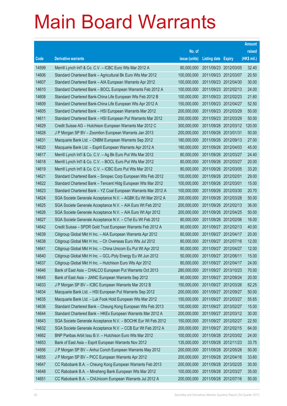|       |                                                                |               |                            |                       | <b>Amount</b> |
|-------|----------------------------------------------------------------|---------------|----------------------------|-----------------------|---------------|
|       |                                                                | No. of        |                            |                       | raised        |
| Code  | <b>Derivative warrants</b>                                     | issue (units) | <b>Listing date Expiry</b> |                       | (HK\$ mil.)   |
| 14599 | Merrill Lynch Int'l & Co. C.V. - ICBC Euro Wts Mar 2012 A      | 80,000,000    |                            | 2011/09/23 2012/03/05 | 32.40         |
| 14606 | Standard Chartered Bank - Agricultural Bk Euro Wts Mar 2012    | 100,000,000   | 2011/09/23 2012/03/07      |                       | 20.50         |
| 14607 | Standard Chartered Bank - AIA European Warrants Apr 2012       | 100,000,000   | 2011/09/23 2012/04/30      |                       | 30.00         |
| 14610 | Standard Chartered Bank - BOCL European Warrants Feb 2012 A    | 100,000,000   |                            | 2011/09/23 2012/02/13 | 24.00         |
| 14608 | Standard Chartered Bank-China Life European Wts Feb 2012 B     | 100,000,000   |                            | 2011/09/23 2012/02/23 | 21.60         |
| 14609 | Standard Chartered Bank-China Life European Wts Apr 2012 A     | 150,000,000   | 2011/09/23 2012/04/27      |                       | 52.50         |
| 14605 | Standard Chartered Bank - HSI European Warrants Mar 2012       | 200,000,000   | 2011/09/23 2012/03/29      |                       | 50.00         |
| 14611 | Standard Chartered Bank - HSI European Put Warrants Mar 2012   | 200,000,000   | 2011/09/23 2012/03/29      |                       | 50.00         |
| 14629 | Credit Suisse AG - Hutchison European Warrants Mar 2012 C      | 300,000,000   |                            | 2011/09/26 2012/03/12 | 120.00        |
| 14628 | J P Morgan SP BV - Zoomlion European Warrants Jan 2013         | 200,000,000   | 2011/09/26 2013/01/31      |                       | 50.00         |
| 14631 | Macquarie Bank Ltd. - CNBM European Warrants Sep 2012          | 180,000,000   | 2011/09/26 2012/09/13      |                       | 27.00         |
| 14620 | Macquarie Bank Ltd. - Esprit European Warrants Apr 2012 A      | 180,000,000   | 2011/09/26 2012/04/03      |                       | 45.00         |
| 14617 | Merrill Lynch Int'l & Co. C.V. - Ag Bk Euro Put Wts Mar 2012   | 80,000,000    | 2011/09/26 2012/03/27      |                       | 24.40         |
| 14618 | Merrill Lynch Int'l & Co. C.V. - BOCL Euro Put Wts Mar 2012    | 80,000,000    | 2011/09/26 2012/03/27      |                       | 20.00         |
| 14619 | Merrill Lynch Int'l & Co. C.V. - ICBC Euro Put Wts Mar 2012    | 80,000,000    | 2011/09/26 2012/03/05      |                       | 33.20         |
| 14621 | Standard Chartered Bank - Sinopec Corp European Wts Feb 2012   | 100,000,000   | 2011/09/26 2012/02/01      |                       | 29.00         |
| 14622 | Standard Chartered Bank - Tencent Hidg European Wts Mar 2012   | 100,000,000   | 2011/09/26 2012/03/01      |                       | 15.00         |
| 14623 | Standard Chartered Bank - YZ Coal European Warrants Mar 2012 A | 100,000,000   |                            | 2011/09/26 2012/03/30 | 20.70         |
| 14624 | SGA Societe Generale Acceptance N.V. - AGBK Eu Wt Mar 2012 A   | 200,000,000   | 2011/09/26 2012/03/28      |                       | 50.00         |
| 14625 | SGA Societe Generale Acceptance N.V. - AIA Euro Wt Feb 2012    | 200,000,000   |                            | 2011/09/26 2012/02/13 | 36.00         |
| 14626 | SGA Societe Generale Acceptance N.V. - AIA Euro Wt Apr 2012    | 200,000,000   |                            | 2011/09/26 2012/04/25 | 50.00         |
| 14627 | SGA Societe Generale Acceptance N.V. - CTel Eu Wt Feb 2012     | 80,000,000    |                            | 2011/09/26 2012/02/06 | 16.00         |
| 14642 | Credit Suisse - SPDR Gold Trust European Warrants Feb 2012 A   | 80,000,000    | 2011/09/27 2012/02/13      |                       | 40.00         |
| 14639 | Citigroup Global Mkt H Inc. - AIA European Warrants Apr 2012   | 80,000,000    | 2011/09/27 2012/04/17      |                       | 20.00         |
| 14638 | Citigroup Global Mkt H Inc. - Ch Overseas Euro Wts Jul 2012    | 80,000,000    | 2011/09/27 2012/07/16      |                       | 12.00         |
| 14641 | Citigroup Global Mkt H Inc. - China Unicom Eu Put Wt Apr 2012  | 80,000,000    | 2011/09/27 2012/04/27      |                       | 12.00         |
| 14640 | Citigroup Global Mkt H Inc. – GCL-Poly Energy Eu Wt Jun 2012   | 50,000,000    | 2011/09/27 2012/06/11      |                       | 15.00         |
| 14637 | Citigroup Global Mkt H Inc. - Hutchison Euro Wts Apr 2012      | 80,000,000    | 2011/09/27 2012/04/17      |                       | 24.00         |
| 14646 | Bank of East Asia - CHALCO European Put Warrants Oct 2013      | 280,000,000   | 2011/09/27 2013/10/23      |                       | 70.00         |
| 14645 | Bank of East Asia - JIANC European Warrants Sep 2012           | 80,000,000    | 2011/09/27 2012/09/24      |                       | 20.00         |
| 14633 | J P Morgan SP BV - ICBC European Warrants Mar 2012 B           | 150,000,000   | 2011/09/27 2012/03/26      |                       | 62.25         |
| 14634 | Macquarie Bank Ltd. - HSI European Put Warrants Sep 2012       | 200,000,000   | 2011/09/27 2012/09/27      |                       | 50.00         |
| 14635 | Macquarie Bank Ltd. - Luk Fook Hold European Wts Mar 2012      | 150,000,000   | 2011/09/27 2012/03/27      |                       | 55.65         |
| 14636 | Standard Chartered Bank - Cheung Kong European Wts Feb 2013    | 100,000,000   | 2011/09/27 2013/02/27      |                       | 15.00         |
| 14644 | Standard Chartered Bank - HKEx European Warrants Mar 2012 A    | 200,000,000   | 2011/09/27 2012/03/12      |                       | 30.00         |
| 14643 | SGA Societe Generale Acceptance N.V. - BOCHK Eur Wt Feb 2012   | 150,000,000   | 2011/09/27 2012/02/27      |                       | 22.50         |
| 14632 | SGA Societe Generale Acceptance N.V. - CCB Eur Wt Feb 2012 A   | 200,000,000   | 2011/09/27 2012/02/15      |                       | 64.00         |
| 14662 | BNP Paribas Arbit Issu B.V. - Hutchison Euro Wts Mar 2012      | 100,000,000   |                            | 2011/09/28 2012/03/02 | 24.00         |
| 14653 | Bank of East Asia - Esprit European Warrants Nov 2012          | 135,000,000   | 2011/09/28 2012/11/23      |                       | 33.75         |
| 14656 | J P Morgan SP BV - Anhui Conch European Warrants May 2012      | 200,000,000   | 2011/09/28 2012/05/28      |                       | 50.00         |
| 14655 | J P Morgan SP BV - PICC European Warrants Apr 2012             | 200,000,000   | 2011/09/28 2012/04/16      |                       | 33.60         |
| 14647 | CC Rabobank B.A. - Cheung Kong European Warrants Feb 2013      | 200,000,000   | 2011/09/28 2013/02/25      |                       | 30.00         |
| 14648 | CC Rabobank B.A. - Minsheng Bank European Wts Mar 2012         | 100,000,000   | 2011/09/28 2012/03/27      |                       | 35.00         |
| 14651 | CC Rabobank B.A. - ChiUnicom European Warrants Jul 2012 A      | 200,000,000   | 2011/09/28 2012/07/16      |                       | 50.00         |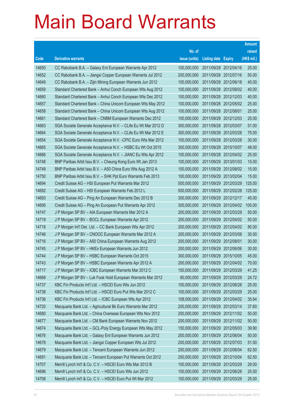|       |                                                               |               |                            |            | <b>Amount</b> |
|-------|---------------------------------------------------------------|---------------|----------------------------|------------|---------------|
|       |                                                               | No. of        |                            |            | raised        |
| Code  | <b>Derivative warrants</b>                                    | issue (units) | <b>Listing date Expiry</b> |            | (HK\$ mil.)   |
| 14650 | CC Rabobank B.A. - Galaxy Ent European Warrants Apr 2012      | 100,000,000   | 2011/09/28 2012/04/16      |            | 25.00         |
| 14652 | CC Rabobank B.A. - Jiangxi Copper European Warrants Jul 2012  | 200,000,000   | 2011/09/28 2012/07/16      |            | 50.00         |
| 14649 | CC Rabobank B.A. - Zijin Mining European Warrants Jun 2012    | 100,000,000   | 2011/09/28 2012/06/18      |            | 40.00         |
| 14659 | Standard Chartered Bank - Anhui Conch European Wts Aug 2012   | 100,000,000   | 2011/09/28 2012/08/02      |            | 40.00         |
| 14660 | Standard Chartered Bank - Anhui Conch European Wts Dec 2012   | 100,000,000   | 2011/09/28 2012/12/03      |            | 40.00         |
| 14657 | Standard Chartered Bank - China Unicom European Wts May 2012  | 100,000,000   | 2011/09/28 2012/05/02      |            | 25.00         |
| 14658 | Standard Chartered Bank - China Unicom European Wts Aug 2012  | 100,000,000   | 2011/09/28 2012/08/01      |            | 25.00         |
| 14661 | Standard Chartered Bank - CNBM European Warrants Dec 2012     | 100,000,000   | 2011/09/28 2012/12/03      |            | 25.00         |
| 14663 | SGA Societe Generale Acceptance N.V. - CLife Eu Wt Mar 2012 D | 300,000,000   | 2011/09/28 2012/03/07      |            | 51.00         |
| 14664 | SGA Societe Generale Acceptance N.V. - CLife Eu Wt Mar 2012 E | 300,000,000   | 2011/09/28 2012/03/28      |            | 75.00         |
| 14654 | SGA Societe Generale Acceptance N.V. - CPIC Euro Wts Mar 2012 | 100,000,000   | 2011/09/28 2012/03/28      |            | 30.00         |
| 14665 | SGA Societe Generale Acceptance N.V. - HSBC Eu Wt Oct 2015    | 300,000,000   | 2011/09/28 2015/10/07      |            | 48.00         |
| 14666 | SGA Societe Generale Acceptance N.V. - JIANC Eu Wts Apr 2012  | 100,000,000   | 2011/09/28 2012/04/02      |            | 25.00         |
| 14748 | BNP Paribas Arbit Issu B.V. - Cheung Kong Euro Wt Jan 2013    | 100,000,000   | 2011/09/29 2013/01/03      |            | 15.00         |
| 14749 | BNP Paribas Arbit Issu B.V. - A50 China Euro Wts Aug 2012 A   | 100,000,000   | 2011/09/29 2012/08/02      |            | 15.00         |
| 14750 | BNP Paribas Arbit Issu B.V. - SHK Ppt Euro Warrants Feb 2013  | 100,000,000   | 2011/09/29 2013/02/04      |            | 15.00         |
| 14694 | Credit Suisse AG - HSI European Put Warrants Mar 2012         | 500,000,000   | 2011/09/29 2012/03/29      |            | 125.00        |
| 14692 | Credit Suisse AG - HSI European Warrants Feb 2012 L           | 500,000,000   | 2011/09/29 2012/02/28      |            | 125.00        |
| 14693 | Credit Suisse AG - Ping An European Warrants Dec 2012 B       | 300,000,000   | 2011/09/29 2012/12/17      |            | 45.00         |
| 14695 | Credit Suisse AG - Ping An European Put Warrants Apr 2012     | 300,000,000   | 2011/09/29 2012/04/02      |            | 105.00        |
| 14747 | J P Morgan SP BV - AIA European Warrants Mar 2012 A           | 200,000,000   | 2011/09/29 2012/03/29      |            | 50.00         |
| 14719 | J P Morgan SP BV - BOCL European Warrants Apr 2012            | 200,000,000   | 2011/09/29 2012/04/02      |            | 50.00         |
| 14718 | J P Morgan Int'l Der. Ltd. - CC Bank European Wts Apr 2012    | 200,000,000   | 2011/09/29 2012/04/02      |            | 80.00         |
| 14746 | J P Morgan SP BV - CNOOC European Warrants Mar 2012 A         | 200,000,000   | 2011/09/29 2012/03/08      |            | 30.00         |
| 14716 | J P Morgan SP BV - A50 China European Warrants Aug 2012       | 200,000,000   | 2011/09/29 2012/08/01      |            | 30.00         |
| 14745 | J P Morgan SP BV - HKEx European Warrants Jun 2012            | 200,000,000   | 2011/09/29 2012/06/06      |            | 30.00         |
| 14744 | J P Morgan SP BV - HSBC European Warrants Oct 2015            | 300,000,000   | 2011/09/29 2015/10/05      |            | 45.00         |
| 14743 | J P Morgan SP BV - HSBC European Warrants Apr 2012 A          | 200,000,000   | 2011/09/29 2012/04/02      |            | 70.00         |
| 14717 | J P Morgan SP BV - ICBC European Warrants Mar 2012 C          | 150,000,000   | 2011/09/29 2012/03/29      |            | 41.25         |
| 14668 | J P Morgan SP BV - Luk Fook Hold European Warrants Mar 2012   | 80,000,000    | 2011/09/29 2012/03/29      |            | 24.72         |
| 14737 | KBC Fin Products Int'l Ltd. - HSCEI Euro Wts Jun 2012         | 100,000,000   | 2011/09/29 2012/06/28      |            | 25.00         |
| 14738 | KBC Fin Products Int'l Ltd. - HSCEI Euro Put Wts Mar 2012 C   | 100,000,000   | 2011/09/29 2012/03/29      |            | 25.00         |
| 14736 | KBC Fin Products Int'l Ltd. - ICBC European Wts Apr 2012      | 108,000,000   | 2011/09/29 2012/04/02      |            | 35.64         |
| 14720 | Macquarie Bank Ltd. - Agricultural Bk Euro Warrants Mar 2012  | 200,000,000   | 2011/09/29 2012/03/14      |            | 37.60         |
| 14680 | Macquarie Bank Ltd. - China Overseas European Wts Nov 2012    | 200,000,000   | 2011/09/29 2012/11/02      |            | 50.00         |
| 14677 | Macquarie Bank Ltd. - CM Bank European Warrants Nov 2012      | 200,000,000   | 2011/09/29 2012/11/02      |            | 50.00         |
| 14674 | Macquarie Bank Ltd. - GCL-Poly Energy European Wts May 2012   | 150,000,000   | 2011/09/29 2012/05/03      |            | 39.90         |
| 14676 | Macquarie Bank Ltd. - Galaxy Ent European Warrants Jun 2012   | 200,000,000   | 2011/09/29 2012/06/04      |            | 50.00         |
| 14678 | Macquarie Bank Ltd. - Jiangxi Copper European Wts Jul 2012    | 200,000,000   | 2011/09/29 2012/07/03      |            | 51.00         |
| 14679 | Macquarie Bank Ltd. - Tencent European Warrants Jun 2012      | 250,000,000   | 2011/09/29 2012/06/04      |            | 62.50         |
| 14691 | Macquarie Bank Ltd. - Tencent European Put Warrants Oct 2012  | 250,000,000   | 2011/09/29                 | 2012/10/04 | 62.50         |
| 14707 | Merrill Lynch Int'l & Co. C.V. - HSCEI Euro Wts Mar 2012 B    | 100,000,000   | 2011/09/29 2012/03/29      |            | 29.00         |
| 14696 | Merrill Lynch Int'l & Co. C.V. - HSCEI Euro Wts Jun 2012      | 100,000,000   | 2011/09/29 2012/06/28      |            | 25.50         |
| 14708 | Merrill Lynch Int'l & Co. C.V. - HSCEI Euro Put Wt Mar 2012   | 100,000,000   | 2011/09/29 2012/03/29      |            | 25.00         |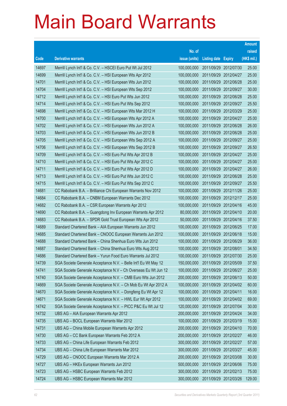|       |                                                                 |               |                            |                       | <b>Amount</b> |
|-------|-----------------------------------------------------------------|---------------|----------------------------|-----------------------|---------------|
|       |                                                                 | No. of        |                            |                       | raised        |
| Code  | <b>Derivative warrants</b>                                      | issue (units) | <b>Listing date Expiry</b> |                       | (HK\$ mil.)   |
| 14697 | Merrill Lynch Int'l & Co. C.V. - HSCEI Euro Put Wt Jul 2012     | 100,000,000   |                            | 2011/09/29 2012/07/30 | 25.00         |
| 14699 | Merrill Lynch Int'l & Co. C.V. - HSI European Wts Apr 2012      | 100,000,000   | 2011/09/29 2012/04/27      |                       | 25.00         |
| 14701 | Merrill Lynch Int'l & Co. C.V. - HSI European Wts Jun 2012      | 100,000,000   | 2011/09/29 2012/06/28      |                       | 25.00         |
| 14704 | Merrill Lynch Int'l & Co. C.V. - HSI European Wts Sep 2012      | 100,000,000   | 2011/09/29 2012/09/27      |                       | 30.00         |
| 14712 | Merrill Lynch Int'l & Co. C.V. - HSI Euro Put Wts Jun 2012      | 100,000,000   |                            | 2011/09/29 2012/06/28 | 25.00         |
| 14714 | Merrill Lynch Int'l & Co. C.V. - HSI Euro Put Wts Sep 2012      | 100,000,000   |                            | 2011/09/29 2012/09/27 | 25.50         |
| 14698 | Merrill Lynch Int'l & Co. C.V. - HSI European Wts Mar 2012 H    | 100,000,000   | 2011/09/29 2012/03/29      |                       | 25.00         |
| 14700 | Merrill Lynch Int'l & Co. C.V. - HSI European Wts Apr 2012 A    | 100,000,000   | 2011/09/29 2012/04/27      |                       | 25.00         |
| 14702 | Merrill Lynch Int'l & Co. C.V. - HSI European Wts Jun 2012 A    | 100,000,000   |                            | 2011/09/29 2012/06/28 | 26.00         |
| 14703 | Merrill Lynch Int'l & Co. C.V. - HSI European Wts Jun 2012 B    | 100,000,000   |                            | 2011/09/29 2012/06/28 | 25.00         |
| 14705 | Merrill Lynch Int'l & Co. C.V. - HSI European Wts Sep 2012 A    | 100,000,000   | 2011/09/29 2012/09/27      |                       | 25.00         |
| 14706 | Merrill Lynch Int'l & Co. C.V. - HSI European Wts Sep 2012 B    | 100,000,000   |                            | 2011/09/29 2012/09/27 | 26.50         |
| 14709 | Merrill Lynch Int'l & Co. C.V. - HSI Euro Put Wts Apr 2012 B    | 100,000,000   | 2011/09/29 2012/04/27      |                       | 25.00         |
| 14710 | Merrill Lynch Int'l & Co. C.V. - HSI Euro Put Wts Apr 2012 C    | 100,000,000   |                            | 2011/09/29 2012/04/27 | 25.00         |
| 14711 | Merrill Lynch Int'l & Co. C.V. - HSI Euro Put Wts Apr 2012 D    | 100,000,000   | 2011/09/29 2012/04/27      |                       | 26.00         |
| 14713 | Merrill Lynch Int'l & Co. C.V. - HSI Euro Put Wts Jun 2012 C    | 100,000,000   |                            | 2011/09/29 2012/06/28 | 25.00         |
| 14715 | Merrill Lynch Int'l & Co. C.V. - HSI Euro Put Wts Sep 2012 C    | 100,000,000   |                            | 2011/09/29 2012/09/27 | 25.50         |
| 14681 | CC Rabobank B.A. - Brilliance Chi European Warrants Nov 2012    | 100,000,000   |                            | 2011/09/29 2012/11/26 | 25.00         |
| 14684 | CC Rabobank B.A. - CNBM European Warrants Dec 2012              | 100,000,000   | 2011/09/29 2012/12/17      |                       | 25.00         |
| 14682 | CC Rabobank B.A. - CSR European Warrants Apr 2012               | 100,000,000   | 2011/09/29 2012/04/16      |                       | 45.00         |
| 14690 | CC Rabobank B.A. - Guangdong Inv European Warrants Apr 2012     | 80,000,000    |                            | 2011/09/29 2012/04/10 | 20.00         |
| 14683 | CC Rabobank B.A. - SPDR Gold Trust European Wts Apr 2012        | 50,000,000    |                            | 2011/09/29 2012/04/16 | 37.50         |
| 14689 | Standard Chartered Bank - AIA European Warrants Jun 2012        | 100,000,000   | 2011/09/29 2012/06/25      |                       | 17.00         |
| 14685 | Standard Chartered Bank - CNOOC European Warrants Jun 2012      | 100,000,000   | 2011/09/29 2012/06/18      |                       | 15.00         |
| 14688 | Standard Chartered Bank - China Shenhua Euro Wts Jun 2012       | 100,000,000   |                            | 2011/09/29 2012/06/29 | 36.00         |
| 14687 | Standard Chartered Bank - China Shenhua Euro Wts Aug 2012       | 100,000,000   | 2011/09/29 2012/08/01      |                       | 34.50         |
| 14686 | Standard Chartered Bank - Yurun Food Euro Warrants Jul 2012     | 100,000,000   | 2011/09/29 2012/07/30      |                       | 25.00         |
| 14739 | SGA Societe Generale Acceptance N.V. - Belle Int'l Eu Wt May 12 | 150,000,000   | 2011/09/29 2012/05/09      |                       | 37.50         |
| 14741 | SGA Societe Generale Acceptance N.V - Ch Overseas Eu Wt Jun 12  | 100,000,000   | 2011/09/29 2012/06/27      |                       | 25.00         |
| 14740 | SGA Societe Generale Acceptance N.V. - CMB Euro Wts Jun 2012    | 200,000,000   | 2011/09/29 2012/06/13      |                       | 50.00         |
| 14669 | SGA Societe Generale Acceptance N.V. - Ch Mob Eu Wt Apr 2012 A  | 100,000,000   |                            | 2011/09/29 2012/04/02 | 60.00         |
| 14670 | SGA Societe Generale Acceptance N.V. - Dongfeng Eu Wt Apr 12    | 100,000,000   | 2011/09/29 2012/04/11      |                       | 16.00         |
| 14671 | SGA Societe Generale Acceptance N.V. - HWL Eur Wt Apr 2012      | 100,000,000   | 2011/09/29                 | 2012/04/02            | 69.00         |
| 14742 | SGA Societe Generale Acceptance N.V. - PICC P&C Eu Wt Jul 12    | 120,000,000   | 2011/09/29 2012/07/04      |                       | 30.00         |
| 14732 | UBS AG - AIA European Warrants Apr 2012                         | 200,000,000   | 2011/09/29 2012/04/24      |                       | 34.00         |
| 14735 | UBS AG - BOCL European Warrants Mar 2012                        | 100,000,000   | 2011/09/29 2012/03/19      |                       | 15.00         |
| 14731 | UBS AG - China Mobile European Warrants Apr 2012                | 200,000,000   | 2011/09/29                 | 2012/04/10            | 70.00         |
| 14730 | UBS AG - CC Bank European Warrants Feb 2012 A                   | 200,000,000   | 2011/09/29 2012/02/27      |                       | 46.00         |
| 14733 | UBS AG - China Life European Warrants Feb 2012                  | 300,000,000   | 2011/09/29 2012/02/27      |                       | 57.00         |
| 14734 | UBS AG - China Life European Warrants Mar 2012                  | 300,000,000   | 2011/09/29 2012/03/27      |                       | 45.00         |
| 14729 | UBS AG - CNOOC European Warrants Mar 2012 A                     | 200,000,000   | 2011/09/29                 | 2012/03/08            | 30.00         |
| 14727 | UBS AG - HKEx European Warrants Jun 2012                        | 500,000,000   |                            | 2011/09/29 2012/06/06 | 75.00         |
| 14723 | UBS AG - HSBC European Warrants Feb 2012                        | 300,000,000   | 2011/09/29 2012/02/13      |                       | 75.00         |
| 14724 | UBS AG - HSBC European Warrants Mar 2012                        | 300,000,000   |                            | 2011/09/29 2012/03/26 | 129.00        |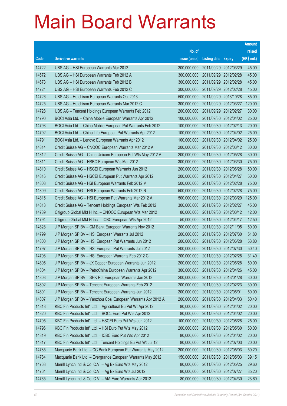|       |                                                                |               |                            |                       | <b>Amount</b> |
|-------|----------------------------------------------------------------|---------------|----------------------------|-----------------------|---------------|
|       |                                                                | No. of        |                            |                       | raised        |
| Code  | <b>Derivative warrants</b>                                     | issue (units) | <b>Listing date Expiry</b> |                       | (HK\$ mil.)   |
| 14722 | UBS AG - HSI European Warrants Mar 2012                        | 300,000,000   | 2011/09/29 2012/03/29      |                       | 45.00         |
| 14672 | UBS AG - HSI European Warrants Feb 2012 A                      | 300,000,000   | 2011/09/29 2012/02/28      |                       | 45.00         |
| 14673 | UBS AG - HSI European Warrants Feb 2012 B                      | 300,000,000   | 2011/09/29 2012/02/28      |                       | 45.00         |
| 14721 | UBS AG - HSI European Warrants Feb 2012 C                      | 300,000,000   | 2011/09/29 2012/02/28      |                       | 45.00         |
| 14726 | UBS AG - Hutchison European Warrants Oct 2013                  | 500,000,000   |                            | 2011/09/29 2013/10/28 | 85.00         |
| 14725 | UBS AG - Hutchison European Warrants Mar 2012 C                | 300,000,000   |                            | 2011/09/29 2012/03/27 | 120.00        |
| 14728 | UBS AG - Tencent Holdings European Warrants Feb 2012           | 200,000,000   | 2011/09/29 2012/02/27      |                       | 30.00         |
| 14790 | BOCI Asia Ltd. - China Mobile European Warrants Apr 2012       | 100,000,000   | 2011/09/30 2012/04/02      |                       | 25.00         |
| 14793 | BOCI Asia Ltd. - China Mobile European Put Warrants Feb 2012   | 100,000,000   |                            | 2011/09/30 2012/02/13 | 20.00         |
| 14792 | BOCI Asia Ltd. - China Life European Put Warrants Apr 2012     | 100,000,000   |                            | 2011/09/30 2012/04/02 | 25.00         |
| 14791 | BOCI Asia Ltd. - Lenovo European Warrants Apr 2012             | 100,000,000   |                            | 2011/09/30 2012/04/02 | 25.00         |
| 14814 | Credit Suisse AG - CNOOC European Warrants Mar 2012 A          | 200,000,000   |                            | 2011/09/30 2012/03/12 | 30.00         |
| 14812 | Credit Suisse AG - China Unicom European Put Wts May 2012 A    | 200,000,000   |                            | 2011/09/30 2012/05/28 | 30.00         |
| 14811 | Credit Suisse AG - HSBC European Wts Mar 2012                  | 300,000,000   |                            | 2011/09/30 2012/03/30 | 75.00         |
| 14810 | Credit Suisse AG - HSCEI European Warrants Jun 2012            | 200,000,000   | 2011/09/30 2012/06/28      |                       | 50.00         |
| 14816 | Credit Suisse AG - HSCEI European Put Warrants Apr 2012        | 200,000,000   |                            | 2011/09/30 2012/04/27 | 50.00         |
| 14808 | Credit Suisse AG - HSI European Warrants Feb 2012 M            | 500,000,000   |                            | 2011/09/30 2012/02/28 | 75.00         |
| 14809 | Credit Suisse AG - HSI European Warrants Feb 2012 N            | 500,000,000   | 2011/09/30 2012/02/28      |                       | 75.00         |
| 14815 | Credit Suisse AG - HSI European Put Warrants Mar 2012 A        | 500,000,000   | 2011/09/30 2012/03/29      |                       | 125.00        |
| 14813 | Credit Suisse AG - Tencent Holdings European Wts Feb 2012      | 300,000,000   | 2011/09/30 2012/02/27      |                       | 45.00         |
| 14789 | Citigroup Global Mkt H Inc. - CNOOC European Wts Mar 2012      | 80,000,000    |                            | 2011/09/30 2012/03/12 | 12.00         |
| 14794 | Citigroup Global Mkt H Inc. - ICBC European Wts Apr 2012       | 50,000,000    | 2011/09/30 2012/04/17      |                       | 12.50         |
| 14828 | J P Morgan SP BV - CM Bank European Warrants Nov 2012          | 200,000,000   | 2011/09/30 2012/11/05      |                       | 50.00         |
| 14799 | J P Morgan SP BV - HSI European Warrants Jul 2012              | 200,000,000   |                            | 2011/09/30 2012/07/30 | 51.80         |
| 14800 | J P Morgan SP BV - HSI European Put Warrants Jun 2012          | 200,000,000   | 2011/09/30 2012/06/28      |                       | 53.80         |
| 14797 | J P Morgan SP BV - HSI European Put Warrants Jul 2012          | 200,000,000   | 2011/09/30 2012/07/30      |                       | 50.40         |
| 14798 | J P Morgan SP BV - HSI European Warrants Feb 2012 C            | 200,000,000   | 2011/09/30 2012/02/28      |                       | 31.40         |
| 14805 | J P Morgan SP BV - JX Copper European Warrants Jun 2012        | 200,000,000   | 2011/09/30 2012/06/28      |                       | 50.00         |
| 14804 | J P Morgan SP BV - PetroChina European Warrants Apr 2012       | 300,000,000   | 2011/09/30 2012/04/26      |                       | 45.00         |
| 14803 | J P Morgan SP BV - SHK Ppt European Warrants Jan 2013          | 200,000,000   | 2011/09/30 2013/01/28      |                       | 30.00         |
| 14802 | J P Morgan SP BV - Tencent European Warrants Feb 2012          | 200,000,000   | 2011/09/30 2012/02/23      |                       | 30.00         |
| 14801 | J P Morgan SP BV - Tencent European Warrants Jun 2012          | 200,000,000   | 2011/09/30 2012/06/01      |                       | 50.00         |
| 14807 | J P Morgan SP BV - Yanzhou Coal European Warrants Apr 2012 A   | 200,000,000   | 2011/09/30 2012/04/03      |                       | 50.40         |
| 14818 | KBC Fin Products Int'l Ltd. - Agricultural Eu Put Wt Apr 2012  | 80,000,000    | 2011/09/30 2012/04/02      |                       | 20.00         |
| 14820 | KBC Fin Products Int'l Ltd. - BOCL Euro Put Wts Apr 2012       | 80,000,000    | 2011/09/30 2012/04/02      |                       | 20.00         |
| 14795 | KBC Fin Products Int'l Ltd. - HSCEI Euro Put Wts Jun 2012      | 100,000,000   | 2011/09/30 2012/06/28      |                       | 25.00         |
| 14796 | KBC Fin Products Int'l Ltd. - HSI Euro Put Wts May 2012        | 200,000,000   | 2011/09/30 2012/05/30      |                       | 50.00         |
| 14819 | KBC Fin Products Int'l Ltd. - ICBC Euro Put Wts Apr 2012       | 80,000,000    | 2011/09/30 2012/04/02      |                       | 20.00         |
| 14817 | KBC Fin Products Int'l Ltd - Tencent Holdings Eu Put Wt Jul 12 | 80,000,000    | 2011/09/30 2012/07/03      |                       | 20.00         |
| 14785 | Macquarie Bank Ltd. - CC Bank European Put Warrants May 2012   | 200,000,000   | 2011/09/30 2012/05/03      |                       | 50.20         |
| 14784 | Macquarie Bank Ltd. - Evergrande European Warrants May 2012    | 150,000,000   | 2011/09/30 2012/05/03      |                       | 39.15         |
| 14763 | Merrill Lynch Int'l & Co. C.V. - Ag Bk Euro Wts May 2012       | 80,000,000    | 2011/09/30 2012/05/25      |                       | 29.60         |
| 14764 | Merrill Lynch Int'l & Co. C.V. - Ag Bk Euro Wts Jul 2012       | 80,000,000    | 2011/09/30 2012/07/27      |                       | 35.20         |
| 14765 | Merrill Lynch Int'l & Co. C.V. - AIA Euro Warrants Apr 2012    | 80,000,000    | 2011/09/30 2012/04/30      |                       | 23.60         |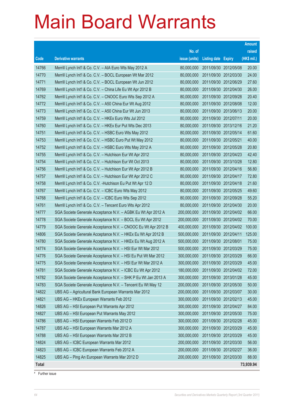|              |                                                               |               |                            | <b>Amount</b> |
|--------------|---------------------------------------------------------------|---------------|----------------------------|---------------|
|              |                                                               | No. of        |                            | raised        |
| Code         | <b>Derivative warrants</b>                                    | issue (units) | <b>Listing date Expiry</b> | (HK\$ mil.)   |
| 14766        | Merrill Lynch Int'l & Co. C.V. - AIA Euro Wts May 2012 A      | 80,000,000    | 2011/09/30 2012/05/08      | 20.00         |
| 14770        | Merrill Lynch Int'l & Co. C.V. - BOCL European Wt Mar 2012    | 80,000,000    | 2011/09/30 2012/03/30      | 24.00         |
| 14771        | Merrill Lynch Int'l & Co. C.V. - BOCL European Wt Jun 2012    | 80,000,000    | 2011/09/30 2012/06/29      | 27.60         |
| 14769        | Merrill Lynch Int'l & Co. C.V. - China Life Eu Wt Apr 2012 B  | 80,000,000    | 2011/09/30 2012/04/30      | 26.00         |
| 14762        | Merrill Lynch Int'l & Co. C.V. - CNOOC Euro Wts Sep 2012 A    | 80,000,000    | 2011/09/30 2012/09/28      | 20.40         |
| 14772        | Merrill Lynch Int'l & Co. C.V. - A50 China Eur Wt Aug 2012    | 80,000,000    | 2011/09/30 2012/08/08      | 12.00         |
| 14773        | Merrill Lynch Int'l & Co. C.V. - A50 China Eur Wt Jun 2013    | 80,000,000    | 2011/09/30 2013/06/13      | 20.00         |
| 14759        | Merrill Lynch Int'l & Co. C.V. - HKEx Euro Wts Jul 2012       | 80,000,000    | 2011/09/30 2012/07/11      | 20.00         |
| 14760        | Merrill Lynch Int'l & Co. C.V. - HKEx Eur Put Wts Dec 2013    | 80,000,000    | 2011/09/30 2013/12/16      | 21.20         |
| 14751        | Merrill Lynch Int'l & Co. C.V. - HSBC Euro Wts May 2012       | 80,000,000    | 2011/09/30 2012/05/14      | 61.60         |
| 14753        | Merrill Lynch Int'l & Co. C.V. - HSBC Euro Put Wt May 2012    | 80,000,000    | 2011/09/30 2012/05/21      | 40.00         |
| 14752        | Merrill Lynch Int'l & Co. C.V. - HSBC Euro Wts May 2012 A     | 80,000,000    | 2011/09/30 2012/05/28      | 20.80         |
| 14755        | Merrill Lynch Int'l & Co. C.V. - Hutchison Eur Wt Apr 2012    | 80,000,000    | 2011/09/30 2012/04/23      | 42.40         |
| 14754        | Merrill Lynch Int'l & Co. C.V. - Hutchison Eur Wt Oct 2013    | 80,000,000    | 2011/09/30 2013/10/28      | 12.80         |
| 14756        | Merrill Lynch Int'l & Co. C.V. - Hutchison Eur Wt Apr 2012 B  | 80,000,000    | 2011/09/30 2012/04/16      | 56.80         |
| 14757        | Merrill Lynch Int'l & Co. C.V. - Hutchison Eur Wt Apr 2012 C  | 80,000,000    | 2011/09/30 2012/04/17      | 72.80         |
| 14758        | Merrill Lynch Int'l & Co. C.V. - Hutchison Eu Put Wt Apr 12 D | 80,000,000    | 2011/09/30 2012/04/18      | 21.60         |
| 14767        | Merrill Lynch Int'l & Co. C.V. - ICBC Euro Wts May 2012       | 80,000,000    | 2011/09/30 2012/05/25      | 49.60         |
| 14768        | Merrill Lynch Int'l & Co. C.V. - ICBC Euro Wts Sep 2012       | 80,000,000    | 2011/09/30 2012/09/28      | 55.20         |
| 14761        | Merrill Lynch Int'l & Co. C.V. - Tencent Euro Wts Apr 2012    | 80,000,000    | 2011/09/30 2012/04/30      | 20.00         |
| 14777        | SGA Societe Generale Acceptance N.V. - AGBK Eu Wt Apr 2012 A  | 200,000,000   | 2011/09/30 2012/04/02      | 66.00         |
| 14778        | SGA Societe Generale Acceptance N.V. - BOCL Eu Wt Apr 2012    | 200,000,000   | 2011/09/30 2012/04/02      | 70.00         |
| 14779        | SGA Societe Generale Acceptance N.V. - CNOOC Eu Wt Apr 2012 B | 400,000,000   | 2011/09/30 2012/04/02      | 100.00        |
| 14806        | SGA Societe Generale Acceptance N.V. - HKEx Eu Wt Apr 2012 B  | 500,000,000   | 2011/09/30 2012/04/11      | 125.00        |
| 14780        | SGA Societe Generale Acceptance N.V. - HKEx Eu Wt Aug 2012 A  | 500,000,000   | 2011/09/30 2012/08/01      | 75.00         |
| 14774        | SGA Societe Generale Acceptance N.V. - HSI Eur Wt Mar 2012    | 500,000,000   | 2011/09/30 2012/03/29      | 75.00         |
| 14776        | SGA Societe Generale Acceptance N.V. - HSI Eu Put Wt Mar 2012 | 300,000,000   | 2011/09/30 2012/03/29      | 66.00         |
| 14775        | SGA Societe Generale Acceptance N.V. - HSI Eur Wt Mar 2012 A  | 300,000,000   | 2011/09/30 2012/03/29      | 45.00         |
| 14781        | SGA Societe Generale Acceptance N.V. - ICBC Eu Wt Apr 2012    | 180,000,000   | 2011/09/30 2012/04/02      | 72.00         |
| 14782        | SGA Societe Generale Acceptance N.V. - SHK P Eu Wt Jan 2013 A | 300,000,000   | 2011/09/30 2013/01/28      | 45.00         |
| 14783        | SGA Societe Generale Acceptance N.V. - Tencent Eu Wt May 12   | 200,000,000   | 2011/09/30 2012/05/30      | 50.00         |
| 14822        | UBS AG - Agricultural Bank European Warrants Mar 2012         | 200,000,000   | 2011/09/30 2012/03/07      | 30.00         |
| 14821        | UBS AG - HKEx European Warrants Feb 2012                      | 300,000,000   | 2011/09/30 2012/02/13      | 45.00         |
| 14826        | UBS AG - HSI European Put Warrants Apr 2012                   | 300,000,000   | 2011/09/30 2012/04/27      | 84.00         |
| 14827        | UBS AG - HSI European Put Warrants May 2012                   | 300,000,000   | 2011/09/30 2012/05/30      | 75.00         |
| 14786        | UBS AG - HSI European Warrants Feb 2012 D                     | 300,000,000   | 2011/09/30 2012/02/28      | 45.00         |
| 14787        | UBS AG - HSI European Warrants Mar 2012 A                     | 300,000,000   | 2011/09/30 2012/03/29      | 45.00         |
| 14788        | UBS AG - HSI European Warrants Mar 2012 B                     | 300,000,000   | 2011/09/30 2012/03/29      | 45.00         |
| 14824        | UBS AG - ICBC European Warrants Mar 2012                      | 200,000,000   | 2011/09/30 2012/03/30      | 56.00         |
| 14823        | UBS AG - ICBC European Warrants Feb 2012 A                    | 200,000,000   | 2011/09/30 2012/02/27      | 36.00         |
| 14825        | UBS AG - Ping An European Warrants Mar 2012 D                 | 200,000,000   | 2011/09/30 2012/03/30      | 88.00         |
| <b>Total</b> |                                                               |               |                            | 73,939.94     |

# Further issue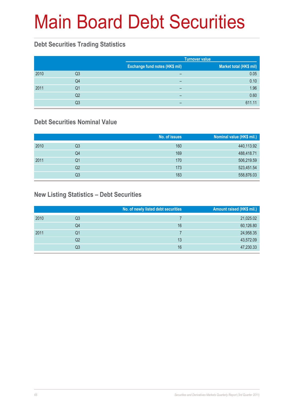# Main Board Debt Securities

#### **Debt Securities Trading Statistics**

|      |    | <b>Turnover value</b>                 |                         |  |
|------|----|---------------------------------------|-------------------------|--|
|      |    | <b>Exchange fund notes (HK\$ mil)</b> | Market total (HK\$ mil) |  |
| 2010 | Q3 | -                                     | 0.05                    |  |
|      | Q4 | $\overline{\phantom{0}}$              | 0.10                    |  |
| 2011 | Q1 | $\overline{\phantom{0}}$              | 1.96                    |  |
|      | Q2 | -                                     | 0.60                    |  |
|      | Q3 | -                                     | 611.11                  |  |

#### **Debt Securities Nominal Value**

|      |    | No. of issues | Nominal value (HK\$ mil.) |
|------|----|---------------|---------------------------|
| 2010 | Q3 | 160           | 440,113.92                |
|      | Q4 | 169           | 488,418.71                |
| 2011 | Q1 | 170           | 506,219.59                |
|      | Q2 | 173           | 523,451.54                |
|      | Q3 | 183           | 558,876.03                |

#### **New Listing Statistics – Debt Securities**

|      |                | No. of newly listed debt securities | Amount raised (HK\$ mil.) |
|------|----------------|-------------------------------------|---------------------------|
| 2010 | Q3             |                                     | 21,025.02                 |
|      | Q4             | 16                                  | 60,126.80                 |
| 2011 | Q1             |                                     | 24,958.35                 |
|      | Q <sub>2</sub> | 13                                  | 43,572.09                 |
|      | Q3             | 16                                  | 47,230.33                 |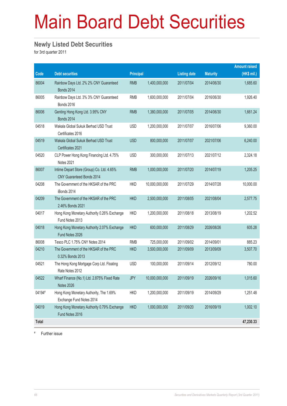# Main Board Debt Securities

#### **Newly Listed Debt Securities**

for 3rd quarter 2011

|              |                                                                                |                  |                |                     |                 | <b>Amount raised</b> |
|--------------|--------------------------------------------------------------------------------|------------------|----------------|---------------------|-----------------|----------------------|
| Code         | <b>Debt securities</b>                                                         | <b>Principal</b> |                | <b>Listing date</b> | <b>Maturity</b> | (HK\$ mil.)          |
| 86004        | Rainbow Days Ltd. 2% 2% CNY Guaranteed<br><b>Bonds 2014</b>                    | <b>RMB</b>       | 1,400,000,000  | 2011/07/04          | 2014/06/30      | 1,685.60             |
| 86005        | Rainbow Days Ltd. 3% 3% CNY Guaranteed<br><b>Bonds 2016</b>                    | <b>RMB</b>       | 1,600,000,000  | 2011/07/04          | 2016/06/30      | 1,926.40             |
| 86006        | Genting Hong Kong Ltd. 3.95% CNY<br><b>Bonds 2014</b>                          | <b>RMB</b>       | 1,380,000,000  | 2011/07/05          | 2014/06/30      | 1,661.24             |
| 04518        | Wakala Global Sukuk Berhad USD Trust<br>Certificates 2016                      | <b>USD</b>       | 1,200,000,000  | 2011/07/07          | 2016/07/06      | 9,360.00             |
| 04519        | Wakala Global Sukuk Berhad USD Trust<br>Certificates 2021                      | <b>USD</b>       | 800,000,000    | 2011/07/07          | 2021/07/06      | 6,240.00             |
| 04520        | CLP Power Hong Kong Financing Ltd. 4.75%<br>Notes 2021                         | <b>USD</b>       | 300,000,000    | 2011/07/13          | 2021/07/12      | 2,324.18             |
| 86007        | Intime Depart Store (Group) Co. Ltd. 4.65%<br><b>CNY Guaranteed Bonds 2014</b> | <b>RMB</b>       | 1,000,000,000  | 2011/07/20          | 2014/07/19      | 1,205.25             |
| 04208        | The Government of the HKSAR of the PRC<br>iBonds 2014                          | <b>HKD</b>       | 10,000,000,000 | 2011/07/29          | 2014/07/28      | 10,000.00            |
| 04209        | The Government of the HKSAR of the PRC<br>2.46% Bonds 2021                     | <b>HKD</b>       | 2,500,000,000  | 2011/08/05          | 2021/08/04      | 2,577.75             |
| 04017        | Hong Kong Monetary Authority 0.26% Exchange<br>Fund Notes 2013                 | <b>HKD</b>       | 1,200,000,000  | 2011/08/18          | 2013/08/19      | 1,202.52             |
| 04018        | Hong Kong Monetary Authority 2.07% Exchange<br>Fund Notes 2026                 | <b>HKD</b>       | 600,000,000    | 2011/08/29          | 2026/08/26      | 605.28               |
| 86008        | Tesco PLC 1.75% CNY Notes 2014                                                 | <b>RMB</b>       | 725,000,000    | 2011/09/02          | 2014/09/01      | 885.23               |
| 04210        | The Government of the HKSAR of the PRC<br>0.32% Bonds 2013                     | <b>HKD</b>       | 3,500,000,000  | 2011/09/09          | 2013/09/09      | 3,507.70             |
| 04521        | The Hong Kong Mortgage Corp Ltd. Floating<br>Rate Notes 2012                   | <b>USD</b>       | 100,000,000    | 2011/09/14          | 2012/09/12      | 780.00               |
| 04522        | Wharf Finance (No.1) Ltd. 2.875% Fixed Rate<br><b>Notes 2026</b>               | <b>JPY</b>       | 10,000,000,000 | 2011/09/19          | 2026/09/16      | 1,015.60             |
| 04194#       | Hong Kong Monetary Authority, The 1.69%<br>Exchange Fund Notes 2014            | <b>HKD</b>       | 1,200,000,000  | 2011/09/19          | 2014/09/29      | 1,251.48             |
| 04019        | Hong Kong Monetary Authority 0.79% Exchange<br>Fund Notes 2016                 | <b>HKD</b>       | 1,000,000,000  | 2011/09/20          | 2016/09/19      | 1,002.10             |
| <b>Total</b> |                                                                                |                  |                |                     |                 | 47,230.33            |

# Further issue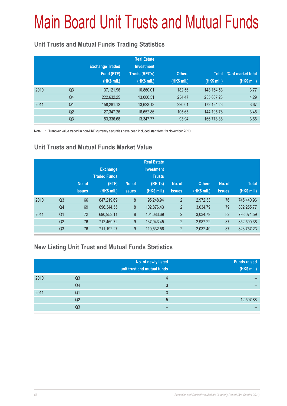# Main Board Unit Trusts and Mutual Funds

#### **Unit Trusts and Mutual Funds Trading Statistics**

|      |                | <b>Exchange Traded</b><br>Fund (ETF)<br>(HK\$ mil.) | <b>Real Estate</b><br><b>Investment</b><br><b>Trusts (REITs)</b><br>(HK\$ mil.) | <b>Others</b><br>(HK\$ mil.) | <b>Total</b><br>(HK\$ mil.) | % of market total<br>(HK\$ mil.) |
|------|----------------|-----------------------------------------------------|---------------------------------------------------------------------------------|------------------------------|-----------------------------|----------------------------------|
| 2010 | Q <sub>3</sub> | 137,121.96                                          | 10,860.01                                                                       | 182.56                       | 148, 164. 53                | 3.77                             |
|      | Q4             | 222,632.25                                          | 13,000.51                                                                       | 234.47                       | 235,867.23                  | 4.29                             |
| 2011 | Q <sub>1</sub> | 158,281.12                                          | 13,623.13                                                                       | 220.01                       | 172,124.26                  | 3.67                             |
|      | Q <sub>2</sub> | 127,347.26                                          | 16,652.86                                                                       | 105.65                       | 144,105.78                  | 3.45                             |
|      | Q <sub>3</sub> | 153,336.68                                          | 13,347.77                                                                       | 93.94                        | 166,778.38                  | 3.66                             |

Note: 1. Turnover value traded in non-HKD currency securities have been included start from 29 November 2010

#### **Unit Trusts and Mutual Funds Market Value**

|      |                | No. of<br><b>issues</b> | <b>Exchange</b><br><b>Traded Funds</b><br>(ETF)<br>(HK\$ mil.) | No. of<br><b>issues</b> | <b>Real Estate</b><br><b>Investment</b><br><b>Trusts</b><br>(REITs)<br>(HK\$ mil.) | No. of<br><b>issues</b> | <b>Others</b><br>(HK\$ mil.) | No. of<br><b>issues</b> | <b>Total</b><br>(HK\$ mil.) |
|------|----------------|-------------------------|----------------------------------------------------------------|-------------------------|------------------------------------------------------------------------------------|-------------------------|------------------------------|-------------------------|-----------------------------|
| 2010 | Q <sub>3</sub> | 66                      | 647,219.69                                                     | 8                       | 95,248.94                                                                          | $\overline{2}$          | 2,972.33                     | 76                      | 745.440.96                  |
|      | Q4             | 69                      | 696,344.55                                                     | 8                       | 102,876.43                                                                         | $\overline{2}$          | 3.034.79                     | 79                      | 802,255.77                  |
| 2011 | Q <sub>1</sub> | 72                      | 690,953.11                                                     | 8                       | 104,083.69                                                                         | $\overline{2}$          | 3,034.79                     | 82                      | 798,071.59                  |
|      | Q <sub>2</sub> | 76                      | 712.469.72                                                     | 9                       | 137,043.45                                                                         | $\overline{2}$          | 2,987.22                     | 87                      | 852,500.38                  |
|      | Q <sub>3</sub> | 76                      | 711,192.27                                                     | 9                       | 110,532.56                                                                         | $\overline{2}$          | 2,032.40                     | 87                      | 823,757.23                  |

#### **New Listing Unit Trust and Mutual Funds Statistics**

|      |    | No. of newly listed<br>unit trust and mutual funds | <b>Funds raised</b><br>(HK\$ mil.) |
|------|----|----------------------------------------------------|------------------------------------|
| 2010 | Q3 |                                                    |                                    |
|      | Q4 |                                                    |                                    |
| 2011 | Q1 |                                                    |                                    |
|      | Q2 | 5                                                  | 12,507.88                          |
|      | Q3 |                                                    |                                    |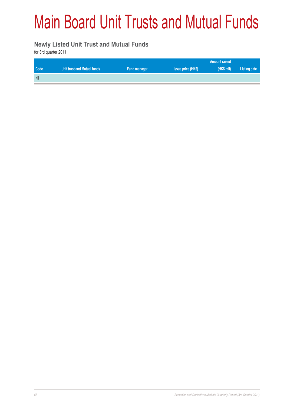# Main Board Unit Trusts and Mutual Funds

#### **Newly Listed Unit Trust and Mutual Funds**

for 3rd quarter 2011

| Code       | Unit trust and Mutual funds | Fund manager | <b>Issue price (HK\$)</b> | (HK\$ mi) | Listing date |
|------------|-----------------------------|--------------|---------------------------|-----------|--------------|
| <b>Nil</b> |                             |              |                           |           |              |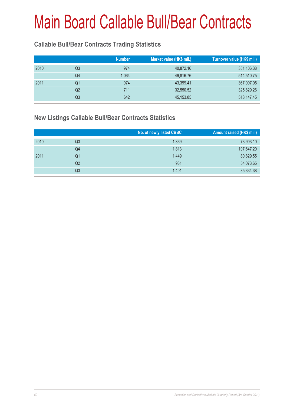# Main Board Callable Bull/Bear Contracts

#### **Callable Bull/Bear Contracts Trading Statistics**

|    | <b>Number</b> | Market value (HK\$ mil.) | Turnover value (HK\$ mil.) |
|----|---------------|--------------------------|----------------------------|
| Q3 | 974           | 40,872.16                | 351,106.38                 |
| Q4 | 1,064         | 49,816.76                | 514,510.75                 |
| Q1 | 974           | 43,399.41                | 367,097.05                 |
| Q2 | 711           | 32,550.52                | 325,829.26                 |
| Q3 | 642           | 45, 153.85               | 518,147.45                 |
|    |               |                          |                            |

#### **New Listings Callable Bull/Bear Contracts Statistics**

|      |    | No. of newly listed CBBC | Amount raised (HK\$ mil.) |
|------|----|--------------------------|---------------------------|
| 2010 | Q3 | 1,369                    | 73,903.10                 |
|      | Q4 | 1,813                    | 107,647.20                |
| 2011 | Q1 | 1,449                    | 80,829.55                 |
|      | Q2 | 931                      | 54,073.65                 |
|      | Q3 | 1,401                    | 85,334.38                 |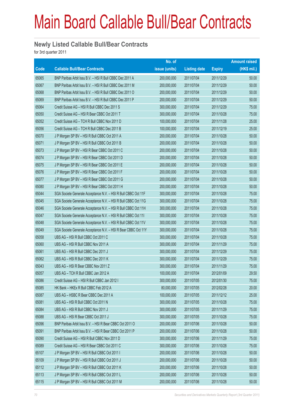### Main Board Callable Bull/Bear Contracts

#### **Newly Listed Callable Bull/Bear Contracts**

for 3rd quarter 2011

|       |                                                                | No. of        |                     |               | <b>Amount raised</b> |
|-------|----------------------------------------------------------------|---------------|---------------------|---------------|----------------------|
| Code  | <b>Callable Bull/Bear Contracts</b>                            | issue (units) | <b>Listing date</b> | <b>Expiry</b> | (HK\$ mil.)          |
| 65065 | BNP Paribas Arbit Issu B.V. - HSI R Bull CBBC Dec 2011 A       | 200,000,000   | 2011/07/04          | 2011/12/29    | 50.00                |
| 65067 | BNP Paribas Arbit Issu B.V. - HSI R Bull CBBC Dec 2011 M       | 200,000,000   | 2011/07/04          | 2011/12/29    | 50.00                |
| 65068 | BNP Paribas Arbit Issu B.V. - HSI R Bull CBBC Dec 2011 O       | 200,000,000   | 2011/07/04          | 2011/12/29    | 50.00                |
| 65069 | BNP Paribas Arbit Issu B.V. - HSI R Bull CBBC Dec 2011 P       | 200,000,000   | 2011/07/04          | 2011/12/29    | 50.00                |
| 65064 | Credit Suisse AG - HSI R Bull CBBC Dec 2011 S                  | 300,000,000   | 2011/07/04          | 2011/12/29    | 75.00                |
| 65050 | Credit Suisse AG - HSI R Bear CBBC Oct 2011 T                  | 300,000,000   | 2011/07/04          | 2011/10/28    | 75.00                |
| 65052 | Credit Suisse AG - TCH R Bull CBBC Nov 2011 D                  | 100,000,000   | 2011/07/04          | 2011/11/28    | 25.00                |
| 65056 | Credit Suisse AG - TCH R Bull CBBC Dec 2011 B                  | 100,000,000   | 2011/07/04          | 2011/12/19    | 25.00                |
| 65070 | J P Morgan SP BV - HSI R Bull CBBC Oct 2011 A                  | 200,000,000   | 2011/07/04          | 2011/10/28    | 50.00                |
| 65071 | J P Morgan SP BV - HSI R Bull CBBC Oct 2011 B                  | 200,000,000   | 2011/07/04          | 2011/10/28    | 50.00                |
| 65073 | J P Morgan SP BV - HSI R Bear CBBC Oct 2011 C                  | 200,000,000   | 2011/07/04          | 2011/10/28    | 50.00                |
| 65074 | J P Morgan SP BV - HSI R Bear CBBC Oct 2011 D                  | 200,000,000   | 2011/07/04          | 2011/10/28    | 50.00                |
| 65075 | J P Morgan SP BV - HSI R Bear CBBC Oct 2011 E                  | 200,000,000   | 2011/07/04          | 2011/10/28    | 50.00                |
| 65076 | J P Morgan SP BV - HSI R Bear CBBC Oct 2011 F                  | 200,000,000   | 2011/07/04          | 2011/10/28    | 50.00                |
| 65077 | J P Morgan SP BV - HSI R Bear CBBC Oct 2011 G                  | 200,000,000   | 2011/07/04          | 2011/10/28    | 50.00                |
| 65080 | J P Morgan SP BV - HSI R Bear CBBC Oct 2011 H                  | 200,000,000   | 2011/07/04          | 2011/10/28    | 50.00                |
| 65044 | SGA Societe Generale Acceptance N.V. - HSI R Bull CBBC Oct 11F | 300,000,000   | 2011/07/04          | 2011/10/28    | 75.00                |
| 65045 | SGA Societe Generale Acceptance N.V. - HSI R Bull CBBC Oct 11G | 300,000,000   | 2011/07/04          | 2011/10/28    | 75.00                |
| 65046 | SGA Societe Generale Acceptance N.V. - HSI R Bull CBBC Oct 11H | 300,000,000   | 2011/07/04          | 2011/10/28    | 75.00                |
| 65047 | SGA Societe Generale Acceptance N.V. - HSI R Bull CBBC Oct 111 | 300,000,000   | 2011/07/04          | 2011/10/28    | 75.00                |
| 65048 | SGA Societe Generale Acceptance N.V. - HSI R Bull CBBC Oct 11V | 300,000,000   | 2011/07/04          | 2011/10/28    | 75.00                |
| 65049 | SGA Societe Generale Acceptance N.V. - HSI R Bear CBBC Oct 11Y | 300,000,000   | 2011/07/04          | 2011/10/28    | 75.00                |
| 65058 | UBS AG - HSI R Bull CBBC Oct 2011 C                            | 300,000,000   | 2011/07/04          | 2011/10/28    | 75.00                |
| 65060 | UBS AG - HSI R Bull CBBC Nov 2011 A                            | 300,000,000   | 2011/07/04          | 2011/11/29    | 75.00                |
| 65061 | UBS AG - HSI R Bull CBBC Dec 2011 J                            | 300,000,000   | 2011/07/04          | 2011/12/29    | 75.00                |
| 65062 | UBS AG - HSI R Bull CBBC Dec 2011 K                            | 300,000,000   | 2011/07/04          | 2011/12/29    | 75.00                |
| 65043 | UBS AG - HSI R Bear CBBC Nov 2011 Z                            | 300,000,000   | 2011/07/04          | 2011/11/29    | 75.00                |
| 65057 | UBS AG - TCH R Bull CBBC Jan 2012 A                            | 100,000,000   | 2011/07/04          | 2012/01/09    | 29.50                |
| 65086 | Credit Suisse AG - HSI R Bull CBBC Jan 2012 I                  | 300,000,000   | 2011/07/05          | 2012/01/30    | 75.00                |
| 65085 | HK Bank - HKEx R Bull CBBC Feb 2012 A                          | 80,000,000    | 2011/07/05          | 2012/02/28    | 20.00                |
| 65087 | UBS AG - HSBC R Bear CBBC Dec 2011 A                           | 100,000,000   | 2011/07/05          | 2011/12/12    | 25.00                |
| 65081 | UBS AG - HSI R Bull CBBC Oct 2011 N                            | 300,000,000   | 2011/07/05          | 2011/10/28    | 75.00                |
| 65084 | UBS AG - HSI R Bull CBBC Nov 2011 J                            | 300,000,000   | 2011/07/05          | 2011/11/29    | 75.00                |
| 65088 | UBS AG - HSI R Bear CBBC Oct 2011 J                            | 300,000,000   | 2011/07/05          | 2011/10/28    | 75.00                |
| 65096 | BNP Paribas Arbit Issu B.V. - HSI R Bear CBBC Oct 2011 O       | 200,000,000   | 2011/07/06          | 2011/10/28    | 50.00                |
| 65091 | BNP Paribas Arbit Issu B.V. - HSI R Bear CBBC Oct 2011 P       | 200,000,000   | 2011/07/06          | 2011/10/28    | 50.00                |
| 65090 | Credit Suisse AG - HSI R Bull CBBC Nov 2011 D                  | 300,000,000   | 2011/07/06          | 2011/11/29    | 75.00                |
| 65089 | Credit Suisse AG - HSI R Bear CBBC Oct 2011 C                  | 300,000,000   | 2011/07/06          | 2011/10/28    | 75.00                |
| 65107 | J P Morgan SP BV - HSI R Bull CBBC Oct 2011 I                  | 200,000,000   | 2011/07/06          | 2011/10/28    | 50.00                |
| 65109 | J P Morgan SP BV - HSI R Bull CBBC Oct 2011 J                  | 200,000,000   | 2011/07/06          | 2011/10/28    | 50.00                |
| 65112 | J P Morgan SP BV - HSI R Bull CBBC Oct 2011 K                  | 200,000,000   | 2011/07/06          | 2011/10/28    | 50.00                |
| 65113 | J P Morgan SP BV - HSI R Bull CBBC Oct 2011 L                  | 200,000,000   | 2011/07/06          | 2011/10/28    | 50.00                |
| 65115 | J P Morgan SP BV - HSI R Bull CBBC Oct 2011 M                  | 200,000,000   | 2011/07/06          | 2011/10/28    | 50.00                |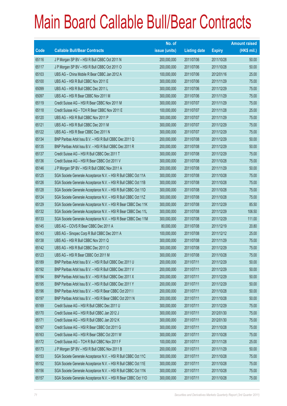### Main Board Callable Bull/Bear Contracts

|       |                                                                | No. of        |                     |               | <b>Amount raised</b> |
|-------|----------------------------------------------------------------|---------------|---------------------|---------------|----------------------|
| Code  | <b>Callable Bull/Bear Contracts</b>                            | issue (units) | <b>Listing date</b> | <b>Expiry</b> | $(HK$$ mil.)         |
| 65116 | J P Morgan SP BV - HSI R Bull CBBC Oct 2011 N                  | 200,000,000   | 2011/07/06          | 2011/10/28    | 50.00                |
| 65117 | J P Morgan SP BV - HSI R Bull CBBC Oct 2011 O                  | 200,000,000   | 2011/07/06          | 2011/10/28    | 50.00                |
| 65103 | UBS AG - China Mobile R Bear CBBC Jan 2012 A                   | 100,000,000   | 2011/07/06          | 2012/01/16    | 25.00                |
| 65100 | UBS AG - HSI R Bull CBBC Nov 2011 E                            | 300,000,000   | 2011/07/06          | 2011/11/29    | 75.00                |
| 65099 | UBS AG - HSI R Bull CBBC Dec 2011 L                            | 300,000,000   | 2011/07/06          | 2011/12/29    | 75.00                |
| 65097 | UBS AG - HSI R Bear CBBC Nov 2011 M                            | 300,000,000   | 2011/07/06          | 2011/11/29    | 75.00                |
| 65119 | Credit Suisse AG - HSI R Bear CBBC Nov 2011 M                  | 300,000,000   | 2011/07/07          | 2011/11/29    | 75.00                |
| 65118 | Credit Suisse AG - TCH R Bear CBBC Nov 2011 E                  | 100,000,000   | 2011/07/07          | 2011/11/28    | 25.00                |
| 65120 | UBS AG - HSI R Bull CBBC Nov 2011 P                            | 300,000,000   | 2011/07/07          | 2011/11/29    | 75.00                |
| 65121 | UBS AG - HSI R Bull CBBC Dec 2011 M                            | 300,000,000   | 2011/07/07          | 2011/12/29    | 75.00                |
| 65122 | UBS AG - HSI R Bear CBBC Dec 2011 N                            | 300,000,000   | 2011/07/07          | 2011/12/29    | 75.00                |
| 65134 | BNP Paribas Arbit Issu B.V. - HSI R Bull CBBC Dec 2011 Q       | 200,000,000   | 2011/07/08          | 2011/12/29    | 50.00                |
| 65135 | BNP Paribas Arbit Issu B.V. - HSI R Bull CBBC Dec 2011 R       | 200,000,000   | 2011/07/08          | 2011/12/29    | 50.00                |
| 65137 | Credit Suisse AG - HSI R Bull CBBC Dec 2011 T                  | 300,000,000   | 2011/07/08          | 2011/12/29    | 75.00                |
| 65136 | Credit Suisse AG - HSI R Bear CBBC Oct 2011 V                  | 300,000,000   | 2011/07/08          | 2011/10/28    | 75.00                |
| 65146 | J P Morgan SP BV - HSI R Bull CBBC Nov 2011 A                  | 200,000,000   | 2011/07/08          | 2011/11/29    | 50.00                |
| 65125 | SGA Societe Generale Acceptance N.V. - HSI R Bull CBBC Oct 11A | 300,000,000   | 2011/07/08          | 2011/10/28    | 75.00                |
| 65126 | SGA Societe Generale Acceptance N.V. - HSI R Bull CBBC Oct 11B | 300,000,000   | 2011/07/08          | 2011/10/28    | 75.00                |
| 65128 | SGA Societe Generale Acceptance N.V. - HSI R Bull CBBC Oct 11D | 300,000,000   | 2011/07/08          | 2011/10/28    | 75.00                |
| 65124 | SGA Societe Generale Acceptance N.V. - HSI R Bull CBBC Oct 11Z | 300,000,000   | 2011/07/08          | 2011/10/28    | 75.00                |
| 65129 | SGA Societe Generale Acceptance N.V. - HSI R Bear CBBC Dec 11K | 300,000,000   | 2011/07/08          | 2011/12/29    | 85.50                |
| 65132 | SGA Societe Generale Acceptance N.V. - HSI R Bear CBBC Dec 11L | 300,000,000   | 2011/07/08          | 2011/12/29    | 106.50               |
| 65133 | SGA Societe Generale Acceptance N.V. - HSI R Bear CBBC Dec 11M | 300,000,000   | 2011/07/08          | 2011/12/29    | 111.00               |
| 65145 | UBS AG - COVS R Bear CBBC Dec 2011 A                           | 80,000,000    | 2011/07/08          | 2011/12/19    | 20.80                |
| 65143 | UBS AG - Sinopec Corp R Bull CBBC Dec 2011 A                   | 100,000,000   | 2011/07/08          | 2011/12/12    | 25.00                |
| 65138 | UBS AG - HSI R Bull CBBC Nov 2011 Q                            | 300,000,000   | 2011/07/08          | 2011/11/29    | 75.00                |
| 65142 | UBS AG - HSI R Bull CBBC Dec 2011 O                            | 300,000,000   | 2011/07/08          | 2011/12/29    | 75.00                |
| 65123 | UBS AG - HSI R Bear CBBC Oct 2011 M                            | 300,000,000   | 2011/07/08          | 2011/10/28    | 75.00                |
| 65189 | BNP Paribas Arbit Issu B.V. - HSI R Bull CBBC Dec 2011 U       | 200,000,000   | 2011/07/11          | 2011/12/29    | 50.00                |
| 65192 | BNP Paribas Arbit Issu B.V. - HSI R Bull CBBC Dec 2011 V       | 200,000,000   | 2011/07/11          | 2011/12/29    | 50.00                |
| 65194 | BNP Paribas Arbit Issu B.V. - HSI R Bull CBBC Dec 2011 X       | 200,000,000   | 2011/07/11          | 2011/12/29    | 50.00                |
| 65195 | BNP Paribas Arbit Issu B.V. - HSI R Bull CBBC Dec 2011 Y       | 200,000,000   | 2011/07/11          | 2011/12/29    | 50.00                |
| 65196 | BNP Paribas Arbit Issu B.V. - HSI R Bear CBBC Oct 2011 I       | 200,000,000   | 2011/07/11          | 2011/10/28    | 50.00                |
| 65197 | BNP Paribas Arbit Issu B.V. - HSI R Bear CBBC Oct 2011 N       | 200,000,000   | 2011/07/11          | 2011/10/28    | 50.00                |
| 65169 | Credit Suisse AG - HSI R Bull CBBC Dec 2011 U                  | 300,000,000   | 2011/07/11          | 2011/12/29    | 75.00                |
| 65170 | Credit Suisse AG - HSI R Bull CBBC Jan 2012 J                  | 300,000,000   | 2011/07/11          | 2012/01/30    | 75.00                |
| 65171 | Credit Suisse AG - HSI R Bull CBBC Jan 2012 K                  | 300,000,000   | 2011/07/11          | 2012/01/30    | 75.00                |
| 65167 | Credit Suisse AG - HSI R Bear CBBC Oct 2011 G                  | 300,000,000   | 2011/07/11          | 2011/10/28    | 75.00                |
| 65163 | Credit Suisse AG - HSI R Bear CBBC Oct 2011 W                  | 300,000,000   | 2011/07/11          | 2011/10/28    | 75.00                |
| 65172 | Credit Suisse AG - TCH R Bull CBBC Nov 2011 F                  | 100,000,000   | 2011/07/11          | 2011/11/28    | 25.00                |
| 65173 | J P Morgan SP BV - HSI R Bull CBBC Nov 2011 B                  | 200,000,000   | 2011/07/11          | 2011/11/29    | 50.00                |
| 65153 | SGA Societe Generale Acceptance N.V. - HSI R Bull CBBC Oct 11C | 300,000,000   | 2011/07/11          | 2011/10/28    | 75.00                |
| 65152 | SGA Societe Generale Acceptance N.V. - HSI R Bull CBBC Oct 11E | 300,000,000   | 2011/07/11          | 2011/10/28    | 75.00                |
| 65156 | SGA Societe Generale Acceptance N.V. - HSI R Bull CBBC Oct 11N | 300,000,000   | 2011/07/11          | 2011/10/28    | 75.00                |
| 65157 | SGA Societe Generale Acceptance N.V. - HSI R Bear CBBC Oct 110 | 300,000,000   | 2011/07/11          | 2011/10/28    | 75.00                |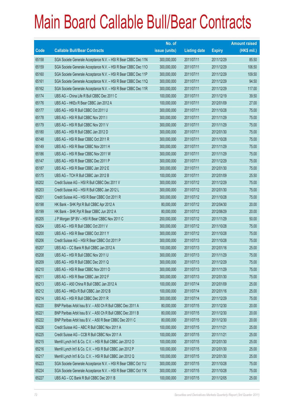|       |                                                                | No. of        |                     |               | <b>Amount raised</b> |
|-------|----------------------------------------------------------------|---------------|---------------------|---------------|----------------------|
| Code  | <b>Callable Bull/Bear Contracts</b>                            | issue (units) | <b>Listing date</b> | <b>Expiry</b> | $(HK$$ mil.)         |
| 65158 | SGA Societe Generale Acceptance N.V. - HSI R Bear CBBC Dec 11N | 300,000,000   | 2011/07/11          | 2011/12/29    | 85.50                |
| 65159 | SGA Societe Generale Acceptance N.V. - HSI R Bear CBBC Dec 110 | 300,000,000   | 2011/07/11          | 2011/12/29    | 106.50               |
| 65160 | SGA Societe Generale Acceptance N.V. - HSI R Bear CBBC Dec 11P | 300,000,000   | 2011/07/11          | 2011/12/29    | 109.50               |
| 65161 | SGA Societe Generale Acceptance N.V. - HSI R Bear CBBC Dec 11Q | 300,000,000   | 2011/07/11          | 2011/12/29    | 94.50                |
| 65162 | SGA Societe Generale Acceptance N.V. - HSI R Bear CBBC Dec 11R | 300,000,000   | 2011/07/11          | 2011/12/29    | 117.00               |
| 65174 | UBS AG - China Life R Bull CBBC Dec 2011 C                     | 100,000,000   | 2011/07/11          | 2011/12/19    | 39.50                |
| 65176 | UBS AG - HKEx R Bear CBBC Jan 2012 A                           | 100,000,000   | 2011/07/11          | 2012/01/09    | 27.00                |
| 65177 | UBS AG - HSI R Bull CBBC Oct 2011 U                            | 300,000,000   | 2011/07/11          | 2011/10/28    | 75.00                |
| 65178 | UBS AG - HSI R Bull CBBC Nov 2011 I                            | 300,000,000   | 2011/07/11          | 2011/11/29    | 75.00                |
| 65179 | UBS AG - HSI R Bull CBBC Nov 2011 V                            | 300,000,000   | 2011/07/11          | 2011/11/29    | 75.00                |
| 65180 | UBS AG - HSI R Bull CBBC Jan 2012 D                            | 300,000,000   | 2011/07/11          | 2012/01/30    | 75.00                |
| 65148 | UBS AG - HSI R Bear CBBC Oct 2011 R                            | 300,000,000   | 2011/07/11          | 2011/10/28    | 75.00                |
| 65149 | UBS AG - HSI R Bear CBBC Nov 2011 H                            | 300,000,000   | 2011/07/11          | 2011/11/29    | 75.00                |
| 65186 | UBS AG - HSI R Bear CBBC Nov 2011 W                            | 300,000,000   | 2011/07/11          | 2011/11/29    | 75.00                |
| 65147 | UBS AG - HSI R Bear CBBC Dec 2011 P                            | 300,000,000   | 2011/07/11          | 2011/12/29    | 75.00                |
| 65187 | UBS AG - HSI R Bear CBBC Jan 2012 E                            | 300,000,000   | 2011/07/11          | 2012/01/30    | 75.00                |
| 65175 | UBS AG - TCH R Bull CBBC Jan 2012 B                            | 100,000,000   | 2011/07/11          | 2012/01/09    | 25.50                |
| 65202 | Credit Suisse AG - HSI R Bull CBBC Dec 2011 V                  | 300,000,000   | 2011/07/12          | 2011/12/29    | 75.00                |
| 65203 | Credit Suisse AG - HSI R Bull CBBC Jan 2012 L                  | 300,000,000   | 2011/07/12          | 2012/01/30    | 75.00                |
| 65201 | Credit Suisse AG - HSI R Bear CBBC Oct 2011 R                  | 300,000,000   | 2011/07/12          | 2011/10/28    | 75.00                |
| 65198 | HK Bank - SHK Ppt R Bull CBBC Apr 2012 A                       | 80,000,000    | 2011/07/12          | 2012/04/30    | 20.00                |
| 65199 | HK Bank - SHK Ppt R Bear CBBC Jun 2012 A                       | 80,000,000    | 2011/07/12          | 2012/06/29    | 20.00                |
| 65205 | J P Morgan SP BV - HSI R Bear CBBC Nov 2011 C                  | 200,000,000   | 2011/07/12          | 2011/11/29    | 50.00                |
| 65204 | UBS AG - HSI R Bull CBBC Oct 2011 V                            | 300,000,000   | 2011/07/12          | 2011/10/28    | 75.00                |
| 65200 | UBS AG - HSI R Bear CBBC Oct 2011 Y                            | 300,000,000   | 2011/07/12          | 2011/10/28    | 75.00                |
| 65206 | Credit Suisse AG - HSI R Bear CBBC Oct 2011 P                  | 300,000,000   | 2011/07/13          | 2011/10/28    | 75.00                |
| 65207 | UBS AG - CC Bank R Bull CBBC Jan 2012 A                        | 100,000,000   | 2011/07/13          | 2012/01/16    | 25.00                |
| 65208 | UBS AG - HSI R Bull CBBC Nov 2011 U                            | 300,000,000   | 2011/07/13          | 2011/11/29    | 75.00                |
| 65209 | UBS AG - HSI R Bull CBBC Dec 2011 Q                            | 300,000,000   | 2011/07/13          | 2011/12/29    | 75.00                |
| 65210 | UBS AG - HSI R Bear CBBC Nov 2011 O                            | 300,000,000   | 2011/07/13          | 2011/11/29    | 75.00                |
| 65211 | UBS AG - HSI R Bear CBBC Jan 2012 F                            | 300,000,000   | 2011/07/13          | 2012/01/30    | 75.00                |
| 65213 | UBS AG - A50 China R Bull CBBC Jan 2012 A                      | 100,000,000   | 2011/07/14          | 2012/01/09    | 25.00                |
| 65212 | UBS AG - HKEx R Bull CBBC Jan 2012 B                           | 100,000,000   | 2011/07/14          | 2012/01/16    | 25.00                |
| 65214 | UBS AG - HSI R Bull CBBC Dec 2011 R                            | 300,000,000   | 2011/07/14          | 2011/12/29    | 75.00                |
| 65220 | BNP Paribas Arbit Issu B.V. - A50 Ch R Bull CBBC Dec 2011 A    | 80,000,000    | 2011/07/15          | 2011/12/30    | 20.00                |
| 65221 | BNP Paribas Arbit Issu B.V. - A50 Ch R Bull CBBC Dec 2011 B    | 80,000,000    | 2011/07/15          | 2011/12/30    | 20.00                |
| 65222 | BNP Paribas Arbit Issu B.V. - A50 R Bear CBBC Dec 2011 C       | 80,000,000    | 2011/07/15          | 2011/12/30    | 20.00                |
| 65226 | Credit Suisse AG - ABC R Bull CBBC Nov 2011 A                  | 100,000,000   | 2011/07/15          | 2011/11/21    | 25.00                |
| 65225 | Credit Suisse AG - CCB R Bull CBBC Nov 2011 A                  | 100,000,000   | 2011/07/15          | 2011/11/21    | 25.00                |
| 65215 | Merrill Lynch Int'l & Co. C.V. - HSI R Bull CBBC Jan 2012 O    | 100,000,000   | 2011/07/15          | 2012/01/30    | 25.00                |
| 65216 | Merrill Lynch Int'l & Co. C.V. - HSI R Bull CBBC Jan 2012 P    | 100,000,000   | 2011/07/15          | 2012/01/30    | 25.00                |
| 65217 | Merrill Lynch Int'l & Co. C.V. - HSI R Bull CBBC Jan 2012 Q    | 100,000,000   | 2011/07/15          | 2012/01/30    | 25.00                |
| 65223 | SGA Societe Generale Acceptance N.V. - HSI R Bear CBBC Oct 11J | 300,000,000   | 2011/07/15          | 2011/10/28    | 75.00                |
| 65224 | SGA Societe Generale Acceptance N.V. - HSI R Bear CBBC Oct 11K | 300,000,000   | 2011/07/15          | 2011/10/28    | 75.00                |
| 65227 | UBS AG - CC Bank R Bull CBBC Dec 2011 B                        | 100,000,000   | 2011/07/15          | 2011/12/05    | 25.00                |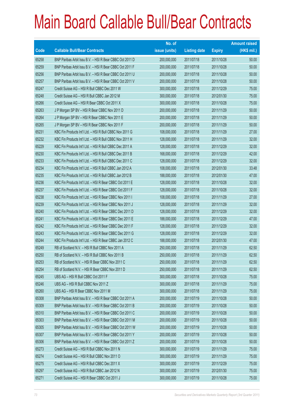|       |                                                          | No. of        |                     |               | <b>Amount raised</b> |
|-------|----------------------------------------------------------|---------------|---------------------|---------------|----------------------|
| Code  | <b>Callable Bull/Bear Contracts</b>                      | issue (units) | <b>Listing date</b> | <b>Expiry</b> | (HK\$ mil.)          |
| 65258 | BNP Paribas Arbit Issu B.V. - HSI R Bear CBBC Oct 2011 D | 200,000,000   | 2011/07/18          | 2011/10/28    | 50.00                |
| 65259 | BNP Paribas Arbit Issu B.V. - HSI R Bear CBBC Oct 2011 F | 200,000,000   | 2011/07/18          | 2011/10/28    | 50.00                |
| 65256 | BNP Paribas Arbit Issu B.V. - HSI R Bear CBBC Oct 2011 U | 200,000,000   | 2011/07/18          | 2011/10/28    | 50.00                |
| 65257 | BNP Paribas Arbit Issu B.V. - HSI R Bear CBBC Oct 2011 V | 200,000,000   | 2011/07/18          | 2011/10/28    | 50.00                |
| 65247 | Credit Suisse AG - HSI R Bull CBBC Dec 2011 W            | 300,000,000   | 2011/07/18          | 2011/12/29    | 75.00                |
| 65248 | Credit Suisse AG - HSI R Bull CBBC Jan 2012 M            | 300,000,000   | 2011/07/18          | 2012/01/30    | 75.00                |
| 65266 | Credit Suisse AG - HSI R Bear CBBC Oct 2011 X            | 300,000,000   | 2011/07/18          | 2011/10/28    | 75.00                |
| 65263 | J P Morgan SP BV - HSI R Bear CBBC Nov 2011 D            | 200,000,000   | 2011/07/18          | 2011/11/29    | 50.00                |
| 65264 | J P Morgan SP BV - HSI R Bear CBBC Nov 2011 E            | 200,000,000   | 2011/07/18          | 2011/11/29    | 50.00                |
| 65265 | J P Morgan SP BV - HSI R Bear CBBC Nov 2011 F            | 200,000,000   | 2011/07/18          | 2011/11/29    | 50.00                |
| 65231 | KBC Fin Products Int'l Ltd. - HSI R Bull CBBC Nov 2011 G | 108,000,000   | 2011/07/18          | 2011/11/29    | 27.00                |
| 65232 | KBC Fin Products Int'l Ltd. - HSI R Bull CBBC Nov 2011 H | 128,000,000   | 2011/07/18          | 2011/11/29    | 32.00                |
| 65229 | KBC Fin Products Int'l Ltd. - HSI R Bull CBBC Dec 2011 A | 128,000,000   | 2011/07/18          | 2011/12/29    | 32.00                |
| 65230 | KBC Fin Products Int'l Ltd. - HSI R Bull CBBC Dec 2011 B | 168,000,000   | 2011/07/18          | 2011/12/29    | 42.00                |
| 65233 | KBC Fin Products Int'l Ltd. - HSI R Bull CBBC Dec 2011 C | 128,000,000   | 2011/07/18          | 2011/12/29    | 32.00                |
| 65234 | KBC Fin Products Int'l Ltd. - HSI R Bull CBBC Jan 2012 A | 108,000,000   | 2011/07/18          | 2012/01/30    | 33.48                |
| 65235 | KBC Fin Products Int'l Ltd. - HSI R Bull CBBC Jan 2012 B | 188,000,000   | 2011/07/18          | 2012/01/30    | 47.00                |
| 65236 | KBC Fin Products Int'l Ltd. - HSI R Bear CBBC Oct 2011 E | 128,000,000   | 2011/07/18          | 2011/10/28    | 32.00                |
| 65237 | KBC Fin Products Int'l Ltd. - HSI R Bear CBBC Oct 2011 F | 128,000,000   | 2011/07/18          | 2011/10/28    | 32.00                |
| 65238 | KBC Fin Products Int'l Ltd. - HSI R Bear CBBC Nov 2011 I | 108,000,000   | 2011/07/18          | 2011/11/29    | 27.00                |
| 65239 | KBC Fin Products Int'l Ltd. - HSI R Bear CBBC Nov 2011 J | 128,000,000   | 2011/07/18          | 2011/11/29    | 32.00                |
| 65240 | KBC Fin Products Int'l Ltd. - HSI R Bear CBBC Dec 2011 D | 128,000,000   | 2011/07/18          | 2011/12/29    | 32.00                |
| 65241 | KBC Fin Products Int'l Ltd. - HSI R Bear CBBC Dec 2011 E | 188,000,000   | 2011/07/18          | 2011/12/29    | 47.00                |
| 65242 | KBC Fin Products Int'l Ltd. - HSI R Bear CBBC Dec 2011 F | 128,000,000   | 2011/07/18          | 2011/12/29    | 32.00                |
| 65243 | KBC Fin Products Int'l Ltd. - HSI R Bear CBBC Dec 2011 G | 128,000,000   | 2011/07/18          | 2011/12/29    | 32.00                |
| 65244 | KBC Fin Products Int'l Ltd. - HSI R Bear CBBC Jan 2012 C | 188,000,000   | 2011/07/18          | 2012/01/30    | 47.00                |
| 65249 | RB of Scotland N.V. - HSI R Bull CBBC Nov 2011 A         | 250,000,000   | 2011/07/18          | 2011/11/29    | 62.50                |
| 65250 | RB of Scotland N.V. - HSI R Bull CBBC Nov 2011 B         | 250,000,000   | 2011/07/18          | 2011/11/29    | 62.50                |
| 65253 | RB of Scotland N.V. - HSI R Bear CBBC Nov 2011 C         | 250,000,000   | 2011/07/18          | 2011/11/29    | 62.50                |
| 65254 | RB of Scotland N.V. - HSI R Bear CBBC Nov 2011 D         | 250,000,000   | 2011/07/18          | 2011/11/29    | 62.50                |
| 65245 | UBS AG - HSI R Bull CBBC Oct 2011 F                      | 300,000,000   | 2011/07/18          | 2011/10/28    | 75.00                |
| 65246 | UBS AG - HSI R Bull CBBC Nov 2011 Z                      | 300,000,000   | 2011/07/18          | 2011/11/29    | 75.00                |
| 65260 | UBS AG - HSI R Bear CBBC Nov 2011 M                      | 300,000,000   | 2011/07/18          | 2011/11/29    | 75.00                |
| 65308 | BNP Paribas Arbit Issu B.V. - HSI R Bear CBBC Oct 2011 A | 200,000,000   | 2011/07/19          | 2011/10/28    | 50.00                |
| 65309 | BNP Paribas Arbit Issu B.V. - HSI R Bear CBBC Oct 2011 B | 200,000,000   | 2011/07/19          | 2011/10/28    | 50.00                |
| 65310 | BNP Paribas Arbit Issu B.V. - HSI R Bear CBBC Oct 2011 C | 200,000,000   | 2011/07/19          | 2011/10/28    | 50.00                |
| 65303 | BNP Paribas Arbit Issu B.V. - HSI R Bear CBBC Oct 2011 M | 200,000,000   | 2011/07/19          | 2011/10/28    | 50.00                |
| 65305 | BNP Paribas Arbit Issu B.V. - HSI R Bear CBBC Oct 2011 W | 200,000,000   | 2011/07/19          | 2011/10/28    | 50.00                |
| 65307 | BNP Paribas Arbit Issu B.V. - HSI R Bear CBBC Oct 2011 Y | 200,000,000   | 2011/07/19          | 2011/10/28    | 50.00                |
| 65306 | BNP Paribas Arbit Issu B.V. - HSI R Bear CBBC Oct 2011 Z | 200,000,000   | 2011/07/19          | 2011/10/28    | 50.00                |
| 65273 | Credit Suisse AG - HSI R Bull CBBC Nov 2011 N            | 300,000,000   | 2011/07/19          | 2011/11/29    | 75.00                |
| 65274 | Credit Suisse AG - HSI R Bull CBBC Nov 2011 O            | 300,000,000   | 2011/07/19          | 2011/11/29    | 75.00                |
| 65275 | Credit Suisse AG - HSI R Bull CBBC Dec 2011 X            | 300,000,000   | 2011/07/19          | 2011/12/29    | 75.00                |
| 65297 | Credit Suisse AG - HSI R Bull CBBC Jan 2012 N            | 300,000,000   | 2011/07/19          | 2012/01/30    | 75.00                |
| 65271 | Credit Suisse AG - HSI R Bear CBBC Oct 2011 J            | 300,000,000   | 2011/07/19          | 2011/10/28    | 75.00                |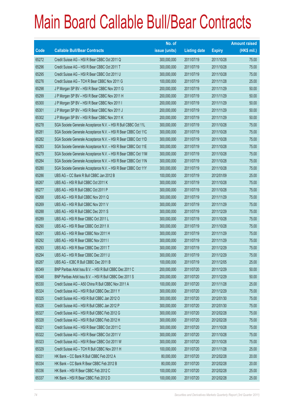|             |                                                                | No. of        |                     |               | <b>Amount raised</b> |
|-------------|----------------------------------------------------------------|---------------|---------------------|---------------|----------------------|
| <b>Code</b> | <b>Callable Bull/Bear Contracts</b>                            | issue (units) | <b>Listing date</b> | <b>Expiry</b> | $(HK$$ mil.)         |
| 65272       | Credit Suisse AG - HSI R Bear CBBC Oct 2011 Q                  | 300,000,000   | 2011/07/19          | 2011/10/28    | 75.00                |
| 65296       | Credit Suisse AG - HSI R Bear CBBC Oct 2011 T                  | 300,000,000   | 2011/07/19          | 2011/10/28    | 75.00                |
| 65295       | Credit Suisse AG - HSI R Bear CBBC Oct 2011 U                  | 300,000,000   | 2011/07/19          | 2011/10/28    | 75.00                |
| 65276       | Credit Suisse AG - TCH R Bear CBBC Nov 2011 G                  | 100,000,000   | 2011/07/19          | 2011/11/28    | 25.00                |
| 65298       | J P Morgan SP BV - HSI R Bear CBBC Nov 2011 G                  | 200,000,000   | 2011/07/19          | 2011/11/29    | 50.00                |
| 65299       | J P Morgan SP BV - HSI R Bear CBBC Nov 2011 H                  | 200,000,000   | 2011/07/19          | 2011/11/29    | 50.00                |
| 65300       | J P Morgan SP BV - HSI R Bear CBBC Nov 2011 I                  | 200,000,000   | 2011/07/19          | 2011/11/29    | 50.00                |
| 65301       | J P Morgan SP BV - HSI R Bear CBBC Nov 2011 J                  | 200,000,000   | 2011/07/19          | 2011/11/29    | 50.00                |
| 65302       | J P Morgan SP BV - HSI R Bear CBBC Nov 2011 K                  | 200,000,000   | 2011/07/19          | 2011/11/29    | 50.00                |
| 65278       | SGA Societe Generale Acceptance N.V. - HSI R Bull CBBC Oct 11L | 300,000,000   | 2011/07/19          | 2011/10/28    | 75.00                |
| 65281       | SGA Societe Generale Acceptance N.V. - HSI R Bear CBBC Oct 11C | 300,000,000   | 2011/07/19          | 2011/10/28    | 75.00                |
| 65282       | SGA Societe Generale Acceptance N.V. - HSI R Bear CBBC Oct 11D | 300,000,000   | 2011/07/19          | 2011/10/28    | 75.00                |
| 65283       | SGA Societe Generale Acceptance N.V. - HSI R Bear CBBC Oct 11E | 300,000,000   | 2011/07/19          | 2011/10/28    | 75.00                |
| 65279       | SGA Societe Generale Acceptance N.V. - HSI R Bear CBBC Oct 11M | 300,000,000   | 2011/07/19          | 2011/10/28    | 75.00                |
| 65284       | SGA Societe Generale Acceptance N.V. - HSI R Bear CBBC Oct 11N | 300,000,000   | 2011/07/19          | 2011/10/28    | 75.00                |
| 65280       | SGA Societe Generale Acceptance N.V. - HSI R Bear CBBC Oct 11Y | 300,000,000   | 2011/07/19          | 2011/10/28    | 75.00                |
| 65286       | UBS AG - CC Bank R Bull CBBC Jan 2012 B                        | 100,000,000   | 2011/07/19          | 2012/01/09    | 25.00                |
| 65267       | UBS AG - HSI R Bull CBBC Oct 2011 K                            | 300,000,000   | 2011/07/19          | 2011/10/28    | 75.00                |
| 65277       | UBS AG - HSI R Bull CBBC Oct 2011 P                            | 300,000,000   | 2011/07/19          | 2011/10/28    | 75.00                |
| 65268       | UBS AG - HSI R Bull CBBC Nov 2011 Q                            | 300,000,000   | 2011/07/19          | 2011/11/29    | 75.00                |
| 65269       | UBS AG - HSI R Bull CBBC Nov 2011 V                            | 300,000,000   | 2011/07/19          | 2011/11/29    | 75.00                |
| 65288       | UBS AG - HSI R Bull CBBC Dec 2011 S                            | 300,000,000   | 2011/07/19          | 2011/12/29    | 75.00                |
| 65289       | UBS AG - HSI R Bear CBBC Oct 2011 L                            | 300,000,000   | 2011/07/19          | 2011/10/28    | 75.00                |
| 65290       | UBS AG - HSI R Bear CBBC Oct 2011 X                            | 300,000,000   | 2011/07/19          | 2011/10/28    | 75.00                |
| 65291       | UBS AG - HSI R Bear CBBC Nov 2011 H                            | 300,000,000   | 2011/07/19          | 2011/11/29    | 75.00                |
| 65292       | UBS AG - HSI R Bear CBBC Nov 2011 I                            | 300,000,000   | 2011/07/19          | 2011/11/29    | 75.00                |
| 65293       | UBS AG - HSI R Bear CBBC Dec 2011 T                            | 300,000,000   | 2011/07/19          | 2011/12/29    | 75.00                |
| 65294       | UBS AG - HSI R Bear CBBC Dec 2011 U                            | 300,000,000   | 2011/07/19          | 2011/12/29    | 75.00                |
| 65287       | UBS AG - ICBC R Bull CBBC Dec 2011 B                           | 100,000,000   | 2011/07/19          | 2011/12/05    | 25.00                |
| 65349       | BNP Paribas Arbit Issu B.V. - HSI R Bull CBBC Dec 2011 C       | 200,000,000   | 2011/07/20          | 2011/12/29    | 50.00                |
| 65348       | BNP Paribas Arbit Issu B.V. - HSI R Bull CBBC Dec 2011 S       | 200,000,000   | 2011/07/20          | 2011/12/29    | 50.00                |
| 65330       | Credit Suisse AG - A50 China R Bull CBBC Nov 2011 A            | 100,000,000   | 2011/07/20          | 2011/11/28    | 25.00                |
| 65324       | Credit Suisse AG - HSI R Bull CBBC Dec 2011 Y                  | 300,000,000   | 2011/07/20          | 2011/12/29    | 75.00                |
| 65325       | Credit Suisse AG - HSI R Bull CBBC Jan 2012 O                  | 300,000,000   | 2011/07/20          | 2012/01/30    | 75.00                |
| 65326       | Credit Suisse AG - HSI R Bull CBBC Jan 2012 P                  | 300,000,000   | 2011/07/20          | 2012/01/30    | 75.00                |
| 65327       | Credit Suisse AG - HSI R Bull CBBC Feb 2012 G                  | 300,000,000   | 2011/07/20          | 2012/02/28    | 75.00                |
| 65328       | Credit Suisse AG - HSI R Bull CBBC Feb 2012 H                  | 300,000,000   | 2011/07/20          | 2012/02/28    | 75.00                |
| 65321       | Credit Suisse AG - HSI R Bear CBBC Oct 2011 C                  | 300,000,000   | 2011/07/20          | 2011/10/28    | 75.00                |
| 65322       | Credit Suisse AG - HSI R Bear CBBC Oct 2011 V                  | 300,000,000   | 2011/07/20          | 2011/10/28    | 75.00                |
| 65323       | Credit Suisse AG - HSI R Bear CBBC Oct 2011 W                  | 300,000,000   | 2011/07/20          | 2011/10/28    | 75.00                |
| 65329       | Credit Suisse AG - TCH R Bull CBBC Nov 2011 H                  | 100,000,000   | 2011/07/20          | 2011/11/28    | 25.00                |
| 65331       | HK Bank - CC Bank R Bull CBBC Feb 2012 A                       | 80,000,000    | 2011/07/20          | 2012/02/28    | 20.00                |
| 65334       | HK Bank - CC Bank R Bear CBBC Feb 2012 B                       | 80,000,000    | 2011/07/20          | 2012/02/28    | 20.00                |
| 65336       | HK Bank - HSI R Bear CBBC Feb 2012 C                           | 100,000,000   | 2011/07/20          | 2012/02/28    | 25.00                |
| 65337       | HK Bank - HSI R Bear CBBC Feb 2012 D                           | 100,000,000   | 2011/07/20          | 2012/02/28    | 25.00                |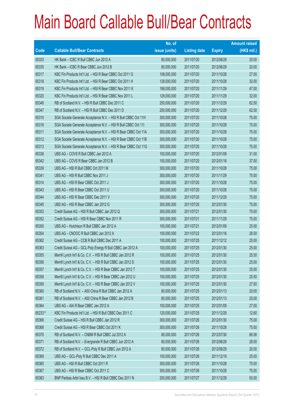|        |                                                                | No. of        |                     |               | <b>Amount raised</b> |
|--------|----------------------------------------------------------------|---------------|---------------------|---------------|----------------------|
| Code   | <b>Callable Bull/Bear Contracts</b>                            | issue (units) | <b>Listing date</b> | <b>Expiry</b> | $(HK$$ mil.)         |
| 65333  | HK Bank - ICBC R Bull CBBC Jun 2012 A                          | 80,000,000    | 2011/07/20          | 2012/06/29    | 20.00                |
| 65335  | HK Bank - ICBC R Bear CBBC Jun 2012 B                          | 80,000,000    | 2011/07/20          | 2012/06/29    | 20.00                |
| 65317  | KBC Fin Products Int'l Ltd. - HSI R Bear CBBC Oct 2011 G       | 108,000,000   | 2011/07/20          | 2011/10/28    | 27.00                |
| 65318  | KBC Fin Products Int'l Ltd. - HSI R Bear CBBC Oct 2011 H       | 128,000,000   | 2011/07/20          | 2011/10/28    | 32.00                |
| 65319  | KBC Fin Products Int'l Ltd. - HSI R Bear CBBC Nov 2011 K       | 188,000,000   | 2011/07/20          | 2011/11/29    | 47.00                |
| 65320  | KBC Fin Products Int'l Ltd. - HSI R Bear CBBC Nov 2011 L       | 128,000,000   | 2011/07/20          | 2011/11/29    | 32.00                |
| 65346  | RB of Scotland N.V. - HSI R Bull CBBC Dec 2011 C               | 250,000,000   | 2011/07/20          | 2011/12/29    | 62.50                |
| 65347  | RB of Scotland N.V. - HSI R Bull CBBC Dec 2011 D               | 250,000,000   | 2011/07/20          | 2011/12/29    | 62.50                |
| 65315  | SGA Societe Generale Acceptance N.V. - HSI R Bull CBBC Oct 11H | 300,000,000   | 2011/07/20          | 2011/10/28    | 75.00                |
| 65316  | SGA Societe Generale Acceptance N.V. - HSI R Bull CBBC Oct 111 | 300,000,000   | 2011/07/20          | 2011/10/28    | 75.00                |
| 65311  | SGA Societe Generale Acceptance N.V. - HSI R Bear CBBC Oct 11A | 300,000,000   | 2011/07/20          | 2011/10/28    | 75.00                |
| 65312  | SGA Societe Generale Acceptance N.V. - HSI R Bear CBBC Oct 11B | 300,000,000   | 2011/07/20          | 2011/10/28    | 75.00                |
| 65313  | SGA Societe Generale Acceptance N.V. - HSI R Bear CBBC Oct 11G | 300,000,000   | 2011/07/20          | 2011/10/28    | 75.00                |
| 65338  | UBS AG - COVS R Bull CBBC Jan 2012 A                           | 100,000,000   | 2011/07/20          | 2012/01/09    | 31.00                |
| 65342  | UBS AG - COVS R Bear CBBC Jan 2012 B                           | 100,000,000   | 2011/07/20          | 2012/01/16    | 37.00                |
| 65339  | UBS AG - HSI R Bull CBBC Oct 2011 M                            | 300,000,000   | 2011/07/20          | 2011/10/28    | 75.00                |
| 65341  | UBS AG - HSI R Bull CBBC Nov 2011 J                            | 300,000,000   | 2011/07/20          | 2011/11/29    | 75.00                |
| 65314  | UBS AG - HSI R Bear CBBC Oct 2011 J                            | 300,000,000   | 2011/07/20          | 2011/10/28    | 75.00                |
| 65343  | UBS AG - HSI R Bear CBBC Oct 2011 U                            | 300,000,000   | 2011/07/20          | 2011/10/28    | 75.00                |
| 65344  | UBS AG - HSI R Bear CBBC Dec 2011 V                            | 300,000,000   | 2011/07/20          | 2011/12/29    | 75.00                |
| 65345  | UBS AG - HSI R Bear CBBC Jan 2012 G                            | 300,000,000   | 2011/07/20          | 2012/01/30    | 75.00                |
| 65353  | Credit Suisse AG - HSI R Bull CBBC Jan 2012 Q                  | 300,000,000   | 2011/07/21          | 2012/01/30    | 75.00                |
| 65352  | Credit Suisse AG - HSI R Bear CBBC Nov 2011 R                  | 300,000,000   | 2011/07/21          | 2011/11/29    | 75.00                |
| 65350  | UBS AG - Hutchison R Bull CBBC Jan 2012 A                      | 100,000,000   | 2011/07/21          | 2012/01/09    | 25.00                |
| 65354  | UBS AG - CNOOC R Bull CBBC Jan 2012 A                          | 100,000,000   | 2011/07/22          | 2012/01/16    | 28.50                |
| 65362  | Credit Suisse AG - CCB R Bull CBBC Dec 2011 A                  | 100,000,000   | 2011/07/25          | 2011/12/12    | 25.00                |
| 65363  | Credit Suisse AG - GCL-Poly Energy R Bull CBBC Jan 2012 A      | 100,000,000   | 2011/07/25          | 2012/01/30    | 25.00                |
| 65355  | Merrill Lynch Int'l & Co. C.V. - HSI R Bull CBBC Jan 2012 R    | 100,000,000   | 2011/07/25          | 2012/01/30    | 25.50                |
| 65356  | Merrill Lynch Int'l & Co. C.V. - HSI R Bull CBBC Jan 2012 S    | 100,000,000   | 2011/07/25          | 2012/01/30    | 25.00                |
| 65357  | Merrill Lynch Int'l & Co. C.V. - HSI R Bear CBBC Jan 2012 T    | 100,000,000   | 2011/07/25          | 2012/01/30    | 25.00                |
| 65358  | Merrill Lynch Int'l & Co. C.V. - HSI R Bear CBBC Jan 2012 U    | 100,000,000   | 2011/07/25          | 2012/01/30    | 25.50                |
| 65359  | Merrill Lynch Int'l & Co. C.V. - HSI R Bear CBBC Jan 2012 V    | 100,000,000   | 2011/07/25          | 2012/01/30    | 27.50                |
| 65360  | RB of Scotland N.V. - A50 China R Bull CBBC Jan 2012 A         | 80,000,000    | 2011/07/25          | 2012/01/13    | 20.00                |
| 65361  | RB of Scotland N.V. - A50 China R Bear CBBC Jan 2012 B         | 80,000,000    | 2011/07/25          | 2012/01/13    | 20.00                |
| 65364  | UBS AG - AIA R Bear CBBC Jan 2012 A                            | 100,000,000   | 2011/07/25          | 2012/01/09    | 27.00                |
| 65233# | KBC Fin Products Int'l Ltd. - HSI R Bull CBBC Dec 2011 C       | 120,000,000   | 2011/07/25          | 2011/12/29    | 12.60                |
| 65366  | Credit Suisse AG - HSI R Bull CBBC Jan 2012 R                  | 300,000,000   | 2011/07/26          | 2012/01/30    | 75.00                |
| 65368  | Credit Suisse AG - HSI R Bear CBBC Oct 2011 K                  | 300,000,000   | 2011/07/26          | 2011/10/28    | 75.00                |
| 65370  | RB of Scotland N.V. - CNBM R Bull CBBC Jul 2012 A              | 80,000,000    | 2011/07/26          | 2012/07/30    | 66.56                |
| 65371  | RB of Scotland N.V. - Evergrande R Bull CBBC Jun 2012 A        | 80,000,000    | 2011/07/26          | 2012/06/29    | 28.00                |
| 65372  | RB of Scotland N.V. - GCL-Poly R Bull CBBC Jun 2012 A          | 80,000,000    | 2011/07/26          | 2012/06/29    | 20.00                |
| 65369  | UBS AG - GCL-Poly R Bull CBBC Dec 2011 A                       | 100,000,000   | 2011/07/26          | 2011/12/19    | 25.00                |
| 65365  | UBS AG - HSI R Bull CBBC Oct 2011 R                            | 300,000,000   | 2011/07/26          | 2011/10/28    | 75.00                |
| 65367  | UBS AG - HSI R Bear CBBC Oct 2011 C                            | 300,000,000   | 2011/07/26          | 2011/10/28    | 75.00                |
| 65383  | BNP Paribas Arbit Issu B.V. - HSI R Bull CBBC Dec 2011 N       | 200,000,000   | 2011/07/27          | 2011/12/29    | 50.00                |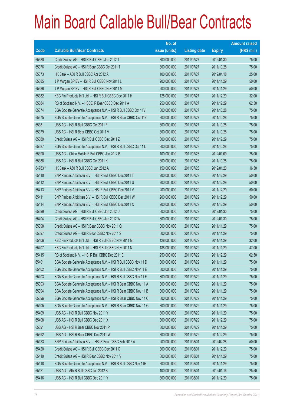|        |                                                                 | No. of        |                     |               | <b>Amount raised</b> |
|--------|-----------------------------------------------------------------|---------------|---------------------|---------------|----------------------|
| Code   | <b>Callable Bull/Bear Contracts</b>                             | issue (units) | <b>Listing date</b> | <b>Expiry</b> | (HK\$ mil.)          |
| 65380  | Credit Suisse AG - HSI R Bull CBBC Jan 2012 T                   | 300,000,000   | 2011/07/27          | 2012/01/30    | 75.00                |
| 65376  | Credit Suisse AG - HSI R Bear CBBC Oct 2011 T                   | 300,000,000   | 2011/07/27          | 2011/10/28    | 75.00                |
| 65373  | HK Bank - A50 R Bull CBBC Apr 2012 A                            | 100,000,000   | 2011/07/27          | 2012/04/18    | 25.00                |
| 65385  | J P Morgan SP BV - HSI R Bull CBBC Nov 2011 L                   | 200,000,000   | 2011/07/27          | 2011/11/29    | 50.00                |
| 65386  | J P Morgan SP BV - HSI R Bull CBBC Nov 2011 M                   | 200,000,000   | 2011/07/27          | 2011/11/29    | 50.00                |
| 65382  | KBC Fin Products Int'l Ltd. - HSI R Bull CBBC Dec 2011 H        | 128,000,000   | 2011/07/27          | 2011/12/29    | 32.00                |
| 65384  | RB of Scotland N.V. - HSCEI R Bear CBBC Dec 2011 A              | 250,000,000   | 2011/07/27          | 2011/12/29    | 62.50                |
| 65374  | SGA Societe Generale Acceptance N.V. - HSI R Bull CBBC Oct 11V  | 300,000,000   | 2011/07/27          | 2011/10/28    | 75.00                |
| 65375  | SGA Societe Generale Acceptance N.V. - HSI R Bear CBBC Oct 11Z  | 300,000,000   | 2011/07/27          | 2011/10/28    | 75.00                |
| 65381  | UBS AG - HSI R Bull CBBC Oct 2011 F                             | 300,000,000   | 2011/07/27          | 2011/10/28    | 75.00                |
| 65379  | UBS AG - HSI R Bear CBBC Oct 2011 V                             | 300,000,000   | 2011/07/27          | 2011/10/28    | 75.00                |
| 65389  | Credit Suisse AG - HSI R Bull CBBC Dec 2011 Z                   | 300,000,000   | 2011/07/28          | 2011/12/29    | 75.00                |
| 65387  | SGA Societe Generale Acceptance N.V. - HSI R Bull CBBC Oct 11 L | 300,000,000   | 2011/07/28          | 2011/10/28    | 75.00                |
| 65390  | UBS AG - China Mobile R Bull CBBC Jan 2012 B                    | 100,000,000   | 2011/07/28          | 2012/01/09    | 25.00                |
| 65388  | UBS AG - HSI R Bull CBBC Oct 2011 K                             | 300,000,000   | 2011/07/28          | 2011/10/28    | 75.00                |
| 64783# | HK Bank - A50 R Bull CBBC Jan 2012 A                            | 150,000,000   | 2011/07/28          | 2012/01/20    | 16.50                |
| 65410  | BNP Paribas Arbit Issu B.V. - HSI R Bull CBBC Dec 2011 T        | 200,000,000   | 2011/07/29          | 2011/12/29    | 50.00                |
| 65412  | BNP Paribas Arbit Issu B.V. - HSI R Bull CBBC Dec 2011 U        | 200,000,000   | 2011/07/29          | 2011/12/29    | 50.00                |
| 65413  | BNP Paribas Arbit Issu B.V. - HSI R Bull CBBC Dec 2011 V        | 200,000,000   | 2011/07/29          | 2011/12/29    | 50.00                |
| 65411  | BNP Paribas Arbit Issu B.V. - HSI R Bull CBBC Dec 2011 W        | 200,000,000   | 2011/07/29          | 2011/12/29    | 50.00                |
| 65414  | BNP Paribas Arbit Issu B.V. - HSI R Bull CBBC Dec 2011 X        | 200,000,000   | 2011/07/29          | 2011/12/29    | 50.00                |
| 65399  | Credit Suisse AG - HSI R Bull CBBC Jan 2012 U                   | 300,000,000   | 2011/07/29          | 2012/01/30    | 75.00                |
| 65404  | Credit Suisse AG - HSI R Bull CBBC Jan 2012 W                   | 300,000,000   | 2011/07/29          | 2012/01/30    | 75.00                |
| 65398  | Credit Suisse AG - HSI R Bear CBBC Nov 2011 Q                   | 300,000,000   | 2011/07/29          | 2011/11/29    | 75.00                |
| 65397  | Credit Suisse AG - HSI R Bear CBBC Nov 2011 S                   | 300,000,000   | 2011/07/29          | 2011/11/29    | 75.00                |
| 65406  | KBC Fin Products Int'l Ltd. - HSI R Bull CBBC Nov 2011 M        | 128,000,000   | 2011/07/29          | 2011/11/29    | 32.00                |
| 65407  | KBC Fin Products Int'l Ltd. - HSI R Bull CBBC Nov 2011 N        | 188,000,000   | 2011/07/29          | 2011/11/29    | 47.00                |
| 65415  | RB of Scotland N.V. - HSI R Bull CBBC Dec 2011 E                | 250,000,000   | 2011/07/29          | 2011/12/29    | 62.50                |
| 65401  | SGA Societe Generale Acceptance N.V. - HSI R Bull CBBC Nov 11 D | 300,000,000   | 2011/07/29          | 2011/11/29    | 75.00                |
| 65402  | SGA Societe Generale Acceptance N.V. - HSI R Bull CBBC Nov1 1 E | 300,000,000   | 2011/07/29          | 2011/11/29    | 75.00                |
| 65403  | SGA Societe Generale Acceptance N.V. - HSI R Bull CBBC Nov 11 F | 300,000,000   | 2011/07/29          | 2011/11/29    | 75.00                |
| 65393  | SGA Societe Generale Acceptance N.V. - HSI R Bear CBBC Nov 11 A | 300,000,000   | 2011/07/29          | 2011/11/29    | 75.00                |
| 65394  | SGA Societe Generale Acceptance N.V. - HSI R Bear CBBC Nov 11 B | 300,000,000   | 2011/07/29          | 2011/11/29    | 75.00                |
| 65396  | SGA Societe Generale Acceptance N.V. - HSI R Bear CBBC Nov 11 C | 300,000,000   | 2011/07/29          | 2011/11/29    | 75.00                |
| 65405  | SGA Societe Generale Acceptance N.V. - HSI R Bear CBBC Nov 11 G | 300,000,000   | 2011/07/29          | 2011/11/29    | 75.00                |
| 65409  | UBS AG - HSI R Bull CBBC Nov 2011 Y                             | 300,000,000   | 2011/07/29          | 2011/11/29    | 75.00                |
| 65408  | UBS AG - HSI R Bull CBBC Dec 2011 X                             | 300,000,000   | 2011/07/29          | 2011/12/29    | 75.00                |
| 65391  | UBS AG - HSI R Bear CBBC Nov 2011 P                             | 300,000,000   | 2011/07/29          | 2011/11/29    | 75.00                |
| 65392  | UBS AG - HSI R Bear CBBC Dec 2011 W                             | 300,000,000   | 2011/07/29          | 2011/12/29    | 75.00                |
| 65423  | BNP Paribas Arbit Issu B.V. - HSI R Bear CBBC Feb 2012 A        | 200,000,000   | 2011/08/01          | 2012/02/28    | 50.00                |
| 65420  | Credit Suisse AG - HSI R Bull CBBC Dec 2011 G                   | 300,000,000   | 2011/08/01          | 2011/12/29    | 75.00                |
| 65419  | Credit Suisse AG - HSI R Bear CBBC Nov 2011 V                   | 300,000,000   | 2011/08/01          | 2011/11/29    | 75.00                |
| 65418  | SGA Societe Generale Acceptance N.V. - HSI R Bull CBBC Nov 11H  | 300,000,000   | 2011/08/01          | 2011/11/29    | 75.00                |
| 65421  | UBS AG - AIA R Bull CBBC Jan 2012 B                             | 100,000,000   | 2011/08/01          | 2012/01/16    | 25.50                |
| 65416  | UBS AG - HSI R Bull CBBC Dec 2011 Y                             | 300,000,000   | 2011/08/01          | 2011/12/29    | 75.00                |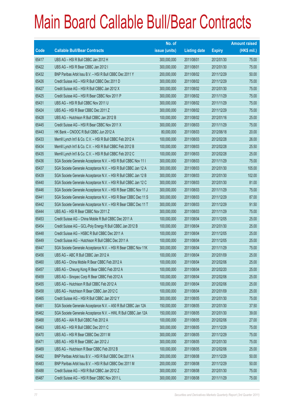|       |                                                                 | No. of        |                     |               | <b>Amount raised</b> |
|-------|-----------------------------------------------------------------|---------------|---------------------|---------------|----------------------|
| Code  | <b>Callable Bull/Bear Contracts</b>                             | issue (units) | <b>Listing date</b> | <b>Expiry</b> | $(HK$$ mil.)         |
| 65417 | UBS AG - HSI R Bull CBBC Jan 2012 H                             | 300,000,000   | 2011/08/01          | 2012/01/30    | 75.00                |
| 65422 | UBS AG - HSI R Bear CBBC Jan 2012 I                             | 300,000,000   | 2011/08/01          | 2012/01/30    | 75.00                |
| 65432 | BNP Paribas Arbit Issu B.V. - HSI R Bull CBBC Dec 2011 Y        | 200,000,000   | 2011/08/02          | 2011/12/29    | 50.00                |
| 65426 | Credit Suisse AG - HSI R Bull CBBC Dec 2011 D                   | 300,000,000   | 2011/08/02          | 2011/12/29    | 75.00                |
| 65427 | Credit Suisse AG - HSI R Bull CBBC Jan 2012 X                   | 300,000,000   | 2011/08/02          | 2012/01/30    | 75.00                |
| 65425 | Credit Suisse AG - HSI R Bear CBBC Nov 2011 P                   | 300,000,000   | 2011/08/02          | 2011/11/29    | 75.00                |
| 65431 | UBS AG - HSI R Bull CBBC Nov 2011 U                             | 300,000,000   | 2011/08/02          | 2011/11/29    | 75.00                |
| 65424 | UBS AG - HSI R Bear CBBC Dec 2011 Z                             | 300,000,000   | 2011/08/02          | 2011/12/29    | 75.00                |
| 65428 | UBS AG - Hutchison R Bull CBBC Jan 2012 B                       | 100,000,000   | 2011/08/02          | 2012/01/16    | 25.00                |
| 65445 | Credit Suisse AG - HSI R Bear CBBC Nov 2011 X                   | 300,000,000   | 2011/08/03          | 2011/11/29    | 75.00                |
| 65443 | HK Bank - CNOOC R Bull CBBC Jun 2012 A                          | 80,000,000    | 2011/08/03          | 2012/06/18    | 20.00                |
| 65433 | Merrill Lynch Int'l & Co. C.V. - HSI R Bull CBBC Feb 2012 A     | 100,000,000   | 2011/08/03          | 2012/02/28    | 26.00                |
| 65434 | Merrill Lynch Int'l & Co. C.V. - HSI R Bull CBBC Feb 2012 B     | 100,000,000   | 2011/08/03          | 2012/02/28    | 25.50                |
| 65435 | Merrill Lynch Int'l & Co. C.V. - HSI R Bull CBBC Feb 2012 C     | 100,000,000   | 2011/08/03          | 2012/02/28    | 25.00                |
| 65436 | SGA Societe Generale Acceptance N.V. - HSI R Bull CBBC Nov 11 I | 300,000,000   | 2011/08/03          | 2011/11/29    | 75.00                |
| 65437 | SGA Societe Generale Acceptance N.V. - HSI R Bull CBBC Jan 12 A | 300,000,000   | 2011/08/03          | 2012/01/30    | 105.00               |
| 65439 | SGA Societe Generale Acceptance N.V. - HSI R Bull CBBC Jan 12 B | 300,000,000   | 2011/08/03          | 2012/01/30    | 102.00               |
| 65440 | SGA Societe Generale Acceptance N.V. - HSI R Bull CBBC Jan 12 C | 300,000,000   | 2011/08/03          | 2012/01/30    | 81.00                |
| 65446 | SGA Societe Generale Acceptance N.V. - HSI R Bear CBBC Nov 11 J | 300,000,000   | 2011/08/03          | 2011/11/29    | 75.00                |
| 65441 | SGA Societe Generale Acceptance N.V. - HSI R Bear CBBC Dec 11 S | 300,000,000   | 2011/08/03          | 2011/12/29    | 87.00                |
| 65442 | SGA Societe Generale Acceptance N.V. - HSI R Bear CBBC Dec 11 T | 300,000,000   | 2011/08/03          | 2011/12/29    | 91.50                |
| 65444 | UBS AG - HSI R Bear CBBC Nov 2011 Z                             | 300,000,000   | 2011/08/03          | 2011/11/29    | 75.00                |
| 65453 | Credit Suisse AG - China Mobile R Bull CBBC Dec 2011 A          | 100,000,000   | 2011/08/04          | 2011/12/05    | 25.00                |
| 65454 | Credit Suisse AG - GCL-Poly Energy R Bull CBBC Jan 2012 B       | 100,000,000   | 2011/08/04          | 2012/01/30    | 25.00                |
| 65448 | Credit Suisse AG - HSBC R Bull CBBC Dec 2011 A                  | 100,000,000   | 2011/08/04          | 2011/12/05    | 25.00                |
| 65449 | Credit Suisse AG - Hutchison R Bull CBBC Dec 2011 A             | 100,000,000   | 2011/08/04          | 2011/12/05    | 25.00                |
| 65447 | SGA Societe Generale Acceptance N.V. - HSI R Bear CBBC Nov 11K  | 300,000,000   | 2011/08/04          | 2011/11/29    | 75.00                |
| 65456 | UBS AG - ABC R Bull CBBC Jan 2012 A                             | 100,000,000   | 2011/08/04          | 2012/01/09    | 25.00                |
| 65460 | UBS AG - China Mobile R Bear CBBC Feb 2012 A                    | 100,000,000   | 2011/08/04          | 2012/02/06    | 25.00                |
| 65457 | UBS AG - Cheung Kong R Bear CBBC Feb 2012 A                     | 100,000,000   | 2011/08/04          | 2012/02/20    | 25.00                |
| 65459 | UBS AG - Sinopec Corp R Bear CBBC Feb 2012 A                    | 100,000,000   | 2011/08/04          | 2012/02/06    | 25.00                |
| 65455 | UBS AG - Hutchison R Bull CBBC Feb 2012 A                       | 100,000,000   | 2011/08/04          | 2012/02/06    | 25.00                |
| 65458 | UBS AG - Hutchison R Bear CBBC Jan 2012 C                       | 100,000,000   | 2011/08/04          | 2012/01/09    | 25.00                |
| 65465 | Credit Suisse AG - HSI R Bull CBBC Jan 2012 Y                   | 300,000,000   | 2011/08/05          | 2012/01/30    | 75.00                |
| 65461 | SGA Societe Generale Acceptance N.V. - A50 R Bull CBBC Jan 12A  | 150,000,000   | 2011/08/05          | 2012/01/30    | 37.50                |
| 65462 | SGA Societe Generale Acceptance N.V. - HWL R Bull CBBC Jan 12A  | 150,000,000   | 2011/08/05          | 2012/01/30    | 39.00                |
| 65468 | UBS AG - AIA R Bull CBBC Feb 2012 A                             | 100,000,000   | 2011/08/05          | 2012/02/06    | 27.00                |
| 65463 | UBS AG - HSI R Bull CBBC Dec 2011 C                             | 300,000,000   | 2011/08/05          | 2011/12/29    | 75.00                |
| 65470 | UBS AG - HSI R Bear CBBC Dec 2011 M                             | 300,000,000   | 2011/08/05          | 2011/12/29    | 75.00                |
| 65471 | UBS AG - HSI R Bear CBBC Jan 2012 J                             | 300,000,000   | 2011/08/05          | 2012/01/30    | 75.00                |
| 65469 | UBS AG - Hutchison R Bear CBBC Feb 2012 B                       | 100,000,000   | 2011/08/05          | 2012/02/06    | 25.00                |
| 65482 | BNP Paribas Arbit Issu B.V. - HSI R Bull CBBC Dec 2011 A        | 200,000,000   | 2011/08/08          | 2011/12/29    | 50.00                |
| 65483 | BNP Paribas Arbit Issu B.V. - HSI R Bull CBBC Dec 2011 M        | 200,000,000   | 2011/08/08          | 2011/12/29    | 50.00                |
| 65488 | Credit Suisse AG - HSI R Bull CBBC Jan 2012 Z                   | 300,000,000   | 2011/08/08          | 2012/01/30    | 75.00                |
| 65487 | Credit Suisse AG - HSI R Bear CBBC Nov 2011 L                   | 300,000,000   | 2011/08/08          | 2011/11/29    | 75.00                |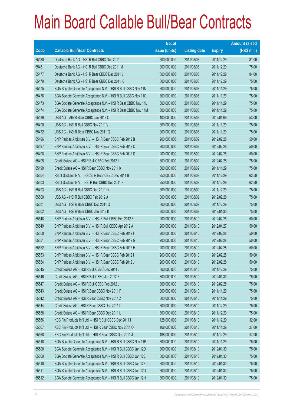|             |                                                                | No. of        |                     |               | <b>Amount raised</b> |
|-------------|----------------------------------------------------------------|---------------|---------------------|---------------|----------------------|
| <b>Code</b> | <b>Callable Bull/Bear Contracts</b>                            | issue (units) | <b>Listing date</b> | <b>Expiry</b> | $(HK$$ mil.)         |
| 65480       | Deutsche Bank AG - HSI R Bull CBBC Dec 2011 L                  | 300,000,000   | 2011/08/08          | 2011/12/29    | 81.00                |
| 65481       | Deutsche Bank AG - HSI R Bull CBBC Dec 2011 M                  | 300,000,000   | 2011/08/08          | 2011/12/29    | 75.00                |
| 65477       | Deutsche Bank AG - HSI R Bear CBBC Dec 2011 J                  | 300,000,000   | 2011/08/08          | 2011/12/29    | 84.00                |
| 65479       | Deutsche Bank AG - HSI R Bear CBBC Dec 2011 K                  | 300,000,000   | 2011/08/08          | 2011/12/29    | 75.00                |
| 65475       | SGA Societe Generale Acceptance N.V. - HSI R Bull CBBC Nov 11N | 300,000,000   | 2011/08/08          | 2011/11/29    | 75.00                |
| 65476       | SGA Societe Generale Acceptance N.V. - HSI R Bull CBBC Nov 110 | 300,000,000   | 2011/08/08          | 2011/11/29    | 75.00                |
| 65473       | SGA Societe Generale Acceptance N.V. - HSI R Bear CBBC Nov 11L | 300,000,000   | 2011/08/08          | 2011/11/29    | 75.00                |
| 65474       | SGA Societe Generale Acceptance N.V. - HSI R Bear CBBC Nov 11M | 300,000,000   | 2011/08/08          | 2011/11/29    | 75.00                |
| 65489       | UBS AG - AIA R Bear CBBC Jan 2012 C                            | 100,000,000   | 2011/08/08          | 2012/01/09    | 53.00                |
| 65490       | UBS AG - HSI R Bull CBBC Nov 2011 V                            | 300,000,000   | 2011/08/08          | 2011/11/29    | 75.00                |
| 65472       | UBS AG - HSI R Bear CBBC Nov 2011 Q                            | 300,000,000   | 2011/08/08          | 2011/11/29    | 75.00                |
| 65496       | BNP Paribas Arbit Issu B.V. - HSI R Bear CBBC Feb 2012 B       | 200,000,000   | 2011/08/09          | 2012/02/28    | 50.00                |
| 65497       | BNP Paribas Arbit Issu B.V. - HSI R Bear CBBC Feb 2012 C       | 200,000,000   | 2011/08/09          | 2012/02/28    | 50.00                |
| 65498       | BNP Paribas Arbit Issu B.V. - HSI R Bear CBBC Feb 2012 D       | 200,000,000   | 2011/08/09          | 2012/02/28    | 50.00                |
| 65495       | Credit Suisse AG - HSI R Bull CBBC Feb 2012 I                  | 300,000,000   | 2011/08/09          | 2012/02/28    | 75.00                |
| 65499       | Credit Suisse AG - HSI R Bear CBBC Nov 2011 K                  | 300,000,000   | 2011/08/09          | 2011/11/29    | 75.00                |
| 65504       | RB of Scotland N.V. - HSCEI R Bear CBBC Dec 2011 B             | 250,000,000   | 2011/08/09          | 2011/12/29    | 62.50                |
| 65503       | RB of Scotland N.V. - HSI R Bull CBBC Dec 2011 F               | 250,000,000   | 2011/08/09          | 2011/12/29    | 62.50                |
| 65493       | UBS AG - HSI R Bull CBBC Dec 2011 O                            | 300,000,000   | 2011/08/09          | 2011/12/29    | 75.00                |
| 65500       | UBS AG - HSI R Bull CBBC Feb 2012 A                            | 300,000,000   | 2011/08/09          | 2012/02/28    | 75.00                |
| 65501       | UBS AG - HSI R Bear CBBC Dec 2011 Q                            | 300,000,000   | 2011/08/09          | 2011/12/29    | 75.00                |
| 65502       | UBS AG - HSI R Bear CBBC Jan 2012 K                            | 300,000,000   | 2011/08/09          | 2012/01/30    | 75.00                |
| 65548       | BNP Paribas Arbit Issu B.V. - HSI R Bull CBBC Feb 2012 E       | 200,000,000   | 2011/08/10          | 2012/02/28    | 50.00                |
| 65549       | BNP Paribas Arbit Issu B.V. - HSI R Bull CBBC Apr 2012 A       | 200,000,000   | 2011/08/10          | 2012/04/27    | 50.00                |
| 65550       | BNP Paribas Arbit Issu B.V. - HSI R Bear CBBC Feb 2012 F       | 200,000,000   | 2011/08/10          | 2012/02/28    | 50.00                |
| 65551       | BNP Paribas Arbit Issu B.V. - HSI R Bear CBBC Feb 2012 G       | 200,000,000   | 2011/08/10          | 2012/02/28    | 50.00                |
| 65552       | BNP Paribas Arbit Issu B.V. - HSI R Bear CBBC Feb 2012 H       | 200,000,000   | 2011/08/10          | 2012/02/28    | 50.00                |
| 65553       | BNP Paribas Arbit Issu B.V. - HSI R Bear CBBC Feb 2012 I       | 200,000,000   | 2011/08/10          | 2012/02/28    | 50.00                |
| 65554       | BNP Paribas Arbit Issu B.V. - HSI R Bear CBBC Feb 2012 J       | 200,000,000   | 2011/08/10          | 2012/02/28    | 50.00                |
| 65545       | Credit Suisse AG - HSI R Bull CBBC Dec 2011 J                  | 300,000,000   | 2011/08/10          | 2011/12/29    | 75.00                |
| 65546       | Credit Suisse AG - HSI R Bull CBBC Jan 2012 K                  | 300,000,000   | 2011/08/10          | 2012/01/30    | 75.00                |
| 65547       | Credit Suisse AG - HSI R Bull CBBC Feb 2012 J                  | 300,000,000   | 2011/08/10          | 2012/02/28    | 75.00                |
| 65543       | Credit Suisse AG - HSI R Bear CBBC Nov 2011 F                  | 300,000,000   | 2011/08/10          | 2011/11/29    | 75.00                |
| 65542       | Credit Suisse AG - HSI R Bear CBBC Nov 2011 Z                  | 300,000,000   | 2011/08/10          | 2011/11/29    | 75.00                |
| 65544       | Credit Suisse AG - HSI R Bear CBBC Dec 2011 I                  | 300,000,000   | 2011/08/10          | 2011/12/29    | 75.00                |
| 65558       | Credit Suisse AG - HSI R Bear CBBC Dec 2011 L                  | 300,000,000   | 2011/08/10          | 2011/12/29    | 75.00                |
| 65566       | KBC Fin Products Int'l Ltd. - HSI R Bull CBBC Dec 2011 I       | 128,000,000   | 2011/08/10          | 2011/12/29    | 32.00                |
| 65567       | KBC Fin Products Int'l Ltd. - HSI R Bear CBBC Nov 2011 O       | 108,000,000   | 2011/08/10          | 2011/11/29    | 27.00                |
| 65568       | KBC Fin Products Int'l Ltd. - HSI R Bear CBBC Dec 2011 J       | 188,000,000   | 2011/08/10          | 2011/12/29    | 47.00                |
| 65518       | SGA Societe Generale Acceptance N.V. - HSI R Bull CBBC Nov 11P | 300,000,000   | 2011/08/10          | 2011/11/29    | 75.00                |
| 65508       | SGA Societe Generale Acceptance N.V. - HSI R Bull CBBC Jan 12D | 300,000,000   | 2011/08/10          | 2012/01/30    | 75.00                |
| 65509       | SGA Societe Generale Acceptance N.V. - HSI R Bull CBBC Jan 12E | 300,000,000   | 2011/08/10          | 2012/01/30    | 75.00                |
| 65510       | SGA Societe Generale Acceptance N.V. - HSI R Bull CBBC Jan 12F | 300,000,000   | 2011/08/10          | 2012/01/30    | 75.00                |
| 65511       | SGA Societe Generale Acceptance N.V. - HSI R Bull CBBC Jan 12G | 300,000,000   | 2011/08/10          | 2012/01/30    | 75.00                |
| 65512       | SGA Societe Generale Acceptance N.V. - HSI R Bull CBBC Jan 12H | 300,000,000   | 2011/08/10          | 2012/01/30    | 75.00                |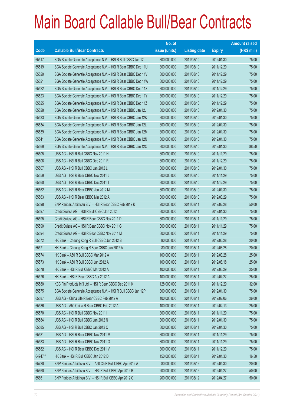|        |                                                                | No. of        |                     |               | <b>Amount raised</b> |
|--------|----------------------------------------------------------------|---------------|---------------------|---------------|----------------------|
| Code   | <b>Callable Bull/Bear Contracts</b>                            | issue (units) | <b>Listing date</b> | <b>Expiry</b> | (HK\$ mil.)          |
| 65517  | SGA Societe Generale Acceptance N.V. - HSI R Bull CBBC Jan 121 | 300,000,000   | 2011/08/10          | 2012/01/30    | 75.00                |
| 65519  | SGA Societe Generale Acceptance N.V. - HSI R Bear CBBC Dec 11U | 300,000,000   | 2011/08/10          | 2011/12/29    | 75.00                |
| 65520  | SGA Societe Generale Acceptance N.V. - HSI R Bear CBBC Dec 11V | 300,000,000   | 2011/08/10          | 2011/12/29    | 75.00                |
| 65521  | SGA Societe Generale Acceptance N.V. - HSI R Bear CBBC Dec 11W | 300,000,000   | 2011/08/10          | 2011/12/29    | 75.00                |
| 65522  | SGA Societe Generale Acceptance N.V. - HSI R Bear CBBC Dec 11X | 300,000,000   | 2011/08/10          | 2011/12/29    | 75.00                |
| 65523  | SGA Societe Generale Acceptance N.V. - HSI R Bear CBBC Dec 11Y | 300,000,000   | 2011/08/10          | 2011/12/29    | 75.00                |
| 65525  | SGA Societe Generale Acceptance N.V. - HSI R Bear CBBC Dec 11Z | 300,000,000   | 2011/08/10          | 2011/12/29    | 75.00                |
| 65528  | SGA Societe Generale Acceptance N.V. - HSI R Bear CBBC Jan 12J | 300,000,000   | 2011/08/10          | 2012/01/30    | 75.00                |
| 65533  | SGA Societe Generale Acceptance N.V. - HSI R Bear CBBC Jan 12K | 300,000,000   | 2011/08/10          | 2012/01/30    | 75.00                |
| 65534  | SGA Societe Generale Acceptance N.V. - HSI R Bear CBBC Jan 12L | 300,000,000   | 2011/08/10          | 2012/01/30    | 75.00                |
| 65539  | SGA Societe Generale Acceptance N.V. - HSI R Bear CBBC Jan 12M | 300,000,000   | 2011/08/10          | 2012/01/30    | 75.00                |
| 65541  | SGA Societe Generale Acceptance N.V. - HSI R Bear CBBC Jan 12N | 300,000,000   | 2011/08/10          | 2012/01/30    | 75.00                |
| 65569  | SGA Societe Generale Acceptance N.V. - HSI R Bear CBBC Jan 120 | 300,000,000   | 2011/08/10          | 2012/01/30    | 88.50                |
| 65505  | UBS AG - HSI R Bull CBBC Nov 2011 H                            | 300,000,000   | 2011/08/10          | 2011/11/29    | 75.00                |
| 65506  | UBS AG - HSI R Bull CBBC Dec 2011 R                            | 300,000,000   | 2011/08/10          | 2011/12/29    | 75.00                |
| 65507  | UBS AG - HSI R Bull CBBC Jan 2012 L                            | 300,000,000   | 2011/08/10          | 2012/01/30    | 75.00                |
| 65559  | UBS AG - HSI R Bear CBBC Nov 2011 J                            | 300,000,000   | 2011/08/10          | 2011/11/29    | 75.00                |
| 65560  | UBS AG - HSI R Bear CBBC Dec 2011 T                            | 300,000,000   | 2011/08/10          | 2011/12/29    | 75.00                |
| 65562  | UBS AG - HSI R Bear CBBC Jan 2012 M                            | 300,000,000   | 2011/08/10          | 2012/01/30    | 75.00                |
| 65563  | UBS AG - HSI R Bear CBBC Mar 2012 A                            | 300,000,000   | 2011/08/10          | 2012/03/29    | 75.00                |
| 65598  | BNP Paribas Arbit Issu B.V. - HSI R Bear CBBC Feb 2012 K       | 200,000,000   | 2011/08/11          | 2012/02/28    | 50.00                |
| 65597  | Credit Suisse AG - HSI R Bull CBBC Jan 2012 I                  | 300,000,000   | 2011/08/11          | 2012/01/30    | 75.00                |
| 65595  | Credit Suisse AG - HSI R Bear CBBC Nov 2011 D                  | 300,000,000   | 2011/08/11          | 2011/11/29    | 75.00                |
| 65590  | Credit Suisse AG - HSI R Bear CBBC Nov 2011 G                  | 300,000,000   | 2011/08/11          | 2011/11/29    | 75.00                |
| 65594  | Credit Suisse AG - HSI R Bear CBBC Nov 2011 M                  | 300,000,000   | 2011/08/11          | 2011/11/29    | 75.00                |
| 65572  | HK Bank - Cheung Kong R Bull CBBC Jun 2012 B                   | 80,000,000    | 2011/08/11          | 2012/06/28    | 20.00                |
| 65571  | HK Bank - Cheung Kong R Bear CBBC Jun 2012 A                   | 80,000,000    | 2011/08/11          | 2012/06/28    | 20.00                |
| 65574  | HK Bank - A50 R Bull CBBC Mar 2012 A                           | 100,000,000   | 2011/08/11          | 2012/03/28    | 25.00                |
| 65573  | HK Bank - A50 R Bull CBBC Jun 2012 A                           | 100,000,000   | 2011/08/11          | 2012/06/18    | 25.00                |
| 65578  | HK Bank - HSI R Bull CBBC Mar 2012 A                           | 100,000,000   | 2011/08/11          | 2012/03/29    | 25.00                |
| 65576  | HK Bank - HSI R Bear CBBC Apr 2012 A                           | 100,000,000   | 2011/08/11          | 2012/04/27    | 25.00                |
| 65580  | KBC Fin Products Int'l Ltd. - HSI R Bear CBBC Dec 2011 K       | 128,000,000   | 2011/08/11          | 2011/12/29    | 32.00                |
| 65575  | SGA Societe Generale Acceptance N.V. - HSI R Bull CBBC Jan 12P | 300,000,000   | 2011/08/11          | 2012/01/30    | 75.00                |
| 65587  | UBS AG - China Life R Bear CBBC Feb 2012 A                     | 100,000,000   | 2011/08/11          | 2012/02/06    | 26.00                |
| 65586  | UBS AG - A50 China R Bear CBBC Feb 2012 A                      | 100,000,000   | 2011/08/11          | 2012/02/13    | 25.00                |
| 65570  | UBS AG - HSI R Bull CBBC Nov 2011 I                            | 300,000,000   | 2011/08/11          | 2011/11/29    | 75.00                |
| 65584  | UBS AG - HSI R Bull CBBC Jan 2012 N                            | 300,000,000   | 2011/08/11          | 2012/01/30    | 75.00                |
| 65585  | UBS AG - HSI R Bull CBBC Jan 2012 O                            | 300,000,000   | 2011/08/11          | 2012/01/30    | 75.00                |
| 65581  | UBS AG - HSI R Bear CBBC Nov 2011 M                            | 300,000,000   | 2011/08/11          | 2011/11/29    | 75.00                |
| 65583  | UBS AG - HSI R Bear CBBC Nov 2011 O                            | 300,000,000   | 2011/08/11          | 2011/11/29    | 75.00                |
| 65582  | UBS AG - HSI R Bear CBBC Dec 2011 V                            | 300,000,000   | 2011/08/11          | 2011/12/29    | 75.00                |
| 64947# | HK Bank - HSI R Bull CBBC Jan 2012 D                           | 150,000,000   | 2011/08/11          | 2012/01/30    | 16.50                |
| 65720  | BNP Paribas Arbit Issu B.V. - A50 Ch R Bull CBBC Apr 2012 A    | 80,000,000    | 2011/08/12          | 2012/04/30    | 20.00                |
| 65660  | BNP Paribas Arbit Issu B.V. - HSI R Bull CBBC Apr 2012 B       | 200,000,000   | 2011/08/12          | 2012/04/27    | 50.00                |
| 65661  | BNP Paribas Arbit Issu B.V. - HSI R Bull CBBC Apr 2012 C       | 200,000,000   | 2011/08/12          | 2012/04/27    | 50.00                |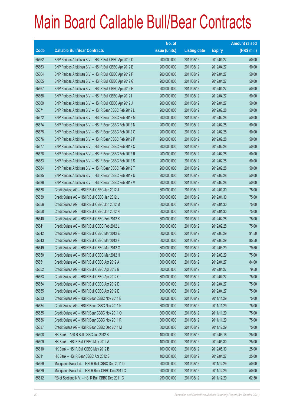|       |                                                          | No. of        |                     |               | <b>Amount raised</b> |
|-------|----------------------------------------------------------|---------------|---------------------|---------------|----------------------|
| Code  | <b>Callable Bull/Bear Contracts</b>                      | issue (units) | <b>Listing date</b> | <b>Expiry</b> | (HK\$ mil.)          |
| 65662 | BNP Paribas Arbit Issu B.V. - HSI R Bull CBBC Apr 2012 D | 200,000,000   | 2011/08/12          | 2012/04/27    | 50.00                |
| 65663 | BNP Paribas Arbit Issu B.V. - HSI R Bull CBBC Apr 2012 E | 200,000,000   | 2011/08/12          | 2012/04/27    | 50.00                |
| 65664 | BNP Paribas Arbit Issu B.V. - HSI R Bull CBBC Apr 2012 F | 200,000,000   | 2011/08/12          | 2012/04/27    | 50.00                |
| 65665 | BNP Paribas Arbit Issu B.V. - HSI R Bull CBBC Apr 2012 G | 200,000,000   | 2011/08/12          | 2012/04/27    | 50.00                |
| 65667 | BNP Paribas Arbit Issu B.V. - HSI R Bull CBBC Apr 2012 H | 200,000,000   | 2011/08/12          | 2012/04/27    | 50.00                |
| 65668 | BNP Paribas Arbit Issu B.V. - HSI R Bull CBBC Apr 2012 I | 200,000,000   | 2011/08/12          | 2012/04/27    | 50.00                |
| 65669 | BNP Paribas Arbit Issu B.V. - HSI R Bull CBBC Apr 2012 J | 200,000,000   | 2011/08/12          | 2012/04/27    | 50.00                |
| 65671 | BNP Paribas Arbit Issu B.V. - HSI R Bear CBBC Feb 2012 L | 200,000,000   | 2011/08/12          | 2012/02/28    | 50.00                |
| 65672 | BNP Paribas Arbit Issu B.V. - HSI R Bear CBBC Feb 2012 M | 200,000,000   | 2011/08/12          | 2012/02/28    | 50.00                |
| 65674 | BNP Paribas Arbit Issu B.V. - HSI R Bear CBBC Feb 2012 N | 200,000,000   | 2011/08/12          | 2012/02/28    | 50.00                |
| 65675 | BNP Paribas Arbit Issu B.V. - HSI R Bear CBBC Feb 2012 O | 200,000,000   | 2011/08/12          | 2012/02/28    | 50.00                |
| 65676 | BNP Paribas Arbit Issu B.V. - HSI R Bear CBBC Feb 2012 P | 200,000,000   | 2011/08/12          | 2012/02/28    | 50.00                |
| 65677 | BNP Paribas Arbit Issu B.V. - HSI R Bear CBBC Feb 2012 Q | 200,000,000   | 2011/08/12          | 2012/02/28    | 50.00                |
| 65678 | BNP Paribas Arbit Issu B.V. - HSI R Bear CBBC Feb 2012 R | 200,000,000   | 2011/08/12          | 2012/02/28    | 50.00                |
| 65683 | BNP Paribas Arbit Issu B.V. - HSI R Bear CBBC Feb 2012 S | 200,000,000   | 2011/08/12          | 2012/02/28    | 50.00                |
| 65684 | BNP Paribas Arbit Issu B.V. - HSI R Bear CBBC Feb 2012 T | 200,000,000   | 2011/08/12          | 2012/02/28    | 50.00                |
| 65685 | BNP Paribas Arbit Issu B.V. - HSI R Bear CBBC Feb 2012 U | 200,000,000   | 2011/08/12          | 2012/02/28    | 50.00                |
| 65686 | BNP Paribas Arbit Issu B.V. - HSI R Bear CBBC Feb 2012 V | 200,000,000   | 2011/08/12          | 2012/02/28    | 50.00                |
| 65638 | Credit Suisse AG - HSI R Bull CBBC Jan 2012 J            | 300,000,000   | 2011/08/12          | 2012/01/30    | 75.00                |
| 65639 | Credit Suisse AG - HSI R Bull CBBC Jan 2012 L            | 300,000,000   | 2011/08/12          | 2012/01/30    | 75.00                |
| 65656 | Credit Suisse AG - HSI R Bull CBBC Jan 2012 M            | 300,000,000   | 2011/08/12          | 2012/01/30    | 75.00                |
| 65658 | Credit Suisse AG - HSI R Bull CBBC Jan 2012 N            | 300,000,000   | 2011/08/12          | 2012/01/30    | 75.00                |
| 65640 | Credit Suisse AG - HSI R Bull CBBC Feb 2012 K            | 300,000,000   | 2011/08/12          | 2012/02/28    | 75.00                |
| 65641 | Credit Suisse AG - HSI R Bull CBBC Feb 2012 L            | 300,000,000   | 2011/08/12          | 2012/02/28    | 75.00                |
| 65642 | Credit Suisse AG - HSI R Bull CBBC Mar 2012 E            | 300,000,000   | 2011/08/12          | 2012/03/29    | 91.50                |
| 65643 | Credit Suisse AG - HSI R Bull CBBC Mar 2012 F            | 300,000,000   | 2011/08/12          | 2012/03/29    | 85.50                |
| 65649 | Credit Suisse AG - HSI R Bull CBBC Mar 2012 G            | 300,000,000   | 2011/08/12          | 2012/03/29    | 79.50                |
| 65650 | Credit Suisse AG - HSI R Bull CBBC Mar 2012 H            | 300,000,000   | 2011/08/12          | 2012/03/29    | 75.00                |
| 65651 | Credit Suisse AG - HSI R Bull CBBC Apr 2012 A            | 300,000,000   | 2011/08/12          | 2012/04/27    | 84.00                |
| 65652 | Credit Suisse AG - HSI R Bull CBBC Apr 2012 B            | 300,000,000   | 2011/08/12          | 2012/04/27    | 79.50                |
| 65653 | Credit Suisse AG - HSI R Bull CBBC Apr 2012 C            | 300,000,000   | 2011/08/12          | 2012/04/27    | 75.00                |
| 65654 | Credit Suisse AG - HSI R Bull CBBC Apr 2012 D            | 300,000,000   | 2011/08/12          | 2012/04/27    | 75.00                |
| 65655 | Credit Suisse AG - HSI R Bull CBBC Apr 2012 E            | 300,000,000   | 2011/08/12          | 2012/04/27    | 75.00                |
| 65633 | Credit Suisse AG - HSI R Bear CBBC Nov 2011 E            | 300,000,000   | 2011/08/12          | 2011/11/29    | 75.00                |
| 65634 | Credit Suisse AG - HSI R Bear CBBC Nov 2011 N            | 300,000,000   | 2011/08/12          | 2011/11/29    | 75.00                |
| 65635 | Credit Suisse AG - HSI R Bear CBBC Nov 2011 O            | 300,000,000   | 2011/08/12          | 2011/11/29    | 75.00                |
| 65636 | Credit Suisse AG - HSI R Bear CBBC Nov 2011 R            | 300,000,000   | 2011/08/12          | 2011/11/29    | 75.00                |
| 65637 | Credit Suisse AG - HSI R Bear CBBC Dec 2011 M            | 300,000,000   | 2011/08/12          | 2011/12/29    | 75.00                |
| 65608 | HK Bank - A50 R Bull CBBC Jun 2012 B                     | 100,000,000   | 2011/08/12          | 2012/06/18    | 25.00                |
| 65609 | HK Bank - HSI R Bull CBBC May 2012 A                     | 100,000,000   | 2011/08/12          | 2012/05/30    | 25.00                |
| 65610 | HK Bank - HSI R Bull CBBC May 2012 B                     | 100,000,000   | 2011/08/12          | 2012/05/30    | 25.00                |
| 65611 | HK Bank - HSI R Bear CBBC Apr 2012 B                     | 100,000,000   | 2011/08/12          | 2012/04/27    | 25.00                |
| 65659 | Macquarie Bank Ltd. - HSI R Bull CBBC Dec 2011 D         | 200,000,000   | 2011/08/12          | 2011/12/29    | 50.00                |
| 65629 | Macquarie Bank Ltd. - HSI R Bear CBBC Dec 2011 C         | 200,000,000   | 2011/08/12          | 2011/12/29    | 50.00                |
| 65612 | RB of Scotland N.V. - HSI R Bull CBBC Dec 2011 G         | 250,000,000   | 2011/08/12          | 2011/12/29    | 62.50                |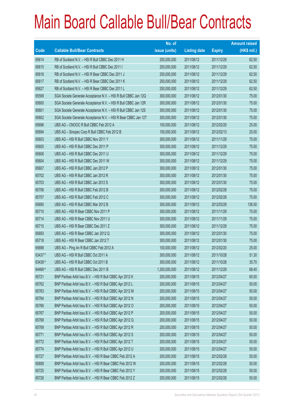|         |                                                                | No. of        |                     |               | <b>Amount raised</b> |
|---------|----------------------------------------------------------------|---------------|---------------------|---------------|----------------------|
| Code    | <b>Callable Bull/Bear Contracts</b>                            | issue (units) | <b>Listing date</b> | <b>Expiry</b> | $(HK$$ mil.)         |
| 65614   | RB of Scotland N.V. - HSI R Bull CBBC Dec 2011 H               | 250,000,000   | 2011/08/12          | 2011/12/29    | 62.50                |
| 65615   | RB of Scotland N.V. - HSI R Bull CBBC Dec 2011 I               | 250,000,000   | 2011/08/12          | 2011/12/29    | 62.50                |
| 65616   | RB of Scotland N.V. - HSI R Bear CBBC Dec 2011 J               | 250,000,000   | 2011/08/12          | 2011/12/29    | 62.50                |
| 65617   | RB of Scotland N.V. - HSI R Bear CBBC Dec 2011 K               | 250,000,000   | 2011/08/12          | 2011/12/29    | 62.50                |
| 65627   | RB of Scotland N.V. - HSI R Bear CBBC Dec 2011 L               | 250,000,000   | 2011/08/12          | 2011/12/29    | 62.50                |
| 65599   | SGA Societe Generale Acceptance N.V. - HSI R Bull CBBC Jan 12Q | 300,000,000   | 2011/08/12          | 2012/01/30    | 75.00                |
| 65600   | SGA Societe Generale Acceptance N.V. - HSI R Bull CBBC Jan 12R | 300,000,000   | 2011/08/12          | 2012/01/30    | 75.00                |
| 65601   | SGA Societe Generale Acceptance N.V. - HSI R Bull CBBC Jan 12S | 300,000,000   | 2011/08/12          | 2012/01/30    | 75.00                |
| 65602   | SGA Societe Generale Acceptance N.V. - HSI R Bear CBBC Jan 12T | 300,000,000   | 2011/08/12          | 2012/01/30    | 75.00                |
| 65696   | UBS AG - CNOOC R Bull CBBC Feb 2012 A                          | 100,000,000   | 2011/08/12          | 2012/02/20    | 25.00                |
| 65694   | UBS AG - Sinopec Corp R Bull CBBC Feb 2012 B                   | 100,000,000   | 2011/08/12          | 2012/02/13    | 25.00                |
| 65603   | UBS AG - HSI R Bull CBBC Nov 2011 Y                            | 300,000,000   | 2011/08/12          | 2011/11/29    | 75.00                |
| 65605   | UBS AG - HSI R Bull CBBC Dec 2011 P                            | 300,000,000   | 2011/08/12          | 2011/12/29    | 75.00                |
| 65606   | UBS AG - HSI R Bull CBBC Dec 2011 U                            | 300,000,000   | 2011/08/12          | 2011/12/29    | 75.00                |
| 65604   | UBS AG - HSI R Bull CBBC Dec 2011 W                            | 300,000,000   | 2011/08/12          | 2011/12/29    | 75.00                |
| 65607   | UBS AG - HSI R Bull CBBC Jan 2012 P                            | 300,000,000   | 2011/08/12          | 2012/01/30    | 75.00                |
| 65702   | UBS AG - HSI R Bull CBBC Jan 2012 R                            | 300,000,000   | 2011/08/12          | 2012/01/30    | 75.00                |
| 65703   | UBS AG - HSI R Bull CBBC Jan 2012 S                            | 300,000,000   | 2011/08/12          | 2012/01/30    | 75.00                |
| 65706   | UBS AG - HSI R Bull CBBC Feb 2012 B                            | 300,000,000   | 2011/08/12          | 2012/02/28    | 75.00                |
| 65707   | UBS AG - HSI R Bull CBBC Feb 2012 C                            | 300,000,000   | 2011/08/12          | 2012/02/28    | 75.00                |
| 65690   | UBS AG - HSI R Bull CBBC Mar 2012 B                            | 300,000,000   | 2011/08/12          | 2012/03/29    | 136.50               |
| 65710   | UBS AG - HSI R Bear CBBC Nov 2011 P                            | 300,000,000   | 2011/08/12          | 2011/11/29    | 75.00                |
| 65714   | UBS AG - HSI R Bear CBBC Nov 2011 U                            | 300,000,000   | 2011/08/12          | 2011/11/29    | 75.00                |
| 65715   | UBS AG - HSI R Bear CBBC Dec 2011 Z                            | 300,000,000   | 2011/08/12          | 2011/12/29    | 75.00                |
| 65693   | UBS AG - HSI R Bear CBBC Jan 2012 Q                            | 300,000,000   | 2011/08/12          | 2012/01/30    | 75.00                |
| 65718   | UBS AG - HSI R Bear CBBC Jan 2012 T                            | 300,000,000   | 2011/08/12          | 2012/01/30    | 75.00                |
| 65698   | UBS AG - Ping An R Bull CBBC Feb 2012 A                        | 100,000,000   | 2011/08/12          | 2012/02/20    | 25.00                |
| 63437#  | UBS AG - HSI R Bull CBBC Oct 2011 A                            | 300,000,000   | 2011/08/12          | 2011/10/28    | 51.30                |
| 63438 # | UBS AG - HSI R Bull CBBC Oct 2011 B                            | 300,000,000   | 2011/08/12          | 2011/10/28    | 35.70                |
| 64469 # | UBS AG - HSI R Bull CBBC Dec 2011 B                            | 1,200,000,000 | 2011/08/12          | 2011/12/29    | 68.40                |
| 65721   | BNP Paribas Arbit Issu B.V. - HSI R Bull CBBC Apr 2012 K       | 200,000,000   | 2011/08/15          | 2012/04/27    | 60.00                |
| 65762   | BNP Paribas Arbit Issu B.V. - HSI R Bull CBBC Apr 2012 L       | 200,000,000   | 2011/08/15          | 2012/04/27    | 50.00                |
| 65763   | BNP Paribas Arbit Issu B.V. - HSI R Bull CBBC Apr 2012 M       | 200,000,000   | 2011/08/15          | 2012/04/27    | 50.00                |
| 65764   | BNP Paribas Arbit Issu B.V. - HSI R Bull CBBC Apr 2012 N       | 200,000,000   | 2011/08/15          | 2012/04/27    | 50.00                |
| 65766   | BNP Paribas Arbit Issu B.V. - HSI R Bull CBBC Apr 2012 O       | 200,000,000   | 2011/08/15          | 2012/04/27    | 50.00                |
| 65767   | BNP Paribas Arbit Issu B.V. - HSI R Bull CBBC Apr 2012 P       | 200,000,000   | 2011/08/15          | 2012/04/27    | 50.00                |
| 65768   | BNP Paribas Arbit Issu B.V. - HSI R Bull CBBC Apr 2012 Q       | 200,000,000   | 2011/08/15          | 2012/04/27    | 50.00                |
| 65769   | BNP Paribas Arbit Issu B.V. - HSI R Bull CBBC Apr 2012 R       | 200,000,000   | 2011/08/15          | 2012/04/27    | 50.00                |
| 65771   | BNP Paribas Arbit Issu B.V. - HSI R Bull CBBC Apr 2012 S       | 200,000,000   | 2011/08/15          | 2012/04/27    | 50.00                |
| 65772   | BNP Paribas Arbit Issu B.V. - HSI R Bull CBBC Apr 2012 T       | 200,000,000   | 2011/08/15          | 2012/04/27    | 50.00                |
| 65774   | BNP Paribas Arbit Issu B.V. - HSI R Bull CBBC Apr 2012 U       | 200,000,000   | 2011/08/15          | 2012/04/27    | 50.00                |
| 65727   | BNP Paribas Arbit Issu B.V. - HSI R Bear CBBC Feb 2012 A       | 200,000,000   | 2011/08/15          | 2012/02/28    | 50.00                |
| 65858   | BNP Paribas Arbit Issu B.V. - HSI R Bear CBBC Feb 2012 W       | 200,000,000   | 2011/08/15          | 2012/02/28    | 50.00                |
| 65725   | BNP Paribas Arbit Issu B.V. - HSI R Bear CBBC Feb 2012 Y       | 200,000,000   | 2011/08/15          | 2012/02/28    | 50.00                |
| 65726   | BNP Paribas Arbit Issu B.V. - HSI R Bear CBBC Feb 2012 Z       | 200,000,000   | 2011/08/15          | 2012/02/28    | 50.00                |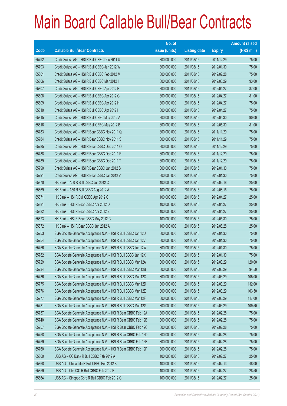|       |                                                                | No. of        |                     |               | <b>Amount raised</b> |
|-------|----------------------------------------------------------------|---------------|---------------------|---------------|----------------------|
| Code  | <b>Callable Bull/Bear Contracts</b>                            | issue (units) | <b>Listing date</b> | <b>Expiry</b> | $(HK$$ mil.)         |
| 65792 | Credit Suisse AG - HSI R Bull CBBC Dec 2011 U                  | 300,000,000   | 2011/08/15          | 2011/12/29    | 75.00                |
| 65793 | Credit Suisse AG - HSI R Bull CBBC Jan 2012 W                  | 300,000,000   | 2011/08/15          | 2012/01/30    | 75.00                |
| 65801 | Credit Suisse AG - HSI R Bull CBBC Feb 2012 M                  | 300,000,000   | 2011/08/15          | 2012/02/28    | 75.00                |
| 65806 | Credit Suisse AG - HSI R Bull CBBC Mar 2012 I                  | 300,000,000   | 2011/08/15          | 2012/03/29    | 93.00                |
| 65807 | Credit Suisse AG - HSI R Bull CBBC Apr 2012 F                  | 300,000,000   | 2011/08/15          | 2012/04/27    | 87.00                |
| 65808 | Credit Suisse AG - HSI R Bull CBBC Apr 2012 G                  | 300,000,000   | 2011/08/15          | 2012/04/27    | 81.00                |
| 65809 | Credit Suisse AG - HSI R Bull CBBC Apr 2012 H                  | 300,000,000   | 2011/08/15          | 2012/04/27    | 75.00                |
| 65810 | Credit Suisse AG - HSI R Bull CBBC Apr 2012 I                  | 300,000,000   | 2011/08/15          | 2012/04/27    | 75.00                |
| 65815 | Credit Suisse AG - HSI R Bull CBBC May 2012 A                  | 300,000,000   | 2011/08/15          | 2012/05/30    | 90.00                |
| 65816 | Credit Suisse AG - HSI R Bull CBBC May 2012 B                  | 300,000,000   | 2011/08/15          | 2012/05/30    | 81.00                |
| 65783 | Credit Suisse AG - HSI R Bear CBBC Nov 2011 Q                  | 300,000,000   | 2011/08/15          | 2011/11/29    | 75.00                |
| 65784 | Credit Suisse AG - HSI R Bear CBBC Nov 2011 S                  | 300,000,000   | 2011/08/15          | 2011/11/29    | 75.00                |
| 65785 | Credit Suisse AG - HSI R Bear CBBC Dec 2011 O                  | 300,000,000   | 2011/08/15          | 2011/12/29    | 75.00                |
| 65788 | Credit Suisse AG - HSI R Bear CBBC Dec 2011 R                  | 300,000,000   | 2011/08/15          | 2011/12/29    | 75.00                |
| 65789 | Credit Suisse AG - HSI R Bear CBBC Dec 2011 T                  | 300,000,000   | 2011/08/15          | 2011/12/29    | 75.00                |
| 65790 | Credit Suisse AG - HSI R Bear CBBC Jan 2012 S                  | 300,000,000   | 2011/08/15          | 2012/01/30    | 75.00                |
| 65791 | Credit Suisse AG - HSI R Bear CBBC Jan 2012 V                  | 300,000,000   | 2011/08/15          | 2012/01/30    | 75.00                |
| 65870 | HK Bank - A50 R Bull CBBC Jun 2012 C                           | 100,000,000   | 2011/08/15          | 2012/06/18    | 25.00                |
| 65869 | HK Bank - A50 R Bull CBBC Aug 2012 A                           | 100,000,000   | 2011/08/15          | 2012/08/16    | 25.00                |
| 65871 | HK Bank - HSI R Bull CBBC Apr 2012 C                           | 100,000,000   | 2011/08/15          | 2012/04/27    | 25.00                |
| 65881 | HK Bank - HSI R Bear CBBC Apr 2012 D                           | 100,000,000   | 2011/08/15          | 2012/04/27    | 25.00                |
| 65882 | HK Bank - HSI R Bear CBBC Apr 2012 E                           | 100,000,000   | 2011/08/15          | 2012/04/27    | 25.00                |
| 65873 | HK Bank - HSI R Bear CBBC May 2012 C                           | 100,000,000   | 2011/08/15          | 2012/05/30    | 25.00                |
| 65872 | HK Bank - HSI R Bear CBBC Jun 2012 A                           | 100,000,000   | 2011/08/15          | 2012/06/28    | 25.00                |
| 65753 | SGA Societe Generale Acceptance N.V. - HSI R Bull CBBC Jan 12U | 300,000,000   | 2011/08/15          | 2012/01/30    | 75.00                |
| 65754 | SGA Societe Generale Acceptance N.V. - HSI R Bull CBBC Jan 12V | 300,000,000   | 2011/08/15          | 2012/01/30    | 75.00                |
| 65756 | SGA Societe Generale Acceptance N.V. - HSI R Bull CBBC Jan 12W | 300,000,000   | 2011/08/15          | 2012/01/30    | 75.00                |
| 65782 | SGA Societe Generale Acceptance N.V. - HSI R Bull CBBC Jan 12X | 300,000,000   | 2011/08/15          | 2012/01/30    | 75.00                |
| 65729 | SGA Societe Generale Acceptance N.V. - HSI R Bull CBBC Mar 12A | 300,000,000   | 2011/08/15          | 2012/03/29    | 120.00               |
| 65734 | SGA Societe Generale Acceptance N.V. - HSI R Bull CBBC Mar 12B | 300,000,000   | 2011/08/15          | 2012/03/29    | 94.50                |
| 65736 | SGA Societe Generale Acceptance N.V. - HSI R Bull CBBC Mar 12C | 300,000,000   | 2011/08/15          | 2012/03/29    | 105.00               |
| 65775 | SGA Societe Generale Acceptance N.V. - HSI R Bull CBBC Mar 12D | 300,000,000   | 2011/08/15          | 2012/03/29    | 132.00               |
| 65776 | SGA Societe Generale Acceptance N.V. - HSI R Bull CBBC Mar 12E | 300,000,000   | 2011/08/15          | 2012/03/29    | 103.50               |
| 65777 | SGA Societe Generale Acceptance N.V. - HSI R Bull CBBC Mar 12F | 300,000,000   | 2011/08/15          | 2012/03/29    | 117.00               |
| 65781 | SGA Societe Generale Acceptance N.V. - HSI R Bull CBBC Mar 12G | 300,000,000   | 2011/08/15          | 2012/03/29    | 109.50               |
| 65737 | SGA Societe Generale Acceptance N.V. - HSI R Bear CBBC Feb 12A | 300,000,000   | 2011/08/15          | 2012/02/28    | 75.00                |
| 65740 | SGA Societe Generale Acceptance N.V. - HSI R Bear CBBC Feb 12B | 300,000,000   | 2011/08/15          | 2012/02/28    | 75.00                |
| 65757 | SGA Societe Generale Acceptance N.V. - HSI R Bear CBBC Feb 12C | 300,000,000   | 2011/08/15          | 2012/02/28    | 75.00                |
| 65758 | SGA Societe Generale Acceptance N.V. - HSI R Bear CBBC Feb 12D | 300,000,000   | 2011/08/15          | 2012/02/28    | 75.00                |
| 65759 | SGA Societe Generale Acceptance N.V. - HSI R Bear CBBC Feb 12E | 300,000,000   | 2011/08/15          | 2012/02/28    | 75.00                |
| 65760 | SGA Societe Generale Acceptance N.V. - HSI R Bear CBBC Feb 12F | 300,000,000   | 2011/08/15          | 2012/02/28    | 75.00                |
| 65860 | UBS AG - CC Bank R Bull CBBC Feb 2012 A                        | 100,000,000   | 2011/08/15          | 2012/02/27    | 25.00                |
| 65868 | UBS AG - China Life R Bull CBBC Feb 2012 B                     | 100,000,000   | 2011/08/15          | 2012/02/13    | 48.00                |
| 65859 | UBS AG - CNOOC R Bull CBBC Feb 2012 B                          | 100,000,000   | 2011/08/15          | 2012/02/27    | 28.50                |
| 65864 | UBS AG - Sinopec Corp R Bull CBBC Feb 2012 C                   | 100,000,000   | 2011/08/15          | 2012/02/27    | 25.00                |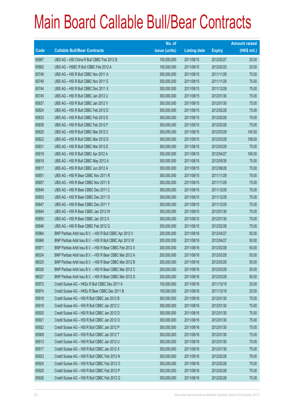|       |                                                          | No. of        |                     |               | <b>Amount raised</b> |
|-------|----------------------------------------------------------|---------------|---------------------|---------------|----------------------|
| Code  | <b>Callable Bull/Bear Contracts</b>                      | issue (units) | <b>Listing date</b> | <b>Expiry</b> | (HK\$ mil.)          |
| 65867 | UBS AG - A50 China R Bull CBBC Feb 2012 B                | 100,000,000   | 2011/08/15          | 2012/02/27    | 25.00                |
| 65862 | UBS AG - HSBC R Bull CBBC Feb 2012 A                     | 100,000,000   | 2011/08/15          | 2012/02/20    | 25.00                |
| 65746 | UBS AG - HSI R Bull CBBC Nov 2011 A                      | 300,000,000   | 2011/08/15          | 2011/11/29    | 75.00                |
| 65749 | UBS AG - HSI R Bull CBBC Nov 2011 E                      | 300,000,000   | 2011/08/15          | 2011/11/29    | 75.00                |
| 65744 | UBS AG - HSI R Bull CBBC Dec 2011 X                      | 300,000,000   | 2011/08/15          | 2011/12/29    | 75.00                |
| 65745 | UBS AG - HSI R Bull CBBC Jan 2012 U                      | 300,000,000   | 2011/08/15          | 2012/01/30    | 75.00                |
| 65837 | UBS AG - HSI R Bull CBBC Jan 2012 V                      | 300,000,000   | 2011/08/15          | 2012/01/30    | 75.00                |
| 65824 | UBS AG - HSI R Bull CBBC Feb 2012 D                      | 300,000,000   | 2011/08/15          | 2012/02/28    | 75.00                |
| 65833 | UBS AG - HSI R Bull CBBC Feb 2012 E                      | 300,000,000   | 2011/08/15          | 2012/02/28    | 75.00                |
| 65838 | UBS AG - HSI R Bull CBBC Feb 2012 F                      | 300,000,000   | 2011/08/15          | 2012/02/28    | 75.00                |
| 65820 | UBS AG - HSI R Bull CBBC Mar 2012 C                      | 300,000,000   | 2011/08/15          | 2012/03/29    | 145.50               |
| 65822 | UBS AG - HSI R Bull CBBC Mar 2012 D                      | 300,000,000   | 2011/08/15          | 2012/03/29    | 108.00               |
| 65831 | UBS AG - HSI R Bull CBBC Mar 2012 E                      | 300,000,000   | 2011/08/15          | 2012/03/29    | 75.00                |
| 65819 | UBS AG - HSI R Bull CBBC Apr 2012 A                      | 300,000,000   | 2011/08/15          | 2012/04/27    | 165.00               |
| 65818 | UBS AG - HSI R Bull CBBC May 2012 A                      | 300,000,000   | 2011/08/15          | 2012/05/30    | 75.00                |
| 65817 | UBS AG - HSI R Bull CBBC Jun 2012 A                      | 300,000,000   | 2011/08/15          | 2012/06/28    | 75.00                |
| 65851 | UBS AG - HSI R Bear CBBC Nov 2011 R                      | 300,000,000   | 2011/08/15          | 2011/11/29    | 75.00                |
| 65857 | UBS AG - HSI R Bear CBBC Nov 2011 S                      | 300,000,000   | 2011/08/15          | 2011/11/29    | 75.00                |
| 65849 | UBS AG - HSI R Bear CBBC Dec 2011 C                      | 300,000,000   | 2011/08/15          | 2011/12/29    | 75.00                |
| 65853 | UBS AG - HSI R Bear CBBC Dec 2011 D                      | 300,000,000   | 2011/08/15          | 2011/12/29    | 75.00                |
| 65847 | UBS AG - HSI R Bear CBBC Dec 2011 Y                      | 300,000,000   | 2011/08/15          | 2011/12/29    | 75.00                |
| 65844 | UBS AG - HSI R Bear CBBC Jan 2012 W                      | 300,000,000   | 2011/08/15          | 2012/01/30    | 75.00                |
| 65850 | UBS AG - HSI R Bear CBBC Jan 2012 X                      | 300,000,000   | 2011/08/15          | 2012/01/30    | 75.00                |
| 65846 | UBS AG - HSI R Bear CBBC Feb 2012 G                      | 300,000,000   | 2011/08/15          | 2012/02/28    | 75.00                |
| 65964 | BNP Paribas Arbit Issu B.V. - HSI R Bull CBBC Apr 2012 V | 200,000,000   | 2011/08/16          | 2012/04/27    | 50.00                |
| 65966 | BNP Paribas Arbit Issu B.V. - HSI R Bull CBBC Apr 2012 W | 200,000,000   | 2011/08/16          | 2012/04/27    | 50.00                |
| 65971 | BNP Paribas Arbit Issu B.V. - HSI R Bear CBBC Feb 2012 X | 200,000,000   | 2011/08/16          | 2012/02/28    | 50.00                |
| 66024 | BNP Paribas Arbit Issu B.V. - HSI R Bear CBBC Mar 2012 A | 200,000,000   | 2011/08/16          | 2012/03/29    | 50.00                |
| 66025 | BNP Paribas Arbit Issu B.V. - HSI R Bear CBBC Mar 2012 B | 200,000,000   | 2011/08/16          | 2012/03/29    | 50.00                |
| 66026 | BNP Paribas Arbit Issu B.V. - HSI R Bear CBBC Mar 2012 C | 200,000,000   | 2011/08/16          | 2012/03/29    | 50.00                |
| 66027 | BNP Paribas Arbit Issu B.V. - HSI R Bear CBBC Mar 2012 D | 200,000,000   | 2011/08/16          | 2012/03/29    | 50.00                |
| 65972 | Credit Suisse AG - HKEx R Bull CBBC Dec 2011 A           | 100,000,000   | 2011/08/16          | 2011/12/19    | 25.00                |
| 65974 | Credit Suisse AG - HKEx R Bear CBBC Dec 2011 B           | 100,000,000   | 2011/08/16          | 2011/12/19    | 25.00                |
| 65918 | Credit Suisse AG - HSI R Bull CBBC Jan 2012 B            | 300,000,000   | 2011/08/16          | 2012/01/30    | 75.00                |
| 65919 | Credit Suisse AG - HSI R Bull CBBC Jan 2012 C            | 300,000,000   | 2011/08/16          | 2012/01/30    | 75.00                |
| 65920 | Credit Suisse AG - HSI R Bull CBBC Jan 2012 D            | 300,000,000   | 2011/08/16          | 2012/01/30    | 75.00                |
| 65921 | Credit Suisse AG - HSI R Bull CBBC Jan 2012 O            | 300,000,000   | 2011/08/16          | 2012/01/30    | 75.00                |
| 65922 | Credit Suisse AG - HSI R Bull CBBC Jan 2012 P            | 300,000,000   | 2011/08/16          | 2012/01/30    | 75.00                |
| 65909 | Credit Suisse AG - HSI R Bull CBBC Jan 2012 T            | 300,000,000   | 2011/08/16          | 2012/01/30    | 75.00                |
| 65913 | Credit Suisse AG - HSI R Bull CBBC Jan 2012 U            | 300,000,000   | 2011/08/16          | 2012/01/30    | 75.00                |
| 65917 | Credit Suisse AG - HSI R Bull CBBC Jan 2012 X            | 300,000,000   | 2011/08/16          | 2012/01/30    | 75.00                |
| 65923 | Credit Suisse AG - HSI R Bull CBBC Feb 2012 N            | 300,000,000   | 2011/08/16          | 2012/02/28    | 78.00                |
| 65924 | Credit Suisse AG - HSI R Bull CBBC Feb 2012 O            | 300,000,000   | 2011/08/16          | 2012/02/28    | 75.00                |
| 65925 | Credit Suisse AG - HSI R Bull CBBC Feb 2012 P            | 300,000,000   | 2011/08/16          | 2012/02/28    | 75.00                |
| 65926 | Credit Suisse AG - HSI R Bull CBBC Feb 2012 Q            | 300,000,000   | 2011/08/16          | 2012/02/28    | 75.00                |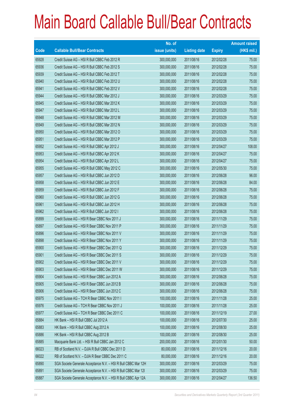|       |                                                                | No. of        |                     |               | <b>Amount raised</b> |
|-------|----------------------------------------------------------------|---------------|---------------------|---------------|----------------------|
| Code  | <b>Callable Bull/Bear Contracts</b>                            | issue (units) | <b>Listing date</b> | <b>Expiry</b> | (HK\$ mil.)          |
| 65928 | Credit Suisse AG - HSI R Bull CBBC Feb 2012 R                  | 300,000,000   | 2011/08/16          | 2012/02/28    | 75.00                |
| 65936 | Credit Suisse AG - HSI R Bull CBBC Feb 2012 S                  | 300,000,000   | 2011/08/16          | 2012/02/28    | 75.00                |
| 65939 | Credit Suisse AG - HSI R Bull CBBC Feb 2012 T                  | 300,000,000   | 2011/08/16          | 2012/02/28    | 75.00                |
| 65940 | Credit Suisse AG - HSI R Bull CBBC Feb 2012 U                  | 300,000,000   | 2011/08/16          | 2012/02/28    | 75.00                |
| 65941 | Credit Suisse AG - HSI R Bull CBBC Feb 2012 V                  | 300,000,000   | 2011/08/16          | 2012/02/28    | 75.00                |
| 65944 | Credit Suisse AG - HSI R Bull CBBC Mar 2012 J                  | 300,000,000   | 2011/08/16          | 2012/03/29    | 75.00                |
| 65945 | Credit Suisse AG - HSI R Bull CBBC Mar 2012 K                  | 300,000,000   | 2011/08/16          | 2012/03/29    | 75.00                |
| 65947 | Credit Suisse AG - HSI R Bull CBBC Mar 2012 L                  | 300,000,000   | 2011/08/16          | 2012/03/29    | 75.00                |
| 65948 | Credit Suisse AG - HSI R Bull CBBC Mar 2012 M                  | 300,000,000   | 2011/08/16          | 2012/03/29    | 75.00                |
| 65949 | Credit Suisse AG - HSI R Bull CBBC Mar 2012 N                  | 300,000,000   | 2011/08/16          | 2012/03/29    | 75.00                |
| 65950 | Credit Suisse AG - HSI R Bull CBBC Mar 2012 O                  | 300,000,000   | 2011/08/16          | 2012/03/29    | 75.00                |
| 65951 | Credit Suisse AG - HSI R Bull CBBC Mar 2012 P                  | 300,000,000   | 2011/08/16          | 2012/03/29    | 75.00                |
| 65952 | Credit Suisse AG - HSI R Bull CBBC Apr 2012 J                  | 300,000,000   | 2011/08/16          | 2012/04/27    | 108.00               |
| 65953 | Credit Suisse AG - HSI R Bull CBBC Apr 2012 K                  | 300,000,000   | 2011/08/16          | 2012/04/27    | 75.00                |
| 65954 | Credit Suisse AG - HSI R Bull CBBC Apr 2012 L                  | 300,000,000   | 2011/08/16          | 2012/04/27    | 75.00                |
| 65955 | Credit Suisse AG - HSI R Bull CBBC May 2012 C                  | 300,000,000   | 2011/08/16          | 2012/05/30    | 75.00                |
| 65957 | Credit Suisse AG - HSI R Bull CBBC Jun 2012 D                  | 300,000,000   | 2011/08/16          | 2012/06/28    | 96.00                |
| 65958 | Credit Suisse AG - HSI R Bull CBBC Jun 2012 E                  | 300,000,000   | 2011/08/16          | 2012/06/28    | 84.00                |
| 65959 | Credit Suisse AG - HSI R Bull CBBC Jun 2012 F                  | 300,000,000   | 2011/08/16          | 2012/06/28    | 75.00                |
| 65960 | Credit Suisse AG - HSI R Bull CBBC Jun 2012 G                  | 300,000,000   | 2011/08/16          | 2012/06/28    | 75.00                |
| 65961 | Credit Suisse AG - HSI R Bull CBBC Jun 2012 H                  | 300,000,000   | 2011/08/16          | 2012/06/28    | 75.00                |
| 65962 | Credit Suisse AG - HSI R Bull CBBC Jun 2012 I                  | 300,000,000   | 2011/08/16          | 2012/06/28    | 75.00                |
| 65899 | Credit Suisse AG - HSI R Bear CBBC Nov 2011 J                  | 300,000,000   | 2011/08/16          | 2011/11/29    | 75.00                |
| 65897 | Credit Suisse AG - HSI R Bear CBBC Nov 2011 P                  | 300,000,000   | 2011/08/16          | 2011/11/29    | 75.00                |
| 65896 | Credit Suisse AG - HSI R Bear CBBC Nov 2011 V                  | 300,000,000   | 2011/08/16          | 2011/11/29    | 75.00                |
| 65898 | Credit Suisse AG - HSI R Bear CBBC Nov 2011 Y                  | 300,000,000   | 2011/08/16          | 2011/11/29    | 75.00                |
| 65900 | Credit Suisse AG - HSI R Bear CBBC Dec 2011 Q                  | 300,000,000   | 2011/08/16          | 2011/12/29    | 75.00                |
| 65901 | Credit Suisse AG - HSI R Bear CBBC Dec 2011 S                  | 300,000,000   | 2011/08/16          | 2011/12/29    | 75.00                |
| 65902 | Credit Suisse AG - HSI R Bear CBBC Dec 2011 V                  | 300,000,000   | 2011/08/16          | 2011/12/29    | 75.00                |
| 65903 | Credit Suisse AG - HSI R Bear CBBC Dec 2011 W                  | 300,000,000   | 2011/08/16          | 2011/12/29    | 75.00                |
| 65904 | Credit Suisse AG - HSI R Bear CBBC Jun 2012 A                  | 300,000,000   | 2011/08/16          | 2012/06/28    | 75.00                |
| 65905 | Credit Suisse AG - HSI R Bear CBBC Jun 2012 B                  | 300,000,000   | 2011/08/16          | 2012/06/28    | 75.00                |
| 65906 | Credit Suisse AG - HSI R Bear CBBC Jun 2012 C                  | 300,000,000   | 2011/08/16          | 2012/06/28    | 75.00                |
| 65975 | Credit Suisse AG - TCH R Bear CBBC Nov 2011 I                  | 100,000,000   | 2011/08/16          | 2011/11/28    | 25.00                |
| 65976 | Credit Suisse AG - TCH R Bear CBBC Nov 2011 J                  | 100,000,000   | 2011/08/16          | 2011/11/28    | 25.00                |
| 65977 | Credit Suisse AG - TCH R Bear CBBC Dec 2011 C                  | 100,000,000   | 2011/08/16          | 2011/12/19    | 27.00                |
| 65884 | HK Bank - HSI R Bull CBBC Jul 2012 A                           | 100,000,000   | 2011/08/16          | 2012/07/30    | 25.00                |
| 65883 | HK Bank - HSI R Bull CBBC Aug 2012 A                           | 100,000,000   | 2011/08/16          | 2012/08/30    | 25.00                |
| 65886 | HK Bank - HSI R Bull CBBC Aug 2012 B                           | 100,000,000   | 2011/08/16          | 2012/08/30    | 25.00                |
| 65885 | Macquarie Bank Ltd. - HSI R Bull CBBC Jan 2012 C               | 200,000,000   | 2011/08/16          | 2012/01/30    | 50.00                |
| 66023 | RB of Scotland N.V. - DJIA R Bull CBBC Dec 2011 D              | 80,000,000    | 2011/08/16          | 2011/12/16    | 20.00                |
| 66022 | RB of Scotland N.V. - DJIA R Bear CBBC Dec 2011 C              | 80,000,000    | 2011/08/16          | 2011/12/16    | 20.00                |
| 65890 | SGA Societe Generale Acceptance N.V. - HSI R Bull CBBC Mar 12H | 300,000,000   | 2011/08/16          | 2012/03/29    | 75.00                |
| 65891 | SGA Societe Generale Acceptance N.V. - HSI R Bull CBBC Mar 121 | 300,000,000   | 2011/08/16          | 2012/03/29    | 75.00                |
| 65887 | SGA Societe Generale Acceptance N.V. - HSI R Bull CBBC Apr 12A | 300,000,000   | 2011/08/16          | 2012/04/27    | 136.50               |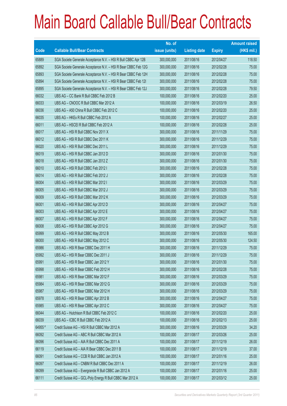|         |                                                                | No. of        |                     |               | <b>Amount raised</b> |
|---------|----------------------------------------------------------------|---------------|---------------------|---------------|----------------------|
| Code    | <b>Callable Bull/Bear Contracts</b>                            | issue (units) | <b>Listing date</b> | <b>Expiry</b> | (HK\$ mil.)          |
| 65889   | SGA Societe Generale Acceptance N.V. - HSI R Bull CBBC Apr 12B | 300,000,000   | 2011/08/16          | 2012/04/27    | 118.50               |
| 65892   | SGA Societe Generale Acceptance N.V. - HSI R Bear CBBC Feb 12G | 300,000,000   | 2011/08/16          | 2012/02/28    | 75.00                |
| 65893   | SGA Societe Generale Acceptance N.V. - HSI R Bear CBBC Feb 12H | 300,000,000   | 2011/08/16          | 2012/02/28    | 75.00                |
| 65894   | SGA Societe Generale Acceptance N.V. - HSI R Bear CBBC Feb 121 | 300,000,000   | 2011/08/16          | 2012/02/28    | 75.00                |
| 65895   | SGA Societe Generale Acceptance N.V. - HSI R Bear CBBC Feb 12J | 300,000,000   | 2011/08/16          | 2012/02/28    | 79.50                |
| 66032   | UBS AG - CC Bank R Bull CBBC Feb 2012 B                        | 100,000,000   | 2011/08/16          | 2012/02/20    | 25.00                |
| 66033   | UBS AG - CNOOC R Bull CBBC Mar 2012 A                          | 100,000,000   | 2011/08/16          | 2012/03/19    | 26.50                |
| 66036   | UBS AG - A50 China R Bull CBBC Feb 2012 C                      | 100,000,000   | 2011/08/16          | 2012/02/20    | 25.00                |
| 66035   | UBS AG - HKEx R Bull CBBC Feb 2012 A                           | 100,000,000   | 2011/08/16          | 2012/02/27    | 25.00                |
| 66011   | UBS AG - HSCEI R Bull CBBC Feb 2012 A                          | 100,000,000   | 2011/08/16          | 2012/02/28    | 25.00                |
| 66017   | UBS AG - HSI R Bull CBBC Nov 2011 X                            | 300,000,000   | 2011/08/16          | 2011/11/29    | 75.00                |
| 66012   | UBS AG - HSI R Bull CBBC Dec 2011 K                            | 300,000,000   | 2011/08/16          | 2011/12/29    | 75.00                |
| 66020   | UBS AG - HSI R Bull CBBC Dec 2011 L                            | 300,000,000   | 2011/08/16          | 2011/12/29    | 75.00                |
| 66019   | UBS AG - HSI R Bull CBBC Jan 2012 D                            | 300,000,000   | 2011/08/16          | 2012/01/30    | 75.00                |
| 66018   | UBS AG - HSI R Bull CBBC Jan 2012 Z                            | 300,000,000   | 2011/08/16          | 2012/01/30    | 75.00                |
| 66010   | UBS AG - HSI R Bull CBBC Feb 2012 I                            | 300,000,000   | 2011/08/16          | 2012/02/28    | 75.00                |
| 66014   | UBS AG - HSI R Bull CBBC Feb 2012 J                            | 300,000,000   | 2011/08/16          | 2012/02/28    | 75.00                |
| 66004   | UBS AG - HSI R Bull CBBC Mar 2012 I                            | 300,000,000   | 2011/08/16          | 2012/03/29    | 75.00                |
| 66005   | UBS AG - HSI R Bull CBBC Mar 2012 J                            | 300,000,000   | 2011/08/16          | 2012/03/29    | 75.00                |
| 66009   | UBS AG - HSI R Bull CBBC Mar 2012 K                            | 300,000,000   | 2011/08/16          | 2012/03/29    | 75.00                |
| 66001   | UBS AG - HSI R Bull CBBC Apr 2012 D                            | 300,000,000   | 2011/08/16          | 2012/04/27    | 75.00                |
| 66003   | UBS AG - HSI R Bull CBBC Apr 2012 E                            | 300,000,000   | 2011/08/16          | 2012/04/27    | 75.00                |
| 66007   | UBS AG - HSI R Bull CBBC Apr 2012 F                            | 300,000,000   | 2011/08/16          | 2012/04/27    | 75.00                |
| 66008   | UBS AG - HSI R Bull CBBC Apr 2012 G                            | 300,000,000   | 2011/08/16          | 2012/04/27    | 75.00                |
| 65999   | UBS AG - HSI R Bull CBBC May 2012 B                            | 300,000,000   | 2011/08/16          | 2012/05/30    | 165.00               |
| 66000   | UBS AG - HSI R Bull CBBC May 2012 C                            | 300,000,000   | 2011/08/16          | 2012/05/30    | 124.50               |
| 65986   | UBS AG - HSI R Bear CBBC Dec 2011 H                            | 300,000,000   | 2011/08/16          | 2011/12/29    | 75.00                |
| 65992   | UBS AG - HSI R Bear CBBC Dec 2011 J                            | 300,000,000   | 2011/08/16          | 2011/12/29    | 75.00                |
| 65991   | UBS AG - HSI R Bear CBBC Jan 2012 Y                            | 300,000,000   | 2011/08/16          | 2012/01/30    | 75.00                |
| 65998   | UBS AG - HSI R Bear CBBC Feb 2012 H                            | 300,000,000   | 2011/08/16          | 2012/02/28    | 75.00                |
| 65981   | UBS AG - HSI R Bear CBBC Mar 2012 F                            | 300,000,000   | 2011/08/16          | 2012/03/29    | 75.00                |
| 65984   | UBS AG - HSI R Bear CBBC Mar 2012 G                            | 300,000,000   | 2011/08/16          | 2012/03/29    | 75.00                |
| 65987   | UBS AG - HSI R Bear CBBC Mar 2012 H                            | 300,000,000   | 2011/08/16          | 2012/03/29    | 75.00                |
| 65978   | UBS AG - HSI R Bear CBBC Apr 2012 B                            | 300,000,000   | 2011/08/16          | 2012/04/27    | 75.00                |
| 65985   | UBS AG - HSI R Bear CBBC Apr 2012 C                            | 300,000,000   | 2011/08/16          | 2012/04/27    | 75.00                |
| 66044   | UBS AG - Hutchison R Bull CBBC Feb 2012 C                      | 100,000,000   | 2011/08/16          | 2012/02/20    | 25.00                |
| 66039   | UBS AG - ICBC R Bull CBBC Feb 2012 A                           | 100,000,000   | 2011/08/16          | 2012/02/13    | 25.00                |
| 64955 # | Credit Suisse AG - HSI R Bull CBBC Mar 2012 A                  | 300,000,000   | 2011/08/16          | 2012/03/29    | 34.20                |
| 66092   | Credit Suisse AG - ABC R Bull CBBC Mar 2012 A                  | 100,000,000   | 2011/08/17          | 2012/03/26    | 25.00                |
| 66096   | Credit Suisse AG - AIA R Bull CBBC Dec 2011 A                  | 100,000,000   | 2011/08/17          | 2011/12/19    | 26.00                |
| 66119   | Credit Suisse AG - AIA R Bear CBBC Dec 2011 B                  | 100,000,000   | 2011/08/17          | 2011/12/19    | 37.00                |
| 66091   | Credit Suisse AG - CCB R Bull CBBC Jan 2012 A                  | 100,000,000   | 2011/08/17          | 2012/01/16    | 25.00                |
| 66097   | Credit Suisse AG - CNBM R Bull CBBC Dec 2011 A                 | 100,000,000   | 2011/08/17          | 2011/12/19    | 26.00                |
| 66099   | Credit Suisse AG - Evergrande R Bull CBBC Jan 2012 A           | 100,000,000   | 2011/08/17          | 2012/01/16    | 25.00                |
| 66111   | Credit Suisse AG - GCL-Poly Energy R Bull CBBC Mar 2012 A      | 100,000,000   | 2011/08/17          | 2012/03/12    | 25.00                |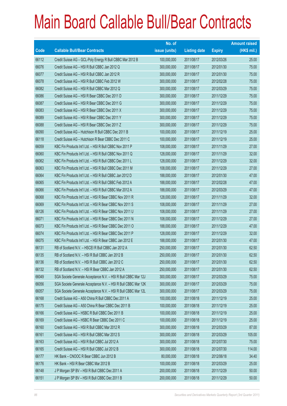|             |                                                                | No. of        |                     |               | <b>Amount raised</b> |
|-------------|----------------------------------------------------------------|---------------|---------------------|---------------|----------------------|
| <b>Code</b> | <b>Callable Bull/Bear Contracts</b>                            | issue (units) | <b>Listing date</b> | <b>Expiry</b> | (HK\$ mil.)          |
| 66112       | Credit Suisse AG - GCL-Poly Energy R Bull CBBC Mar 2012 B      | 100,000,000   | 2011/08/17          | 2012/03/26    | 25.00                |
| 66076       | Credit Suisse AG - HSI R Bull CBBC Jan 2012 Q                  | 300,000,000   | 2011/08/17          | 2012/01/30    | 75.00                |
| 66077       | Credit Suisse AG - HSI R Bull CBBC Jan 2012 R                  | 300,000,000   | 2011/08/17          | 2012/01/30    | 75.00                |
| 66078       | Credit Suisse AG - HSI R Bull CBBC Feb 2012 W                  | 300,000,000   | 2011/08/17          | 2012/02/28    | 75.00                |
| 66082       | Credit Suisse AG - HSI R Bull CBBC Mar 2012 Q                  | 300,000,000   | 2011/08/17          | 2012/03/29    | 75.00                |
| 66086       | Credit Suisse AG - HSI R Bear CBBC Dec 2011 D                  | 300,000,000   | 2011/08/17          | 2011/12/29    | 75.00                |
| 66087       | Credit Suisse AG - HSI R Bear CBBC Dec 2011 G                  | 300,000,000   | 2011/08/17          | 2011/12/29    | 75.00                |
| 66083       | Credit Suisse AG - HSI R Bear CBBC Dec 2011 X                  | 300,000,000   | 2011/08/17          | 2011/12/29    | 75.00                |
| 66089       | Credit Suisse AG - HSI R Bear CBBC Dec 2011 Y                  | 300,000,000   | 2011/08/17          | 2011/12/29    | 75.00                |
| 66088       | Credit Suisse AG - HSI R Bear CBBC Dec 2011 Z                  | 300,000,000   | 2011/08/17          | 2011/12/29    | 75.00                |
| 66090       | Credit Suisse AG - Hutchison R Bull CBBC Dec 2011 B            | 100,000,000   | 2011/08/17          | 2011/12/19    | 25.00                |
| 66118       | Credit Suisse AG - Hutchison R Bear CBBC Dec 2011 C            | 100,000,000   | 2011/08/17          | 2011/12/19    | 25.00                |
| 66059       | KBC Fin Products Int'l Ltd. - HSI R Bull CBBC Nov 2011 P       | 108,000,000   | 2011/08/17          | 2011/11/29    | 27.00                |
| 66060       | KBC Fin Products Int'l Ltd. - HSI R Bull CBBC Nov 2011 Q       | 128,000,000   | 2011/08/17          | 2011/11/29    | 32.00                |
| 66062       | KBC Fin Products Int'l Ltd. - HSI R Bull CBBC Dec 2011 L       | 128,000,000   | 2011/08/17          | 2011/12/29    | 32.00                |
| 66063       | KBC Fin Products Int'l Ltd. - HSI R Bull CBBC Dec 2011 M       | 108,000,000   | 2011/08/17          | 2011/12/29    | 27.00                |
| 66064       | KBC Fin Products Int'l Ltd. - HSI R Bull CBBC Jan 2012 D       | 188,000,000   | 2011/08/17          | 2012/01/30    | 47.00                |
| 66065       | KBC Fin Products Int'l Ltd. - HSI R Bull CBBC Feb 2012 A       | 188,000,000   | 2011/08/17          | 2012/02/28    | 47.00                |
| 66066       | KBC Fin Products Int'l Ltd. - HSI R Bull CBBC Mar 2012 A       | 188,000,000   | 2011/08/17          | 2012/03/29    | 47.00                |
| 66068       | KBC Fin Products Int'l Ltd. - HSI R Bear CBBC Nov 2011 R       | 128,000,000   | 2011/08/17          | 2011/11/29    | 32.00                |
| 66069       | KBC Fin Products Int'l Ltd. - HSI R Bear CBBC Nov 2011 S       | 108,000,000   | 2011/08/17          | 2011/11/29    | 27.00                |
| 66126       | KBC Fin Products Int'l Ltd. - HSI R Bear CBBC Nov 2011 U       | 108,000,000   | 2011/08/17          | 2011/11/29    | 27.00                |
| 66071       | KBC Fin Products Int'l Ltd. - HSI R Bear CBBC Dec 2011 N       | 108,000,000   | 2011/08/17          | 2011/12/29    | 27.00                |
| 66073       | KBC Fin Products Int'l Ltd. - HSI R Bear CBBC Dec 2011 O       | 188,000,000   | 2011/08/17          | 2011/12/29    | 47.00                |
| 66074       | KBC Fin Products Int'l Ltd. - HSI R Bear CBBC Dec 2011 P       | 128,000,000   | 2011/08/17          | 2011/12/29    | 32.00                |
| 66075       | KBC Fin Products Int'l Ltd. - HSI R Bear CBBC Jan 2012 E       | 188,000,000   | 2011/08/17          | 2012/01/30    | 47.00                |
| 66131       | RB of Scotland N.V. - HSCEI R Bull CBBC Jan 2012 A             | 250,000,000   | 2011/08/17          | 2012/01/30    | 62.50                |
| 66135       | RB of Scotland N.V. - HSI R Bull CBBC Jan 2012 B               | 250,000,000   | 2011/08/17          | 2012/01/30    | 62.50                |
| 66136       | RB of Scotland N.V. - HSI R Bull CBBC Jan 2012 C               | 250,000,000   | 2011/08/17          | 2012/01/30    | 62.50                |
| 66132       | RB of Scotland N.V. - HSI R Bear CBBC Jan 2012 A               | 250,000,000   | 2011/08/17          | 2012/01/30    | 62.50                |
| 66049       | SGA Societe Generale Acceptance N.V. - HSI R Bull CBBC Mar 12J | 300,000,000   | 2011/08/17          | 2012/03/29    | 75.00                |
| 66056       | SGA Societe Generale Acceptance N.V. - HSI R Bull CBBC Mar 12K | 300,000,000   | 2011/08/17          | 2012/03/29    | 75.00                |
| 66057       | SGA Societe Generale Acceptance N.V. - HSI R Bull CBBC Mar 12L | 300,000,000   | 2011/08/17          | 2012/03/29    | 75.00                |
| 66168       | Credit Suisse AG - A50 China R Bull CBBC Dec 2011 A            | 100,000,000   | 2011/08/18          | 2011/12/19    | 25.00                |
| 66175       | Credit Suisse AG - A50 China R Bear CBBC Dec 2011 B            | 100,000,000   | 2011/08/18          | 2011/12/19    | 25.00                |
| 66166       | Credit Suisse AG - HSBC R Bull CBBC Dec 2011 B                 | 100,000,000   | 2011/08/18          | 2011/12/19    | 25.00                |
| 66169       | Credit Suisse AG - HSBC R Bear CBBC Dec 2011 C                 | 100,000,000   | 2011/08/18          | 2011/12/19    | 25.00                |
| 66160       | Credit Suisse AG - HSI R Bull CBBC Mar 2012 R                  | 300,000,000   | 2011/08/18          | 2012/03/29    | 87.00                |
| 66161       | Credit Suisse AG - HSI R Bull CBBC Mar 2012 S                  | 300,000,000   | 2011/08/18          | 2012/03/29    | 105.00               |
| 66163       | Credit Suisse AG - HSI R Bull CBBC Jul 2012 A                  | 300,000,000   | 2011/08/18          | 2012/07/30    | 75.00                |
| 66165       | Credit Suisse AG - HSI R Bull CBBC Jul 2012 B                  | 300,000,000   | 2011/08/18          | 2012/07/30    | 114.00               |
| 66177       | HK Bank - CNOOC R Bear CBBC Jun 2012 B                         | 80,000,000    | 2011/08/18          | 2012/06/18    | 34.40                |
| 66176       | HK Bank - HSI R Bear CBBC Mar 2012 B                           | 100,000,000   | 2011/08/18          | 2012/03/29    | 25.00                |
| 66148       | J P Morgan SP BV - HSI R Bull CBBC Dec 2011 A                  | 200,000,000   | 2011/08/18          | 2011/12/29    | 50.00                |
| 66151       | J P Morgan SP BV - HSI R Bull CBBC Dec 2011 B                  | 200,000,000   | 2011/08/18          | 2011/12/29    | 50.00                |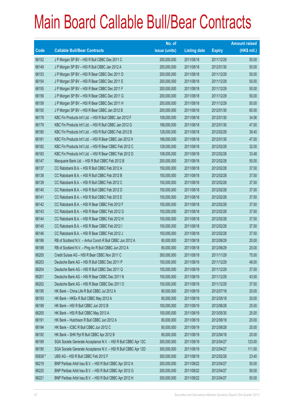|             |                                                                | No. of        |                     |               | <b>Amount raised</b> |
|-------------|----------------------------------------------------------------|---------------|---------------------|---------------|----------------------|
| <b>Code</b> | <b>Callable Bull/Bear Contracts</b>                            | issue (units) | <b>Listing date</b> | <b>Expiry</b> | (HK\$ mil.)          |
| 66152       | J P Morgan SP BV - HSI R Bull CBBC Dec 2011 C                  | 200,000,000   | 2011/08/18          | 2011/12/29    | 50.00                |
| 66149       | J P Morgan SP BV - HSI R Bull CBBC Jan 2012 A                  | 200,000,000   | 2011/08/18          | 2012/01/30    | 50.00                |
| 66153       | J P Morgan SP BV - HSI R Bear CBBC Dec 2011 D                  | 200,000,000   | 2011/08/18          | 2011/12/29    | 50.00                |
| 66154       | J P Morgan SP BV - HSI R Bear CBBC Dec 2011 E                  | 200,000,000   | 2011/08/18          | 2011/12/29    | 50.00                |
| 66155       | J P Morgan SP BV - HSI R Bear CBBC Dec 2011 F                  | 200,000,000   | 2011/08/18          | 2011/12/29    | 50.00                |
| 66156       | J P Morgan SP BV - HSI R Bear CBBC Dec 2011 G                  | 200,000,000   | 2011/08/18          | 2011/12/29    | 50.00                |
| 66159       | J P Morgan SP BV - HSI R Bear CBBC Dec 2011 H                  | 200,000,000   | 2011/08/18          | 2011/12/29    | 50.00                |
| 66150       | J P Morgan SP BV - HSI R Bear CBBC Jan 2012 B                  | 200,000,000   | 2011/08/18          | 2012/01/30    | 65.00                |
| 66178       | KBC Fin Products Int'l Ltd. - HSI R Bull CBBC Jan 2012 F       | 108,000,000   | 2011/08/18          | 2012/01/30    | 34.56                |
| 66179       | KBC Fin Products Int'l Ltd. - HSI R Bull CBBC Jan 2012 G       | 188,000,000   | 2011/08/18          | 2012/01/30    | 47.00                |
| 66180       | KBC Fin Products Int'l Ltd. - HSI R Bull CBBC Feb 2012 B       | 128,000,000   | 2011/08/18          | 2012/02/28    | 38.40                |
| 66181       | KBC Fin Products Int'l Ltd. - HSI R Bear CBBC Jan 2012 H       | 188,000,000   | 2011/08/18          | 2012/01/30    | 47.00                |
| 66182       | KBC Fin Products Int'l Ltd. - HSI R Bear CBBC Feb 2012 C       | 128,000,000   | 2011/08/18          | 2012/02/28    | 32.00                |
| 66183       | KBC Fin Products Int'l Ltd. - HSI R Bear CBBC Feb 2012 D       | 108,000,000   | 2011/08/18          | 2012/02/28    | 33.48                |
| 66147       | Macquarie Bank Ltd. - HSI R Bull CBBC Feb 2012 B               | 200,000,000   | 2011/08/18          | 2012/02/28    | 50.00                |
| 66137       | CC Rabobank B.A. - HSI R Bull CBBC Feb 2012 A                  | 150,000,000   | 2011/08/18          | 2012/02/28    | 37.50                |
| 66138       | CC Rabobank B.A. - HSI R Bull CBBC Feb 2012 B                  | 150,000,000   | 2011/08/18          | 2012/02/28    | 37.50                |
| 66139       | CC Rabobank B.A. - HSI R Bull CBBC Feb 2012 C                  | 150,000,000   | 2011/08/18          | 2012/02/28    | 37.50                |
| 66140       | CC Rabobank B.A. - HSI R Bull CBBC Feb 2012 D                  | 150,000,000   | 2011/08/18          | 2012/02/28    | 37.50                |
| 66141       | CC Rabobank B.A. - HSI R Bull CBBC Feb 2012 E                  | 150,000,000   | 2011/08/18          | 2012/02/28    | 37.50                |
| 66142       | CC Rabobank B.A. - HSI R Bear CBBC Feb 2012 F                  | 150,000,000   | 2011/08/18          | 2012/02/28    | 37.50                |
| 66143       | CC Rabobank B.A. - HSI R Bear CBBC Feb 2012 G                  | 150,000,000   | 2011/08/18          | 2012/02/28    | 37.50                |
| 66144       | CC Rabobank B.A. - HSI R Bear CBBC Feb 2012 H                  | 150,000,000   | 2011/08/18          | 2012/02/28    | 37.50                |
| 66145       | CC Rabobank B.A. - HSI R Bear CBBC Feb 2012 I                  | 150,000,000   | 2011/08/18          | 2012/02/28    | 37.50                |
| 66146       | CC Rabobank B.A. - HSI R Bear CBBC Feb 2012 J                  | 150,000,000   | 2011/08/18          | 2012/02/28    | 37.50                |
| 66186       | RB of Scotland N.V. - Anhui Conch R Bull CBBC Jun 2012 A       | 80,000,000    | 2011/08/18          | 2012/06/29    | 20.00                |
| 66188       | RB of Scotland N.V. - Ping An R Bull CBBC Jun 2012 A           | 80,000,000    | 2011/08/18          | 2012/06/29    | 20.00                |
| 66205       | Credit Suisse AG - HSI R Bear CBBC Nov 2011 C                  | 300,000,000   | 2011/08/19          | 2011/11/29    | 75.00                |
| 66203       | Deutsche Bank AG - HSI R Bull CBBC Dec 2011 P                  | 150,000,000   | 2011/08/19          | 2011/12/29    | 48.00                |
| 66204       | Deutsche Bank AG - HSI R Bull CBBC Dec 2011 Q                  | 150,000,000   | 2011/08/19          | 2011/12/29    | 37.50                |
| 66201       | Deutsche Bank AG - HSI R Bear CBBC Dec 2011 N                  | 150,000,000   | 2011/08/19          | 2011/12/29    | 43.50                |
| 66202       | Deutsche Bank AG - HSI R Bear CBBC Dec 2011 O                  | 150,000,000   | 2011/08/19          | 2011/12/29    | 37.50                |
| 66195       | HK Bank - China Life R Bull CBBC Jul 2012 A                    | 80,000,000    | 2011/08/19          | 2012/07/18    | 20.00                |
| 66193       | HK Bank - HKEx R Bull CBBC May 2012 A                          | 80,000,000    | 2011/08/19          | 2012/05/18    | 20.00                |
| 66199       | HK Bank - HSI R Bull CBBC Jun 2012 B                           | 100,000,000   | 2011/08/19          | 2012/06/28    | 25.00                |
| 66200       | HK Bank - HSI R Bull CBBC May 2013 A                           | 100,000,000   | 2011/08/19          | 2013/05/30    | 25.00                |
| 66191       | HK Bank - Hutchison R Bull CBBC Jun 2012 A                     | 80,000,000    | 2011/08/19          | 2012/06/18    | 20.00                |
| 66194       | HK Bank - ICBC R Bull CBBC Jun 2012 C                          | 80,000,000    | 2011/08/19          | 2012/06/28    | 20.00                |
| 66192       | HK Bank - SHK Ppt R Bull CBBC Apr 2012 B                       | 80,000,000    | 2011/08/19          | 2012/04/18    | 20.00                |
| 66189       | SGA Societe Generale Acceptance N.V. - HSI R Bull CBBC Apr 12C | 300,000,000   | 2011/08/19          | 2012/04/27    | 123.00               |
| 66190       | SGA Societe Generale Acceptance N.V. - HSI R Bull CBBC Apr 12D | 300,000,000   | 2011/08/19          | 2012/04/27    | 111.00               |
| 65838 #     | UBS AG - HSI R Bull CBBC Feb 2012 F                            | 300,000,000   | 2011/08/19          | 2012/02/28    | 23.40                |
| 66219       | BNP Paribas Arbit Issu B.V. - HSI R Bull CBBC Apr 2012 A       | 200,000,000   | 2011/08/22          | 2012/04/27    | 50.00                |
| 66220       | BNP Paribas Arbit Issu B.V. - HSI R Bull CBBC Apr 2012 G       | 200,000,000   | 2011/08/22          | 2012/04/27    | 50.00                |
| 66221       | BNP Paribas Arbit Issu B.V. - HSI R Bull CBBC Apr 2012 H       | 200,000,000   | 2011/08/22          | 2012/04/27    | 50.00                |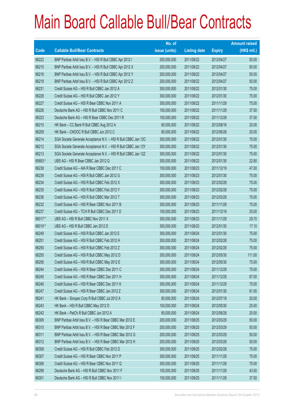|        |                                                                | No. of        |                     |               | <b>Amount raised</b> |
|--------|----------------------------------------------------------------|---------------|---------------------|---------------|----------------------|
| Code   | <b>Callable Bull/Bear Contracts</b>                            | issue (units) | <b>Listing date</b> | <b>Expiry</b> | (HK\$ mil.)          |
| 66222  | BNP Paribas Arbit Issu B.V. - HSI R Bull CBBC Apr 2012 I       | 200,000,000   | 2011/08/22          | 2012/04/27    | 50.00                |
| 66215  | BNP Paribas Arbit Issu B.V. - HSI R Bull CBBC Apr 2012 X       | 200,000,000   | 2011/08/22          | 2012/04/27    | 50.00                |
| 66216  | BNP Paribas Arbit Issu B.V. - HSI R Bull CBBC Apr 2012 Y       | 200,000,000   | 2011/08/22          | 2012/04/27    | 50.00                |
| 66218  | BNP Paribas Arbit Issu B.V. - HSI R Bull CBBC Apr 2012 Z       | 200,000,000   | 2011/08/22          | 2012/04/27    | 50.00                |
| 66231  | Credit Suisse AG - HSI R Bull CBBC Jan 2012 A                  | 300,000,000   | 2011/08/22          | 2012/01/30    | 75.00                |
| 66228  | Credit Suisse AG - HSI R Bull CBBC Jan 2012 Y                  | 300,000,000   | 2011/08/22          | 2012/01/30    | 75.00                |
| 66227  | Credit Suisse AG - HSI R Bear CBBC Nov 2011 A                  | 300,000,000   | 2011/08/22          | 2011/11/29    | 75.00                |
| 66226  | Deutsche Bank AG - HSI R Bull CBBC Nov 2011 C                  | 150,000,000   | 2011/08/22          | 2011/11/29    | 37.50                |
| 66223  | Deutsche Bank AG - HSI R Bear CBBC Dec 2011 R                  | 150,000,000   | 2011/08/22          | 2011/12/29    | 37.50                |
| 66210  | HK Bank - CC Bank R Bull CBBC Aug 2012 A                       | 80,000,000    | 2011/08/22          | 2012/08/16    | 20.00                |
| 66209  | HK Bank - CNOOC R Bull CBBC Jun 2012 C                         | 80,000,000    | 2011/08/22          | 2012/06/28    | 20.00                |
| 66214  | SGA Societe Generale Acceptance N.V. - HSI R Bull CBBC Jan 12C | 300,000,000   | 2011/08/22          | 2012/01/30    | 75.00                |
| 66212  | SGA Societe Generale Acceptance N.V. - HSI R Bull CBBC Jan 12Y | 300,000,000   | 2011/08/22          | 2012/01/30    | 75.00                |
| 66213  | SGA Societe Generale Acceptance N.V. - HSI R Bull CBBC Jan 12Z | 300,000,000   | 2011/08/22          | 2012/01/30    | 75.00                |
| 65693# | UBS AG - HSI R Bear CBBC Jan 2012 Q                            | 300,000,000   | 2011/08/22          | 2012/01/30    | 22.80                |
| 66238  | Credit Suisse AG - AIA R Bear CBBC Dec 2011 C                  | 100,000,000   | 2011/08/23          | 2011/12/19    | 47.00                |
| 66239  | Credit Suisse AG - HSI R Bull CBBC Jan 2012 G                  | 300,000,000   | 2011/08/23          | 2012/01/30    | 75.00                |
| 66234  | Credit Suisse AG - HSI R Bull CBBC Feb 2012 X                  | 300,000,000   | 2011/08/23          | 2012/02/28    | 75.00                |
| 66235  | Credit Suisse AG - HSI R Bull CBBC Feb 2012 Y                  | 300,000,000   | 2011/08/23          | 2012/02/28    | 75.00                |
| 66236  | Credit Suisse AG - HSI R Bull CBBC Mar 2012 T                  | 300,000,000   | 2011/08/23          | 2012/03/29    | 75.00                |
| 66232  | Credit Suisse AG - HSI R Bear CBBC Nov 2011 B                  | 300,000,000   | 2011/08/23          | 2011/11/29    | 75.00                |
| 66237  | Credit Suisse AG - TCH R Bull CBBC Dec 2011 D                  | 100,000,000   | 2011/08/23          | 2011/12/19    | 25.00                |
| 66017# | UBS AG - HSI R Bull CBBC Nov 2011 X                            | 300,000,000   | 2011/08/23          | 2011/11/29    | 29.70                |
| 66019# | UBS AG - HSI R Bull CBBC Jan 2012 D                            | 300,000,000   | 2011/08/23          | 2012/01/30    | 17.10                |
| 66249  | Credit Suisse AG - HSI R Bull CBBC Jan 2012 E                  | 300,000,000   | 2011/08/24          | 2012/01/30    | 75.00                |
| 66251  | Credit Suisse AG - HSI R Bull CBBC Feb 2012 H                  | 300,000,000   | 2011/08/24          | 2012/02/28    | 75.00                |
| 66250  | Credit Suisse AG - HSI R Bull CBBC Feb 2012 Z                  | 300,000,000   | 2011/08/24          | 2012/02/28    | 75.00                |
| 66255  | Credit Suisse AG - HSI R Bull CBBC May 2012 D                  | 300,000,000   | 2011/08/24          | 2012/05/30    | 111.00               |
| 66256  | Credit Suisse AG - HSI R Bull CBBC May 2012 E                  | 300,000,000   | 2011/08/24          | 2012/05/30    | 75.00                |
| 66244  | Credit Suisse AG - HSI R Bear CBBC Dec 2011 C                  | 300,000,000   | 2011/08/24          | 2011/12/29    | 75.00                |
| 66245  | Credit Suisse AG - HSI R Bear CBBC Dec 2011 H                  | 300,000,000   | 2011/08/24          | 2011/12/29    | 87.00                |
| 66246  | Credit Suisse AG - HSI R Bear CBBC Dec 2011 K                  | 300,000,000   | 2011/08/24          | 2011/12/29    | 75.00                |
| 66247  | Credit Suisse AG - HSI R Bear CBBC Jan 2012 Z                  | 300,000,000   | 2011/08/24          | 2012/01/30    | 81.00                |
| 66241  | HK Bank - Sinopec Corp R Bull CBBC Jul 2012 A                  | 80,000,000    | 2011/08/24          | 2012/07/18    | 20.00                |
| 66243  | HK Bank - HSI R Bull CBBC May 2012 D                           | 100,000,000   | 2011/08/24          | 2012/05/30    | 25.00                |
| 66242  | HK Bank - PetCh R Bull CBBC Jun 2012 A                         | 80,000,000    | 2011/08/24          | 2012/06/28    | 20.00                |
| 66309  | BNP Paribas Arbit Issu B.V. - HSI R Bear CBBC Mar 2012 E       | 200,000,000   | 2011/08/25          | 2012/03/29    | 50.00                |
| 66310  | BNP Paribas Arbit Issu B.V. - HSI R Bear CBBC Mar 2012 F       | 200,000,000   | 2011/08/25          | 2012/03/29    | 50.00                |
| 66311  | BNP Paribas Arbit Issu B.V. - HSI R Bear CBBC Mar 2012 G       | 200,000,000   | 2011/08/25          | 2012/03/29    | 50.00                |
| 66312  | BNP Paribas Arbit Issu B.V. - HSI R Bear CBBC Mar 2012 H       | 200,000,000   | 2011/08/25          | 2012/03/29    | 50.00                |
| 66308  | Credit Suisse AG - HSI R Bull CBBC Feb 2012 D                  | 300,000,000   | 2011/08/25          | 2012/02/28    | 75.00                |
| 66307  | Credit Suisse AG - HSI R Bear CBBC Nov 2011 P                  | 300,000,000   | 2011/08/25          | 2011/11/29    | 75.00                |
| 66306  | Credit Suisse AG - HSI R Bear CBBC Nov 2011 Q                  | 300,000,000   | 2011/08/25          | 2011/11/29    | 75.00                |
| 66299  | Deutsche Bank AG - HSI R Bull CBBC Nov 2011 F                  | 150,000,000   | 2011/08/25          | 2011/11/29    | 43.50                |
| 66301  | Deutsche Bank AG - HSI R Bull CBBC Nov 2011 I                  | 150,000,000   | 2011/08/25          | 2011/11/29    | 37.50                |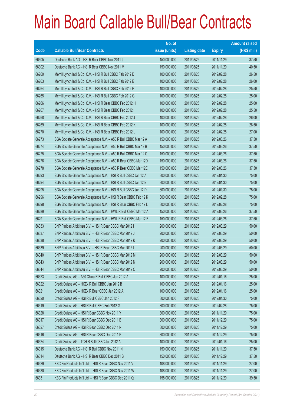|       |                                                                 | No. of        |                     |               | <b>Amount raised</b> |
|-------|-----------------------------------------------------------------|---------------|---------------------|---------------|----------------------|
| Code  | <b>Callable Bull/Bear Contracts</b>                             | issue (units) | <b>Listing date</b> | <b>Expiry</b> | (HK\$ mil.)          |
| 66305 | Deutsche Bank AG - HSI R Bear CBBC Nov 2011 J                   | 150,000,000   | 2011/08/25          | 2011/11/29    | 37.50                |
| 66302 | Deutsche Bank AG - HSI R Bear CBBC Nov 2011 M                   | 150,000,000   | 2011/08/25          | 2011/11/29    | 40.50                |
| 66260 | Merrill Lynch Int'l & Co. C.V. - HSI R Bull CBBC Feb 2012 D     | 100,000,000   | 2011/08/25          | 2012/02/28    | 26.50                |
| 66263 | Merrill Lynch Int'l & Co. C.V. - HSI R Bull CBBC Feb 2012 E     | 100,000,000   | 2011/08/25          | 2012/02/28    | 26.00                |
| 66264 | Merrill Lynch Int'l & Co. C.V. - HSI R Bull CBBC Feb 2012 F     | 100,000,000   | 2011/08/25          | 2012/02/28    | 25.50                |
| 66265 | Merrill Lynch Int'l & Co. C.V. - HSI R Bull CBBC Feb 2012 G     | 100,000,000   | 2011/08/25          | 2012/02/28    | 25.00                |
| 66266 | Merrill Lynch Int'l & Co. C.V. - HSI R Bear CBBC Feb 2012 H     | 100,000,000   | 2011/08/25          | 2012/02/28    | 25.00                |
| 66267 | Merrill Lynch Int'l & Co. C.V. - HSI R Bear CBBC Feb 2012 I     | 100,000,000   | 2011/08/25          | 2012/02/28    | 25.50                |
| 66268 | Merrill Lynch Int'l & Co. C.V. - HSI R Bear CBBC Feb 2012 J     | 100,000,000   | 2011/08/25          | 2012/02/28    | 26.00                |
| 66269 | Merrill Lynch Int'l & Co. C.V. - HSI R Bear CBBC Feb 2012 K     | 100,000,000   | 2011/08/25          | 2012/02/28    | 26.50                |
| 66270 | Merrill Lynch Int'l & Co. C.V. - HSI R Bear CBBC Feb 2012 L     | 100,000,000   | 2011/08/25          | 2012/02/28    | 27.00                |
| 66273 | SGA Societe Generale Acceptance N.V. - A50 R Bull CBBC Mar 12 A | 150,000,000   | 2011/08/25          | 2012/03/26    | 37.50                |
| 66274 | SGA Societe Generale Acceptance N.V. - A50 R Bull CBBC Mar 12 B | 150,000,000   | 2011/08/25          | 2012/03/26    | 37.50                |
| 66275 | SGA Societe Generale Acceptance N.V. - A50 R Bull CBBC Mar 12 C | 150,000,000   | 2011/08/25          | 2012/03/26    | 37.50                |
| 66276 | SGA Societe Generale Acceptance N.V. - A50 R Bear CBBC Mar 12D  | 150,000,000   | 2011/08/25          | 2012/03/26    | 37.50                |
| 66278 | SGA Societe Generale Acceptance N.V. - A50 R Bear CBBC Mar 12E  | 150,000,000   | 2011/08/25          | 2012/03/26    | 37.50                |
| 66293 | SGA Societe Generale Acceptance N.V. - HSI R Bull CBBC Jan 12 A | 300,000,000   | 2011/08/25          | 2012/01/30    | 75.00                |
| 66294 | SGA Societe Generale Acceptance N.V. - HSI R Bull CBBC Jan 12 B | 300,000,000   | 2011/08/25          | 2012/01/30    | 75.00                |
| 66295 | SGA Societe Generale Acceptance N.V. - HSI R Bull CBBC Jan 12 D | 300,000,000   | 2011/08/25          | 2012/01/30    | 75.00                |
| 66296 | SGA Societe Generale Acceptance N.V. - HSI R Bear CBBC Feb 12 K | 300,000,000   | 2011/08/25          | 2012/02/28    | 75.00                |
| 66298 | SGA Societe Generale Acceptance N.V. - HSI R Bear CBBC Feb 12 L | 300,000,000   | 2011/08/25          | 2012/02/28    | 75.00                |
| 66289 | SGA Societe Generale Acceptance N.V. - HWL R Bull CBBC Mar 12 A | 150,000,000   | 2011/08/25          | 2012/03/26    | 37.50                |
| 66291 | SGA Societe Generale Acceptance N.V. - HWL R Bull CBBC Mar 12 B | 150,000,000   | 2011/08/25          | 2012/03/26    | 37.50                |
| 66333 | BNP Paribas Arbit Issu B.V. - HSI R Bear CBBC Mar 2012 I        | 200,000,000   | 2011/08/26          | 2012/03/29    | 50.00                |
| 66337 | BNP Paribas Arbit Issu B.V. - HSI R Bear CBBC Mar 2012 J        | 200,000,000   | 2011/08/26          | 2012/03/29    | 50.00                |
| 66338 | BNP Paribas Arbit Issu B.V. - HSI R Bear CBBC Mar 2012 K        | 200,000,000   | 2011/08/26          | 2012/03/29    | 50.00                |
| 66339 | BNP Paribas Arbit Issu B.V. - HSI R Bear CBBC Mar 2012 L        | 200,000,000   | 2011/08/26          | 2012/03/29    | 50.00                |
| 66340 | BNP Paribas Arbit Issu B.V. - HSI R Bear CBBC Mar 2012 M        | 200,000,000   | 2011/08/26          | 2012/03/29    | 50.00                |
| 66343 | BNP Paribas Arbit Issu B.V. - HSI R Bear CBBC Mar 2012 N        | 200,000,000   | 2011/08/26          | 2012/03/29    | 50.00                |
| 66344 | BNP Paribas Arbit Issu B.V. - HSI R Bear CBBC Mar 2012 O        | 200,000,000   | 2011/08/26          | 2012/03/29    | 50.00                |
| 66323 | Credit Suisse AG - A50 China R Bull CBBC Jan 2012 A             | 100,000,000   | 2011/08/26          | 2012/01/16    | 25.00                |
| 66322 | Credit Suisse AG - HKEx R Bull CBBC Jan 2012 B                  | 100,000,000   | 2011/08/26          | 2012/01/16    | 25.00                |
| 66321 | Credit Suisse AG - HKEx R Bear CBBC Jan 2012 A                  | 100,000,000   | 2011/08/26          | 2012/01/16    | 25.00                |
| 66320 | Credit Suisse AG - HSI R Bull CBBC Jan 2012 F                   | 300,000,000   | 2011/08/26          | 2012/01/30    | 75.00                |
| 66319 | Credit Suisse AG - HSI R Bull CBBC Feb 2012 G                   | 300,000,000   | 2011/08/26          | 2012/02/28    | 75.00                |
| 66328 | Credit Suisse AG - HSI R Bear CBBC Nov 2011 Y                   | 300,000,000   | 2011/08/26          | 2011/11/29    | 75.00                |
| 66317 | Credit Suisse AG - HSI R Bear CBBC Dec 2011 B                   | 300,000,000   | 2011/08/26          | 2011/12/29    | 75.00                |
| 66327 | Credit Suisse AG - HSI R Bear CBBC Dec 2011 N                   | 300,000,000   | 2011/08/26          | 2011/12/29    | 75.00                |
| 66316 | Credit Suisse AG - HSI R Bear CBBC Dec 2011 P                   | 300,000,000   | 2011/08/26          | 2011/12/29    | 75.00                |
| 66324 | Credit Suisse AG - TCH R Bull CBBC Jan 2012 A                   | 100,000,000   | 2011/08/26          | 2012/01/16    | 25.00                |
| 66315 | Deutsche Bank AG - HSI R Bull CBBC Nov 2011 N                   | 150,000,000   | 2011/08/26          | 2011/11/29    | 37.50                |
| 66314 | Deutsche Bank AG - HSI R Bear CBBC Dec 2011 S                   | 150,000,000   | 2011/08/26          | 2011/12/29    | 37.50                |
| 66329 | KBC Fin Products Int'l Ltd. - HSI R Bear CBBC Nov 2011 V        | 108,000,000   | 2011/08/26          | 2011/11/29    | 27.00                |
| 66330 | KBC Fin Products Int'l Ltd. - HSI R Bear CBBC Nov 2011 W        | 108,000,000   | 2011/08/26          | 2011/11/29    | 27.00                |
| 66331 | KBC Fin Products Int'l Ltd. - HSI R Bear CBBC Dec 2011 Q        | 158,000,000   | 2011/08/26          | 2011/12/29    | 39.50                |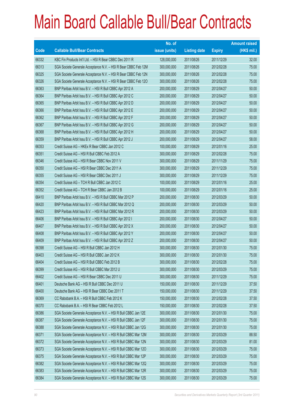|             |                                                                | No. of        |                     |               | <b>Amount raised</b> |
|-------------|----------------------------------------------------------------|---------------|---------------------|---------------|----------------------|
| <b>Code</b> | <b>Callable Bull/Bear Contracts</b>                            | issue (units) | <b>Listing date</b> | <b>Expiry</b> | $(HK$$ mil.)         |
| 66332       | KBC Fin Products Int'l Ltd. - HSI R Bear CBBC Dec 2011 R       | 128,000,000   | 2011/08/26          | 2011/12/29    | 32.00                |
| 66313       | SGA Societe Generale Acceptance N.V. - HSI R Bear CBBC Feb 12M | 300,000,000   | 2011/08/26          | 2012/02/28    | 75.00                |
| 66325       | SGA Societe Generale Acceptance N.V. - HSI R Bear CBBC Feb 12N | 300,000,000   | 2011/08/26          | 2012/02/28    | 75.00                |
| 66326       | SGA Societe Generale Acceptance N.V. - HSI R Bear CBBC Feb 12O | 300,000,000   | 2011/08/26          | 2012/02/28    | 75.00                |
| 66363       | BNP Paribas Arbit Issu B.V. - HSI R Bull CBBC Apr 2012 A       | 200,000,000   | 2011/08/29          | 2012/04/27    | 50.00                |
| 66364       | BNP Paribas Arbit Issu B.V. - HSI R Bull CBBC Apr 2012 C       | 200,000,000   | 2011/08/29          | 2012/04/27    | 50.00                |
| 66365       | BNP Paribas Arbit Issu B.V. - HSI R Bull CBBC Apr 2012 D       | 200,000,000   | 2011/08/29          | 2012/04/27    | 50.00                |
| 66366       | BNP Paribas Arbit Issu B.V. - HSI R Bull CBBC Apr 2012 E       | 200,000,000   | 2011/08/29          | 2012/04/27    | 50.00                |
| 66362       | BNP Paribas Arbit Issu B.V. - HSI R Bull CBBC Apr 2012 F       | 200,000,000   | 2011/08/29          | 2012/04/27    | 50.00                |
| 66367       | BNP Paribas Arbit Issu B.V. - HSI R Bull CBBC Apr 2012 G       | 200,000,000   | 2011/08/29          | 2012/04/27    | 50.00                |
| 66368       | BNP Paribas Arbit Issu B.V. - HSI R Bull CBBC Apr 2012 H       | 200,000,000   | 2011/08/29          | 2012/04/27    | 50.00                |
| 66359       | BNP Paribas Arbit Issu B.V. - HSI R Bull CBBC Apr 2012 J       | 200,000,000   | 2011/08/29          | 2012/04/27    | 58.00                |
| 66353       | Credit Suisse AG - HKEx R Bear CBBC Jan 2012 C                 | 100,000,000   | 2011/08/29          | 2012/01/16    | 25.00                |
| 66351       | Credit Suisse AG - HSI R Bull CBBC Feb 2012 A                  | 300,000,000   | 2011/08/29          | 2012/02/28    | 75.00                |
| 66346       | Credit Suisse AG - HSI R Bear CBBC Nov 2011 V                  | 300,000,000   | 2011/08/29          | 2011/11/29    | 75.00                |
| 66350       | Credit Suisse AG - HSI R Bear CBBC Dec 2011 A                  | 300,000,000   | 2011/08/29          | 2011/12/29    | 75.00                |
| 66355       | Credit Suisse AG - HSI R Bear CBBC Dec 2011 J                  | 300,000,000   | 2011/08/29          | 2011/12/29    | 75.00                |
| 66354       | Credit Suisse AG - TCH R Bull CBBC Jan 2012 C                  | 100,000,000   | 2011/08/29          | 2012/01/16    | 25.00                |
| 66352       | Credit Suisse AG - TCH R Bear CBBC Jan 2012 B                  | 100,000,000   | 2011/08/29          | 2012/01/16    | 25.00                |
| 66410       | BNP Paribas Arbit Issu B.V. - HSI R Bull CBBC Mar 2012 P       | 200,000,000   | 2011/08/30          | 2012/03/29    | 50.00                |
| 66420       | BNP Paribas Arbit Issu B.V. - HSI R Bull CBBC Mar 2012 Q       | 200,000,000   | 2011/08/30          | 2012/03/29    | 50.00                |
| 66423       | BNP Paribas Arbit Issu B.V. - HSI R Bull CBBC Mar 2012 R       | 200,000,000   | 2011/08/30          | 2012/03/29    | 50.00                |
| 66406       | BNP Paribas Arbit Issu B.V. - HSI R Bull CBBC Apr 2012 I       | 200,000,000   | 2011/08/30          | 2012/04/27    | 50.00                |
| 66407       | BNP Paribas Arbit Issu B.V. - HSI R Bull CBBC Apr 2012 X       | 200,000,000   | 2011/08/30          | 2012/04/27    | 50.00                |
| 66408       | BNP Paribas Arbit Issu B.V. - HSI R Bull CBBC Apr 2012 Y       | 200,000,000   | 2011/08/30          | 2012/04/27    | 50.00                |
| 66409       | BNP Paribas Arbit Issu B.V. - HSI R Bull CBBC Apr 2012 Z       | 200,000,000   | 2011/08/30          | 2012/04/27    | 50.00                |
| 66398       | Credit Suisse AG - HSI R Bull CBBC Jan 2012 H                  | 300,000,000   | 2011/08/30          | 2012/01/30    | 75.00                |
| 66403       | Credit Suisse AG - HSI R Bull CBBC Jan 2012 K                  | 300,000,000   | 2011/08/30          | 2012/01/30    | 75.00                |
| 66404       | Credit Suisse AG - HSI R Bull CBBC Feb 2012 B                  | 300,000,000   | 2011/08/30          | 2012/02/28    | 75.00                |
| 66399       | Credit Suisse AG - HSI R Bull CBBC Mar 2012 U                  | 300,000,000   | 2011/08/30          | 2012/03/29    | 75.00                |
| 66402       | Credit Suisse AG - HSI R Bear CBBC Dec 2011 U                  | 300,000,000   | 2011/08/30          | 2011/12/29    | 75.00                |
| 66401       | Deutsche Bank AG - HSI R Bull CBBC Dec 2011 U                  | 150,000,000   | 2011/08/30          | 2011/12/29    | 37.50                |
| 66400       | Deutsche Bank AG - HSI R Bear CBBC Dec 2011 T                  | 150,000,000   | 2011/08/30          | 2011/12/29    | 37.50                |
| 66369       | CC Rabobank B.A. - HSI R Bull CBBC Feb 2012 K                  | 150,000,000   | 2011/08/30          | 2012/02/28    | 37.50                |
| 66370       | CC Rabobank B.A. - HSI R Bear CBBC Feb 2012 L                  | 150,000,000   | 2011/08/30          | 2012/02/28    | 37.50                |
| 66386       | SGA Societe Generale Acceptance N.V. - HSI R Bull CBBC Jan 12E | 300,000,000   | 2011/08/30          | 2012/01/30    | 75.00                |
| 66387       | SGA Societe Generale Acceptance N.V. - HSI R Bull CBBC Jan 12F | 300,000,000   | 2011/08/30          | 2012/01/30    | 75.00                |
| 66388       | SGA Societe Generale Acceptance N.V. - HSI R Bull CBBC Jan 12G | 300,000,000   | 2011/08/30          | 2012/01/30    | 75.00                |
| 66371       | SGA Societe Generale Acceptance N.V. - HSI R Bull CBBC Mar 12M | 300,000,000   | 2011/08/30          | 2012/03/29    | 88.50                |
| 66372       | SGA Societe Generale Acceptance N.V. - HSI R Bull CBBC Mar 12N | 300,000,000   | 2011/08/30          | 2012/03/29    | 81.00                |
| 66373       | SGA Societe Generale Acceptance N.V. - HSI R Bull CBBC Mar 12O | 300,000,000   | 2011/08/30          | 2012/03/29    | 75.00                |
| 66375       | SGA Societe Generale Acceptance N.V. - HSI R Bull CBBC Mar 12P | 300,000,000   | 2011/08/30          | 2012/03/29    | 75.00                |
| 66382       | SGA Societe Generale Acceptance N.V. - HSI R Bull CBBC Mar 12Q | 300,000,000   | 2011/08/30          | 2012/03/29    | 75.00                |
| 66383       | SGA Societe Generale Acceptance N.V. - HSI R Bull CBBC Mar 12R | 300,000,000   | 2011/08/30          | 2012/03/29    | 75.00                |
| 66384       | SGA Societe Generale Acceptance N.V. - HSI R Bull CBBC Mar 12S | 300,000,000   | 2011/08/30          | 2012/03/29    | 75.00                |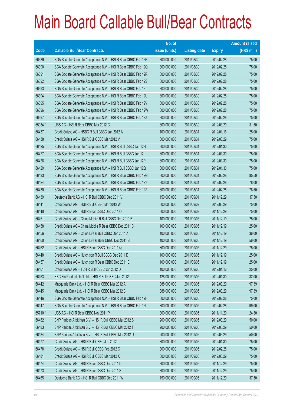|             |                                                                | No. of        |                     |               | <b>Amount raised</b> |
|-------------|----------------------------------------------------------------|---------------|---------------------|---------------|----------------------|
| <b>Code</b> | <b>Callable Bull/Bear Contracts</b>                            | issue (units) | <b>Listing date</b> | <b>Expiry</b> | (HK\$ mil.)          |
| 66389       | SGA Societe Generale Acceptance N.V. - HSI R Bear CBBC Feb 12P | 300,000,000   | 2011/08/30          | 2012/02/28    | 75.00                |
| 66390       | SGA Societe Generale Acceptance N.V. - HSI R Bear CBBC Feb 12Q | 300,000,000   | 2011/08/30          | 2012/02/28    | 75.00                |
| 66391       | SGA Societe Generale Acceptance N.V. - HSI R Bear CBBC Feb 12R | 300,000,000   | 2011/08/30          | 2012/02/28    | 75.00                |
| 66392       | SGA Societe Generale Acceptance N.V. - HSI R Bear CBBC Feb 12S | 300,000,000   | 2011/08/30          | 2012/02/28    | 75.00                |
| 66393       | SGA Societe Generale Acceptance N.V. - HSI R Bear CBBC Feb 12T | 300,000,000   | 2011/08/30          | 2012/02/28    | 75.00                |
| 66394       | SGA Societe Generale Acceptance N.V. - HSI R Bear CBBC Feb 12U | 300,000,000   | 2011/08/30          | 2012/02/28    | 75.00                |
| 66395       | SGA Societe Generale Acceptance N.V. - HSI R Bear CBBC Feb 12V | 300,000,000   | 2011/08/30          | 2012/02/28    | 75.00                |
| 66396       | SGA Societe Generale Acceptance N.V. - HSI R Bear CBBC Feb 12W | 300,000,000   | 2011/08/30          | 2012/02/28    | 75.00                |
| 66397       | SGA Societe Generale Acceptance N.V. - HSI R Bear CBBC Feb 12X | 300,000,000   | 2011/08/30          | 2012/02/28    | 75.00                |
| 65984 #     | UBS AG - HSI R Bear CBBC Mar 2012 G                            | 300,000,000   | 2011/08/30          | 2012/03/29    | 31.50                |
| 66437       | Credit Suisse AG - HSBC R Bull CBBC Jan 2012 A                 | 100,000,000   | 2011/08/31          | 2012/01/16    | 25.00                |
| 66438       | Credit Suisse AG - HSI R Bull CBBC Mar 2012 V                  | 300,000,000   | 2011/08/31          | 2012/03/29    | 75.00                |
| 66425       | SGA Societe Generale Acceptance N.V. - HSI R Bull CBBC Jan 12H | 300,000,000   | 2011/08/31          | 2012/01/30    | 75.00                |
| 66427       | SGA Societe Generale Acceptance N.V. - HSI R Bull CBBC Jan 121 | 300,000,000   | 2011/08/31          | 2012/01/30    | 75.00                |
| 66428       | SGA Societe Generale Acceptance N.V. - HSI R Bull CBBC Jan 12P | 300,000,000   | 2011/08/31          | 2012/01/30    | 75.00                |
| 66429       | SGA Societe Generale Acceptance N.V. - HSI R Bull CBBC Jan 12Q | 300,000,000   | 2011/08/31          | 2012/01/30    | 75.00                |
| 66433       | SGA Societe Generale Acceptance N.V. - HSI R Bear CBBC Feb 12G | 300,000,000   | 2011/08/31          | 2012/02/28    | 85.50                |
| 66424       | SGA Societe Generale Acceptance N.V. - HSI R Bear CBBC Feb 12Y | 300,000,000   | 2011/08/31          | 2012/02/28    | 78.00                |
| 66430       | SGA Societe Generale Acceptance N.V. - HSI R Bear CBBC Feb 12Z | 300,000,000   | 2011/08/31          | 2012/02/28    | 76.50                |
| 66439       | Deutsche Bank AG - HSI R Bull CBBC Dec 2011 V                  | 150,000,000   | 2011/09/01          | 2011/12/29    | 37.50                |
| 66441       | Credit Suisse AG - HSI R Bull CBBC Mar 2012 W                  | 300,000,000   | 2011/09/02          | 2012/03/29    | 75.00                |
| 66440       | Credit Suisse AG - HSI R Bear CBBC Dec 2011 O                  | 300,000,000   | 2011/09/02          | 2011/12/29    | 75.00                |
| 66451       | Credit Suisse AG - China Mobile R Bull CBBC Dec 2011 B         | 100,000,000   | 2011/09/05          | 2011/12/19    | 25.00                |
| 66458       | Credit Suisse AG - China Mobile R Bear CBBC Dec 2011 C         | 100,000,000   | 2011/09/05          | 2011/12/19    | 25.00                |
| 66456       | Credit Suisse AG - China Life R Bull CBBC Dec 2011 A           | 100,000,000   | 2011/09/05          | 2011/12/19    | 36.00                |
| 66460       | Credit Suisse AG - China Life R Bear CBBC Dec 2011 B           | 100,000,000   | 2011/09/05          | 2011/12/19    | 56.00                |
| 66462       | Credit Suisse AG - HSI R Bear CBBC Dec 2011 Q                  | 300,000,000   | 2011/09/05          | 2011/12/29    | 75.00                |
| 66448       | Credit Suisse AG - Hutchison R Bull CBBC Dec 2011 D            | 100,000,000   | 2011/09/05          | 2011/12/19    | 25.00                |
| 66457       | Credit Suisse AG - Hutchison R Bear CBBC Dec 2011 E            | 100,000,000   | 2011/09/05          | 2011/12/19    | 25.00                |
| 66461       | Credit Suisse AG - TCH R Bull CBBC Jan 2012 D                  | 100,000,000   | 2011/09/05          | 2012/01/16    | 25.00                |
| 66463       | KBC Fin Products Int'l Ltd. - HSI R Bull CBBC Jan 2012 I       | 128,000,000   | 2011/09/05          | 2012/01/30    | 32.00                |
| 66442       | Macquarie Bank Ltd. - HSI R Bear CBBC Mar 2012 A               | 388,000,000   | 2011/09/05          | 2012/03/29    | 97.39                |
| 66445       | Macquarie Bank Ltd. - HSI R Bear CBBC Mar 2012 B               | 388,000,000   | 2011/09/05          | 2012/03/29    | 97.39                |
| 66446       | SGA Societe Generale Acceptance N.V. - HSI R Bear CBBC Feb 12H | 300,000,000   | 2011/09/05          | 2012/02/28    | 75.00                |
| 66447       | SGA Societe Generale Acceptance N.V. - HSI R Bear CBBC Feb 121 | 300,000,000   | 2011/09/05          | 2012/02/28    | 99.00                |
| 65710 #     | UBS AG - HSI R Bear CBBC Nov 2011 P                            | 300,000,000   | 2011/09/05          | 2011/11/29    | 24.30                |
| 66482       | BNP Paribas Arbit Issu B.V. - HSI R Bull CBBC Mar 2012 S       | 200,000,000   | 2011/09/06          | 2012/03/29    | 50.00                |
| 66483       | BNP Paribas Arbit Issu B.V. - HSI R Bull CBBC Mar 2012 T       | 200,000,000   | 2011/09/06          | 2012/03/29    | 50.00                |
| 66484       | BNP Paribas Arbit Issu B.V. - HSI R Bull CBBC Mar 2012 U       | 200,000,000   | 2011/09/06          | 2012/03/29    | 50.00                |
| 66477       | Credit Suisse AG - HSI R Bull CBBC Jan 2012 I                  | 300,000,000   | 2011/09/06          | 2012/01/30    | 75.00                |
| 66478       | Credit Suisse AG - HSI R Bull CBBC Feb 2012 C                  | 300,000,000   | 2011/09/06          | 2012/02/28    | 75.00                |
| 66481       | Credit Suisse AG - HSI R Bull CBBC Mar 2012 X                  | 300,000,000   | 2011/09/06          | 2012/03/29    | 75.00                |
| 66474       | Credit Suisse AG - HSI R Bear CBBC Dec 2011 D                  | 300,000,000   | 2011/09/06          | 2011/12/29    | 75.00                |
| 66473       | Credit Suisse AG - HSI R Bear CBBC Dec 2011 S                  | 300,000,000   | 2011/09/06          | 2011/12/29    | 75.00                |
| 66465       | Deutsche Bank AG - HSI R Bull CBBC Dec 2011 W                  | 150,000,000   | 2011/09/06          | 2011/12/29    | 37.50                |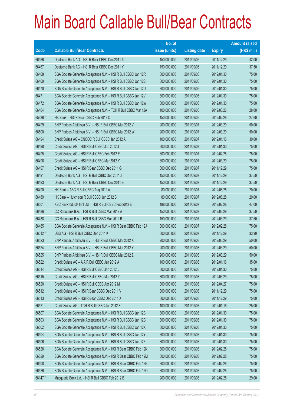|         |                                                                | No. of        |                     |               | <b>Amount raised</b> |
|---------|----------------------------------------------------------------|---------------|---------------------|---------------|----------------------|
| Code    | <b>Callable Bull/Bear Contracts</b>                            | issue (units) | <b>Listing date</b> | <b>Expiry</b> | (HK\$ mil.)          |
| 66466   | Deutsche Bank AG - HSI R Bear CBBC Dec 2011 X                  | 150,000,000   | 2011/09/06          | 2011/12/29    | 42.00                |
| 66467   | Deutsche Bank AG - HSI R Bear CBBC Dec 2011 Y                  | 150,000,000   | 2011/09/06          | 2011/12/29    | 37.50                |
| 66468   | SGA Societe Generale Acceptance N.V. - HSI R Bull CBBC Jan 12R | 300,000,000   | 2011/09/06          | 2012/01/30    | 75.00                |
| 66469   | SGA Societe Generale Acceptance N.V. - HSI R Bull CBBC Jan 12S | 300,000,000   | 2011/09/06          | 2012/01/30    | 75.00                |
| 66470   | SGA Societe Generale Acceptance N.V. - HSI R Bull CBBC Jan 12U | 300,000,000   | 2011/09/06          | 2012/01/30    | 75.00                |
| 66471   | SGA Societe Generale Acceptance N.V. - HSI R Bull CBBC Jan 12V | 300,000,000   | 2011/09/06          | 2012/01/30    | 75.00                |
| 66472   | SGA Societe Generale Acceptance N.V. - HSI R Bull CBBC Jan 12W | 300,000,000   | 2011/09/06          | 2012/01/30    | 75.00                |
| 66464   | SGA Societe Generale Acceptance N.V. - TCH R Bull CBBC Mar 12A | 100,000,000   | 2011/09/06          | 2012/03/26    | 28.00                |
| 65336 # | HK Bank - HSI R Bear CBBC Feb 2012 C                           | 150,000,000   | 2011/09/06          | 2012/02/28    | 27.60                |
| 66499   | BNP Paribas Arbit Issu B.V. - HSI R Bull CBBC Mar 2012 V       | 200,000,000   | 2011/09/07          | 2012/03/29    | 50.00                |
| 66500   | BNP Paribas Arbit Issu B.V. - HSI R Bull CBBC Mar 2012 W       | 200,000,000   | 2011/09/07          | 2012/03/29    | 50.00                |
| 66494   | Credit Suisse AG - CNOOC R Bull CBBC Jan 2012 A                | 100,000,000   | 2011/09/07          | 2012/01/16    | 30.00                |
| 66498   | Credit Suisse AG - HSI R Bull CBBC Jan 2012 J                  | 300,000,000   | 2011/09/07          | 2012/01/30    | 75.00                |
| 66495   | Credit Suisse AG - HSI R Bull CBBC Feb 2012 E                  | 300,000,000   | 2011/09/07          | 2012/02/28    | 75.00                |
| 66496   | Credit Suisse AG - HSI R Bull CBBC Mar 2012 Y                  | 300,000,000   | 2011/09/07          | 2012/03/29    | 75.00                |
| 66497   | Credit Suisse AG - HSI R Bear CBBC Dec 2011 G                  | 300,000,000   | 2011/09/07          | 2011/12/29    | 75.00                |
| 66491   | Deutsche Bank AG - HSI R Bull CBBC Dec 2011 Z                  | 150,000,000   | 2011/09/07          | 2011/12/29    | 37.50                |
| 66493   | Deutsche Bank AG - HSI R Bear CBBC Dec 2011 E                  | 150,000,000   | 2011/09/07          | 2011/12/29    | 37.50                |
| 66490   | HK Bank - ABC R Bull CBBC Aug 2012 A                           | 80,000,000    | 2011/09/07          | 2012/08/28    | 20.00                |
| 66489   | HK Bank - Hutchison R Bull CBBC Jun 2012 B                     | 80,000,000    | 2011/09/07          | 2012/06/28    | 20.00                |
| 66501   | KBC Fin Products Int'l Ltd. - HSI R Bull CBBC Feb 2012 E       | 188,000,000   | 2011/09/07          | 2012/02/28    | 47.00                |
| 66486   | CC Rabobank B.A. - HSI R Bull CBBC Mar 2012 A                  | 150,000,000   | 2011/09/07          | 2012/03/29    | 37.50                |
| 66488   | CC Rabobank B.A. - HSI R Bull CBBC Mar 2012 B                  | 150,000,000   | 2011/09/07          | 2012/03/29    | 37.50                |
| 66485   | SGA Societe Generale Acceptance N.V. - HSI R Bear CBBC Feb 12J | 300,000,000   | 2011/09/07          | 2012/02/28    | 75.00                |
| 66012#  | UBS AG - HSI R Bull CBBC Dec 2011 K                            | 300,000,000   | 2011/09/07          | 2011/12/29    | 33.90                |
| 66523   | BNP Paribas Arbit Issu B.V. - HSI R Bull CBBC Mar 2012 X       | 200,000,000   | 2011/09/08          | 2012/03/29    | 50.00                |
| 66524   | BNP Paribas Arbit Issu B.V. - HSI R Bull CBBC Mar 2012 Y       | 200,000,000   | 2011/09/08          | 2012/03/29    | 50.00                |
| 66525   | BNP Paribas Arbit Issu B.V. - HSI R Bull CBBC Mar 2012 Z       | 200,000,000   | 2011/09/08          | 2012/03/29    | 50.00                |
| 66522   | Credit Suisse AG - AIA R Bull CBBC Jan 2012 A                  | 100,000,000   | 2011/09/08          | 2012/01/16    | 35.00                |
| 66514   | Credit Suisse AG - HSI R Bull CBBC Jan 2012 L                  | 300,000,000   | 2011/09/08          | 2012/01/30    | 75.00                |
| 66515   | Credit Suisse AG - HSI R Bull CBBC Mar 2012 Z                  | 300,000,000   | 2011/09/08          | 2012/03/29    | 75.00                |
| 66520   | Credit Suisse AG - HSI R Bull CBBC Apr 2012 M                  | 300,000,000   | 2011/09/08          | 2012/04/27    | 75.00                |
| 66512   | Credit Suisse AG - HSI R Bear CBBC Dec 2011 V                  | 300,000,000   | 2011/09/08          | 2011/12/29    | 75.00                |
| 66513   | Credit Suisse AG - HSI R Bear CBBC Dec 2011 X                  | 300,000,000   | 2011/09/08          | 2011/12/29    | 75.00                |
| 66521   | Credit Suisse AG - TCH R Bull CBBC Jan 2012 E                  | 100,000,000   | 2011/09/08          | 2012/01/16    | 25.00                |
| 66507   | SGA Societe Generale Acceptance N.V. - HSI R Bull CBBC Jan 12B | 300,000,000   | 2011/09/08          | 2012/01/30    | 75.00                |
| 66503   | SGA Societe Generale Acceptance N.V. - HSI R Bull CBBC Jan 12C | 300,000,000   | 2011/09/08          | 2012/01/30    | 75.00                |
| 66502   | SGA Societe Generale Acceptance N.V. - HSI R Bull CBBC Jan 12X | 300,000,000   | 2011/09/08          | 2012/01/30    | 75.00                |
| 66504   | SGA Societe Generale Acceptance N.V. - HSI R Bull CBBC Jan 12Y | 300,000,000   | 2011/09/08          | 2012/01/30    | 75.00                |
| 66506   | SGA Societe Generale Acceptance N.V. - HSI R Bull CBBC Jan 12Z | 300,000,000   | 2011/09/08          | 2012/01/30    | 75.00                |
| 66528   | SGA Societe Generale Acceptance N.V. - HSI R Bear CBBC Feb 12K | 300,000,000   | 2011/09/08          | 2012/02/28    | 75.00                |
| 66529   | SGA Societe Generale Acceptance N.V. - HSI R Bear CBBC Feb 12M | 300,000,000   | 2011/09/08          | 2012/02/28    | 75.00                |
| 66508   | SGA Societe Generale Acceptance N.V. - HSI R Bear CBBC Feb 12N | 300,000,000   | 2011/09/08          | 2012/02/28    | 75.00                |
| 66526   | SGA Societe Generale Acceptance N.V. - HSI R Bear CBBC Feb 12O | 300,000,000   | 2011/09/08          | 2012/02/28    | 75.00                |
| 66147#  | Macquarie Bank Ltd. - HSI R Bull CBBC Feb 2012 B               | 200,000,000   | 2011/09/08          | 2012/02/28    | 29.00                |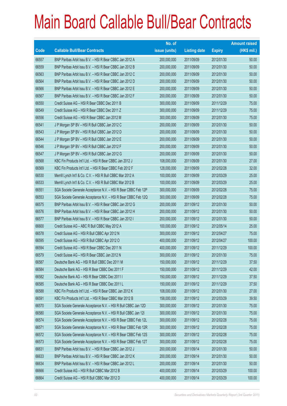|       |                                                                | No. of        |                     |               | <b>Amount raised</b> |
|-------|----------------------------------------------------------------|---------------|---------------------|---------------|----------------------|
| Code  | <b>Callable Bull/Bear Contracts</b>                            | issue (units) | <b>Listing date</b> | <b>Expiry</b> | (HK\$ mil.)          |
| 66557 | BNP Paribas Arbit Issu B.V. - HSI R Bear CBBC Jan 2012 A       | 200,000,000   | 2011/09/09          | 2012/01/30    | 50.00                |
| 66559 | BNP Paribas Arbit Issu B.V. - HSI R Bear CBBC Jan 2012 B       | 200,000,000   | 2011/09/09          | 2012/01/30    | 50.00                |
| 66563 | BNP Paribas Arbit Issu B.V. - HSI R Bear CBBC Jan 2012 C       | 200,000,000   | 2011/09/09          | 2012/01/30    | 50.00                |
| 66564 | BNP Paribas Arbit Issu B.V. - HSI R Bear CBBC Jan 2012 D       | 200,000,000   | 2011/09/09          | 2012/01/30    | 50.00                |
| 66566 | BNP Paribas Arbit Issu B.V. - HSI R Bear CBBC Jan 2012 E       | 200,000,000   | 2011/09/09          | 2012/01/30    | 50.00                |
| 66567 | BNP Paribas Arbit Issu B.V. - HSI R Bear CBBC Jan 2012 F       | 200,000,000   | 2011/09/09          | 2012/01/30    | 50.00                |
| 66550 | Credit Suisse AG - HSI R Bear CBBC Dec 2011 B                  | 300,000,000   | 2011/09/09          | 2011/12/29    | 75.00                |
| 66549 | Credit Suisse AG - HSI R Bear CBBC Dec 2011 Z                  | 300,000,000   | 2011/09/09          | 2011/12/29    | 75.00                |
| 66556 | Credit Suisse AG - HSI R Bear CBBC Jan 2012 M                  | 300,000,000   | 2011/09/09          | 2012/01/30    | 75.00                |
| 66541 | J P Morgan SP BV - HSI R Bull CBBC Jan 2012 C                  | 200,000,000   | 2011/09/09          | 2012/01/30    | 50.00                |
| 66543 | J P Morgan SP BV - HSI R Bull CBBC Jan 2012 D                  | 200,000,000   | 2011/09/09          | 2012/01/30    | 50.00                |
| 66544 | J P Morgan SP BV - HSI R Bull CBBC Jan 2012 E                  | 200,000,000   | 2011/09/09          | 2012/01/30    | 50.00                |
| 66546 | J P Morgan SP BV - HSI R Bull CBBC Jan 2012 F                  | 200,000,000   | 2011/09/09          | 2012/01/30    | 50.00                |
| 66547 | J P Morgan SP BV - HSI R Bull CBBC Jan 2012 G                  | 200,000,000   | 2011/09/09          | 2012/01/30    | 50.00                |
| 66568 | KBC Fin Products Int'l Ltd. - HSI R Bear CBBC Jan 2012 J       | 108,000,000   | 2011/09/09          | 2012/01/30    | 27.00                |
| 66569 | KBC Fin Products Int'l Ltd. - HSI R Bear CBBC Feb 2012 F       | 128,000,000   | 2011/09/09          | 2012/02/28    | 32.00                |
| 66530 | Merrill Lynch Int'l & Co. C.V. - HSI R Bull CBBC Mar 2012 A    | 100,000,000   | 2011/09/09          | 2012/03/29    | 25.00                |
| 66533 | Merrill Lynch Int'l & Co. C.V. - HSI R Bull CBBC Mar 2012 B    | 100,000,000   | 2011/09/09          | 2012/03/29    | 25.00                |
| 66551 | SGA Societe Generale Acceptance N.V. - HSI R Bear CBBC Feb 12P | 300,000,000   | 2011/09/09          | 2012/02/28    | 75.00                |
| 66553 | SGA Societe Generale Acceptance N.V. - HSI R Bear CBBC Feb 12Q | 300,000,000   | 2011/09/09          | 2012/02/28    | 75.00                |
| 66575 | BNP Paribas Arbit Issu B.V. - HSI R Bear CBBC Jan 2012 G       | 200,000,000   | 2011/09/12          | 2012/01/30    | 50.00                |
| 66576 | BNP Paribas Arbit Issu B.V. - HSI R Bear CBBC Jan 2012 H       | 200,000,000   | 2011/09/12          | 2012/01/30    | 50.00                |
| 66577 | BNP Paribas Arbit Issu B.V. - HSI R Bear CBBC Jan 2012 I       | 200,000,000   | 2011/09/12          | 2012/01/30    | 50.00                |
| 66600 | Credit Suisse AG - ABC R Bull CBBC May 2012 A                  | 100,000,000   | 2011/09/12          | 2012/05/14    | 25.00                |
| 66578 | Credit Suisse AG - HSI R Bull CBBC Apr 2012 N                  | 300,000,000   | 2011/09/12          | 2012/04/27    | 75.00                |
| 66595 | Credit Suisse AG - HSI R Bull CBBC Apr 2012 O                  | 400,000,000   | 2011/09/12          | 2012/04/27    | 100.00               |
| 66594 | Credit Suisse AG - HSI R Bear CBBC Dec 2011 N                  | 400,000,000   | 2011/09/12          | 2011/12/29    | 100.00               |
| 66579 | Credit Suisse AG - HSI R Bear CBBC Jan 2012 N                  | 300,000,000   | 2011/09/12          | 2012/01/30    | 75.00                |
| 66587 | Deutsche Bank AG - HSI R Bull CBBC Dec 2011 M                  | 150,000,000   | 2011/09/12          | 2011/12/29    | 37.50                |
| 66584 | Deutsche Bank AG - HSI R Bear CBBC Dec 2011 F                  | 150,000,000   | 2011/09/12          | 2011/12/29    | 42.00                |
| 66582 | Deutsche Bank AG - HSI R Bear CBBC Dec 2011 I                  | 150,000,000   | 2011/09/12          | 2011/12/29    | 37.50                |
| 66585 | Deutsche Bank AG - HSI R Bear CBBC Dec 2011 L                  | 150,000,000   | 2011/09/12          | 2011/12/29    | 37.50                |
| 66588 | KBC Fin Products Int'l Ltd. - HSI R Bear CBBC Jan 2012 K       | 108,000,000   | 2011/09/12          | 2012/01/30    | 27.00                |
| 66591 | KBC Fin Products Int'l Ltd. - HSI R Bear CBBC Mar 2012 B       | 158,000,000   | 2011/09/12          | 2012/03/29    | 39.50                |
| 66570 | SGA Societe Generale Acceptance N.V. - HSI R Bull CBBC Jan 12D | 300,000,000   | 2011/09/12          | 2012/01/30    | 75.00                |
| 66580 | SGA Societe Generale Acceptance N.V. - HSI R Bull CBBC Jan 121 | 300,000,000   | 2011/09/12          | 2012/01/30    | 75.00                |
| 66574 | SGA Societe Generale Acceptance N.V. - HSI R Bear CBBC Feb 12L | 300,000,000   | 2011/09/12          | 2012/02/28    | 75.00                |
| 66571 | SGA Societe Generale Acceptance N.V. - HSI R Bear CBBC Feb 12R | 300,000,000   | 2011/09/12          | 2012/02/28    | 75.00                |
| 66572 | SGA Societe Generale Acceptance N.V. - HSI R Bear CBBC Feb 12S | 300,000,000   | 2011/09/12          | 2012/02/28    | 75.00                |
| 66573 | SGA Societe Generale Acceptance N.V. - HSI R Bear CBBC Feb 12T | 300,000,000   | 2011/09/12          | 2012/02/28    | 75.00                |
| 66631 | BNP Paribas Arbit Issu B.V. - HSI R Bear CBBC Jan 2012 J       | 200,000,000   | 2011/09/14          | 2012/01/30    | 50.00                |
| 66633 | BNP Paribas Arbit Issu B.V. - HSI R Bear CBBC Jan 2012 K       | 200,000,000   | 2011/09/14          | 2012/01/30    | 50.00                |
| 66634 | BNP Paribas Arbit Issu B.V. - HSI R Bear CBBC Jan 2012 L       | 200,000,000   | 2011/09/14          | 2012/01/30    | 50.00                |
| 66666 | Credit Suisse AG - HSI R Bull CBBC Mar 2012 B                  | 400,000,000   | 2011/09/14          | 2012/03/29    | 100.00               |
| 66664 | Credit Suisse AG - HSI R Bull CBBC Mar 2012 D                  | 400,000,000   | 2011/09/14          | 2012/03/29    | 100.00               |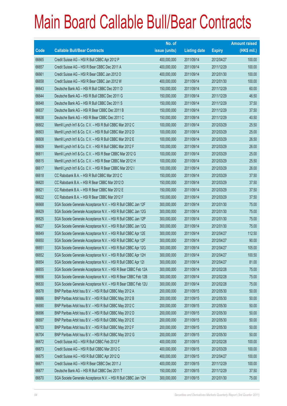|             |                                                                | No. of        |                     |               | <b>Amount raised</b> |
|-------------|----------------------------------------------------------------|---------------|---------------------|---------------|----------------------|
| <b>Code</b> | <b>Callable Bull/Bear Contracts</b>                            | issue (units) | <b>Listing date</b> | <b>Expiry</b> | (HK\$ mil.)          |
| 66665       | Credit Suisse AG - HSI R Bull CBBC Apr 2012 P                  | 400,000,000   | 2011/09/14          | 2012/04/27    | 100.00               |
| 66657       | Credit Suisse AG - HSI R Bear CBBC Dec 2011 A                  | 400,000,000   | 2011/09/14          | 2011/12/29    | 100.00               |
| 66661       | Credit Suisse AG - HSI R Bear CBBC Jan 2012 O                  | 400,000,000   | 2011/09/14          | 2012/01/30    | 100.00               |
| 66658       | Credit Suisse AG - HSI R Bear CBBC Jan 2012 W                  | 400,000,000   | 2011/09/14          | 2012/01/30    | 100.00               |
| 66643       | Deutsche Bank AG - HSI R Bull CBBC Dec 2011 D                  | 150,000,000   | 2011/09/14          | 2011/12/29    | 60.00                |
| 66644       | Deutsche Bank AG - HSI R Bull CBBC Dec 2011 G                  | 150,000,000   | 2011/09/14          | 2011/12/29    | 46.50                |
| 66648       | Deutsche Bank AG - HSI R Bull CBBC Dec 2011 S                  | 150,000,000   | 2011/09/14          | 2011/12/29    | 37.50                |
| 66637       | Deutsche Bank AG - HSI R Bear CBBC Dec 2011 B                  | 150,000,000   | 2011/09/14          | 2011/12/29    | 37.50                |
| 66638       | Deutsche Bank AG - HSI R Bear CBBC Dec 2011 C                  | 150,000,000   | 2011/09/14          | 2011/12/29    | 40.50                |
| 66602       | Merrill Lynch Int'l & Co. C.V. - HSI R Bull CBBC Mar 2012 C    | 100,000,000   | 2011/09/14          | 2012/03/29    | 25.50                |
| 66603       | Merrill Lynch Int'l & Co. C.V. - HSI R Bull CBBC Mar 2012 D    | 100,000,000   | 2011/09/14          | 2012/03/29    | 25.00                |
| 66608       | Merrill Lynch Int'l & Co. C.V. - HSI R Bull CBBC Mar 2012 E    | 100,000,000   | 2011/09/14          | 2012/03/29    | 26.50                |
| 66609       | Merrill Lynch Int'l & Co. C.V. - HSI R Bull CBBC Mar 2012 F    | 100,000,000   | 2011/09/14          | 2012/03/29    | 26.00                |
| 66611       | Merrill Lynch Int'l & Co. C.V. - HSI R Bear CBBC Mar 2012 G    | 100,000,000   | 2011/09/14          | 2012/03/29    | 25.00                |
| 66615       | Merrill Lynch Int'l & Co. C.V. - HSI R Bear CBBC Mar 2012 H    | 100,000,000   | 2011/09/14          | 2012/03/29    | 25.50                |
| 66617       | Merrill Lynch Int'l & Co. C.V. - HSI R Bear CBBC Mar 2012 I    | 100,000,000   | 2011/09/14          | 2012/03/29    | 26.00                |
| 66618       | CC Rabobank B.A. - HSI R Bull CBBC Mar 2012 C                  | 150,000,000   | 2011/09/14          | 2012/03/29    | 37.50                |
| 66620       | CC Rabobank B.A. - HSI R Bear CBBC Mar 2012 D                  | 150,000,000   | 2011/09/14          | 2012/03/29    | 37.50                |
| 66621       | CC Rabobank B.A. - HSI R Bear CBBC Mar 2012 E                  | 150,000,000   | 2011/09/14          | 2012/03/29    | 37.50                |
| 66622       | CC Rabobank B.A. - HSI R Bear CBBC Mar 2012 F                  | 150,000,000   | 2011/09/14          | 2012/03/29    | 37.50                |
| 66668       | SGA Societe Generale Acceptance N.V. - HSI R Bull CBBC Jan 12F | 300,000,000   | 2011/09/14          | 2012/01/30    | 75.00                |
| 66629       | SGA Societe Generale Acceptance N.V. - HSI R Bull CBBC Jan 12G | 300,000,000   | 2011/09/14          | 2012/01/30    | 75.00                |
| 66625       | SGA Societe Generale Acceptance N.V. - HSI R Bull CBBC Jan 12P | 300,000,000   | 2011/09/14          | 2012/01/30    | 75.00                |
| 66627       | SGA Societe Generale Acceptance N.V. - HSI R Bull CBBC Jan 12Q | 300,000,000   | 2011/09/14          | 2012/01/30    | 75.00                |
| 66649       | SGA Societe Generale Acceptance N.V. - HSI R Bull CBBC Apr 12E | 300,000,000   | 2011/09/14          | 2012/04/27    | 112.50               |
| 66650       | SGA Societe Generale Acceptance N.V. - HSI R Bull CBBC Apr 12F | 300,000,000   | 2011/09/14          | 2012/04/27    | 90.00                |
| 66651       | SGA Societe Generale Acceptance N.V. - HSI R Bull CBBC Apr 12G | 300,000,000   | 2011/09/14          | 2012/04/27    | 105.00               |
| 66652       | SGA Societe Generale Acceptance N.V. - HSI R Bull CBBC Apr 12H | 300,000,000   | 2011/09/14          | 2012/04/27    | 100.50               |
| 66654       | SGA Societe Generale Acceptance N.V. - HSI R Bull CBBC Apr 121 | 300,000,000   | 2011/09/14          | 2012/04/27    | 81.00                |
| 66655       | SGA Societe Generale Acceptance N.V. - HSI R Bear CBBC Feb 12A | 300,000,000   | 2011/09/14          | 2012/02/28    | 75.00                |
| 66656       | SGA Societe Generale Acceptance N.V. - HSI R Bear CBBC Feb 12B | 300,000,000   | 2011/09/14          | 2012/02/28    | 75.00                |
| 66630       | SGA Societe Generale Acceptance N.V. - HSI R Bear CBBC Feb 12U | 300,000,000   | 2011/09/14          | 2012/02/28    | 75.00                |
| 66678       | BNP Paribas Arbit Issu B.V. - HSI R Bull CBBC May 2012 A       | 200,000,000   | 2011/09/15          | 2012/05/30    | 50.00                |
| 66686       | BNP Paribas Arbit Issu B.V. - HSI R Bull CBBC May 2012 B       | 200,000,000   | 2011/09/15          | 2012/05/30    | 50.00                |
| 66690       | BNP Paribas Arbit Issu B.V. - HSI R Bull CBBC May 2012 C       | 200,000,000   | 2011/09/15          | 2012/05/30    | 50.00                |
| 66696       | BNP Paribas Arbit Issu B.V. - HSI R Bull CBBC May 2012 D       | 200,000,000   | 2011/09/15          | 2012/05/30    | 50.00                |
| 66697       | BNP Paribas Arbit Issu B.V. - HSI R Bull CBBC May 2012 E       | 200,000,000   | 2011/09/15          | 2012/05/30    | 50.00                |
| 66703       | BNP Paribas Arbit Issu B.V. - HSI R Bull CBBC May 2012 F       | 200,000,000   | 2011/09/15          | 2012/05/30    | 50.00                |
| 66704       | BNP Paribas Arbit Issu B.V. - HSI R Bull CBBC May 2012 G       | 200,000,000   | 2011/09/15          | 2012/05/30    | 50.00                |
| 66672       | Credit Suisse AG - HSI R Bull CBBC Feb 2012 F                  | 400,000,000   | 2011/09/15          | 2012/02/28    | 100.00               |
| 66673       | Credit Suisse AG - HSI R Bull CBBC Mar 2012 C                  | 400,000,000   | 2011/09/15          | 2012/03/29    | 100.00               |
| 66675       | Credit Suisse AG - HSI R Bull CBBC Apr 2012 Q                  | 400,000,000   | 2011/09/15          | 2012/04/27    | 100.00               |
| 66671       | Credit Suisse AG - HSI R Bear CBBC Dec 2011 J                  | 400,000,000   | 2011/09/15          | 2011/12/29    | 100.00               |
| 66677       | Deutsche Bank AG - HSI R Bull CBBC Dec 2011 T                  | 150,000,000   | 2011/09/15          | 2011/12/29    | 37.50                |
| 66670       | SGA Societe Generale Acceptance N.V. - HSI R Bull CBBC Jan 12H | 300,000,000   | 2011/09/15          | 2012/01/30    | 75.00                |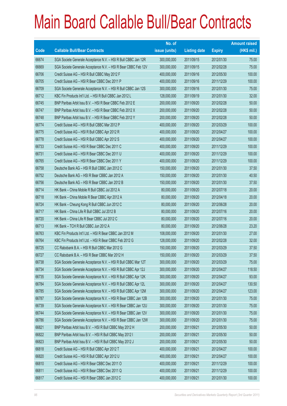|       |                                                                | No. of        |                     |               | <b>Amount raised</b> |
|-------|----------------------------------------------------------------|---------------|---------------------|---------------|----------------------|
| Code  | <b>Callable Bull/Bear Contracts</b>                            | issue (units) | <b>Listing date</b> | <b>Expiry</b> | (HK\$ mil.)          |
| 66674 | SGA Societe Generale Acceptance N.V. - HSI R Bull CBBC Jan 12R | 300,000,000   | 2011/09/15          | 2012/01/30    | 75.00                |
| 66669 | SGA Societe Generale Acceptance N.V. - HSI R Bear CBBC Feb 12V | 300,000,000   | 2011/09/15          | 2012/02/28    | 75.00                |
| 66706 | Credit Suisse AG - HSI R Bull CBBC May 2012 F                  | 400,000,000   | 2011/09/16          | 2012/05/30    | 100.00               |
| 66705 | Credit Suisse AG - HSI R Bear CBBC Dec 2011 P                  | 400,000,000   | 2011/09/16          | 2011/12/29    | 100.00               |
| 66709 | SGA Societe Generale Acceptance N.V. - HSI R Bull CBBC Jan 12S | 300,000,000   | 2011/09/16          | 2012/01/30    | 75.00                |
| 66712 | KBC Fin Products Int'l Ltd. - HSI R Bull CBBC Jan 2012 L       | 128,000,000   | 2011/09/19          | 2012/01/30    | 32.00                |
| 66745 | BNP Paribas Arbit Issu B.V. - HSI R Bear CBBC Feb 2012 E       | 200,000,000   | 2011/09/20          | 2012/02/28    | 50.00                |
| 66747 | BNP Paribas Arbit Issu B.V. - HSI R Bear CBBC Feb 2012 X       | 200,000,000   | 2011/09/20          | 2012/02/28    | 50.00                |
| 66748 | BNP Paribas Arbit Issu B.V. - HSI R Bear CBBC Feb 2012 Y       | 200,000,000   | 2011/09/20          | 2012/02/28    | 50.00                |
| 66774 | Credit Suisse AG - HSI R Bull CBBC Mar 2012 P                  | 400,000,000   | 2011/09/20          | 2012/03/29    | 100.00               |
| 66775 | Credit Suisse AG - HSI R Bull CBBC Apr 2012 R                  | 400,000,000   | 2011/09/20          | 2012/04/27    | 100.00               |
| 66778 | Credit Suisse AG - HSI R Bull CBBC Apr 2012 S                  | 400,000,000   | 2011/09/20          | 2012/04/27    | 100.00               |
| 66733 | Credit Suisse AG - HSI R Bear CBBC Dec 2011 C                  | 400,000,000   | 2011/09/20          | 2011/12/29    | 100.00               |
| 66731 | Credit Suisse AG - HSI R Bear CBBC Dec 2011 U                  | 400,000,000   | 2011/09/20          | 2011/12/29    | 100.00               |
| 66765 | Credit Suisse AG - HSI R Bear CBBC Dec 2011 Y                  | 400,000,000   | 2011/09/20          | 2011/12/29    | 100.00               |
| 66758 | Deutsche Bank AG - HSI R Bull CBBC Jan 2012 C                  | 150,000,000   | 2011/09/20          | 2012/01/30    | 37.50                |
| 66752 | Deutsche Bank AG - HSI R Bear CBBC Jan 2012 A                  | 150,000,000   | 2011/09/20          | 2012/01/30    | 40.50                |
| 66756 | Deutsche Bank AG - HSI R Bear CBBC Jan 2012 B                  | 150,000,000   | 2011/09/20          | 2012/01/30    | 37.50                |
| 66714 | HK Bank - China Mobile R Bull CBBC Jul 2012 A                  | 80,000,000    | 2011/09/20          | 2012/07/18    | 20.00                |
| 66718 | HK Bank - China Mobile R Bear CBBC Apr 2012 A                  | 80,000,000    | 2011/09/20          | 2012/04/18    | 20.00                |
| 66724 | HK Bank - Cheung Kong R Bull CBBC Jun 2012 C                   | 80,000,000    | 2011/09/20          | 2012/06/28    | 20.00                |
| 66717 | HK Bank - China Life R Bull CBBC Jul 2012 B                    | 80,000,000    | 2011/09/20          | 2012/07/16    | 20.00                |
| 66720 | HK Bank – China Life R Bear CBBC Jul 2012 C                    | 80,000,000    | 2011/09/20          | 2012/07/16    | 20.00                |
| 66713 | HK Bank - TCH R Bull CBBC Jun 2012 A                           | 80,000,000    | 2011/09/20          | 2012/06/28    | 23.20                |
| 66763 | KBC Fin Products Int'l Ltd. - HSI R Bear CBBC Jan 2012 M       | 108,000,000   | 2011/09/20          | 2012/01/30    | 27.00                |
| 66764 | KBC Fin Products Int'l Ltd. - HSI R Bear CBBC Feb 2012 G       | 128,000,000   | 2011/09/20          | 2012/02/28    | 32.00                |
| 66725 | CC Rabobank B.A. - HSI R Bull CBBC Mar 2012 G                  | 150,000,000   | 2011/09/20          | 2012/03/29    | 37.50                |
| 66727 | CC Rabobank B.A. - HSI R Bear CBBC Mar 2012 H                  | 150,000,000   | 2011/09/20          | 2012/03/29    | 37.50                |
| 66738 | SGA Societe Generale Acceptance N.V. - HSI R Bull CBBC Mar 12T | 300,000,000   | 2011/09/20          | 2012/03/29    | 75.00                |
| 66734 | SGA Societe Generale Acceptance N.V. - HSI R Bull CBBC Apr 12J | 300,000,000   | 2011/09/20          | 2012/04/27    | 118.50               |
| 66735 | SGA Societe Generale Acceptance N.V. - HSI R Bull CBBC Apr 12K | 300,000,000   | 2011/09/20          | 2012/04/27    | 93.00                |
| 66784 | SGA Societe Generale Acceptance N.V. - HSI R Bull CBBC Apr 12L | 300,000,000   | 2011/09/20          | 2012/04/27    | 130.50               |
| 66785 | SGA Societe Generale Acceptance N.V. - HSI R Bull CBBC Apr 12M | 300,000,000   | 2011/09/20          | 2012/04/27    | 123.00               |
| 66787 | SGA Societe Generale Acceptance N.V. - HSI R Bear CBBC Jan 12B | 300,000,000   | 2011/09/20          | 2012/01/30    | 75.00                |
| 66739 | SGA Societe Generale Acceptance N.V. - HSI R Bear CBBC Jan 12U | 300,000,000   | 2011/09/20          | 2012/01/30    | 75.00                |
| 66744 | SGA Societe Generale Acceptance N.V. - HSI R Bear CBBC Jan 12V | 300,000,000   | 2011/09/20          | 2012/01/30    | 75.00                |
| 66786 | SGA Societe Generale Acceptance N.V. - HSI R Bear CBBC Jan 12W | 300,000,000   | 2011/09/20          | 2012/01/30    | 75.00                |
| 66821 | BNP Paribas Arbit Issu B.V. - HSI R Bull CBBC May 2012 H       | 200,000,000   | 2011/09/21          | 2012/05/30    | 50.00                |
| 66822 | BNP Paribas Arbit Issu B.V. - HSI R Bull CBBC May 2012 I       | 200,000,000   | 2011/09/21          | 2012/05/30    | 50.00                |
| 66823 | BNP Paribas Arbit Issu B.V. - HSI R Bull CBBC May 2012 J       | 200,000,000   | 2011/09/21          | 2012/05/30    | 50.00                |
| 66818 | Credit Suisse AG - HSI R Bull CBBC Apr 2012 T                  | 400,000,000   | 2011/09/21          | 2012/04/27    | 100.00               |
| 66820 | Credit Suisse AG - HSI R Bull CBBC Apr 2012 U                  | 400,000,000   | 2011/09/21          | 2012/04/27    | 100.00               |
| 66810 | Credit Suisse AG - HSI R Bear CBBC Dec 2011 O                  | 400,000,000   | 2011/09/21          | 2011/12/29    | 100.00               |
| 66811 | Credit Suisse AG - HSI R Bear CBBC Dec 2011 Q                  | 400,000,000   | 2011/09/21          | 2011/12/29    | 100.00               |
| 66817 | Credit Suisse AG - HSI R Bear CBBC Jan 2012 C                  | 400,000,000   | 2011/09/21          | 2012/01/30    | 100.00               |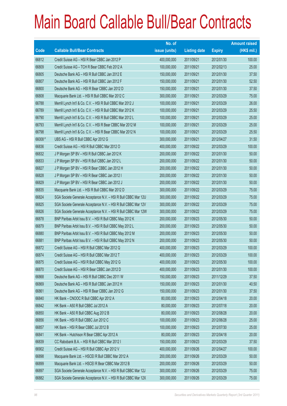|             |                                                                | No. of        |                     |               | <b>Amount raised</b> |
|-------------|----------------------------------------------------------------|---------------|---------------------|---------------|----------------------|
| <b>Code</b> | <b>Callable Bull/Bear Contracts</b>                            | issue (units) | <b>Listing date</b> | <b>Expiry</b> | $(HK$$ mil.)         |
| 66812       | Credit Suisse AG - HSI R Bear CBBC Jan 2012 P                  | 400,000,000   | 2011/09/21          | 2012/01/30    | 100.00               |
| 66809       | Credit Suisse AG - TCH R Bear CBBC Feb 2012 A                  | 100,000,000   | 2011/09/21          | 2012/02/13    | 25.00                |
| 66805       | Deutsche Bank AG - HSI R Bull CBBC Jan 2012 E                  | 150,000,000   | 2011/09/21          | 2012/01/30    | 37.50                |
| 66807       | Deutsche Bank AG - HSI R Bull CBBC Jan 2012 F                  | 150,000,000   | 2011/09/21          | 2012/01/30    | 52.50                |
| 66800       | Deutsche Bank AG - HSI R Bear CBBC Jan 2012 D                  | 150,000,000   | 2011/09/21          | 2012/01/30    | 37.50                |
| 66808       | Macquarie Bank Ltd. - HSI R Bull CBBC Mar 2012 C               | 300,000,000   | 2011/09/21          | 2012/03/29    | 75.00                |
| 66788       | Merrill Lynch Int'l & Co. C.V. - HSI R Bull CBBC Mar 2012 J    | 100,000,000   | 2011/09/21          | 2012/03/29    | 26.00                |
| 66789       | Merrill Lynch Int'l & Co. C.V. - HSI R Bull CBBC Mar 2012 K    | 100,000,000   | 2011/09/21          | 2012/03/29    | 25.50                |
| 66790       | Merrill Lynch Int'l & Co. C.V. - HSI R Bull CBBC Mar 2012 L    | 100,000,000   | 2011/09/21          | 2012/03/29    | 25.00                |
| 66793       | Merrill Lynch Int'l & Co. C.V. - HSI R Bear CBBC Mar 2012 M    | 100,000,000   | 2011/09/21          | 2012/03/29    | 25.00                |
| 66798       | Merrill Lynch Int'l & Co. C.V. - HSI R Bear CBBC Mar 2012 N    | 100,000,000   | 2011/09/21          | 2012/03/29    | 25.50                |
| 66008 #     | UBS AG - HSI R Bull CBBC Apr 2012 G                            | 300,000,000   | 2011/09/21          | 2012/04/27    | 31.50                |
| 66836       | Credit Suisse AG - HSI R Bull CBBC Mar 2012 O                  | 400,000,000   | 2011/09/22          | 2012/03/29    | 100.00               |
| 66832       | J P Morgan SP BV - HSI R Bull CBBC Jan 2012 K                  | 200,000,000   | 2011/09/22          | 2012/01/30    | 50.00                |
| 66833       | J P Morgan SP BV - HSI R Bull CBBC Jan 2012 L                  | 200,000,000   | 2011/09/22          | 2012/01/30    | 50.00                |
| 66827       | J P Morgan SP BV - HSI R Bear CBBC Jan 2012 H                  | 200,000,000   | 2011/09/22          | 2012/01/30    | 50.00                |
| 66828       | J P Morgan SP BV - HSI R Bear CBBC Jan 2012 I                  | 200,000,000   | 2011/09/22          | 2012/01/30    | 50.00                |
| 66829       | J P Morgan SP BV - HSI R Bear CBBC Jan 2012 J                  | 200,000,000   | 2011/09/22          | 2012/01/30    | 50.00                |
| 66835       | Macquarie Bank Ltd. - HSI R Bull CBBC Mar 2012 D               | 300,000,000   | 2011/09/22          | 2012/03/29    | 75.00                |
| 66824       | SGA Societe Generale Acceptance N.V. - HSI R Bull CBBC Mar 12U | 300,000,000   | 2011/09/22          | 2012/03/29    | 75.00                |
| 66825       | SGA Societe Generale Acceptance N.V. - HSI R Bull CBBC Mar 12V | 300,000,000   | 2011/09/22          | 2012/03/29    | 75.00                |
| 66826       | SGA Societe Generale Acceptance N.V. - HSI R Bull CBBC Mar 12W | 300,000,000   | 2011/09/22          | 2012/03/29    | 75.00                |
| 66878       | BNP Paribas Arbit Issu B.V. - HSI R Bull CBBC May 2012 K       | 200,000,000   | 2011/09/23          | 2012/05/30    | 50.00                |
| 66879       | BNP Paribas Arbit Issu B.V. - HSI R Bull CBBC May 2012 L       | 200,000,000   | 2011/09/23          | 2012/05/30    | 50.00                |
| 66880       | BNP Paribas Arbit Issu B.V. - HSI R Bull CBBC May 2012 M       | 200,000,000   | 2011/09/23          | 2012/05/30    | 50.00                |
| 66881       | BNP Paribas Arbit Issu B.V. - HSI R Bull CBBC May 2012 N       | 200,000,000   | 2011/09/23          | 2012/05/30    | 50.00                |
| 66872       | Credit Suisse AG - HSI R Bull CBBC Mar 2012 Q                  | 400,000,000   | 2011/09/23          | 2012/03/29    | 100.00               |
| 66874       | Credit Suisse AG - HSI R Bull CBBC Mar 2012 T                  | 400,000,000   | 2011/09/23          | 2012/03/29    | 100.00               |
| 66875       | Credit Suisse AG - HSI R Bull CBBC May 2012 G                  | 400,000,000   | 2011/09/23          | 2012/05/30    | 100.00               |
| 66870       | Credit Suisse AG - HSI R Bear CBBC Jan 2012 D                  | 400,000,000   | 2011/09/23          | 2012/01/30    | 100.00               |
| 66868       | Deutsche Bank AG - HSI R Bull CBBC Dec 2011 W                  | 150,000,000   | 2011/09/23          | 2011/12/29    | 37.50                |
| 66869       | Deutsche Bank AG - HSI R Bull CBBC Jan 2012 H                  | 150,000,000   | 2011/09/23          | 2012/01/30    | 40.50                |
| 66861       | Deutsche Bank AG - HSI R Bear CBBC Jan 2012 G                  | 150,000,000   | 2011/09/23          | 2012/01/30    | 37.50                |
| 66840       | HK Bank - CNOOC R Bull CBBC Apr 2012 A                         | 80,000,000    | 2011/09/23          | 2012/04/18    | 20.00                |
| 66842       | HK Bank - A50 R Bull CBBC Jul 2012 A                           | 80,000,000    | 2011/09/23          | 2012/07/18    | 20.00                |
| 66850       | HK Bank - A50 R Bull CBBC Aug 2012 B                           | 80,000,000    | 2011/09/23          | 2012/08/28    | 20.00                |
| 66856       | HK Bank - HSI R Bull CBBC Jun 2012 C                           | 100,000,000   | 2011/09/23          | 2012/06/28    | 25.00                |
| 66857       | HK Bank - HSI R Bear CBBC Jul 2012 B                           | 100,000,000   | 2011/09/23          | 2012/07/30    | 25.00                |
| 66841       | HK Bank - Hutchison R Bear CBBC Apr 2012 A                     | 80,000,000    | 2011/09/23          | 2012/04/18    | 20.00                |
| 66839       | CC Rabobank B.A. - HSI R Bull CBBC Mar 2012 I                  | 150,000,000   | 2011/09/23          | 2012/03/29    | 37.50                |
| 66902       | Credit Suisse AG - HSI R Bull CBBC Apr 2012 V                  | 400,000,000   | 2011/09/26          | 2012/04/27    | 100.00               |
| 66898       | Macquarie Bank Ltd. - HSCEI R Bull CBBC Mar 2012 A             | 200,000,000   | 2011/09/26          | 2012/03/29    | 50.00                |
| 66899       | Macquarie Bank Ltd. - HSCEI R Bear CBBC Mar 2012 B             | 200,000,000   | 2011/09/26          | 2012/03/29    | 50.00                |
| 66897       | SGA Societe Generale Acceptance N.V. - HSI R Bull CBBC Mar 12J | 300,000,000   | 2011/09/26          | 2012/03/29    | 75.00                |
| 66882       | SGA Societe Generale Acceptance N.V. - HSI R Bull CBBC Mar 12X | 300,000,000   | 2011/09/26          | 2012/03/29    | 75.00                |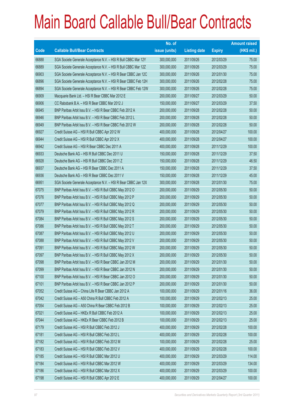|             |                                                                | No. of        |                     |               | <b>Amount raised</b> |
|-------------|----------------------------------------------------------------|---------------|---------------------|---------------|----------------------|
| <b>Code</b> | <b>Callable Bull/Bear Contracts</b>                            | issue (units) | <b>Listing date</b> | <b>Expiry</b> | $(HK$$ mil.)         |
| 66888       | SGA Societe Generale Acceptance N.V. - HSI R Bull CBBC Mar 12Y | 300,000,000   | 2011/09/26          | 2012/03/29    | 75.00                |
| 66889       | SGA Societe Generale Acceptance N.V. - HSI R Bull CBBC Mar 12Z | 300,000,000   | 2011/09/26          | 2012/03/29    | 75.00                |
| 66903       | SGA Societe Generale Acceptance N.V. - HSI R Bear CBBC Jan 12C | 300,000,000   | 2011/09/26          | 2012/01/30    | 75.00                |
| 66896       | SGA Societe Generale Acceptance N.V. - HSI R Bear CBBC Feb 12H | 300,000,000   | 2011/09/26          | 2012/02/28    | 75.00                |
| 66894       | SGA Societe Generale Acceptance N.V. - HSI R Bear CBBC Feb 12W | 300,000,000   | 2011/09/26          | 2012/02/28    | 75.00                |
| 66909       | Macquarie Bank Ltd. - HSI R Bear CBBC Mar 2012 E               | 200,000,000   | 2011/09/27          | 2012/03/29    | 50.00                |
| 66906       | CC Rabobank B.A. - HSI R Bear CBBC Mar 2012 J                  | 150,000,000   | 2011/09/27          | 2012/03/29    | 37.50                |
| 66945       | BNP Paribas Arbit Issu B.V. - HSI R Bear CBBC Feb 2012 A       | 200,000,000   | 2011/09/28          | 2012/02/28    | 50.00                |
| 66946       | BNP Paribas Arbit Issu B.V. - HSI R Bear CBBC Feb 2012 L       | 200,000,000   | 2011/09/28          | 2012/02/28    | 50.00                |
| 66949       | BNP Paribas Arbit Issu B.V. - HSI R Bear CBBC Feb 2012 W       | 200,000,000   | 2011/09/28          | 2012/02/28    | 50.00                |
| 66927       | Credit Suisse AG - HSI R Bull CBBC Apr 2012 W                  | 400,000,000   | 2011/09/28          | 2012/04/27    | 100.00               |
| 66944       | Credit Suisse AG - HSI R Bull CBBC Apr 2012 X                  | 400,000,000   | 2011/09/28          | 2012/04/27    | 100.00               |
| 66942       | Credit Suisse AG - HSI R Bear CBBC Dec 2011 A                  | 400,000,000   | 2011/09/28          | 2011/12/29    | 100.00               |
| 66933       | Deutsche Bank AG - HSI R Bull CBBC Dec 2011 U                  | 150,000,000   | 2011/09/28          | 2011/12/29    | 37.50                |
| 66928       | Deutsche Bank AG - HSI R Bull CBBC Dec 2011 Z                  | 150,000,000   | 2011/09/28          | 2011/12/29    | 46.50                |
| 66937       | Deutsche Bank AG - HSI R Bear CBBC Dec 2011 A                  | 150,000,000   | 2011/09/28          | 2011/12/29    | 37.50                |
| 66936       | Deutsche Bank AG - HSI R Bear CBBC Dec 2011 V                  | 150,000,000   | 2011/09/28          | 2011/12/29    | 45.00                |
| 66951       | SGA Societe Generale Acceptance N.V. - HSI R Bear CBBC Jan 12X | 300,000,000   | 2011/09/28          | 2012/01/30    | 75.00                |
| 67075       | BNP Paribas Arbit Issu B.V. - HSI R Bull CBBC May 2012 O       | 200,000,000   | 2011/09/29          | 2012/05/30    | 50.00                |
| 67076       | BNP Paribas Arbit Issu B.V. - HSI R Bull CBBC May 2012 P       | 200,000,000   | 2011/09/29          | 2012/05/30    | 50.00                |
| 67077       | BNP Paribas Arbit Issu B.V. - HSI R Bull CBBC May 2012 Q       | 200,000,000   | 2011/09/29          | 2012/05/30    | 50.00                |
| 67079       | BNP Paribas Arbit Issu B.V. - HSI R Bull CBBC May 2012 R       | 200,000,000   | 2011/09/29          | 2012/05/30    | 50.00                |
| 67084       | BNP Paribas Arbit Issu B.V. - HSI R Bull CBBC May 2012 S       | 200,000,000   | 2011/09/29          | 2012/05/30    | 50.00                |
| 67086       | BNP Paribas Arbit Issu B.V. - HSI R Bull CBBC May 2012 T       | 200,000,000   | 2011/09/29          | 2012/05/30    | 50.00                |
| 67087       | BNP Paribas Arbit Issu B.V. - HSI R Bull CBBC May 2012 U       | 200,000,000   | 2011/09/29          | 2012/05/30    | 50.00                |
| 67088       | BNP Paribas Arbit Issu B.V. - HSI R Bull CBBC May 2012 V       | 200,000,000   | 2011/09/29          | 2012/05/30    | 50.00                |
| 67091       | BNP Paribas Arbit Issu B.V. - HSI R Bull CBBC May 2012 W       | 200,000,000   | 2011/09/29          | 2012/05/30    | 50.00                |
| 67097       | BNP Paribas Arbit Issu B.V. - HSI R Bull CBBC May 2012 X       | 200,000,000   | 2011/09/29          | 2012/05/30    | 50.00                |
| 67098       | BNP Paribas Arbit Issu B.V. - HSI R Bear CBBC Jan 2012 M       | 200,000,000   | 2011/09/29          | 2012/01/30    | 50.00                |
| 67099       | BNP Paribas Arbit Issu B.V. - HSI R Bear CBBC Jan 2012 N       | 200,000,000   | 2011/09/29          | 2012/01/30    | 50.00                |
| 67100       | BNP Paribas Arbit Issu B.V. - HSI R Bear CBBC Jan 2012 O       | 200,000,000   | 2011/09/29          | 2012/01/30    | 50.00                |
| 67101       | BNP Paribas Arbit Issu B.V. - HSI R Bear CBBC Jan 2012 P       | 200,000,000   | 2011/09/29          | 2012/01/30    | 50.00                |
| 67052       | Credit Suisse AG - China Life R Bear CBBC Jan 2012 A           | 100,000,000   | 2011/09/29          | 2012/01/16    | 36.00                |
| 67042       | Credit Suisse AG - A50 China R Bull CBBC Feb 2012 A            | 100,000,000   | 2011/09/29          | 2012/02/13    | 25.00                |
| 67054       | Credit Suisse AG - A50 China R Bear CBBC Feb 2012 B            | 100,000,000   | 2011/09/29          | 2012/02/13    | 25.00                |
| 67021       | Credit Suisse AG - HKEx R Bull CBBC Feb 2012 A                 | 100,000,000   | 2011/09/29          | 2012/02/13    | 25.00                |
| 67044       | Credit Suisse AG - HKEx R Bear CBBC Feb 2012 B                 | 100,000,000   | 2011/09/29          | 2012/02/13    | 25.00                |
| 67179       | Credit Suisse AG - HSI R Bull CBBC Feb 2012 J                  | 400,000,000   | 2011/09/29          | 2012/02/28    | 100.00               |
| 67181       | Credit Suisse AG - HSI R Bull CBBC Feb 2012 L                  | 400,000,000   | 2011/09/29          | 2012/02/28    | 100.00               |
| 67182       | Credit Suisse AG - HSI R Bull CBBC Feb 2012 M                  | 100,000,000   | 2011/09/29          | 2012/02/28    | 25.00                |
| 67183       | Credit Suisse AG - HSI R Bull CBBC Feb 2012 V                  | 400,000,000   | 2011/09/29          | 2012/02/28    | 100.00               |
| 67185       | Credit Suisse AG - HSI R Bull CBBC Mar 2012 U                  | 400,000,000   | 2011/09/29          | 2012/03/29    | 114.00               |
| 67184       | Credit Suisse AG - HSI R Bull CBBC Mar 2012 W                  | 400,000,000   | 2011/09/29          | 2012/03/29    | 134.00               |
| 67186       | Credit Suisse AG - HSI R Bull CBBC Mar 2012 X                  | 400,000,000   | 2011/09/29          | 2012/03/29    | 100.00               |
| 67198       | Credit Suisse AG - HSI R Bull CBBC Apr 2012 E                  | 400,000,000   | 2011/09/29          | 2012/04/27    | 100.00               |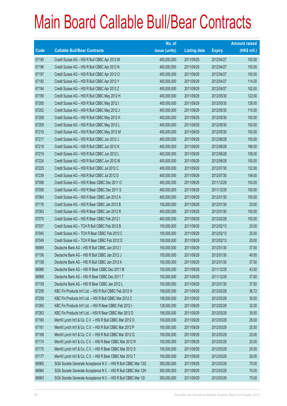|       |                                                                | No. of        |                     |               | <b>Amount raised</b> |
|-------|----------------------------------------------------------------|---------------|---------------------|---------------|----------------------|
| Code  | <b>Callable Bull/Bear Contracts</b>                            | issue (units) | <b>Listing date</b> | <b>Expiry</b> | (HK\$ mil.)          |
| 67195 | Credit Suisse AG - HSI R Bull CBBC Apr 2012 M                  | 400,000,000   | 2011/09/29          | 2012/04/27    | 100.00               |
| 67196 | Credit Suisse AG - HSI R Bull CBBC Apr 2012 N                  | 400,000,000   | 2011/09/29          | 2012/04/27    | 100.00               |
| 67197 | Credit Suisse AG - HSI R Bull CBBC Apr 2012 O                  | 400,000,000   | 2011/09/29          | 2012/04/27    | 100.00               |
| 67192 | Credit Suisse AG - HSI R Bull CBBC Apr 2012 Y                  | 400,000,000   | 2011/09/29          | 2012/04/27    | 114.00               |
| 67194 | Credit Suisse AG - HSI R Bull CBBC Apr 2012 Z                  | 400,000,000   | 2011/09/29          | 2012/04/27    | 102.00               |
| 67199 | Credit Suisse AG - HSI R Bull CBBC May 2012 H                  | 400,000,000   | 2011/09/29          | 2012/05/30    | 122.00               |
| 67200 | Credit Suisse AG - HSI R Bull CBBC May 2012 I                  | 400,000,000   | 2011/09/29          | 2012/05/30    | 126.00               |
| 67202 | Credit Suisse AG - HSI R Bull CBBC May 2012 J                  | 400,000,000   | 2011/09/29          | 2012/05/30    | 110.00               |
| 67208 | Credit Suisse AG - HSI R Bull CBBC May 2012 K                  | 400,000,000   | 2011/09/29          | 2012/05/30    | 100.00               |
| 67209 | Credit Suisse AG - HSI R Bull CBBC May 2012 L                  | 400,000,000   | 2011/09/29          | 2012/05/30    | 100.00               |
| 67210 | Credit Suisse AG - HSI R Bull CBBC May 2012 M                  | 400,000,000   | 2011/09/29          | 2012/05/30    | 100.00               |
| 67217 | Credit Suisse AG - HSI R Bull CBBC Jun 2012 J                  | 400,000,000   | 2011/09/29          | 2012/06/28    | 100.00               |
| 67218 | Credit Suisse AG - HSI R Bull CBBC Jun 2012 K                  | 400,000,000   | 2011/09/29          | 2012/06/28    | 166.00               |
| 67219 | Credit Suisse AG - HSI R Bull CBBC Jun 2012 L                  | 400,000,000   | 2011/09/29          | 2012/06/28    | 108.00               |
| 67224 | Credit Suisse AG - HSI R Bull CBBC Jun 2012 M                  | 400,000,000   | 2011/09/29          | 2012/06/28    | 100.00               |
| 67225 | Credit Suisse AG - HSI R Bull CBBC Jul 2012 C                  | 400,000,000   | 2011/09/29          | 2012/07/30    | 132.00               |
| 67239 | Credit Suisse AG - HSI R Bull CBBC Jul 2012 D                  | 400,000,000   | 2011/09/29          | 2012/07/30    | 148.00               |
| 67056 | Credit Suisse AG - HSI R Bear CBBC Dec 2011 O                  | 400,000,000   | 2011/09/29          | 2011/12/29    | 100.00               |
| 67058 | Credit Suisse AG - HSI R Bear CBBC Dec 2011 S                  | 400,000,000   | 2011/09/29          | 2011/12/29    | 100.00               |
| 67064 | Credit Suisse AG - HSI R Bear CBBC Jan 2012 A                  | 400,000,000   | 2011/09/29          | 2012/01/30    | 100.00               |
| 67178 | Credit Suisse AG - HSI R Bear CBBC Jan 2012 B                  | 100,000,000   | 2011/09/29          | 2012/01/30    | 25.00                |
| 67063 | Credit Suisse AG - HSI R Bear CBBC Jan 2012 R                  | 400,000,000   | 2011/09/29          | 2012/01/30    | 100.00               |
| 67070 | Credit Suisse AG - HSI R Bear CBBC Feb 2012 I                  | 400,000,000   | 2011/09/29          | 2012/02/28    | 100.00               |
| 67037 | Credit Suisse AG - TCH R Bull CBBC Feb 2012 B                  | 100,000,000   | 2011/09/29          | 2012/02/13    | 25.00                |
| 67045 | Credit Suisse AG - TCH R Bear CBBC Feb 2012 C                  | 100,000,000   | 2011/09/29          | 2012/02/13    | 25.00                |
| 67049 | Credit Suisse AG - TCH R Bear CBBC Feb 2012 D                  | 100,000,000   | 2011/09/29          | 2012/02/13    | 25.00                |
| 66985 | Deutsche Bank AG - HSI R Bull CBBC Jan 2012 I                  | 150,000,000   | 2011/09/29          | 2012/01/30    | 37.50                |
| 67156 | Deutsche Bank AG - HSI R Bull CBBC Jan 2012 J                  | 150,000,000   | 2011/09/29          | 2012/01/30    | 49.50                |
| 67158 | Deutsche Bank AG - HSI R Bull CBBC Jan 2012 K                  | 150,000,000   | 2011/09/29          | 2012/01/30    | 37.50                |
| 66986 | Deutsche Bank AG - HSI R Bear CBBC Dec 2011 M                  | 150,000,000   | 2011/09/29          | 2011/12/29    | 43.50                |
| 66988 | Deutsche Bank AG - HSI R Bear CBBC Dec 2011 T                  | 150,000,000   | 2011/09/29          | 2011/12/29    | 37.50                |
| 67159 | Deutsche Bank AG - HSI R Bear CBBC Jan 2012 L                  | 150,000,000   | 2011/09/29          | 2012/01/30    | 37.50                |
| 67258 | KBC Fin Products Int'l Ltd. - HSI R Bull CBBC Feb 2012 H       | 108,000,000   | 2011/09/29          | 2012/02/28    | 36.72                |
| 67259 | KBC Fin Products Int'l Ltd. - HSI R Bull CBBC Mar 2012 C       | 158,000,000   | 2011/09/29          | 2012/03/29    | 39.50                |
| 67260 | KBC Fin Products Int'l Ltd. - HSI R Bear CBBC Feb 2012 I       | 128,000,000   | 2011/09/29          | 2012/02/28    | 32.00                |
| 67263 | KBC Fin Products Int'l Ltd. - HSI R Bear CBBC Mar 2012 D       | 158,000,000   | 2011/09/29          | 2012/03/29    | 39.50                |
| 67160 | Merrill Lynch Int'l & Co. C.V. - HSI R Bull CBBC Mar 2012 O    | 100,000,000   | 2011/09/29          | 2012/03/29    | 26.00                |
| 67161 | Merrill Lynch Int'l & Co. C.V. - HSI R Bull CBBC Mar 2012 P    | 100,000,000   | 2011/09/29          | 2012/03/29    | 25.50                |
| 67168 | Merrill Lynch Int'l & Co. C.V. - HSI R Bull CBBC Mar 2012 Q    | 100,000,000   | 2011/09/29          | 2012/03/29    | 25.00                |
| 67174 | Merrill Lynch Int'l & Co. C.V. - HSI R Bear CBBC Mar 2012 R    | 100,000,000   | 2011/09/29          | 2012/03/29    | 25.00                |
| 67175 | Merrill Lynch Int'l & Co. C.V. - HSI R Bear CBBC Mar 2012 S    | 100,000,000   | 2011/09/29          | 2012/03/29    | 25.50                |
| 67177 | Merrill Lynch Int'l & Co. C.V. - HSI R Bear CBBC Mar 2012 T    | 100,000,000   | 2011/09/29          | 2012/03/29    | 26.00                |
| 66965 | SGA Societe Generale Acceptance N.V. - HSI R Bull CBBC Mar 12G | 300,000,000   | 2011/09/29          | 2012/03/29    | 75.00                |
| 66964 | SGA Societe Generale Acceptance N.V. - HSI R Bull CBBC Mar 12H | 300,000,000   | 2011/09/29          | 2012/03/29    | 75.00                |
| 66963 | SGA Societe Generale Acceptance N.V. - HSI R Bull CBBC Mar 121 | 300,000,000   | 2011/09/29          | 2012/03/29    | 75.00                |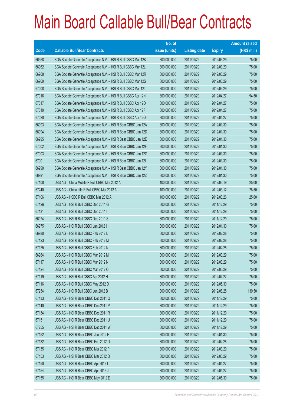|       |                                                                | No. of        |                     |               | <b>Amount raised</b> |
|-------|----------------------------------------------------------------|---------------|---------------------|---------------|----------------------|
| Code  | <b>Callable Bull/Bear Contracts</b>                            | issue (units) | <b>Listing date</b> | <b>Expiry</b> | $(HK$$ mil.)         |
| 66958 | SGA Societe Generale Acceptance N.V. - HSI R Bull CBBC Mar 12K | 300,000,000   | 2011/09/29          | 2012/03/29    | 75.00                |
| 66962 | SGA Societe Generale Acceptance N.V. - HSI R Bull CBBC Mar 12L | 300,000,000   | 2011/09/29          | 2012/03/29    | 75.00                |
| 66968 | SGA Societe Generale Acceptance N.V. - HSI R Bull CBBC Mar 12R | 300,000,000   | 2011/09/29          | 2012/03/29    | 75.00                |
| 66969 | SGA Societe Generale Acceptance N.V. - HSI R Bull CBBC Mar 12S | 300,000,000   | 2011/09/29          | 2012/03/29    | 75.00                |
| 67008 | SGA Societe Generale Acceptance N.V. - HSI R Bull CBBC Mar 12T | 300,000,000   | 2011/09/29          | 2012/03/29    | 75.00                |
| 67016 | SGA Societe Generale Acceptance N.V. - HSI R Bull CBBC Apr 12N | 300,000,000   | 2011/09/29          | 2012/04/27    | 94.50                |
| 67017 | SGA Societe Generale Acceptance N.V. - HSI R Bull CBBC Apr 12O | 300,000,000   | 2011/09/29          | 2012/04/27    | 75.00                |
| 67019 | SGA Societe Generale Acceptance N.V. - HSI R Bull CBBC Apr 12P | 300,000,000   | 2011/09/29          | 2012/04/27    | 75.00                |
| 67020 | SGA Societe Generale Acceptance N.V. - HSI R Bull CBBC Apr 12Q | 300,000,000   | 2011/09/29          | 2012/04/27    | 75.00                |
| 66993 | SGA Societe Generale Acceptance N.V. - HSI R Bear CBBC Jan 12A | 300,000,000   | 2011/09/29          | 2012/01/30    | 75.00                |
| 66994 | SGA Societe Generale Acceptance N.V. - HSI R Bear CBBC Jan 12D | 300,000,000   | 2011/09/29          | 2012/01/30    | 75.00                |
| 66995 | SGA Societe Generale Acceptance N.V. - HSI R Bear CBBC Jan 12E | 300,000,000   | 2011/09/29          | 2012/01/30    | 75.00                |
| 67002 | SGA Societe Generale Acceptance N.V. - HSI R Bear CBBC Jan 12F | 300,000,000   | 2011/09/29          | 2012/01/30    | 75.00                |
| 67003 | SGA Societe Generale Acceptance N.V. - HSI R Bear CBBC Jan 12G | 300,000,000   | 2011/09/29          | 2012/01/30    | 75.00                |
| 67001 | SGA Societe Generale Acceptance N.V. - HSI R Bear CBBC Jan 121 | 300,000,000   | 2011/09/29          | 2012/01/30    | 75.00                |
| 66990 | SGA Societe Generale Acceptance N.V. - HSI R Bear CBBC Jan 12Y | 300,000,000   | 2011/09/29          | 2012/01/30    | 75.00                |
| 66991 | SGA Societe Generale Acceptance N.V. - HSI R Bear CBBC Jan 12Z | 300,000,000   | 2011/09/29          | 2012/01/30    | 75.00                |
| 67108 | UBS AG - China Mobile R Bull CBBC Mar 2012 A                   | 100,000,000   | 2011/09/29          | 2012/03/19    | 25.00                |
| 67240 | UBS AG - China Life R Bull CBBC Mar 2012 A                     | 100,000,000   | 2011/09/29          | 2012/03/12    | 28.50                |
| 67106 | UBS AG - HSBC R Bull CBBC Mar 2012 A                           | 100,000,000   | 2011/09/29          | 2012/03/26    | 25.00                |
| 67126 | UBS AG - HSI R Bull CBBC Dec 2011 G                            | 300,000,000   | 2011/09/29          | 2011/12/29    | 75.00                |
| 67131 | UBS AG - HSI R Bull CBBC Dec 2011 I                            | 300,000,000   | 2011/09/29          | 2011/12/29    | 75.00                |
| 66974 | UBS AG - HSI R Bull CBBC Dec 2011 S                            | 300,000,000   | 2011/09/29          | 2011/12/29    | 75.00                |
| 66975 | UBS AG - HSI R Bull CBBC Jan 2012 I                            | 300,000,000   | 2011/09/29          | 2012/01/30    | 75.00                |
| 66980 | UBS AG - HSI R Bull CBBC Feb 2012 L                            | 300,000,000   | 2011/09/29          | 2012/02/28    | 75.00                |
| 67123 | UBS AG - HSI R Bull CBBC Feb 2012 M                            | 300,000,000   | 2011/09/29          | 2012/02/28    | 75.00                |
| 67125 | UBS AG - HSI R Bull CBBC Feb 2012 N                            | 300,000,000   | 2011/09/29          | 2012/02/28    | 75.00                |
| 66984 | UBS AG - HSI R Bull CBBC Mar 2012 M                            | 300,000,000   | 2011/09/29          | 2012/03/29    | 75.00                |
| 67117 | UBS AG - HSI R Bull CBBC Mar 2012 N                            | 300,000,000   | 2011/09/29          | 2012/03/29    | 75.00                |
| 67124 | UBS AG - HSI R Bull CBBC Mar 2012 O                            | 300,000,000   | 2011/09/29          | 2012/03/29    | 75.00                |
| 67119 | UBS AG - HSI R Bull CBBC Apr 2012 H                            | 300,000,000   | 2011/09/29          | 2012/04/27    | 75.00                |
| 67116 | UBS AG - HSI R Bull CBBC May 2012 D                            | 300,000,000   | 2011/09/29          | 2012/05/30    | 75.00                |
| 67254 | UBS AG - HSI R Bull CBBC Jun 2012 B                            | 300,000,000   | 2011/09/29          | 2012/06/28    | 139.50               |
| 67133 | UBS AG - HSI R Bear CBBC Dec 2011 O                            | 300,000,000   | 2011/09/29          | 2011/12/29    | 75.00                |
| 67140 | UBS AG - HSI R Bear CBBC Dec 2011 P                            | 300,000,000   | 2011/09/29          | 2011/12/29    | 75.00                |
| 67134 | UBS AG - HSI R Bear CBBC Dec 2011 R                            | 300,000,000   | 2011/09/29          | 2011/12/29    | 75.00                |
| 67151 | UBS AG - HSI R Bear CBBC Dec 2011 U                            | 300,000,000   | 2011/09/29          | 2011/12/29    | 75.00                |
| 67255 | UBS AG - HSI R Bear CBBC Dec 2011 W                            | 300,000,000   | 2011/09/29          | 2011/12/29    | 75.00                |
| 67152 | UBS AG - HSI R Bear CBBC Jan 2012 H                            | 300,000,000   | 2011/09/29          | 2012/01/30    | 75.00                |
| 67132 | UBS AG - HSI R Bear CBBC Feb 2012 O                            | 300,000,000   | 2011/09/29          | 2012/02/28    | 75.00                |
| 67135 | UBS AG - HSI R Bear CBBC Mar 2012 P                            | 300,000,000   | 2011/09/29          | 2012/03/29    | 75.00                |
| 67153 | UBS AG - HSI R Bear CBBC Mar 2012 Q                            | 300,000,000   | 2011/09/29          | 2012/03/29    | 75.00                |
| 67150 | UBS AG - HSI R Bear CBBC Apr 2012 I                            | 300,000,000   | 2011/09/29          | 2012/04/27    | 75.00                |
| 67154 | UBS AG - HSI R Bear CBBC Apr 2012 J                            | 300,000,000   | 2011/09/29          | 2012/04/27    | 75.00                |
| 67155 | UBS AG - HSI R Bear CBBC May 2012 E                            | 300,000,000   | 2011/09/29          | 2012/05/30    | 75.00                |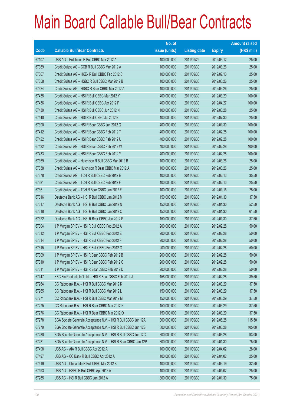|       |                                                                | No. of        |                     |               | <b>Amount raised</b> |
|-------|----------------------------------------------------------------|---------------|---------------------|---------------|----------------------|
| Code  | <b>Callable Bull/Bear Contracts</b>                            | issue (units) | <b>Listing date</b> | <b>Expiry</b> | $(HK$$ mil.)         |
| 67107 | UBS AG - Hutchison R Bull CBBC Mar 2012 A                      | 100,000,000   | 2011/09/29          | 2012/03/12    | 25.00                |
| 67389 | Credit Suisse AG - CCB R Bull CBBC Mar 2012 A                  | 100,000,000   | 2011/09/30          | 2012/03/26    | 25.00                |
| 67367 | Credit Suisse AG - HKEx R Bull CBBC Feb 2012 C                 | 100,000,000   | 2011/09/30          | 2012/02/13    | 25.00                |
| 67358 | Credit Suisse AG - HSBC R Bull CBBC Mar 2012 B                 | 100,000,000   | 2011/09/30          | 2012/03/26    | 25.00                |
| 67324 | Credit Suisse AG - HSBC R Bear CBBC Mar 2012 A                 | 100,000,000   | 2011/09/30          | 2012/03/26    | 25.00                |
| 67435 | Credit Suisse AG - HSI R Bull CBBC Mar 2012 Y                  | 400,000,000   | 2011/09/30          | 2012/03/29    | 100.00               |
| 67436 | Credit Suisse AG - HSI R Bull CBBC Apr 2012 P                  | 400,000,000   | 2011/09/30          | 2012/04/27    | 100.00               |
| 67439 | Credit Suisse AG - HSI R Bull CBBC Jun 2012 N                  | 100,000,000   | 2011/09/30          | 2012/06/28    | 25.00                |
| 67440 | Credit Suisse AG - HSI R Bull CBBC Jul 2012 E                  | 100,000,000   | 2011/09/30          | 2012/07/30    | 25.00                |
| 67390 | Credit Suisse AG - HSI R Bear CBBC Jan 2012 Q                  | 400,000,000   | 2011/09/30          | 2012/01/30    | 100.00               |
| 67412 | Credit Suisse AG - HSI R Bear CBBC Feb 2012 T                  | 400,000,000   | 2011/09/30          | 2012/02/28    | 100.00               |
| 67422 | Credit Suisse AG - HSI R Bear CBBC Feb 2012 U                  | 400,000,000   | 2011/09/30          | 2012/02/28    | 100.00               |
| 67432 | Credit Suisse AG - HSI R Bear CBBC Feb 2012 W                  | 400,000,000   | 2011/09/30          | 2012/02/28    | 100.00               |
| 67433 | Credit Suisse AG - HSI R Bear CBBC Feb 2012 Y                  | 400,000,000   | 2011/09/30          | 2012/02/28    | 100.00               |
| 67359 | Credit Suisse AG - Hutchison R Bull CBBC Mar 2012 B            | 100,000,000   | 2011/09/30          | 2012/03/26    | 25.00                |
| 67338 | Credit Suisse AG - Hutchison R Bear CBBC Mar 2012 A            | 100,000,000   | 2011/09/30          | 2012/03/26    | 25.00                |
| 67378 | Credit Suisse AG - TCH R Bull CBBC Feb 2012 E                  | 100,000,000   | 2011/09/30          | 2012/02/13    | 35.50                |
| 67381 | Credit Suisse AG - TCH R Bull CBBC Feb 2012 F                  | 100,000,000   | 2011/09/30          | 2012/02/13    | 25.50                |
| 67351 | Credit Suisse AG - TCH R Bear CBBC Jan 2012 F                  | 100,000,000   | 2011/09/30          | 2012/01/16    | 25.00                |
| 67316 | Deutsche Bank AG - HSI R Bull CBBC Jan 2012 M                  | 150,000,000   | 2011/09/30          | 2012/01/30    | 37.50                |
| 67317 | Deutsche Bank AG - HSI R Bull CBBC Jan 2012 N                  | 150,000,000   | 2011/09/30          | 2012/01/30    | 52.50                |
| 67318 | Deutsche Bank AG - HSI R Bull CBBC Jan 2012 O                  | 150,000,000   | 2011/09/30          | 2012/01/30    | 61.50                |
| 67322 | Deutsche Bank AG - HSI R Bear CBBC Jan 2012 P                  | 150,000,000   | 2011/09/30          | 2012/01/30    | 37.50                |
| 67304 | J P Morgan SP BV - HSI R Bull CBBC Feb 2012 A                  | 200,000,000   | 2011/09/30          | 2012/02/28    | 50.00                |
| 67312 | J P Morgan SP BV - HSI R Bull CBBC Feb 2012 E                  | 200,000,000   | 2011/09/30          | 2012/02/28    | 50.00                |
| 67314 | J P Morgan SP BV - HSI R Bull CBBC Feb 2012 F                  | 200,000,000   | 2011/09/30          | 2012/02/28    | 50.00                |
| 67315 | J P Morgan SP BV - HSI R Bull CBBC Feb 2012 G                  | 200,000,000   | 2011/09/30          | 2012/02/28    | 50.00                |
| 67309 | J P Morgan SP BV - HSI R Bear CBBC Feb 2012 B                  | 200,000,000   | 2011/09/30          | 2012/02/28    | 50.00                |
| 67310 | J P Morgan SP BV - HSI R Bear CBBC Feb 2012 C                  | 200,000,000   | 2011/09/30          | 2012/02/28    | 50.00                |
| 67311 | J P Morgan SP BV - HSI R Bear CBBC Feb 2012 D                  | 200,000,000   | 2011/09/30          | 2012/02/28    | 50.00                |
| 67447 | KBC Fin Products Int'l Ltd. - HSI R Bear CBBC Feb 2012 J       | 158,000,000   | 2011/09/30          | 2012/02/28    | 39.50                |
| 67264 | CC Rabobank B.A. - HSI R Bull CBBC Mar 2012 K                  | 150,000,000   | 2011/09/30          | 2012/03/29    | 37.50                |
| 67265 | CC Rabobank B.A. - HSI R Bull CBBC Mar 2012 L                  | 150,000,000   | 2011/09/30          | 2012/03/29    | 37.50                |
| 67271 | CC Rabobank B.A. - HSI R Bull CBBC Mar 2012 M                  | 150,000,000   | 2011/09/30          | 2012/03/29    | 37.50                |
| 67275 | CC Rabobank B.A. - HSI R Bear CBBC Mar 2012 N                  | 150,000,000   | 2011/09/30          | 2012/03/29    | 37.50                |
| 67276 | CC Rabobank B.A. - HSI R Bear CBBC Mar 2012 O                  | 150,000,000   | 2011/09/30          | 2012/03/29    | 37.50                |
| 67278 | SGA Societe Generale Acceptance N.V. - HSI R Bull CBBC Jun 12A | 300,000,000   | 2011/09/30          | 2012/06/28    | 115.50               |
| 67279 | SGA Societe Generale Acceptance N.V. - HSI R Bull CBBC Jun 12B | 300,000,000   | 2011/09/30          | 2012/06/28    | 105.00               |
| 67280 | SGA Societe Generale Acceptance N.V. - HSI R Bull CBBC Jun 12C | 300,000,000   | 2011/09/30          | 2012/06/28    | 93.00                |
| 67281 | SGA Societe Generale Acceptance N.V. - HSI R Bear CBBC Jan 12P | 300,000,000   | 2011/09/30          | 2012/01/30    | 75.00                |
| 67498 | UBS AG - AIA R Bull CBBC Apr 2012 A                            | 100,000,000   | 2011/09/30          | 2012/04/02    | 28.00                |
| 67497 | UBS AG - CC Bank R Bull CBBC Apr 2012 A                        | 100,000,000   | 2011/09/30          | 2012/04/02    | 25.00                |
| 67519 | UBS AG - China Life R Bull CBBC Mar 2012 B                     | 100,000,000   | 2011/09/30          | 2012/03/19    | 32.50                |
| 67493 | UBS AG - HSBC R Bull CBBC Apr 2012 A                           | 100,000,000   | 2011/09/30          | 2012/04/02    | 25.00                |
| 67285 | UBS AG - HSI R Bull CBBC Jan 2012 A                            | 300,000,000   | 2011/09/30          | 2012/01/30    | 75.00                |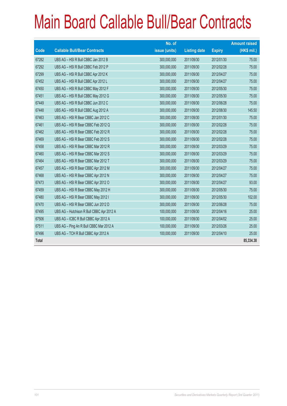|       |                                           | No. of        |                     |               | <b>Amount raised</b> |
|-------|-------------------------------------------|---------------|---------------------|---------------|----------------------|
| Code  | <b>Callable Bull/Bear Contracts</b>       | issue (units) | <b>Listing date</b> | <b>Expiry</b> | (HK\$ mil.)          |
| 67282 | UBS AG - HSI R Bull CBBC Jan 2012 B       | 300,000,000   | 2011/09/30          | 2012/01/30    | 75.00                |
| 67292 | UBS AG - HSI R Bull CBBC Feb 2012 P       | 300,000,000   | 2011/09/30          | 2012/02/28    | 75.00                |
| 67299 | UBS AG - HSI R Bull CBBC Apr 2012 K       | 300,000,000   | 2011/09/30          | 2012/04/27    | 75.00                |
| 67452 | UBS AG - HSI R Bull CBBC Apr 2012 L       | 300,000,000   | 2011/09/30          | 2012/04/27    | 75.00                |
| 67450 | UBS AG - HSI R Bull CBBC May 2012 F       | 300,000,000   | 2011/09/30          | 2012/05/30    | 75.00                |
| 67451 | UBS AG - HSI R Bull CBBC May 2012 G       | 300,000,000   | 2011/09/30          | 2012/05/30    | 75.00                |
| 67449 | UBS AG - HSI R Bull CBBC Jun 2012 C       | 300,000,000   | 2011/09/30          | 2012/06/28    | 75.00                |
| 67448 | UBS AG - HSI R Bull CBBC Aug 2012 A       | 300,000,000   | 2011/09/30          | 2012/08/30    | 145.50               |
| 67463 | UBS AG - HSI R Bear CBBC Jan 2012 C       | 300,000,000   | 2011/09/30          | 2012/01/30    | 75.00                |
| 67461 | UBS AG - HSI R Bear CBBC Feb 2012 Q       | 300,000,000   | 2011/09/30          | 2012/02/28    | 75.00                |
| 67462 | UBS AG - HSI R Bear CBBC Feb 2012 R       | 300,000,000   | 2011/09/30          | 2012/02/28    | 75.00                |
| 67469 | UBS AG - HSI R Bear CBBC Feb 2012 S       | 300,000,000   | 2011/09/30          | 2012/02/28    | 75.00                |
| 67458 | UBS AG - HSI R Bear CBBC Mar 2012 R       | 300,000,000   | 2011/09/30          | 2012/03/29    | 75.00                |
| 67460 | UBS AG - HSI R Bear CBBC Mar 2012 S       | 300,000,000   | 2011/09/30          | 2012/03/29    | 75.00                |
| 67464 | UBS AG - HSI R Bear CBBC Mar 2012 T       | 300,000,000   | 2011/09/30          | 2012/03/29    | 75.00                |
| 67457 | UBS AG - HSI R Bear CBBC Apr 2012 M       | 300,000,000   | 2011/09/30          | 2012/04/27    | 75.00                |
| 67468 | UBS AG - HSI R Bear CBBC Apr 2012 N       | 300,000,000   | 2011/09/30          | 2012/04/27    | 75.00                |
| 67473 | UBS AG - HSI R Bear CBBC Apr 2012 O       | 300,000,000   | 2011/09/30          | 2012/04/27    | 93.00                |
| 67459 | UBS AG - HSI R Bear CBBC May 2012 H       | 300,000,000   | 2011/09/30          | 2012/05/30    | 75.00                |
| 67480 | UBS AG - HSI R Bear CBBC May 2012 I       | 300,000,000   | 2011/09/30          | 2012/05/30    | 102.00               |
| 67470 | UBS AG - HSI R Bear CBBC Jun 2012 D       | 300,000,000   | 2011/09/30          | 2012/06/28    | 75.00                |
| 67495 | UBS AG - Hutchison R Bull CBBC Apr 2012 A | 100,000,000   | 2011/09/30          | 2012/04/16    | 25.00                |
| 67506 | UBS AG - ICBC R Bull CBBC Apr 2012 A      | 100,000,000   | 2011/09/30          | 2012/04/02    | 25.00                |
| 67511 | UBS AG - Ping An R Bull CBBC Mar 2012 A   | 100,000,000   | 2011/09/30          | 2012/03/26    | 25.00                |
| 67496 | UBS AG - TCH R Bull CBBC Apr 2012 A       | 100,000,000   | 2011/09/30          | 2012/04/10    | 25.00                |
| Total |                                           |               |                     |               | 85,334.38            |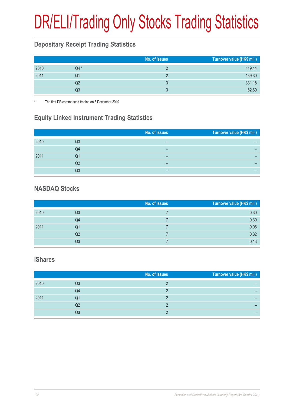# DR/ELI/Trading Only Stocks Trading Statistics

#### **Depositary Receipt Trading Statistics**

|      |       | No. of issues | Turnover value (HK\$ mil.) |
|------|-------|---------------|----------------------------|
| 2010 | $Q4*$ |               | 119.44                     |
| 2011 | Q1    |               | 139.30                     |
|      | Q2    |               | 331.18                     |
|      | Q3    |               | 62.60                      |

The first DR commenced trading on 8 December 2010

#### **Equity Linked Instrument Trading Statistics**

|      |    | No. of issues | Turnover value (HK\$ mil.) |
|------|----|---------------|----------------------------|
| 2010 | Q3 |               |                            |
|      | Q4 |               |                            |
| 2011 | Q1 |               |                            |
|      | Q2 | –             |                            |
|      | Q3 | –             |                            |

#### **NASDAQ Stocks**

|      |    | No. of issues | Turnover value (HK\$ mil.) |
|------|----|---------------|----------------------------|
| 2010 | Q3 |               | 0.30                       |
|      | Q4 |               | 0.30                       |
| 2011 | Q1 |               | 0.06                       |
|      | Q2 |               | 0.32                       |
|      | Q3 |               | 0.13                       |

#### **iShares**

|      |    | No. of issues | Turnover value (HK\$ mil.) |
|------|----|---------------|----------------------------|
| 2010 | Q3 |               |                            |
|      | Q4 |               |                            |
| 2011 | Q1 |               |                            |
|      | Q2 |               |                            |
|      | Q3 |               |                            |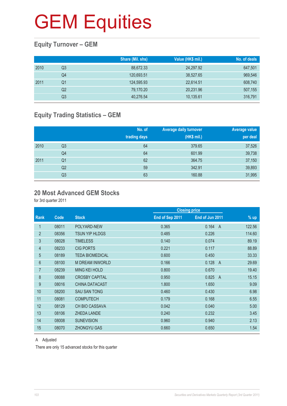#### **Equity Turnover – GEM**

|      |                | Share (Mil. shs) | Value (HK\$ mil.) | No. of deals |
|------|----------------|------------------|-------------------|--------------|
| 2010 | Q3             | 88,672.33        | 24,297.92         | 647,501      |
|      | Q4             | 120,693.51       | 38,527.65         | 969,546      |
| 2011 | Q1             | 124,595.93       | 22,614.51         | 608,740      |
|      | Q <sub>2</sub> | 79,170.20        | 20,231.96         | 507,155      |
|      | Q3             | 40,276.54        | 10,135.61         | 316,791      |

#### **Equity Trading Statistics – GEM**

|      |                | No. of<br>trading days | <b>Average daily turnover</b><br>(HK\$ mil.) | <b>Average value</b><br>per deal |
|------|----------------|------------------------|----------------------------------------------|----------------------------------|
| 2010 | Q3             | 64                     | 379.65                                       | 37,526                           |
|      | Q4             | 64                     | 601.99                                       | 39,738                           |
| 2011 | Q <sub>1</sub> | 62                     | 364.75                                       | 37,150                           |
|      | Q <sub>2</sub> | 59                     | 342.91                                       | 39,893                           |
|      | Q3             | 63                     | 160.88                                       | 31,995                           |

#### **20 Most Advanced GEM Stocks**

for 3rd quarter 2011

|                |       |                        |                 | <b>Closing price</b>    |        |
|----------------|-------|------------------------|-----------------|-------------------------|--------|
| <b>Rank</b>    | Code  | <b>Stock</b>           | End of Sep 2011 | End of Jun 2011         | % up   |
| $\mathbf{1}$   | 08011 | POLYARD-NEW            | 0.365           | 0.164<br>$\overline{A}$ | 122.56 |
| $\overline{2}$ | 08356 | <b>TSUN YIP HLDGS</b>  | 0.485           | 0.226                   | 114.60 |
| 3              | 08028 | <b>TIMELESS</b>        | 0.140           | 0.074                   | 89.19  |
| 4              | 08233 | <b>CIG PORTS</b>       | 0.221           | 0.117                   | 88.89  |
| 5              | 08189 | <b>TEDA BIOMEDICAL</b> | 0.600           | 0.450                   | 33.33  |
| 6              | 08100 | <b>M DREAM INWORLD</b> | 0.166           | 0.128<br>A              | 29.69  |
| 7              | 08239 | <b>MING KEI HOLD</b>   | 0.800           | 0.670                   | 19.40  |
| 8              | 08088 | <b>CROSBY CAPITAL</b>  | 0.950           | 0.825<br>$\overline{A}$ | 15.15  |
| 9              | 08016 | <b>CHINA DATACAST</b>  | 1.800           | 1.650                   | 9.09   |
| 10             | 08200 | <b>SAU SAN TONG</b>    | 0.460           | 0.430                   | 6.98   |
| 11             | 08081 | <b>COMPUTECH</b>       | 0.179           | 0.168                   | 6.55   |
| 12             | 08129 | <b>CH BIO CASSAVA</b>  | 0.042           | 0.040                   | 5.00   |
| 13             | 08106 | <b>ZHEDA LANDE</b>     | 0.240           | 0.232                   | 3.45   |
| 14             | 08008 | <b>SUNEVISION</b>      | 0.960           | 0.940                   | 2.13   |
| 15             | 08070 | <b>ZHONGYU GAS</b>     | 0.660           | 0.650                   | 1.54   |

#### A Adjusted

There are only 15 advanced stocks for this quarter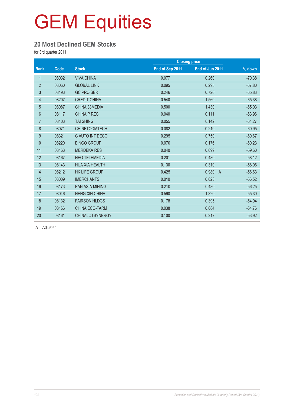#### **20 Most Declined GEM Stocks**

for 3rd quarter 2011

|       |                        |                 | <b>Closing price</b>    |          |  |
|-------|------------------------|-----------------|-------------------------|----------|--|
| Code  | <b>Stock</b>           | End of Sep 2011 | End of Jun 2011         | % down   |  |
| 08032 | <b>VIVA CHINA</b>      | 0.077           | 0.260                   | $-70.38$ |  |
| 08060 | <b>GLOBAL LINK</b>     | 0.095           | 0.295                   | $-67.80$ |  |
| 08193 | <b>GC PRO SER</b>      | 0.246           | 0.720                   | $-65.83$ |  |
| 08207 | <b>CREDIT CHINA</b>    | 0.540           | 1.560                   | $-65.38$ |  |
| 08087 | CHINA 33MEDIA          | 0.500           | 1.430                   | $-65.03$ |  |
| 08117 | <b>CHINA P RES</b>     | 0.040           | 0.111                   | $-63.96$ |  |
| 08103 | <b>TAI SHING</b>       | 0.055           | 0.142                   | $-61.27$ |  |
| 08071 | <b>CH NETCOMTECH</b>   | 0.082           | 0.210                   | $-60.95$ |  |
| 08321 | C AUTO INT DECO        | 0.295           | 0.750                   | $-60.67$ |  |
| 08220 | <b>BINGO GROUP</b>     | 0.070           | 0.176                   | $-60.23$ |  |
| 08163 | <b>MERDEKA RES</b>     | 0.040           | 0.099                   | $-59.60$ |  |
| 08167 | <b>NEO TELEMEDIA</b>   | 0.201           | 0.480                   | $-58.12$ |  |
| 08143 | <b>HUA XIA HEALTH</b>  | 0.130           | 0.310                   | $-58.06$ |  |
| 08212 | <b>HK LIFE GROUP</b>   | 0.425           | 0.980<br>$\overline{A}$ | $-56.63$ |  |
| 08009 | <b>IMERCHANTS</b>      | 0.010           | 0.023                   | $-56.52$ |  |
| 08173 | <b>PAN ASIA MINING</b> | 0.210           | 0.480                   | $-56.25$ |  |
| 08046 | <b>HENG XIN CHINA</b>  | 0.590           | 1.320                   | $-55.30$ |  |
| 08132 | <b>FAIRSON HLDGS</b>   | 0.178           | 0.395                   | $-54.94$ |  |
| 08166 | CHINA ECO-FARM         | 0.038           | 0.084                   | $-54.76$ |  |
| 08161 | <b>CHINALOTSYNERGY</b> | 0.100           | 0.217                   | $-53.92$ |  |
|       |                        |                 |                         |          |  |

A Adjusted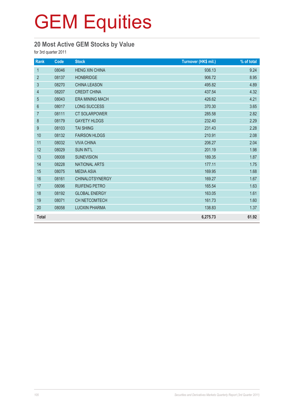#### **20 Most Active GEM Stocks by Value**

for 3rd quarter 2011

| Rank             | Code  | <b>Stock</b>           | Turnover (HK\$ mil.) | % of total |
|------------------|-------|------------------------|----------------------|------------|
| $\mathbf{1}$     | 08046 | <b>HENG XIN CHINA</b>  | 936.13               | 9.24       |
| $\overline{2}$   | 08137 | <b>HONBRIDGE</b>       | 906.72               | 8.95       |
| $\mathfrak{Z}$   | 08270 | <b>CHINA LEASON</b>    | 495.82               | 4.89       |
| $\overline{4}$   | 08207 | <b>CREDIT CHINA</b>    | 437.54               | 4.32       |
| 5                | 08043 | <b>ERA MINING MACH</b> | 426.62               | 4.21       |
| $6\phantom{1}$   | 08017 | <b>LONG SUCCESS</b>    | 370.30               | 3.65       |
| $\overline{7}$   | 08111 | <b>CT SOLARPOWER</b>   | 285.58               | 2.82       |
| $\, 8$           | 08179 | <b>GAYETY HLDGS</b>    | 232.40               | 2.29       |
| $\boldsymbol{9}$ | 08103 | <b>TAI SHING</b>       | 231.43               | 2.28       |
| 10               | 08132 | <b>FAIRSON HLDGS</b>   | 210.91               | 2.08       |
| 11               | 08032 | <b>VIVA CHINA</b>      | 206.27               | 2.04       |
| 12               | 08029 | <b>SUN INT'L</b>       | 201.19               | 1.98       |
| 13               | 08008 | <b>SUNEVISION</b>      | 189.35               | 1.87       |
| 14               | 08228 | <b>NATIONAL ARTS</b>   | 177.11               | 1.75       |
| 15               | 08075 | <b>MEDIA ASIA</b>      | 169.95               | 1.68       |
| 16               | 08161 | <b>CHINALOTSYNERGY</b> | 169.27               | 1.67       |
| 17               | 08096 | <b>RUIFENG PETRO</b>   | 165.54               | 1.63       |
| 18               | 08192 | <b>GLOBAL ENERGY</b>   | 163.05               | 1.61       |
| 19               | 08071 | <b>CH NETCOMTECH</b>   | 161.73               | 1.60       |
| 20               | 08058 | <b>LUOXIN PHARMA</b>   | 138.83               | 1.37       |
| <b>Total</b>     |       |                        | 6,275.73             | 61.92      |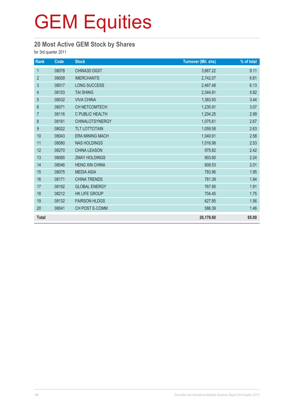#### **20 Most Active GEM Stock by Shares**

for 3rd quarter 2011

| Rank           | Code  | <b>Stock</b>           | <b>Turnover (Mil. shs)</b> | % of total |
|----------------|-------|------------------------|----------------------------|------------|
| $\mathbf{1}$   | 08078 | <b>CHINA3D DIGIT</b>   | 3,667.22                   | 9.11       |
| $\overline{2}$ | 08009 | <b>IMERCHANTS</b>      | 2,742.07                   | 6.81       |
| $\mathfrak{S}$ | 08017 | LONG SUCCESS           | 2,467.48                   | 6.13       |
| $\overline{4}$ | 08103 | <b>TAI SHING</b>       | 2,344.81                   | 5.82       |
| $\sqrt{5}$     | 08032 | <b>VIVA CHINA</b>      | 1,383.93                   | 3.44       |
| $6\phantom{1}$ | 08071 | CH NETCOMTECH          | 1,235.91                   | 3.07       |
| $\overline{7}$ | 08116 | C PUBLIC HEALTH        | 1,204.25                   | 2.99       |
| $\,8\,$        | 08161 | <b>CHINALOTSYNERGY</b> | 1,075.61                   | 2.67       |
| 9              | 08022 | <b>TLT LOTTOTAIN</b>   | 1,059.58                   | 2.63       |
| 10             | 08043 | <b>ERA MINING MACH</b> | 1,040.61                   | 2.58       |
| 11             | 08080 | <b>NAS HOLDINGS</b>    | 1,016.98                   | 2.53       |
| 12             | 08270 | <b>CHINA LEASON</b>    | 975.82                     | 2.42       |
| 13             | 08085 | <b>ZMAY HOLDINGS</b>   | 903.80                     | 2.24       |
| 14             | 08046 | <b>HENG XIN CHINA</b>  | 808.53                     | 2.01       |
| 15             | 08075 | <b>MEDIA ASIA</b>      | 783.96                     | 1.95       |
| 16             | 08171 | <b>CHINA TRENDS</b>    | 781.39                     | 1.94       |
| 17             | 08192 | <b>GLOBAL ENERGY</b>   | 767.95                     | 1.91       |
| 18             | 08212 | <b>HK LIFE GROUP</b>   | 704.45                     | 1.75       |
| 19             | 08132 | <b>FAIRSON HLDGS</b>   | 627.85                     | 1.56       |
| 20             | 08041 | CH POST E-COMM         | 586.39                     | 1.46       |
| <b>Total</b>   |       |                        | 26,178.60                  | 65.00      |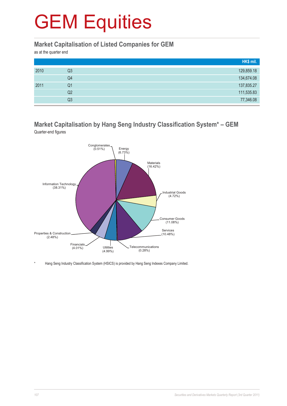#### **Market Capitalisation of Listed Companies for GEM**

as at the quarter end

|      |                | HK\$ mil.  |
|------|----------------|------------|
| 2010 | Q3             | 129,859.18 |
|      | Q4             | 134,674.08 |
| 2011 | Q <sub>1</sub> | 137,835.27 |
|      | Q2             | 111,535.83 |
|      | Q3             | 77,346.08  |

#### **Market Capitalisation by Hang Seng Industry Classification System\* – GEM** Quarter-end figures



Hang Seng Industry Classification System (HSICS) is provided by Hang Seng Indexes Company Limited.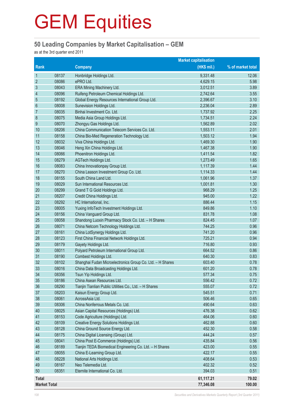#### **50 Leading Companies by Market Capitalisation – GEM**

as at the 3rd quarter end 2011

|                     |       |                                                           | <b>Market capitalisation</b> |                   |
|---------------------|-------|-----------------------------------------------------------|------------------------------|-------------------|
| Rank                |       | <b>Company</b>                                            | (HK\$ mil.)                  | % of market total |
| $\mathbf{1}$        | 08137 | Honbridge Holdings Ltd.                                   | 9,331.48                     | 12.06             |
| $\overline{2}$      | 08086 | ePRO Ltd.                                                 | 4,629.15                     | 5.98              |
| $\sqrt{3}$          | 08043 | ERA Mining Machinery Ltd.                                 | 3,012.51                     | 3.89              |
| 4                   | 08096 | Ruifeng Petroleum Chemical Holdings Ltd.                  | 2,742.64                     | 3.55              |
| 5                   | 08192 | Global Energy Resources International Group Ltd.          | 2,396.67                     | 3.10              |
| $6\,$               | 08008 | Sunevision Holdings Ltd.                                  | 2,236.04                     | 2.89              |
| $\overline{7}$      | 08035 | Binhai Investment Co. Ltd.                                | 1,737.92                     | 2.25              |
| 8                   | 08075 | Media Asia Group Holdings Ltd.                            | 1,734.51                     | 2.24              |
| 9                   | 08070 | Zhongyu Gas Holdings Ltd.                                 | 1,562.89                     | 2.02              |
| 10                  | 08206 | China Communication Telecom Services Co. Ltd.             | 1,553.11                     | 2.01              |
| 11                  | 08158 | China Bio-Med Regeneration Technology Ltd.                | 1,503.12                     | 1.94              |
| 12                  | 08032 | Viva China Holdings Ltd.                                  | 1,469.30                     | 1.90              |
| 13                  | 08046 | Heng Xin China Holdings Ltd.                              | 1,467.38                     | 1.90              |
| 14                  | 08066 | Phoenitron Holdings Ltd.                                  | 1,411.54                     | 1.82              |
| 15                  | 08279 | <b>AGTech Holdings Ltd.</b>                               | 1,273.49                     | 1.65              |
| 16                  | 08083 | China Innovationpay Group Ltd.                            | 1,117.39                     | 1.44              |
| 17                  | 08270 | China Leason Investment Group Co. Ltd.                    | 1,114.33                     | 1.44              |
| 18                  | 08155 | South China Land Ltd.                                     | 1,061.96                     | 1.37              |
| 19                  | 08029 | Sun International Resources Ltd.                          | 1,001.81                     | 1.30              |
| 20                  | 08299 | Grand T G Gold Holdings Ltd.                              | 968.29                       | 1.25              |
| 21                  | 08207 | Credit China Holdings Ltd.                                | 945.00                       | 1.22              |
| 22                  | 08292 | HC International, Inc.                                    | 886.44                       | 1.15              |
| 23                  | 08005 | Yuxing InfoTech Investment Holdings Ltd.                  | 849.86                       | 1.10              |
| 24                  | 08156 | China Vanguard Group Ltd.                                 | 831.78                       | 1.08              |
| 25                  | 08058 | Shandong Luoxin Pharmacy Stock Co. Ltd. - H Shares        | 824.45                       | 1.07              |
| 26                  | 08071 | China Netcom Technology Holdings Ltd.                     | 744.25                       | 0.96              |
| 27                  | 08161 | China LotSynergy Holdings Ltd.                            | 741.20                       | 0.96              |
| 28                  | 08123 | First China Financial Network Holdings Ltd.               | 725.21                       | 0.94              |
| 29                  | 08179 | Gayety Holdings Ltd.                                      | 716.80                       | 0.93              |
| 30                  | 08011 | Polyard Petroleum International Group Ltd.                | 664.52                       | 0.86              |
| 31                  | 08190 | Combest Holdings Ltd.                                     | 640.30                       | 0.83              |
| 32                  | 08102 | Shanghai Fudan Microelectronics Group Co. Ltd. - H Shares | 603.40                       | 0.78              |
| 33                  | 08016 | China Data Broadcasting Holdings Ltd.                     | 601.20                       | 0.78              |
| 34                  | 08356 | Tsun Yip Holdings Ltd.                                    | 577.34                       | 0.75              |
| 35                  | 08186 | China Asean Resources Ltd.                                | 556.42                       | 0.72              |
| 36                  | 08290 | Tianjin Tianlian Public Utilities Co., Ltd. - H Shares    | 555.07                       | 0.72              |
| 37                  | 08203 | Kaisun Energy Group Ltd.                                  | 545.51                       | 0.71              |
| 38                  | 08061 | AcrossAsia Ltd.                                           | 506.46                       | 0.65              |
| 39                  | 08306 | China Nonferrous Metals Co. Ltd.                          | 490.64                       | 0.63              |
| 40                  | 08025 | Asian Capital Resources (Holdings) Ltd.                   | 476.38                       | 0.62              |
| 41                  | 08153 | Code Agriculture (Holdings) Ltd.                          | 464.06                       | 0.60              |
| 42                  | 08109 | Creative Energy Solutions Holdings Ltd.                   | 462.88                       | 0.60              |
| 43                  | 08128 | China Ground Source Energy Ltd.                           | 452.30                       | 0.58              |
| 44                  | 08175 | China Digital Licensing (Group) Ltd.                      | 444.24                       | 0.57              |
| 45                  | 08041 | China Post E-Commerce (Holdings) Ltd.                     | 435.84                       | 0.56              |
| 46                  | 08189 | Tianjin TEDA Biomedical Engineering Co. Ltd. - H Shares   | 423.00                       | 0.55              |
| 47                  | 08055 | China E-Learning Group Ltd.                               | 422.17                       | 0.55              |
| 48                  | 08228 | National Arts Holdings Ltd.                               | 408.64                       | 0.53              |
| 49                  | 08167 | Neo Telemedia Ltd.                                        | 402.32                       | 0.52              |
| 50                  | 08351 | Eternite International Co. Ltd.                           | 394.03                       | 0.51              |
| <b>Total</b>        |       |                                                           | 61,117.21                    | 79.02             |
| <b>Market Total</b> |       |                                                           | 77,346.08                    | 100.00            |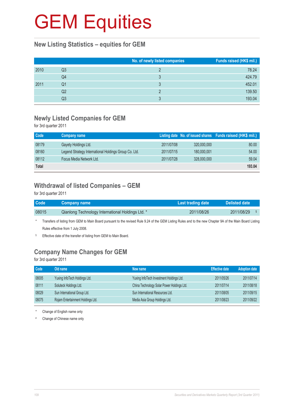#### **New Listing Statistics – equities for GEM**

|      |    | No. of newly listed companies | Funds raised (HK\$ mil.) |
|------|----|-------------------------------|--------------------------|
| 2010 | Q3 |                               | 78.24                    |
|      | Q4 | 3                             | 424.79                   |
| 2011 | Q1 |                               | 452.01                   |
|      | Q2 |                               | 139.50                   |
|      | Q3 |                               | 193.04                   |

#### **Newly Listed Companies for GEM**

for 3rd quarter 2011

| Code         | Company name                                          |            |             | Listing date No. of issued shares Funds raised (HK\$ mil.) |
|--------------|-------------------------------------------------------|------------|-------------|------------------------------------------------------------|
| 08179        | Gayety Holdings Ltd.                                  | 2011/07/08 | 320,000,000 | 80.00                                                      |
| 08160        | Legend Strategy International Holdings Group Co. Ltd. | 2011/07/15 | 180,000,001 | 54.00                                                      |
| 08112        | Focus Media Network Ltd.                              | 2011/07/28 | 328,000,000 | 59.04                                                      |
| <b>Total</b> |                                                       |            |             | 193.04                                                     |

#### **Withdrawal of listed Companies – GEM**

for 3rd quarter 2011

| <b>Code</b> | <b>Company name</b>                               | Last trading date | Delisted date |  |
|-------------|---------------------------------------------------|-------------------|---------------|--|
| 08015       | Qianlong Technology International Holdings Ltd. * | 2011/08/26        | 2011/08/29    |  |
|             |                                                   |                   |               |  |

\* Transfers of listing from GEM to Main Board pursuant to the revised Rule 9.24 of the GEM Listing Rules and to the new Chapter 9A of the Main Board Listing Rules effective from 1 July 2008.

§ Effective date of the transfer of listing from GEM to Main Board.

## **Company Name Changes for GEM**

for 3rd quarter 2011

| Code  | Old name                          | New name                                   | <b>Effective date</b> | <b>Adoption date</b> |
|-------|-----------------------------------|--------------------------------------------|-----------------------|----------------------|
| 08005 | Yuxing InfoTech Holdings Ltd.     | Yuxing InfoTech Investment Holdings Ltd.   | 2011/05/26            | 2011/07/14           |
| 08111 | Soluteck Holdings Ltd.            | China Technology Solar Power Holdings Ltd. | 2011/07/14            | 2011/08/18           |
| 08029 | Sun International Group Ltd.      | Sun International Resources Ltd.           | 2011/08/05            | 2011/09/15           |
| 08075 | Rojam Entertainment Holdings Ltd. | Media Asia Group Holdings Ltd.             | 2011/08/23            | 2011/09/22           |

Change of English name only

# Change of Chinese name only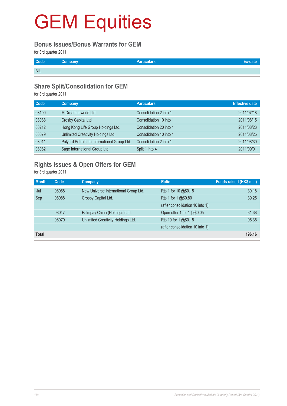#### **Bonus Issues/Bonus Warrants for GEM**

for 3rd quarter 2011

| Code <sup>1</sup> | <b>Company</b> | Particulars |  |
|-------------------|----------------|-------------|--|
| <b>NIL</b>        |                |             |  |

#### **Share Split/Consolidation for GEM**

for 3rd quarter 2011

| <b>Code</b> | Company                                    | <b>Particulars</b>      | <b>Effective date</b> |
|-------------|--------------------------------------------|-------------------------|-----------------------|
| 08100       | M Dream Inworld Ltd.                       | Consolidation 2 into 1  | 2011/07/18            |
| 08088       | Crosby Capital Ltd.                        | Consolidation 10 into 1 | 2011/08/15            |
| 08212       | Hong Kong Life Group Holdings Ltd.         | Consolidation 20 into 1 | 2011/08/23            |
| 08079       | Unlimited Creativity Holdings Ltd.         | Consolidation 10 into 1 | 2011/08/25            |
| 08011       | Polyard Petroleum International Group Ltd. | Consolidation 2 into 1  | 2011/08/30            |
| 08082       | Sage International Group Ltd.              | Split 1 into 4          | 2011/09/01            |

## **Rights Issues & Open Offers for GEM**

for 3rd quarter 2011

| <b>Month</b> | Code  | Company                               | <b>Ratio</b>                    | Funds raised (HK\$ mil.) |
|--------------|-------|---------------------------------------|---------------------------------|--------------------------|
| Jul          | 08068 | New Universe International Group Ltd. | Rts 1 for 10 @\$0.15            | 30.18                    |
| Sep          | 08088 | Crosby Capital Ltd.                   | Rts 1 for 1 @\$0.80             | 39.25                    |
|              |       |                                       | (after consolidation 10 into 1) |                          |
|              | 08047 | Palmpay China (Holdings) Ltd.         | Open offer 1 for 1 @\$0.05      | 31.38                    |
|              | 08079 | Unlimited Creativity Holdings Ltd.    | Rts 10 for 1 @\$0.15            | 95.35                    |
|              |       |                                       | (after consolidation 10 into 1) |                          |
| <b>Total</b> |       |                                       |                                 | 196.16                   |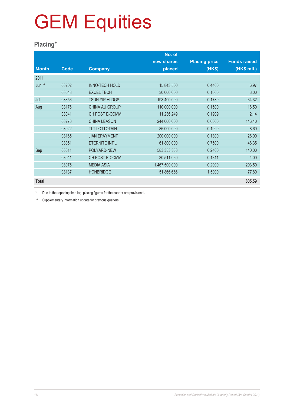### **Placing\***

|              |       |                       | No. of        |                      |                     |
|--------------|-------|-----------------------|---------------|----------------------|---------------------|
|              |       |                       | new shares    | <b>Placing price</b> | <b>Funds raised</b> |
| <b>Month</b> | Code  | <b>Company</b>        | placed        | (HK\$)               | (HK\$ mil.)         |
| 2011         |       |                       |               |                      |                     |
| Jun **       | 08202 | <b>INNO-TECH HOLD</b> | 15,843,500    | 0.4400               | 6.97                |
|              | 08048 | <b>EXCEL TECH</b>     | 30,000,000    | 0.1000               | 3.00                |
| Jul          | 08356 | TSUN YIP HLDGS        | 198,400,000   | 0.1730               | 34.32               |
| Aug          | 08176 | <b>CHINA AU GROUP</b> | 110,000,000   | 0.1500               | 16.50               |
|              | 08041 | CH POST E-COMM        | 11,236,249    | 0.1909               | 2.14                |
|              | 08270 | <b>CHINA LEASON</b>   | 244,000,000   | 0.6000               | 146.40              |
|              | 08022 | <b>TLT LOTTOTAIN</b>  | 86,000,000    | 0.1000               | 8.60                |
|              | 08165 | <b>JIAN EPAYMENT</b>  | 200,000,000   | 0.1300               | 26.00               |
|              | 08351 | ETERNITE INT'L        | 61,800,000    | 0.7500               | 46.35               |
| Sep          | 08011 | POLYARD-NEW           | 583,333,333   | 0.2400               | 140.00              |
|              | 08041 | CH POST E-COMM        | 30,511,060    | 0.1311               | 4.00                |
|              | 08075 | <b>MEDIA ASIA</b>     | 1,467,500,000 | 0.2000               | 293.50              |
|              | 08137 | <b>HONBRIDGE</b>      | 51,866,666    | 1.5000               | 77.80               |
| <b>Total</b> |       |                       |               |                      | 805.59              |

Due to the reporting time-lag, placing figures for the quarter are provisional.

\*\* Supplementary information update for previous quarters.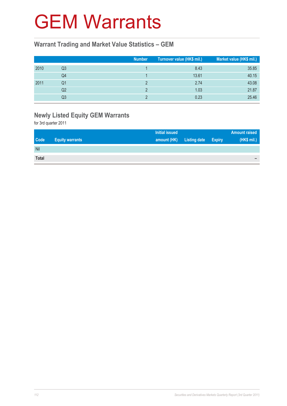## GEM Warrants

#### **Warrant Trading and Market Value Statistics – GEM**

|      |    | <b>Number</b> | Turnover value (HK\$ mil.) | Market value (HK\$ mil.) |
|------|----|---------------|----------------------------|--------------------------|
| 2010 | Q3 |               | 8.43                       | 35.85                    |
|      | Q4 |               | 13.61                      | 40.15                    |
| 2011 | Q1 |               | 2.74                       | 43.08                    |
|      | Q2 |               | 1.03                       | 21.87                    |
|      | Q3 |               | 0.23                       | 25.46                    |

## **Newly Listed Equity GEM Warrants**

for 3rd quarter 2011

|              |                        | <b>Initial issued</b> |                     |               | <b>Amount raised</b>     |
|--------------|------------------------|-----------------------|---------------------|---------------|--------------------------|
| <b>Code</b>  | <b>Equity warrants</b> | amount (HK)           | <b>Listing date</b> | <b>Expiry</b> | (HK\$ mil.)              |
| Nil          |                        |                       |                     |               |                          |
| <b>Total</b> |                        |                       |                     |               | $\overline{\phantom{a}}$ |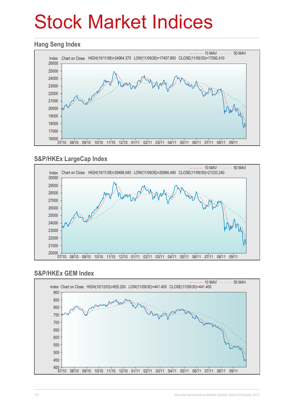# Stock Market Indices

#### **Hang Seng Index**



#### **S&P/HKEx LargeCap Index**



#### **S&P/HKEx GEM Index**

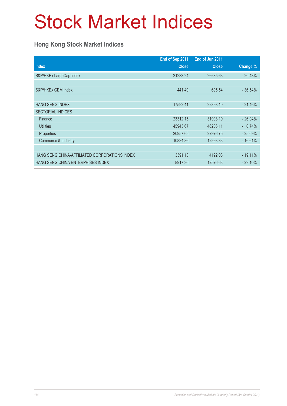# Stock Market Indices

### **Hong Kong Stock Market Indices**

|                                               | End of Sep 2011 | End of Jun 2011 |           |
|-----------------------------------------------|-----------------|-----------------|-----------|
| <b>Index</b>                                  | <b>Close</b>    | <b>Close</b>    | Change %  |
| S&P/HKEx LargeCap Index                       | 21233.24        | 26685.63        | $-20.43%$ |
|                                               |                 |                 |           |
| S&P/HKEx GEM Index                            | 441.40          | 695.54          | $-36.54%$ |
|                                               |                 |                 |           |
| <b>HANG SENG INDEX</b>                        | 17592.41        | 22398.10        | $-21.46%$ |
| <b>SECTORIAL INDICES</b>                      |                 |                 |           |
| Finance                                       | 23312.15        | 31908.19        | $-26.94%$ |
| <b>Utilities</b>                              | 45943.67        | 46286.11        | $-0.74%$  |
| Properties                                    | 20957.65        | 27976.75        | $-25.09%$ |
| Commerce & Industry                           | 10834.86        | 12993.33        | $-16.61%$ |
|                                               |                 |                 |           |
| HANG SENG CHINA-AFFILIATED CORPORATIONS INDEX | 3391.13         | 4192.08         | $-19.11%$ |
| <b>HANG SENG CHINA ENTERPRISES INDEX</b>      | 8917.36         | 12576.68        | $-29.10%$ |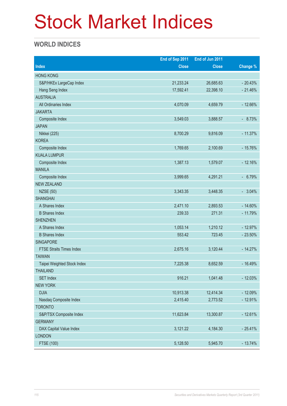# Stock Market Indices

### **WORLD INDICES**

|                                 | End of Sep 2011 | End of Jun 2011 |           |
|---------------------------------|-----------------|-----------------|-----------|
| <b>Index</b>                    | <b>Close</b>    | <b>Close</b>    | Change %  |
| <b>HONG KONG</b>                |                 |                 |           |
| S&P/HKEx LargeCap Index         | 21,233.24       | 26,685.63       | $-20.43%$ |
| Hang Seng Index                 | 17,592.41       | 22,398.10       | $-21.46%$ |
| <b>AUSTRALIA</b>                |                 |                 |           |
| All Ordinaries Index            | 4,070.09        | 4,659.79        | $-12.66%$ |
| <b>JAKARTA</b>                  |                 |                 |           |
| Composite Index                 | 3,549.03        | 3,888.57        | $-8.73%$  |
| <b>JAPAN</b>                    |                 |                 |           |
| Nikkei (225)                    | 8,700.29        | 9,816.09        | $-11.37%$ |
| <b>KOREA</b>                    |                 |                 |           |
| Composite Index                 | 1,769.65        | 2,100.69        | $-15.76%$ |
| <b>KUALA LUMPUR</b>             |                 |                 |           |
| Composite Index                 | 1,387.13        | 1,579.07        | $-12.16%$ |
| <b>MANILA</b>                   |                 |                 |           |
| Composite Index                 | 3,999.65        | 4,291.21        | $-6.79%$  |
| <b>NEW ZEALAND</b>              |                 |                 |           |
| <b>NZSE (50)</b>                | 3,343.35        | 3,448.35        | $-3.04%$  |
| <b>SHANGHAI</b>                 |                 |                 |           |
| A Shares Index                  | 2,471.10        | 2,893.53        | $-14.60%$ |
| <b>B Shares Index</b>           | 239.33          | 271.31          | $-11.79%$ |
| <b>SHENZHEN</b>                 |                 |                 |           |
| A Shares Index                  | 1,053.14        | 1,210.12        | $-12.97%$ |
| <b>B Shares Index</b>           | 553.42          | 723.45          | $-23.50%$ |
| <b>SINGAPORE</b>                |                 |                 |           |
| <b>FTSE Straits Times Index</b> | 2,675.16        | 3,120.44        | $-14.27%$ |
| <b>TAIWAN</b>                   |                 |                 |           |
| Taipei Weighted Stock Index     | 7,225.38        | 8,652.59        | $-16.49%$ |
| <b>THAILAND</b>                 |                 |                 |           |
| <b>SET Index</b>                | 916.21          | 1,041.48        | $-12.03%$ |
| <b>NEW YORK</b>                 |                 |                 |           |
| <b>DJIA</b>                     | 10,913.38       | 12,414.34       | $-12.09%$ |
| Nasdaq Composite Index          | 2,415.40        | 2,773.52        | $-12.91%$ |
| <b>TORONTO</b>                  |                 |                 |           |
| S&P/TSX Composite Index         | 11,623.84       | 13,300.87       | $-12.61%$ |
| <b>GERMANY</b>                  |                 |                 |           |
| DAX Capital Value Index         | 3,121.22        | 4,184.30        | $-25.41%$ |
| <b>LONDON</b>                   |                 |                 |           |
| FTSE (100)                      | 5,128.50        | 5,945.70        | $-13.74%$ |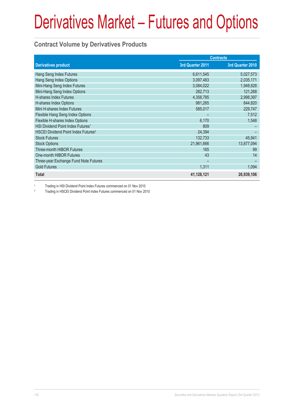#### **Contract Volume by Derivatives Products**

|                                                 | <b>Contracts</b> |                  |  |
|-------------------------------------------------|------------------|------------------|--|
| <b>Derivatives product</b>                      | 3rd Quarter 2011 | 3rd Quarter 2010 |  |
| Hang Seng Index Futures                         | 6,611,545        | 5,027,573        |  |
| Hang Seng Index Options                         | 3,097,483        | 2,035,171        |  |
| Mini-Hang Seng Index Futures                    | 3,084,022        | 1,948,828        |  |
| Mini-Hang Seng Index Options                    | 282,713          | 121,268          |  |
| H-shares Index Futures                          | 4,358,785        | 2,998,397        |  |
| H-shares Index Options                          | 981,265          | 644,820          |  |
| Mini H-shares Index Futures                     | 585,017          | 229,747          |  |
| Flexible Hang Seng Index Options                |                  | 7,512            |  |
| Flexible H-shares Index Options                 | 6,170            | 1,548            |  |
| HSI Dividend Point Index Futures <sup>1</sup>   | 809              |                  |  |
| HSCEI Dividend Point Index Futures <sup>2</sup> | 24,394           |                  |  |
| <b>Stock Futures</b>                            | 132,733          | 45,941           |  |
| <b>Stock Options</b>                            | 21,961,666       | 13,877,094       |  |
| Three-month HIBOR Futures                       | 165              | 99               |  |
| One-month HIBOR Futures                         | 43               | 14               |  |
| Three-year Exchange Fund Note Futures           |                  |                  |  |
| <b>Gold Futures</b>                             | 1,311            | 1,094            |  |
| <b>Total</b>                                    | 41,128,121       | 26,939,106       |  |

1 Trading in HSI Dividend Point Index Futures commenced on 01 Nov 2010

2 Trading in HSCEI Dividend Point Index Futures commenced on 01 Nov 2010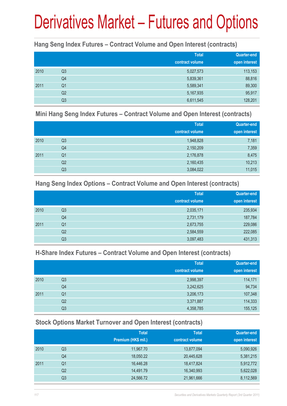#### **Hang Seng Index Futures – Contract Volume and Open Interest (contracts)**

|      |                | <b>Total</b><br>contract volume | <b>Quarter-end</b><br>open interest |
|------|----------------|---------------------------------|-------------------------------------|
| 2010 | Q <sub>3</sub> | 5,027,573                       | 113,153                             |
|      | Q4             | 5,839,361                       | 88,816                              |
| 2011 | Q <sub>1</sub> | 5,589,341                       | 89,300                              |
|      | Q <sub>2</sub> | 5,167,935                       | 95,917                              |
|      | Q3             | 6,611,545                       | 128,201                             |

#### **Mini Hang Seng Index Futures – Contract Volume and Open Interest (contracts)**

|      |                | <b>Total</b><br>contract volume | Quarter-end<br>open interest |
|------|----------------|---------------------------------|------------------------------|
| 2010 | Q <sub>3</sub> | 1,948,828                       | 7,181                        |
|      | Q4             | 2,150,209                       | 7,359                        |
| 2011 | Q <sub>1</sub> | 2,176,878                       | 8,475                        |
|      | Q <sub>2</sub> | 2,160,435                       | 10,213                       |
|      | Q <sub>3</sub> | 3,084,022                       | 11,015                       |

#### **Hang Seng Index Options – Contract Volume and Open Interest (contracts)**

|      |                | <b>Total</b>    | Quarter-end   |
|------|----------------|-----------------|---------------|
|      |                | contract volume | open interest |
| 2010 | Q <sub>3</sub> | 2,035,171       | 235,934       |
|      | Q4             | 2,731,179       | 187,784       |
| 2011 | Q <sub>1</sub> | 2,673,755       | 229,086       |
|      | Q <sub>2</sub> | 2,584,559       | 222,085       |
|      | Q <sub>3</sub> | 3,097,483       | 431,313       |

#### **H-Share Index Futures – Contract Volume and Open Interest (contracts)**

|      |                | <b>Total</b>    | Quarter-end   |
|------|----------------|-----------------|---------------|
|      |                | contract volume | open interest |
| 2010 | Q <sub>3</sub> | 2,998,397       | 114,171       |
|      | Q4             | 3,242,625       | 94,734        |
| 2011 | Q1             | 3,206,173       | 107,348       |
|      | Q2             | 3,371,887       | 114,333       |
|      | Q <sub>3</sub> | 4,358,785       | 155,125       |

#### **Stock Options Market Turnover and Open Interest (contracts)**

|      |    | <b>Total</b>        | <b>Total</b>    | <b>Quarter-end</b> |
|------|----|---------------------|-----------------|--------------------|
|      |    | Premium (HK\$ mil.) | contract volume | open interest      |
| 2010 | Q3 | 11,967.70           | 13,877,094      | 5,090,926          |
|      | Q4 | 18,050.22           | 20,445,628      | 5,381,215          |
| 2011 | Q1 | 16,446.28           | 18,417,824      | 5,912,772          |
|      | Q2 | 14,491.79           | 16,340,993      | 5,622,028          |
|      | Q3 | 24,566.72           | 21,961,666      | 8,112,569          |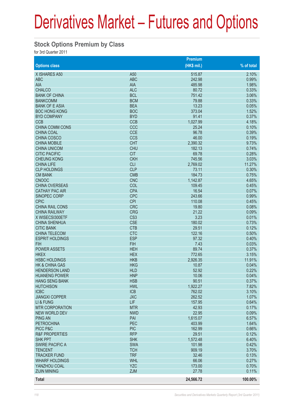#### **Stock Options Premium by Class**

for 3rd Quarter 2011

|                           |                 | Premium     |            |
|---------------------------|-----------------|-------------|------------|
| <b>Options class</b>      |                 | (HK\$ mil.) | % of total |
| X ISHARES A50             | A <sub>50</sub> | 515.87      | 2.10%      |
| <b>ABC</b>                | <b>ABC</b>      | 242.98      | 0.99%      |
| AIA                       | <b>AIA</b>      | 485.98      | 1.98%      |
| <b>CHALCO</b>             | <b>ALC</b>      | 80.72       | 0.33%      |
| <b>BANK OF CHINA</b>      | <b>BCL</b>      | 751.42      | 3.06%      |
| <b>BANKCOMM</b>           | <b>BCM</b>      | 79.88       | 0.33%      |
| <b>BANK OF E ASIA</b>     | <b>BEA</b>      | 13.23       | 0.05%      |
| <b>BOC HONG KONG</b>      | <b>BOC</b>      | 373.04      | 1.52%      |
| <b>BYD COMPANY</b>        | <b>BYD</b>      | 91.41       | 0.37%      |
| <b>CCB</b>                | <b>CCB</b>      | 1,027.99    | 4.18%      |
| <b>CHINA COMM CONS</b>    | CCC             | 25.24       | 0.10%      |
| <b>CHINA COAL</b>         | <b>CCE</b>      | 96.78       | 0.39%      |
| <b>CHINA COSCO</b>        | <b>CCS</b>      | 46.00       | 0.19%      |
| <b>CHINA MOBILE</b>       | <b>CHT</b>      | 2,390.32    | 9.73%      |
| <b>CHINA UNICOM</b>       | <b>CHU</b>      | 182.13      | 0.74%      |
| <b>CITIC PACIFIC</b>      | <b>CIT</b>      | 69.78       | 0.28%      |
| <b>CHEUNG KONG</b>        | <b>CKH</b>      | 745.56      | 3.03%      |
| <b>CHINA LIFE</b>         | <b>CLI</b>      | 2,769.02    | 11.27%     |
| <b>CLP HOLDINGS</b>       | <b>CLP</b>      | 73.11       | 0.30%      |
| <b>CM BANK</b>            | <b>CMB</b>      | 184.73      | 0.75%      |
| <b>CNOOC</b>              | <b>CNC</b>      | 1,142.87    | 4.65%      |
| <b>CHINA OVERSEAS</b>     | COL             | 109.45      | 0.45%      |
| <b>CATHAY PAC AIR</b>     | <b>CPA</b>      | 16.54       | 0.07%      |
| SINOPEC CORP              | <b>CPC</b>      | 243.66      | 0.99%      |
| <b>CPIC</b>               | <b>CPI</b>      | 110.08      | 0.45%      |
| <b>CHINA RAIL CONS</b>    | <b>CRC</b>      | 19.80       | 0.08%      |
| <b>CHINA RAILWAY</b>      | <b>CRG</b>      | 21.22       | 0.09%      |
| X WISECSI300ETF           | CS <sub>3</sub> | 3.23        | 0.01%      |
| <b>CHINA SHENHUA</b>      | <b>CSE</b>      | 180.02      | 0.73%      |
| <b>CITIC BANK</b>         | <b>CTB</b>      | 29.51       | 0.12%      |
| <b>CHINA TELECOM</b>      | <b>CTC</b>      | 122.16      | 0.50%      |
| <b>ESPRIT HOLDINGS</b>    | <b>ESP</b>      | 97.32       | 0.40%      |
| <b>FIH</b>                | <b>FIH</b>      | 7.43        | 0.03%      |
| <b>POWER ASSETS</b>       | <b>HEH</b>      | 89.74       | 0.37%      |
| <b>HKEX</b>               | <b>HEX</b>      | 772.65      | 3.15%      |
| <b>HSBC HOLDINGS</b>      | <b>HKB</b>      | 2,926.35    | 11.91%     |
| <b>HK &amp; CHINA GAS</b> | <b>HKG</b>      | 10.87       | 0.04%      |
| <b>HENDERSON LAND</b>     | <b>HLD</b>      | 52.92       | 0.22%      |
| <b>HUANENG POWER</b>      | <b>HNP</b>      | 10.06       | 0.04%      |
| <b>HANG SENG BANK</b>     | <b>HSB</b>      | 90.51       | 0.37%      |
| <b>HUTCHISON</b>          | <b>HWL</b>      | 1,922.27    | 7.82%      |
| <b>ICBC</b>               | <b>ICB</b>      | 762.02      | 3.10%      |
| <b>JIANGXI COPPER</b>     | <b>JXC</b>      | 262.52      | 1.07%      |
| LI & FUNG                 | LIF.            | 157.95      | 0.64%      |
| <b>MTR CORPORATION</b>    | <b>MTR</b>      | 42.93       | 0.17%      |
| <b>NEW WORLD DEV</b>      | <b>NWD</b>      | 22.95       | 0.09%      |
| <b>PING AN</b>            | PAI             | 1,615.07    | 6.57%      |
| <b>PETROCHINA</b>         | <b>PEC</b>      | 403.99      | 1.64%      |
| PICC P&C                  | <b>PIC</b>      | 162.99      | 0.66%      |
| <b>R&amp;F PROPERTIES</b> | <b>RFP</b>      | 29.51       | 0.12%      |
| <b>SHK PPT</b>            | <b>SHK</b>      | 1,572.48    | 6.40%      |
| <b>SWIRE PACIFIC A</b>    | <b>SWA</b>      | 101.98      | 0.42%      |
| <b>TENCENT</b>            | <b>TCH</b>      | 909.19      | 3.70%      |
| <b>TRACKER FUND</b>       | <b>TRF</b>      | 32.46       | 0.13%      |
| <b>WHARF HOLDINGS</b>     | <b>WHL</b>      | 66.06       | 0.27%      |
| YANZHOU COAL              | <b>YZC</b>      | 173.00      | 0.70%      |
| <b>ZIJIN MINING</b>       | <b>ZJM</b>      | 27.78       | 0.11%      |
| Total                     |                 | 24,566.72   | 100.00%    |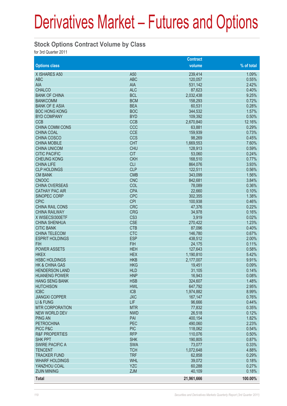#### **Stock Options Contract Volume by Class**

for 3rd Quarter 2011

|                           |                 | <b>Contract</b> |            |
|---------------------------|-----------------|-----------------|------------|
| <b>Options class</b>      |                 | volume          | % of total |
| X ISHARES A50             | A50             | 239,414         | 1.09%      |
| <b>ABC</b>                | <b>ABC</b>      | 120,057         | 0.55%      |
| AIA                       | <b>AIA</b>      | 531,142         | 2.42%      |
| <b>CHALCO</b>             | <b>ALC</b>      | 87,623          | 0.40%      |
| <b>BANK OF CHINA</b>      | <b>BCL</b>      | 2,032,438       | 9.25%      |
| <b>BANKCOMM</b>           | <b>BCM</b>      | 158,293         | 0.72%      |
| <b>BANK OF E ASIA</b>     | <b>BEA</b>      | 60,531          | 0.28%      |
| <b>BOC HONG KONG</b>      | <b>BOC</b>      | 344,532         | 1.57%      |
| <b>BYD COMPANY</b>        | <b>BYD</b>      | 109,392         | 0.50%      |
| <b>CCB</b>                | <b>CCB</b>      | 2,670,840       | 12.16%     |
| <b>CHINA COMM CONS</b>    | CCC             | 63,881          | 0.29%      |
| <b>CHINA COAL</b>         | <b>CCE</b>      | 159,939         | 0.73%      |
| <b>CHINA COSCO</b>        | <b>CCS</b>      | 98,269          | 0.45%      |
| <b>CHINA MOBILE</b>       | <b>CHT</b>      | 1,669,553       | 7.60%      |
| <b>CHINA UNICOM</b>       | <b>CHU</b>      | 128,913         | 0.59%      |
| <b>CITIC PACIFIC</b>      | <b>CIT</b>      | 53,060          | 0.24%      |
| <b>CHEUNG KONG</b>        | <b>CKH</b>      | 168,510         | 0.77%      |
| <b>CHINA LIFE</b>         | <b>CLI</b>      | 864,076         | 3.93%      |
| <b>CLP HOLDINGS</b>       | <b>CLP</b>      | 122,511         | 0.56%      |
| <b>CM BANK</b>            | <b>CMB</b>      | 343,099         | 1.56%      |
| <b>CNOOC</b>              | <b>CNC</b>      | 842,681         | 3.84%      |
| <b>CHINA OVERSEAS</b>     | COL             | 78,089          | 0.36%      |
| <b>CATHAY PAC AIR</b>     | <b>CPA</b>      | 22,660          | 0.10%      |
| <b>SINOPEC CORP</b>       | <b>CPC</b>      | 302,355         | 1.38%      |
| <b>CPIC</b>               | <b>CPI</b>      | 100,938         | 0.46%      |
| <b>CHINA RAIL CONS</b>    | <b>CRC</b>      | 47,376          | 0.22%      |
| <b>CHINA RAILWAY</b>      | <b>CRG</b>      | 34,978          | 0.16%      |
| X WISECSI300ETF           | CS <sub>3</sub> | 3,919           | 0.02%      |
| <b>CHINA SHENHUA</b>      | <b>CSE</b>      | 270,422         | 1.23%      |
| <b>CITIC BANK</b>         | <b>CTB</b>      | 87,096          | 0.40%      |
| <b>CHINA TELECOM</b>      | <b>CTC</b>      | 146,780         | 0.67%      |
| <b>ESPRIT HOLDINGS</b>    | <b>ESP</b>      | 438,512         | 2.00%      |
| <b>FIH</b>                | <b>FIH</b>      | 24,175          | 0.11%      |
| <b>POWER ASSETS</b>       | <b>HEH</b>      | 127,643         | 0.58%      |
| <b>HKEX</b>               | <b>HEX</b>      | 1,190,810       | 5.42%      |
| <b>HSBC HOLDINGS</b>      | <b>HKB</b>      | 2,177,007       | 9.91%      |
| HK & CHINA GAS            | <b>HKG</b>      | 19,451          | 0.09%      |
| <b>HENDERSON LAND</b>     | <b>HLD</b>      | 31,105          | 0.14%      |
| <b>HUANENG POWER</b>      | <b>HNP</b>      | 16,943          | 0.08%      |
| <b>HANG SENG BANK</b>     | <b>HSB</b>      | 324,607         | 1.48%      |
| <b>HUTCHISON</b>          | <b>HWL</b>      | 647,792         | 2.95%      |
| <b>ICBC</b>               | <b>ICB</b>      | 1,974,882       | 8.99%      |
| <b>JIANGXI COPPER</b>     | <b>JXC</b>      | 167,147         | 0.76%      |
| LI & FUNG                 | LIF             | 96,666          | 0.44%      |
| <b>MTR CORPORATION</b>    | <b>MTR</b>      | 77,832          | 0.35%      |
| <b>NEW WORLD DEV</b>      | <b>NWD</b>      | 26,518          | 0.12%      |
| <b>PING AN</b>            | PAI             | 400,154         | 1.82%      |
| <b>PETROCHINA</b>         | PEC             | 490,060         | 2.23%      |
| PICC P&C                  | <b>PIC</b>      | 118,062         | 0.54%      |
| <b>R&amp;F PROPERTIES</b> | <b>RFP</b>      | 110,076         | 0.50%      |
| <b>SHK PPT</b>            | <b>SHK</b>      | 190,805         | 0.87%      |
| <b>SWIRE PACIFIC A</b>    | <b>SWA</b>      | 73,077          | 0.33%      |
| <b>TENCENT</b>            | <b>TCH</b>      | 1,072,648       | 4.88%      |
| <b>TRACKER FUND</b>       | <b>TRF</b>      | 62,858          | 0.29%      |
| <b>WHARF HOLDINGS</b>     | <b>WHL</b>      | 39,072          | 0.18%      |
| YANZHOU COAL              | <b>YZC</b>      | 60,288          | 0.27%      |
| <b>ZIJIN MINING</b>       | <b>ZJM</b>      | 40,109          | 0.18%      |
| <b>Total</b>              |                 | 21,961,666      | 100.00%    |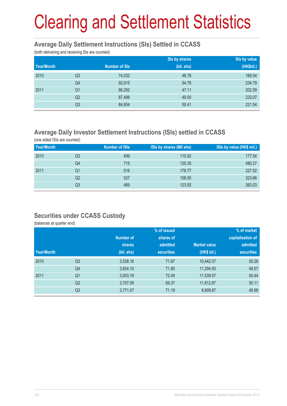# Clearing and Settlement Statistics

#### **Average Daily Settlement Instructions (SIs) Settled in CCASS**

(both delivering and receiving SIs are counted)

|            |                |                      | Sis by shares | Sis by value |
|------------|----------------|----------------------|---------------|--------------|
| Year/Month |                | <b>Number of SIs</b> | (bil. shs)    | (HK\$bil.)   |
| 2010       | Q <sub>3</sub> | 74,032               | 46.78         | 169.54       |
|            | Q4             | 92,915               | 54.76         | 234.79       |
| 2011       | Q <sub>1</sub> | 86,292               | 47.11         | 202.59       |
|            | Q <sub>2</sub> | 87,498               | 49.00         | 233.07       |
|            | Q <sub>3</sub> | 84,654               | 50.41         | 221.54       |

### **Average Daily Investor Settlement Instructions (ISIs) settled in CCASS**

(one sided ISIs are counted)

| Year/Month |    | Number of ISIs | ISIs by shares (Mil shs) | ISIs by value (HK\$ mil.) |
|------------|----|----------------|--------------------------|---------------------------|
| 2010       | Q3 | 499            | 115.92                   | 177.54                    |
|            | Q4 | 715            | 120.35                   | 480.27                    |
| 2011       | Q1 | 516            | 178.77                   | 227.52                    |
|            | Q2 | 527            | 108.05                   | 323.66                    |
|            | Q3 | 489            | 123.92                   | 383.03                    |

#### **Securities under CCASS Custody**

(balances at quarter end)

|            |                |            | % of issued       |                     | % of market       |
|------------|----------------|------------|-------------------|---------------------|-------------------|
|            |                | Number of  | shares of         |                     | capitalisation of |
|            |                | shares     | admitted          | <b>Market value</b> | admitted          |
| Year/Month |                | (bil. shs) | <b>securities</b> | (HK\$ bil.)         | <b>securities</b> |
| 2010       | Q <sub>3</sub> | 3,538.16   | 71.67             | 10,442.07           | 50.28             |
|            | Q4             | 3,834.10   | 71.80             | 11,294.50           | 49.57             |
| 2011       | Q <sub>1</sub> | 3,933.19   | 72.49             | 11,539.57           | 50.44             |
|            | Q <sub>2</sub> | 3,707.09   | 69.37             | 11,612.87           | 50.11             |
|            | Q <sub>3</sub> | 3,771.07   | 71.19             | 8,909.87            | 49.96             |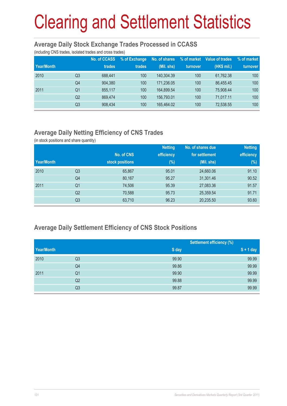# Clearing and Settlement Statistics

#### **Average Daily Stock Exchange Trades Processed in CCASS**

(including CNS trades, isolated trades and cross trades)

| Year/Month |                | No. of CCASS<br>trades | % of Exchange<br>trades | No. of shares<br>(Mil. shs) | % of market<br>turnover | Value of trades<br>(HK\$ mil.) | % of market<br>turnover |
|------------|----------------|------------------------|-------------------------|-----------------------------|-------------------------|--------------------------------|-------------------------|
| 2010       | Q3             | 688.441                | 100                     | 140.304.39                  | 100                     | 61.762.38                      | 100                     |
|            | Q4             | 904.380                | 100                     | 171,236.05                  | 100                     | 86.455.45                      | 100                     |
| 2011       | Q1             | 855.117                | 100                     | 164.899.54                  | 100                     | 75.908.44                      | 100                     |
|            | Q <sub>2</sub> | 869.474                | 100                     | 156,793.01                  | 100                     | 71.017.11                      | 100                     |
|            | Q3             | 908,434                | 100                     | 165.464.02                  | 100                     | 72,538.55                      | 100                     |

## **Average Daily Netting Efficiency of CNS Trades**

(in stock positions and share quantity)

|            |                |                 | <b>Netting</b> | No. of shares due | <b>Netting</b> |
|------------|----------------|-----------------|----------------|-------------------|----------------|
|            |                | No. of CNS      | efficiency     | for settlement    | efficiency     |
| Year/Month |                | stock positions | $(\%)$         | (Mil. shs)        | (%)            |
| 2010       | Q <sub>3</sub> | 65,867          | 95.01          | 24,660.06         | 91.10          |
|            | Q4             | 80,167          | 95.27          | 31,301.46         | 90.52          |
| 2011       | Q1             | 74,506          | 95.39          | 27,083.36         | 91.57          |
|            | Q <sub>2</sub> | 70,588          | 95.73          | 25,359.54         | 91.71          |
|            | Q <sub>3</sub> | 63,710          | 96.23          | 20,235.50         | 93.60          |

#### **Average Daily Settlement Efficiency of CNS Stock Positions**

|            |                |       | <b>Settlement efficiency (%)</b> |
|------------|----------------|-------|----------------------------------|
| Year/Month |                | S day | $S + 1$ day                      |
| 2010       | Q3             | 99.90 | 99.99                            |
|            | Q4             | 99.86 | 99.99                            |
| 2011       | Q <sub>1</sub> | 99.90 | 99.99                            |
|            | Q2             | 99.88 | 99.99                            |
|            | Q3             | 99.87 | 99.99                            |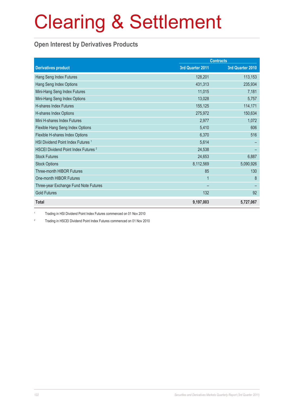# Clearing & Settlement

#### **Open Interest by Derivatives Products**

|                                                 |                  | <b>Contracts</b> |
|-------------------------------------------------|------------------|------------------|
| <b>Derivatives product</b>                      | 3rd Quarter 2011 | 3rd Quarter 2010 |
| Hang Seng Index Futures                         | 128,201          | 113,153          |
| Hang Seng Index Options                         | 431,313          | 235,934          |
| Mini-Hang Seng Index Futures                    | 11,015           | 7,181            |
| Mini-Hang Seng Index Options                    | 13,028           | 5,757            |
| <b>H-shares Index Futures</b>                   | 155,125          | 114,171          |
| H-shares Index Options                          | 275,972          | 150,634          |
| Mini H-shares Index Futures                     | 2,977            | 1,072            |
| Flexible Hang Seng Index Options                | 5,410            | 606              |
| Flexible H-shares Index Options                 | 6,370            | 516              |
| HSI Dividend Point Index Futures <sup>1</sup>   | 5,614            |                  |
| HSCEI Dividend Point Index Futures <sup>2</sup> | 24,538           |                  |
| <b>Stock Futures</b>                            | 24,653           | 6,887            |
| <b>Stock Options</b>                            | 8,112,569        | 5,090,926        |
| Three-month HIBOR Futures                       | 85               | 130              |
| One-month HIBOR Futures                         | 1                | 8                |
| Three-year Exchange Fund Note Futures           |                  |                  |
| <b>Gold Futures</b>                             | 132              | 92               |
| <b>Total</b>                                    | 9,197,003        | 5,727,067        |

1 Trading in HSI Dividend Point Index Futures commenced on 01 Nov 2010

2 Trading in HSCEI Dividend Point Index Futures commenced on 01 Nov 2010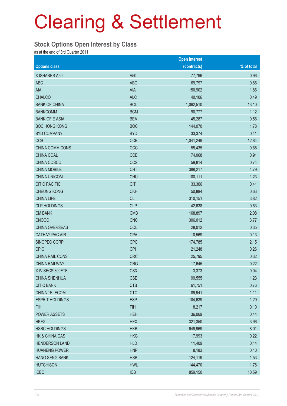# Clearing & Settlement

#### **Stock Options Open Interest by Class**

as at the end of 3rd Quarter 2011

|                        |                 | <b>Open interest</b> |            |
|------------------------|-----------------|----------------------|------------|
| <b>Options class</b>   |                 | (contracts)          | % of total |
| X ISHARES A50          | A50             | 77,796               | 0.96       |
| <b>ABC</b>             | <b>ABC</b>      | 69,797               | 0.86       |
| AIA                    | AIA             | 150,902              | 1.86       |
| <b>CHALCO</b>          | <b>ALC</b>      | 40,106               | 0.49       |
| <b>BANK OF CHINA</b>   | <b>BCL</b>      | 1,062,510            | 13.10      |
| <b>BANKCOMM</b>        | <b>BCM</b>      | 90,777               | 1.12       |
| <b>BANK OF E ASIA</b>  | <b>BEA</b>      | 45,287               | 0.56       |
| <b>BOC HONG KONG</b>   | <b>BOC</b>      | 144,070              | 1.78       |
| <b>BYD COMPANY</b>     | <b>BYD</b>      | 33,374               | 0.41       |
| <b>CCB</b>             | <b>CCB</b>      | 1,041,249            | 12.84      |
| CHINA COMM CONS        | CCC             | 55,435               | 0.68       |
| CHINA COAL             | <b>CCE</b>      | 74,068               | 0.91       |
| CHINA COSCO            | <b>CCS</b>      | 59,814               | 0.74       |
| <b>CHINA MOBILE</b>    | <b>CHT</b>      | 388,217              | 4.79       |
| <b>CHINA UNICOM</b>    | <b>CHU</b>      | 100,111              | 1.23       |
| <b>CITIC PACIFIC</b>   | <b>CIT</b>      | 33,366               | 0.41       |
| <b>CHEUNG KONG</b>     | <b>CKH</b>      | 50,884               | 0.63       |
| <b>CHINA LIFE</b>      | <b>CLI</b>      | 310,151              | 3.82       |
| <b>CLP HOLDINGS</b>    | <b>CLP</b>      | 42,638               | 0.53       |
| <b>CM BANK</b>         | <b>CMB</b>      | 168,897              | 2.08       |
| <b>CNOOC</b>           | <b>CNC</b>      | 306,012              | 3.77       |
| CHINA OVERSEAS         | COL             | 28,012               | 0.35       |
| <b>CATHAY PAC AIR</b>  | <b>CPA</b>      | 10,569               | 0.13       |
| SINOPEC CORP           | <b>CPC</b>      | 174,785              | 2.15       |
| <b>CPIC</b>            | <b>CPI</b>      | 21,248               | 0.26       |
| <b>CHINA RAIL CONS</b> | <b>CRC</b>      | 25,795               | 0.32       |
| <b>CHINA RAILWAY</b>   | <b>CRG</b>      | 17,645               | 0.22       |
| X WISECSI300ETF        | CS <sub>3</sub> | 3,373                | 0.04       |
| <b>CHINA SHENHUA</b>   | <b>CSE</b>      | 99,555               | 1.23       |
| <b>CITIC BANK</b>      | <b>CTB</b>      | 61,751               | 0.76       |
| CHINA TELECOM          | <b>CTC</b>      | 89,941               | 1.11       |
| <b>ESPRIT HOLDINGS</b> | <b>ESP</b>      | 104,639              | 1.29       |
| <b>FIH</b>             | <b>FIH</b>      | 8,217                | 0.10       |
| POWER ASSETS           | <b>HEH</b>      | 36,069               | 0.44       |
| <b>HKEX</b>            | <b>HEX</b>      | 321,350              | 3.96       |
| <b>HSBC HOLDINGS</b>   | <b>HKB</b>      | 649,969              | 8.01       |
| HK & CHINA GAS         | <b>HKG</b>      | 17,993               | 0.22       |
| <b>HENDERSON LAND</b>  | <b>HLD</b>      | 11,409               | 0.14       |
| <b>HUANENG POWER</b>   | <b>HNP</b>      | 8,183                | 0.10       |
| <b>HANG SENG BANK</b>  | <b>HSB</b>      | 124,119              | 1.53       |
| <b>HUTCHISON</b>       | <b>HWL</b>      | 144,470              | 1.78       |
| <b>ICBC</b>            | ICB             | 859,150              | 10.59      |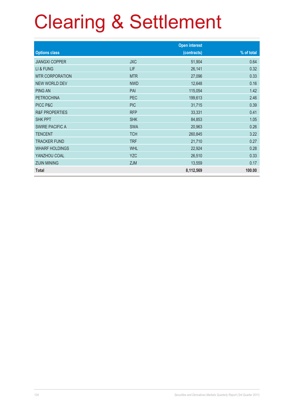# Clearing & Settlement

|                           |            | <b>Open interest</b> |            |
|---------------------------|------------|----------------------|------------|
| <b>Options class</b>      |            | (contracts)          | % of total |
| <b>JIANGXI COPPER</b>     | <b>JXC</b> | 51,904               | 0.64       |
| LI & FUNG                 | LIF        | 26,141               | 0.32       |
| <b>MTR CORPORATION</b>    | <b>MTR</b> | 27,096               | 0.33       |
| <b>NEW WORLD DEV</b>      | <b>NWD</b> | 12,648               | 0.16       |
| <b>PING AN</b>            | PAI        | 115,054              | 1.42       |
| <b>PETROCHINA</b>         | PEC        | 199,613              | 2.46       |
| PICC P&C                  | <b>PIC</b> | 31,715               | 0.39       |
| <b>R&amp;F PROPERTIES</b> | <b>RFP</b> | 33,331               | 0.41       |
| <b>SHK PPT</b>            | <b>SHK</b> | 84,853               | 1.05       |
| <b>SWIRE PACIFIC A</b>    | <b>SWA</b> | 20,963               | 0.26       |
| <b>TENCENT</b>            | <b>TCH</b> | 260,845              | 3.22       |
| <b>TRACKER FUND</b>       | <b>TRF</b> | 21,710               | 0.27       |
| <b>WHARF HOLDINGS</b>     | <b>WHL</b> | 22,924               | 0.28       |
| YANZHOU COAL              | <b>YZC</b> | 26,510               | 0.33       |
| <b>ZIJIN MINING</b>       | <b>ZJM</b> | 13,559               | 0.17       |
| <b>Total</b>              |            | 8,112,569            | 100.00     |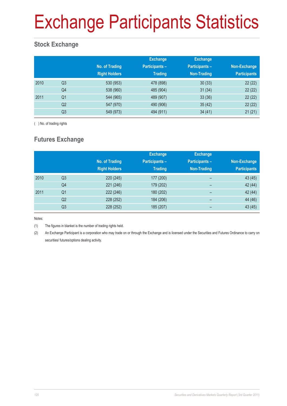# Exchange Participants Statistics

## **Stock Exchange**

|      |                | No. of Trading<br><b>Right Holders</b> | <b>Exchange</b><br><b>Participants -</b><br><b>Trading</b> | <b>Exchange</b><br><b>Participants-</b><br>Non-Trading | Non-Exchange<br><b>Participants</b> |
|------|----------------|----------------------------------------|------------------------------------------------------------|--------------------------------------------------------|-------------------------------------|
| 2010 | Q3             | 530 (953)                              | 478 (898)                                                  | 30(33)                                                 | 22(22)                              |
|      | Q4             | 538 (960)                              | 485 (904)                                                  | 31(34)                                                 | 22(22)                              |
| 2011 | Q <sub>1</sub> | 544 (965)                              | 489 (907)                                                  | 33(36)                                                 | 22(22)                              |
|      | Q2             | 547 (970)                              | 490 (906)                                                  | 35(42)                                                 | 22(22)                              |
|      | Q <sub>3</sub> | 549 (973)                              | 494 (911)                                                  | 34(41)                                                 | 21(21)                              |

( ) No. of trading rights

### **Futures Exchange**

|      |                | No. of Trading<br><b>Right Holders</b> | <b>Exchange</b><br><b>Participants -</b><br><b>Trading</b> | <b>Exchange</b><br><b>Participants -</b><br>Non-Trading | Non-Exchange<br><b>Participants</b> |
|------|----------------|----------------------------------------|------------------------------------------------------------|---------------------------------------------------------|-------------------------------------|
| 2010 | Q3             | 220 (245)                              | 177 (200)                                                  | -                                                       | 43 (45)                             |
|      | Q4             | 221 (246)                              | 179 (202)                                                  |                                                         | 42 (44)                             |
| 2011 | Q <sub>1</sub> | 222 (246)                              | 180 (202)                                                  | $\overline{\phantom{0}}$                                | 42 (44)                             |
|      | Q2             | 228 (252)                              | 184 (206)                                                  | -                                                       | 44 (46)                             |
|      | Q3             | 228 (252)                              | 185 (207)                                                  |                                                         | 43(45)                              |

Notes:

(1) The figures in blanket is the number of trading rights held.

(2) An Exchange Participant is a corporation who may trade on or through the Exchange and is licensed under the Securities and Futures Ordinance to carry on securities/ futures/options dealing activity.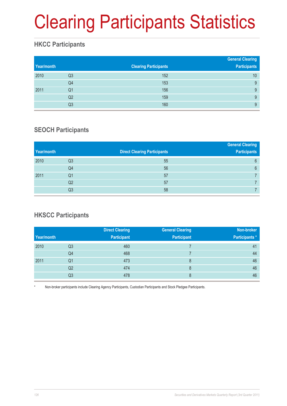# Clearing Participants Statistics

## **HKCC Participants**

| Year/month |                | <b>Clearing Participants</b> | <b>General Clearing</b><br><b>Participants</b> |
|------------|----------------|------------------------------|------------------------------------------------|
| 2010       | Q <sub>3</sub> | 152                          | 10                                             |
|            | Q4             | 153                          | 9                                              |
| 2011       | Q1             | 156                          | 9                                              |
|            | Q2             | 159                          | 9                                              |
|            | Q3             | 160                          | 9                                              |

### **SEOCH Participants**

|                |                                     | <b>General Clearing</b> |
|----------------|-------------------------------------|-------------------------|
|                | <b>Direct Clearing Participants</b> | <b>Participants</b>     |
| Q3             | 55                                  | 6                       |
| Q4             | 56                                  | 6                       |
| Q <sub>1</sub> | 57                                  |                         |
| Q <sub>2</sub> | 57                                  |                         |
| Q3             | 58                                  |                         |
|                |                                     |                         |

## **HKSCC Participants**

|            |                | <b>Direct Clearing</b> | <b>General Clearing</b> | Non-broker           |
|------------|----------------|------------------------|-------------------------|----------------------|
| Year/month |                | <b>Participant</b>     | <b>Participant</b>      | <b>Participants*</b> |
| 2010       | Q <sub>3</sub> | 460                    |                         | 41                   |
|            | Q4             | 468                    |                         | 44                   |
| 2011       | Q1             | 473                    | 8                       | 46                   |
|            | Q2             | 474                    | 8                       | 46                   |
|            | Q3             | 478                    | 8                       | 46                   |

Non-broker participants include Clearing Agency Participants, Custodian Participants and Stock Pledgee Participants.